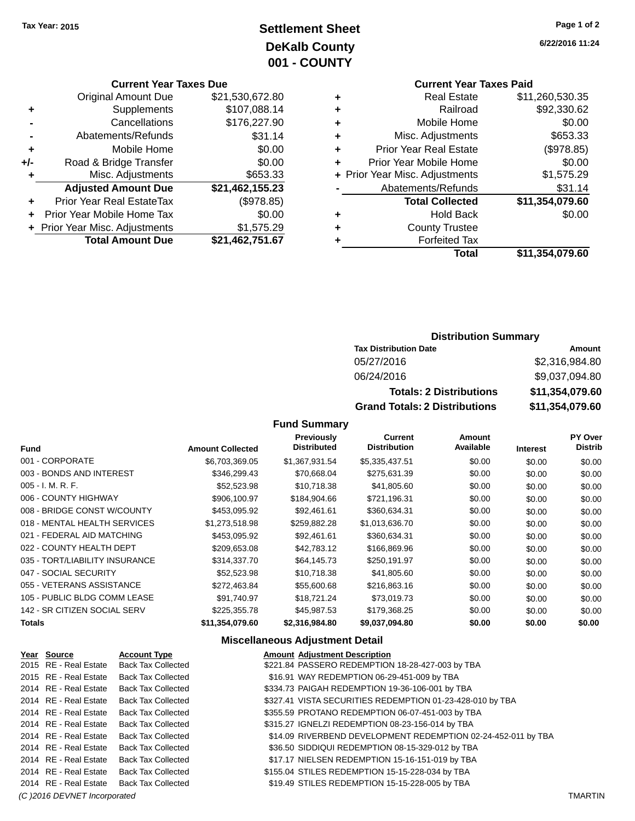### **Settlement Sheet Tax Year: 2015 Page 1 of 2 DeKalb County 001 - COUNTY**

#### **Current Year Taxes Due**

| <b>Original Amount Due</b> | \$21,530,672.80                |
|----------------------------|--------------------------------|
| Supplements                | \$107,088.14                   |
| Cancellations              | \$176,227.90                   |
| Abatements/Refunds         | \$31.14                        |
| Mobile Home                | \$0.00                         |
| Road & Bridge Transfer     | \$0.00                         |
| Misc. Adjustments          | \$653.33                       |
| <b>Adjusted Amount Due</b> | \$21,462,155.23                |
| Prior Year Real EstateTax  | (\$978.85)                     |
| Prior Year Mobile Home Tax | \$0.00                         |
|                            | \$1,575.29                     |
| <b>Total Amount Due</b>    | \$21,462,751.67                |
|                            | + Prior Year Misc. Adjustments |

**6/22/2016 11:24**

### **Current Year Taxes Paid**

| ٠ | <b>Real Estate</b>             | \$11,260,530.35 |
|---|--------------------------------|-----------------|
| ÷ | Railroad                       | \$92,330.62     |
| ٠ | Mobile Home                    | \$0.00          |
| ٠ | Misc. Adjustments              | \$653.33        |
| ٠ | <b>Prior Year Real Estate</b>  | (\$978.85)      |
| ٠ | Prior Year Mobile Home         | \$0.00          |
|   | + Prior Year Misc. Adjustments | \$1,575.29      |
|   | Abatements/Refunds             | \$31.14         |
|   | <b>Total Collected</b>         | \$11,354,079.60 |
| ٠ | <b>Hold Back</b>               | \$0.00          |
| ٠ | <b>County Trustee</b>          |                 |
| ٠ | <b>Forfeited Tax</b>           |                 |
|   | Total                          | \$11,354,079.60 |
|   |                                |                 |

### **Distribution Summary**

| <b>Tax Distribution Date</b>         | Amount          |
|--------------------------------------|-----------------|
| 05/27/2016                           | \$2,316,984.80  |
| 06/24/2016                           | \$9,037,094.80  |
| <b>Totals: 2 Distributions</b>       | \$11,354,079.60 |
| <b>Grand Totals: 2 Distributions</b> | \$11,354,079.60 |

### **Fund Summary**

| <b>Fund</b>                    | <b>Amount Collected</b> | <b>Previously</b><br><b>Distributed</b> | Current<br><b>Distribution</b> | Amount<br>Available | <b>Interest</b> | PY Over<br><b>Distrib</b> |
|--------------------------------|-------------------------|-----------------------------------------|--------------------------------|---------------------|-----------------|---------------------------|
| 001 - CORPORATE                | \$6,703,369.05          | \$1,367,931.54                          | \$5,335,437.51                 | \$0.00              | \$0.00          | \$0.00                    |
| 003 - BONDS AND INTEREST       | \$346,299.43            | \$70,668.04                             | \$275,631.39                   | \$0.00              | \$0.00          | \$0.00                    |
| $005 - I. M. R. F.$            | \$52,523.98             | \$10,718.38                             | \$41,805.60                    | \$0.00              | \$0.00          | \$0.00                    |
| 006 - COUNTY HIGHWAY           | \$906,100.97            | \$184,904.66                            | \$721,196.31                   | \$0.00              | \$0.00          | \$0.00                    |
| 008 - BRIDGE CONST W/COUNTY    | \$453,095.92            | \$92.461.61                             | \$360,634.31                   | \$0.00              | \$0.00          | \$0.00                    |
| 018 - MENTAL HEALTH SERVICES   | \$1,273,518.98          | \$259,882.28                            | \$1,013,636.70                 | \$0.00              | \$0.00          | \$0.00                    |
| 021 - FEDERAL AID MATCHING     | \$453,095.92            | \$92,461.61                             | \$360.634.31                   | \$0.00              | \$0.00          | \$0.00                    |
| 022 - COUNTY HEALTH DEPT       | \$209,653.08            | \$42,783.12                             | \$166,869.96                   | \$0.00              | \$0.00          | \$0.00                    |
| 035 - TORT/LIABILITY INSURANCE | \$314,337.70            | \$64,145.73                             | \$250,191.97                   | \$0.00              | \$0.00          | \$0.00                    |
| 047 - SOCIAL SECURITY          | \$52,523.98             | \$10,718.38                             | \$41,805.60                    | \$0.00              | \$0.00          | \$0.00                    |
| 055 - VETERANS ASSISTANCE      | \$272,463.84            | \$55,600.68                             | \$216,863.16                   | \$0.00              | \$0.00          | \$0.00                    |
| 105 - PUBLIC BLDG COMM LEASE   | \$91,740.97             | \$18,721.24                             | \$73,019.73                    | \$0.00              | \$0.00          | \$0.00                    |
| 142 - SR CITIZEN SOCIAL SERV   | \$225,355.78            | \$45,987.53                             | \$179,368.25                   | \$0.00              | \$0.00          | \$0.00                    |
| <b>Totals</b>                  | \$11,354,079.60         | \$2,316,984.80                          | \$9,037,094.80                 | \$0.00              | \$0.00          | \$0.00                    |

### **Miscellaneous Adjustment Detail**

| Year Source                  | <b>Account Type</b>       | <b>Amount Adjustment Description</b>                          |                |
|------------------------------|---------------------------|---------------------------------------------------------------|----------------|
| 2015 RE - Real Estate        | <b>Back Tax Collected</b> | \$221.84 PASSERO REDEMPTION 18-28-427-003 by TBA              |                |
| 2015 RE - Real Estate        | <b>Back Tax Collected</b> | \$16.91 WAY REDEMPTION 06-29-451-009 by TBA                   |                |
| 2014 RE - Real Estate        | <b>Back Tax Collected</b> | \$334.73 PAIGAH REDEMPTION 19-36-106-001 by TBA               |                |
| 2014 RE - Real Estate        | <b>Back Tax Collected</b> | \$327.41 VISTA SECURITIES REDEMPTION 01-23-428-010 by TBA     |                |
| 2014 RE - Real Estate        | <b>Back Tax Collected</b> | \$355.59 PROTANO REDEMPTION 06-07-451-003 by TBA              |                |
| 2014 RE - Real Estate        | <b>Back Tax Collected</b> | \$315.27 IGNELZI REDEMPTION 08-23-156-014 by TBA              |                |
| 2014 RE - Real Estate        | <b>Back Tax Collected</b> | \$14.09 RIVERBEND DEVELOPMENT REDEMPTION 02-24-452-011 by TBA |                |
| 2014 RE - Real Estate        | <b>Back Tax Collected</b> | \$36.50 SIDDIQUI REDEMPTION 08-15-329-012 by TBA              |                |
| 2014 RE - Real Estate        | <b>Back Tax Collected</b> | \$17.17 NIELSEN REDEMPTION 15-16-151-019 by TBA               |                |
| 2014 RE - Real Estate        | <b>Back Tax Collected</b> | \$155.04 STILES REDEMPTION 15-15-228-034 by TBA               |                |
| 2014 RE - Real Estate        | <b>Back Tax Collected</b> | \$19.49 STILES REDEMPTION 15-15-228-005 by TBA                |                |
| (C) 2016 DEVNET Incorporated |                           |                                                               | <b>TMARTIN</b> |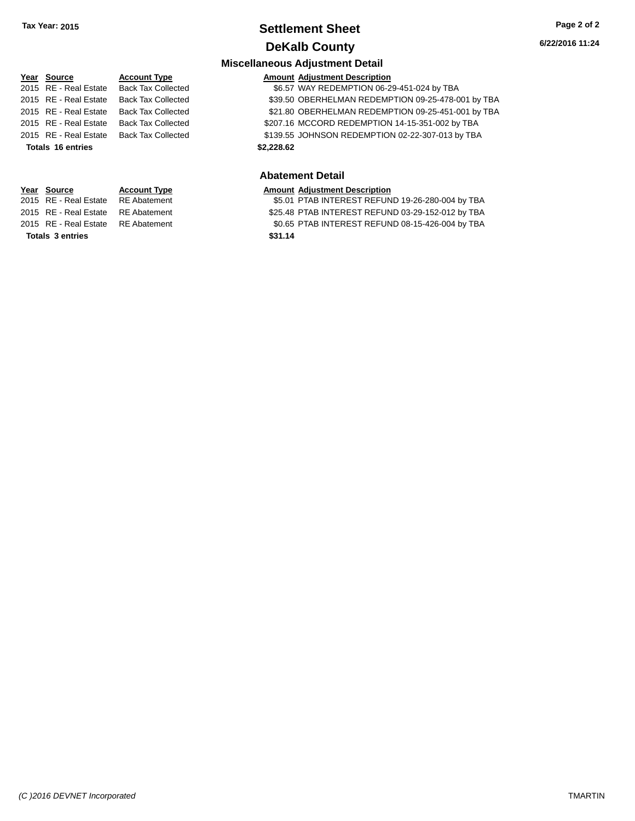### **Settlement Sheet Tax Year: 2015 Page 2 of 2 DeKalb County**

### **Miscellaneous Adjustment Detail Year** Source **Account Type Account Adjustment Description** 2015 RE - Real Estate Back Tax Collected \$6.57 WAY REDEMPTION 06-29-451-024 by TBA 2015 RE - Real Estate Back Tax Collected \$39.50 OBERHELMAN REDEMPTION 09-25-478-001 by TBA 2015 RE - Real Estate Back Tax Collected \$21.80 OBERHELMAN REDEMPTION 09-25-451-001 by TBA 2015 RE - Real Estate Back Tax Collected \$207.16 MCCORD REDEMPTION 14-15-351-002 by TBA 2015 RE - Real Estate Back Tax Collected \$139.55 JOHNSON REDEMPTION 02-22-307-013 by TBA **Totals \$2,228.62 16 entries Year Source Account Type Amount Adjustment Description**

**Totals \$31.14 3 entries**

**Abatement Detail**

2015 RE - Real Estate RE Abatement \$5.01 PTAB INTEREST REFUND 19-26-280-004 by TBA 2015 RE - Real Estate RE Abatement \$25.48 PTAB INTEREST REFUND 03-29-152-012 by TBA 2015 RE - Real Estate RE Abatement \$0.65 PTAB INTEREST REFUND 08-15-426-004 by TBA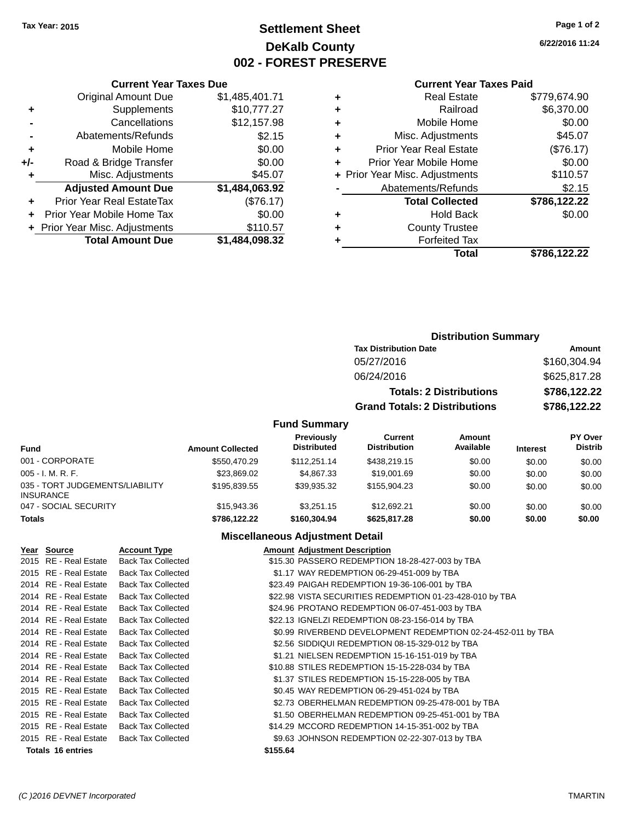### **Settlement Sheet Tax Year: 2015 Page 1 of 2 DeKalb County 002 - FOREST PRESERVE**

**6/22/2016 11:24**

#### **Current Year Taxes Paid**

| <b>Current Year Taxes Due</b>  |                |
|--------------------------------|----------------|
| <b>Original Amount Due</b>     | \$1,485,401.71 |
| Supplements                    | \$10,777.27    |
| Cancellations                  | \$12,157.98    |
| Abatements/Refunds             | \$2.15         |
| Mobile Home                    | \$0.00         |
| Road & Bridge Transfer         | \$0.00         |
| Misc. Adjustments              | \$45.07        |
| <b>Adjusted Amount Due</b>     | \$1,484,063.92 |
| Prior Year Real EstateTax      | (\$76.17)      |
| Prior Year Mobile Home Tax     | \$0.00         |
| + Prior Year Misc. Adjustments | \$110.57       |
| <b>Total Amount Due</b>        | \$1,484,098.32 |
|                                |                |

| ٠ | <b>Real Estate</b>             | \$779,674.90 |
|---|--------------------------------|--------------|
| ٠ | Railroad                       | \$6,370.00   |
| ٠ | Mobile Home                    | \$0.00       |
| ٠ | Misc. Adjustments              | \$45.07      |
| ٠ | <b>Prior Year Real Estate</b>  | (\$76.17)    |
| ÷ | Prior Year Mobile Home         | \$0.00       |
|   | + Prior Year Misc. Adjustments | \$110.57     |
|   | Abatements/Refunds             | \$2.15       |
|   | <b>Total Collected</b>         | \$786,122.22 |
| ٠ | <b>Hold Back</b>               | \$0.00       |
| ٠ | <b>County Trustee</b>          |              |
| ٠ | <b>Forfeited Tax</b>           |              |
|   | Total                          | \$786,122.22 |
|   |                                |              |

### **Distribution Summary Tax Distribution Date Amount** 05/27/2016 \$160,304.94 06/24/2016 \$625,817.28 **Totals: 2 Distributions \$786,122.22 Grand Totals: 2 Distributions \$786,122.22**

#### **Fund Summary**

| <b>Fund</b>                                         | <b>Amount Collected</b> | <b>Previously</b><br><b>Distributed</b> | Current<br><b>Distribution</b> | Amount<br>Available | <b>Interest</b> | <b>PY Over</b><br><b>Distrib</b> |
|-----------------------------------------------------|-------------------------|-----------------------------------------|--------------------------------|---------------------|-----------------|----------------------------------|
| 001 - CORPORATE                                     | \$550,470.29            | \$112,251.14                            | \$438,219.15                   | \$0.00              | \$0.00          | \$0.00                           |
| $005 - I. M. R. F.$                                 | \$23,869.02             | \$4,867,33                              | \$19,001.69                    | \$0.00              | \$0.00          | \$0.00                           |
| 035 - TORT JUDGEMENTS/LIABILITY<br><b>INSURANCE</b> | \$195,839.55            | \$39.935.32                             | \$155,904.23                   | \$0.00              | \$0.00          | \$0.00                           |
| 047 - SOCIAL SECURITY                               | \$15,943.36             | \$3.251.15                              | \$12.692.21                    | \$0.00              | \$0.00          | \$0.00                           |
| <b>Totals</b>                                       | \$786.122.22            | \$160,304.94                            | \$625,817,28                   | \$0.00              | \$0.00          | \$0.00                           |

#### **Miscellaneous Adjustment Detail**

| Year Source              | <b>Account Type</b>       |          | <b>Amount Adjustment Description</b>                         |
|--------------------------|---------------------------|----------|--------------------------------------------------------------|
| 2015 RE - Real Estate    | <b>Back Tax Collected</b> |          | \$15.30 PASSERO REDEMPTION 18-28-427-003 by TBA              |
| 2015 RE - Real Estate    | <b>Back Tax Collected</b> |          | \$1.17 WAY REDEMPTION 06-29-451-009 by TBA                   |
| 2014 RE - Real Estate    | <b>Back Tax Collected</b> |          | \$23.49 PAIGAH REDEMPTION 19-36-106-001 by TBA               |
| 2014 RE - Real Estate    | <b>Back Tax Collected</b> |          | \$22.98 VISTA SECURITIES REDEMPTION 01-23-428-010 by TBA     |
| 2014 RE - Real Estate    | <b>Back Tax Collected</b> |          | \$24.96 PROTANO REDEMPTION 06-07-451-003 by TBA              |
| 2014 RE - Real Estate    | <b>Back Tax Collected</b> |          | \$22.13 IGNELZI REDEMPTION 08-23-156-014 by TBA              |
| 2014 RE - Real Estate    | <b>Back Tax Collected</b> |          | \$0.99 RIVERBEND DEVELOPMENT REDEMPTION 02-24-452-011 by TBA |
| 2014 RE - Real Estate    | <b>Back Tax Collected</b> |          | \$2.56 SIDDIQUI REDEMPTION 08-15-329-012 by TBA              |
| 2014 RE - Real Estate    | <b>Back Tax Collected</b> |          | \$1.21 NIELSEN REDEMPTION 15-16-151-019 by TBA               |
| 2014 RE - Real Estate    | <b>Back Tax Collected</b> |          | \$10.88 STILES REDEMPTION 15-15-228-034 by TBA               |
| 2014 RE - Real Estate    | <b>Back Tax Collected</b> |          | \$1.37 STILES REDEMPTION 15-15-228-005 by TBA                |
| 2015 RE - Real Estate    | <b>Back Tax Collected</b> |          | \$0.45 WAY REDEMPTION 06-29-451-024 by TBA                   |
| 2015 RE - Real Estate    | <b>Back Tax Collected</b> |          | \$2.73 OBERHELMAN REDEMPTION 09-25-478-001 by TBA            |
| 2015 RE - Real Estate    | <b>Back Tax Collected</b> |          | \$1.50 OBERHELMAN REDEMPTION 09-25-451-001 by TBA            |
| 2015 RE - Real Estate    | <b>Back Tax Collected</b> |          | \$14.29 MCCORD REDEMPTION 14-15-351-002 by TBA               |
| 2015 RE - Real Estate    | <b>Back Tax Collected</b> |          | \$9.63 JOHNSON REDEMPTION 02-22-307-013 by TBA               |
| <b>Totals 16 entries</b> |                           | \$155.64 |                                                              |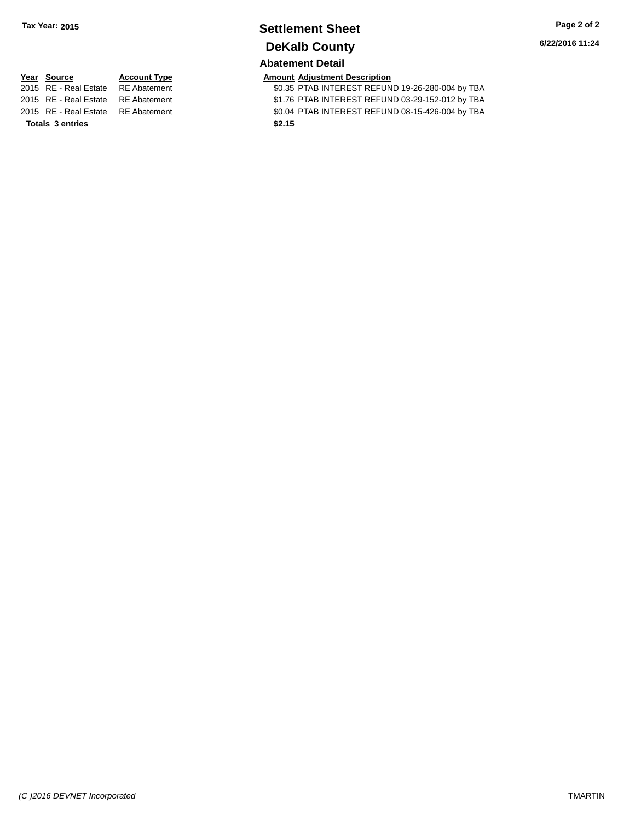## **Settlement Sheet Tax Year: 2015 Page 2 of 2 DeKalb County**

### **Abatement Detail**

\$0.35 PTAB INTEREST REFUND 19-26-280-004 by TBA 2015 RE - Real Estate RE Abatement \$1.76 PTAB INTEREST REFUND 03-29-152-012 by TBA 2015 RE - Real Estate RE Abatement \$0.04 PTAB INTEREST REFUND 08-15-426-004 by TBA

# **Year Source Account Type Amount Adjustment Description**<br>2015 RE - Real Estate RE Abatement \$0.35 PTAB INTEREST REFUN

**Totals \$2.15 3 entries**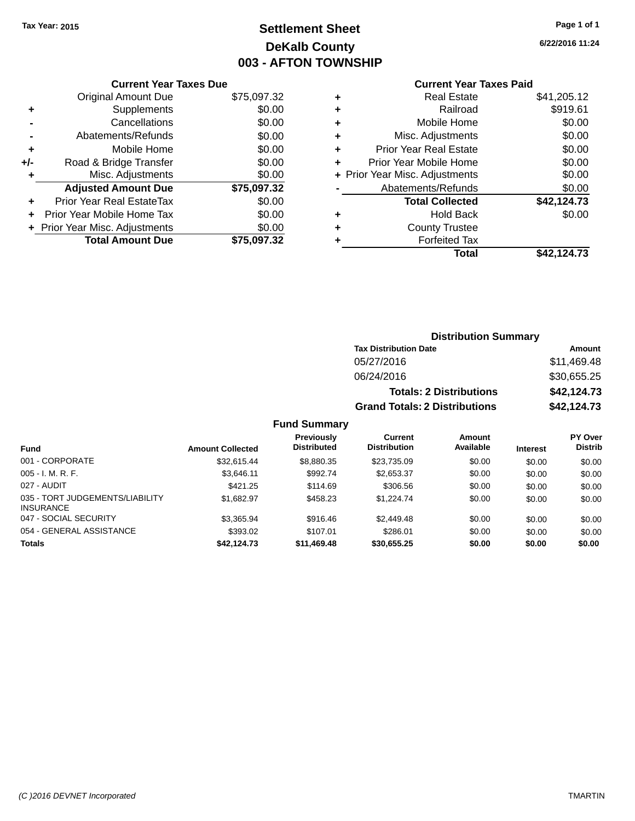### **Settlement Sheet Tax Year: 2015 Page 1 of 1 DeKalb County 003 - AFTON TOWNSHIP**

**6/22/2016 11:24**

|                | <b>Current Year Taxes Due</b> |             |  |  |  |
|----------------|-------------------------------|-------------|--|--|--|
|                | <b>Original Amount Due</b>    | \$75,097.32 |  |  |  |
|                | Supplements                   | \$0.00      |  |  |  |
| $\blacksquare$ | Cancellations                 | \$0.00      |  |  |  |
|                | Abatements/Refunds            | \$0.00      |  |  |  |
| ٠              | Mobile Home                   | \$0.00      |  |  |  |
| +/-            | Road & Bridge Transfer        | \$0.00      |  |  |  |
| ÷              | Misc. Adjustments             | \$0.00      |  |  |  |

**Adjusted Amount Due \$75,097.32**

**Total Amount Due \$75,097.32**

**+** Prior Year Real EstateTax \$0.00 **+** Prior Year Mobile Home Tax \$0.00 **+ Prior Year Misc. Adjustments**  $$0.00$ 

### **Current Year Taxes Paid**

|   | <b>Real Estate</b>             | \$41,205.12 |
|---|--------------------------------|-------------|
| ٠ | Railroad                       | \$919.61    |
| ٠ | Mobile Home                    | \$0.00      |
| ٠ | Misc. Adjustments              | \$0.00      |
| ٠ | <b>Prior Year Real Estate</b>  | \$0.00      |
| ٠ | Prior Year Mobile Home         | \$0.00      |
|   | + Prior Year Misc. Adjustments | \$0.00      |
|   | Abatements/Refunds             | \$0.00      |
|   | <b>Total Collected</b>         | \$42,124.73 |
| ٠ | Hold Back                      | \$0.00      |
| ٠ | <b>County Trustee</b>          |             |
| ٠ | <b>Forfeited Tax</b>           |             |
|   | Total                          | \$42,124.73 |
|   |                                |             |

**Distribution Summary**

|                                                     |                         |                                         | <b>Tax Distribution Date</b>         |                                |                 | Amount                    |
|-----------------------------------------------------|-------------------------|-----------------------------------------|--------------------------------------|--------------------------------|-----------------|---------------------------|
|                                                     |                         |                                         | 05/27/2016                           |                                |                 | \$11,469.48               |
|                                                     |                         |                                         | 06/24/2016                           |                                | \$30,655.25     |                           |
|                                                     |                         |                                         |                                      | <b>Totals: 2 Distributions</b> |                 | \$42,124.73               |
|                                                     |                         |                                         | <b>Grand Totals: 2 Distributions</b> |                                |                 | \$42,124.73               |
|                                                     |                         | <b>Fund Summary</b>                     |                                      |                                |                 |                           |
| <b>Fund</b>                                         | <b>Amount Collected</b> | <b>Previously</b><br><b>Distributed</b> | Current<br><b>Distribution</b>       | Amount<br>Available            | <b>Interest</b> | PY Over<br><b>Distrib</b> |
| 001 - CORPORATE                                     | \$32,615.44             | \$8,880.35                              | \$23,735.09                          | \$0.00                         | \$0.00          | \$0.00                    |
| 005 - I. M. R. F.                                   | \$3,646.11              | \$992.74                                | \$2,653.37                           | \$0.00                         | \$0.00          | \$0.00                    |
| 027 - AUDIT                                         | \$421.25                | \$114.69                                | \$306.56                             | \$0.00                         | \$0.00          | \$0.00                    |
| 035 - TORT JUDGEMENTS/LIABILITY<br><b>INSURANCE</b> | \$1,682.97              | \$458.23                                | \$1,224.74                           | \$0.00                         | \$0.00          | \$0.00                    |
| 047 - SOCIAL SECURITY                               | \$3,365.94              | \$916.46                                | \$2,449.48                           | \$0.00                         | \$0.00          | \$0.00                    |

054 - GENERAL ASSISTANCE \$393.02 \$107.01 \$286.01 \$0.00 \$0.00 \$0.00 **Totals \$42,124.73 \$11,469.48 \$30,655.25 \$0.00 \$0.00 \$0.00**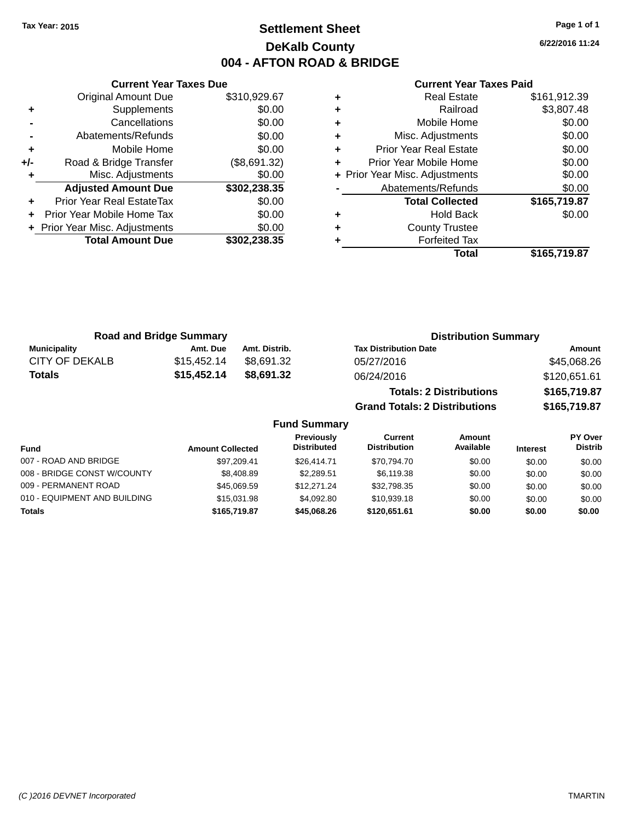### **Settlement Sheet Tax Year: 2015 Page 1 of 1 DeKalb County 004 - AFTON ROAD & BRIDGE**

**6/22/2016 11:24**

#### **Current Year Taxes Paid**

|     | <b>Original Amount Due</b>     | \$310,929.67 |
|-----|--------------------------------|--------------|
| ٠   | Supplements                    | \$0.00       |
|     | Cancellations                  | \$0.00       |
|     | Abatements/Refunds             | \$0.00       |
| ٠   | Mobile Home                    | \$0.00       |
| +/- | Road & Bridge Transfer         | (\$8,691.32) |
| ٠   | Misc. Adjustments              | \$0.00       |
|     | <b>Adjusted Amount Due</b>     | \$302,238.35 |
| ÷   | Prior Year Real EstateTax      | \$0.00       |
| ÷   | Prior Year Mobile Home Tax     | \$0.00       |
|     | + Prior Year Misc. Adjustments | \$0.00       |
|     | <b>Total Amount Due</b>        | \$302,238.35 |
|     |                                |              |

**Current Year Taxes Due**

|   | <b>Real Estate</b>             | \$161,912.39 |
|---|--------------------------------|--------------|
| ٠ | Railroad                       | \$3,807.48   |
| ٠ | Mobile Home                    | \$0.00       |
| ٠ | Misc. Adjustments              | \$0.00       |
| ٠ | <b>Prior Year Real Estate</b>  | \$0.00       |
| ٠ | Prior Year Mobile Home         | \$0.00       |
|   | + Prior Year Misc. Adjustments | \$0.00       |
|   | Abatements/Refunds             | \$0.00       |
|   | <b>Total Collected</b>         | \$165,719.87 |
| ٠ | <b>Hold Back</b>               | \$0.00       |
| ٠ | <b>County Trustee</b>          |              |
|   | <b>Forfeited Tax</b>           |              |
|   | Total                          | \$165,719.87 |
|   |                                |              |

**Grand Totals: 2 Distributions \$165,719.87**

| <b>Road and Bridge Summary</b> |             |               | <b>Distribution Summary</b>    |              |  |
|--------------------------------|-------------|---------------|--------------------------------|--------------|--|
| Municipality                   | Amt. Due    | Amt. Distrib. | <b>Tax Distribution Date</b>   | Amount       |  |
| CITY OF DEKALB                 | \$15,452.14 | \$8.691.32    | 05/27/2016                     | \$45,068.26  |  |
| <b>Totals</b>                  | \$15,452.14 | \$8.691.32    | 06/24/2016                     | \$120,651.61 |  |
|                                |             |               | <b>Totals: 2 Distributions</b> | \$165,719.87 |  |

**Fund Summary Fund Interest Amount Collected Distributed PY Over Distrib Amount Available Current Distribution Previously** 007 - ROAD AND BRIDGE 60.00 \$97,209.41 \$26,414.71 \$70,794.70 \$0.00 \$0.00 \$0.00 \$0.00 008 - BRIDGE CONST W/COUNTY  $$8,408.89$   $$2,289.51$   $$6,119.38$   $$0.00$   $$0.00$   $$0.00$ 009 - PERMANENT ROAD \$45,069.59 \$12,271.24 \$32,798.35 \$0.00 \$0.00 \$0.00 010 - EQUIPMENT AND BUILDING \$15,031.98 \$4,092.80 \$10,939.18 \$0.00 \$0.00 \$0.00 **Totals \$165,719.87 \$45,068.26 \$120,651.61 \$0.00 \$0.00 \$0.00**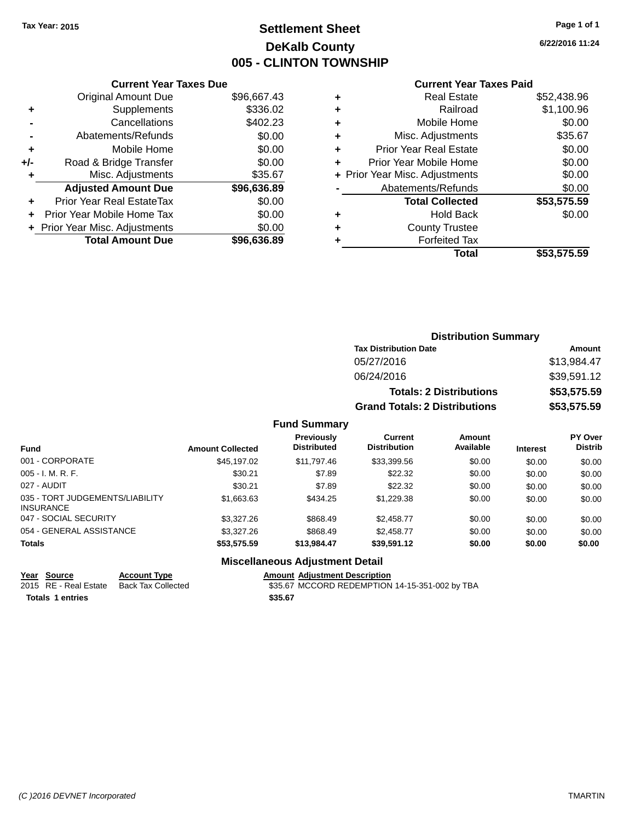### **Settlement Sheet Tax Year: 2015 Page 1 of 1 DeKalb County 005 - CLINTON TOWNSHIP**

**6/22/2016 11:24**

| <b>Current Year Taxes Due</b>  |             |  |  |  |
|--------------------------------|-------------|--|--|--|
| <b>Original Amount Due</b>     | \$96,667.43 |  |  |  |
| Supplements                    | \$336.02    |  |  |  |
| Cancellations                  | \$402.23    |  |  |  |
| Abatements/Refunds             | \$0.00      |  |  |  |
| Mobile Home                    | \$0.00      |  |  |  |
| Road & Bridge Transfer         | \$0.00      |  |  |  |
| Misc. Adjustments              | \$35.67     |  |  |  |
| <b>Adjusted Amount Due</b>     | \$96,636.89 |  |  |  |
| Prior Year Real EstateTax      | \$0.00      |  |  |  |
| Prior Year Mobile Home Tax     | \$0.00      |  |  |  |
| + Prior Year Misc. Adjustments | \$0.00      |  |  |  |
| <b>Total Amount Due</b>        | \$96,636.89 |  |  |  |
|                                |             |  |  |  |

### **Current Year Taxes Paid**

|   | <b>Real Estate</b>             | \$52,438.96 |
|---|--------------------------------|-------------|
| ٠ | Railroad                       | \$1,100.96  |
| ٠ | Mobile Home                    | \$0.00      |
| ٠ | Misc. Adjustments              | \$35.67     |
| ٠ | <b>Prior Year Real Estate</b>  | \$0.00      |
| ٠ | Prior Year Mobile Home         | \$0.00      |
|   | + Prior Year Misc. Adjustments | \$0.00      |
|   | Abatements/Refunds             | \$0.00      |
|   | <b>Total Collected</b>         | \$53,575.59 |
| ٠ | <b>Hold Back</b>               | \$0.00      |
| ٠ | <b>County Trustee</b>          |             |
|   | <b>Forfeited Tax</b>           |             |
|   | Total                          | \$53,575.59 |
|   |                                |             |

### **Distribution Summary Tax Distribution Date Amount** 05/27/2016 \$13,984.47 06/24/2016 \$39,591.12 **Totals: 2 Distributions \$53,575.59 Grand Totals: 2 Distributions \$53,575.59**

#### **Fund Summary**

| <b>Fund</b>                                         | <b>Amount Collected</b> | Previously<br><b>Distributed</b> | Current<br><b>Distribution</b> | Amount<br>Available | <b>Interest</b> | PY Over<br><b>Distrib</b> |
|-----------------------------------------------------|-------------------------|----------------------------------|--------------------------------|---------------------|-----------------|---------------------------|
| 001 - CORPORATE                                     | \$45,197.02             | \$11,797.46                      | \$33,399.56                    | \$0.00              | \$0.00          | \$0.00                    |
| $005 - I. M. R. F.$                                 | \$30.21                 | \$7.89                           | \$22.32                        | \$0.00              | \$0.00          | \$0.00                    |
| 027 - AUDIT                                         | \$30.21                 | \$7.89                           | \$22.32                        | \$0.00              | \$0.00          | \$0.00                    |
| 035 - TORT JUDGEMENTS/LIABILITY<br><b>INSURANCE</b> | \$1,663.63              | \$434.25                         | \$1,229.38                     | \$0.00              | \$0.00          | \$0.00                    |
| 047 - SOCIAL SECURITY                               | \$3,327,26              | \$868.49                         | \$2.458.77                     | \$0.00              | \$0.00          | \$0.00                    |
| 054 - GENERAL ASSISTANCE                            | \$3,327,26              | \$868.49                         | \$2.458.77                     | \$0.00              | \$0.00          | \$0.00                    |
| <b>Totals</b>                                       | \$53,575.59             | \$13.984.47                      | \$39.591.12                    | \$0.00              | \$0.00          | \$0.00                    |

#### **Miscellaneous Adjustment Detail**

**Totals \$35.67 1 entries**

**Year Source Account Type**<br>
2015 RE - Real Estate Back Tax Collected **Amount Adjustment Description**<br>
\$35.67 MCCORD REDEMPTION \$35.67 MCCORD REDEMPTION 14-15-351-002 by TBA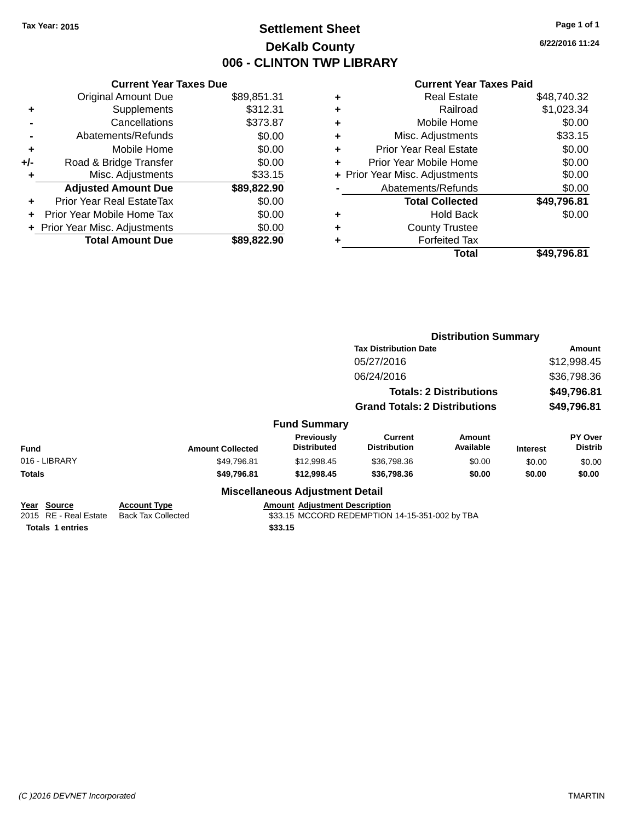### **Settlement Sheet Tax Year: 2015 Page 1 of 1 DeKalb County 006 - CLINTON TWP LIBRARY**

**6/22/2016 11:24**

|     | <b>Current Year Taxes Due</b>  |             |  |  |  |
|-----|--------------------------------|-------------|--|--|--|
|     | <b>Original Amount Due</b>     | \$89,851.31 |  |  |  |
| ٠   | Supplements                    | \$312.31    |  |  |  |
|     | Cancellations                  | \$373.87    |  |  |  |
|     | Abatements/Refunds             | \$0.00      |  |  |  |
| ٠   | Mobile Home                    | \$0.00      |  |  |  |
| +/- | Road & Bridge Transfer         | \$0.00      |  |  |  |
|     | Misc. Adjustments              | \$33.15     |  |  |  |
|     | <b>Adjusted Amount Due</b>     | \$89,822.90 |  |  |  |
| ÷   | Prior Year Real EstateTax      | \$0.00      |  |  |  |
| ÷   | Prior Year Mobile Home Tax     | \$0.00      |  |  |  |
|     | + Prior Year Misc. Adjustments | \$0.00      |  |  |  |
|     | <b>Total Amount Due</b>        | \$89,822,90 |  |  |  |

| ٠ | <b>Real Estate</b>             | \$48,740.32 |
|---|--------------------------------|-------------|
| ٠ | Railroad                       | \$1,023.34  |
| ٠ | Mobile Home                    | \$0.00      |
| ٠ | Misc. Adjustments              | \$33.15     |
| ٠ | <b>Prior Year Real Estate</b>  | \$0.00      |
| ٠ | Prior Year Mobile Home         | \$0.00      |
|   | + Prior Year Misc. Adjustments | \$0.00      |
|   | Abatements/Refunds             | \$0.00      |
|   | <b>Total Collected</b>         | \$49,796.81 |
| ٠ | <b>Hold Back</b>               | \$0.00      |
| ٠ | <b>County Trustee</b>          |             |
| ٠ | <b>Forfeited Tax</b>           |             |
|   | Total                          | \$49,796.81 |
|   |                                |             |

|                                                                 |                                                  |                                                 | <b>Distribution Summary</b>                    |                                |                            |                           |
|-----------------------------------------------------------------|--------------------------------------------------|-------------------------------------------------|------------------------------------------------|--------------------------------|----------------------------|---------------------------|
|                                                                 |                                                  |                                                 | <b>Tax Distribution Date</b>                   |                                | Amount                     |                           |
|                                                                 |                                                  |                                                 | 05/27/2016                                     |                                | \$12,998.45                |                           |
|                                                                 |                                                  |                                                 | 06/24/2016                                     |                                | \$36,798.36                |                           |
|                                                                 |                                                  |                                                 |                                                | <b>Totals: 2 Distributions</b> | \$49,796.81<br>\$49,796.81 |                           |
|                                                                 |                                                  |                                                 | <b>Grand Totals: 2 Distributions</b>           |                                |                            |                           |
|                                                                 |                                                  | <b>Fund Summary</b>                             |                                                |                                |                            |                           |
| <b>Fund</b>                                                     | <b>Amount Collected</b>                          | <b>Previously</b><br><b>Distributed</b>         | <b>Current</b><br><b>Distribution</b>          | Amount<br>Available            | <b>Interest</b>            | PY Over<br><b>Distrib</b> |
| 016 - LIBRARY                                                   | \$49,796.81                                      | \$12,998.45                                     | \$36,798.36                                    | \$0.00                         | \$0.00                     | \$0.00                    |
| Totals                                                          | \$49,796.81                                      | \$12,998.45                                     | \$36,798.36                                    | \$0.00                         | \$0.00                     | \$0.00                    |
|                                                                 |                                                  | <b>Miscellaneous Adjustment Detail</b>          |                                                |                                |                            |                           |
| Year Source<br>2015 RE - Real Estate<br><b>Totals 1 entries</b> | <b>Account Type</b><br><b>Back Tax Collected</b> | <b>Amount Adjustment Description</b><br>\$33.15 | \$33.15 MCCORD REDEMPTION 14-15-351-002 by TBA |                                |                            |                           |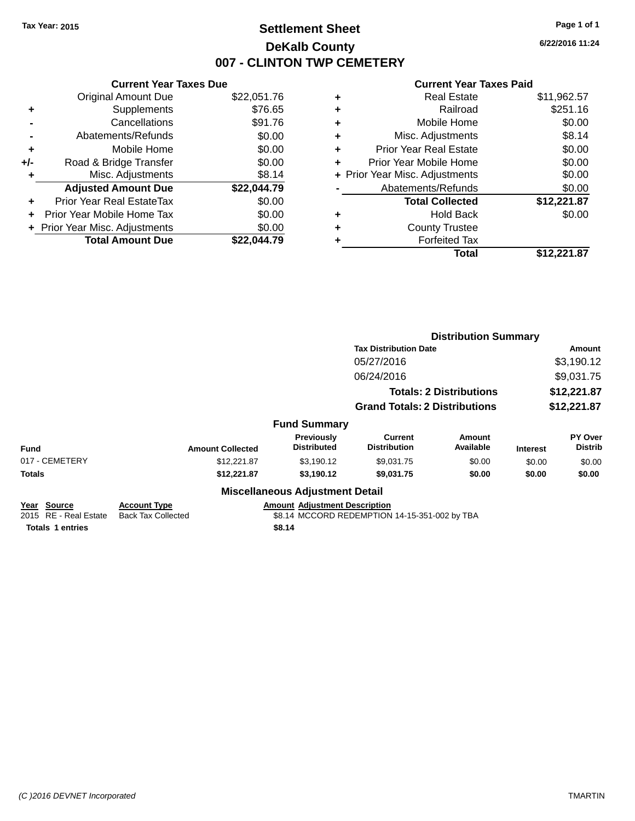### **Settlement Sheet Tax Year: 2015 Page 1 of 1 DeKalb County 007 - CLINTON TWP CEMETERY**

**6/22/2016 11:24**

|     | <b>Current Year Taxes Due</b>  |             |  |  |  |
|-----|--------------------------------|-------------|--|--|--|
|     | <b>Original Amount Due</b>     | \$22,051.76 |  |  |  |
| ٠   | Supplements                    | \$76.65     |  |  |  |
|     | Cancellations                  | \$91.76     |  |  |  |
|     | Abatements/Refunds             | \$0.00      |  |  |  |
| ٠   | Mobile Home                    | \$0.00      |  |  |  |
| +/- | Road & Bridge Transfer         | \$0.00      |  |  |  |
|     | Misc. Adjustments              | \$8.14      |  |  |  |
|     | <b>Adjusted Amount Due</b>     | \$22,044.79 |  |  |  |
| ÷   | Prior Year Real EstateTax      | \$0.00      |  |  |  |
| ٠   | Prior Year Mobile Home Tax     | \$0.00      |  |  |  |
|     | + Prior Year Misc. Adjustments | \$0.00      |  |  |  |
|     | <b>Total Amount Due</b>        | \$22.044.79 |  |  |  |

| ٠ | <b>Real Estate</b>             | \$11,962.57 |
|---|--------------------------------|-------------|
| ٠ | Railroad                       | \$251.16    |
| ٠ | Mobile Home                    | \$0.00      |
| ٠ | Misc. Adjustments              | \$8.14      |
| ٠ | <b>Prior Year Real Estate</b>  | \$0.00      |
| ٠ | Prior Year Mobile Home         | \$0.00      |
|   | + Prior Year Misc. Adjustments | \$0.00      |
|   | Abatements/Refunds             | \$0.00      |
|   | <b>Total Collected</b>         | \$12,221.87 |
| ٠ | <b>Hold Back</b>               | \$0.00      |
| ٠ | <b>County Trustee</b>          |             |
| ٠ | <b>Forfeited Tax</b>           |             |
|   | Total                          | \$12,221.87 |

|                                                                 |                                                  |                                                | <b>Distribution Summary</b>                   |                                |                 |                           |
|-----------------------------------------------------------------|--------------------------------------------------|------------------------------------------------|-----------------------------------------------|--------------------------------|-----------------|---------------------------|
|                                                                 |                                                  |                                                | <b>Tax Distribution Date</b>                  |                                | Amount          |                           |
|                                                                 |                                                  |                                                | 05/27/2016                                    |                                |                 | \$3,190.12                |
|                                                                 |                                                  |                                                | 06/24/2016                                    |                                |                 | \$9,031.75                |
|                                                                 |                                                  |                                                |                                               | <b>Totals: 2 Distributions</b> |                 | \$12,221.87               |
|                                                                 |                                                  |                                                | <b>Grand Totals: 2 Distributions</b>          |                                | \$12,221.87     |                           |
|                                                                 |                                                  | <b>Fund Summary</b>                            |                                               |                                |                 |                           |
| <b>Fund</b>                                                     | <b>Amount Collected</b>                          | <b>Previously</b><br><b>Distributed</b>        | <b>Current</b><br><b>Distribution</b>         | Amount<br>Available            | <b>Interest</b> | PY Over<br><b>Distrib</b> |
| 017 - CEMETERY                                                  | \$12,221.87                                      | \$3,190.12                                     | \$9,031.75                                    | \$0.00                         | \$0.00          | \$0.00                    |
| Totals                                                          | \$12,221.87                                      | \$3,190.12                                     | \$9,031.75                                    | \$0.00                         | \$0.00          | \$0.00                    |
|                                                                 |                                                  | <b>Miscellaneous Adjustment Detail</b>         |                                               |                                |                 |                           |
| Year Source<br>2015 RE - Real Estate<br><b>Totals 1 entries</b> | <b>Account Type</b><br><b>Back Tax Collected</b> | <b>Amount Adjustment Description</b><br>\$8.14 | \$8.14 MCCORD REDEMPTION 14-15-351-002 by TBA |                                |                 |                           |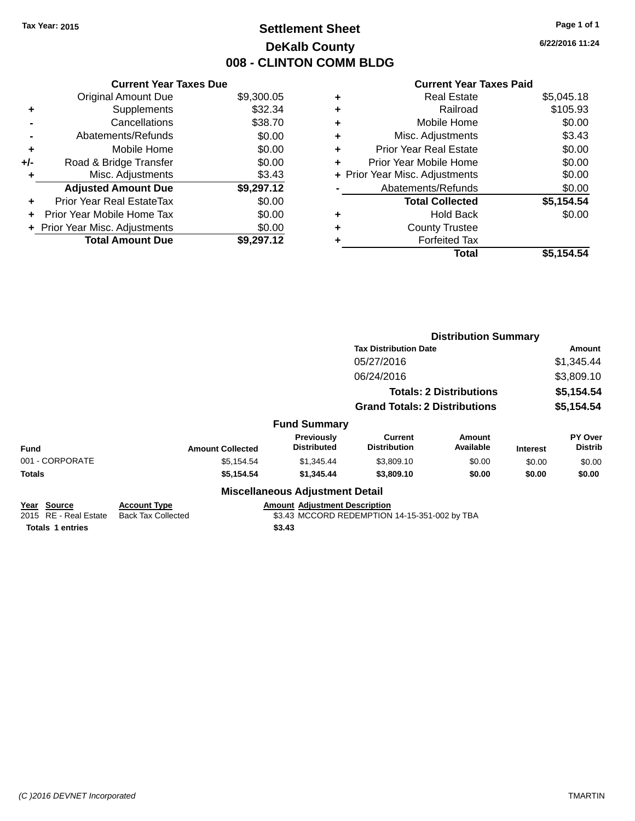### **Settlement Sheet Tax Year: 2015 Page 1 of 1 DeKalb County 008 - CLINTON COMM BLDG**

**6/22/2016 11:24**

|     | <b>Current Year Taxes Due</b>            |            |  |  |  |  |  |
|-----|------------------------------------------|------------|--|--|--|--|--|
|     | <b>Original Amount Due</b><br>\$9,300.05 |            |  |  |  |  |  |
| ٠   | Supplements                              | \$32.34    |  |  |  |  |  |
|     | Cancellations                            | \$38.70    |  |  |  |  |  |
|     | Abatements/Refunds                       | \$0.00     |  |  |  |  |  |
| ٠   | \$0.00<br>Mobile Home                    |            |  |  |  |  |  |
| +/- | \$0.00<br>Road & Bridge Transfer         |            |  |  |  |  |  |
| ٠   | \$3.43<br>Misc. Adjustments              |            |  |  |  |  |  |
|     | <b>Adjusted Amount Due</b>               | \$9,297.12 |  |  |  |  |  |
| ÷   | Prior Year Real EstateTax                | \$0.00     |  |  |  |  |  |
| ÷   | Prior Year Mobile Home Tax               | \$0.00     |  |  |  |  |  |
|     | + Prior Year Misc. Adjustments           | \$0.00     |  |  |  |  |  |
|     | <b>Total Amount Due</b>                  | \$9,297.12 |  |  |  |  |  |

| ٠ | <b>Real Estate</b>             | \$5,045.18 |
|---|--------------------------------|------------|
| ٠ | Railroad                       | \$105.93   |
| ٠ | Mobile Home                    | \$0.00     |
| ٠ | Misc. Adjustments              | \$3.43     |
| ٠ | <b>Prior Year Real Estate</b>  | \$0.00     |
| ٠ | Prior Year Mobile Home         | \$0.00     |
|   | + Prior Year Misc. Adjustments | \$0.00     |
|   | Abatements/Refunds             | \$0.00     |
|   | <b>Total Collected</b>         | \$5,154.54 |
| ٠ | <b>Hold Back</b>               | \$0.00     |
| ٠ | <b>County Trustee</b>          |            |
| ٠ | <b>Forfeited Tax</b>           |            |
|   | Total                          | \$5,154.54 |
|   |                                |            |

|                                                                 |                                                  |                                                |                                               | <b>Distribution Summary</b>    |                 |                                  |  |
|-----------------------------------------------------------------|--------------------------------------------------|------------------------------------------------|-----------------------------------------------|--------------------------------|-----------------|----------------------------------|--|
|                                                                 |                                                  |                                                | <b>Tax Distribution Date</b>                  |                                |                 | Amount                           |  |
|                                                                 |                                                  |                                                | 05/27/2016                                    |                                |                 | \$1,345.44                       |  |
|                                                                 |                                                  |                                                | 06/24/2016                                    |                                |                 | \$3,809.10                       |  |
|                                                                 |                                                  |                                                |                                               | <b>Totals: 2 Distributions</b> | \$5,154.54      |                                  |  |
|                                                                 |                                                  |                                                | <b>Grand Totals: 2 Distributions</b>          |                                |                 | \$5,154.54                       |  |
|                                                                 |                                                  | <b>Fund Summary</b>                            |                                               |                                |                 |                                  |  |
| <b>Fund</b>                                                     | <b>Amount Collected</b>                          | <b>Previously</b><br><b>Distributed</b>        | <b>Current</b><br><b>Distribution</b>         | <b>Amount</b><br>Available     | <b>Interest</b> | <b>PY Over</b><br><b>Distrib</b> |  |
| 001 - CORPORATE                                                 | \$5,154.54                                       | \$1,345.44                                     | \$3,809.10                                    | \$0.00                         | \$0.00          | \$0.00                           |  |
| Totals                                                          | \$5,154.54                                       | \$1,345.44                                     | \$3,809.10                                    | \$0.00                         | \$0.00          | \$0.00                           |  |
|                                                                 |                                                  | <b>Miscellaneous Adjustment Detail</b>         |                                               |                                |                 |                                  |  |
| Year Source<br>2015 RE - Real Estate<br><b>Totals 1 entries</b> | <b>Account Type</b><br><b>Back Tax Collected</b> | <b>Amount Adjustment Description</b><br>\$3.43 | \$3.43 MCCORD REDEMPTION 14-15-351-002 by TBA |                                |                 |                                  |  |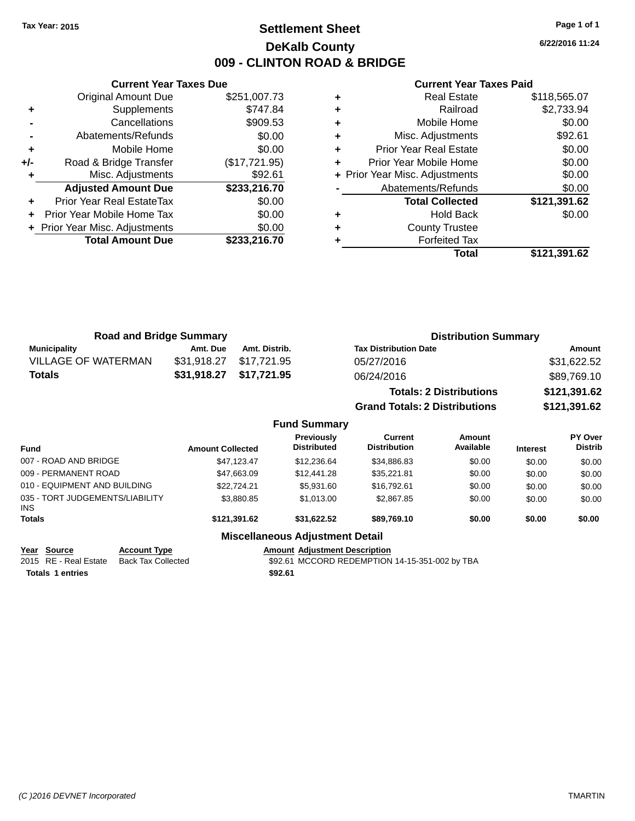### **Settlement Sheet Tax Year: 2015 Page 1 of 1 DeKalb County 009 - CLINTON ROAD & BRIDGE**

**6/22/2016 11:24**

#### **Current Year Taxes Paid**

|     | <b>Current Year Taxes Due</b>  |               |  |  |  |  |
|-----|--------------------------------|---------------|--|--|--|--|
|     | <b>Original Amount Due</b>     | \$251,007.73  |  |  |  |  |
| ٠   | Supplements                    | \$747.84      |  |  |  |  |
|     | Cancellations                  | \$909.53      |  |  |  |  |
|     | Abatements/Refunds             | \$0.00        |  |  |  |  |
| ٠   | Mobile Home                    | \$0.00        |  |  |  |  |
| +/- | Road & Bridge Transfer         | (\$17,721.95) |  |  |  |  |
|     | Misc. Adjustments              | \$92.61       |  |  |  |  |
|     | <b>Adjusted Amount Due</b>     | \$233,216.70  |  |  |  |  |
| ٠   | Prior Year Real EstateTax      | \$0.00        |  |  |  |  |
|     | Prior Year Mobile Home Tax     | \$0.00        |  |  |  |  |
|     | + Prior Year Misc. Adjustments | \$0.00        |  |  |  |  |
|     | <b>Total Amount Due</b>        | \$233.216.70  |  |  |  |  |
|     |                                |               |  |  |  |  |

| <b>Real Estate</b>             | \$118,565.07 |
|--------------------------------|--------------|
| Railroad                       | \$2,733.94   |
| Mobile Home                    | \$0.00       |
| Misc. Adjustments              | \$92.61      |
| <b>Prior Year Real Estate</b>  | \$0.00       |
| Prior Year Mobile Home         | \$0.00       |
| + Prior Year Misc. Adjustments | \$0.00       |
| Abatements/Refunds             | \$0.00       |
| <b>Total Collected</b>         | \$121,391.62 |
| <b>Hold Back</b>               | \$0.00       |
| <b>County Trustee</b>          |              |
| <b>Forfeited Tax</b>           |              |
| Total                          | \$121,391.62 |
|                                |              |

| <b>Road and Bridge Summary</b> |               | <b>Distribution Summary</b>          |                     |  |
|--------------------------------|---------------|--------------------------------------|---------------------|--|
| Amt. Due                       | Amt. Distrib. | <b>Tax Distribution Date</b>         | Amount              |  |
| \$31,918.27                    | \$17,721.95   | 05/27/2016                           | \$31,622.52         |  |
| \$31,918.27                    | \$17,721.95   | 06/24/2016                           | \$89,769.10         |  |
|                                |               | <b>Totals: 2 Distributions</b>       | \$121,391.62        |  |
|                                |               | <b>Grand Totals: 2 Distributions</b> | \$121,391.62        |  |
|                                |               |                                      |                     |  |
|                                |               |                                      | <b>Fund Summary</b> |  |

| Fund                                   | <b>Amount Collected</b> | Previously<br><b>Distributed</b> | Current<br><b>Distribution</b> | Amount<br>Available | <b>Interest</b> | PY Over<br><b>Distrib</b> |
|----------------------------------------|-------------------------|----------------------------------|--------------------------------|---------------------|-----------------|---------------------------|
| 007 - ROAD AND BRIDGE                  | \$47.123.47             | \$12,236.64                      | \$34,886.83                    | \$0.00              | \$0.00          | \$0.00                    |
| 009 - PERMANENT ROAD                   | \$47,663.09             | \$12,441.28                      | \$35.221.81                    | \$0.00              | \$0.00          | \$0.00                    |
| 010 - EQUIPMENT AND BUILDING           | \$22,724.21             | \$5.931.60                       | \$16,792.61                    | \$0.00              | \$0.00          | \$0.00                    |
| 035 - TORT JUDGEMENTS/LIABILITY<br>INS | \$3,880.85              | \$1.013.00                       | \$2,867.85                     | \$0.00              | \$0.00          | \$0.00                    |
| <b>Totals</b>                          | \$121,391.62            | \$31.622.52                      | \$89.769.10                    | \$0.00              | \$0.00          | \$0.00                    |
|                                        |                         |                                  |                                |                     |                 |                           |

### **Miscellaneous Adjustment Detail**

**Year Source Account Type Amount Adjustment Description**

2015 RE - Real Estate Back Tax Collected **\$92.61 MCCORD REDEMPTION 14-15-351-002 by TBA Totals \$92.61 1 entries**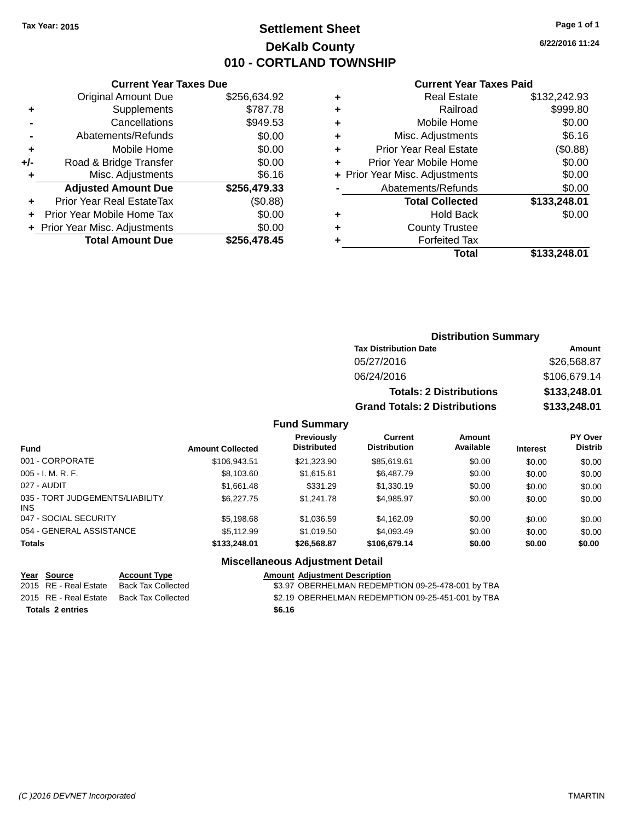### **Settlement Sheet Tax Year: 2015 Page 1 of 1 DeKalb County 010 - CORTLAND TOWNSHIP**

**6/22/2016 11:24**

#### **Current Year Taxes Paid**

| <b>Current Year Taxes Due</b>              |                                                   |  |  |  |  |  |
|--------------------------------------------|---------------------------------------------------|--|--|--|--|--|
| <b>Original Amount Due</b><br>\$256,634.92 |                                                   |  |  |  |  |  |
| \$787.78<br>Supplements<br>٠               |                                                   |  |  |  |  |  |
| Cancellations                              | \$949.53                                          |  |  |  |  |  |
| Abatements/Refunds                         | \$0.00                                            |  |  |  |  |  |
| Mobile Home                                | \$0.00                                            |  |  |  |  |  |
| \$0.00<br>$+/-$                            |                                                   |  |  |  |  |  |
| \$6.16<br>Misc. Adjustments                |                                                   |  |  |  |  |  |
| <b>Adjusted Amount Due</b>                 | \$256,479.33                                      |  |  |  |  |  |
| Prior Year Real EstateTax                  | (\$0.88)                                          |  |  |  |  |  |
| Prior Year Mobile Home Tax                 | \$0.00                                            |  |  |  |  |  |
| \$0.00<br>Prior Year Misc. Adjustments     |                                                   |  |  |  |  |  |
|                                            | \$256.478.45                                      |  |  |  |  |  |
|                                            | Road & Bridge Transfer<br><b>Total Amount Due</b> |  |  |  |  |  |

| ٠ | <b>Real Estate</b>             | \$132,242.93 |
|---|--------------------------------|--------------|
| ٠ | Railroad                       | \$999.80     |
| ٠ | Mobile Home                    | \$0.00       |
| ٠ | Misc. Adjustments              | \$6.16       |
| ٠ | <b>Prior Year Real Estate</b>  | (\$0.88)     |
| ٠ | Prior Year Mobile Home         | \$0.00       |
|   | + Prior Year Misc. Adjustments | \$0.00       |
|   | Abatements/Refunds             | \$0.00       |
|   | <b>Total Collected</b>         | \$133,248.01 |
| ٠ | <b>Hold Back</b>               | \$0.00       |
| ٠ | <b>County Trustee</b>          |              |
| ٠ | <b>Forfeited Tax</b>           |              |
|   | Total                          | \$133,248.01 |
|   |                                |              |

| <b>Distribution Summary</b>          |              |  |  |  |
|--------------------------------------|--------------|--|--|--|
| <b>Tax Distribution Date</b>         | Amount       |  |  |  |
| 05/27/2016                           | \$26,568.87  |  |  |  |
| 06/24/2016                           | \$106,679.14 |  |  |  |
| <b>Totals: 2 Distributions</b>       | \$133,248.01 |  |  |  |
| <b>Grand Totals: 2 Distributions</b> | \$133,248.01 |  |  |  |

### **Fund Summary**

| <b>Fund</b>                             | <b>Amount Collected</b> | <b>Previously</b><br><b>Distributed</b> | Current<br><b>Distribution</b> | Amount<br>Available | <b>Interest</b> | <b>PY Over</b><br><b>Distrib</b> |
|-----------------------------------------|-------------------------|-----------------------------------------|--------------------------------|---------------------|-----------------|----------------------------------|
| 001 - CORPORATE                         | \$106,943.51            | \$21,323.90                             | \$85,619.61                    | \$0.00              | \$0.00          | \$0.00                           |
| $005 - I. M. R. F.$                     | \$8,103.60              | \$1,615.81                              | \$6,487.79                     | \$0.00              | \$0.00          | \$0.00                           |
| 027 - AUDIT                             | \$1.661.48              | \$331.29                                | \$1,330.19                     | \$0.00              | \$0.00          | \$0.00                           |
| 035 - TORT JUDGEMENTS/LIABILITY<br>INS. | \$6,227.75              | \$1,241.78                              | \$4.985.97                     | \$0.00              | \$0.00          | \$0.00                           |
| 047 - SOCIAL SECURITY                   | \$5.198.68              | \$1,036.59                              | \$4.162.09                     | \$0.00              | \$0.00          | \$0.00                           |
| 054 - GENERAL ASSISTANCE                | \$5,112.99              | \$1,019.50                              | \$4,093.49                     | \$0.00              | \$0.00          | \$0.00                           |
| <b>Totals</b>                           | \$133,248.01            | \$26,568.87                             | \$106,679.14                   | \$0.00              | \$0.00          | \$0.00                           |

### **Miscellaneous Adjustment Detail**

| Year Source           | <b>Account Type</b> | <b>Amount Adiustment Description</b>              |
|-----------------------|---------------------|---------------------------------------------------|
| 2015 RE - Real Estate | Back Tax Collected  | \$3.97 OBERHELMAN REDEMPTION 09-25-478-001 by TBA |
| 2015 RE - Real Estate | Back Tax Collected  | \$2.19 OBERHELMAN REDEMPTION 09-25-451-001 by TBA |
| Totals 2 entries      |                     | \$6.16                                            |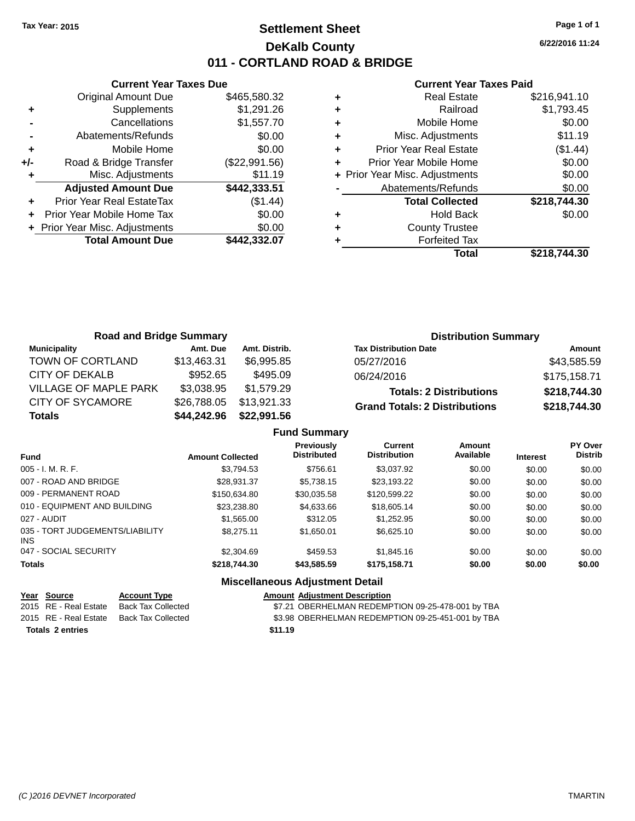### **Settlement Sheet Tax Year: 2015 Page 1 of 1 DeKalb County 011 - CORTLAND ROAD & BRIDGE**

**Current Year Taxes Due** Original Amount Due \$465,580.32 **+** Supplements \$1,291.26 **-** Cancellations \$1,557.70 **-** Abatements/Refunds \$0.00 **+** Mobile Home \$0.00 **+/-** Road & Bridge Transfer (\$22,991.56) **+** Misc. Adjustments \$11.19 **Adjusted Amount Due \$442,333.51 +** Prior Year Real EstateTax (\$1.44) **+** Prior Year Mobile Home Tax \$0.00 **+ Prior Year Misc. Adjustments**  $$0.00$ **Total Amount Due \$442,332.07**

#### **Current Year Taxes Paid**

|   | <b>Real Estate</b>             | \$216,941.10 |
|---|--------------------------------|--------------|
| ٠ | Railroad                       | \$1,793.45   |
| ٠ | Mobile Home                    | \$0.00       |
| ٠ | Misc. Adjustments              | \$11.19      |
| ٠ | <b>Prior Year Real Estate</b>  | (\$1.44)     |
|   | Prior Year Mobile Home         | \$0.00       |
|   | + Prior Year Misc. Adjustments | \$0.00       |
|   | Abatements/Refunds             | \$0.00       |
|   | <b>Total Collected</b>         | \$218,744.30 |
| ٠ | <b>Hold Back</b>               | \$0.00       |
|   | <b>County Trustee</b>          |              |
|   | <b>Forfeited Tax</b>           |              |
|   | Total                          | \$218,744.30 |
|   |                                |              |

| <b>Road and Bridge Summary</b> |             |               | <b>Distribution Summary</b>          |              |  |  |
|--------------------------------|-------------|---------------|--------------------------------------|--------------|--|--|
| Municipality                   | Amt. Due    | Amt. Distrib. | <b>Tax Distribution Date</b>         | Amount       |  |  |
| TOWN OF CORTLAND               | \$13,463.31 | \$6.995.85    | 05/27/2016                           | \$43,585.59  |  |  |
| CITY OF DEKALB                 | \$952.65    | \$495.09      | 06/24/2016                           | \$175,158.71 |  |  |
| <b>VILLAGE OF MAPLE PARK</b>   | \$3,038.95  | \$1.579.29    | <b>Totals: 2 Distributions</b>       | \$218,744.30 |  |  |
| CITY OF SYCAMORE               | \$26,788.05 | \$13,921.33   | <b>Grand Totals: 2 Distributions</b> | \$218,744.30 |  |  |
| <b>Totals</b>                  | \$44,242.96 | \$22,991.56   |                                      |              |  |  |

|                                         |                         | <b>Fund Summary</b>                     |                                |                     |                 |                           |
|-----------------------------------------|-------------------------|-----------------------------------------|--------------------------------|---------------------|-----------------|---------------------------|
| <b>Fund</b>                             | <b>Amount Collected</b> | <b>Previously</b><br><b>Distributed</b> | Current<br><b>Distribution</b> | Amount<br>Available | <b>Interest</b> | PY Over<br><b>Distrib</b> |
| 005 - I. M. R. F.                       | \$3,794.53              | \$756.61                                | \$3,037.92                     | \$0.00              | \$0.00          | \$0.00                    |
| 007 - ROAD AND BRIDGE                   | \$28.931.37             | \$5.738.15                              | \$23.193.22                    | \$0.00              | \$0.00          | \$0.00                    |
| 009 - PERMANENT ROAD                    | \$150,634.80            | \$30.035.58                             | \$120,599.22                   | \$0.00              | \$0.00          | \$0.00                    |
| 010 - EQUIPMENT AND BUILDING            | \$23,238,80             | \$4,633,66                              | \$18,605.14                    | \$0.00              | \$0.00          | \$0.00                    |
| 027 - AUDIT                             | \$1,565.00              | \$312.05                                | \$1,252.95                     | \$0.00              | \$0.00          | \$0.00                    |
| 035 - TORT JUDGEMENTS/LIABILITY<br>INS. | \$8.275.11              | \$1.650.01                              | \$6.625.10                     | \$0.00              | \$0.00          | \$0.00                    |
| 047 - SOCIAL SECURITY                   | \$2,304.69              | \$459.53                                | \$1,845.16                     | \$0.00              | \$0.00          | \$0.00                    |
| <b>Totals</b>                           | \$218,744.30            | \$43,585.59                             | \$175,158.71                   | \$0.00              | \$0.00          | \$0.00                    |
|                                         |                         | Miccallangous Adiustmant Datail         |                                |                     |                 |                           |

#### **Miscellaneous Adjustment Detail**

| Year Source             | <b>Account Type</b> |         | <b>Amount Adiustment Description</b>              |
|-------------------------|---------------------|---------|---------------------------------------------------|
| 2015 RE - Real Estate   | Back Tax Collected  |         | \$7.21 OBERHELMAN REDEMPTION 09-25-478-001 by TBA |
| 2015 RE - Real Estate   | Back Tax Collected  |         | \$3.98 OBERHELMAN REDEMPTION 09-25-451-001 by TBA |
| <b>Totals 2 entries</b> |                     | \$11.19 |                                                   |

**6/22/2016 11:24**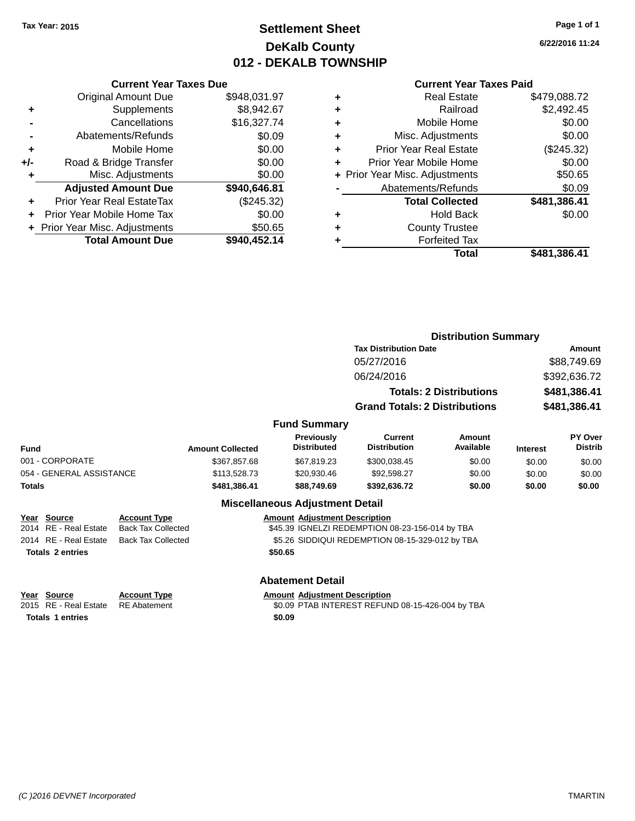### **Settlement Sheet Tax Year: 2015 Page 1 of 1 DeKalb County 012 - DEKALB TOWNSHIP**

**6/22/2016 11:24**

#### **Current Year Taxes Paid**

|     | <b>Original Amount Due</b>     | \$948,031.97 |
|-----|--------------------------------|--------------|
| ٠   | Supplements                    | \$8,942.67   |
|     | Cancellations                  | \$16,327.74  |
|     | Abatements/Refunds             | \$0.09       |
| ٠   | Mobile Home                    | \$0.00       |
| +/- | Road & Bridge Transfer         | \$0.00       |
| ٠   | Misc. Adjustments              | \$0.00       |
|     | <b>Adjusted Amount Due</b>     | \$940,646.81 |
|     | Prior Year Real EstateTax      | (\$245.32)   |
|     | Prior Year Mobile Home Tax     | \$0.00       |
|     | + Prior Year Misc. Adjustments | \$50.65      |
|     | <b>Total Amount Due</b>        | \$940,452.14 |
|     |                                |              |

**Current Year Taxes Due**

| <b>Real Estate</b>            | \$479.088.72                   |
|-------------------------------|--------------------------------|
| Railroad                      | \$2,492.45                     |
| Mobile Home                   | \$0.00                         |
| Misc. Adjustments             | \$0.00                         |
| <b>Prior Year Real Estate</b> | (\$245.32)                     |
| Prior Year Mobile Home        | \$0.00                         |
|                               | \$50.65                        |
| Abatements/Refunds            | \$0.09                         |
| <b>Total Collected</b>        | \$481,386.41                   |
| <b>Hold Back</b>              | \$0.00                         |
| <b>County Trustee</b>         |                                |
| <b>Forfeited Tax</b>          |                                |
| Total                         | \$481,386.41                   |
|                               | + Prior Year Misc. Adjustments |

|                                                                                                                                                                                               |  |                         |                                        | <b>Distribution Summary</b>          |                            |                 |                                  |  |
|-----------------------------------------------------------------------------------------------------------------------------------------------------------------------------------------------|--|-------------------------|----------------------------------------|--------------------------------------|----------------------------|-----------------|----------------------------------|--|
|                                                                                                                                                                                               |  |                         |                                        | <b>Tax Distribution Date</b>         |                            | Amount          |                                  |  |
|                                                                                                                                                                                               |  |                         |                                        | 05/27/2016                           |                            | \$88,749.69     |                                  |  |
|                                                                                                                                                                                               |  |                         |                                        | 06/24/2016                           |                            | \$392,636.72    |                                  |  |
|                                                                                                                                                                                               |  |                         |                                        | <b>Totals: 2 Distributions</b>       |                            |                 | \$481,386.41                     |  |
|                                                                                                                                                                                               |  |                         |                                        | <b>Grand Totals: 2 Distributions</b> |                            |                 | \$481,386.41                     |  |
|                                                                                                                                                                                               |  |                         | <b>Fund Summary</b>                    |                                      |                            |                 |                                  |  |
| <b>Fund</b>                                                                                                                                                                                   |  | <b>Amount Collected</b> | Previously<br><b>Distributed</b>       | Current<br><b>Distribution</b>       | <b>Amount</b><br>Available | <b>Interest</b> | <b>PY Over</b><br><b>Distrib</b> |  |
| 001 - CORPORATE                                                                                                                                                                               |  | \$367,857.68            | \$67.819.23                            | \$300,038.45                         | \$0.00                     | \$0.00          | \$0.00                           |  |
| 054 - GENERAL ASSISTANCE                                                                                                                                                                      |  | \$113,528.73            | \$20,930.46                            | \$92,598.27                          | \$0.00                     | \$0.00          | \$0.00                           |  |
| <b>Totals</b>                                                                                                                                                                                 |  | \$481,386.41            | \$88,749.69                            | \$392,636.72                         | \$0.00                     | \$0.00          | \$0.00                           |  |
|                                                                                                                                                                                               |  |                         | <b>Miscellaneous Adjustment Detail</b> |                                      |                            |                 |                                  |  |
| <b>Amount Adjustment Description</b><br><b>Source</b><br>Year<br><b>Account Type</b><br>2014 RE - Real Estate<br><b>Back Tax Collected</b><br>\$45.39 IGNELZI REDEMPTION 08-23-156-014 by TBA |  |                         |                                        |                                      |                            |                 |                                  |  |

2014 RE - Real Estate Back Tax Collected \$5.26 SIDDIQUI REDEMPTION 08-15-329-012 by TBA **Totals \$50.65 2 entries**

**Totals 1 entries** \$0.09

**Abatement Detail**

**Year** Source **Account Type Account Adjustment Description** 

2015 RE - Real Estate RE Abatement \$0.09 PTAB INTEREST REFUND 08-15-426-004 by TBA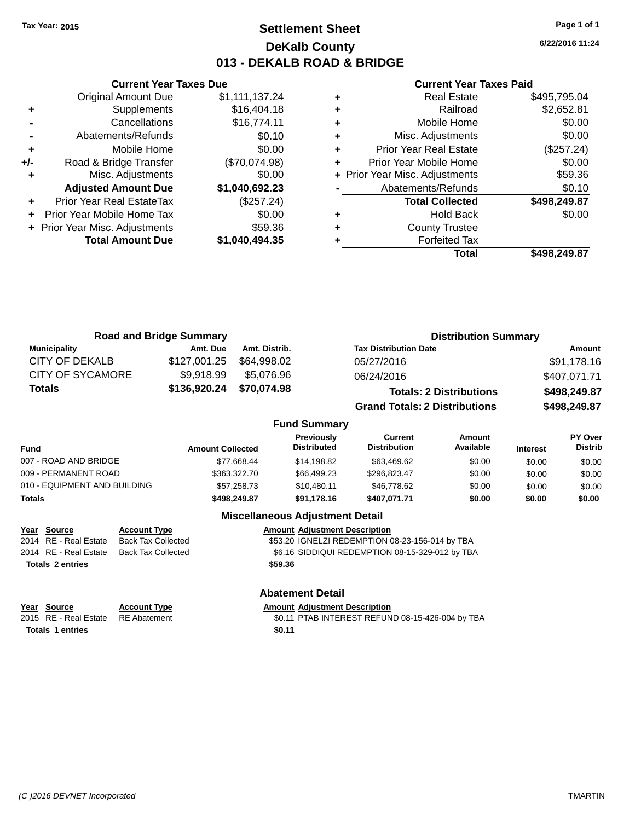### **Settlement Sheet Tax Year: 2015 Page 1 of 1 DeKalb County 013 - DEKALB ROAD & BRIDGE**

**6/22/2016 11:24**

#### **Current Year Taxes Paid**

|     | <b>Current Year Taxes Due</b>  |                |  |  |  |  |  |
|-----|--------------------------------|----------------|--|--|--|--|--|
|     | <b>Original Amount Due</b>     | \$1,111,137.24 |  |  |  |  |  |
| ٠   | Supplements                    | \$16,404.18    |  |  |  |  |  |
|     | Cancellations                  | \$16,774.11    |  |  |  |  |  |
|     | Abatements/Refunds             | \$0.10         |  |  |  |  |  |
| ٠   | Mobile Home                    | \$0.00         |  |  |  |  |  |
| +/- | Road & Bridge Transfer         | (\$70,074.98)  |  |  |  |  |  |
| ٠   | Misc. Adjustments              | \$0.00         |  |  |  |  |  |
|     | <b>Adjusted Amount Due</b>     | \$1,040,692.23 |  |  |  |  |  |
| ٠   | Prior Year Real EstateTax      | (\$257.24)     |  |  |  |  |  |
|     | Prior Year Mobile Home Tax     | \$0.00         |  |  |  |  |  |
|     | + Prior Year Misc. Adjustments | \$59.36        |  |  |  |  |  |
|     | <b>Total Amount Due</b>        | \$1,040,494.35 |  |  |  |  |  |
|     |                                |                |  |  |  |  |  |

|   | <b>Real Estate</b>             | \$495,795.04 |
|---|--------------------------------|--------------|
| ÷ | Railroad                       | \$2,652.81   |
| ÷ | Mobile Home                    | \$0.00       |
| ٠ | Misc. Adjustments              | \$0.00       |
| ٠ | <b>Prior Year Real Estate</b>  | (\$257.24)   |
|   | Prior Year Mobile Home         | \$0.00       |
|   | + Prior Year Misc. Adjustments | \$59.36      |
|   | Abatements/Refunds             | \$0.10       |
|   | <b>Total Collected</b>         | \$498,249.87 |
| ٠ | <b>Hold Back</b>               | \$0.00       |
| ٠ | <b>County Trustee</b>          |              |
|   | <b>Forfeited Tax</b>           |              |
|   | Total                          | \$498,249.87 |
|   |                                |              |

|                         | <b>Road and Bridge Summary</b> |               | <b>Distribution Summary</b>          |              |  |  |
|-------------------------|--------------------------------|---------------|--------------------------------------|--------------|--|--|
| <b>Municipality</b>     | Amt. Due                       | Amt. Distrib. | <b>Tax Distribution Date</b>         | Amount       |  |  |
| <b>CITY OF DEKALB</b>   | \$127,001.25                   | \$64,998.02   | 05/27/2016                           | \$91,178.16  |  |  |
| <b>CITY OF SYCAMORE</b> | \$9,918.99                     | \$5,076.96    | 06/24/2016                           | \$407,071.71 |  |  |
| <b>Totals</b>           | \$136,920.24                   | \$70,074.98   | <b>Totals: 2 Distributions</b>       | \$498,249.87 |  |  |
|                         |                                |               | <b>Grand Totals: 2 Distributions</b> | \$498,249.87 |  |  |

#### **Fund Summary**

| <b>Fund</b>                  | <b>Amount Collected</b> | <b>Previously</b><br><b>Distributed</b> | Current<br><b>Distribution</b> | Amount<br>Available | <b>Interest</b> | <b>PY Over</b><br><b>Distrib</b> |
|------------------------------|-------------------------|-----------------------------------------|--------------------------------|---------------------|-----------------|----------------------------------|
| 007 - ROAD AND BRIDGE        | \$77.668.44             | \$14.198.82                             | \$63,469.62                    | \$0.00              | \$0.00          | \$0.00                           |
| 009 - PERMANENT ROAD         | \$363,322,70            | \$66,499,23                             | \$296.823.47                   | \$0.00              | \$0.00          | \$0.00                           |
| 010 - EQUIPMENT AND BUILDING | \$57,258.73             | \$10.480.11                             | \$46,778,62                    | \$0.00              | \$0.00          | \$0.00                           |
| <b>Totals</b>                | \$498,249.87            | \$91.178.16                             | \$407.071.71                   | \$0.00              | \$0.00          | \$0.00                           |

### **Miscellaneous Adjustment Detail**

| <u>Year Source</u>      | <b>Account Type</b>       |         | <b>Amount Adjustment Description</b>            |
|-------------------------|---------------------------|---------|-------------------------------------------------|
| 2014 RE - Real Estate   | <b>Back Tax Collected</b> |         | \$53.20 IGNELZI REDEMPTION 08-23-156-014 by TBA |
| 2014 RE - Real Estate   | Back Tax Collected        |         | \$6.16 SIDDIQUI REDEMPTION 08-15-329-012 by TBA |
| <b>Totals 2 entries</b> |                           | \$59.36 |                                                 |

### **Abatement Detail**

| Year Source                        | <b>Account Type</b> | <b>Amount Adiustment Description</b>             |
|------------------------------------|---------------------|--------------------------------------------------|
| 2015 RE - Real Estate RE Abatement |                     | \$0.11 PTAB INTEREST REFUND 08-15-426-004 by TBA |
| <b>Totals 1 entries</b>            |                     | \$0.11                                           |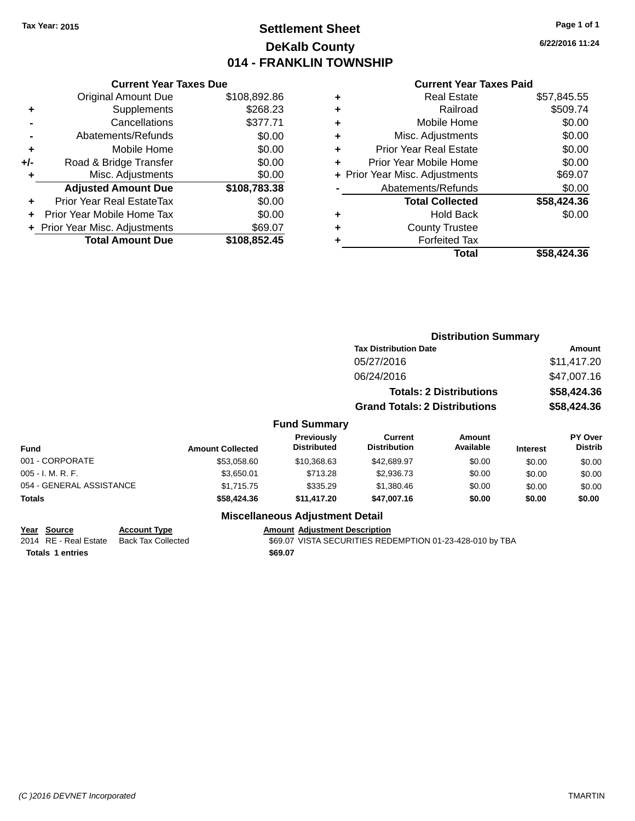### **Settlement Sheet Tax Year: 2015 Page 1 of 1 DeKalb County 014 - FRANKLIN TOWNSHIP**

**6/22/2016 11:24**

#### **Current Year Taxes Paid**

|     | <b>Current Year Taxes Due</b>  |              |
|-----|--------------------------------|--------------|
|     | <b>Original Amount Due</b>     | \$108,892.86 |
| ٠   | Supplements                    | \$268.23     |
|     | Cancellations                  | \$377.71     |
|     | Abatements/Refunds             | \$0.00       |
| ٠   | Mobile Home                    | \$0.00       |
| +/- | Road & Bridge Transfer         | \$0.00       |
| ٠   | Misc. Adjustments              | \$0.00       |
|     | <b>Adjusted Amount Due</b>     | \$108,783.38 |
| ٠   | Prior Year Real EstateTax      | \$0.00       |
|     | Prior Year Mobile Home Tax     | \$0.00       |
|     | + Prior Year Misc. Adjustments | \$69.07      |
|     | <b>Total Amount Due</b>        | \$108,852.45 |
|     |                                |              |

|   | <b>Real Estate</b>             | \$57,845.55 |
|---|--------------------------------|-------------|
| ٠ | Railroad                       | \$509.74    |
| ٠ | Mobile Home                    | \$0.00      |
| ٠ | Misc. Adjustments              | \$0.00      |
| ٠ | <b>Prior Year Real Estate</b>  | \$0.00      |
| ٠ | Prior Year Mobile Home         | \$0.00      |
|   | + Prior Year Misc. Adjustments | \$69.07     |
|   | Abatements/Refunds             | \$0.00      |
|   | <b>Total Collected</b>         | \$58,424.36 |
| ٠ | <b>Hold Back</b>               | \$0.00      |
| ٠ | <b>County Trustee</b>          |             |
| ٠ | <b>Forfeited Tax</b>           |             |
|   | Total                          | \$58,424.36 |
|   |                                |             |

|                          | <b>Distribution Summary</b> |                                  |                                       |                                |                 |                                  |
|--------------------------|-----------------------------|----------------------------------|---------------------------------------|--------------------------------|-----------------|----------------------------------|
|                          |                             |                                  | <b>Tax Distribution Date</b>          |                                |                 | Amount                           |
|                          |                             |                                  | 05/27/2016                            |                                |                 | \$11,417.20                      |
|                          |                             |                                  | 06/24/2016                            |                                |                 | \$47,007.16                      |
|                          |                             |                                  |                                       | <b>Totals: 2 Distributions</b> |                 | \$58,424.36                      |
|                          |                             |                                  | <b>Grand Totals: 2 Distributions</b>  |                                |                 | \$58,424.36                      |
|                          |                             | <b>Fund Summary</b>              |                                       |                                |                 |                                  |
| <b>Fund</b>              | <b>Amount Collected</b>     | Previously<br><b>Distributed</b> | <b>Current</b><br><b>Distribution</b> | Amount<br>Available            | <b>Interest</b> | <b>PY Over</b><br><b>Distrib</b> |
| 001 - CORPORATE          | \$53,058.60                 | \$10,368.63                      | \$42,689.97                           | \$0.00                         | \$0.00          | \$0.00                           |
| $005 - I. M. R. F.$      | \$3,650.01                  | \$713.28                         | \$2,936.73                            | \$0.00                         | \$0.00          | \$0.00                           |
| 054 - GENERAL ASSISTANCE | \$1,715.75                  | \$335.29                         | \$1,380.46                            | \$0.00                         | \$0.00          | \$0.00                           |

### **Miscellaneous Adjustment Detail**

**Totals \$58,424.36 \$11,417.20 \$47,007.16 \$0.00 \$0.00 \$0.00**

# **Year Source Account Type Amount Adjustment Description**

**Totals \$69.07 1 entries**

\$69.07 VISTA SECURITIES REDEMPTION 01-23-428-010 by TBA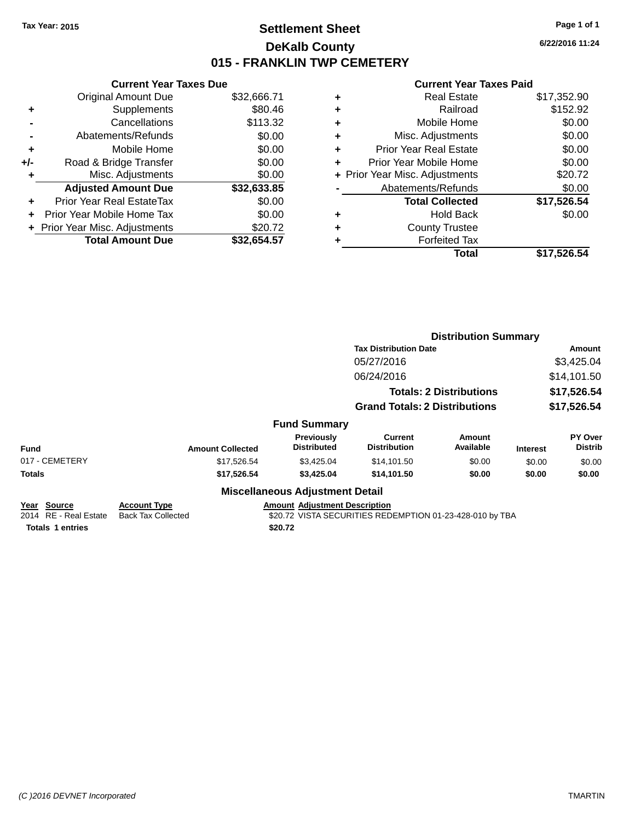### **Settlement Sheet Tax Year: 2015 Page 1 of 1 DeKalb County 015 - FRANKLIN TWP CEMETERY**

**6/22/2016 11:24**

| <b>Current Year Taxes Due</b> |             |
|-------------------------------|-------------|
| <b>Original Amount Due</b>    | \$32,666.71 |
| Supplements                   | \$80.46     |
| Cancellations                 | \$113.32    |
| Abatements/Refunds            | \$0.00      |
| Mobile Home                   | \$0.00      |
| Road & Bridge Transfer        | \$0.00      |
| Misc. Adjustments             | \$0.00      |
| <b>Adjusted Amount Due</b>    | \$32,633.85 |
| Prior Year Real EstateTax     | \$0.00      |
| Prior Year Mobile Home Tax    | \$0.00      |
| Prior Year Misc. Adjustments  | \$20.72     |
| <b>Total Amount Due</b>       | \$32.654.57 |
|                               |             |

| ٠ | <b>Real Estate</b>             | \$17,352.90 |
|---|--------------------------------|-------------|
| ٠ | Railroad                       | \$152.92    |
| ٠ | Mobile Home                    | \$0.00      |
| ٠ | Misc. Adjustments              | \$0.00      |
| ٠ | <b>Prior Year Real Estate</b>  | \$0.00      |
| ÷ | Prior Year Mobile Home         | \$0.00      |
|   | + Prior Year Misc. Adjustments | \$20.72     |
|   | Abatements/Refunds             | \$0.00      |
|   | <b>Total Collected</b>         | \$17,526.54 |
| ٠ | Hold Back                      | \$0.00      |
| ٠ | <b>County Trustee</b>          |             |
| ٠ | <b>Forfeited Tax</b>           |             |
|   | Total                          | \$17,526.54 |
|   |                                |             |

|                                                                    |                                                  |                                                 |                                                          | <b>Distribution Summary</b>    |                 |                           |
|--------------------------------------------------------------------|--------------------------------------------------|-------------------------------------------------|----------------------------------------------------------|--------------------------------|-----------------|---------------------------|
|                                                                    |                                                  |                                                 | <b>Tax Distribution Date</b>                             |                                |                 | Amount                    |
|                                                                    |                                                  |                                                 | 05/27/2016                                               |                                |                 | \$3,425.04                |
|                                                                    |                                                  |                                                 | 06/24/2016                                               |                                |                 | \$14,101.50               |
|                                                                    |                                                  |                                                 |                                                          | <b>Totals: 2 Distributions</b> |                 | \$17,526.54               |
|                                                                    |                                                  |                                                 | <b>Grand Totals: 2 Distributions</b>                     |                                |                 | \$17,526.54               |
|                                                                    |                                                  | <b>Fund Summary</b>                             |                                                          |                                |                 |                           |
| <b>Fund</b>                                                        | <b>Amount Collected</b>                          | Previously<br><b>Distributed</b>                | <b>Current</b><br><b>Distribution</b>                    | Amount<br>Available            | <b>Interest</b> | PY Over<br><b>Distrib</b> |
| 017 - CEMETERY                                                     | \$17,526.54                                      | \$3,425.04                                      | \$14,101.50                                              | \$0.00                         | \$0.00          | \$0.00                    |
| Totals                                                             | \$17,526.54                                      | \$3,425.04                                      | \$14,101.50                                              | \$0.00                         | \$0.00          | \$0.00                    |
|                                                                    |                                                  | <b>Miscellaneous Adjustment Detail</b>          |                                                          |                                |                 |                           |
| Year<br>Source<br>2014 RE - Real Estate<br><b>Totals 1 entries</b> | <b>Account Type</b><br><b>Back Tax Collected</b> | <b>Amount Adjustment Description</b><br>\$20.72 | \$20.72 VISTA SECURITIES REDEMPTION 01-23-428-010 by TBA |                                |                 |                           |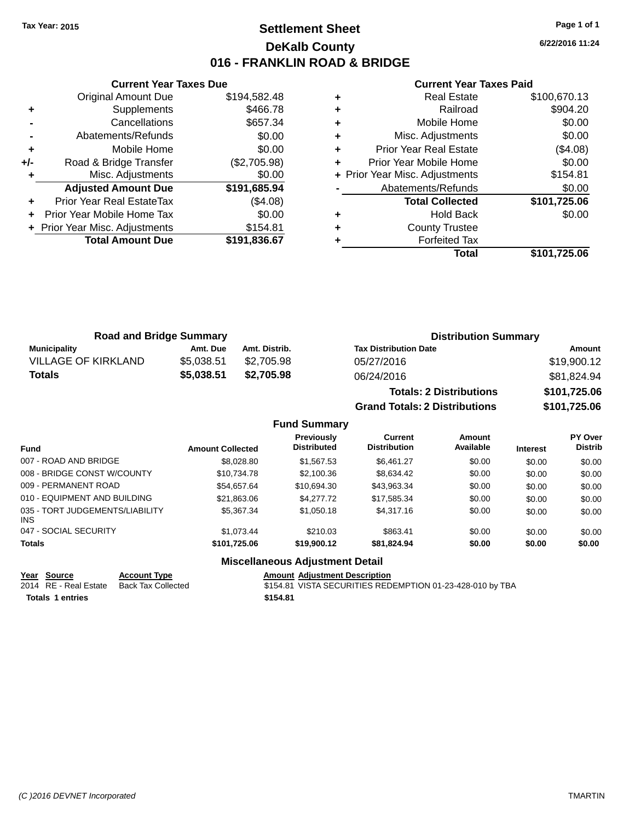### **Settlement Sheet Tax Year: 2015 Page 1 of 1 DeKalb County 016 - FRANKLIN ROAD & BRIDGE**

**6/22/2016 11:24**

#### **Current Year Taxes Paid**

|     | <b>Original Amount Due</b>     | \$194,582.48 |
|-----|--------------------------------|--------------|
| ٠   | Supplements                    | \$466.78     |
|     | Cancellations                  | \$657.34     |
|     | Abatements/Refunds             | \$0.00       |
| ٠   | Mobile Home                    | \$0.00       |
| +/- | Road & Bridge Transfer         | (\$2,705.98) |
|     | Misc. Adjustments              | \$0.00       |
|     |                                |              |
|     | <b>Adjusted Amount Due</b>     | \$191,685.94 |
| ÷   | Prior Year Real EstateTax      | (\$4.08)     |
|     | Prior Year Mobile Home Tax     | \$0.00       |
|     | + Prior Year Misc. Adjustments | \$154.81     |
|     | <b>Total Amount Due</b>        | \$191,836.67 |

**Current Year Taxes Due**

|   | <b>Real Estate</b>             | \$100,670.13 |
|---|--------------------------------|--------------|
| ٠ | Railroad                       | \$904.20     |
| ٠ | Mobile Home                    | \$0.00       |
| ٠ | Misc. Adjustments              | \$0.00       |
| ٠ | Prior Year Real Estate         | (\$4.08)     |
| ٠ | Prior Year Mobile Home         | \$0.00       |
|   | + Prior Year Misc. Adjustments | \$154.81     |
|   | Abatements/Refunds             | \$0.00       |
|   | <b>Total Collected</b>         | \$101,725.06 |
| ٠ | <b>Hold Back</b>               | \$0.00       |
| ٠ | <b>County Trustee</b>          |              |
|   | <b>Forfeited Tax</b>           |              |
|   | Total                          | \$101,725.06 |

|                            | <b>Road and Bridge Summary</b> |               | <b>Distribution Summary</b>    |              |  |
|----------------------------|--------------------------------|---------------|--------------------------------|--------------|--|
| Municipality               | Amt. Due                       | Amt. Distrib. | <b>Tax Distribution Date</b>   | Amount       |  |
| <b>VILLAGE OF KIRKLAND</b> | \$5.038.51                     | \$2.705.98    | 05/27/2016                     | \$19,900.12  |  |
| <b>Totals</b>              | \$5.038.51                     | \$2,705.98    | 06/24/2016                     | \$81,824.94  |  |
|                            |                                |               | <b>Totals: 2 Distributions</b> | \$101,725.06 |  |

**Grand Totals: 2 Distributions \$101,725.06**

| rand Totals: 2 Distrق |  |  |
|-----------------------|--|--|
|                       |  |  |

| <b>Fund Summary</b>                     |                         |                                         |                                |                     |                 |                                  |
|-----------------------------------------|-------------------------|-----------------------------------------|--------------------------------|---------------------|-----------------|----------------------------------|
| <b>Fund</b>                             | <b>Amount Collected</b> | <b>Previously</b><br><b>Distributed</b> | Current<br><b>Distribution</b> | Amount<br>Available | <b>Interest</b> | <b>PY Over</b><br><b>Distrib</b> |
| 007 - ROAD AND BRIDGE                   | \$8,028.80              | \$1,567.53                              | \$6.461.27                     | \$0.00              | \$0.00          | \$0.00                           |
| 008 - BRIDGE CONST W/COUNTY             | \$10,734.78             | \$2,100.36                              | \$8,634.42                     | \$0.00              | \$0.00          | \$0.00                           |
| 009 - PERMANENT ROAD                    | \$54.657.64             | \$10.694.30                             | \$43,963.34                    | \$0.00              | \$0.00          | \$0.00                           |
| 010 - EQUIPMENT AND BUILDING            | \$21,863.06             | \$4,277.72                              | \$17,585.34                    | \$0.00              | \$0.00          | \$0.00                           |
| 035 - TORT JUDGEMENTS/LIABILITY<br>INS. | \$5,367,34              | \$1,050.18                              | \$4,317.16                     | \$0.00              | \$0.00          | \$0.00                           |
| 047 - SOCIAL SECURITY                   | \$1.073.44              | \$210.03                                | \$863.41                       | \$0.00              | \$0.00          | \$0.00                           |

### **Totals \$101,725.06 \$19,900.12 \$81,824.94 \$0.00 \$0.00 \$0.00**

**Miscellaneous Adjustment Detail**

**Totals \$154.81 1 entries**

Year Source **Account Type Account Adjustment Description** 2014 RE - Real Estate Back Tax Collected \$154.81 VISTA SECURITIES REDEMPTION 01-23-428-010 by TBA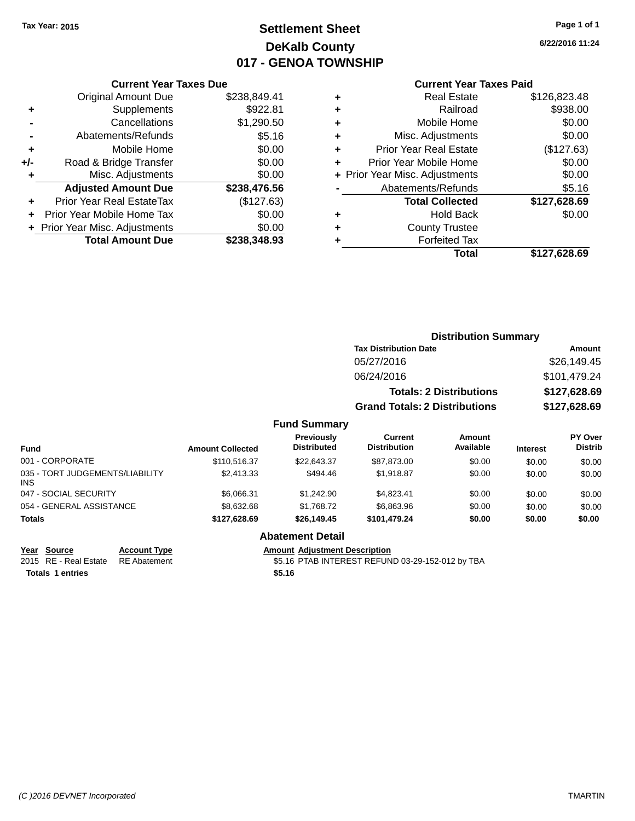### **Settlement Sheet Tax Year: 2015 Page 1 of 1 DeKalb County 017 - GENOA TOWNSHIP**

**6/22/2016 11:24**

#### **Current Year Taxes Paid**

|     | <b>Current Year Taxes Due</b>  |              |
|-----|--------------------------------|--------------|
|     | <b>Original Amount Due</b>     | \$238,849.41 |
| ٠   | Supplements                    | \$922.81     |
|     | Cancellations                  | \$1,290.50   |
|     | Abatements/Refunds             | \$5.16       |
| ٠   | Mobile Home                    | \$0.00       |
| +/- | Road & Bridge Transfer         | \$0.00       |
| ٠   | Misc. Adjustments              | \$0.00       |
|     | <b>Adjusted Amount Due</b>     | \$238,476.56 |
| ÷   | Prior Year Real EstateTax      | (\$127.63)   |
|     | Prior Year Mobile Home Tax     | \$0.00       |
|     | + Prior Year Misc. Adjustments | \$0.00       |
|     | <b>Total Amount Due</b>        | \$238.348.93 |

| ٠ | <b>Real Estate</b>             | \$126,823.48 |
|---|--------------------------------|--------------|
| ٠ | Railroad                       | \$938.00     |
| ٠ | Mobile Home                    | \$0.00       |
| ٠ | Misc. Adjustments              | \$0.00       |
| ٠ | <b>Prior Year Real Estate</b>  | (\$127.63)   |
| ÷ | Prior Year Mobile Home         | \$0.00       |
|   | + Prior Year Misc. Adjustments | \$0.00       |
|   | Abatements/Refunds             | \$5.16       |
|   | <b>Total Collected</b>         | \$127,628.69 |
| ٠ | <b>Hold Back</b>               | \$0.00       |
| ٠ | <b>County Trustee</b>          |              |
| ٠ | <b>Forfeited Tax</b>           |              |
|   | Total                          | \$127.628.69 |
|   |                                |              |

| <b>Distribution Summary</b>          |               |
|--------------------------------------|---------------|
| <b>Tax Distribution Date</b>         | <b>Amount</b> |
| 05/27/2016                           | \$26,149.45   |
| 06/24/2016                           | \$101,479.24  |
| <b>Totals: 2 Distributions</b>       | \$127,628.69  |
| <b>Grand Totals: 2 Distributions</b> | \$127,628.69  |
| <b>Fund Summary</b>                  |               |

| <b>Fund</b>                                   | <b>Amount Collected</b> | Previously<br><b>Distributed</b> | Current<br><b>Distribution</b> | Amount<br>Available | <b>Interest</b> | PY Over<br><b>Distrib</b> |
|-----------------------------------------------|-------------------------|----------------------------------|--------------------------------|---------------------|-----------------|---------------------------|
| 001 - CORPORATE                               | \$110,516.37            | \$22,643,37                      | \$87.873.00                    | \$0.00              | \$0.00          | \$0.00                    |
| 035 - TORT JUDGEMENTS/LIABILITY<br><b>INS</b> | \$2,413.33              | \$494.46                         | \$1.918.87                     | \$0.00              | \$0.00          | \$0.00                    |
| 047 - SOCIAL SECURITY                         | \$6,066.31              | \$1,242.90                       | \$4.823.41                     | \$0.00              | \$0.00          | \$0.00                    |
| 054 - GENERAL ASSISTANCE                      | \$8,632.68              | \$1,768.72                       | \$6,863.96                     | \$0.00              | \$0.00          | \$0.00                    |
| <b>Totals</b>                                 | \$127.628.69            | \$26,149.45                      | \$101.479.24                   | \$0.00              | \$0.00          | \$0.00                    |

#### **Abatement Detail**

**Year Source Account Type Amount Adjustment Description**

2015 RE - Real Estate \$5.16 PTAB INTEREST REFUND 03-29-152-012 by TBA RE Abatement

**Totals \$5.16 1 entries**

*(C )2016 DEVNET Incorporated* TMARTIN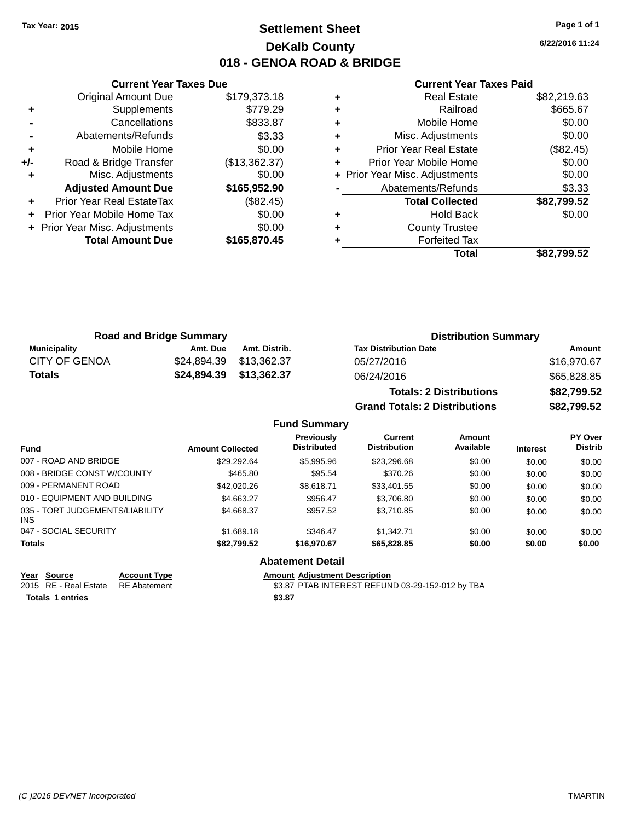### **Settlement Sheet Tax Year: 2015 Page 1 of 1 DeKalb County 018 - GENOA ROAD & BRIDGE**

**6/22/2016 11:24**

|       | <b>Current Year Taxes Due</b>  |               |
|-------|--------------------------------|---------------|
|       | <b>Original Amount Due</b>     | \$179,373.18  |
| ٠     | Supplements                    | \$779.29      |
|       | Cancellations                  | \$833.87      |
|       | Abatements/Refunds             | \$3.33        |
| ٠     | Mobile Home                    | \$0.00        |
| $+/-$ | Road & Bridge Transfer         | (\$13,362.37) |
|       | Misc. Adjustments              | \$0.00        |
|       | <b>Adjusted Amount Due</b>     | \$165,952.90  |
| ÷     | Prior Year Real EstateTax      | (\$82.45)     |
|       | Prior Year Mobile Home Tax     | \$0.00        |
|       | + Prior Year Misc. Adjustments | \$0.00        |
|       | <b>Total Amount Due</b>        | \$165,870,45  |
|       |                                |               |

#### **Current Year Taxes Paid**

|   | <b>Real Estate</b>             | \$82,219.63 |
|---|--------------------------------|-------------|
| ٠ | Railroad                       | \$665.67    |
| ٠ | Mobile Home                    | \$0.00      |
| ٠ | Misc. Adjustments              | \$0.00      |
| ٠ | <b>Prior Year Real Estate</b>  | (\$82.45)   |
|   | Prior Year Mobile Home         | \$0.00      |
|   | + Prior Year Misc. Adjustments | \$0.00      |
|   | Abatements/Refunds             | \$3.33      |
|   | <b>Total Collected</b>         | \$82,799.52 |
| ٠ | <b>Hold Back</b>               | \$0.00      |
|   | <b>County Trustee</b>          |             |
|   | <b>Forfeited Tax</b>           |             |
|   | Total                          | \$82,799.52 |
|   |                                |             |

**Grand Totals: 2 Distributions \$82,799.52**

| <b>Road and Bridge Summary</b> |                         |                         | <b>Distribution Summary</b>    |             |  |
|--------------------------------|-------------------------|-------------------------|--------------------------------|-------------|--|
| Municipality                   | Amt. Due                | Amt. Distrib.           | <b>Tax Distribution Date</b>   | Amount      |  |
| <b>CITY OF GENOA</b>           |                         | \$24,894.39 \$13,362.37 | 05/27/2016                     | \$16.970.67 |  |
| <b>Totals</b>                  | \$24,894.39 \$13,362.37 |                         | 06/24/2016                     | \$65,828.85 |  |
|                                |                         |                         | <b>Totals: 2 Distributions</b> | \$82,799.52 |  |

**Fund Summary Fund Interest Amount Collected Distributed PY Over Distrib Amount Available Current Distribution Previously** 007 - ROAD AND BRIDGE 60.00 \$29,292.64 \$5,995.96 \$23,296.68 \$0.00 \$0.00 \$0.00 \$0.00 008 - BRIDGE CONST W/COUNTY  $\begin{array}{ccc} 1.008 & - & 0.00 \\ 0.00 & - & 0.00 \\ 0.00 & 0.00 \end{array}$ 009 - PERMANENT ROAD \$12,020.26 \$8,618.71 \$33,401.55 \$0.00 \$0.00 \$0.00 \$0.00 010 - EQUIPMENT AND BUILDING \$4,663.27 \$956.47 \$3,706.80 \$0.00 \$0.00 \$0.00 \$0.00 035 - TORT JUDGEMENTS/LIABILITY INS \$4,668.37 \$957.52 \$3,710.85 \$0.00 \$0.00 \$0.00 047 - SOCIAL SECURITY \$1,689.18 \$346.47 \$1,342.71 \$0.00 \$0.00 \$0.00 \$0.00 **Totals \$82,799.52 \$16,970.67 \$65,828.85 \$0.00 \$0.00 \$0.00 Abatement Detail**

| Year Source                        | <b>Account Type</b> | Amount |
|------------------------------------|---------------------|--------|
| 2015 RE - Real Estate RE Abatement |                     | \$3.87 |
| <b>Totals 1 entries</b>            |                     | \$3.87 |

**PERETTE ACCOUNTED ACCOUNT ADDETENT ADDETENT ADDETENT ACCOUNT ACCOUNT ACCOUNT ACCOUNT ACCOUNT ACCOUNT ACCOUNT ACCOUNT** 2015 RE - Real Estate \$3.87 PTAB INTEREST REFUND 03-29-152-012 by TBA RE Abatement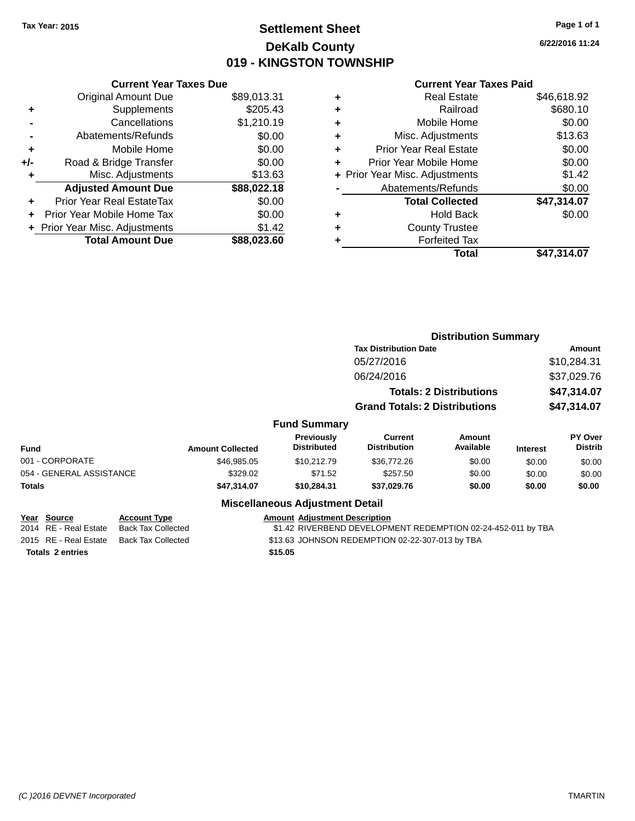### **Settlement Sheet Tax Year: 2015 Page 1 of 1 DeKalb County 019 - KINGSTON TOWNSHIP**

**6/22/2016 11:24**

### **Current Year Taxes Paid**

|     | <b>Current Year Taxes Due</b>  |             |  |  |  |
|-----|--------------------------------|-------------|--|--|--|
|     | <b>Original Amount Due</b>     | \$89,013.31 |  |  |  |
| ٠   | Supplements                    | \$205.43    |  |  |  |
|     | Cancellations                  | \$1,210.19  |  |  |  |
|     | Abatements/Refunds             | \$0.00      |  |  |  |
| ٠   | Mobile Home                    | \$0.00      |  |  |  |
| +/- | Road & Bridge Transfer         | \$0.00      |  |  |  |
|     | Misc. Adjustments              | \$13.63     |  |  |  |
|     | <b>Adjusted Amount Due</b>     | \$88,022.18 |  |  |  |
| ÷   | Prior Year Real EstateTax      | \$0.00      |  |  |  |
|     | Prior Year Mobile Home Tax     | \$0.00      |  |  |  |
|     | + Prior Year Misc. Adjustments | \$1.42      |  |  |  |
|     | <b>Total Amount Due</b>        | \$88.023.60 |  |  |  |
|     |                                |             |  |  |  |

| ٠ | <b>Real Estate</b>             | \$46,618.92 |
|---|--------------------------------|-------------|
| ٠ | Railroad                       | \$680.10    |
| ٠ | Mobile Home                    | \$0.00      |
| ٠ | Misc. Adjustments              | \$13.63     |
| ٠ | <b>Prior Year Real Estate</b>  | \$0.00      |
| ٠ | Prior Year Mobile Home         | \$0.00      |
|   | + Prior Year Misc. Adjustments | \$1.42      |
|   | Abatements/Refunds             | \$0.00      |
|   | <b>Total Collected</b>         | \$47,314.07 |
| ٠ | Hold Back                      | \$0.00      |
| ٠ | <b>County Trustee</b>          |             |
| ٠ | <b>Forfeited Tax</b>           |             |
|   | Total                          | \$47,314.07 |
|   |                                |             |

|                                         |                                                  |                         | <b>Distribution Summary</b>             |                                                              |                                |                 |                                  |
|-----------------------------------------|--------------------------------------------------|-------------------------|-----------------------------------------|--------------------------------------------------------------|--------------------------------|-----------------|----------------------------------|
|                                         |                                                  |                         |                                         | <b>Tax Distribution Date</b>                                 |                                |                 | Amount                           |
|                                         |                                                  |                         |                                         | 05/27/2016                                                   |                                |                 | \$10,284.31                      |
|                                         |                                                  |                         |                                         | 06/24/2016                                                   |                                |                 | \$37,029.76                      |
|                                         |                                                  |                         |                                         |                                                              | <b>Totals: 2 Distributions</b> | \$47,314.07     |                                  |
|                                         |                                                  |                         |                                         | <b>Grand Totals: 2 Distributions</b>                         |                                |                 | \$47,314.07                      |
|                                         |                                                  |                         | <b>Fund Summary</b>                     |                                                              |                                |                 |                                  |
| Fund                                    |                                                  | <b>Amount Collected</b> | <b>Previously</b><br><b>Distributed</b> | Current<br><b>Distribution</b>                               | <b>Amount</b><br>Available     | <b>Interest</b> | <b>PY Over</b><br><b>Distrib</b> |
| 001 - CORPORATE                         |                                                  | \$46,985,05             | \$10.212.79                             | \$36,772.26                                                  | \$0.00                         | \$0.00          | \$0.00                           |
| 054 - GENERAL ASSISTANCE                |                                                  | \$329.02                | \$71.52                                 | \$257.50                                                     | \$0.00                         | \$0.00          | \$0.00                           |
| Totals                                  |                                                  | \$47,314.07             | \$10,284.31                             | \$37,029.76                                                  | \$0.00                         | \$0.00          | \$0.00                           |
|                                         |                                                  |                         | <b>Miscellaneous Adjustment Detail</b>  |                                                              |                                |                 |                                  |
| Year<br>Source<br>2014 RE - Real Estate | <b>Account Type</b><br><b>Back Tax Collected</b> |                         | <b>Amount Adjustment Description</b>    | \$1.42 RIVERBEND DEVELOPMENT REDEMPTION 02-24-452-011 by TBA |                                |                 |                                  |
| ---- --                                 |                                                  |                         |                                         |                                                              |                                |                 |                                  |

**Totals \$15.05 2 entries**

2015 RE - Real Estate Back Tax Collected **\$13.63 JOHNSON REDEMPTION 02-22-307-013 by TBA**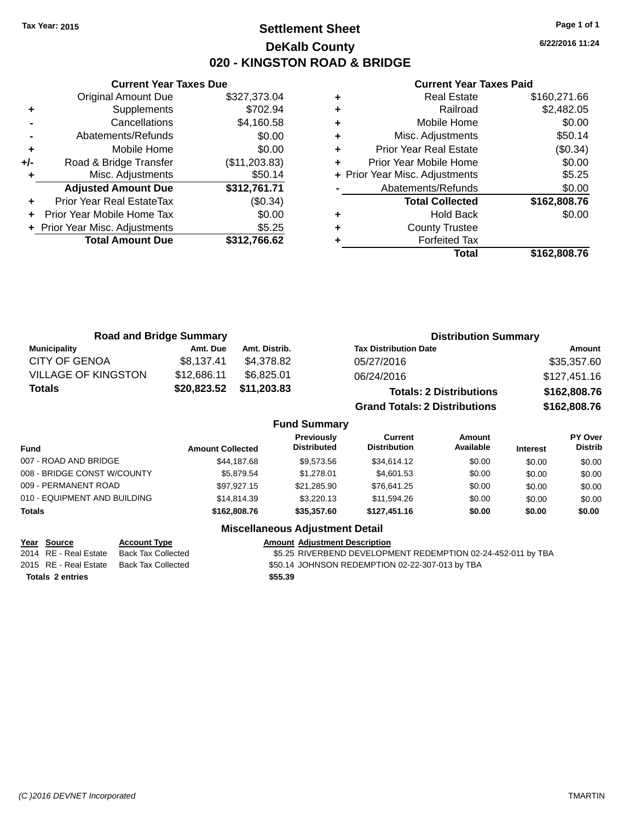### **Settlement Sheet Tax Year: 2015 Page 1 of 1 DeKalb County 020 - KINGSTON ROAD & BRIDGE**

**6/22/2016 11:24**

#### **Current Year Taxes Paid**

|     | <b>Total Amount Due</b>        | \$312,766.62  |
|-----|--------------------------------|---------------|
|     | + Prior Year Misc. Adjustments | \$5.25        |
| ÷   | Prior Year Mobile Home Tax     | \$0.00        |
| ÷   | Prior Year Real EstateTax      | (\$0.34)      |
|     | <b>Adjusted Amount Due</b>     | \$312,761.71  |
|     | Misc. Adjustments              | \$50.14       |
| +/- | Road & Bridge Transfer         | (\$11,203.83) |
| ÷   | Mobile Home                    | \$0.00        |
|     | Abatements/Refunds             | \$0.00        |
|     | Cancellations                  | \$4,160.58    |
| ٠   | Supplements                    | \$702.94      |
|     | <b>Original Amount Due</b>     | \$327,373.04  |
|     |                                |               |

**Current Year Taxes Due**

|   | <b>Real Estate</b>             | \$160,271.66 |
|---|--------------------------------|--------------|
| ٠ | Railroad                       | \$2,482.05   |
| ٠ | Mobile Home                    | \$0.00       |
| ٠ | Misc. Adjustments              | \$50.14      |
| ٠ | Prior Year Real Estate         | (\$0.34)     |
|   | Prior Year Mobile Home         | \$0.00       |
|   | + Prior Year Misc. Adjustments | \$5.25       |
|   | Abatements/Refunds             | \$0.00       |
|   | <b>Total Collected</b>         | \$162,808.76 |
| ٠ | Hold Back                      | \$0.00       |
| ٠ | <b>County Trustee</b>          |              |
|   | <b>Forfeited Tax</b>           |              |
|   | Total                          | \$162,808.76 |

| <b>Road and Bridge Summary</b> |             |               | <b>Distribution Summary</b>          |              |  |
|--------------------------------|-------------|---------------|--------------------------------------|--------------|--|
| <b>Municipality</b>            | Amt. Due    | Amt. Distrib. | <b>Tax Distribution Date</b>         | Amount       |  |
| <b>CITY OF GENOA</b>           | \$8,137.41  | \$4,378.82    | 05/27/2016                           | \$35,357.60  |  |
| <b>VILLAGE OF KINGSTON</b>     | \$12,686.11 | \$6.825.01    | 06/24/2016                           | \$127,451.16 |  |
| <b>Totals</b>                  | \$20,823.52 | \$11,203.83   | <b>Totals: 2 Distributions</b>       | \$162,808.76 |  |
|                                |             |               | <b>Grand Totals: 2 Distributions</b> | \$162,808.76 |  |

#### **Fund Summary**

| <b>Fund</b>                  | <b>Amount Collected</b> | <b>Previously</b><br><b>Distributed</b> | Current<br><b>Distribution</b> | Amount<br>Available | <b>Interest</b> | <b>PY Over</b><br><b>Distrib</b> |
|------------------------------|-------------------------|-----------------------------------------|--------------------------------|---------------------|-----------------|----------------------------------|
| 007 - ROAD AND BRIDGE        | \$44.187.68             | \$9,573,56                              | \$34,614.12                    | \$0.00              | \$0.00          | \$0.00                           |
| 008 - BRIDGE CONST W/COUNTY  | \$5.879.54              | \$1.278.01                              | \$4,601.53                     | \$0.00              | \$0.00          | \$0.00                           |
| 009 - PERMANENT ROAD         | \$97.927.15             | \$21.285.90                             | \$76.641.25                    | \$0.00              | \$0.00          | \$0.00                           |
| 010 - EQUIPMENT AND BUILDING | \$14.814.39             | \$3,220.13                              | \$11.594.26                    | \$0.00              | \$0.00          | \$0.00                           |
| <b>Totals</b>                | \$162,808,76            | \$35,357.60                             | \$127,451,16                   | \$0.00              | \$0.00          | \$0.00                           |

#### **Miscellaneous Adjustment Detail**

**Totals \$55.39 2 entries**

**Year Source Account Type Amount Adjustment Description** \$5.25 RIVERBEND DEVELOPMENT REDEMPTION 02-24-452-011 by TBA 2015 RE - Real Estate Back Tax Collected \$50.14 JOHNSON REDEMPTION 02-22-307-013 by TBA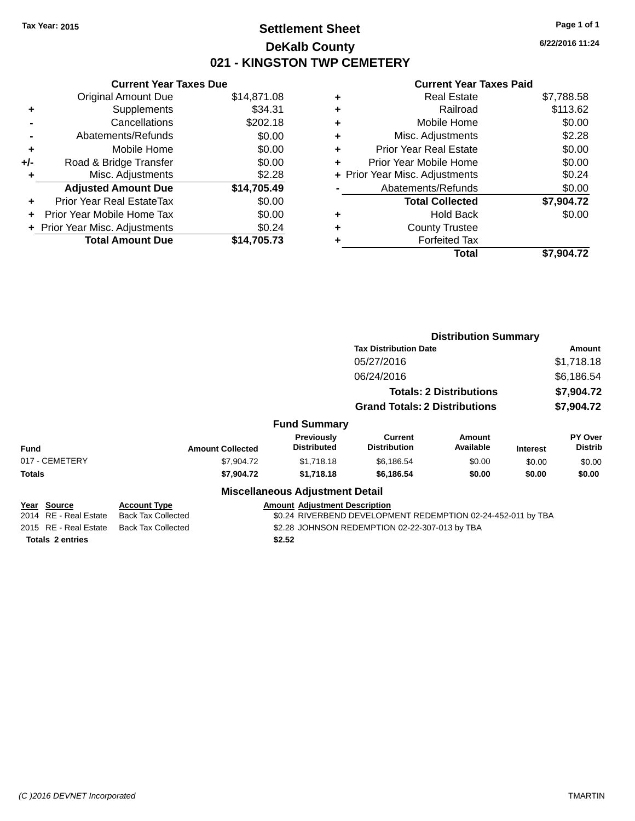### **Settlement Sheet Tax Year: 2015 Page 1 of 1 DeKalb County 021 - KINGSTON TWP CEMETERY**

**6/22/2016 11:24**

| <b>Current Year Taxes Due</b>  |             |  |  |  |
|--------------------------------|-------------|--|--|--|
| <b>Original Amount Due</b>     | \$14,871.08 |  |  |  |
| Supplements                    | \$34.31     |  |  |  |
| Cancellations                  | \$202.18    |  |  |  |
| Abatements/Refunds             | \$0.00      |  |  |  |
| Mobile Home                    | \$0.00      |  |  |  |
| Road & Bridge Transfer         | \$0.00      |  |  |  |
| Misc. Adjustments              | \$2.28      |  |  |  |
| <b>Adjusted Amount Due</b>     | \$14,705.49 |  |  |  |
| Prior Year Real EstateTax      | \$0.00      |  |  |  |
| Prior Year Mobile Home Tax     | \$0.00      |  |  |  |
| + Prior Year Misc. Adjustments | \$0.24      |  |  |  |
| <b>Total Amount Due</b>        | \$14.705.73 |  |  |  |
|                                |             |  |  |  |

|   | <b>Real Estate</b>             | \$7,788.58 |
|---|--------------------------------|------------|
| ٠ | Railroad                       | \$113.62   |
| ٠ | Mobile Home                    | \$0.00     |
| ٠ | Misc. Adjustments              | \$2.28     |
| ٠ | <b>Prior Year Real Estate</b>  | \$0.00     |
| ٠ | Prior Year Mobile Home         | \$0.00     |
|   | + Prior Year Misc. Adjustments | \$0.24     |
|   | Abatements/Refunds             | \$0.00     |
|   | <b>Total Collected</b>         | \$7,904.72 |
| ٠ | <b>Hold Back</b>               | \$0.00     |
| ٠ | <b>County Trustee</b>          |            |
| ٠ | <b>Forfeited Tax</b>           |            |
|   | Total                          | \$7,904.72 |
|   |                                |            |

|                                                                                                      |                           |                                                              |            |                                       | <b>Distribution Summary</b>    |                 |                           |
|------------------------------------------------------------------------------------------------------|---------------------------|--------------------------------------------------------------|------------|---------------------------------------|--------------------------------|-----------------|---------------------------|
|                                                                                                      |                           |                                                              |            | <b>Tax Distribution Date</b>          |                                |                 | <b>Amount</b>             |
|                                                                                                      |                           |                                                              |            | 05/27/2016                            |                                |                 | \$1,718.18                |
|                                                                                                      |                           |                                                              |            | 06/24/2016                            |                                |                 | \$6,186.54                |
|                                                                                                      |                           |                                                              |            |                                       | <b>Totals: 2 Distributions</b> |                 | \$7,904.72                |
|                                                                                                      |                           |                                                              |            | <b>Grand Totals: 2 Distributions</b>  |                                |                 | \$7,904.72                |
|                                                                                                      |                           | <b>Fund Summary</b>                                          |            |                                       |                                |                 |                           |
| <b>Fund</b>                                                                                          | <b>Amount Collected</b>   | <b>Distributed</b>                                           | Previously | <b>Current</b><br><b>Distribution</b> | Amount<br>Available            | <b>Interest</b> | PY Over<br><b>Distrib</b> |
| 017 - CEMETERY                                                                                       | \$7,904.72                |                                                              | \$1,718.18 | \$6,186.54                            | \$0.00                         | \$0.00          | \$0.00                    |
| <b>Totals</b>                                                                                        | \$7,904.72                |                                                              | \$1,718.18 | \$6,186.54                            | \$0.00                         | \$0.00          | \$0.00                    |
|                                                                                                      |                           | <b>Miscellaneous Adjustment Detail</b>                       |            |                                       |                                |                 |                           |
| Year Source                                                                                          | <b>Account Type</b>       | <b>Amount Adjustment Description</b>                         |            |                                       |                                |                 |                           |
| 2014 RE - Real Estate                                                                                | <b>Back Tax Collected</b> | \$0.24 RIVERBEND DEVELOPMENT REDEMPTION 02-24-452-011 by TBA |            |                                       |                                |                 |                           |
| 2015 RE - Real Estate<br>\$2.28 JOHNSON REDEMPTION 02-22-307-013 by TBA<br><b>Back Tax Collected</b> |                           |                                                              |            |                                       |                                |                 |                           |
| <b>Totals 2 entries</b>                                                                              |                           | \$2.52                                                       |            |                                       |                                |                 |                           |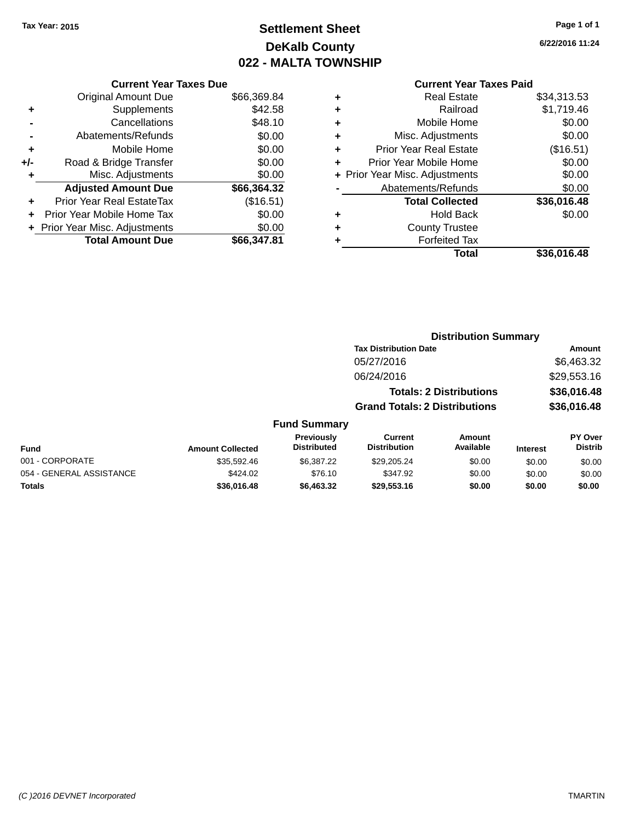### **Settlement Sheet Tax Year: 2015 Page 1 of 1 DeKalb County 022 - MALTA TOWNSHIP**

**6/22/2016 11:24**

|       | <b>Current Year Taxes Due</b>  |             |  |  |  |
|-------|--------------------------------|-------------|--|--|--|
|       | <b>Original Amount Due</b>     | \$66,369.84 |  |  |  |
| ٠     | Supplements                    | \$42.58     |  |  |  |
|       | Cancellations                  | \$48.10     |  |  |  |
|       | Abatements/Refunds             | \$0.00      |  |  |  |
| ٠     | Mobile Home                    | \$0.00      |  |  |  |
| $+/-$ | Road & Bridge Transfer         | \$0.00      |  |  |  |
|       | Misc. Adjustments              | \$0.00      |  |  |  |
|       | <b>Adjusted Amount Due</b>     | \$66,364.32 |  |  |  |
| ٠     | Prior Year Real EstateTax      | (\$16.51)   |  |  |  |
|       | Prior Year Mobile Home Tax     | \$0.00      |  |  |  |
|       | + Prior Year Misc. Adjustments | \$0.00      |  |  |  |
|       | <b>Total Amount Due</b>        | \$66,347.81 |  |  |  |
|       |                                |             |  |  |  |

| ٠ | <b>Real Estate</b>             | \$34,313.53 |
|---|--------------------------------|-------------|
| ٠ | Railroad                       | \$1,719.46  |
| ٠ | Mobile Home                    | \$0.00      |
| ٠ | Misc. Adjustments              | \$0.00      |
| ٠ | <b>Prior Year Real Estate</b>  | (\$16.51)   |
| ÷ | Prior Year Mobile Home         | \$0.00      |
|   | + Prior Year Misc. Adjustments | \$0.00      |
|   | Abatements/Refunds             | \$0.00      |
|   | <b>Total Collected</b>         | \$36,016.48 |
| ٠ | Hold Back                      | \$0.00      |
| ٠ | <b>County Trustee</b>          |             |
|   | <b>Forfeited Tax</b>           |             |
|   | Total                          | \$36,016.48 |
|   |                                |             |

|                          |                         |                                  |                                       | <b>Distribution Summary</b>    |                 |                                  |
|--------------------------|-------------------------|----------------------------------|---------------------------------------|--------------------------------|-----------------|----------------------------------|
|                          |                         |                                  | <b>Tax Distribution Date</b>          |                                |                 | Amount                           |
|                          |                         |                                  | 05/27/2016                            |                                |                 | \$6,463.32                       |
|                          |                         |                                  | 06/24/2016                            |                                |                 | \$29,553.16                      |
|                          |                         |                                  |                                       | <b>Totals: 2 Distributions</b> |                 | \$36,016.48                      |
|                          |                         |                                  | <b>Grand Totals: 2 Distributions</b>  |                                |                 | \$36,016.48                      |
|                          |                         | <b>Fund Summary</b>              |                                       |                                |                 |                                  |
| <b>Fund</b>              | <b>Amount Collected</b> | Previously<br><b>Distributed</b> | <b>Current</b><br><b>Distribution</b> | <b>Amount</b><br>Available     | <b>Interest</b> | <b>PY Over</b><br><b>Distrib</b> |
| 001 - CORPORATE          | \$35,592.46             | \$6,387.22                       | \$29,205.24                           | \$0.00                         | \$0.00          | \$0.00                           |
| 054 - GENERAL ASSISTANCE | \$424.02                | \$76.10                          | \$347.92                              | \$0.00                         | \$0.00          | \$0.00                           |
| <b>Totals</b>            | \$36,016.48             | \$6,463.32                       | \$29,553.16                           | \$0.00                         | \$0.00          | \$0.00                           |
|                          |                         |                                  |                                       |                                |                 |                                  |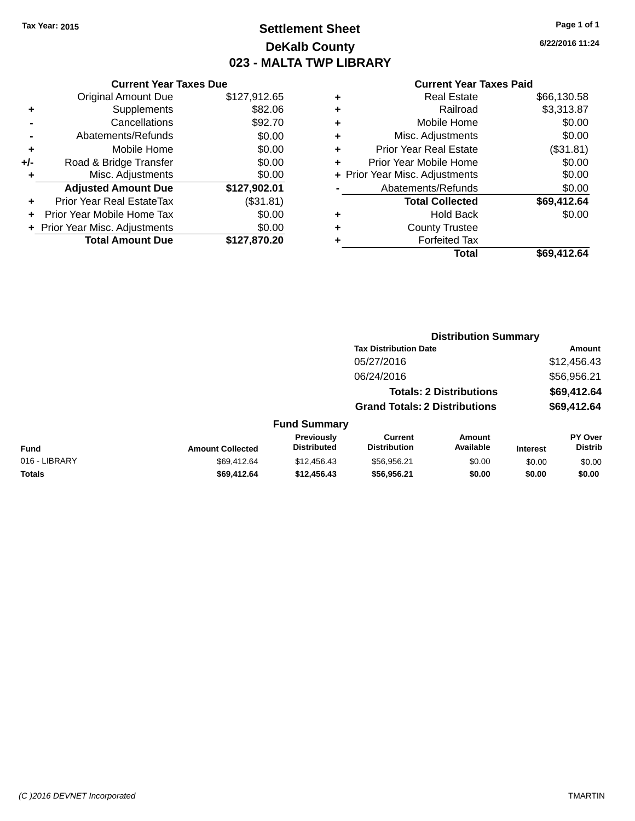### **Settlement Sheet Tax Year: 2015 Page 1 of 1 DeKalb County 023 - MALTA TWP LIBRARY**

**6/22/2016 11:24**

| <b>Current Year Taxes Paid</b> |  |  |
|--------------------------------|--|--|

|       | <b>Current Year Taxes Due</b>  |              |  |  |  |
|-------|--------------------------------|--------------|--|--|--|
|       | <b>Original Amount Due</b>     | \$127,912.65 |  |  |  |
| ٠     | Supplements                    | \$82.06      |  |  |  |
|       | Cancellations                  | \$92.70      |  |  |  |
|       | Abatements/Refunds             | \$0.00       |  |  |  |
| ٠     | Mobile Home                    | \$0.00       |  |  |  |
| $+/-$ | Road & Bridge Transfer         | \$0.00       |  |  |  |
| ٠     | Misc. Adjustments              | \$0.00       |  |  |  |
|       | <b>Adjusted Amount Due</b>     | \$127,902.01 |  |  |  |
| ٠     | Prior Year Real EstateTax      | (\$31.81)    |  |  |  |
|       | Prior Year Mobile Home Tax     | \$0.00       |  |  |  |
|       | + Prior Year Misc. Adjustments | \$0.00       |  |  |  |
|       | <b>Total Amount Due</b>        | \$127,870.20 |  |  |  |
|       |                                |              |  |  |  |

| ٠ | <b>Real Estate</b>             | \$66,130.58 |
|---|--------------------------------|-------------|
| ٠ | Railroad                       | \$3,313.87  |
| ٠ | Mobile Home                    | \$0.00      |
| ٠ | Misc. Adjustments              | \$0.00      |
| ٠ | Prior Year Real Estate         | (\$31.81)   |
| ÷ | Prior Year Mobile Home         | \$0.00      |
|   | + Prior Year Misc. Adjustments | \$0.00      |
|   | Abatements/Refunds             | \$0.00      |
|   | <b>Total Collected</b>         | \$69,412.64 |
| ٠ | <b>Hold Back</b>               | \$0.00      |
| ٠ | <b>County Trustee</b>          |             |
| ٠ | <b>Forfeited Tax</b>           |             |
|   | Total                          | \$69,412.64 |
|   |                                |             |

|               |                         | <b>Distribution Summary</b>             |                                      |                                |                 |                                  |
|---------------|-------------------------|-----------------------------------------|--------------------------------------|--------------------------------|-----------------|----------------------------------|
|               |                         |                                         | <b>Tax Distribution Date</b>         |                                |                 | <b>Amount</b>                    |
|               |                         |                                         | 05/27/2016                           |                                |                 | \$12,456.43                      |
|               |                         |                                         | 06/24/2016                           |                                |                 | \$56,956.21                      |
|               |                         |                                         |                                      | <b>Totals: 2 Distributions</b> |                 | \$69,412.64                      |
|               |                         |                                         | <b>Grand Totals: 2 Distributions</b> |                                |                 | \$69,412.64                      |
|               |                         | <b>Fund Summary</b>                     |                                      |                                |                 |                                  |
| <b>Fund</b>   | <b>Amount Collected</b> | <b>Previously</b><br><b>Distributed</b> | Current<br><b>Distribution</b>       | <b>Amount</b><br>Available     | <b>Interest</b> | <b>PY Over</b><br><b>Distrib</b> |
| 016 - LIBRARY | \$69,412.64             | \$12,456.43                             | \$56,956.21                          | \$0.00                         | \$0.00          | \$0.00                           |
| <b>Totals</b> | \$69,412.64             | \$12,456.43                             | \$56,956.21                          | \$0.00                         | \$0.00          | \$0.00                           |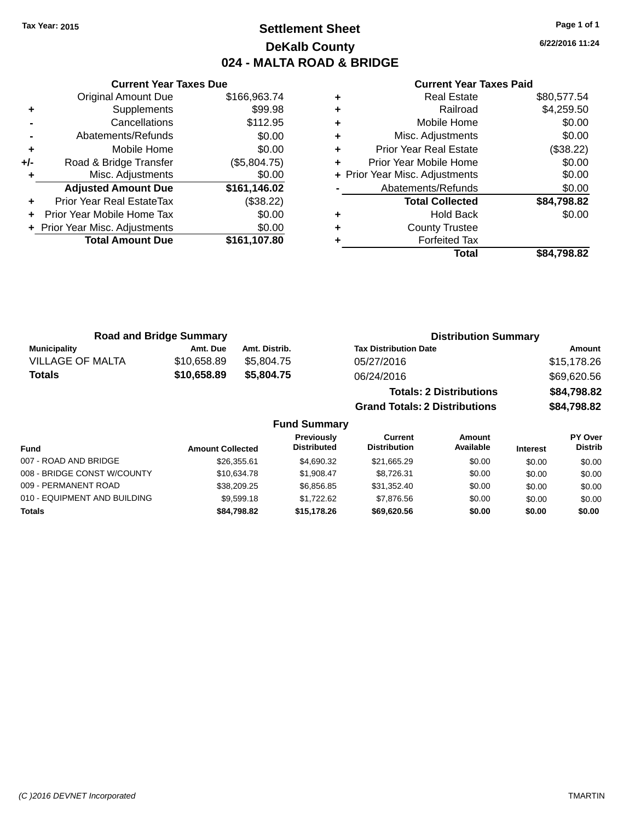### **Settlement Sheet Tax Year: 2015 Page 1 of 1 DeKalb County 024 - MALTA ROAD & BRIDGE**

**6/22/2016 11:24**

|     | <b>Current Year Taxes Due</b>  |              |  |  |  |
|-----|--------------------------------|--------------|--|--|--|
|     | <b>Original Amount Due</b>     | \$166,963.74 |  |  |  |
| ٠   | Supplements                    | \$99.98      |  |  |  |
|     | Cancellations                  | \$112.95     |  |  |  |
|     | Abatements/Refunds             | \$0.00       |  |  |  |
| ٠   | Mobile Home                    | \$0.00       |  |  |  |
| +/- | Road & Bridge Transfer         | (\$5,804.75) |  |  |  |
|     | Misc. Adjustments              | \$0.00       |  |  |  |
|     | <b>Adjusted Amount Due</b>     | \$161,146.02 |  |  |  |
|     | Prior Year Real EstateTax      | (\$38.22)    |  |  |  |
|     | Prior Year Mobile Home Tax     | \$0.00       |  |  |  |
|     | + Prior Year Misc. Adjustments | \$0.00       |  |  |  |
|     | <b>Total Amount Due</b>        | \$161,107.80 |  |  |  |
|     |                                |              |  |  |  |

#### **Current Year Taxes Paid**

|   | Total                          | \$84,798.82 |
|---|--------------------------------|-------------|
|   | <b>Forfeited Tax</b>           |             |
| ٠ | <b>County Trustee</b>          |             |
| ٠ | Hold Back                      | \$0.00      |
|   | <b>Total Collected</b>         | \$84,798.82 |
|   | Abatements/Refunds             | \$0.00      |
|   | + Prior Year Misc. Adjustments | \$0.00      |
|   | Prior Year Mobile Home         | \$0.00      |
| ٠ | <b>Prior Year Real Estate</b>  | (\$38.22)   |
| ٠ | Misc. Adjustments              | \$0.00      |
| ٠ | Mobile Home                    | \$0.00      |
| ٠ | Railroad                       | \$4,259.50  |
|   | <b>Real Estate</b>             | \$80,577.54 |

| <b>Road and Bridge Summary</b> |             | <b>Distribution Summary</b> |                                      |             |
|--------------------------------|-------------|-----------------------------|--------------------------------------|-------------|
| <b>Municipality</b>            | Amt. Due    | Amt. Distrib.               | <b>Tax Distribution Date</b>         | Amount      |
| <b>VILLAGE OF MALTA</b>        | \$10,658.89 | \$5,804.75                  | 05/27/2016                           | \$15,178.26 |
| Totals                         | \$10,658.89 | \$5,804.75                  | 06/24/2016                           | \$69,620.56 |
|                                |             |                             | <b>Totals: 2 Distributions</b>       | \$84,798.82 |
|                                |             |                             | <b>Grand Totals: 2 Distributions</b> | \$84,798.82 |

#### **Fund Summary Fund Interest Amount Collected Distributed PY Over Distrib Amount Available Current Distribution Previously** 007 - ROAD AND BRIDGE 60.00 \$26,355.61 \$4,690.32 \$21,665.29 \$0.00 \$0.00 \$0.00 \$0.00 008 - BRIDGE CONST W/COUNTY  $$10,634.78$   $$1,908.47$   $$8,726.31$   $$0.00$   $$0.00$   $$0.00$ 009 - PERMANENT ROAD \$38,209.25 \$6,856.85 \$31,352.40 \$0.00 \$0.00 \$0.00 010 - EQUIPMENT AND BUILDING \$9,599.18 \$1,722.62 \$7,876.56 \$0.00 \$0.00 \$0.00 \$0.00 **Totals \$84,798.82 \$15,178.26 \$69,620.56 \$0.00 \$0.00 \$0.00**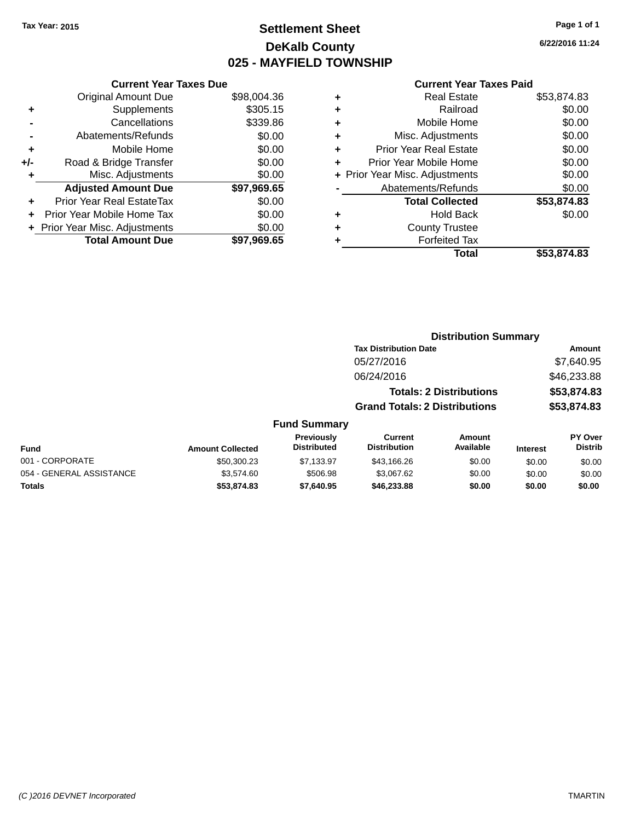### **Settlement Sheet Tax Year: 2015 Page 1 of 1 DeKalb County 025 - MAYFIELD TOWNSHIP**

**6/22/2016 11:24**

#### **Current Year Taxes Paid**

| <b>Current Year Taxes Due</b> |                         |
|-------------------------------|-------------------------|
| <b>Original Amount Due</b>    | \$98,004.36             |
| Supplements                   | \$305.15                |
| Cancellations                 | \$339.86                |
| Abatements/Refunds            | \$0.00                  |
| Mobile Home                   | \$0.00                  |
| Road & Bridge Transfer        | \$0.00                  |
| Misc. Adjustments             | \$0.00                  |
| <b>Adjusted Amount Due</b>    | \$97,969.65             |
| Prior Year Real EstateTax     | \$0.00                  |
| Prior Year Mobile Home Tax    | \$0.00                  |
| Prior Year Misc. Adjustments  | \$0.00                  |
|                               | \$97.969.65             |
|                               | <b>Total Amount Due</b> |

| ٠ | <b>Real Estate</b>             | \$53,874.83 |
|---|--------------------------------|-------------|
| ٠ | Railroad                       | \$0.00      |
| ٠ | Mobile Home                    | \$0.00      |
| ٠ | Misc. Adjustments              | \$0.00      |
| ٠ | <b>Prior Year Real Estate</b>  | \$0.00      |
| ٠ | Prior Year Mobile Home         | \$0.00      |
|   | + Prior Year Misc. Adjustments | \$0.00      |
|   | Abatements/Refunds             | \$0.00      |
|   | <b>Total Collected</b>         | \$53,874.83 |
| ٠ | Hold Back                      | \$0.00      |
| ٠ | <b>County Trustee</b>          |             |
| ٠ | <b>Forfeited Tax</b>           |             |
|   | Total                          | \$53,874.83 |
|   |                                |             |

|                          |                         |                                  | <b>Distribution Summary</b>           |                                |                 |                           |
|--------------------------|-------------------------|----------------------------------|---------------------------------------|--------------------------------|-----------------|---------------------------|
|                          |                         |                                  | <b>Tax Distribution Date</b>          |                                |                 | <b>Amount</b>             |
|                          |                         |                                  | 05/27/2016                            |                                |                 | \$7,640.95                |
|                          |                         |                                  | 06/24/2016                            |                                |                 | \$46,233.88               |
|                          |                         |                                  |                                       | <b>Totals: 2 Distributions</b> |                 | \$53,874.83               |
|                          |                         |                                  | <b>Grand Totals: 2 Distributions</b>  |                                |                 | \$53,874.83               |
|                          |                         | <b>Fund Summary</b>              |                                       |                                |                 |                           |
| Fund                     | <b>Amount Collected</b> | Previously<br><b>Distributed</b> | <b>Current</b><br><b>Distribution</b> | <b>Amount</b><br>Available     | <b>Interest</b> | PY Over<br><b>Distrib</b> |
| 001 - CORPORATE          | \$50,300.23             | \$7,133.97                       | \$43,166.26                           | \$0.00                         | \$0.00          | \$0.00                    |
| 054 - GENERAL ASSISTANCE | \$3,574.60              | \$506.98                         | \$3.067.62                            | \$0.00                         | \$0.00          | \$0.00                    |

**Totals \$53,874.83 \$7,640.95 \$46,233.88 \$0.00 \$0.00 \$0.00**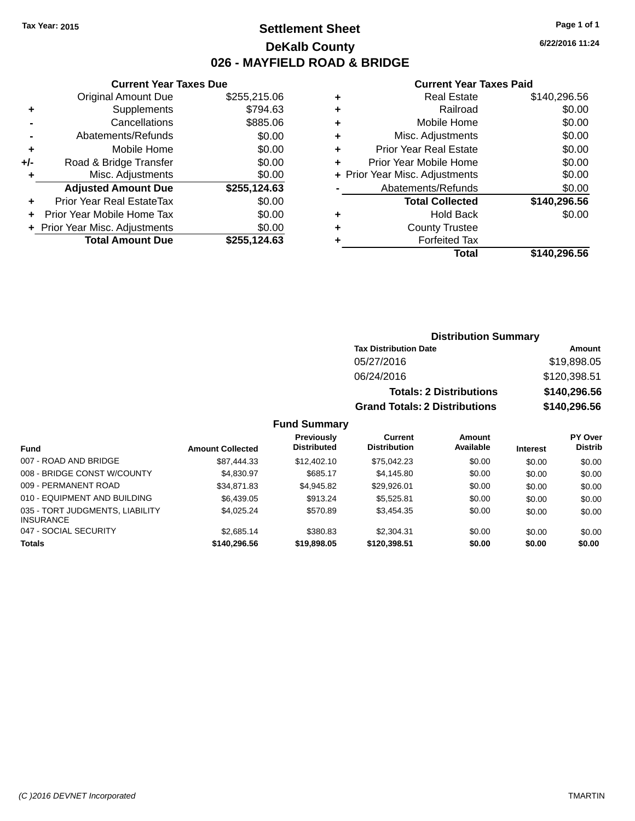### **Settlement Sheet Tax Year: 2015 Page 1 of 1 DeKalb County 026 - MAYFIELD ROAD & BRIDGE**

**Current Year Taxes Due**

|     | Original Amount Due            | \$255,215.06 |
|-----|--------------------------------|--------------|
| ٠   | Supplements                    | \$794.63     |
|     | Cancellations                  | \$885.06     |
|     | Abatements/Refunds             | \$0.00       |
| ٠   | Mobile Home                    | \$0.00       |
| +/- | Road & Bridge Transfer         | \$0.00       |
| ٠   | Misc. Adjustments              | \$0.00       |
|     | <b>Adjusted Amount Due</b>     | \$255,124.63 |
|     | Prior Year Real EstateTax      | \$0.00       |
|     |                                |              |
|     | Prior Year Mobile Home Tax     | \$0.00       |
|     | + Prior Year Misc. Adjustments | \$0.00       |
|     | <b>Total Amount Due</b>        | \$255,124.63 |

#### **Current Year Taxes Paid**

| ٠ | <b>Real Estate</b>             | \$140,296.56 |
|---|--------------------------------|--------------|
| ٠ | Railroad                       | \$0.00       |
| ٠ | Mobile Home                    | \$0.00       |
| ٠ | Misc. Adjustments              | \$0.00       |
| ٠ | <b>Prior Year Real Estate</b>  | \$0.00       |
| ٠ | Prior Year Mobile Home         | \$0.00       |
|   | + Prior Year Misc. Adjustments | \$0.00       |
|   | Abatements/Refunds             | \$0.00       |
|   | <b>Total Collected</b>         | \$140,296.56 |
| ٠ | <b>Hold Back</b>               | \$0.00       |
| ٠ | <b>County Trustee</b>          |              |
| ٠ | <b>Forfeited Tax</b>           |              |
|   | Total                          | \$140,296.56 |
|   |                                |              |

### **Distribution Summary Tax Distribution Date Amount** 05/27/2016 \$19,898.05 06/24/2016 \$120,398.51 **Totals: 2 Distributions \$140,296.56 Grand Totals: 2 Distributions \$140,296.56**

| Fund                                                | <b>Amount Collected</b> | <b>Previously</b><br><b>Distributed</b> | Current<br><b>Distribution</b> | Amount<br>Available | <b>Interest</b> | <b>PY Over</b><br><b>Distrib</b> |
|-----------------------------------------------------|-------------------------|-----------------------------------------|--------------------------------|---------------------|-----------------|----------------------------------|
| 007 - ROAD AND BRIDGE                               | \$87.444.33             | \$12,402.10                             | \$75,042.23                    | \$0.00              | \$0.00          | \$0.00                           |
| 008 - BRIDGE CONST W/COUNTY                         | \$4,830.97              | \$685.17                                | \$4,145.80                     | \$0.00              | \$0.00          | \$0.00                           |
| 009 - PERMANENT ROAD                                | \$34,871.83             | \$4,945.82                              | \$29,926,01                    | \$0.00              | \$0.00          | \$0.00                           |
| 010 - EQUIPMENT AND BUILDING                        | \$6,439.05              | \$913.24                                | \$5,525.81                     | \$0.00              | \$0.00          | \$0.00                           |
| 035 - TORT JUDGMENTS, LIABILITY<br><b>INSURANCE</b> | \$4.025.24              | \$570.89                                | \$3,454,35                     | \$0.00              | \$0.00          | \$0.00                           |
| 047 - SOCIAL SECURITY                               | \$2,685.14              | \$380.83                                | \$2,304.31                     | \$0.00              | \$0.00          | \$0.00                           |
| <b>Totals</b>                                       | \$140,296.56            | \$19,898,05                             | \$120,398.51                   | \$0.00              | \$0.00          | \$0.00                           |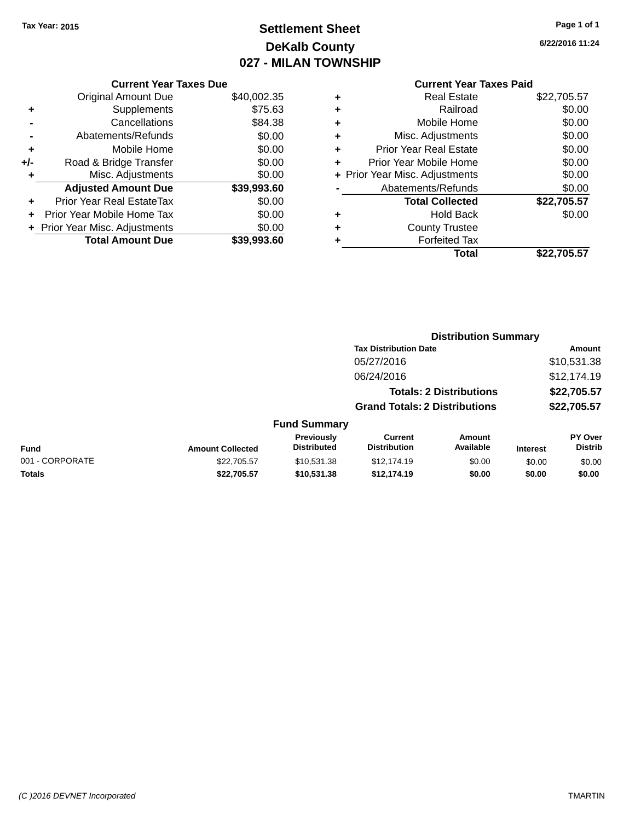### **Settlement Sheet Tax Year: 2015 Page 1 of 1 DeKalb County 027 - MILAN TOWNSHIP**

**6/22/2016 11:24**

|     | <b>Current Year Taxes Due</b>  |             |
|-----|--------------------------------|-------------|
|     | <b>Original Amount Due</b>     | \$40,002.35 |
| ٠   | Supplements                    | \$75.63     |
|     | Cancellations                  | \$84.38     |
|     | Abatements/Refunds             | \$0.00      |
| ٠   | Mobile Home                    | \$0.00      |
| +/- | Road & Bridge Transfer         | \$0.00      |
|     | Misc. Adjustments              | \$0.00      |
|     | <b>Adjusted Amount Due</b>     | \$39,993.60 |
| ÷   | Prior Year Real EstateTax      | \$0.00      |
| ٠   | Prior Year Mobile Home Tax     | \$0.00      |
|     | + Prior Year Misc. Adjustments | \$0.00      |
|     | <b>Total Amount Due</b>        | \$39.993.60 |

| ٠ | <b>Real Estate</b>             | \$22,705.57 |
|---|--------------------------------|-------------|
| ٠ | Railroad                       | \$0.00      |
| ٠ | Mobile Home                    | \$0.00      |
| ٠ | Misc. Adjustments              | \$0.00      |
| ٠ | <b>Prior Year Real Estate</b>  | \$0.00      |
| ٠ | Prior Year Mobile Home         | \$0.00      |
|   | + Prior Year Misc. Adjustments | \$0.00      |
|   | Abatements/Refunds             | \$0.00      |
|   | <b>Total Collected</b>         | \$22,705.57 |
| ٠ | Hold Back                      | \$0.00      |
| ٠ | <b>County Trustee</b>          |             |
| ٠ | <b>Forfeited Tax</b>           |             |
|   | Total                          | \$22.705.57 |
|   |                                |             |

|                 |                         |                                  | <b>Distribution Summary</b>           |                                |                 |                           |
|-----------------|-------------------------|----------------------------------|---------------------------------------|--------------------------------|-----------------|---------------------------|
|                 |                         |                                  | <b>Tax Distribution Date</b>          |                                |                 | Amount                    |
|                 |                         |                                  | 05/27/2016                            |                                |                 | \$10,531.38               |
|                 |                         |                                  | 06/24/2016                            |                                |                 | \$12,174.19               |
|                 |                         |                                  |                                       | <b>Totals: 2 Distributions</b> |                 | \$22,705.57               |
|                 |                         |                                  | <b>Grand Totals: 2 Distributions</b>  |                                |                 | \$22,705.57               |
|                 |                         | <b>Fund Summary</b>              |                                       |                                |                 |                           |
| <b>Fund</b>     | <b>Amount Collected</b> | Previously<br><b>Distributed</b> | <b>Current</b><br><b>Distribution</b> | <b>Amount</b><br>Available     | <b>Interest</b> | PY Over<br><b>Distrib</b> |
| 001 - CORPORATE | \$22,705.57             | \$10,531.38                      | \$12,174.19                           | \$0.00                         | \$0.00          | \$0.00                    |
| Totals          | \$22,705.57             | \$10,531.38                      | \$12,174.19                           | \$0.00                         | \$0.00          | \$0.00                    |
|                 |                         |                                  |                                       |                                |                 |                           |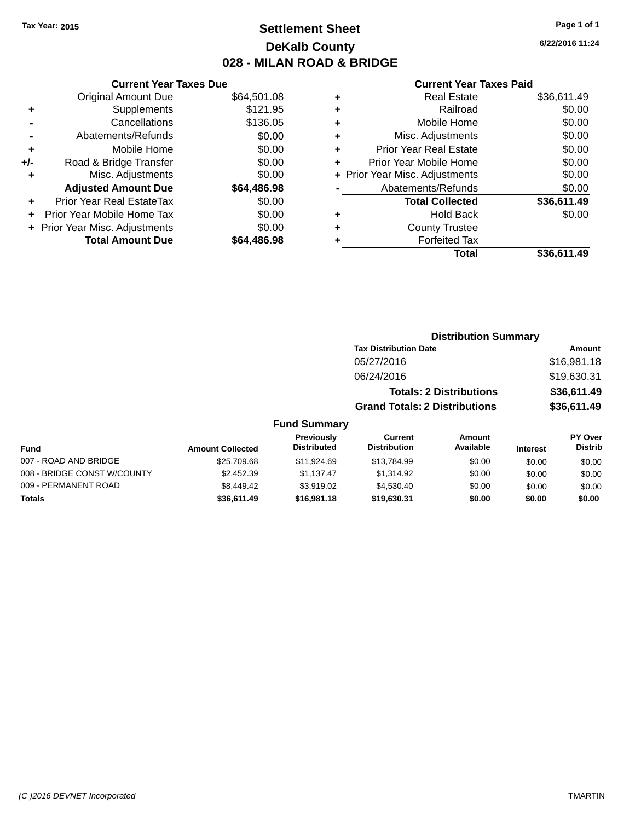### **Settlement Sheet Tax Year: 2015 Page 1 of 1 DeKalb County 028 - MILAN ROAD & BRIDGE**

**6/22/2016 11:24**

#### **Current Year Taxes Paid**

|       | <b>Original Amount Due</b>     | \$64,501.08 |
|-------|--------------------------------|-------------|
| ٠     | Supplements                    | \$121.95    |
|       | Cancellations                  | \$136.05    |
|       | Abatements/Refunds             | \$0.00      |
| ÷     | Mobile Home                    | \$0.00      |
| $+/-$ | Road & Bridge Transfer         | \$0.00      |
| ٠     | Misc. Adjustments              | \$0.00      |
|       | <b>Adjusted Amount Due</b>     | \$64,486.98 |
| ÷     | Prior Year Real EstateTax      | \$0.00      |
|       | Prior Year Mobile Home Tax     | \$0.00      |
|       | + Prior Year Misc. Adjustments | \$0.00      |
|       | <b>Total Amount Due</b>        | \$64,486.98 |
|       |                                |             |

**Current Year Taxes Due**

| ٠ | <b>Real Estate</b>             | \$36,611.49 |
|---|--------------------------------|-------------|
| ٠ | Railroad                       | \$0.00      |
| ٠ | Mobile Home                    | \$0.00      |
| ٠ | Misc. Adjustments              | \$0.00      |
| ٠ | <b>Prior Year Real Estate</b>  | \$0.00      |
| ÷ | Prior Year Mobile Home         | \$0.00      |
|   | + Prior Year Misc. Adjustments | \$0.00      |
|   | Abatements/Refunds             | \$0.00      |
|   | <b>Total Collected</b>         | \$36,611.49 |
| ٠ | <b>Hold Back</b>               | \$0.00      |
| ٠ | <b>County Trustee</b>          |             |
| ٠ | <b>Forfeited Tax</b>           |             |
|   | Total                          | \$36.611.49 |
|   |                                |             |

### **Distribution Summary Tax Distribution Date Amount** 05/27/2016 \$16,981.18 06/24/2016 \$19,630.31 **Totals: 2 Distributions \$36,611.49 Grand Totals: 2 Distributions \$36,611.49 Fund Summary**

#### **Fund Interest Amount Collected Distributed PY Over Distrib Amount Available Current Distribution Previously** 007 - ROAD AND BRIDGE 60.00 \$25,709.68 \$11,924.69 \$13,784.99 \$0.00 \$0.00 \$0.00 \$0.00 008 - BRIDGE CONST W/COUNTY  $$2,452.39$   $$1,137.47$   $$1,314.92$   $$0.00$   $$0.00$   $$0.00$ 009 - PERMANENT ROAD \$8,449.42 \$3,919.02 \$4,530.40 \$0.00 \$0.00 \$0.00 \$0.00 **Totals \$36,611.49 \$16,981.18 \$19,630.31 \$0.00 \$0.00 \$0.00**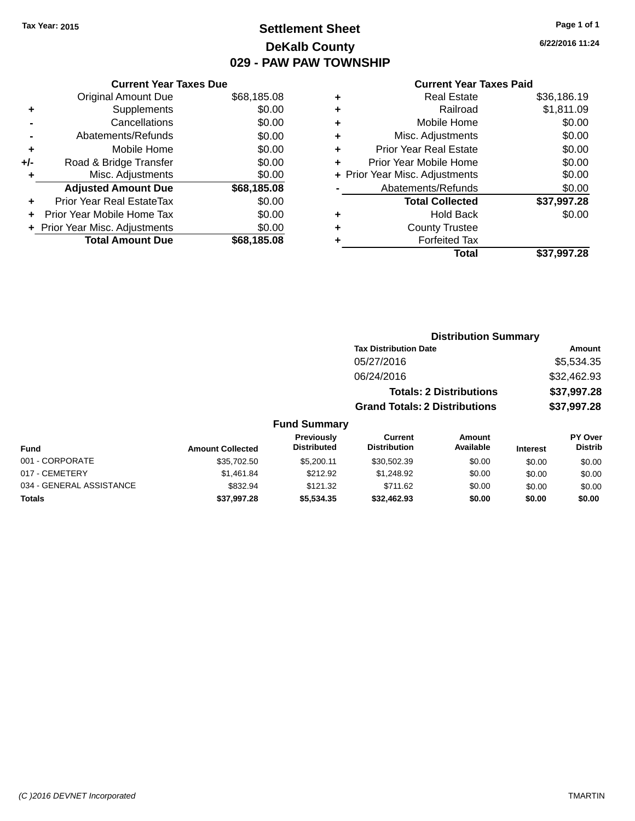### **Settlement Sheet Tax Year: 2015 Page 1 of 1 DeKalb County 029 - PAW PAW TOWNSHIP**

**6/22/2016 11:24**

#### **Current Year Taxes Paid**

|     | <b>Current Year Taxes Due</b>  |             |
|-----|--------------------------------|-------------|
|     | <b>Original Amount Due</b>     | \$68,185.08 |
| ٠   | Supplements                    | \$0.00      |
|     | Cancellations                  | \$0.00      |
|     | Abatements/Refunds             | \$0.00      |
| ٠   | Mobile Home                    | \$0.00      |
| +/- | Road & Bridge Transfer         | \$0.00      |
| ٠   | Misc. Adjustments              | \$0.00      |
|     | <b>Adjusted Amount Due</b>     | \$68,185.08 |
| ٠   | Prior Year Real EstateTax      | \$0.00      |
|     | Prior Year Mobile Home Tax     | \$0.00      |
|     | + Prior Year Misc. Adjustments | \$0.00      |
|     | <b>Total Amount Due</b>        | \$68.185.08 |
|     |                                |             |

| ٠ | <b>Real Estate</b>             | \$36,186.19 |
|---|--------------------------------|-------------|
| ٠ | Railroad                       | \$1,811.09  |
| ٠ | Mobile Home                    | \$0.00      |
| ٠ | Misc. Adjustments              | \$0.00      |
| ٠ | <b>Prior Year Real Estate</b>  | \$0.00      |
| ÷ | Prior Year Mobile Home         | \$0.00      |
|   | + Prior Year Misc. Adjustments | \$0.00      |
|   | Abatements/Refunds             | \$0.00      |
|   | <b>Total Collected</b>         | \$37,997.28 |
| ٠ | <b>Hold Back</b>               | \$0.00      |
| ٠ | <b>County Trustee</b>          |             |
| ٠ | <b>Forfeited Tax</b>           |             |
|   | Total                          | \$37,997.28 |
|   |                                |             |

| <b>Distribution Summary</b>          |             |
|--------------------------------------|-------------|
| <b>Tax Distribution Date</b>         | Amount      |
| 05/27/2016                           | \$5,534.35  |
| 06/24/2016                           | \$32,462.93 |
| <b>Totals: 2 Distributions</b>       | \$37,997.28 |
| <b>Grand Totals: 2 Distributions</b> | \$37,997.28 |

| <b>Fund</b>              | <b>Amount Collected</b> | <b>Previously</b><br><b>Distributed</b> | Current<br><b>Distribution</b> | Amount<br>Available | <b>Interest</b> | <b>PY Over</b><br><b>Distrib</b> |
|--------------------------|-------------------------|-----------------------------------------|--------------------------------|---------------------|-----------------|----------------------------------|
| 001 - CORPORATE          | \$35,702.50             | \$5,200.11                              | \$30.502.39                    | \$0.00              | \$0.00          | \$0.00                           |
| 017 - CEMETERY           | \$1.461.84              | \$212.92                                | \$1.248.92                     | \$0.00              | \$0.00          | \$0.00                           |
| 034 - GENERAL ASSISTANCE | \$832.94                | \$121.32                                | \$711.62                       | \$0.00              | \$0.00          | \$0.00                           |
| <b>Totals</b>            | \$37,997.28             | \$5,534,35                              | \$32,462.93                    | \$0.00              | \$0.00          | \$0.00                           |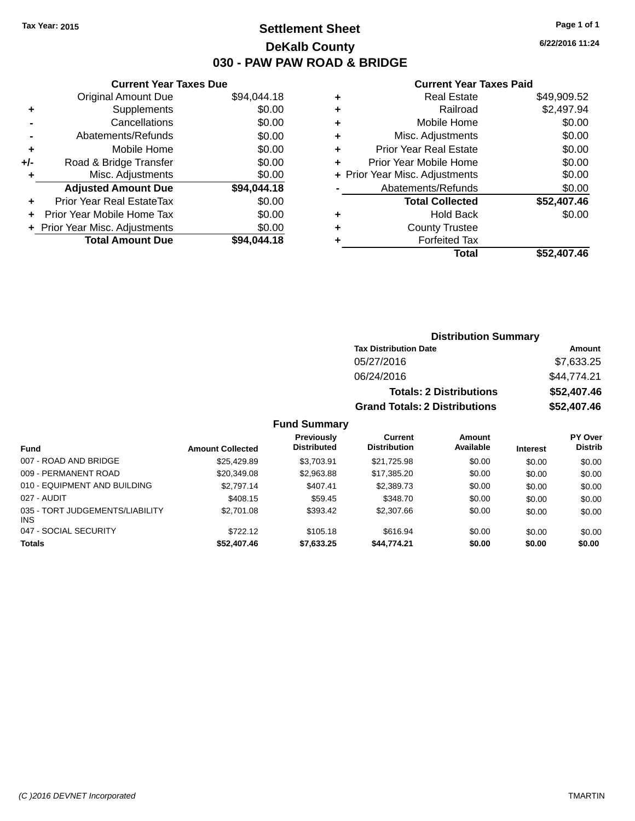### **Settlement Sheet Tax Year: 2015 Page 1 of 1 DeKalb County 030 - PAW PAW ROAD & BRIDGE**

**6/22/2016 11:24**

#### **Current Year Taxes Paid**

|     | <b>Current Year Taxes Due</b>  |             |
|-----|--------------------------------|-------------|
|     | <b>Original Amount Due</b>     | \$94,044.18 |
| ٠   | Supplements                    | \$0.00      |
|     | Cancellations                  | \$0.00      |
|     | Abatements/Refunds             | \$0.00      |
| ٠   | Mobile Home                    | \$0.00      |
| +/- | Road & Bridge Transfer         | \$0.00      |
|     | Misc. Adjustments              | \$0.00      |
|     | <b>Adjusted Amount Due</b>     | \$94,044.18 |
| ÷   | Prior Year Real EstateTax      | \$0.00      |
|     | Prior Year Mobile Home Tax     | \$0.00      |
|     | + Prior Year Misc. Adjustments | \$0.00      |
|     | <b>Total Amount Due</b>        | \$94.044.18 |
|     |                                |             |

| ٠ | <b>Real Estate</b>             | \$49,909.52 |
|---|--------------------------------|-------------|
| ٠ | Railroad                       | \$2,497.94  |
| ٠ | Mobile Home                    | \$0.00      |
| ٠ | Misc. Adjustments              | \$0.00      |
| ٠ | <b>Prior Year Real Estate</b>  | \$0.00      |
|   | Prior Year Mobile Home         | \$0.00      |
|   | + Prior Year Misc. Adjustments | \$0.00      |
|   | Abatements/Refunds             | \$0.00      |
|   | <b>Total Collected</b>         | \$52,407.46 |
| ٠ | Hold Back                      | \$0.00      |
|   | <b>County Trustee</b>          |             |
| ٠ | <b>Forfeited Tax</b>           |             |
|   | Total                          | \$52,407.46 |
|   |                                |             |

| <b>Distribution Summary</b>          |             |  |  |  |
|--------------------------------------|-------------|--|--|--|
| <b>Tax Distribution Date</b>         | Amount      |  |  |  |
| 05/27/2016                           | \$7,633.25  |  |  |  |
| 06/24/2016                           | \$44,774.21 |  |  |  |
| <b>Totals: 2 Distributions</b>       | \$52,407.46 |  |  |  |
| <b>Grand Totals: 2 Distributions</b> | \$52,407.46 |  |  |  |

| <b>Fund</b>                             | <b>Amount Collected</b> | Previously<br><b>Distributed</b> | Current<br><b>Distribution</b> | Amount<br>Available | <b>Interest</b> | <b>PY Over</b><br><b>Distrib</b> |
|-----------------------------------------|-------------------------|----------------------------------|--------------------------------|---------------------|-----------------|----------------------------------|
| 007 - ROAD AND BRIDGE                   | \$25.429.89             | \$3.703.91                       | \$21.725.98                    | \$0.00              | \$0.00          | \$0.00                           |
| 009 - PERMANENT ROAD                    | \$20,349.08             | \$2,963.88                       | \$17.385.20                    | \$0.00              | \$0.00          | \$0.00                           |
| 010 - EQUIPMENT AND BUILDING            | \$2.797.14              | \$407.41                         | \$2,389.73                     | \$0.00              | \$0.00          | \$0.00                           |
| 027 - AUDIT                             | \$408.15                | \$59.45                          | \$348.70                       | \$0.00              | \$0.00          | \$0.00                           |
| 035 - TORT JUDGEMENTS/LIABILITY<br>INS. | \$2,701.08              | \$393.42                         | \$2,307.66                     | \$0.00              | \$0.00          | \$0.00                           |
| 047 - SOCIAL SECURITY                   | \$722.12                | \$105.18                         | \$616.94                       | \$0.00              | \$0.00          | \$0.00                           |
| <b>Totals</b>                           | \$52,407.46             | \$7,633.25                       | \$44,774.21                    | \$0.00              | \$0.00          | \$0.00                           |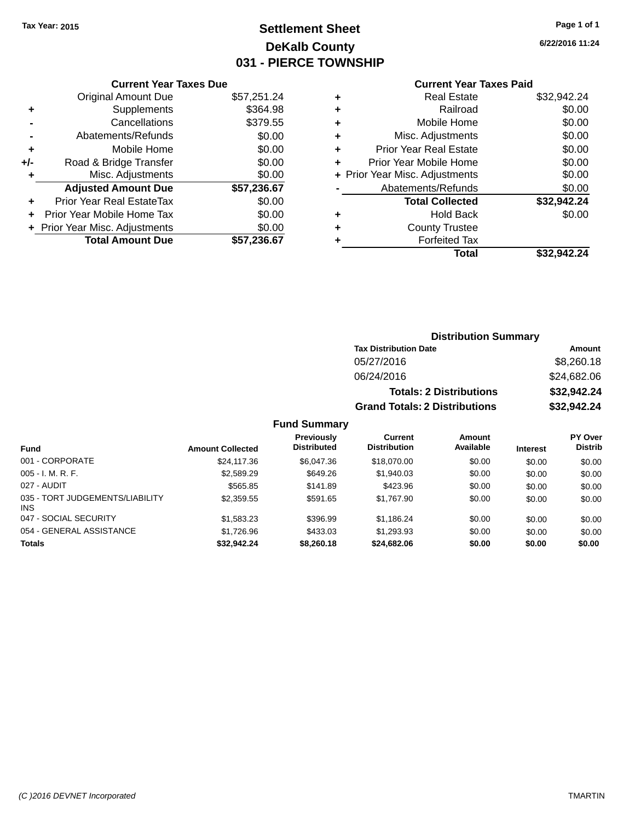### **Settlement Sheet Tax Year: 2015 Page 1 of 1 DeKalb County 031 - PIERCE TOWNSHIP**

**6/22/2016 11:24**

### **Current Year Taxes Paid**

|     | <b>Current Year Taxes Due</b>  |             |
|-----|--------------------------------|-------------|
|     | <b>Original Amount Due</b>     | \$57,251.24 |
| ٠   | Supplements                    | \$364.98    |
|     | Cancellations                  | \$379.55    |
|     | Abatements/Refunds             | \$0.00      |
| ٠   | Mobile Home                    | \$0.00      |
| +/- | Road & Bridge Transfer         | \$0.00      |
| ٠   | Misc. Adjustments              | \$0.00      |
|     | <b>Adjusted Amount Due</b>     | \$57,236.67 |
| ÷   | Prior Year Real EstateTax      | \$0.00      |
|     | Prior Year Mobile Home Tax     | \$0.00      |
|     | + Prior Year Misc. Adjustments | \$0.00      |
|     | <b>Total Amount Due</b>        | \$57,236.67 |
|     |                                |             |

| ٠ | <b>Real Estate</b>             | \$32,942.24 |
|---|--------------------------------|-------------|
| ٠ | Railroad                       | \$0.00      |
| ٠ | Mobile Home                    | \$0.00      |
| ٠ | Misc. Adjustments              | \$0.00      |
| ٠ | <b>Prior Year Real Estate</b>  | \$0.00      |
| ٠ | Prior Year Mobile Home         | \$0.00      |
|   | + Prior Year Misc. Adjustments | \$0.00      |
|   | Abatements/Refunds             | \$0.00      |
|   | <b>Total Collected</b>         | \$32,942.24 |
| ٠ | Hold Back                      | \$0.00      |
| ٠ | <b>County Trustee</b>          |             |
| ٠ | <b>Forfeited Tax</b>           |             |
|   | Total                          | \$32.942.24 |
|   |                                |             |

| <b>Distribution Summary</b>                   |             |  |  |  |
|-----------------------------------------------|-------------|--|--|--|
| <b>Tax Distribution Date</b>                  | Amount      |  |  |  |
| 05/27/2016                                    | \$8,260.18  |  |  |  |
| 06/24/2016                                    | \$24,682.06 |  |  |  |
| \$32,942.24<br><b>Totals: 2 Distributions</b> |             |  |  |  |
| <b>Grand Totals: 2 Distributions</b>          | \$32,942.24 |  |  |  |

| <b>Fund</b>                                   | <b>Amount Collected</b> | <b>Previously</b><br><b>Distributed</b> | Current<br><b>Distribution</b> | Amount<br>Available | <b>Interest</b> | <b>PY Over</b><br><b>Distrib</b> |
|-----------------------------------------------|-------------------------|-----------------------------------------|--------------------------------|---------------------|-----------------|----------------------------------|
| 001 - CORPORATE                               | \$24,117,36             | \$6,047.36                              | \$18,070,00                    | \$0.00              | \$0.00          | \$0.00                           |
| $005 - I. M. R. F.$                           | \$2,589.29              | \$649.26                                | \$1,940.03                     | \$0.00              | \$0.00          | \$0.00                           |
| 027 - AUDIT                                   | \$565.85                | \$141.89                                | \$423.96                       | \$0.00              | \$0.00          | \$0.00                           |
| 035 - TORT JUDGEMENTS/LIABILITY<br><b>INS</b> | \$2,359.55              | \$591.65                                | \$1,767.90                     | \$0.00              | \$0.00          | \$0.00                           |
| 047 - SOCIAL SECURITY                         | \$1,583.23              | \$396.99                                | \$1,186.24                     | \$0.00              | \$0.00          | \$0.00                           |
| 054 - GENERAL ASSISTANCE                      | \$1,726.96              | \$433.03                                | \$1,293.93                     | \$0.00              | \$0.00          | \$0.00                           |
| <b>Totals</b>                                 | \$32,942.24             | \$8,260.18                              | \$24,682.06                    | \$0.00              | \$0.00          | \$0.00                           |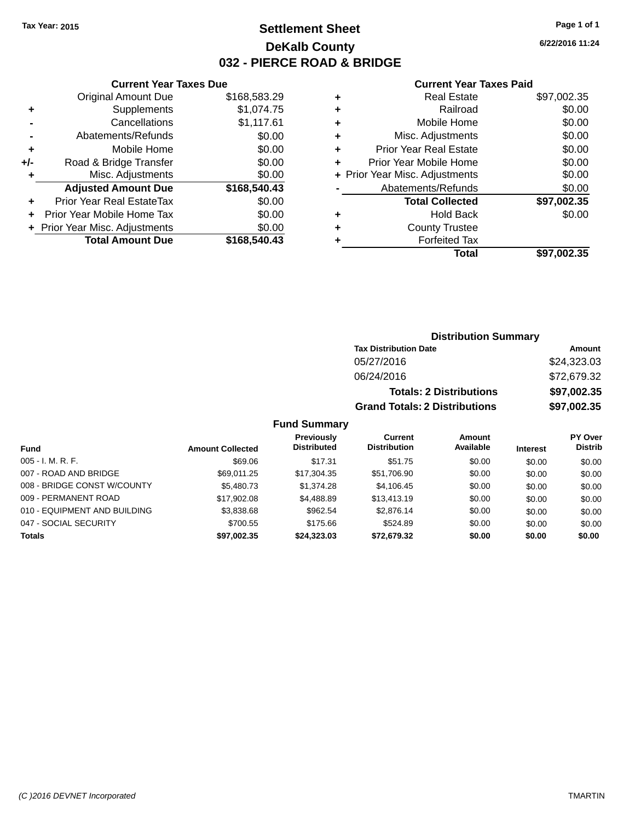### **Settlement Sheet Tax Year: 2015 Page 1 of 1 DeKalb County 032 - PIERCE ROAD & BRIDGE**

**6/22/2016 11:24**

#### **Current Year Taxes Paid**

|       | <b>Current Year Taxes Due</b>  |              |
|-------|--------------------------------|--------------|
|       | <b>Original Amount Due</b>     | \$168,583.29 |
| ٠     | Supplements                    | \$1,074.75   |
|       | Cancellations                  | \$1,117.61   |
|       | Abatements/Refunds             | \$0.00       |
| ٠     | Mobile Home                    | \$0.00       |
| $+/-$ | Road & Bridge Transfer         | \$0.00       |
|       | Misc. Adjustments              | \$0.00       |
|       | <b>Adjusted Amount Due</b>     | \$168,540.43 |
| ٠     | Prior Year Real EstateTax      | \$0.00       |
|       | Prior Year Mobile Home Tax     | \$0.00       |
|       | + Prior Year Misc. Adjustments | \$0.00       |
|       | <b>Total Amount Due</b>        | \$168,540.43 |
|       |                                |              |

| ٠ | <b>Real Estate</b>             | \$97,002.35 |
|---|--------------------------------|-------------|
| ٠ | Railroad                       | \$0.00      |
| ٠ | Mobile Home                    | \$0.00      |
| ٠ | Misc. Adjustments              | \$0.00      |
| ٠ | <b>Prior Year Real Estate</b>  | \$0.00      |
| ٠ | Prior Year Mobile Home         | \$0.00      |
|   | + Prior Year Misc. Adjustments | \$0.00      |
|   | Abatements/Refunds             | \$0.00      |
|   | <b>Total Collected</b>         | \$97,002.35 |
| ٠ | Hold Back                      | \$0.00      |
| ٠ | <b>County Trustee</b>          |             |
|   | <b>Forfeited Tax</b>           |             |
|   | Total                          | \$97,002.35 |
|   |                                |             |

### **Distribution Summary Tax Distribution Date Amount** 05/27/2016 \$24,323.03 06/24/2016 \$72,679.32 **Totals: 2 Distributions \$97,002.35 Grand Totals: 2 Distributions \$97,002.35**

| Fund                         | <b>Amount Collected</b> | <b>Previously</b><br><b>Distributed</b> | Current<br><b>Distribution</b> | Amount<br>Available | <b>Interest</b> | <b>PY Over</b><br><b>Distrib</b> |
|------------------------------|-------------------------|-----------------------------------------|--------------------------------|---------------------|-----------------|----------------------------------|
| $005 - I. M. R. F.$          | \$69.06                 | \$17.31                                 | \$51.75                        | \$0.00              | \$0.00          | \$0.00                           |
| 007 - ROAD AND BRIDGE        | \$69,011.25             | \$17.304.35                             | \$51,706.90                    | \$0.00              | \$0.00          | \$0.00                           |
| 008 - BRIDGE CONST W/COUNTY  | \$5,480.73              | \$1,374.28                              | \$4,106.45                     | \$0.00              | \$0.00          | \$0.00                           |
| 009 - PERMANENT ROAD         | \$17,902.08             | \$4,488.89                              | \$13,413.19                    | \$0.00              | \$0.00          | \$0.00                           |
| 010 - EQUIPMENT AND BUILDING | \$3,838.68              | \$962.54                                | \$2,876.14                     | \$0.00              | \$0.00          | \$0.00                           |
| 047 - SOCIAL SECURITY        | \$700.55                | \$175.66                                | \$524.89                       | \$0.00              | \$0.00          | \$0.00                           |
| <b>Totals</b>                | \$97,002.35             | \$24,323,03                             | \$72.679.32                    | \$0.00              | \$0.00          | \$0.00                           |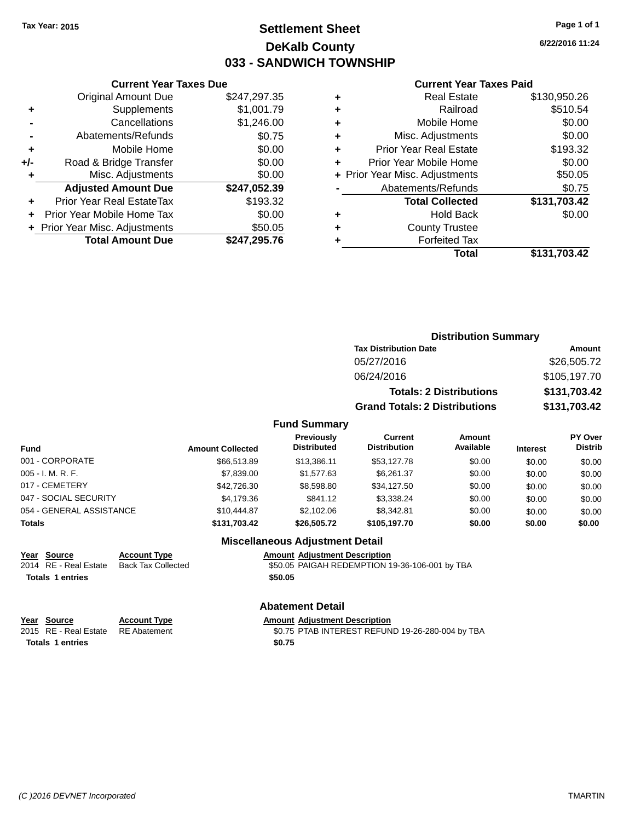### **Settlement Sheet Tax Year: 2015 Page 1 of 1 DeKalb County 033 - SANDWICH TOWNSHIP**

**6/22/2016 11:24**

#### **Current Year Taxes Paid**

| <b>Current Year Taxes Due</b> |                                |
|-------------------------------|--------------------------------|
| <b>Original Amount Due</b>    | \$247,297.35                   |
| Supplements                   | \$1,001.79                     |
| Cancellations                 | \$1,246.00                     |
| Abatements/Refunds            | \$0.75                         |
| Mobile Home                   | \$0.00                         |
| Road & Bridge Transfer        | \$0.00                         |
| Misc. Adjustments             | \$0.00                         |
| <b>Adjusted Amount Due</b>    | \$247,052.39                   |
| Prior Year Real EstateTax     | \$193.32                       |
| Prior Year Mobile Home Tax    | \$0.00                         |
|                               | \$50.05                        |
| <b>Total Amount Due</b>       | \$247,295.76                   |
|                               | + Prior Year Misc. Adjustments |

|   | <b>Real Estate</b>             | \$130,950.26 |
|---|--------------------------------|--------------|
| ٠ | Railroad                       | \$510.54     |
| ٠ | Mobile Home                    | \$0.00       |
| ٠ | Misc. Adjustments              | \$0.00       |
| ٠ | <b>Prior Year Real Estate</b>  | \$193.32     |
| ÷ | Prior Year Mobile Home         | \$0.00       |
|   | + Prior Year Misc. Adjustments | \$50.05      |
|   | Abatements/Refunds             | \$0.75       |
|   | <b>Total Collected</b>         | \$131,703.42 |
| ٠ | <b>Hold Back</b>               | \$0.00       |
| ٠ | <b>County Trustee</b>          |              |
| ٠ | <b>Forfeited Tax</b>           |              |
|   | Total                          | \$131,703.42 |
|   |                                |              |

| <b>Distribution Summary</b>          |              |  |  |
|--------------------------------------|--------------|--|--|
| <b>Tax Distribution Date</b>         | Amount       |  |  |
| 05/27/2016                           | \$26,505.72  |  |  |
| 06/24/2016                           | \$105,197.70 |  |  |
| <b>Totals: 2 Distributions</b>       | \$131,703.42 |  |  |
| <b>Grand Totals: 2 Distributions</b> | \$131,703.42 |  |  |

#### **Fund Summary**

| <b>Fund</b>              | <b>Amount Collected</b> | Previously<br><b>Distributed</b> | <b>Current</b><br><b>Distribution</b> | Amount<br>Available | <b>Interest</b> | PY Over<br><b>Distrib</b> |
|--------------------------|-------------------------|----------------------------------|---------------------------------------|---------------------|-----------------|---------------------------|
| 001 - CORPORATE          | \$66,513.89             | \$13.386.11                      | \$53.127.78                           | \$0.00              | \$0.00          | \$0.00                    |
| 005 - I. M. R. F.        | \$7,839,00              | \$1.577.63                       | \$6.261.37                            | \$0.00              | \$0.00          | \$0.00                    |
| 017 - CEMETERY           | \$42,726,30             | \$8.598.80                       | \$34,127.50                           | \$0.00              | \$0.00          | \$0.00                    |
| 047 - SOCIAL SECURITY    | \$4.179.36              | \$841.12                         | \$3.338.24                            | \$0.00              | \$0.00          | \$0.00                    |
| 054 - GENERAL ASSISTANCE | \$10,444.87             | \$2,102.06                       | \$8.342.81                            | \$0.00              | \$0.00          | \$0.00                    |
| <b>Totals</b>            | \$131,703.42            | \$26,505,72                      | \$105,197.70                          | \$0.00              | \$0.00          | \$0.00                    |

#### **Miscellaneous Adjustment Detail**

**Year Source Account Type Amount Adjustment Description**

**Totals \$50.05 1 entries**

**Year Source Account Type Amount Adjustment Description**<br>
2015 RE - Real Estate RE Abatement **Amount Adjustment Description** 

Totals 1 entries \$0.75

**Abatement Detail**

\$0.75 PTAB INTEREST REFUND 19-26-280-004 by TBA

\$50.05 PAIGAH REDEMPTION 19-36-106-001 by TBA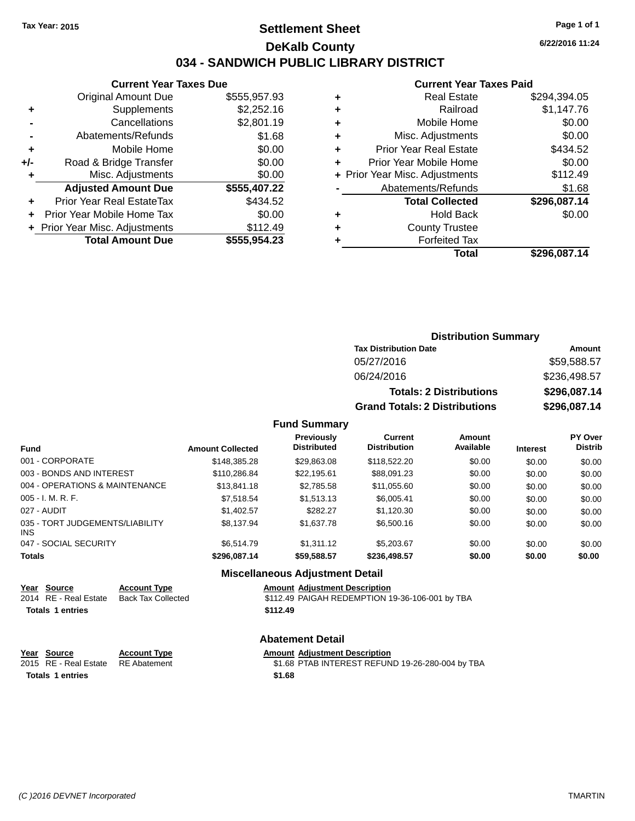### **Settlement Sheet Tax Year: 2015 Page 1 of 1 DeKalb County 034 - SANDWICH PUBLIC LIBRARY DISTRICT**

**6/22/2016 11:24**

### **Current Year Taxes Paid**

|     | <b>Current Year Taxes Due</b>  |              |  |  |
|-----|--------------------------------|--------------|--|--|
|     | <b>Original Amount Due</b>     | \$555,957.93 |  |  |
| ٠   | Supplements                    | \$2,252.16   |  |  |
|     | Cancellations                  | \$2,801.19   |  |  |
|     | Abatements/Refunds             | \$1.68       |  |  |
| ٠   | Mobile Home                    | \$0.00       |  |  |
| +/- | Road & Bridge Transfer         | \$0.00       |  |  |
| ٠   | Misc. Adjustments              | \$0.00       |  |  |
|     | <b>Adjusted Amount Due</b>     | \$555,407.22 |  |  |
| ٠   | Prior Year Real EstateTax      | \$434.52     |  |  |
|     | Prior Year Mobile Home Tax     | \$0.00       |  |  |
|     | + Prior Year Misc. Adjustments | \$112.49     |  |  |
|     | <b>Total Amount Due</b>        | \$555,954.23 |  |  |
|     |                                |              |  |  |

|   | <b>Real Estate</b>             | \$294,394.05 |
|---|--------------------------------|--------------|
| ٠ | Railroad                       | \$1,147.76   |
| ٠ | Mobile Home                    | \$0.00       |
| ٠ | Misc. Adjustments              | \$0.00       |
| ٠ | <b>Prior Year Real Estate</b>  | \$434.52     |
| ٠ | Prior Year Mobile Home         | \$0.00       |
|   | + Prior Year Misc. Adjustments | \$112.49     |
|   | Abatements/Refunds             | \$1.68       |
|   | <b>Total Collected</b>         | \$296,087.14 |
| ٠ | <b>Hold Back</b>               | \$0.00       |
| ٠ | <b>County Trustee</b>          |              |
| ٠ | <b>Forfeited Tax</b>           |              |
|   | Total                          | \$296,087.14 |
|   |                                |              |

| <b>Distribution Summary</b>          |              |  |  |  |
|--------------------------------------|--------------|--|--|--|
| <b>Tax Distribution Date</b>         | Amount       |  |  |  |
| 05/27/2016                           | \$59,588.57  |  |  |  |
| 06/24/2016                           | \$236,498.57 |  |  |  |
| <b>Totals: 2 Distributions</b>       | \$296,087.14 |  |  |  |
| <b>Grand Totals: 2 Distributions</b> | \$296,087.14 |  |  |  |

### **Fund Summary**

| <b>Fund</b>                             | <b>Amount Collected</b> | <b>Previously</b><br><b>Distributed</b> | Current<br><b>Distribution</b> | Amount<br>Available | <b>Interest</b> | <b>PY Over</b><br><b>Distrib</b> |
|-----------------------------------------|-------------------------|-----------------------------------------|--------------------------------|---------------------|-----------------|----------------------------------|
| 001 - CORPORATE                         | \$148,385,28            | \$29,863.08                             | \$118,522,20                   | \$0.00              | \$0.00          | \$0.00                           |
| 003 - BONDS AND INTEREST                | \$110,286.84            | \$22,195.61                             | \$88,091.23                    | \$0.00              | \$0.00          | \$0.00                           |
| 004 - OPERATIONS & MAINTENANCE          | \$13,841.18             | \$2,785.58                              | \$11,055.60                    | \$0.00              | \$0.00          | \$0.00                           |
| $005 - I. M. R. F.$                     | \$7.518.54              | \$1,513.13                              | \$6,005.41                     | \$0.00              | \$0.00          | \$0.00                           |
| 027 - AUDIT                             | \$1,402.57              | \$282.27                                | \$1,120.30                     | \$0.00              | \$0.00          | \$0.00                           |
| 035 - TORT JUDGEMENTS/LIABILITY<br>INS. | \$8.137.94              | \$1,637.78                              | \$6,500.16                     | \$0.00              | \$0.00          | \$0.00                           |
| 047 - SOCIAL SECURITY                   | \$6.514.79              | \$1.311.12                              | \$5,203.67                     | \$0.00              | \$0.00          | \$0.00                           |
| <b>Totals</b>                           | \$296.087.14            | \$59,588.57                             | \$236,498.57                   | \$0.00              | \$0.00          | \$0.00                           |

#### **Miscellaneous Adjustment Detail**

| Year Source             | <b>Account Type</b> | <b>Amount Adiustment Description</b>            |
|-------------------------|---------------------|-------------------------------------------------|
| 2014 RE - Real Estate   | Back Tax Collected  | \$112.49 PAIGAH REDEMPTION 19-36-106-001 by TBA |
| <b>Totals 1 entries</b> |                     | \$112.49                                        |

#### **Abatement Detail**

| Year Source                        | <b>Account Type</b> | <b>Amount Adiustment Description</b>             |
|------------------------------------|---------------------|--------------------------------------------------|
| 2015 RE - Real Estate RE Abatement |                     | \$1.68 PTAB INTEREST REFUND 19-26-280-004 by TBA |
| <b>Totals 1 entries</b>            |                     | \$1.68                                           |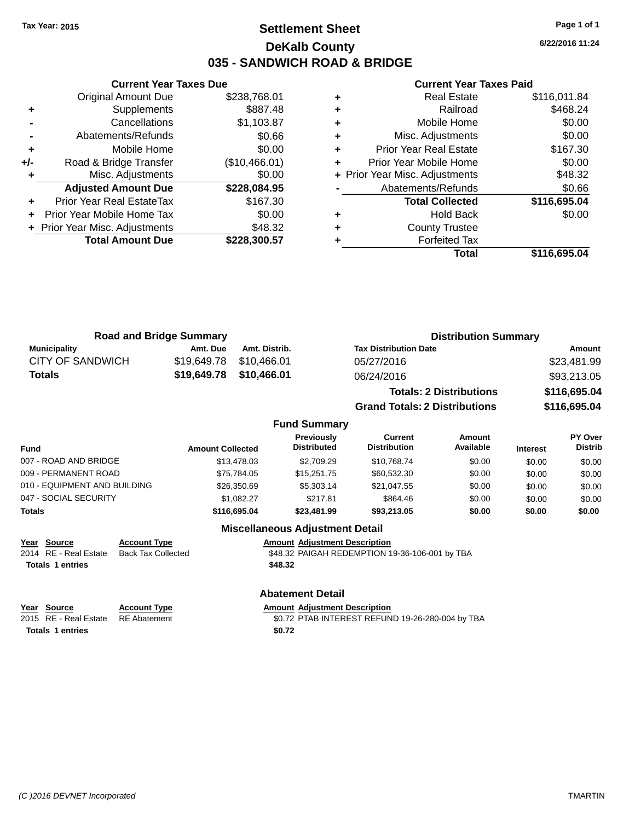# **Settlement Sheet Tax Year: 2015 Page 1 of 1 DeKalb County 035 - SANDWICH ROAD & BRIDGE**

**6/22/2016 11:24**

#### **Current Year Taxes Paid**

|     | <b>Total Amount Due</b>        | \$228,300.57  |
|-----|--------------------------------|---------------|
|     | + Prior Year Misc. Adjustments | \$48.32       |
| ÷   | Prior Year Mobile Home Tax     | \$0.00        |
| ٠   | Prior Year Real EstateTax      | \$167.30      |
|     | <b>Adjusted Amount Due</b>     | \$228,084.95  |
|     | Misc. Adjustments              | \$0.00        |
| +/- | Road & Bridge Transfer         | (\$10,466.01) |
| ٠   | Mobile Home                    | \$0.00        |
|     | Abatements/Refunds             | \$0.66        |
|     | Cancellations                  | \$1,103.87    |
| ٠   | Supplements                    | \$887.48      |
|     | <b>Original Amount Due</b>     | \$238,768.01  |
|     |                                |               |

**Current Year Taxes Due**

| <b>Real Estate</b>            | \$116,011.84                   |
|-------------------------------|--------------------------------|
| Railroad                      | \$468.24                       |
| Mobile Home                   | \$0.00                         |
| Misc. Adjustments             | \$0.00                         |
| <b>Prior Year Real Estate</b> | \$167.30                       |
| Prior Year Mobile Home        | \$0.00                         |
|                               | \$48.32                        |
| Abatements/Refunds            | \$0.66                         |
| <b>Total Collected</b>        | \$116,695.04                   |
| <b>Hold Back</b>              | \$0.00                         |
| <b>County Trustee</b>         |                                |
| <b>Forfeited Tax</b>          |                                |
| Total                         | \$116,695.04                   |
|                               | + Prior Year Misc. Adjustments |

| <b>Road and Bridge Summary</b> |          |                         | <b>Distribution Summary</b>    |              |
|--------------------------------|----------|-------------------------|--------------------------------|--------------|
| <b>Municipality</b>            | Amt. Due | Amt. Distrib.           | <b>Tax Distribution Date</b>   | Amount       |
| <b>CITY OF SANDWICH</b>        |          | \$19,649.78 \$10,466.01 | 05/27/2016                     | \$23,481.99  |
| Totals                         |          | \$19,649.78 \$10,466.01 | 06/24/2016                     | \$93,213.05  |
|                                |          |                         | <b>Totals: 2 Distributions</b> | \$116,695.04 |

**Grand Totals: 2 Distributions \$116,695.04**

#### **Fund Summary**

| Fund                         | <b>Amount Collected</b> | Previously<br><b>Distributed</b> | Current<br><b>Distribution</b> | Amount<br>Available | <b>Interest</b> | <b>PY Over</b><br><b>Distrib</b> |
|------------------------------|-------------------------|----------------------------------|--------------------------------|---------------------|-----------------|----------------------------------|
| 007 - ROAD AND BRIDGE        | \$13,478.03             | \$2,709.29                       | \$10.768.74                    | \$0.00              | \$0.00          | \$0.00                           |
| 009 - PERMANENT ROAD         | \$75.784.05             | \$15,251.75                      | \$60,532.30                    | \$0.00              | \$0.00          | \$0.00                           |
| 010 - EQUIPMENT AND BUILDING | \$26,350.69             | \$5,303.14                       | \$21.047.55                    | \$0.00              | \$0.00          | \$0.00                           |
| 047 - SOCIAL SECURITY        | \$1.082.27              | \$217.81                         | \$864.46                       | \$0.00              | \$0.00          | \$0.00                           |
| Totals                       | \$116,695.04            | \$23,481.99                      | \$93,213,05                    | \$0.00              | \$0.00          | \$0.00                           |

## **Miscellaneous Adjustment Detail**

**Abatement Detail**

|  | Year Source                          | <b>Account Type</b> |
|--|--------------------------------------|---------------------|
|  | 2014 RE - Real Estate Back Tax Colle |                     |
|  | <b>Totals 1 entries</b>              |                     |

**Amount Adjustment Description** -<br>2014 REDEMPTION 19-36-106-001 by TBA **Totals \$48.32 1 entries**

# **Year Source Account Type Account Type Amount Adjustment Description**<br>2015 RE - Real Estate RE Abatement **Account 1998 Amount Adjustment REFUN** Totals 1 entries **12.12 <b>12.12 12.12 12.12 12.12 12.12 12.12 12.12 12.12 12.12 12.12 12.12 12.12 12.12 12.12 12.12 12.12 12.12 12.12 12.12 12.12 12.12 12.12 12.12 12.12 12.12 12.12 12.12 12.12 12.12 12.12 12.12 12.12 12.12**

\$0.72 PTAB INTEREST REFUND 19-26-280-004 by TBA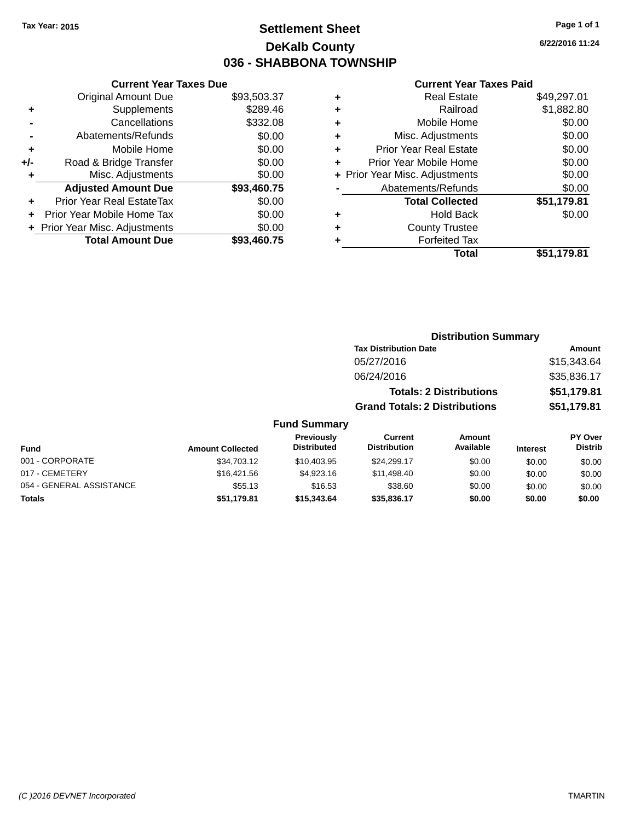# **Settlement Sheet Tax Year: 2015 Page 1 of 1 DeKalb County 036 - SHABBONA TOWNSHIP**

**6/22/2016 11:24**

|     | <b>Current Year Taxes Due</b>  |             |
|-----|--------------------------------|-------------|
|     | <b>Original Amount Due</b>     | \$93,503.37 |
| ٠   | Supplements                    | \$289.46    |
|     | Cancellations                  | \$332.08    |
|     | Abatements/Refunds             | \$0.00      |
| ٠   | Mobile Home                    | \$0.00      |
| +/- | Road & Bridge Transfer         | \$0.00      |
| ٠   | Misc. Adjustments              | \$0.00      |
|     | <b>Adjusted Amount Due</b>     | \$93,460.75 |
| ٠   | Prior Year Real EstateTax      | \$0.00      |
| ÷   | Prior Year Mobile Home Tax     | \$0.00      |
|     | + Prior Year Misc. Adjustments | \$0.00      |
|     | <b>Total Amount Due</b>        | \$93,460.75 |
|     |                                |             |

#### **Current Year Taxes Paid**

|   | Total                          | \$51,179.81 |
|---|--------------------------------|-------------|
| ٠ | <b>Forfeited Tax</b>           |             |
| ٠ | <b>County Trustee</b>          |             |
| ٠ | <b>Hold Back</b>               | \$0.00      |
|   | <b>Total Collected</b>         | \$51,179.81 |
|   | Abatements/Refunds             | \$0.00      |
|   | + Prior Year Misc. Adjustments | \$0.00      |
| ٠ | Prior Year Mobile Home         | \$0.00      |
| ٠ | <b>Prior Year Real Estate</b>  | \$0.00      |
| ٠ | Misc. Adjustments              | \$0.00      |
| ٠ | Mobile Home                    | \$0.00      |
| ٠ | Railroad                       | \$1,882.80  |
|   | <b>Real Estate</b>             | \$49,297.01 |

#### **Distribution Summary Tax Distribution Date Amount** 05/27/2016 \$15,343.64 06/24/2016 \$35,836.17 **Totals: 2 Distributions \$51,179.81 Grand Totals: 2 Distributions \$51,179.81 Fund Summary PY Over Amount Current Previously**

| Fund                     | <b>Amount Collected</b> | Previously<br><b>Distributed</b> | Current<br><b>Distribution</b> | Amount<br>Available | <b>Interest</b> | PY Over<br><b>Distrib</b> |
|--------------------------|-------------------------|----------------------------------|--------------------------------|---------------------|-----------------|---------------------------|
| 001 - CORPORATE          | \$34,703.12             | \$10,403.95                      | \$24,299.17                    | \$0.00              | \$0.00          | \$0.00                    |
| 017 - CEMETERY           | \$16,421.56             | \$4.923.16                       | \$11,498,40                    | \$0.00              | \$0.00          | \$0.00                    |
| 054 - GENERAL ASSISTANCE | \$55.13                 | \$16.53                          | \$38.60                        | \$0.00              | \$0.00          | \$0.00                    |
| <b>Totals</b>            | \$51.179.81             | \$15,343,64                      | \$35,836,17                    | \$0.00              | \$0.00          | \$0.00                    |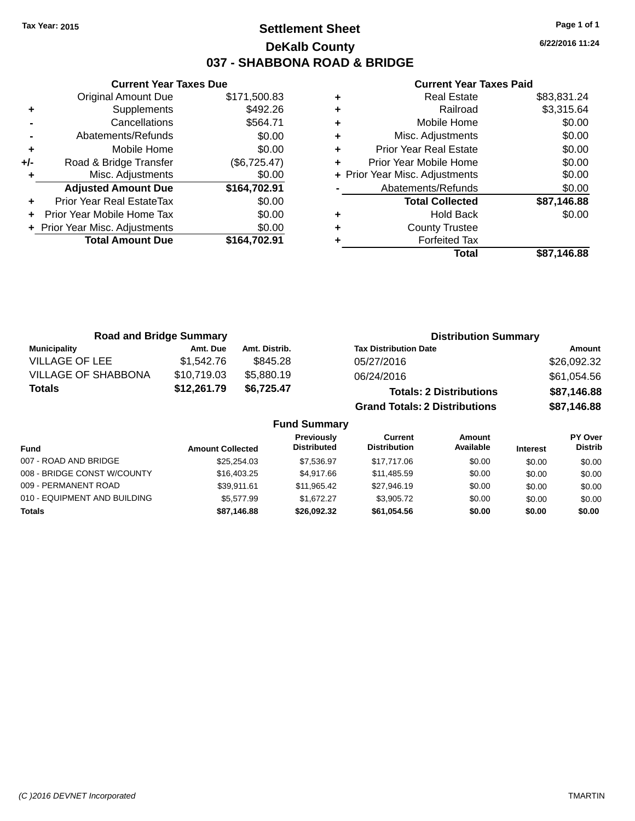# **Settlement Sheet Tax Year: 2015 Page 1 of 1 DeKalb County 037 - SHABBONA ROAD & BRIDGE**

**6/22/2016 11:24**

## **Current Year Taxes Paid**

|       | <b>Current Year Taxes Due</b>  |              |
|-------|--------------------------------|--------------|
|       | <b>Original Amount Due</b>     | \$171,500.83 |
| ٠     | Supplements                    | \$492.26     |
|       | Cancellations                  | \$564.71     |
|       | Abatements/Refunds             | \$0.00       |
| ٠     | Mobile Home                    | \$0.00       |
| $+/-$ | Road & Bridge Transfer         | (\$6,725.47) |
| ٠     | Misc. Adjustments              | \$0.00       |
|       | <b>Adjusted Amount Due</b>     | \$164,702.91 |
| ÷     | Prior Year Real EstateTax      | \$0.00       |
|       | Prior Year Mobile Home Tax     | \$0.00       |
|       | + Prior Year Misc. Adjustments | \$0.00       |
|       | <b>Total Amount Due</b>        | \$164,702.91 |
|       |                                |              |

|   | Real Estate                    | \$83,831.24 |
|---|--------------------------------|-------------|
| ٠ | Railroad                       | \$3,315.64  |
| ٠ | Mobile Home                    | \$0.00      |
| ٠ | Misc. Adjustments              | \$0.00      |
| ٠ | <b>Prior Year Real Estate</b>  | \$0.00      |
| ٠ | Prior Year Mobile Home         | \$0.00      |
|   | + Prior Year Misc. Adjustments | \$0.00      |
|   | Abatements/Refunds             | \$0.00      |
|   | <b>Total Collected</b>         | \$87,146.88 |
| ٠ | <b>Hold Back</b>               | \$0.00      |
| ٠ | <b>County Trustee</b>          |             |
|   | <b>Forfeited Tax</b>           |             |
|   | Total                          | \$87,146.88 |

| <b>Road and Bridge Summary</b> |             |               | <b>Distribution Summary</b>          |             |
|--------------------------------|-------------|---------------|--------------------------------------|-------------|
| <b>Municipality</b>            | Amt. Due    | Amt. Distrib. | <b>Tax Distribution Date</b>         | Amount      |
| <b>VILLAGE OF LEE</b>          | \$1.542.76  | \$845.28      | 05/27/2016                           | \$26,092.32 |
| <b>VILLAGE OF SHABBONA</b>     | \$10,719.03 | \$5,880.19    | 06/24/2016                           | \$61,054.56 |
| <b>Totals</b>                  | \$12,261.79 | \$6,725.47    | <b>Totals: 2 Distributions</b>       | \$87,146.88 |
|                                |             |               | <b>Grand Totals: 2 Distributions</b> | \$87,146.88 |

## **Fund Summary**

| Fund                         | <b>Amount Collected</b> | <b>Previously</b><br><b>Distributed</b> | Current<br><b>Distribution</b> | Amount<br>Available | <b>Interest</b> | PY Over<br><b>Distrib</b> |
|------------------------------|-------------------------|-----------------------------------------|--------------------------------|---------------------|-----------------|---------------------------|
| 007 - ROAD AND BRIDGE        | \$25.254.03             | \$7.536.97                              | \$17,717.06                    | \$0.00              | \$0.00          | \$0.00                    |
| 008 - BRIDGE CONST W/COUNTY  | \$16,403.25             | \$4.917.66                              | \$11,485.59                    | \$0.00              | \$0.00          | \$0.00                    |
| 009 - PERMANENT ROAD         | \$39.911.61             | \$11.965.42                             | \$27.946.19                    | \$0.00              | \$0.00          | \$0.00                    |
| 010 - EQUIPMENT AND BUILDING | \$5,577.99              | \$1.672.27                              | \$3,905.72                     | \$0.00              | \$0.00          | \$0.00                    |
| Totals                       | \$87,146.88             | \$26,092.32                             | \$61.054.56                    | \$0.00              | \$0.00          | \$0.00                    |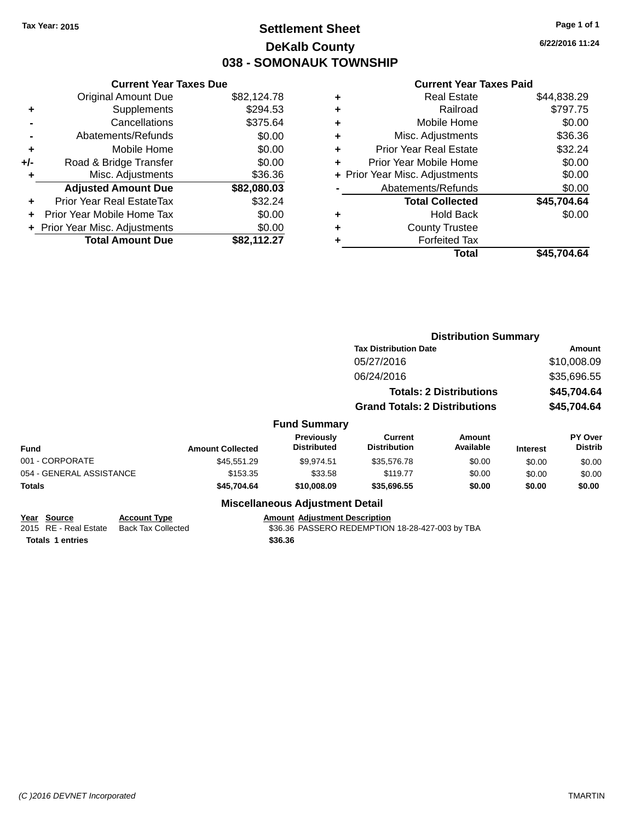# **Settlement Sheet Tax Year: 2015 Page 1 of 1 DeKalb County 038 - SOMONAUK TOWNSHIP**

**6/22/2016 11:24**

#### **Current Year Taxes Paid**

|     | <b>Current Year Taxes Due</b>  |             |
|-----|--------------------------------|-------------|
|     | <b>Original Amount Due</b>     | \$82,124.78 |
| ٠   | Supplements                    | \$294.53    |
|     | Cancellations                  | \$375.64    |
|     | Abatements/Refunds             | \$0.00      |
| ٠   | Mobile Home                    | \$0.00      |
| +/- | Road & Bridge Transfer         | \$0.00      |
| ٠   | Misc. Adjustments              | \$36.36     |
|     | <b>Adjusted Amount Due</b>     | \$82,080.03 |
| ٠   | Prior Year Real EstateTax      | \$32.24     |
|     | Prior Year Mobile Home Tax     | \$0.00      |
|     | + Prior Year Misc. Adjustments | \$0.00      |
|     | <b>Total Amount Due</b>        | \$82,112.27 |
|     |                                |             |

|   | <b>Real Estate</b>             | \$44,838.29 |
|---|--------------------------------|-------------|
| ٠ | Railroad                       | \$797.75    |
| ٠ | Mobile Home                    | \$0.00      |
| ٠ | Misc. Adjustments              | \$36.36     |
| ٠ | <b>Prior Year Real Estate</b>  | \$32.24     |
| ٠ | Prior Year Mobile Home         | \$0.00      |
|   | + Prior Year Misc. Adjustments | \$0.00      |
|   | Abatements/Refunds             | \$0.00      |
|   | <b>Total Collected</b>         | \$45,704.64 |
| ٠ | Hold Back                      | \$0.00      |
| ٠ | <b>County Trustee</b>          |             |
| ٠ | <b>Forfeited Tax</b>           |             |
|   | Total                          | \$45.704.64 |
|   |                                |             |

|                          |                     |                         |                                         | <b>Distribution Summary</b>           |                                |                 |                           |
|--------------------------|---------------------|-------------------------|-----------------------------------------|---------------------------------------|--------------------------------|-----------------|---------------------------|
|                          |                     |                         |                                         | <b>Tax Distribution Date</b>          |                                | Amount          |                           |
|                          |                     |                         |                                         | 05/27/2016                            |                                |                 | \$10,008.09               |
|                          |                     |                         |                                         | 06/24/2016                            |                                |                 | \$35,696.55               |
|                          |                     |                         |                                         |                                       | <b>Totals: 2 Distributions</b> |                 | \$45,704.64               |
|                          |                     |                         |                                         | <b>Grand Totals: 2 Distributions</b>  |                                |                 | \$45,704.64               |
|                          |                     |                         | <b>Fund Summary</b>                     |                                       |                                |                 |                           |
| <b>Fund</b>              |                     | <b>Amount Collected</b> | <b>Previously</b><br><b>Distributed</b> | <b>Current</b><br><b>Distribution</b> | Amount<br>Available            | <b>Interest</b> | PY Over<br><b>Distrib</b> |
| 001 - CORPORATE          |                     | \$45,551.29             | \$9,974.51                              | \$35,576.78                           | \$0.00                         | \$0.00          | \$0.00                    |
| 054 - GENERAL ASSISTANCE |                     | \$153.35                | \$33.58                                 | \$119.77                              | \$0.00                         | \$0.00          | \$0.00                    |
| Totals                   |                     | \$45,704.64             | \$10,008.09                             | \$35,696.55                           | \$0.00                         | \$0.00          | \$0.00                    |
|                          |                     |                         | <b>Miscellaneous Adjustment Detail</b>  |                                       |                                |                 |                           |
| Year Source              | <b>Account Type</b> |                         | <b>Amount Adjustment Description</b>    |                                       |                                |                 |                           |

2015 RE - Real Estate Back Tax Collected **\$36.36 PASSERO REDEMPTION 18-28-427-003 by TBA Totals \$36.36 1 entries**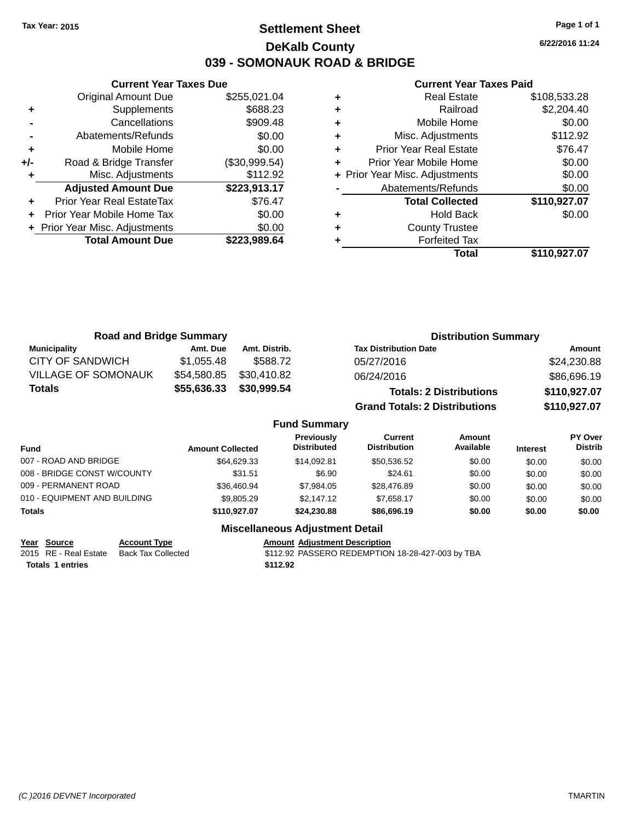# **Settlement Sheet Tax Year: 2015 Page 1 of 1 DeKalb County 039 - SOMONAUK ROAD & BRIDGE**

**6/22/2016 11:24**

#### **Current Year Taxes Paid**

|       | <b>Current Year Taxes Due</b> |               |  |  |  |  |
|-------|-------------------------------|---------------|--|--|--|--|
|       | <b>Original Amount Due</b>    | \$255,021.04  |  |  |  |  |
| ٠     | Supplements                   | \$688.23      |  |  |  |  |
|       | Cancellations                 | \$909.48      |  |  |  |  |
|       | Abatements/Refunds            | \$0.00        |  |  |  |  |
| ٠     | Mobile Home                   | \$0.00        |  |  |  |  |
| $+/-$ | Road & Bridge Transfer        | (\$30,999.54) |  |  |  |  |
|       | Misc. Adjustments             | \$112.92      |  |  |  |  |
|       | <b>Adjusted Amount Due</b>    | \$223,913.17  |  |  |  |  |
| ٠     | Prior Year Real EstateTax     | \$76.47       |  |  |  |  |
|       | Prior Year Mobile Home Tax    | \$0.00        |  |  |  |  |
|       | Prior Year Misc. Adjustments  | \$0.00        |  |  |  |  |
|       | <b>Total Amount Due</b>       | \$223.989.64  |  |  |  |  |
|       |                               |               |  |  |  |  |

| ٠ | <b>Real Estate</b>             | \$108,533.28 |
|---|--------------------------------|--------------|
| ٠ | Railroad                       | \$2,204.40   |
| ٠ | Mobile Home                    | \$0.00       |
| ٠ | Misc. Adjustments              | \$112.92     |
| ٠ | <b>Prior Year Real Estate</b>  | \$76.47      |
| ٠ | Prior Year Mobile Home         | \$0.00       |
|   | + Prior Year Misc. Adjustments | \$0.00       |
|   | Abatements/Refunds             | \$0.00       |
|   | <b>Total Collected</b>         | \$110,927.07 |
| ٠ | <b>Hold Back</b>               | \$0.00       |
| ٠ | <b>County Trustee</b>          |              |
| ٠ | <b>Forfeited Tax</b>           |              |
|   | Total                          | \$110,927.07 |

| <b>Road and Bridge Summary</b> |             |               | <b>Distribution Summary</b>          |              |
|--------------------------------|-------------|---------------|--------------------------------------|--------------|
| <b>Municipality</b>            | Amt. Due    | Amt. Distrib. | <b>Tax Distribution Date</b>         | Amount       |
| CITY OF SANDWICH               | \$1.055.48  | \$588.72      | 05/27/2016                           | \$24,230.88  |
| <b>VILLAGE OF SOMONAUK</b>     | \$54,580.85 | \$30,410.82   | 06/24/2016                           | \$86,696.19  |
| Totals                         | \$55,636.33 | \$30,999.54   | <b>Totals: 2 Distributions</b>       | \$110,927.07 |
|                                |             |               | <b>Grand Totals: 2 Distributions</b> | \$110,927.07 |

#### **Fund Summary**

| Fund                         | <b>Amount Collected</b> | <b>Previously</b><br><b>Distributed</b> | Current<br><b>Distribution</b> | Amount<br>Available | <b>Interest</b> | <b>PY Over</b><br><b>Distrib</b> |
|------------------------------|-------------------------|-----------------------------------------|--------------------------------|---------------------|-----------------|----------------------------------|
| 007 - ROAD AND BRIDGE        | \$64.629.33             | \$14.092.81                             | \$50.536.52                    | \$0.00              | \$0.00          | \$0.00                           |
| 008 - BRIDGE CONST W/COUNTY  | \$31.51                 | \$6.90                                  | \$24.61                        | \$0.00              | \$0.00          | \$0.00                           |
| 009 - PERMANENT ROAD         | \$36.460.94             | \$7.984.05                              | \$28,476.89                    | \$0.00              | \$0.00          | \$0.00                           |
| 010 - EQUIPMENT AND BUILDING | \$9,805.29              | \$2,147.12                              | \$7.658.17                     | \$0.00              | \$0.00          | \$0.00                           |
| <b>Totals</b>                | \$110.927.07            | \$24.230.88                             | \$86,696.19                    | \$0.00              | \$0.00          | \$0.00                           |

## **Miscellaneous Adjustment Detail**

**<u>Year Source</u> Account Type<br>
2015 RE - Real Estate Back Tax Collected Totals 1 entries 12.92** 

Amount Adjustment Description<br>\$112.92 PASSERO REDEMPTION 18-28-427-003 by TBA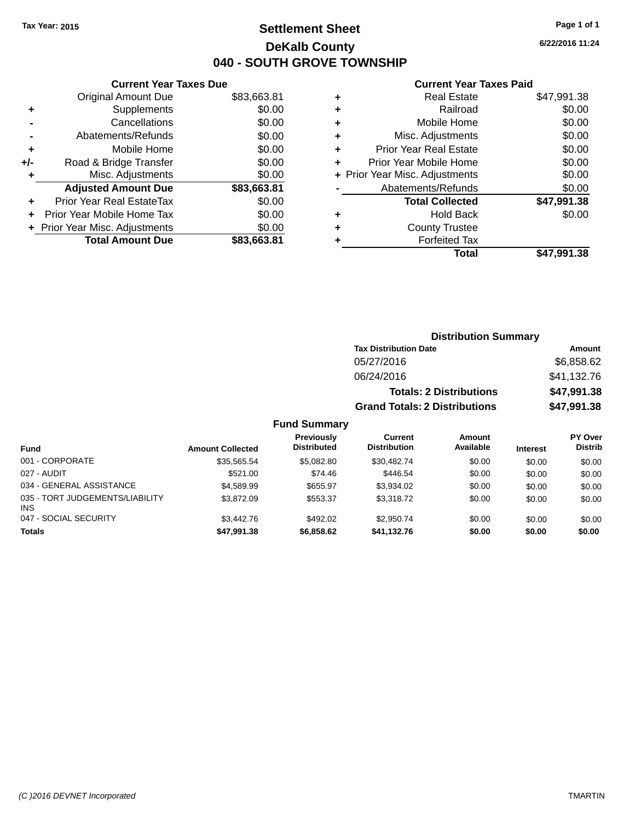# **Settlement Sheet Tax Year: 2015 Page 1 of 1 DeKalb County 040 - SOUTH GROVE TOWNSHIP**

**6/22/2016 11:24**

### **Current Year Taxes Paid**

|       | <b>Current Year Taxes Due</b>  |             |  |  |  |  |
|-------|--------------------------------|-------------|--|--|--|--|
|       | <b>Original Amount Due</b>     | \$83,663.81 |  |  |  |  |
| ٠     | Supplements                    | \$0.00      |  |  |  |  |
|       | Cancellations                  | \$0.00      |  |  |  |  |
|       | Abatements/Refunds             | \$0.00      |  |  |  |  |
| ٠     | Mobile Home                    | \$0.00      |  |  |  |  |
| $+/-$ | Road & Bridge Transfer         | \$0.00      |  |  |  |  |
|       | Misc. Adjustments              | \$0.00      |  |  |  |  |
|       | <b>Adjusted Amount Due</b>     | \$83,663.81 |  |  |  |  |
| ٠     | Prior Year Real EstateTax      | \$0.00      |  |  |  |  |
|       | Prior Year Mobile Home Tax     | \$0.00      |  |  |  |  |
|       | + Prior Year Misc. Adjustments | \$0.00      |  |  |  |  |
|       | <b>Total Amount Due</b>        | \$83.663.81 |  |  |  |  |
|       |                                |             |  |  |  |  |

| ٠ | <b>Real Estate</b>             | \$47,991.38 |
|---|--------------------------------|-------------|
| ٠ | Railroad                       | \$0.00      |
| ٠ | Mobile Home                    | \$0.00      |
| ٠ | Misc. Adjustments              | \$0.00      |
| ٠ | <b>Prior Year Real Estate</b>  | \$0.00      |
| ٠ | Prior Year Mobile Home         | \$0.00      |
|   | + Prior Year Misc. Adjustments | \$0.00      |
|   | Abatements/Refunds             | \$0.00      |
|   | <b>Total Collected</b>         | \$47,991.38 |
| ٠ | <b>Hold Back</b>               | \$0.00      |
| ٠ | <b>County Trustee</b>          |             |
| ٠ | <b>Forfeited Tax</b>           |             |
|   | Total                          | \$47,991.38 |
|   |                                |             |

| <b>Distribution Summary</b>          |             |  |  |  |  |
|--------------------------------------|-------------|--|--|--|--|
| <b>Tax Distribution Date</b>         | Amount      |  |  |  |  |
| 05/27/2016                           | \$6,858.62  |  |  |  |  |
| 06/24/2016                           | \$41,132.76 |  |  |  |  |
| <b>Totals: 2 Distributions</b>       | \$47,991.38 |  |  |  |  |
| <b>Grand Totals: 2 Distributions</b> | \$47,991.38 |  |  |  |  |

## **Fund Summary**

| <b>Fund</b>                                   | <b>Amount Collected</b> | Previously<br><b>Distributed</b> | Current<br><b>Distribution</b> | <b>Amount</b><br>Available | <b>Interest</b> | PY Over<br><b>Distrib</b> |
|-----------------------------------------------|-------------------------|----------------------------------|--------------------------------|----------------------------|-----------------|---------------------------|
| 001 - CORPORATE                               | \$35.565.54             | \$5.082.80                       | \$30,482.74                    | \$0.00                     | \$0.00          | \$0.00                    |
| 027 - AUDIT                                   | \$521.00                | \$74.46                          | \$446.54                       | \$0.00                     | \$0.00          | \$0.00                    |
| 034 - GENERAL ASSISTANCE                      | \$4,589.99              | \$655.97                         | \$3.934.02                     | \$0.00                     | \$0.00          | \$0.00                    |
| 035 - TORT JUDGEMENTS/LIABILITY<br><b>INS</b> | \$3,872.09              | \$553.37                         | \$3,318.72                     | \$0.00                     | \$0.00          | \$0.00                    |
| 047 - SOCIAL SECURITY                         | \$3,442.76              | \$492.02                         | \$2.950.74                     | \$0.00                     | \$0.00          | \$0.00                    |
| <b>Totals</b>                                 | \$47,991.38             | \$6,858.62                       | \$41,132.76                    | \$0.00                     | \$0.00          | \$0.00                    |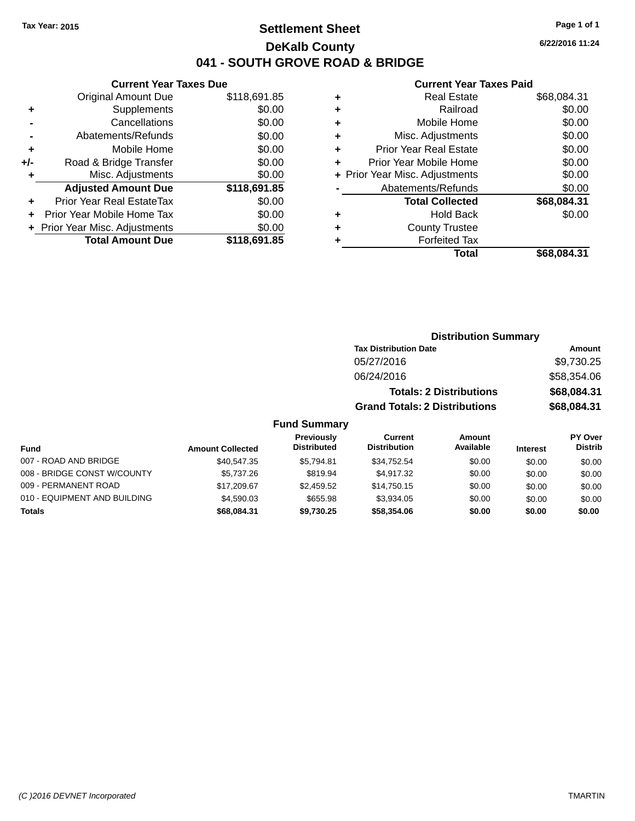# **Settlement Sheet Tax Year: 2015 Page 1 of 1 DeKalb County 041 - SOUTH GROVE ROAD & BRIDGE**

**6/22/2016 11:24**

## **Current Year Taxes Paid**

|       | <b>Current Year Taxes Due</b>  |              |  |  |  |  |
|-------|--------------------------------|--------------|--|--|--|--|
|       | <b>Original Amount Due</b>     | \$118,691.85 |  |  |  |  |
| ٠     | Supplements                    | \$0.00       |  |  |  |  |
|       | Cancellations                  | \$0.00       |  |  |  |  |
|       | Abatements/Refunds             | \$0.00       |  |  |  |  |
| ٠     | Mobile Home                    | \$0.00       |  |  |  |  |
| $+/-$ | Road & Bridge Transfer         | \$0.00       |  |  |  |  |
| ٠     | Misc. Adjustments              | \$0.00       |  |  |  |  |
|       | <b>Adjusted Amount Due</b>     | \$118,691.85 |  |  |  |  |
| ٠     | Prior Year Real EstateTax      | \$0.00       |  |  |  |  |
|       | Prior Year Mobile Home Tax     | \$0.00       |  |  |  |  |
|       | + Prior Year Misc. Adjustments | \$0.00       |  |  |  |  |
|       | <b>Total Amount Due</b>        | \$118,691.85 |  |  |  |  |
|       |                                |              |  |  |  |  |

|   | <b>Real Estate</b>             | \$68,084.31 |
|---|--------------------------------|-------------|
| ٠ | Railroad                       | \$0.00      |
| ٠ | Mobile Home                    | \$0.00      |
| ٠ | Misc. Adjustments              | \$0.00      |
| ٠ | <b>Prior Year Real Estate</b>  | \$0.00      |
| ٠ | Prior Year Mobile Home         | \$0.00      |
|   | + Prior Year Misc. Adjustments | \$0.00      |
|   | Abatements/Refunds             | \$0.00      |
|   | <b>Total Collected</b>         | \$68,084.31 |
| ٠ | <b>Hold Back</b>               | \$0.00      |
| ٠ | <b>County Trustee</b>          |             |
| ٠ | <b>Forfeited Tax</b>           |             |
|   | Total                          | \$68,084.31 |
|   |                                |             |

|                     | <b>Distribution Summary</b>          |               |
|---------------------|--------------------------------------|---------------|
|                     | <b>Tax Distribution Date</b>         | <b>Amount</b> |
|                     | 05/27/2016                           | \$9,730.25    |
|                     | 06/24/2016                           | \$58,354.06   |
|                     | <b>Totals: 2 Distributions</b>       | \$68,084.31   |
|                     | <b>Grand Totals: 2 Distributions</b> | \$68,084.31   |
| <b>Fund Summary</b> |                                      |               |

#### **Fund Interest Amount Collected Distributed PY Over Distrib Amount Available Current Distribution Previously** 007 - ROAD AND BRIDGE 60.00 \$40,547.35 \$5,794.81 \$34,752.54 \$0.00 \$0.00 \$0.00 \$0.00 008 - BRIDGE CONST W/COUNTY  $$5,737.26$   $$819.94$   $$4,917.32$   $$0.00$   $$0.00$   $$0.00$ 009 - PERMANENT ROAD \$17,209.67 \$2,459.52 \$14,750.15 \$0.00 \$0.00 \$0.00 \$0.00 010 - EQUIPMENT AND BUILDING \$4,590.03 \$655.98 \$3,934.05 \$0.00 \$0.00 \$0.00 \$0.00 **Totals \$68,084.31 \$9,730.25 \$58,354.06 \$0.00 \$0.00 \$0.00**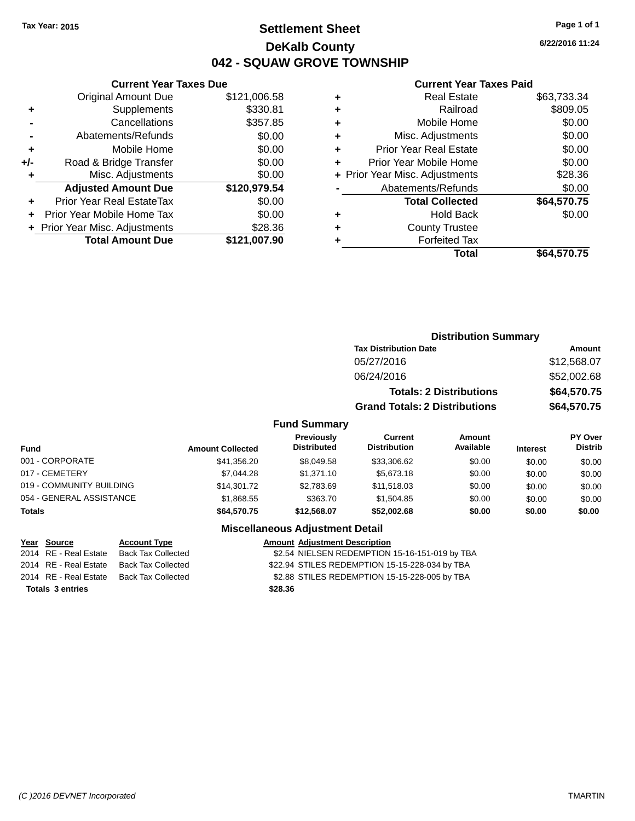# **Settlement Sheet Tax Year: 2015 Page 1 of 1 DeKalb County 042 - SQUAW GROVE TOWNSHIP**

**6/22/2016 11:24**

# **Current Year Taxes Paid**

|     | <b>Current Year Taxes Due</b>             |              |  |  |  |  |  |
|-----|-------------------------------------------|--------------|--|--|--|--|--|
|     | \$121,006.58<br>Original Amount Due       |              |  |  |  |  |  |
| ٠   | Supplements                               | \$330.81     |  |  |  |  |  |
|     | \$357.85<br>Cancellations                 |              |  |  |  |  |  |
|     | Abatements/Refunds                        | \$0.00       |  |  |  |  |  |
| ÷   | Mobile Home                               | \$0.00       |  |  |  |  |  |
| +/- | Road & Bridge Transfer                    | \$0.00       |  |  |  |  |  |
| ٠   | Misc. Adjustments                         | \$0.00       |  |  |  |  |  |
|     | <b>Adjusted Amount Due</b>                | \$120,979.54 |  |  |  |  |  |
| ÷   | Prior Year Real EstateTax                 | \$0.00       |  |  |  |  |  |
|     | Prior Year Mobile Home Tax                | \$0.00       |  |  |  |  |  |
|     | \$28.36<br>+ Prior Year Misc. Adjustments |              |  |  |  |  |  |
|     | <b>Total Amount Due</b>                   | \$121,007.90 |  |  |  |  |  |
|     |                                           |              |  |  |  |  |  |

| <b>Real Estate</b>             | \$63,733.34 |
|--------------------------------|-------------|
| Railroad                       | \$809.05    |
| Mobile Home                    | \$0.00      |
| Misc. Adjustments              | \$0.00      |
| Prior Year Real Estate         | \$0.00      |
| Prior Year Mobile Home         | \$0.00      |
| + Prior Year Misc. Adjustments | \$28.36     |
| Abatements/Refunds             | \$0.00      |
| <b>Total Collected</b>         | \$64,570.75 |
| <b>Hold Back</b>               | \$0.00      |
| <b>County Trustee</b>          |             |
| <b>Forfeited Tax</b>           |             |
| Total                          | \$64,570.75 |
|                                |             |

|                     | <b>Distribution Summary</b>          |             |
|---------------------|--------------------------------------|-------------|
|                     | <b>Tax Distribution Date</b>         | Amount      |
|                     | 05/27/2016                           | \$12,568.07 |
|                     | 06/24/2016                           | \$52,002.68 |
|                     | <b>Totals: 2 Distributions</b>       | \$64,570.75 |
|                     | <b>Grand Totals: 2 Distributions</b> | \$64,570.75 |
| <b>Fund Summary</b> |                                      |             |

| Fund                     | <b>Amount Collected</b> | <b>Previously</b><br><b>Distributed</b> | Current<br><b>Distribution</b> | Amount<br>Available | <b>Interest</b> | PY Over<br><b>Distrib</b> |
|--------------------------|-------------------------|-----------------------------------------|--------------------------------|---------------------|-----------------|---------------------------|
| 001 - CORPORATE          | \$41.356.20             | \$8,049.58                              | \$33,306.62                    | \$0.00              | \$0.00          | \$0.00                    |
| 017 - CEMETERY           | \$7.044.28              | \$1,371.10                              | \$5,673.18                     | \$0.00              | \$0.00          | \$0.00                    |
| 019 - COMMUNITY BUILDING | \$14.301.72             | \$2,783.69                              | \$11,518,03                    | \$0.00              | \$0.00          | \$0.00                    |
| 054 - GENERAL ASSISTANCE | \$1,868.55              | \$363.70                                | \$1,504.85                     | \$0.00              | \$0.00          | \$0.00                    |
| <b>Totals</b>            | \$64,570.75             | \$12.568.07                             | \$52,002.68                    | \$0.00              | \$0.00          | \$0.00                    |

## **Miscellaneous Adjustment Detail**

| Year Source             | <b>Account Type</b>       |         | <b>Amount Adjustment Description</b>           |
|-------------------------|---------------------------|---------|------------------------------------------------|
| 2014 RE - Real Estate   | <b>Back Tax Collected</b> |         | \$2.54 NIELSEN REDEMPTION 15-16-151-019 by TBA |
| 2014 RE - Real Estate   | Back Tax Collected        |         | \$22.94 STILES REDEMPTION 15-15-228-034 by TBA |
| 2014 RE - Real Estate   | Back Tax Collected        |         | \$2.88 STILES REDEMPTION 15-15-228-005 by TBA  |
| <b>Totals 3 entries</b> |                           | \$28.36 |                                                |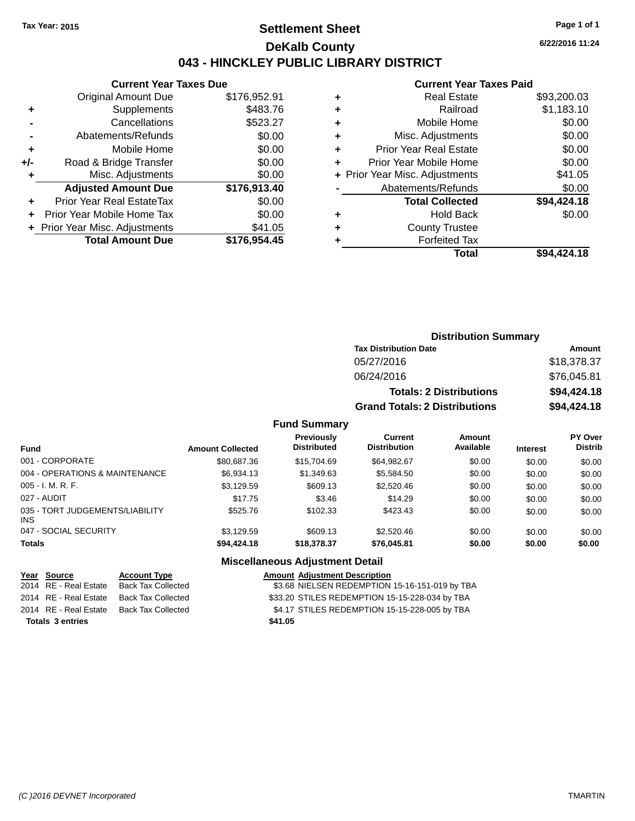# **Settlement Sheet Tax Year: 2015 Page 1 of 1 DeKalb County 043 - HINCKLEY PUBLIC LIBRARY DISTRICT**

**6/22/2016 11:24**

# **Current Year Taxes Paid**

|     | <b>Current Year Taxes Due</b>  |              |  |  |  |  |
|-----|--------------------------------|--------------|--|--|--|--|
|     | <b>Original Amount Due</b>     | \$176,952.91 |  |  |  |  |
| ٠   | Supplements                    | \$483.76     |  |  |  |  |
|     | Cancellations                  | \$523.27     |  |  |  |  |
|     | Abatements/Refunds             | \$0.00       |  |  |  |  |
| ٠   | Mobile Home                    | \$0.00       |  |  |  |  |
| +/- | Road & Bridge Transfer         | \$0.00       |  |  |  |  |
| ٠   | Misc. Adjustments              | \$0.00       |  |  |  |  |
|     | <b>Adjusted Amount Due</b>     | \$176,913.40 |  |  |  |  |
| ÷   | Prior Year Real EstateTax      | \$0.00       |  |  |  |  |
| ÷   | Prior Year Mobile Home Tax     | \$0.00       |  |  |  |  |
|     | + Prior Year Misc. Adjustments | \$41.05      |  |  |  |  |
|     | <b>Total Amount Due</b>        | \$176.954.45 |  |  |  |  |
|     |                                |              |  |  |  |  |

|   | Total                          | \$94,424.18 |
|---|--------------------------------|-------------|
| ٠ | <b>Forfeited Tax</b>           |             |
| ٠ | <b>County Trustee</b>          |             |
| ٠ | <b>Hold Back</b>               | \$0.00      |
|   | <b>Total Collected</b>         | \$94,424.18 |
|   | Abatements/Refunds             | \$0.00      |
|   | + Prior Year Misc. Adjustments | \$41.05     |
| ٠ | Prior Year Mobile Home         | \$0.00      |
| ÷ | <b>Prior Year Real Estate</b>  | \$0.00      |
| ٠ | Misc. Adjustments              | \$0.00      |
| ٠ | Mobile Home                    | \$0.00      |
| ÷ | Railroad                       | \$1,183.10  |
| ٠ | <b>Real Estate</b>             | \$93,200.03 |
|   |                                |             |

| <b>Distribution Summary</b>          |             |  |  |  |  |
|--------------------------------------|-------------|--|--|--|--|
| <b>Tax Distribution Date</b>         | Amount      |  |  |  |  |
| 05/27/2016                           | \$18,378.37 |  |  |  |  |
| 06/24/2016                           | \$76,045.81 |  |  |  |  |
| <b>Totals: 2 Distributions</b>       | \$94,424.18 |  |  |  |  |
| <b>Grand Totals: 2 Distributions</b> | \$94,424.18 |  |  |  |  |

## **Fund Summary**

| <b>Fund</b>                             | <b>Amount Collected</b> | <b>Previously</b><br><b>Distributed</b> | Current<br><b>Distribution</b> | Amount<br>Available | <b>Interest</b> | <b>PY Over</b><br><b>Distrib</b> |
|-----------------------------------------|-------------------------|-----------------------------------------|--------------------------------|---------------------|-----------------|----------------------------------|
| 001 - CORPORATE                         | \$80,687.36             | \$15,704.69                             | \$64.982.67                    | \$0.00              | \$0.00          | \$0.00                           |
| 004 - OPERATIONS & MAINTENANCE          | \$6.934.13              | \$1,349.63                              | \$5.584.50                     | \$0.00              | \$0.00          | \$0.00                           |
| $005 - I. M. R. F.$                     | \$3,129.59              | \$609.13                                | \$2,520.46                     | \$0.00              | \$0.00          | \$0.00                           |
| 027 - AUDIT                             | \$17.75                 | \$3.46                                  | \$14.29                        | \$0.00              | \$0.00          | \$0.00                           |
| 035 - TORT JUDGEMENTS/LIABILITY<br>INS. | \$525.76                | \$102.33                                | \$423.43                       | \$0.00              | \$0.00          | \$0.00                           |
| 047 - SOCIAL SECURITY                   | \$3.129.59              | \$609.13                                | \$2,520.46                     | \$0.00              | \$0.00          | \$0.00                           |
| <b>Totals</b>                           | \$94,424.18             | \$18,378.37                             | \$76,045.81                    | \$0.00              | \$0.00          | \$0.00                           |

## **Miscellaneous Adjustment Detail**

|                         | Year Source | <b>Account Type</b>                      |         | <b>Amount Adjustment Description</b>           |
|-------------------------|-------------|------------------------------------------|---------|------------------------------------------------|
|                         |             | 2014 RE - Real Estate Back Tax Collected |         | \$3.68 NIELSEN REDEMPTION 15-16-151-019 by TBA |
|                         |             | 2014 RE - Real Estate Back Tax Collected |         | \$33.20 STILES REDEMPTION 15-15-228-034 by TBA |
|                         |             | 2014 RE - Real Estate Back Tax Collected |         | \$4.17 STILES REDEMPTION 15-15-228-005 by TBA  |
| <b>Totals 3 entries</b> |             |                                          | \$41.05 |                                                |
|                         |             |                                          |         |                                                |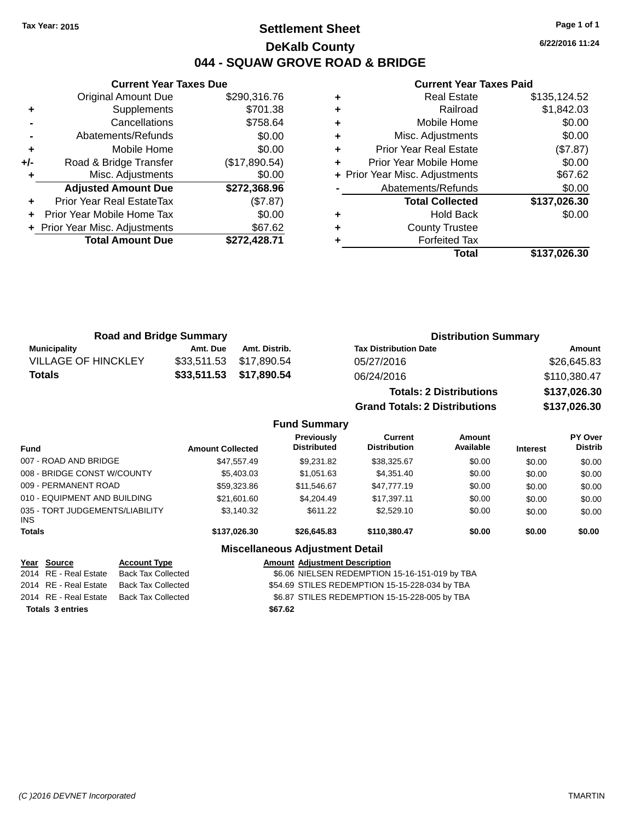# **Settlement Sheet Tax Year: 2015 Page 1 of 1 DeKalb County 044 - SQUAW GROVE ROAD & BRIDGE**

**6/22/2016 11:24**

# **Current Year Taxes Paid**

|       | <b>Current Year Taxes Due</b>  |               |
|-------|--------------------------------|---------------|
|       | <b>Original Amount Due</b>     | \$290,316.76  |
| ٠     | Supplements                    | \$701.38      |
|       | Cancellations                  | \$758.64      |
|       | Abatements/Refunds             | \$0.00        |
| ٠     | Mobile Home                    | \$0.00        |
| $+/-$ | Road & Bridge Transfer         | (\$17,890.54) |
|       | Misc. Adjustments              | \$0.00        |
|       | <b>Adjusted Amount Due</b>     | \$272,368.96  |
| ٠     | Prior Year Real EstateTax      | (\$7.87)      |
|       | Prior Year Mobile Home Tax     | \$0.00        |
|       | + Prior Year Misc. Adjustments | \$67.62       |
|       | <b>Total Amount Due</b>        | \$272,428.71  |
|       |                                |               |

| ٠ | <b>Real Estate</b>             | \$135,124.52 |
|---|--------------------------------|--------------|
| ٠ | Railroad                       | \$1,842.03   |
| ٠ | Mobile Home                    | \$0.00       |
| ٠ | Misc. Adjustments              | \$0.00       |
| ٠ | <b>Prior Year Real Estate</b>  | (\$7.87)     |
| ٠ | Prior Year Mobile Home         | \$0.00       |
|   | + Prior Year Misc. Adjustments | \$67.62      |
|   | Abatements/Refunds             | \$0.00       |
|   | <b>Total Collected</b>         | \$137,026.30 |
| ٠ | <b>Hold Back</b>               | \$0.00       |
| ٠ | <b>County Trustee</b>          |              |
| ٠ | <b>Forfeited Tax</b>           |              |
|   | Total                          | \$137,026.30 |
|   |                                |              |

| <b>Road and Bridge Summary</b> |          |                         | <b>Distribution Summary</b>    |              |  |
|--------------------------------|----------|-------------------------|--------------------------------|--------------|--|
| Municipality                   | Amt. Due | Amt. Distrib.           | <b>Tax Distribution Date</b>   | Amount       |  |
| <b>VILLAGE OF HINCKLEY</b>     |          | \$33,511.53 \$17,890.54 | 05/27/2016                     | \$26,645.83  |  |
| <b>Totals</b>                  |          | \$33,511.53 \$17,890.54 | 06/24/2016                     | \$110,380.47 |  |
|                                |          |                         | <b>Totals: 2 Distributions</b> | \$137,026.30 |  |

**Grand Totals: 2 Distributions \$137,026.30**

**Fund Summary**

| <b>Fund</b>                             | <b>Amount Collected</b> | Previously<br><b>Distributed</b>       | Current<br><b>Distribution</b> | Amount<br>Available | <b>Interest</b> | PY Over<br><b>Distrib</b> |
|-----------------------------------------|-------------------------|----------------------------------------|--------------------------------|---------------------|-----------------|---------------------------|
| 007 - ROAD AND BRIDGE                   | \$47,557.49             | \$9,231.82                             | \$38,325.67                    | \$0.00              | \$0.00          | \$0.00                    |
| 008 - BRIDGE CONST W/COUNTY             | \$5,403.03              | \$1,051.63                             | \$4,351.40                     | \$0.00              | \$0.00          | \$0.00                    |
| 009 - PERMANENT ROAD                    | \$59,323.86             | \$11,546.67                            | \$47,777,19                    | \$0.00              | \$0.00          | \$0.00                    |
| 010 - EQUIPMENT AND BUILDING            | \$21,601.60             | \$4,204.49                             | \$17.397.11                    | \$0.00              | \$0.00          | \$0.00                    |
| 035 - TORT JUDGEMENTS/LIABILITY<br>INS. | \$3,140.32              | \$611.22                               | \$2,529.10                     | \$0.00              | \$0.00          | \$0.00                    |
| Totals                                  | \$137.026.30            | \$26,645.83                            | \$110.380.47                   | \$0.00              | \$0.00          | \$0.00                    |
|                                         |                         | <b>Miscellaneous Adjustment Detail</b> |                                |                     |                 |                           |

|                         | <u>Year Source</u>    | <b>Account Type</b> |         | <b>Amount Adjustment Description</b>           |
|-------------------------|-----------------------|---------------------|---------|------------------------------------------------|
|                         | 2014 RE - Real Estate | Back Tax Collected  |         | \$6.06 NIELSEN REDEMPTION 15-16-151-019 by TBA |
|                         | 2014 RE - Real Estate | Back Tax Collected  |         | \$54.69 STILES REDEMPTION 15-15-228-034 by TBA |
|                         | 2014 RE - Real Estate | Back Tax Collected  |         | \$6.87 STILES REDEMPTION 15-15-228-005 by TBA  |
| <b>Totals 3 entries</b> |                       |                     | \$67.62 |                                                |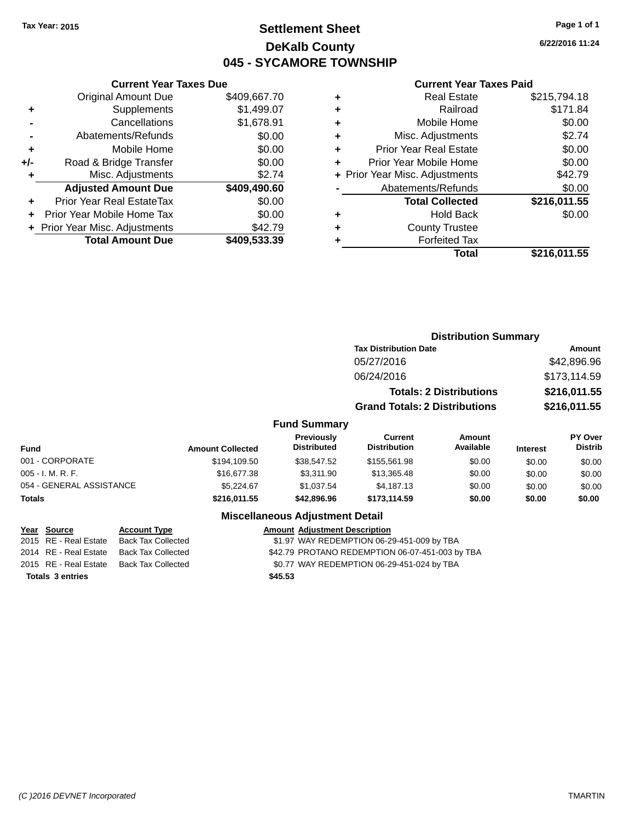# **Settlement Sheet Tax Year: 2015 Page 1 of 1 DeKalb County 045 - SYCAMORE TOWNSHIP**

**6/22/2016 11:24**

#### **Current Year Taxes Paid**

|     | <b>Current Year Taxes Due</b>  |              |  |  |
|-----|--------------------------------|--------------|--|--|
|     | <b>Original Amount Due</b>     | \$409,667.70 |  |  |
| ÷   | Supplements                    | \$1,499.07   |  |  |
|     | Cancellations                  | \$1,678.91   |  |  |
|     | Abatements/Refunds             | \$0.00       |  |  |
| ٠   | Mobile Home                    | \$0.00       |  |  |
| +/- | Road & Bridge Transfer         | \$0.00       |  |  |
|     | \$2.74<br>Misc. Adjustments    |              |  |  |
|     | <b>Adjusted Amount Due</b>     | \$409,490.60 |  |  |
| ÷   | Prior Year Real EstateTax      | \$0.00       |  |  |
|     | Prior Year Mobile Home Tax     | \$0.00       |  |  |
|     | + Prior Year Misc. Adjustments | \$42.79      |  |  |
|     | <b>Total Amount Due</b>        | \$409,533.39 |  |  |
|     |                                |              |  |  |

| ٠ | <b>Real Estate</b>             | \$215,794.18 |
|---|--------------------------------|--------------|
| ٠ | Railroad                       | \$171.84     |
| ٠ | Mobile Home                    | \$0.00       |
| ٠ | Misc. Adjustments              | \$2.74       |
| ٠ | <b>Prior Year Real Estate</b>  | \$0.00       |
| ÷ | Prior Year Mobile Home         | \$0.00       |
|   | + Prior Year Misc. Adjustments | \$42.79      |
|   | Abatements/Refunds             | \$0.00       |
|   | <b>Total Collected</b>         | \$216,011.55 |
| ٠ | Hold Back                      | \$0.00       |
| ٠ | <b>County Trustee</b>          |              |
| ٠ | <b>Forfeited Tax</b>           |              |
|   | Total                          | \$216,011.55 |
|   |                                |              |

|                     | <b>Distribution Summary</b>          |                                |                |  |
|---------------------|--------------------------------------|--------------------------------|----------------|--|
|                     | <b>Tax Distribution Date</b>         |                                | Amount         |  |
|                     | 05/27/2016                           |                                | \$42,896.96    |  |
|                     | 06/24/2016                           |                                | \$173,114.59   |  |
|                     |                                      | <b>Totals: 2 Distributions</b> | \$216,011.55   |  |
|                     | <b>Grand Totals: 2 Distributions</b> |                                | \$216,011.55   |  |
| <b>Fund Summary</b> |                                      |                                |                |  |
| Previously          | Current                              | Amount                         | <b>PY Over</b> |  |

| <b>Fund</b>              | <b>Amount Collected</b> | <b>Previously</b><br><b>Distributed</b> | Current<br><b>Distribution</b> | Amount<br>Available | <b>Interest</b> | PY Over<br><b>Distrib</b> |
|--------------------------|-------------------------|-----------------------------------------|--------------------------------|---------------------|-----------------|---------------------------|
| 001 - CORPORATE          | \$194,109.50            | \$38.547.52                             | \$155,561.98                   | \$0.00              | \$0.00          | \$0.00                    |
| $005 - I. M. R. F.$      | \$16,677.38             | \$3.311.90                              | \$13,365.48                    | \$0.00              | \$0.00          | \$0.00                    |
| 054 - GENERAL ASSISTANCE | \$5.224.67              | \$1.037.54                              | \$4.187.13                     | \$0.00              | \$0.00          | \$0.00                    |
| <b>Totals</b>            | \$216,011.55            | \$42,896.96                             | \$173.114.59                   | \$0.00              | \$0.00          | \$0.00                    |

## **Miscellaneous Adjustment Detail**

| Year Source           | <b>Account Type</b>                      | <b>Amount Adjustment Description</b>            |
|-----------------------|------------------------------------------|-------------------------------------------------|
| 2015 RE - Real Estate | Back Tax Collected                       | \$1.97 WAY REDEMPTION 06-29-451-009 by TBA      |
| 2014 RE - Real Estate | Back Tax Collected                       | \$42.79 PROTANO REDEMPTION 06-07-451-003 by TBA |
|                       | 2015 RE - Real Estate Back Tax Collected | \$0.77 WAY REDEMPTION 06-29-451-024 by TBA      |
| Totals 3 entries      |                                          | \$45.53                                         |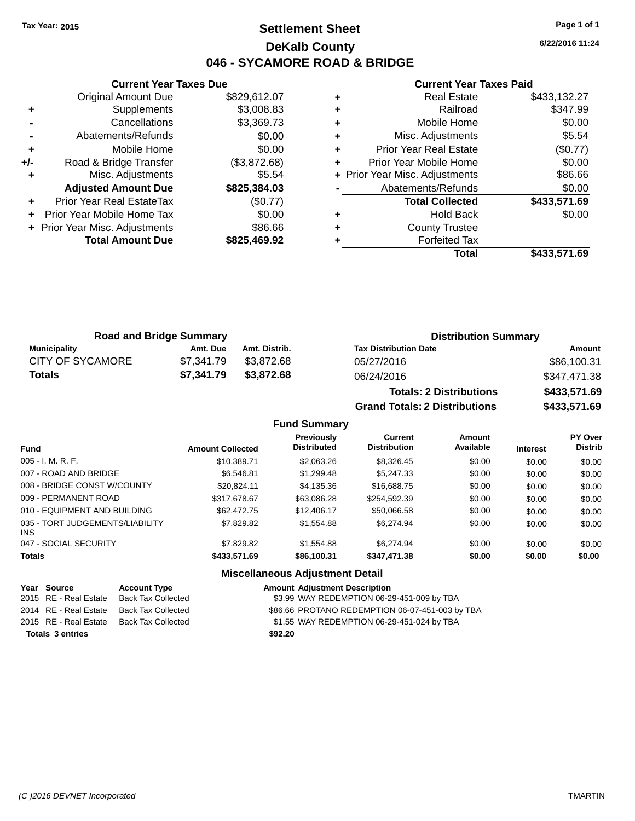# **Settlement Sheet Tax Year: 2015 Page 1 of 1 DeKalb County 046 - SYCAMORE ROAD & BRIDGE**

**6/22/2016 11:24**

## **Current Year Taxes Paid**

| <b>Original Amount Due</b>     | \$829,612.07                  |  |
|--------------------------------|-------------------------------|--|
| Supplements                    | \$3,008.83                    |  |
| Cancellations                  | \$3,369.73                    |  |
| Abatements/Refunds             | \$0.00                        |  |
| Mobile Home                    | \$0.00                        |  |
| Road & Bridge Transfer         | (\$3,872.68)                  |  |
| \$5.54<br>Misc. Adjustments    |                               |  |
| <b>Adjusted Amount Due</b>     | \$825,384.03                  |  |
| Prior Year Real EstateTax      | (\$0.77)                      |  |
| Prior Year Mobile Home Tax     | \$0.00                        |  |
| + Prior Year Misc. Adjustments | \$86.66                       |  |
| <b>Total Amount Due</b>        | \$825,469.92                  |  |
|                                | <b>Current Year Taxes Due</b> |  |

| ٠ | <b>Real Estate</b>             | \$433,132.27 |
|---|--------------------------------|--------------|
| ٠ | Railroad                       | \$347.99     |
| ÷ | Mobile Home                    | \$0.00       |
| ÷ | Misc. Adjustments              | \$5.54       |
| ٠ | <b>Prior Year Real Estate</b>  | (\$0.77)     |
| ÷ | Prior Year Mobile Home         | \$0.00       |
|   | + Prior Year Misc. Adjustments | \$86.66      |
|   | Abatements/Refunds             | \$0.00       |
|   | <b>Total Collected</b>         | \$433,571.69 |
| ٠ | <b>Hold Back</b>               | \$0.00       |
| ٠ | <b>County Trustee</b>          |              |
|   | <b>Forfeited Tax</b>           |              |
|   | Total                          | \$433.571.69 |

| <b>Road and Bridge Summary</b> |            |               | <b>Distribution Summary</b>  |              |
|--------------------------------|------------|---------------|------------------------------|--------------|
| Municipality                   | Amt. Due   | Amt. Distrib. | <b>Tax Distribution Date</b> | Amount       |
| <b>CITY OF SYCAMORE</b>        | \$7.341.79 | \$3.872.68    | 05/27/2016                   | \$86,100.31  |
| Totals                         | \$7.341.79 | \$3.872.68    | 06/24/2016                   | \$347,471.38 |
|                                |            |               |                              |              |

| <b>Totals: 2 Distributions</b> | \$433,571.69 |
|--------------------------------|--------------|
| Grand Totals: 2 Distributions  | \$433,571.69 |

## **Fund Summary**

| <b>Fund</b>                             | <b>Amount Collected</b> | <b>Previously</b><br><b>Distributed</b> | Current<br><b>Distribution</b> | Amount<br>Available | <b>Interest</b> | <b>PY Over</b><br><b>Distrib</b> |
|-----------------------------------------|-------------------------|-----------------------------------------|--------------------------------|---------------------|-----------------|----------------------------------|
| $005 - I. M. R. F.$                     | \$10,389.71             | \$2,063.26                              | \$8,326.45                     | \$0.00              | \$0.00          | \$0.00                           |
| 007 - ROAD AND BRIDGE                   | \$6.546.81              | \$1,299.48                              | \$5,247,33                     | \$0.00              | \$0.00          | \$0.00                           |
| 008 - BRIDGE CONST W/COUNTY             | \$20.824.11             | \$4,135.36                              | \$16,688.75                    | \$0.00              | \$0.00          | \$0.00                           |
| 009 - PERMANENT ROAD                    | \$317.678.67            | \$63,086,28                             | \$254.592.39                   | \$0.00              | \$0.00          | \$0.00                           |
| 010 - EQUIPMENT AND BUILDING            | \$62,472.75             | \$12,406.17                             | \$50,066.58                    | \$0.00              | \$0.00          | \$0.00                           |
| 035 - TORT JUDGEMENTS/LIABILITY<br>INS. | \$7,829.82              | \$1,554.88                              | \$6,274.94                     | \$0.00              | \$0.00          | \$0.00                           |
| 047 - SOCIAL SECURITY                   | \$7,829.82              | \$1.554.88                              | \$6,274.94                     | \$0.00              | \$0.00          | \$0.00                           |
| <b>Totals</b>                           | \$433,571.69            | \$86,100.31                             | \$347,471.38                   | \$0.00              | \$0.00          | \$0.00                           |

## **Miscellaneous Adjustment Detail**

### **Year** Source **Account Type Account Adjustment Description**

| <b>Totals 3 entries</b> |                    | \$92.20                                         |
|-------------------------|--------------------|-------------------------------------------------|
| 2015 RE - Real Estate   | Back Tax Collected | \$1.55 WAY REDEMPTION 06-29-451-024 by TBA      |
| 2014 RE - Real Estate   | Back Tax Collected | \$86.66 PROTANO REDEMPTION 06-07-451-003 by TBA |
| 2015 RE - Real Estate   | Back Tax Collected | \$3.99 WAY REDEMPTION 06-29-451-009 by TBA      |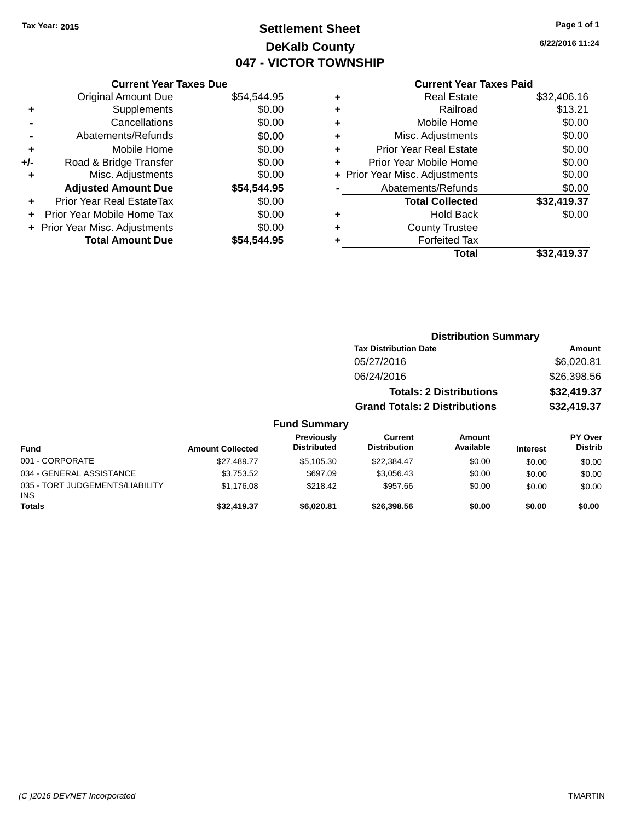# **Settlement Sheet Tax Year: 2015 Page 1 of 1 DeKalb County 047 - VICTOR TOWNSHIP**

**6/22/2016 11:24**

## **Current Year Taxes Paid**

|     | <b>Current Year Taxes Due</b>  |             |
|-----|--------------------------------|-------------|
|     | <b>Original Amount Due</b>     | \$54,544.95 |
| ÷   | Supplements                    | \$0.00      |
|     | Cancellations                  | \$0.00      |
|     | Abatements/Refunds             | \$0.00      |
| ٠   | Mobile Home                    | \$0.00      |
| +/- | Road & Bridge Transfer         | \$0.00      |
| ٠   | Misc. Adjustments              | \$0.00      |
|     | <b>Adjusted Amount Due</b>     | \$54,544.95 |
| ÷   | Prior Year Real EstateTax      | \$0.00      |
| ÷   | Prior Year Mobile Home Tax     | \$0.00      |
|     | + Prior Year Misc. Adjustments | \$0.00      |
|     | <b>Total Amount Due</b>        | \$54,544.95 |
|     |                                |             |

| ٠ | <b>Real Estate</b>             | \$32,406.16 |
|---|--------------------------------|-------------|
| ٠ | Railroad                       | \$13.21     |
| ٠ | Mobile Home                    | \$0.00      |
| ٠ | Misc. Adjustments              | \$0.00      |
| ٠ | <b>Prior Year Real Estate</b>  | \$0.00      |
| ÷ | Prior Year Mobile Home         | \$0.00      |
|   | + Prior Year Misc. Adjustments | \$0.00      |
|   | Abatements/Refunds             | \$0.00      |
|   | <b>Total Collected</b>         | \$32,419.37 |
| ٠ | <b>Hold Back</b>               | \$0.00      |
| ٠ | <b>County Trustee</b>          |             |
| ٠ | <b>Forfeited Tax</b>           |             |
|   | Total                          | \$32,419.37 |
|   |                                |             |

|                                 |                         |                                  |                                      |                                | <b>Distribution Summary</b> |                           |  |
|---------------------------------|-------------------------|----------------------------------|--------------------------------------|--------------------------------|-----------------------------|---------------------------|--|
|                                 |                         |                                  | <b>Tax Distribution Date</b>         |                                |                             | Amount                    |  |
|                                 |                         |                                  | 05/27/2016                           |                                |                             | \$6,020.81                |  |
|                                 |                         |                                  | 06/24/2016                           |                                |                             | \$26,398.56               |  |
|                                 |                         |                                  |                                      | <b>Totals: 2 Distributions</b> |                             | \$32,419.37               |  |
|                                 |                         |                                  | <b>Grand Totals: 2 Distributions</b> |                                |                             | \$32,419.37               |  |
|                                 |                         | <b>Fund Summary</b>              |                                      |                                |                             |                           |  |
| <b>Fund</b>                     | <b>Amount Collected</b> | Previously<br><b>Distributed</b> | Current<br><b>Distribution</b>       | Amount<br>Available            | <b>Interest</b>             | PY Over<br><b>Distrib</b> |  |
| 001 - CORPORATE                 | \$27,489.77             | \$5,105.30                       | \$22,384.47                          | \$0.00                         | \$0.00                      | \$0.00                    |  |
| 034 - GENERAL ASSISTANCE        | \$3,753.52              | \$697.09                         | \$3,056.43                           | \$0.00                         | \$0.00                      | \$0.00                    |  |
| 035 - TORT JUDGEMENTS/LIABILITY | \$1.176.08              | \$218.42                         | \$957.66                             | \$0.00                         | \$0.00                      | \$0.00                    |  |

**Totals \$32,419.37 \$6,020.81 \$26,398.56 \$0.00 \$0.00 \$0.00**

INS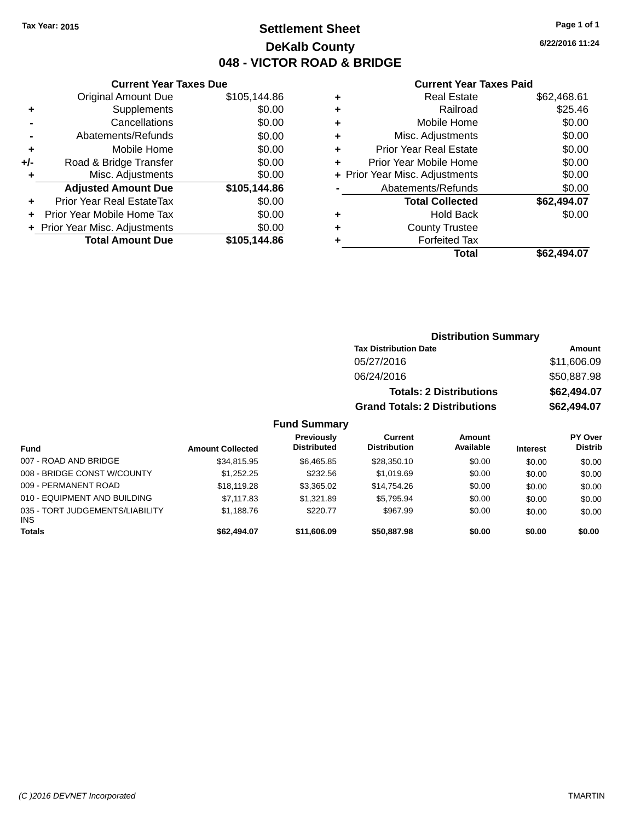# **Settlement Sheet Tax Year: 2015 Page 1 of 1 DeKalb County 048 - VICTOR ROAD & BRIDGE**

**6/22/2016 11:24**

#### **Current Year Taxes Paid**

|     | <b>Current Year Taxes Due</b>  |              |
|-----|--------------------------------|--------------|
|     | Original Amount Due            | \$105,144.86 |
| ÷   | Supplements                    | \$0.00       |
|     | Cancellations                  | \$0.00       |
|     | Abatements/Refunds             | \$0.00       |
| ٠   | Mobile Home                    | \$0.00       |
| +/- | Road & Bridge Transfer         | \$0.00       |
|     | Misc. Adjustments              | \$0.00       |
|     | <b>Adjusted Amount Due</b>     | \$105,144.86 |
| ÷   | Prior Year Real EstateTax      | \$0.00       |
| ٠   | Prior Year Mobile Home Tax     | \$0.00       |
|     | + Prior Year Misc. Adjustments | \$0.00       |
|     | <b>Total Amount Due</b>        | \$105,144.86 |
|     |                                |              |

| ٠ | <b>Real Estate</b>             | \$62,468.61 |
|---|--------------------------------|-------------|
| ٠ | Railroad                       | \$25.46     |
| ٠ | Mobile Home                    | \$0.00      |
| ٠ | Misc. Adjustments              | \$0.00      |
| ٠ | <b>Prior Year Real Estate</b>  | \$0.00      |
| ٠ | Prior Year Mobile Home         | \$0.00      |
|   | + Prior Year Misc. Adjustments | \$0.00      |
|   | Abatements/Refunds             | \$0.00      |
|   | <b>Total Collected</b>         | \$62,494.07 |
| ٠ | Hold Back                      | \$0.00      |
| ٠ | <b>County Trustee</b>          |             |
| ٠ | <b>Forfeited Tax</b>           |             |
|   | Total                          | \$62.494.07 |
|   |                                |             |

| <b>Distribution Summary</b>          |             |  |  |  |  |
|--------------------------------------|-------------|--|--|--|--|
| <b>Tax Distribution Date</b>         | Amount      |  |  |  |  |
| 05/27/2016                           | \$11,606.09 |  |  |  |  |
| 06/24/2016                           | \$50,887.98 |  |  |  |  |
| <b>Totals: 2 Distributions</b>       | \$62,494.07 |  |  |  |  |
| <b>Grand Totals: 2 Distributions</b> | \$62,494.07 |  |  |  |  |

## **Fund Summary**

| Fund                                          | <b>Amount Collected</b> | Previously<br><b>Distributed</b> | <b>Current</b><br><b>Distribution</b> | Amount<br>Available | <b>Interest</b> | PY Over<br><b>Distrib</b> |
|-----------------------------------------------|-------------------------|----------------------------------|---------------------------------------|---------------------|-----------------|---------------------------|
| 007 - ROAD AND BRIDGE                         | \$34,815.95             | \$6.465.85                       | \$28,350.10                           | \$0.00              | \$0.00          | \$0.00                    |
| 008 - BRIDGE CONST W/COUNTY                   | \$1,252.25              | \$232.56                         | \$1.019.69                            | \$0.00              | \$0.00          | \$0.00                    |
| 009 - PERMANENT ROAD                          | \$18,119.28             | \$3,365.02                       | \$14.754.26                           | \$0.00              | \$0.00          | \$0.00                    |
| 010 - EQUIPMENT AND BUILDING                  | \$7,117.83              | \$1.321.89                       | \$5.795.94                            | \$0.00              | \$0.00          | \$0.00                    |
| 035 - TORT JUDGEMENTS/LIABILITY<br><b>INS</b> | \$1,188.76              | \$220.77                         | \$967.99                              | \$0.00              | \$0.00          | \$0.00                    |
| <b>Totals</b>                                 | \$62,494.07             | \$11,606.09                      | \$50,887.98                           | \$0.00              | \$0.00          | \$0.00                    |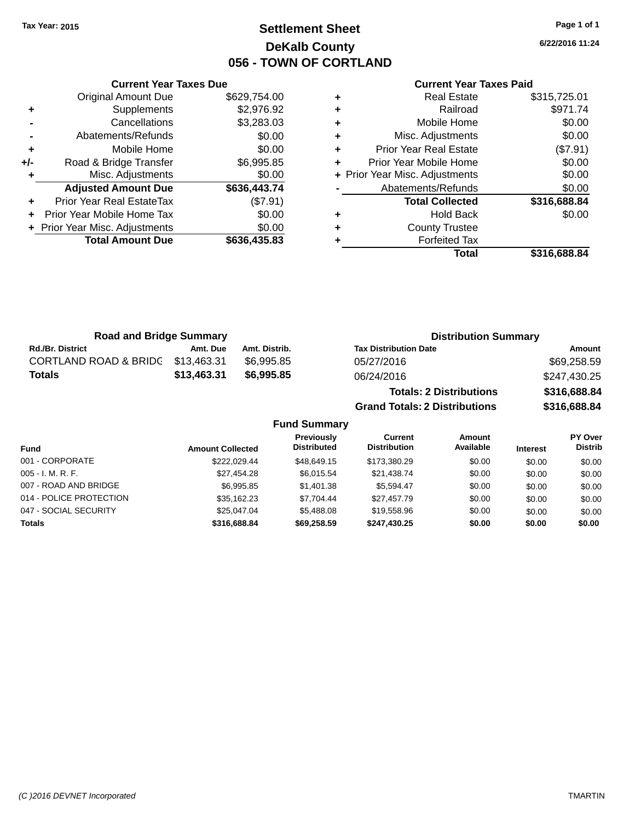# **Settlement Sheet Tax Year: 2015 Page 1 of 1 DeKalb County 056 - TOWN OF CORTLAND**

**6/22/2016 11:24**

#### **Current Year Taxes Paid**

| <b>Total Amount Due</b>          | \$636,435.83 |
|----------------------------------|--------------|
| + Prior Year Misc. Adjustments   | \$0.00       |
| Prior Year Mobile Home Tax       | \$0.00       |
| <b>Prior Year Real EstateTax</b> | (\$7.91)     |
| <b>Adjusted Amount Due</b>       | \$636,443.74 |
| Misc. Adjustments                | \$0.00       |
| Road & Bridge Transfer           | \$6,995.85   |
| Mobile Home                      | \$0.00       |
| Abatements/Refunds               | \$0.00       |
| Cancellations                    | \$3,283.03   |
| Supplements                      | \$2,976.92   |
| <b>Original Amount Due</b>       | \$629,754.00 |
|                                  |              |

**Current Year Taxes Due**

| <b>Real Estate</b>            | \$315,725.01                   |
|-------------------------------|--------------------------------|
| Railroad                      | \$971.74                       |
| Mobile Home                   | \$0.00                         |
| Misc. Adjustments             | \$0.00                         |
| <b>Prior Year Real Estate</b> | (\$7.91)                       |
| Prior Year Mobile Home        | \$0.00                         |
|                               | \$0.00                         |
| Abatements/Refunds            | \$0.00                         |
| <b>Total Collected</b>        | \$316,688.84                   |
| <b>Hold Back</b>              | \$0.00                         |
| <b>County Trustee</b>         |                                |
| <b>Forfeited Tax</b>          |                                |
| Total                         | \$316,688.84                   |
|                               | + Prior Year Misc. Adjustments |

**Grand Totals: 2 Distributions \$316,688.84**

| <b>Road and Bridge Summary</b>   |             |               | <b>Distribution Summary</b>    |              |
|----------------------------------|-------------|---------------|--------------------------------|--------------|
| <b>Rd./Br. District</b>          | Amt. Due    | Amt. Distrib. | <b>Tax Distribution Date</b>   | Amount       |
| <b>CORTLAND ROAD &amp; BRIDG</b> | \$13,463.31 | \$6.995.85    | 05/27/2016                     | \$69,258.59  |
| <b>Totals</b>                    | \$13,463.31 | \$6,995,85    | 06/24/2016                     | \$247,430.25 |
|                                  |             |               | <b>Totals: 2 Distributions</b> | \$316,688.84 |

**Fund Summary Fund Interest Amount Collected Distributed PY Over Distrib Amount Available Current Distribution Previously** 001 - CORPORATE \$222,029.44 \$48,649.15 \$173,380.29 \$0.00 \$0.00 \$0.00 005 - I. M. R. F. \$27,454.28 \$6,015.54 \$21,438.74 \$0.00 \$0.00 \$0.00 007 - ROAD AND BRIDGE \$6,995.85 \$1,401.38 \$5,594.47 \$0.00 \$0.00 \$0.00 \$0.00 014 - POLICE PROTECTION \$35,162.23 \$7,704.44 \$27,457.79 \$0.00 \$0.00 \$0.00 \$0.00 047 - SOCIAL SECURITY \$25,047.04 \$5,488.08 \$19,558.96 \$0.00 \$0.00 \$0.00 **Totals \$316,688.84 \$69,258.59 \$247,430.25 \$0.00 \$0.00 \$0.00**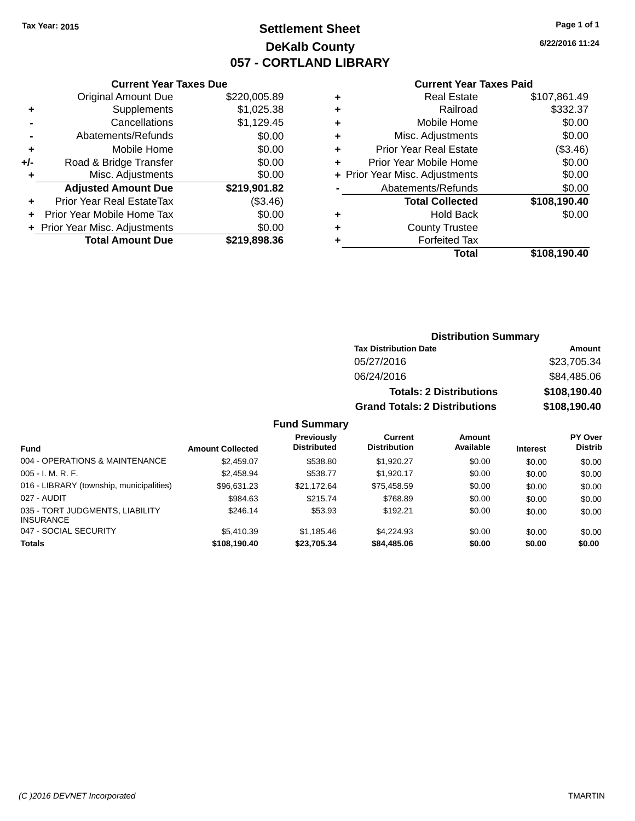# **Settlement Sheet Tax Year: 2015 Page 1 of 1 DeKalb County 057 - CORTLAND LIBRARY**

**6/22/2016 11:24**

#### **Current Year Taxes Paid**

|       | <b>Current Year Taxes Due</b>  |              |  |  |  |
|-------|--------------------------------|--------------|--|--|--|
|       | <b>Original Amount Due</b>     | \$220,005.89 |  |  |  |
| ٠     | Supplements                    | \$1,025.38   |  |  |  |
|       | Cancellations                  | \$1,129.45   |  |  |  |
|       | Abatements/Refunds             | \$0.00       |  |  |  |
| ٠     | Mobile Home                    | \$0.00       |  |  |  |
| $+/-$ | Road & Bridge Transfer         | \$0.00       |  |  |  |
|       | Misc. Adjustments              | \$0.00       |  |  |  |
|       | <b>Adjusted Amount Due</b>     | \$219,901.82 |  |  |  |
| ÷     | Prior Year Real EstateTax      | (\$3.46)     |  |  |  |
|       | Prior Year Mobile Home Tax     | \$0.00       |  |  |  |
|       | + Prior Year Misc. Adjustments | \$0.00       |  |  |  |
|       | <b>Total Amount Due</b>        | \$219,898.36 |  |  |  |
|       |                                |              |  |  |  |

| ٠ | <b>Real Estate</b>             | \$107,861.49 |
|---|--------------------------------|--------------|
| ٠ | Railroad                       | \$332.37     |
| ٠ | Mobile Home                    | \$0.00       |
| ٠ | Misc. Adjustments              | \$0.00       |
| ٠ | <b>Prior Year Real Estate</b>  | (\$3.46)     |
| ٠ | Prior Year Mobile Home         | \$0.00       |
|   | + Prior Year Misc. Adjustments | \$0.00       |
|   | Abatements/Refunds             | \$0.00       |
|   | <b>Total Collected</b>         | \$108,190.40 |
| ٠ | <b>Hold Back</b>               | \$0.00       |
| ٠ | <b>County Trustee</b>          |              |
| ٠ | <b>Forfeited Tax</b>           |              |
|   | Total                          | \$108,190.40 |
|   |                                |              |

| <b>Distribution Summary</b>          |              |  |  |  |
|--------------------------------------|--------------|--|--|--|
| <b>Tax Distribution Date</b>         | Amount       |  |  |  |
| 05/27/2016                           | \$23,705.34  |  |  |  |
| 06/24/2016                           | \$84,485.06  |  |  |  |
| <b>Totals: 2 Distributions</b>       | \$108,190.40 |  |  |  |
| <b>Grand Totals: 2 Distributions</b> | \$108,190.40 |  |  |  |

## **Fund Summary**

| <b>Fund</b>                                         | <b>Amount Collected</b> | <b>Previously</b><br><b>Distributed</b> | Current<br><b>Distribution</b> | Amount<br>Available | <b>Interest</b> | <b>PY Over</b><br><b>Distrib</b> |
|-----------------------------------------------------|-------------------------|-----------------------------------------|--------------------------------|---------------------|-----------------|----------------------------------|
| 004 - OPERATIONS & MAINTENANCE                      | \$2.459.07              | \$538.80                                | \$1.920.27                     | \$0.00              | \$0.00          | \$0.00                           |
| $005 - I. M. R. F.$                                 | \$2,458.94              | \$538.77                                | \$1.920.17                     | \$0.00              | \$0.00          | \$0.00                           |
| 016 - LIBRARY (township, municipalities)            | \$96,631.23             | \$21.172.64                             | \$75.458.59                    | \$0.00              | \$0.00          | \$0.00                           |
| 027 - AUDIT                                         | \$984.63                | \$215.74                                | \$768.89                       | \$0.00              | \$0.00          | \$0.00                           |
| 035 - TORT JUDGMENTS, LIABILITY<br><b>INSURANCE</b> | \$246.14                | \$53.93                                 | \$192.21                       | \$0.00              | \$0.00          | \$0.00                           |
| 047 - SOCIAL SECURITY                               | \$5.410.39              | \$1.185.46                              | \$4,224.93                     | \$0.00              | \$0.00          | \$0.00                           |
| <b>Totals</b>                                       | \$108.190.40            | \$23,705.34                             | \$84,485,06                    | \$0.00              | \$0.00          | \$0.00                           |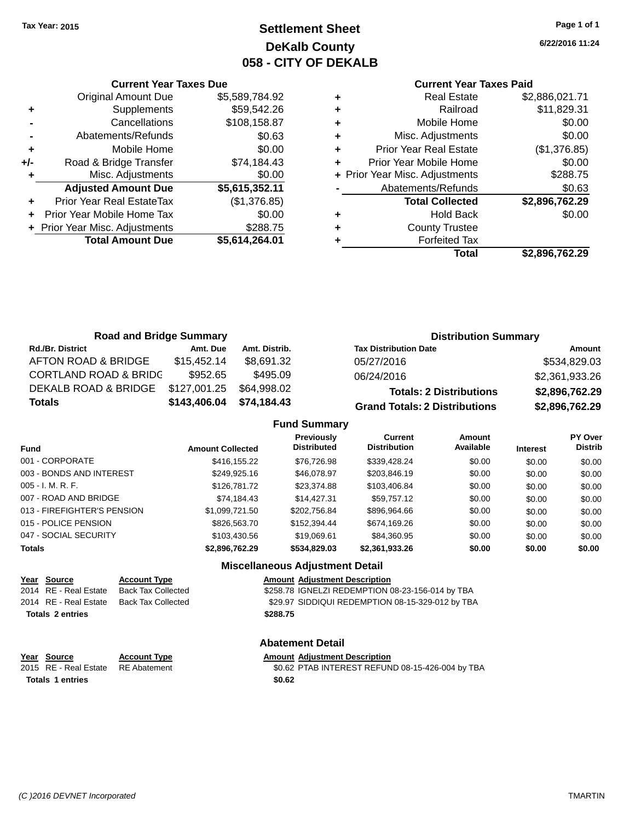# **Settlement Sheet Tax Year: 2015 Page 1 of 1 DeKalb County 058 - CITY OF DEKALB**

**6/22/2016 11:24**

|       | <b>Current Year Taxes Due</b>  |                |
|-------|--------------------------------|----------------|
|       | <b>Original Amount Due</b>     | \$5,589,784.92 |
| ٠     | Supplements                    | \$59,542.26    |
|       | Cancellations                  | \$108,158.87   |
|       | Abatements/Refunds             | \$0.63         |
| ٠     | Mobile Home                    | \$0.00         |
| $+/-$ | Road & Bridge Transfer         | \$74,184.43    |
| ٠     | Misc. Adjustments              | \$0.00         |
|       | <b>Adjusted Amount Due</b>     | \$5,615,352.11 |
| ٠     | Prior Year Real EstateTax      | (\$1,376.85)   |
|       | Prior Year Mobile Home Tax     | \$0.00         |
|       | + Prior Year Misc. Adjustments | \$288.75       |
|       | <b>Total Amount Due</b>        | \$5,614,264.01 |
|       |                                |                |

| ٠ | <b>Real Estate</b>             | \$2,886,021.71 |
|---|--------------------------------|----------------|
| ٠ | Railroad                       | \$11,829.31    |
| ٠ | Mobile Home                    | \$0.00         |
| ٠ | Misc. Adjustments              | \$0.00         |
| ٠ | <b>Prior Year Real Estate</b>  | (\$1,376.85)   |
| ٠ | Prior Year Mobile Home         | \$0.00         |
|   | + Prior Year Misc. Adjustments | \$288.75       |
|   | Abatements/Refunds             | \$0.63         |
|   | <b>Total Collected</b>         | \$2,896,762.29 |
| ٠ | <b>Hold Back</b>               | \$0.00         |
| ٠ | <b>County Trustee</b>          |                |
|   | <b>Forfeited Tax</b>           |                |
|   | Total                          | \$2,896,762.29 |
|   |                                |                |

| <b>Road and Bridge Summary</b>   |              | <b>Distribution Summary</b> |                                      |                |
|----------------------------------|--------------|-----------------------------|--------------------------------------|----------------|
| <b>Rd./Br. District</b>          | Amt. Due     | Amt. Distrib.               | <b>Tax Distribution Date</b>         | Amount         |
| AFTON ROAD & BRIDGE              | \$15.452.14  | \$8.691.32                  | 05/27/2016                           | \$534,829.03   |
| <b>CORTLAND ROAD &amp; BRIDC</b> | \$952.65     | \$495.09                    | 06/24/2016                           | \$2,361,933.26 |
| DEKALB ROAD & BRIDGE             | \$127,001.25 | \$64,998.02                 | <b>Totals: 2 Distributions</b>       | \$2,896,762.29 |
| <b>Totals</b>                    | \$143,406.04 | \$74,184.43                 | <b>Grand Totals: 2 Distributions</b> | \$2,896,762.29 |

## **Fund Summary**

| <b>Fund</b>                 | <b>Amount Collected</b> | Previously<br><b>Distributed</b> | <b>Current</b><br><b>Distribution</b> | Amount<br>Available | <b>Interest</b> | <b>PY Over</b><br><b>Distrib</b> |
|-----------------------------|-------------------------|----------------------------------|---------------------------------------|---------------------|-----------------|----------------------------------|
| 001 - CORPORATE             | \$416,155.22            | \$76,726.98                      | \$339,428.24                          | \$0.00              | \$0.00          | \$0.00                           |
| 003 - BONDS AND INTEREST    | \$249.925.16            | \$46,078.97                      | \$203,846.19                          | \$0.00              | \$0.00          | \$0.00                           |
| 005 - I. M. R. F.           | \$126,781.72            | \$23,374.88                      | \$103.406.84                          | \$0.00              | \$0.00          | \$0.00                           |
| 007 - ROAD AND BRIDGE       | \$74,184.43             | \$14,427.31                      | \$59,757.12                           | \$0.00              | \$0.00          | \$0.00                           |
| 013 - FIREFIGHTER'S PENSION | \$1,099,721.50          | \$202.756.84                     | \$896,964.66                          | \$0.00              | \$0.00          | \$0.00                           |
| 015 - POLICE PENSION        | \$826,563,70            | \$152,394.44                     | \$674,169.26                          | \$0.00              | \$0.00          | \$0.00                           |
| 047 - SOCIAL SECURITY       | \$103,430.56            | \$19,069.61                      | \$84,360.95                           | \$0.00              | \$0.00          | \$0.00                           |
| <b>Totals</b>               | \$2,896,762.29          | \$534,829.03                     | \$2,361,933.26                        | \$0.00              | \$0.00          | \$0.00                           |
|                             |                         |                                  |                                       |                     |                 |                                  |

## **Miscellaneous Adjustment Detail**

| Year Source             | <b>Account Type</b> |          | <b>Amount Adjustment Description</b>             |
|-------------------------|---------------------|----------|--------------------------------------------------|
| 2014 RE - Real Estate   | Back Tax Collected  |          | \$258.78 IGNELZI REDEMPTION 08-23-156-014 by TBA |
| 2014 RE - Real Estate   | Back Tax Collected  |          | \$29.97 SIDDIQUI REDEMPTION 08-15-329-012 by TBA |
| <b>Totals 2 entries</b> |                     | \$288.75 |                                                  |

#### **Abatement Detail**

#### **Year** Source **Account Type Account Adjustment Description**

2015 RE - Real Estate RE Abatement \$0.62 PTAB INTEREST REFUND 08-15-426-004 by TBA **Totals \$0.62 1 entries**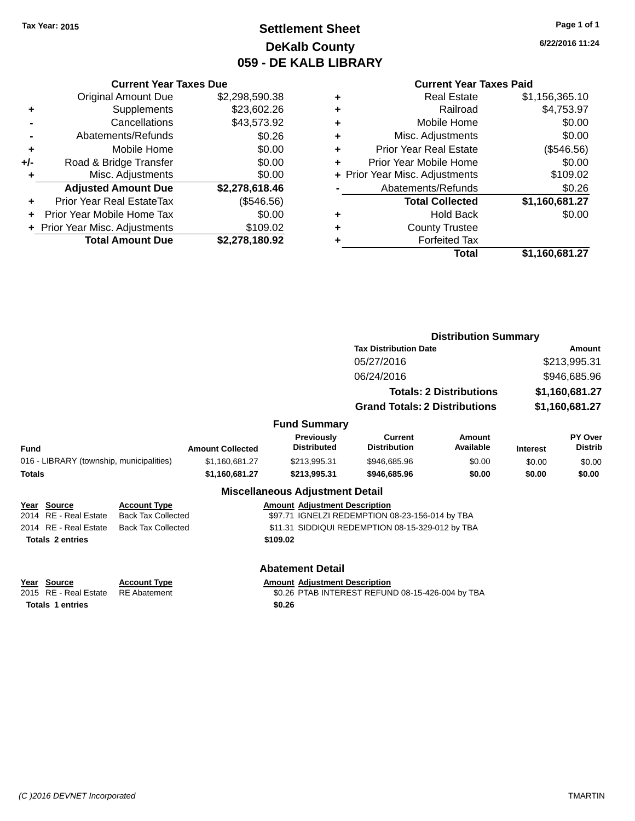# **Settlement Sheet Tax Year: 2015 Page 1 of 1 DeKalb County 059 - DE KALB LIBRARY**

**6/22/2016 11:24**

## **Current Year Taxes Paid**

|     | <b>Current Year Taxes Due</b>  |                |  |  |
|-----|--------------------------------|----------------|--|--|
|     | <b>Original Amount Due</b>     | \$2,298,590.38 |  |  |
| ٠   | Supplements                    | \$23,602.26    |  |  |
|     | Cancellations                  | \$43,573.92    |  |  |
|     | Abatements/Refunds             | \$0.26         |  |  |
| ٠   | Mobile Home                    | \$0.00         |  |  |
| +/- | Road & Bridge Transfer         | \$0.00         |  |  |
| ٠   | Misc. Adjustments              | \$0.00         |  |  |
|     | <b>Adjusted Amount Due</b>     | \$2,278,618.46 |  |  |
| ÷   | Prior Year Real EstateTax      | (\$546.56)     |  |  |
|     | Prior Year Mobile Home Tax     | \$0.00         |  |  |
|     | + Prior Year Misc. Adjustments | \$109.02       |  |  |
|     | <b>Total Amount Due</b>        | \$2,278,180.92 |  |  |

| ٠ | <b>Real Estate</b>             | \$1,156,365.10 |
|---|--------------------------------|----------------|
| ٠ | Railroad                       | \$4,753.97     |
| ٠ | Mobile Home                    | \$0.00         |
| ٠ | Misc. Adjustments              | \$0.00         |
| ٠ | <b>Prior Year Real Estate</b>  | (\$546.56)     |
| ٠ | Prior Year Mobile Home         | \$0.00         |
|   | + Prior Year Misc. Adjustments | \$109.02       |
|   | Abatements/Refunds             | \$0.26         |
|   | <b>Total Collected</b>         | \$1,160,681.27 |
| ٠ | <b>Hold Back</b>               | \$0.00         |
| ٠ | <b>County Trustee</b>          |                |
| ٠ | <b>Forfeited Tax</b>           |                |
|   | <b>Total</b>                   | \$1,160,681.27 |
|   |                                |                |

|             |                                                                 |                                                                               |                         |                                                | <b>Distribution Summary</b>                                                                         |                                |                 |                           |
|-------------|-----------------------------------------------------------------|-------------------------------------------------------------------------------|-------------------------|------------------------------------------------|-----------------------------------------------------------------------------------------------------|--------------------------------|-----------------|---------------------------|
|             |                                                                 |                                                                               |                         |                                                | <b>Tax Distribution Date</b>                                                                        |                                | Amount          |                           |
|             |                                                                 |                                                                               |                         |                                                | 05/27/2016                                                                                          |                                |                 | \$213,995.31              |
|             |                                                                 |                                                                               |                         |                                                | 06/24/2016                                                                                          |                                |                 | \$946,685.96              |
|             |                                                                 |                                                                               |                         |                                                |                                                                                                     | <b>Totals: 2 Distributions</b> | \$1,160,681.27  |                           |
|             |                                                                 |                                                                               |                         |                                                | <b>Grand Totals: 2 Distributions</b>                                                                |                                |                 | \$1,160,681.27            |
|             |                                                                 |                                                                               |                         | <b>Fund Summary</b>                            |                                                                                                     |                                |                 |                           |
| <b>Fund</b> |                                                                 |                                                                               | <b>Amount Collected</b> | <b>Previously</b><br><b>Distributed</b>        | <b>Current</b><br><b>Distribution</b>                                                               | Amount<br>Available            | <b>Interest</b> | PY Over<br><b>Distrib</b> |
|             | 016 - LIBRARY (township, municipalities)                        |                                                                               | \$1,160,681.27          | \$213,995.31                                   | \$946,685.96                                                                                        | \$0.00                         | \$0.00          | \$0.00                    |
| Totals      |                                                                 |                                                                               | \$1,160,681.27          | \$213.995.31                                   | \$946,685.96                                                                                        | \$0.00                         | \$0.00          | \$0.00                    |
|             |                                                                 |                                                                               |                         | <b>Miscellaneous Adjustment Detail</b>         |                                                                                                     |                                |                 |                           |
|             | Year Source<br>2014 RE - Real Estate<br>2014 RE - Real Estate   | <b>Account Type</b><br><b>Back Tax Collected</b><br><b>Back Tax Collected</b> |                         | <b>Amount Adiustment Description</b>           | \$97.71 IGNELZI REDEMPTION 08-23-156-014 by TBA<br>\$11.31 SIDDIQUI REDEMPTION 08-15-329-012 by TBA |                                |                 |                           |
|             | <b>Totals 2 entries</b>                                         |                                                                               |                         | \$109.02                                       |                                                                                                     |                                |                 |                           |
|             |                                                                 |                                                                               |                         | <b>Abatement Detail</b>                        |                                                                                                     |                                |                 |                           |
|             | Year Source<br>2015 RE - Real Estate<br><b>Totals 1 entries</b> | <b>Account Type</b><br><b>RE</b> Abatement                                    |                         | <b>Amount Adjustment Description</b><br>\$0.26 | \$0.26 PTAB INTEREST REFUND 08-15-426-004 by TBA                                                    |                                |                 |                           |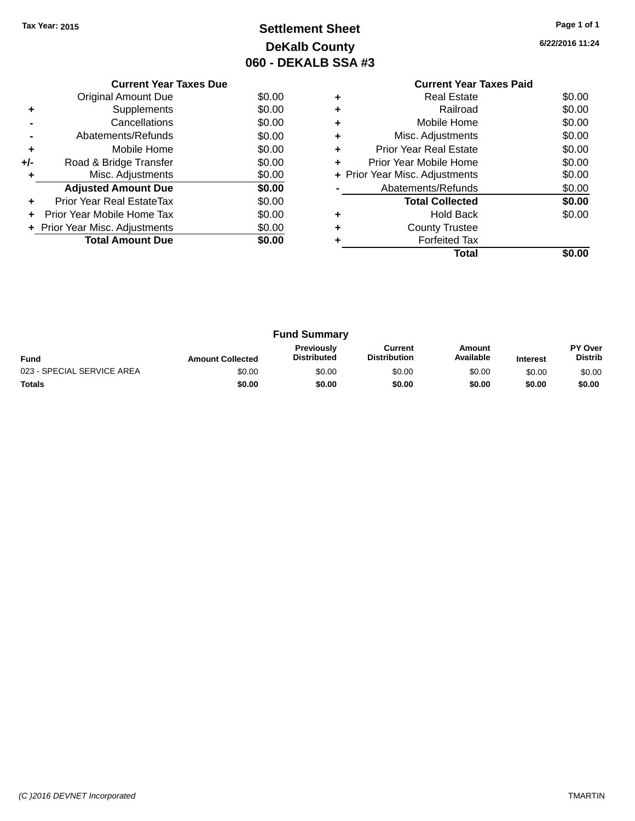# **Settlement Sheet Tax Year: 2015 Page 1 of 1 DeKalb County 060 - DEKALB SSA #3**

**6/22/2016 11:24**

|     | <b>Current Year Taxes Due</b>  |        |  |  |  |
|-----|--------------------------------|--------|--|--|--|
|     | Original Amount Due            | \$0.00 |  |  |  |
|     | Supplements                    | \$0.00 |  |  |  |
|     | Cancellations                  | \$0.00 |  |  |  |
|     | Abatements/Refunds             | \$0.00 |  |  |  |
| ٠   | Mobile Home                    | \$0.00 |  |  |  |
| +/- | Road & Bridge Transfer         | \$0.00 |  |  |  |
| ٠   | Misc. Adjustments              | \$0.00 |  |  |  |
|     | <b>Adjusted Amount Due</b>     | \$0.00 |  |  |  |
| ÷   | Prior Year Real EstateTax      | \$0.00 |  |  |  |
| ÷   | Prior Year Mobile Home Tax     | \$0.00 |  |  |  |
|     | + Prior Year Misc. Adjustments | \$0.00 |  |  |  |
|     | <b>Total Amount Due</b>        | \$0.00 |  |  |  |
|     |                                |        |  |  |  |

## **Current Year Taxes Paid +** Real Estate \$0.00 **+** Railroad \$0.00 **+** Mobile Home \$0.00 **+** Misc. Adjustments \$0.00 **+** Prior Year Real Estate \$0.00 **+** Prior Year Mobile Home \$0.00<br> **+** Prior Year Misc. Adjustments \$0.00 **+ Prior Year Misc. Adjustments -** Abatements/Refunds \$0.00 **Total Collected \$0.00 +** Hold Back \$0.00 **+** County Trustee

**Total \$0.00**

**+** Forfeited Tax

| <b>Fund Summary</b>        |                         |                                         |                                |                     |                 |                           |
|----------------------------|-------------------------|-----------------------------------------|--------------------------------|---------------------|-----------------|---------------------------|
| <b>Fund</b>                | <b>Amount Collected</b> | <b>Previously</b><br><b>Distributed</b> | Current<br><b>Distribution</b> | Amount<br>Available | <b>Interest</b> | PY Over<br><b>Distrib</b> |
| 023 - SPECIAL SERVICE AREA | \$0.00                  | \$0.00                                  | \$0.00                         | \$0.00              | \$0.00          | \$0.00                    |
| <b>Totals</b>              | \$0.00                  | \$0.00                                  | \$0.00                         | \$0.00              | \$0.00          | \$0.00                    |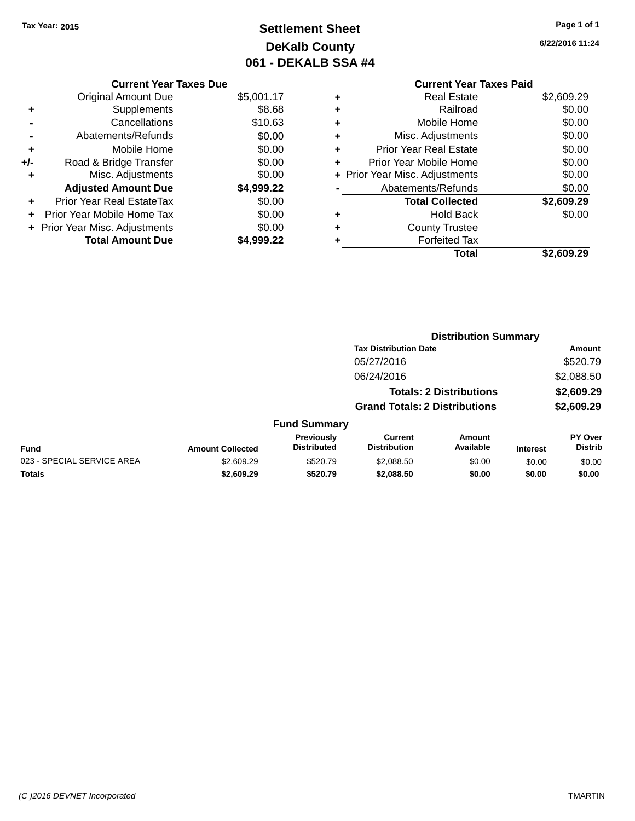# **Settlement Sheet Tax Year: 2015 Page 1 of 1 DeKalb County 061 - DEKALB SSA #4**

**6/22/2016 11:24**

# **Current Year Taxes Paid +** Real Estate \$2,609.29

|     | <b>Original Amount Due</b>       | \$5,001.17 |
|-----|----------------------------------|------------|
| ٠   | Supplements                      | \$8.68     |
|     | Cancellations                    | \$10.63    |
|     | Abatements/Refunds               | \$0.00     |
| ٠   | Mobile Home                      | \$0.00     |
| +/- | Road & Bridge Transfer           | \$0.00     |
| ٠   | Misc. Adjustments                | \$0.00     |
|     | <b>Adjusted Amount Due</b>       | \$4,999.22 |
| ÷   | <b>Prior Year Real EstateTax</b> | \$0.00     |
|     | Prior Year Mobile Home Tax       | \$0.00     |
|     | + Prior Year Misc. Adjustments   | \$0.00     |
|     | <b>Total Amount Due</b>          | \$4,999.22 |

**Current Year Taxes Due**

|   | Redi Esidie                    | <b>J</b> S TOOS S |
|---|--------------------------------|-------------------|
| ÷ | Railroad                       | \$0.00            |
| ÷ | Mobile Home                    | \$0.00            |
| ٠ | Misc. Adjustments              | \$0.00            |
| ٠ | <b>Prior Year Real Estate</b>  | \$0.00            |
| ٠ | Prior Year Mobile Home         | \$0.00            |
|   | + Prior Year Misc. Adjustments | \$0.00            |
|   | Abatements/Refunds             | \$0.00            |
|   | <b>Total Collected</b>         | \$2,609.29        |
| ٠ | <b>Hold Back</b>               | \$0.00            |
| ÷ | <b>County Trustee</b>          |                   |
| ٠ | <b>Forfeited Tax</b>           |                   |
|   | Total                          | \$2,609.29        |
|   |                                |                   |

|                            |                         |                                  |                                       | <b>Distribution Summary</b>    |                 |                           |
|----------------------------|-------------------------|----------------------------------|---------------------------------------|--------------------------------|-----------------|---------------------------|
|                            |                         |                                  | <b>Tax Distribution Date</b>          |                                |                 | Amount                    |
|                            |                         |                                  | 05/27/2016                            |                                |                 | \$520.79                  |
|                            |                         |                                  | 06/24/2016                            |                                |                 | \$2,088.50                |
|                            |                         |                                  |                                       | <b>Totals: 2 Distributions</b> |                 | \$2,609.29                |
|                            |                         |                                  | <b>Grand Totals: 2 Distributions</b>  |                                |                 | \$2,609.29                |
|                            |                         | <b>Fund Summary</b>              |                                       |                                |                 |                           |
| <b>Fund</b>                | <b>Amount Collected</b> | Previously<br><b>Distributed</b> | <b>Current</b><br><b>Distribution</b> | <b>Amount</b><br>Available     | <b>Interest</b> | PY Over<br><b>Distrib</b> |
| 023 - SPECIAL SERVICE AREA | \$2,609.29              | \$520.79                         | \$2,088.50                            | \$0.00                         | \$0.00          | \$0.00                    |
| <b>Totals</b>              | \$2,609.29              | \$520.79                         | \$2,088.50                            | \$0.00                         | \$0.00          | \$0.00                    |
|                            |                         |                                  |                                       |                                |                 |                           |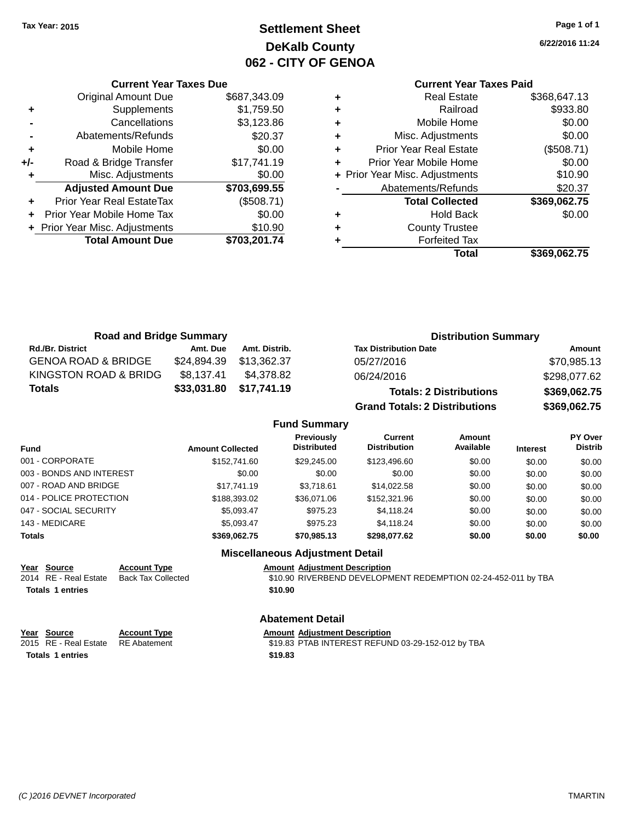# **Settlement Sheet Tax Year: 2015 Page 1 of 1 DeKalb County 062 - CITY OF GENOA**

**6/22/2016 11:24**

## **Current Year Taxes Paid**

|     | <b>Current Year Taxes Due</b>  |              |  |  |  |
|-----|--------------------------------|--------------|--|--|--|
|     | <b>Original Amount Due</b>     | \$687,343.09 |  |  |  |
| ٠   | Supplements                    | \$1,759.50   |  |  |  |
|     | Cancellations                  | \$3,123.86   |  |  |  |
|     | Abatements/Refunds             | \$20.37      |  |  |  |
| ٠   | Mobile Home                    | \$0.00       |  |  |  |
| +/- | Road & Bridge Transfer         | \$17,741.19  |  |  |  |
| ٠   | Misc. Adjustments              | \$0.00       |  |  |  |
|     | <b>Adjusted Amount Due</b>     | \$703,699.55 |  |  |  |
| ٠   | Prior Year Real EstateTax      | (\$508.71)   |  |  |  |
|     | Prior Year Mobile Home Tax     | \$0.00       |  |  |  |
|     | + Prior Year Misc. Adjustments | \$10.90      |  |  |  |
|     | <b>Total Amount Due</b>        | \$703,201.74 |  |  |  |
|     |                                |              |  |  |  |

| <b>Real Estate</b>             | \$368,647.13 |
|--------------------------------|--------------|
| Railroad                       | \$933.80     |
| Mobile Home                    | \$0.00       |
| Misc. Adjustments              | \$0.00       |
| <b>Prior Year Real Estate</b>  | (\$508.71)   |
| Prior Year Mobile Home         | \$0.00       |
| + Prior Year Misc. Adjustments | \$10.90      |
| Abatements/Refunds             | \$20.37      |
| <b>Total Collected</b>         | \$369,062.75 |
| <b>Hold Back</b>               | \$0.00       |
| <b>County Trustee</b>          |              |
| <b>Forfeited Tax</b>           |              |
| Total                          | \$369,062.75 |
|                                |              |

| <b>Road and Bridge Summary</b> |                         |               | <b>Distribution Summary</b>    |              |  |
|--------------------------------|-------------------------|---------------|--------------------------------|--------------|--|
| <b>Rd./Br. District</b>        | Amt. Due                | Amt. Distrib. | <b>Tax Distribution Date</b>   | Amount       |  |
| <b>GENOA ROAD &amp; BRIDGE</b> | \$24,894.39             | \$13.362.37   | 05/27/2016                     | \$70,985.13  |  |
| KINGSTON ROAD & BRIDG          | \$8.137.41              | \$4.378.82    | 06/24/2016                     | \$298.077.62 |  |
| Totals                         | \$33,031.80 \$17,741.19 |               | <b>Totals: 2 Distributions</b> | \$369,062.75 |  |

**Grand Totals: 2 Distributions \$369,062.75**

| <b>Fund Summary</b> |
|---------------------|
|                     |

| <b>Fund</b>              | <b>Amount Collected</b> | <b>Previously</b><br><b>Distributed</b> | Current<br><b>Distribution</b> | Amount<br>Available | <b>Interest</b> | PY Over<br><b>Distrib</b> |
|--------------------------|-------------------------|-----------------------------------------|--------------------------------|---------------------|-----------------|---------------------------|
| 001 - CORPORATE          | \$152,741.60            | \$29,245,00                             | \$123,496.60                   | \$0.00              | \$0.00          | \$0.00                    |
| 003 - BONDS AND INTEREST | \$0.00                  | \$0.00                                  | \$0.00                         | \$0.00              | \$0.00          | \$0.00                    |
| 007 - ROAD AND BRIDGE    | \$17.741.19             | \$3.718.61                              | \$14.022.58                    | \$0.00              | \$0.00          | \$0.00                    |
| 014 - POLICE PROTECTION  | \$188,393,02            | \$36,071,06                             | \$152,321.96                   | \$0.00              | \$0.00          | \$0.00                    |
| 047 - SOCIAL SECURITY    | \$5.093.47              | \$975.23                                | \$4,118.24                     | \$0.00              | \$0.00          | \$0.00                    |
| 143 - MEDICARE           | \$5,093.47              | \$975.23                                | \$4.118.24                     | \$0.00              | \$0.00          | \$0.00                    |
| <b>Totals</b>            | \$369.062.75            | \$70,985.13                             | \$298.077.62                   | \$0.00              | \$0.00          | \$0.00                    |
|                          |                         |                                         |                                |                     |                 |                           |

#### **Miscellaneous Adjustment Detail**

| Year Source             | <b>Account Type</b> | <b>Amount Adjustment Description</b>                          |
|-------------------------|---------------------|---------------------------------------------------------------|
| 2014 RE - Real Estate   | Back Tax Collected  | \$10.90 RIVERBEND DEVELOPMENT REDEMPTION 02-24-452-011 by TBA |
| <b>Totals 1 entries</b> |                     | \$10.90                                                       |
|                         |                     | Alexandria Detail                                             |

| Year           | Source |
|----------------|--------|
| . . <i>. .</i> |        |

**Totals \$19.83 1 entries**

## **Abatement Detail**

**Account Type Allergia Amount Adjustment Description** 

2015 RE - Real Estate RE Abatement \$19.83 PTAB INTEREST REFUND 03-29-152-012 by TBA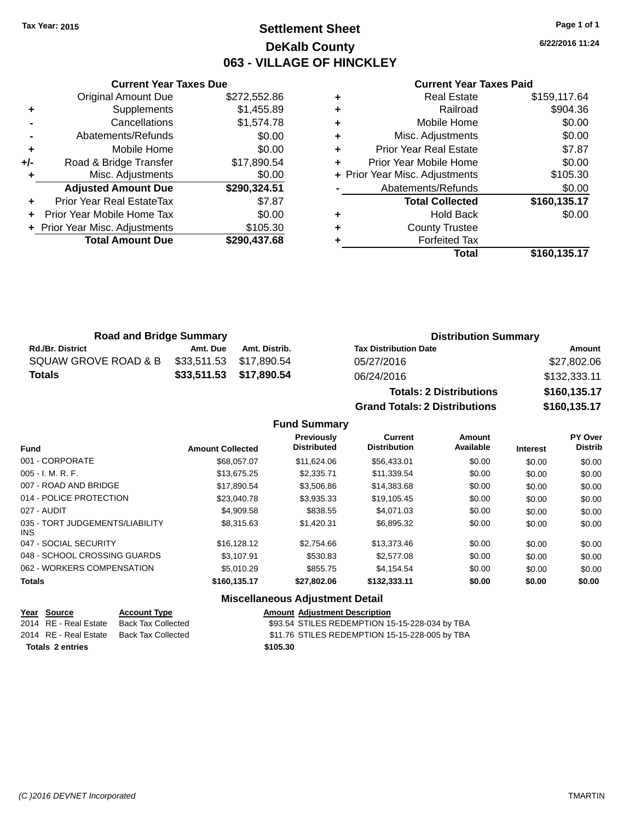# **Settlement Sheet Tax Year: 2015 Page 1 of 1 DeKalb County 063 - VILLAGE OF HINCKLEY**

**6/22/2016 11:24**

#### **Current Year Taxes Paid**

|     | <b>Current Year Taxes Due</b>  |              |
|-----|--------------------------------|--------------|
|     | <b>Original Amount Due</b>     | \$272,552.86 |
| ٠   | Supplements                    | \$1,455.89   |
|     | Cancellations                  | \$1,574.78   |
|     | Abatements/Refunds             | \$0.00       |
| ٠   | Mobile Home                    | \$0.00       |
| +/- | Road & Bridge Transfer         | \$17,890.54  |
|     | Misc. Adjustments              | \$0.00       |
|     | <b>Adjusted Amount Due</b>     | \$290,324.51 |
| ٠   | Prior Year Real EstateTax      | \$7.87       |
|     | Prior Year Mobile Home Tax     | \$0.00       |
|     | + Prior Year Misc. Adjustments | \$105.30     |
|     | <b>Total Amount Due</b>        | \$290,437.68 |
|     |                                |              |

|   | Total                          | \$160,135.17 |
|---|--------------------------------|--------------|
|   | <b>Forfeited Tax</b>           |              |
| ٠ | <b>County Trustee</b>          |              |
| ٠ | <b>Hold Back</b>               | \$0.00       |
|   | <b>Total Collected</b>         | \$160,135.17 |
|   | Abatements/Refunds             | \$0.00       |
|   | + Prior Year Misc. Adjustments | \$105.30     |
| ٠ | Prior Year Mobile Home         | \$0.00       |
| ٠ | <b>Prior Year Real Estate</b>  | \$7.87       |
| ٠ | Misc. Adjustments              | \$0.00       |
| ٠ | Mobile Home                    | \$0.00       |
| ٠ | Railroad                       | \$904.36     |
| ٠ | <b>Real Estate</b>             | \$159,117.64 |

| <b>Road and Bridge Summary</b> |          |                         | <b>Distribution Summary</b>  |                   |  |
|--------------------------------|----------|-------------------------|------------------------------|-------------------|--|
| <b>Rd./Br. District</b>        | Amt. Due | Amt. Distrib.           | <b>Tax Distribution Date</b> | Amount            |  |
| SQUAW GROVE ROAD & B           |          | \$33.511.53 \$17.890.54 | 05/27/2016                   | \$27,802.06       |  |
| <b>Totals</b>                  |          | \$33,511.53 \$17,890.54 | 06/24/2016                   | \$132,333.11      |  |
|                                |          |                         |                              | - - - - - - - - - |  |

| <b>Totals: 2 Distributions</b> | \$160,135.17 |
|--------------------------------|--------------|
| Grand Totals: 2 Distributions  | \$160,135.17 |

## **Fund Summary**

| <b>Fund</b>                             | <b>Amount Collected</b> | Previously<br><b>Distributed</b> | Current<br><b>Distribution</b> | Amount<br>Available | <b>Interest</b> | <b>PY Over</b><br><b>Distrib</b> |
|-----------------------------------------|-------------------------|----------------------------------|--------------------------------|---------------------|-----------------|----------------------------------|
| 001 - CORPORATE                         | \$68,057.07             | \$11.624.06                      | \$56,433.01                    | \$0.00              | \$0.00          | \$0.00                           |
| $005 - I. M. R. F.$                     | \$13,675.25             | \$2,335.71                       | \$11,339.54                    | \$0.00              | \$0.00          | \$0.00                           |
| 007 - ROAD AND BRIDGE                   | \$17.890.54             | \$3,506.86                       | \$14,383.68                    | \$0.00              | \$0.00          | \$0.00                           |
| 014 - POLICE PROTECTION                 | \$23,040.78             | \$3.935.33                       | \$19.105.45                    | \$0.00              | \$0.00          | \$0.00                           |
| 027 - AUDIT                             | \$4,909.58              | \$838.55                         | \$4.071.03                     | \$0.00              | \$0.00          | \$0.00                           |
| 035 - TORT JUDGEMENTS/LIABILITY<br>INS. | \$8.315.63              | \$1.420.31                       | \$6,895.32                     | \$0.00              | \$0.00          | \$0.00                           |
| 047 - SOCIAL SECURITY                   | \$16,128,12             | \$2,754.66                       | \$13,373.46                    | \$0.00              | \$0.00          | \$0.00                           |
| 048 - SCHOOL CROSSING GUARDS            | \$3.107.91              | \$530.83                         | \$2,577.08                     | \$0.00              | \$0.00          | \$0.00                           |
| 062 - WORKERS COMPENSATION              | \$5.010.29              | \$855.75                         | \$4.154.54                     | \$0.00              | \$0.00          | \$0.00                           |
| <b>Totals</b>                           | \$160,135.17            | \$27.802.06                      | \$132,333,11                   | \$0.00              | \$0.00          | \$0.00                           |

## **Miscellaneous Adjustment Detail**

| Year Source             | <b>Account Type</b> | <b>Amount Adjustment Description</b>           |
|-------------------------|---------------------|------------------------------------------------|
| 2014 RE - Real Estate   | Back Tax Collected  | \$93.54 STILES REDEMPTION 15-15-228-034 by TBA |
| 2014 RE - Real Estate   | Back Tax Collected  | \$11.76 STILES REDEMPTION 15-15-228-005 by TBA |
| <b>Totals 2 entries</b> |                     | \$105.30                                       |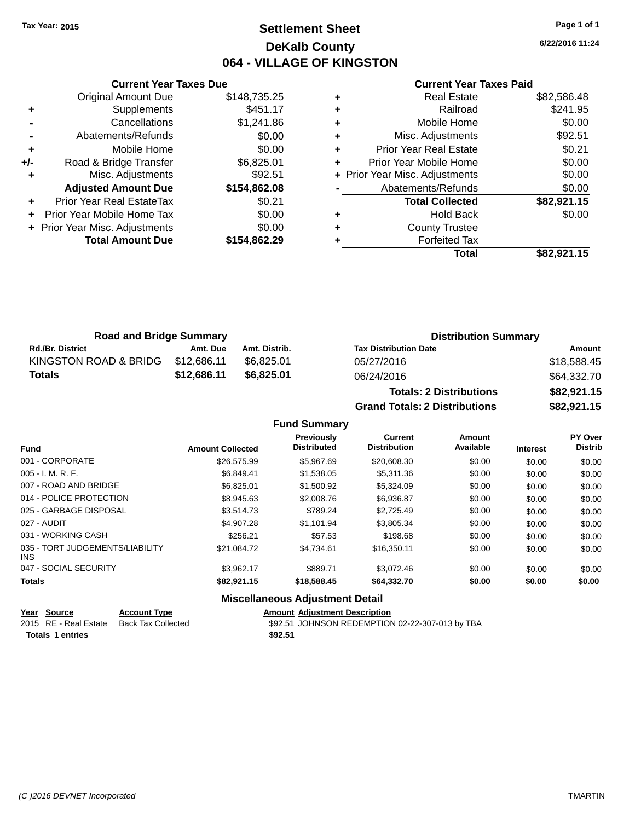# **Settlement Sheet Tax Year: 2015 Page 1 of 1 DeKalb County 064 - VILLAGE OF KINGSTON**

**6/22/2016 11:24**

#### **Current Year Taxes Paid**

|     | <b>Current Year Taxes Due</b>  |              |
|-----|--------------------------------|--------------|
|     | <b>Original Amount Due</b>     | \$148,735.25 |
| ٠   | Supplements                    | \$451.17     |
|     | Cancellations                  | \$1,241.86   |
|     | Abatements/Refunds             | \$0.00       |
| ٠   | Mobile Home                    | \$0.00       |
| +/- | Road & Bridge Transfer         | \$6,825.01   |
|     | Misc. Adjustments              | \$92.51      |
|     | <b>Adjusted Amount Due</b>     | \$154,862.08 |
|     | Prior Year Real EstateTax      | \$0.21       |
|     | Prior Year Mobile Home Tax     | \$0.00       |
|     | + Prior Year Misc. Adjustments | \$0.00       |
|     | <b>Total Amount Due</b>        | \$154,862.29 |
|     |                                |              |

| ٠ | <b>Real Estate</b>             | \$82,586.48 |
|---|--------------------------------|-------------|
| ٠ | Railroad                       | \$241.95    |
| ٠ | Mobile Home                    | \$0.00      |
| ٠ | Misc. Adjustments              | \$92.51     |
| ٠ | <b>Prior Year Real Estate</b>  | \$0.21      |
| ÷ | Prior Year Mobile Home         | \$0.00      |
|   | + Prior Year Misc. Adjustments | \$0.00      |
|   | Abatements/Refunds             | \$0.00      |
|   | <b>Total Collected</b>         | \$82,921.15 |
| ٠ | <b>Hold Back</b>               | \$0.00      |
| ٠ | <b>County Trustee</b>          |             |
| ٠ | <b>Forfeited Tax</b>           |             |
|   | Total                          | \$82,921.15 |
|   |                                |             |

| <b>Road and Bridge Summary</b> |             |               |                              | <b>Distribution Summary</b> |  |  |
|--------------------------------|-------------|---------------|------------------------------|-----------------------------|--|--|
| <b>Rd./Br. District</b>        | Amt. Due    | Amt. Distrib. | <b>Tax Distribution Date</b> | Amount                      |  |  |
| KINGSTON ROAD & BRIDG          | \$12.686.11 | \$6.825.01    | 05/27/2016                   | \$18,588.45                 |  |  |
| <b>Totals</b>                  | \$12.686.11 | \$6,825,01    | 06/24/2016                   | \$64,332.70                 |  |  |
|                                |             |               |                              |                             |  |  |

| <b>Totals: 2 Distributions</b> | \$82,921.15 |
|--------------------------------|-------------|
| Grand Totals: 2 Distributions  | \$82,921.15 |

#### **Fund Summary**

| <b>Fund</b>                                   | <b>Amount Collected</b> | <b>Previously</b><br><b>Distributed</b> | <b>Current</b><br><b>Distribution</b> | <b>Amount</b><br>Available | <b>Interest</b> | <b>PY Over</b><br><b>Distrib</b> |
|-----------------------------------------------|-------------------------|-----------------------------------------|---------------------------------------|----------------------------|-----------------|----------------------------------|
| 001 - CORPORATE                               | \$26,575.99             | \$5.967.69                              | \$20,608.30                           | \$0.00                     | \$0.00          | \$0.00                           |
| $005 - I. M. R. F.$                           | \$6.849.41              | \$1.538.05                              | \$5,311,36                            | \$0.00                     | \$0.00          | \$0.00                           |
| 007 - ROAD AND BRIDGE                         | \$6.825.01              | \$1,500.92                              | \$5,324.09                            | \$0.00                     | \$0.00          | \$0.00                           |
| 014 - POLICE PROTECTION                       | \$8,945.63              | \$2,008.76                              | \$6,936.87                            | \$0.00                     | \$0.00          | \$0.00                           |
| 025 - GARBAGE DISPOSAL                        | \$3.514.73              | \$789.24                                | \$2,725.49                            | \$0.00                     | \$0.00          | \$0.00                           |
| 027 - AUDIT                                   | \$4.907.28              | \$1.101.94                              | \$3.805.34                            | \$0.00                     | \$0.00          | \$0.00                           |
| 031 - WORKING CASH                            | \$256.21                | \$57.53                                 | \$198.68                              | \$0.00                     | \$0.00          | \$0.00                           |
| 035 - TORT JUDGEMENTS/LIABILITY<br><b>INS</b> | \$21.084.72             | \$4.734.61                              | \$16,350.11                           | \$0.00                     | \$0.00          | \$0.00                           |
| 047 - SOCIAL SECURITY                         | \$3.962.17              | \$889.71                                | \$3.072.46                            | \$0.00                     | \$0.00          | \$0.00                           |
| <b>Totals</b>                                 | \$82.921.15             | \$18,588,45                             | \$64,332,70                           | \$0.00                     | \$0.00          | \$0.00                           |

## **Miscellaneous Adjustment Detail Year Source Account Type Amount Adjustment Description** \$92.51 JOHNSON REDEMPTION 02-22-307-013 by TBA

**Totals \$92.51 1 entries**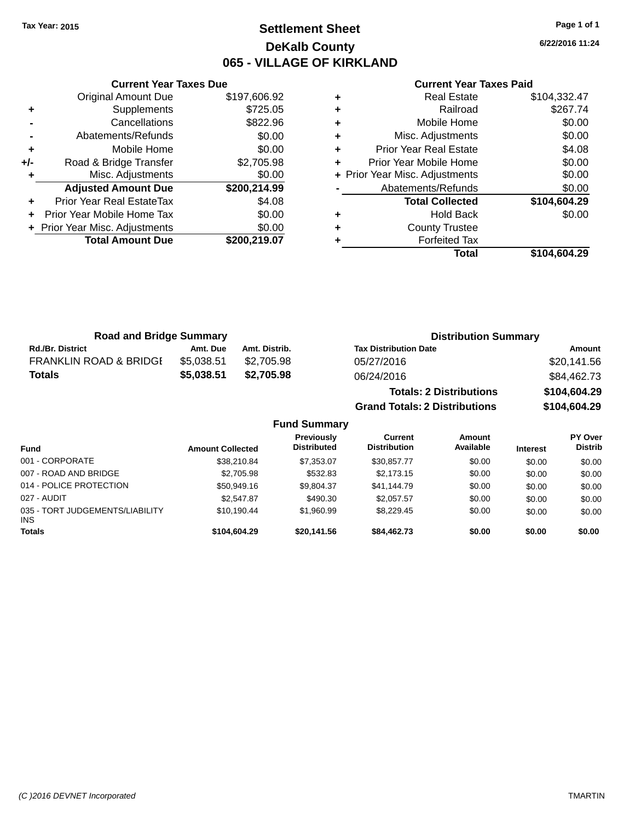# **Settlement Sheet Tax Year: 2015 Page 1 of 1 DeKalb County 065 - VILLAGE OF KIRKLAND**

**6/22/2016 11:24**

#### **Current Year Taxes Paid**

|     | <b>Original Amount Due</b>     | \$197,606.92 |
|-----|--------------------------------|--------------|
| ٠   | Supplements                    | \$725.05     |
|     | Cancellations                  | \$822.96     |
|     | Abatements/Refunds             | \$0.00       |
| ٠   | Mobile Home                    | \$0.00       |
| +/- | Road & Bridge Transfer         | \$2,705.98   |
|     | Misc. Adjustments              | \$0.00       |
|     | <b>Adjusted Amount Due</b>     | \$200,214.99 |
|     | Prior Year Real EstateTax      | \$4.08       |
|     | Prior Year Mobile Home Tax     | \$0.00       |
|     |                                |              |
|     | + Prior Year Misc. Adjustments | \$0.00       |
|     | <b>Total Amount Due</b>        | \$200,219.07 |

**Current Year Taxes Due**

|   | Total                          | \$104.604.29 |
|---|--------------------------------|--------------|
|   | <b>Forfeited Tax</b>           |              |
| ٠ | <b>County Trustee</b>          |              |
| ٠ | <b>Hold Back</b>               | \$0.00       |
|   | <b>Total Collected</b>         | \$104,604.29 |
|   | Abatements/Refunds             | \$0.00       |
|   | + Prior Year Misc. Adjustments | \$0.00       |
| ÷ | Prior Year Mobile Home         | \$0.00       |
| ٠ | <b>Prior Year Real Estate</b>  | \$4.08       |
| ٠ | Misc. Adjustments              | \$0.00       |
| ٠ | Mobile Home                    | \$0.00       |
| ٠ | Railroad                       | \$267.74     |
|   | <b>Real Estate</b>             | \$104,332.47 |

| <b>Road and Bridge Summary</b>    |            |               | <b>Distribution Summary</b>          |              |
|-----------------------------------|------------|---------------|--------------------------------------|--------------|
| <b>Rd./Br. District</b>           | Amt. Due   | Amt. Distrib. | <b>Tax Distribution Date</b>         | Amount       |
| <b>FRANKLIN ROAD &amp; BRIDGE</b> | \$5,038.51 | \$2.705.98    | 05/27/2016                           | \$20,141.56  |
| <b>Totals</b>                     | \$5,038.51 | \$2,705.98    | 06/24/2016                           | \$84,462.73  |
|                                   |            |               | <b>Totals: 2 Distributions</b>       | \$104,604.29 |
|                                   |            |               | <b>Grand Totals: 2 Distributions</b> | \$104,604.29 |

#### **Fund Summary Fund Interest Amount Collected Distributed PY Over Distrib Amount Available Current Distribution Previously** 001 - CORPORATE \$38,210.84 \$7,353.07 \$30,857.77 \$0.00 \$0.00 \$0.00 007 - ROAD AND BRIDGE \$2,705.98 \$2,705.98 \$532.83 \$2,173.15 \$0.00 \$0.00 \$0.00 \$0.00 014 - POLICE PROTECTION \$50,949.16 \$9,804.37 \$41,144.79 \$0.00 \$0.00 \$0.00 \$0.00 027 - AUDIT \$2,547.87 \$490.30 \$2,057.57 \$0.00 \$0.00 \$0.00 035 - TORT JUDGEMENTS/LIABILITY INS \$10,190.44 \$1,960.99 \$8,229.45 \$0.00 \$0.00 \$0.00 **Totals \$104,604.29 \$20,141.56 \$84,462.73 \$0.00 \$0.00 \$0.00**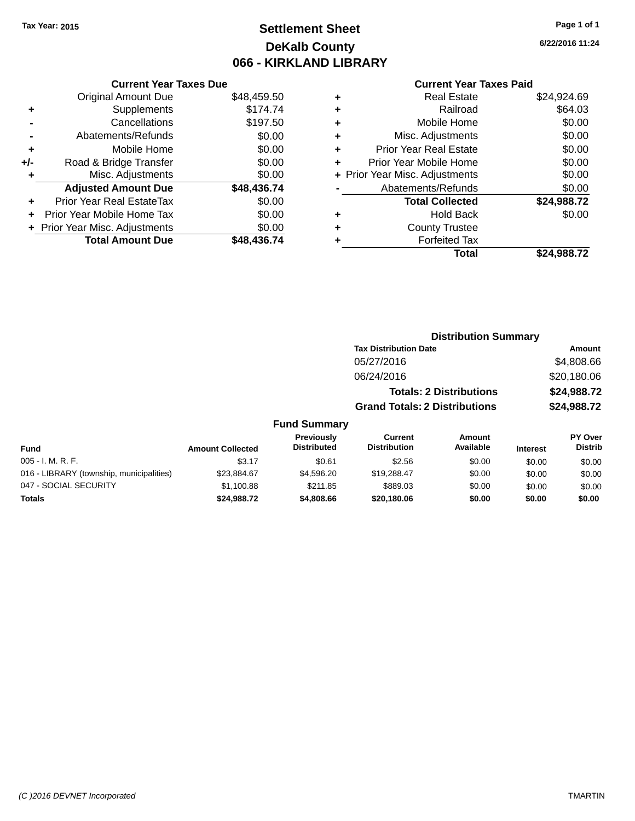# **Settlement Sheet Tax Year: 2015 Page 1 of 1 DeKalb County 066 - KIRKLAND LIBRARY**

#### **Current Year Taxes Due**

|       | <b>Original Amount Due</b>       | \$48,459.50 |
|-------|----------------------------------|-------------|
| ٠     | Supplements                      | \$174.74    |
|       | Cancellations                    | \$197.50    |
|       | Abatements/Refunds               | \$0.00      |
| ٠     | Mobile Home                      | \$0.00      |
| $+/-$ | Road & Bridge Transfer           | \$0.00      |
| ٠     | Misc. Adjustments                | \$0.00      |
|       | <b>Adjusted Amount Due</b>       | \$48,436.74 |
| ÷     | <b>Prior Year Real EstateTax</b> | \$0.00      |
|       | Prior Year Mobile Home Tax       | \$0.00      |
|       | + Prior Year Misc. Adjustments   | \$0.00      |
|       | <b>Total Amount Due</b>          | \$48.436.74 |

## **Current Year Taxes Paid**

| <b>Real Estate</b>             | \$24,924.69 |
|--------------------------------|-------------|
| Railroad                       | \$64.03     |
| Mobile Home                    | \$0.00      |
| Misc. Adjustments              | \$0.00      |
| <b>Prior Year Real Estate</b>  | \$0.00      |
| Prior Year Mobile Home         | \$0.00      |
| + Prior Year Misc. Adjustments | \$0.00      |
| Abatements/Refunds             | \$0.00      |
| <b>Total Collected</b>         | \$24,988.72 |
| <b>Hold Back</b>               | \$0.00      |
| <b>County Trustee</b>          |             |
| <b>Forfeited Tax</b>           |             |
| Total                          | \$24,988.72 |
|                                |             |

## **Distribution Summary Tax Distribution Date Amount** 05/27/2016 \$4,808.66 06/24/2016 \$20,180.06 **Totals: 2 Distributions \$24,988.72 Grand Totals: 2 Distributions \$24,988.72**

## **Fund Summary**

| <b>Fund</b>                              | <b>Amount Collected</b> | <b>Previously</b><br><b>Distributed</b> | Current<br><b>Distribution</b> | Amount<br>Available | <b>Interest</b> | <b>PY Over</b><br><b>Distrib</b> |
|------------------------------------------|-------------------------|-----------------------------------------|--------------------------------|---------------------|-----------------|----------------------------------|
| $005 - I. M. R. F.$                      | \$3.17                  | \$0.61                                  | \$2.56                         | \$0.00              | \$0.00          | \$0.00                           |
| 016 - LIBRARY (township, municipalities) | \$23.884.67             | \$4,596.20                              | \$19,288,47                    | \$0.00              | \$0.00          | \$0.00                           |
| 047 - SOCIAL SECURITY                    | \$1,100.88              | \$211.85                                | \$889.03                       | \$0.00              | \$0.00          | \$0.00                           |
| Totals                                   | \$24.988.72             | \$4,808,66                              | \$20,180,06                    | \$0.00              | \$0.00          | \$0.00                           |

**6/22/2016 11:24**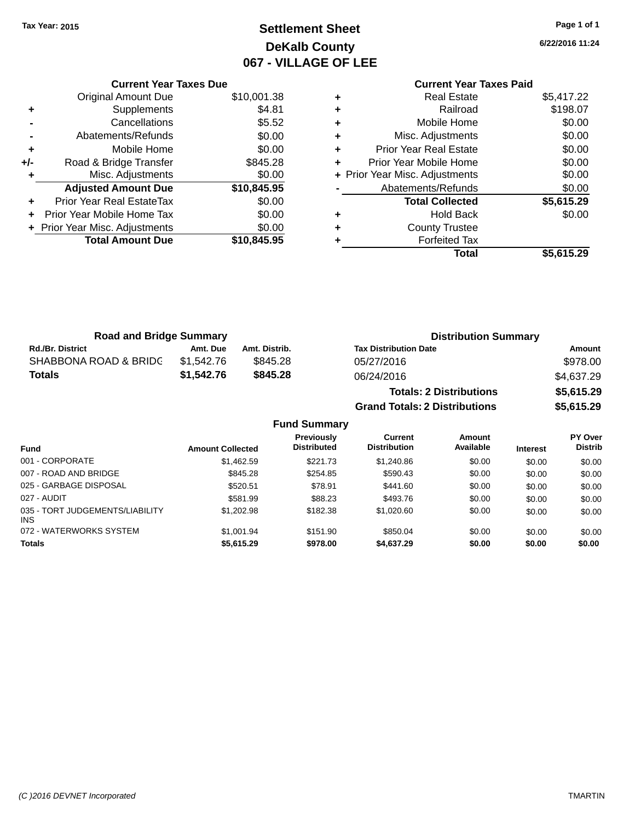# **Settlement Sheet Tax Year: 2015 Page 1 of 1 DeKalb County 067 - VILLAGE OF LEE**

**6/22/2016 11:24**

|   | <b>Current Year Taxes Paid</b> |            |
|---|--------------------------------|------------|
| ٠ | Real Estate                    | \$5,417.22 |
| ٠ | Railroad                       | \$198.07   |
| ٠ | Mobile Home                    | \$0.00     |
| ٠ | Misc. Adjustments              | \$0.00     |
| ٠ | <b>Prior Year Real Estate</b>  | \$0.00     |
| ٠ | Prior Year Mobile Home         | \$0.00     |
|   | + Prior Year Misc. Adjustments | \$0.00     |
|   | Abatements/Refunds             | \$0.00     |
|   | <b>Total Collected</b>         | \$5,615.29 |
| ٠ | <b>Hold Back</b>               | \$0.00     |
|   | <b>County Trustee</b>          |            |
|   | <b>Forfeited Tax</b>           |            |
|   | Total                          | \$5,615.29 |

|     | <b>Current Year Taxes Due</b>  |             |
|-----|--------------------------------|-------------|
|     | <b>Original Amount Due</b>     | \$10,001.38 |
| ٠   | Supplements                    | \$4.81      |
|     | Cancellations                  | \$5.52      |
|     | Abatements/Refunds             | \$0.00      |
| ٠   | Mobile Home                    | \$0.00      |
| +/- | Road & Bridge Transfer         | \$845.28    |
| ٠   | Misc. Adjustments              | \$0.00      |
|     | <b>Adjusted Amount Due</b>     | \$10,845.95 |
|     | Prior Year Real EstateTax      | \$0.00      |
|     | Prior Year Mobile Home Tax     | \$0.00      |
|     | + Prior Year Misc. Adjustments | \$0.00      |
|     | <b>Total Amount Due</b>        | \$10,845.95 |
|     |                                |             |

| <b>Road and Bridge Summary</b> |            |                     | <b>Distribution Summary</b>          |            |
|--------------------------------|------------|---------------------|--------------------------------------|------------|
| <b>Rd./Br. District</b>        | Amt. Due   | Amt. Distrib.       | <b>Tax Distribution Date</b>         | Amount     |
| SHABBONA ROAD & BRIDC          | \$1,542.76 | \$845.28            | 05/27/2016                           | \$978.00   |
| <b>Totals</b>                  | \$1,542.76 | \$845.28            | 06/24/2016                           | \$4,637.29 |
|                                |            |                     | <b>Totals: 2 Distributions</b>       | \$5,615.29 |
|                                |            |                     | <b>Grand Totals: 2 Distributions</b> | \$5,615.29 |
|                                |            | <b>Fund Summary</b> |                                      |            |

| <b>Fund</b>                             | <b>Amount Collected</b> | Previously<br><b>Distributed</b> | Current<br><b>Distribution</b> | Amount<br>Available | <b>Interest</b> | PY Over<br><b>Distrib</b> |
|-----------------------------------------|-------------------------|----------------------------------|--------------------------------|---------------------|-----------------|---------------------------|
| 001 - CORPORATE                         | \$1,462.59              | \$221.73                         | \$1,240.86                     | \$0.00              | \$0.00          | \$0.00                    |
| 007 - ROAD AND BRIDGE                   | \$845.28                | \$254.85                         | \$590.43                       | \$0.00              | \$0.00          | \$0.00                    |
| 025 - GARBAGE DISPOSAL                  | \$520.51                | \$78.91                          | \$441.60                       | \$0.00              | \$0.00          | \$0.00                    |
| 027 - AUDIT                             | \$581.99                | \$88.23                          | \$493.76                       | \$0.00              | \$0.00          | \$0.00                    |
| 035 - TORT JUDGEMENTS/LIABILITY<br>INS. | \$1.202.98              | \$182.38                         | \$1,020.60                     | \$0.00              | \$0.00          | \$0.00                    |
| 072 - WATERWORKS SYSTEM                 | \$1.001.94              | \$151.90                         | \$850.04                       | \$0.00              | \$0.00          | \$0.00                    |
| <b>Totals</b>                           | \$5,615.29              | \$978.00                         | \$4,637.29                     | \$0.00              | \$0.00          | \$0.00                    |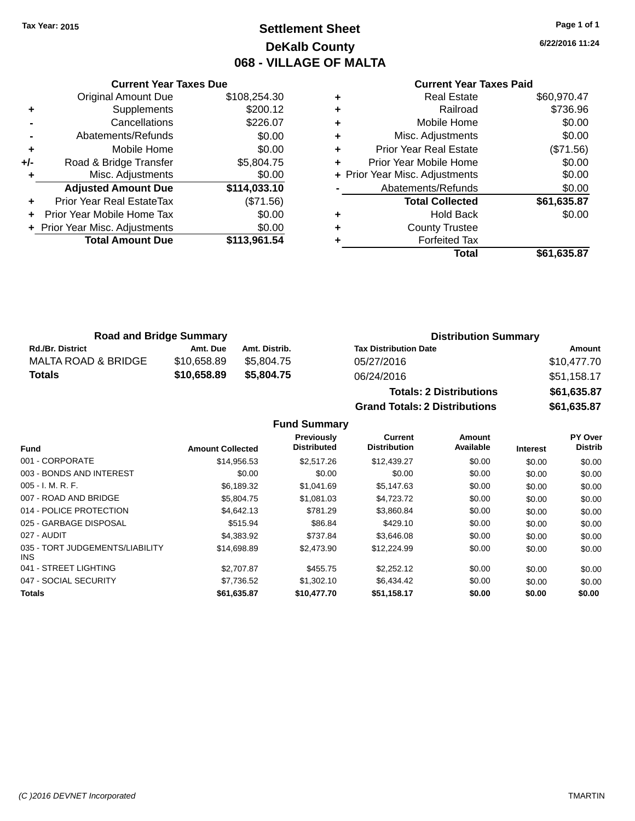# **Settlement Sheet Tax Year: 2015 Page 1 of 1 DeKalb County 068 - VILLAGE OF MALTA**

**6/22/2016 11:24**

# **Current Year Taxes Paid**

|     | <b>Current Year Taxes Due</b>  |              |
|-----|--------------------------------|--------------|
|     | <b>Original Amount Due</b>     | \$108,254.30 |
| ٠   | Supplements                    | \$200.12     |
|     | Cancellations                  | \$226.07     |
|     | Abatements/Refunds             | \$0.00       |
| ٠   | Mobile Home                    | \$0.00       |
| +/- | Road & Bridge Transfer         | \$5,804.75   |
|     | Misc. Adjustments              | \$0.00       |
|     | <b>Adjusted Amount Due</b>     | \$114,033.10 |
|     | Prior Year Real EstateTax      | (\$71.56)    |
|     | Prior Year Mobile Home Tax     | \$0.00       |
|     | + Prior Year Misc. Adjustments | \$0.00       |
|     | <b>Total Amount Due</b>        | \$113,961.54 |
|     |                                |              |

|   | Total                          | \$61,635.87 |
|---|--------------------------------|-------------|
| ٠ | <b>Forfeited Tax</b>           |             |
| ٠ | <b>County Trustee</b>          |             |
| ٠ | <b>Hold Back</b>               | \$0.00      |
|   | <b>Total Collected</b>         | \$61,635.87 |
|   | Abatements/Refunds             | \$0.00      |
|   | + Prior Year Misc. Adjustments | \$0.00      |
| ٠ | Prior Year Mobile Home         | \$0.00      |
| ٠ | <b>Prior Year Real Estate</b>  | (\$71.56)   |
| ٠ | Misc. Adjustments              | \$0.00      |
| ٠ | Mobile Home                    | \$0.00      |
| ٠ | Railroad                       | \$736.96    |
| ٠ | <b>Real Estate</b>             | \$60,970.47 |
|   |                                |             |

| <b>Road and Bridge Summary</b> |             |               | <b>Distribution Summary</b>  |             |  |
|--------------------------------|-------------|---------------|------------------------------|-------------|--|
| <b>Rd./Br. District</b>        | Amt. Due    | Amt. Distrib. | <b>Tax Distribution Date</b> | Amount      |  |
| MALTA ROAD & BRIDGE            | \$10,658.89 | \$5.804.75    | 05/27/2016                   | \$10,477.70 |  |
| <b>Totals</b>                  | \$10,658.89 | \$5,804.75    | 06/24/2016                   | \$51,158.17 |  |

| <b>Totals: 2 Distributions</b>       | \$61,635.87 |
|--------------------------------------|-------------|
| <b>Grand Totals: 2 Distributions</b> | \$61,635.87 |

## **Fund Summary**

| <b>Fund</b>                             | <b>Amount Collected</b> | <b>Previously</b><br><b>Distributed</b> | Current<br><b>Distribution</b> | Amount<br>Available | <b>Interest</b> | PY Over<br><b>Distrib</b> |
|-----------------------------------------|-------------------------|-----------------------------------------|--------------------------------|---------------------|-----------------|---------------------------|
|                                         |                         |                                         |                                |                     |                 |                           |
| 001 - CORPORATE                         | \$14,956.53             | \$2,517.26                              | \$12,439.27                    | \$0.00              | \$0.00          | \$0.00                    |
| 003 - BONDS AND INTEREST                | \$0.00                  | \$0.00                                  | \$0.00                         | \$0.00              | \$0.00          | \$0.00                    |
| $005 - I. M. R. F.$                     | \$6,189.32              | \$1,041.69                              | \$5,147.63                     | \$0.00              | \$0.00          | \$0.00                    |
| 007 - ROAD AND BRIDGE                   | \$5,804.75              | \$1.081.03                              | \$4,723.72                     | \$0.00              | \$0.00          | \$0.00                    |
| 014 - POLICE PROTECTION                 | \$4,642.13              | \$781.29                                | \$3,860.84                     | \$0.00              | \$0.00          | \$0.00                    |
| 025 - GARBAGE DISPOSAL                  | \$515.94                | \$86.84                                 | \$429.10                       | \$0.00              | \$0.00          | \$0.00                    |
| 027 - AUDIT                             | \$4,383.92              | \$737.84                                | \$3.646.08                     | \$0.00              | \$0.00          | \$0.00                    |
| 035 - TORT JUDGEMENTS/LIABILITY<br>INS. | \$14,698.89             | \$2,473.90                              | \$12,224.99                    | \$0.00              | \$0.00          | \$0.00                    |
| 041 - STREET LIGHTING                   | \$2,707.87              | \$455.75                                | \$2,252.12                     | \$0.00              | \$0.00          | \$0.00                    |
| 047 - SOCIAL SECURITY                   | \$7,736.52              | \$1,302.10                              | \$6.434.42                     | \$0.00              | \$0.00          | \$0.00                    |
| <b>Totals</b>                           | \$61,635.87             | \$10,477.70                             | \$51,158.17                    | \$0.00              | \$0.00          | \$0.00                    |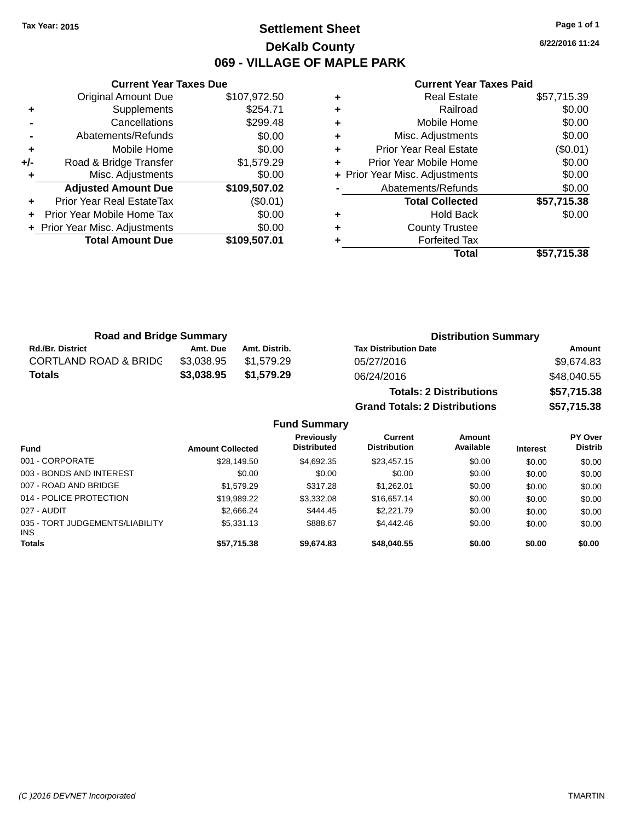# **Settlement Sheet Tax Year: 2015 Page 1 of 1 DeKalb County 069 - VILLAGE OF MAPLE PARK**

**6/22/2016 11:24**

#### **Current Year Taxes Paid**

|     | <b>Original Amount Due</b>     | \$107,972.50 |
|-----|--------------------------------|--------------|
| ٠   | Supplements                    | \$254.71     |
|     | Cancellations                  | \$299.48     |
|     | Abatements/Refunds             | \$0.00       |
| ٠   | Mobile Home                    | \$0.00       |
| +/- | Road & Bridge Transfer         | \$1,579.29   |
|     | Misc. Adjustments              | \$0.00       |
|     | <b>Adjusted Amount Due</b>     | \$109,507.02 |
| ÷   | Prior Year Real EstateTax      | (\$0.01)     |
|     |                                |              |
|     | Prior Year Mobile Home Tax     | \$0.00       |
|     | + Prior Year Misc. Adjustments | \$0.00       |
|     | <b>Total Amount Due</b>        | \$109,507.01 |

**Current Year Taxes Due**

| ٠ | <b>Real Estate</b>             | \$57,715.39 |
|---|--------------------------------|-------------|
| ٠ | Railroad                       | \$0.00      |
| ٠ | Mobile Home                    | \$0.00      |
| ٠ | Misc. Adjustments              | \$0.00      |
| ٠ | <b>Prior Year Real Estate</b>  | (\$0.01)    |
| ٠ | Prior Year Mobile Home         | \$0.00      |
|   | + Prior Year Misc. Adjustments | \$0.00      |
|   | Abatements/Refunds             | \$0.00      |
|   | <b>Total Collected</b>         | \$57,715.38 |
| ٠ | <b>Hold Back</b>               | \$0.00      |
| ٠ | <b>County Trustee</b>          |             |
|   | <b>Forfeited Tax</b>           |             |
|   | Total                          | \$57,715.38 |

**Grand Totals: 2 Distributions \$57,715.38**

| <b>Road and Bridge Summary</b>   |            |               | <b>Distribution Summary</b>    |             |  |
|----------------------------------|------------|---------------|--------------------------------|-------------|--|
| <b>Rd./Br. District</b>          | Amt. Due   | Amt. Distrib. | <b>Tax Distribution Date</b>   | Amount      |  |
| <b>CORTLAND ROAD &amp; BRIDG</b> | \$3.038.95 | \$1.579.29    | 05/27/2016                     | \$9,674.83  |  |
| <b>Totals</b>                    | \$3.038.95 | \$1.579.29    | 06/24/2016                     | \$48,040.55 |  |
|                                  |            |               | <b>Totals: 2 Distributions</b> | \$57,715.38 |  |

**Fund Summary Fund Interest Amount Collected Distributed PY Over Distrib Amount Available Current Distribution Previously** 001 - CORPORATE \$28,149.50 \$4,692.35 \$23,457.15 \$0.00 \$0.00 \$0.00 003 - BONDS AND INTEREST  $$0.00$   $$0.00$   $$0.00$   $$0.00$   $$0.00$   $$0.00$   $$0.00$   $$0.00$ 007 - ROAD AND BRIDGE \$1,579.29 \$1,579.29 \$317.28 \$1,262.01 \$0.00 \$0.00 \$0.00 \$0.00 014 - POLICE PROTECTION \$19,989.22 \$3,332.08 \$16,657.14 \$0.00 \$0.00 \$0.00 \$0.00 027 - AUDIT \$2,666.24 \$444.45 \$2,221.79 \$0.00 \$0.00 \$0.00 035 - TORT JUDGEMENTS/LIABILITY INS \$5,331.13 \$888.67 \$4,442.46 \$0.00 \$0.00 \$0.00 **Totals \$57,715.38 \$9,674.83 \$48,040.55 \$0.00 \$0.00 \$0.00**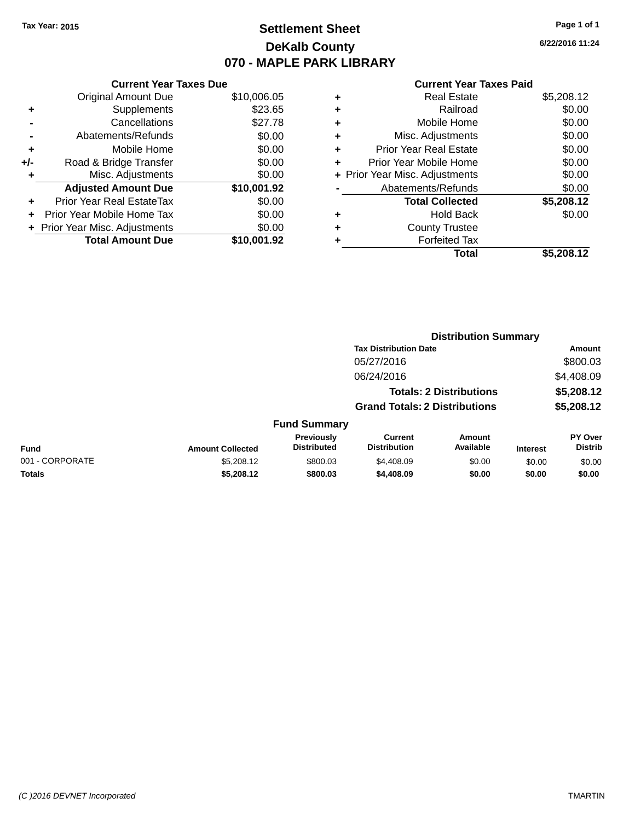# **Settlement Sheet Tax Year: 2015 Page 1 of 1 DeKalb County 070 - MAPLE PARK LIBRARY**

**6/22/2016 11:24**

#### **Current Year Taxes Paid**

|       | <b>Current Year Taxes Due</b>  |             |
|-------|--------------------------------|-------------|
|       | <b>Original Amount Due</b>     | \$10,006.05 |
| ٠     | Supplements                    | \$23.65     |
|       | Cancellations                  | \$27.78     |
|       | Abatements/Refunds             | \$0.00      |
| ٠     | Mobile Home                    | \$0.00      |
| $+/-$ | Road & Bridge Transfer         | \$0.00      |
|       | Misc. Adjustments              | \$0.00      |
|       | <b>Adjusted Amount Due</b>     | \$10,001.92 |
| ÷     | Prior Year Real EstateTax      | \$0.00      |
|       | Prior Year Mobile Home Tax     | \$0.00      |
|       | + Prior Year Misc. Adjustments | \$0.00      |
|       | <b>Total Amount Due</b>        | \$10.001.92 |

| ٠ | <b>Real Estate</b>             | \$5,208.12 |
|---|--------------------------------|------------|
| ٠ | Railroad                       | \$0.00     |
| ٠ | Mobile Home                    | \$0.00     |
| ٠ | Misc. Adjustments              | \$0.00     |
| ٠ | <b>Prior Year Real Estate</b>  | \$0.00     |
| ٠ | Prior Year Mobile Home         | \$0.00     |
|   | + Prior Year Misc. Adjustments | \$0.00     |
|   | Abatements/Refunds             | \$0.00     |
|   | <b>Total Collected</b>         | \$5,208.12 |
| ٠ | <b>Hold Back</b>               | \$0.00     |
| ٠ | <b>County Trustee</b>          |            |
| ٠ | <b>Forfeited Tax</b>           |            |
|   | Total                          | \$5.208.12 |
|   |                                |            |

|                 |                         |                                  |                                       | <b>Distribution Summary</b>    |                 |                                  |
|-----------------|-------------------------|----------------------------------|---------------------------------------|--------------------------------|-----------------|----------------------------------|
|                 |                         |                                  | <b>Tax Distribution Date</b>          |                                |                 | Amount                           |
|                 |                         |                                  | 05/27/2016                            |                                |                 | \$800.03                         |
|                 |                         |                                  | 06/24/2016                            |                                |                 | \$4,408.09                       |
|                 |                         |                                  |                                       | <b>Totals: 2 Distributions</b> |                 | \$5,208.12                       |
|                 |                         |                                  | <b>Grand Totals: 2 Distributions</b>  |                                |                 | \$5,208.12                       |
|                 |                         | <b>Fund Summary</b>              |                                       |                                |                 |                                  |
| <b>Fund</b>     | <b>Amount Collected</b> | Previously<br><b>Distributed</b> | <b>Current</b><br><b>Distribution</b> | Amount<br>Available            | <b>Interest</b> | <b>PY Over</b><br><b>Distrib</b> |
| 001 - CORPORATE | \$5,208.12              | \$800.03                         | \$4,408.09                            | \$0.00                         | \$0.00          | \$0.00                           |
| <b>Totals</b>   | \$5,208.12              | \$800.03                         | \$4,408.09                            | \$0.00                         | \$0.00          | \$0.00                           |
|                 |                         |                                  |                                       |                                |                 |                                  |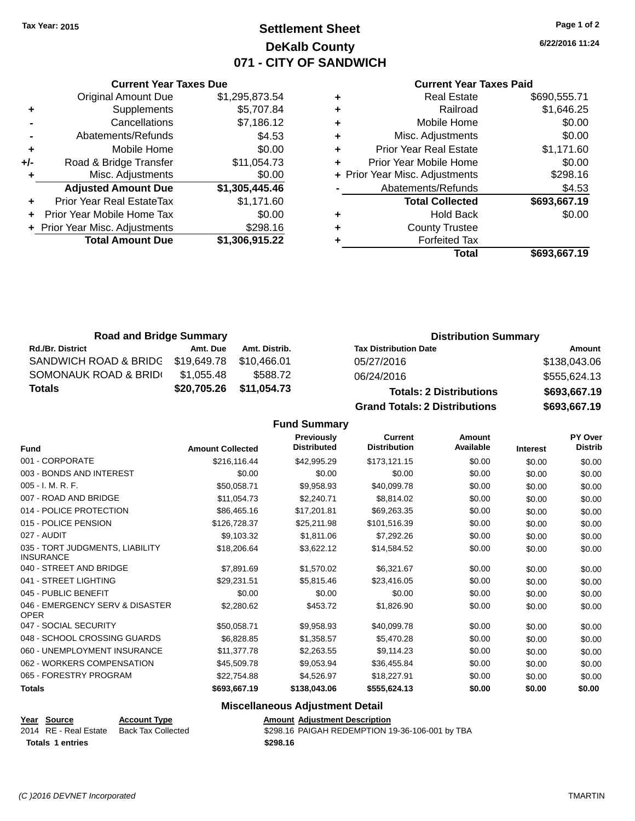# **Settlement Sheet Tax Year: 2015 Page 1 of 2 DeKalb County 071 - CITY OF SANDWICH**

**6/22/2016 11:24**

#### **Current Year Taxes Paid**

|     | <b>Current Year Taxes Due</b>  |                |  |  |
|-----|--------------------------------|----------------|--|--|
|     | <b>Original Amount Due</b>     | \$1,295,873.54 |  |  |
| ٠   | Supplements                    | \$5,707.84     |  |  |
|     | Cancellations                  | \$7,186.12     |  |  |
|     | Abatements/Refunds             | \$4.53         |  |  |
| ٠   | Mobile Home                    | \$0.00         |  |  |
| +/- | Road & Bridge Transfer         | \$11,054.73    |  |  |
| ٠   | Misc. Adjustments              | \$0.00         |  |  |
|     | <b>Adjusted Amount Due</b>     | \$1,305,445.46 |  |  |
| ٠   | Prior Year Real EstateTax      | \$1,171.60     |  |  |
|     | Prior Year Mobile Home Tax     | \$0.00         |  |  |
|     | + Prior Year Misc. Adjustments | \$298.16       |  |  |
|     | <b>Total Amount Due</b>        | \$1,306,915.22 |  |  |
|     |                                |                |  |  |

| ٠ | <b>Real Estate</b>             | \$690,555.71 |
|---|--------------------------------|--------------|
| ٠ | Railroad                       | \$1,646.25   |
| ٠ | Mobile Home                    | \$0.00       |
| ٠ | Misc. Adjustments              | \$0.00       |
| ٠ | <b>Prior Year Real Estate</b>  | \$1,171.60   |
| ٠ | Prior Year Mobile Home         | \$0.00       |
|   | + Prior Year Misc. Adjustments | \$298.16     |
|   | Abatements/Refunds             | \$4.53       |
|   | <b>Total Collected</b>         | \$693,667.19 |
| ٠ | <b>Hold Back</b>               | \$0.00       |
| ٠ | <b>County Trustee</b>          |              |
| ٠ | <b>Forfeited Tax</b>           |              |
|   | Total                          | \$693,667.19 |
|   |                                |              |

| <b>Road and Bridge Summary</b> |             |               | <b>Distribution Summary</b>          |              |  |
|--------------------------------|-------------|---------------|--------------------------------------|--------------|--|
| <b>Rd./Br. District</b>        | Amt. Due    | Amt. Distrib. | <b>Tax Distribution Date</b>         | Amount       |  |
| SANDWICH ROAD & BRIDG          | \$19,649.78 | \$10.466.01   | 05/27/2016                           | \$138,043.06 |  |
| SOMONAUK ROAD & BRIDI          | \$1.055.48  | \$588.72      | 06/24/2016                           | \$555,624.13 |  |
| <b>Totals</b>                  | \$20,705.26 | \$11,054.73   | <b>Totals: 2 Distributions</b>       | \$693,667.19 |  |
|                                |             |               | <b>Grand Totals: 2 Distributions</b> | \$693,667.19 |  |

## **Fund Summary**

| <b>Fund</b>                                         | <b>Amount Collected</b> | <b>Previously</b><br><b>Distributed</b> | <b>Current</b><br><b>Distribution</b> | Amount<br>Available | <b>Interest</b> | PY Over<br><b>Distrib</b> |
|-----------------------------------------------------|-------------------------|-----------------------------------------|---------------------------------------|---------------------|-----------------|---------------------------|
| 001 - CORPORATE                                     | \$216,116.44            | \$42,995.29                             | \$173,121.15                          | \$0.00              | \$0.00          | \$0.00                    |
| 003 - BONDS AND INTEREST                            | \$0.00                  | \$0.00                                  | \$0.00                                | \$0.00              | \$0.00          | \$0.00                    |
| 005 - I. M. R. F.                                   | \$50,058.71             | \$9,958.93                              | \$40,099.78                           | \$0.00              | \$0.00          | \$0.00                    |
| 007 - ROAD AND BRIDGE                               | \$11,054.73             | \$2,240.71                              | \$8,814.02                            | \$0.00              | \$0.00          | \$0.00                    |
| 014 - POLICE PROTECTION                             | \$86,465.16             | \$17,201.81                             | \$69,263.35                           | \$0.00              | \$0.00          | \$0.00                    |
| 015 - POLICE PENSION                                | \$126,728.37            | \$25,211.98                             | \$101,516.39                          | \$0.00              | \$0.00          | \$0.00                    |
| 027 - AUDIT                                         | \$9,103.32              | \$1,811.06                              | \$7,292.26                            | \$0.00              | \$0.00          | \$0.00                    |
| 035 - TORT JUDGMENTS, LIABILITY<br><b>INSURANCE</b> | \$18,206.64             | \$3,622.12                              | \$14,584.52                           | \$0.00              | \$0.00          | \$0.00                    |
| 040 - STREET AND BRIDGE                             | \$7,891.69              | \$1,570.02                              | \$6,321.67                            | \$0.00              | \$0.00          | \$0.00                    |
| 041 - STREET LIGHTING                               | \$29,231.51             | \$5,815.46                              | \$23,416.05                           | \$0.00              | \$0.00          | \$0.00                    |
| 045 - PUBLIC BENEFIT                                | \$0.00                  | \$0.00                                  | \$0.00                                | \$0.00              | \$0.00          | \$0.00                    |
| 046 - EMERGENCY SERV & DISASTER<br><b>OPER</b>      | \$2,280.62              | \$453.72                                | \$1,826.90                            | \$0.00              | \$0.00          | \$0.00                    |
| 047 - SOCIAL SECURITY                               | \$50,058.71             | \$9,958.93                              | \$40,099.78                           | \$0.00              | \$0.00          | \$0.00                    |
| 048 - SCHOOL CROSSING GUARDS                        | \$6,828.85              | \$1,358.57                              | \$5,470.28                            | \$0.00              | \$0.00          | \$0.00                    |
| 060 - UNEMPLOYMENT INSURANCE                        | \$11,377.78             | \$2,263.55                              | \$9,114.23                            | \$0.00              | \$0.00          | \$0.00                    |
| 062 - WORKERS COMPENSATION                          | \$45,509.78             | \$9,053.94                              | \$36,455.84                           | \$0.00              | \$0.00          | \$0.00                    |
| 065 - FORESTRY PROGRAM                              | \$22,754.88             | \$4,526.97                              | \$18,227.91                           | \$0.00              | \$0.00          | \$0.00                    |
| <b>Totals</b>                                       | \$693,667.19            | \$138,043.06                            | \$555,624.13                          | \$0.00              | \$0.00          | \$0.00                    |

#### **Miscellaneous Adjustment Detail**

| Year Source           | <b>Account Type</b> | <b>Amount Adiustment Description</b>            |
|-----------------------|---------------------|-------------------------------------------------|
| 2014 RE - Real Estate | Back Tax Collected  | \$298.16 PAIGAH REDEMPTION 19-36-106-001 by TBA |
| Totals 1 entries      |                     | \$298.16                                        |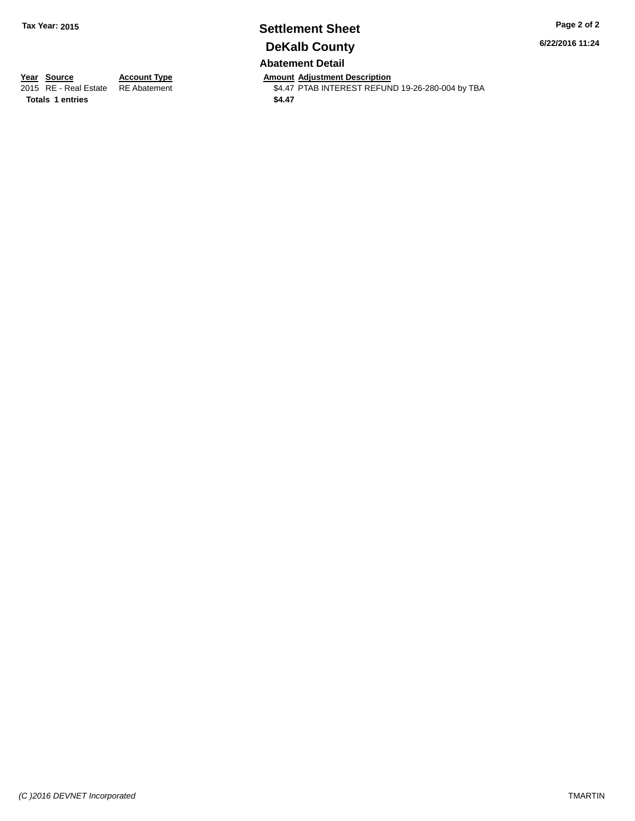# **Settlement Sheet Tax Year: 2015 Page 2 of 2 DeKalb County Abatement Detail**

**6/22/2016 11:24**

**Totals 1 entries** \$4.47

**Year Source Account Type Anneurs Amount Adjustment Description**<br>2015 RE - Real Estate RE Abatement **Account 1991 ALLER ACCOUNTEREST REFUN** \$4.47 PTAB INTEREST REFUND 19-26-280-004 by TBA

*(C )2016 DEVNET Incorporated* TMARTIN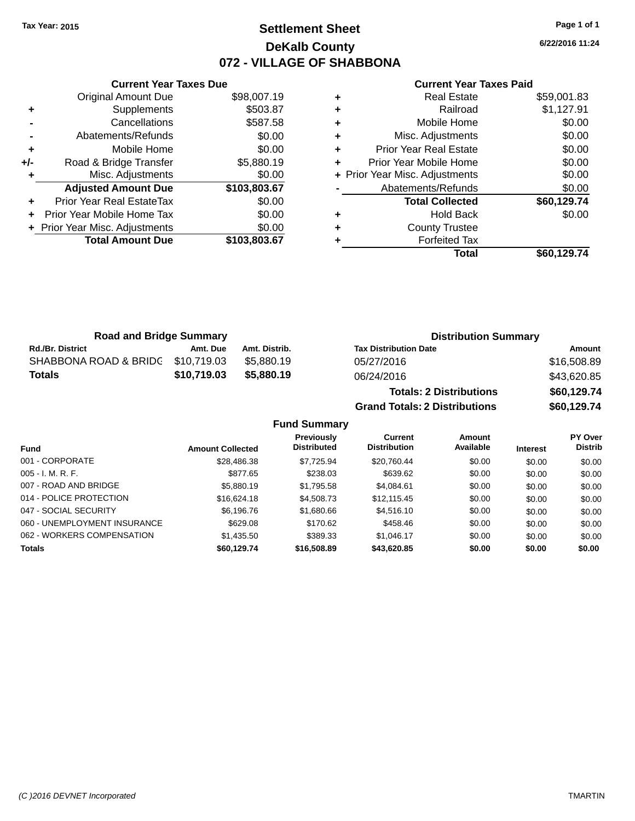# **Settlement Sheet Tax Year: 2015 Page 1 of 1 DeKalb County 072 - VILLAGE OF SHABBONA**

**6/22/2016 11:24**

#### **Current Year Taxes Paid**

|     | <b>Current Year Taxes Due</b>  |              |  |  |  |
|-----|--------------------------------|--------------|--|--|--|
|     | <b>Original Amount Due</b>     | \$98,007.19  |  |  |  |
| ÷   | Supplements                    | \$503.87     |  |  |  |
|     | Cancellations                  | \$587.58     |  |  |  |
|     | Abatements/Refunds             | \$0.00       |  |  |  |
| ٠   | Mobile Home                    | \$0.00       |  |  |  |
| +/- | Road & Bridge Transfer         | \$5,880.19   |  |  |  |
|     | Misc. Adjustments              | \$0.00       |  |  |  |
|     | <b>Adjusted Amount Due</b>     | \$103,803.67 |  |  |  |
| ÷   | Prior Year Real EstateTax      | \$0.00       |  |  |  |
|     | Prior Year Mobile Home Tax     | \$0.00       |  |  |  |
|     | + Prior Year Misc. Adjustments | \$0.00       |  |  |  |
|     | <b>Total Amount Due</b>        | \$103.803.67 |  |  |  |
|     |                                |              |  |  |  |

| <b>Real Estate</b>             | \$59,001.83 |
|--------------------------------|-------------|
| Railroad                       | \$1,127.91  |
| Mobile Home                    | \$0.00      |
| Misc. Adjustments              | \$0.00      |
| <b>Prior Year Real Estate</b>  | \$0.00      |
| Prior Year Mobile Home         | \$0.00      |
| + Prior Year Misc. Adjustments | \$0.00      |
| Abatements/Refunds             | \$0.00      |
| <b>Total Collected</b>         | \$60,129.74 |
| <b>Hold Back</b>               | \$0.00      |
| <b>County Trustee</b>          |             |
| <b>Forfeited Tax</b>           |             |
| Total                          | \$60,129.74 |
|                                |             |

| <b>Road and Bridge Summary</b> |             |               | <b>Distribution Summary</b>  |             |
|--------------------------------|-------------|---------------|------------------------------|-------------|
| <b>Rd./Br. District</b>        | Amt. Due    | Amt. Distrib. | <b>Tax Distribution Date</b> | Amount      |
| SHABBONA ROAD & BRIDC          | \$10.719.03 | \$5.880.19    | 05/27/2016                   | \$16,508.89 |
| <b>Totals</b>                  | \$10,719.03 | \$5.880.19    | 06/24/2016                   | \$43,620.85 |
|                                |             |               |                              |             |

| <b>Totals: 2 Distributions</b>       | \$60,129.74 |
|--------------------------------------|-------------|
| <b>Grand Totals: 2 Distributions</b> | \$60,129.74 |

## **Fund Summary**

| Fund                         | <b>Amount Collected</b> | <b>Previously</b><br><b>Distributed</b> | Current<br><b>Distribution</b> | Amount<br>Available | <b>Interest</b> | <b>PY Over</b><br><b>Distrib</b> |
|------------------------------|-------------------------|-----------------------------------------|--------------------------------|---------------------|-----------------|----------------------------------|
| 001 - CORPORATE              | \$28,486.38             | \$7,725.94                              | \$20,760.44                    | \$0.00              | \$0.00          | \$0.00                           |
| $005 - I. M. R. F.$          | \$877.65                | \$238.03                                | \$639.62                       | \$0.00              | \$0.00          | \$0.00                           |
| 007 - ROAD AND BRIDGE        | \$5,880.19              | \$1,795.58                              | \$4,084.61                     | \$0.00              | \$0.00          | \$0.00                           |
| 014 - POLICE PROTECTION      | \$16,624.18             | \$4,508.73                              | \$12.115.45                    | \$0.00              | \$0.00          | \$0.00                           |
| 047 - SOCIAL SECURITY        | \$6,196.76              | \$1,680.66                              | \$4,516.10                     | \$0.00              | \$0.00          | \$0.00                           |
| 060 - UNEMPLOYMENT INSURANCE | \$629.08                | \$170.62                                | \$458.46                       | \$0.00              | \$0.00          | \$0.00                           |
| 062 - WORKERS COMPENSATION   | \$1,435.50              | \$389.33                                | \$1.046.17                     | \$0.00              | \$0.00          | \$0.00                           |
| <b>Totals</b>                | \$60.129.74             | \$16,508.89                             | \$43,620.85                    | \$0.00              | \$0.00          | \$0.00                           |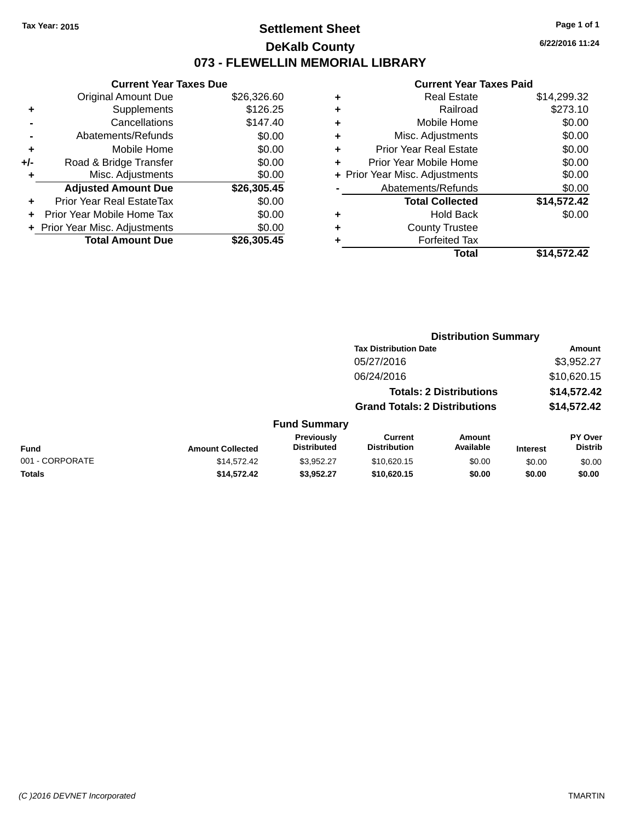# **Settlement Sheet Tax Year: 2015 Page 1 of 1 DeKalb County 073 - FLEWELLIN MEMORIAL LIBRARY**

**6/22/2016 11:24**

#### **Current Year Taxes Paid**

|     | <b>Current Year Taxes Due</b>  |             |  |  |  |
|-----|--------------------------------|-------------|--|--|--|
|     | <b>Original Amount Due</b>     | \$26,326.60 |  |  |  |
| ÷   | Supplements                    | \$126.25    |  |  |  |
|     | Cancellations                  | \$147.40    |  |  |  |
|     | Abatements/Refunds             | \$0.00      |  |  |  |
| ٠   | Mobile Home                    | \$0.00      |  |  |  |
| +/- | Road & Bridge Transfer         | \$0.00      |  |  |  |
|     | Misc. Adjustments              | \$0.00      |  |  |  |
|     | <b>Adjusted Amount Due</b>     | \$26,305.45 |  |  |  |
| ÷   | Prior Year Real EstateTax      | \$0.00      |  |  |  |
|     | Prior Year Mobile Home Tax     | \$0.00      |  |  |  |
|     | + Prior Year Misc. Adjustments | \$0.00      |  |  |  |
|     | <b>Total Amount Due</b>        | \$26.305.45 |  |  |  |
|     |                                |             |  |  |  |

| ٠ | <b>Real Estate</b>             | \$14,299.32 |
|---|--------------------------------|-------------|
| ٠ | Railroad                       | \$273.10    |
| ٠ | Mobile Home                    | \$0.00      |
| ٠ | Misc. Adjustments              | \$0.00      |
| ٠ | <b>Prior Year Real Estate</b>  | \$0.00      |
| ٠ | Prior Year Mobile Home         | \$0.00      |
|   | + Prior Year Misc. Adjustments | \$0.00      |
|   | Abatements/Refunds             | \$0.00      |
|   | <b>Total Collected</b>         | \$14,572.42 |
| ٠ | <b>Hold Back</b>               | \$0.00      |
| ٠ | <b>County Trustee</b>          |             |
| ٠ | <b>Forfeited Tax</b>           |             |
|   | Total                          | \$14,572.42 |
|   |                                |             |

|                 | <b>Distribution Summary</b> |                                  |                                       |                                |                 |                                  |  |
|-----------------|-----------------------------|----------------------------------|---------------------------------------|--------------------------------|-----------------|----------------------------------|--|
|                 |                             |                                  | <b>Tax Distribution Date</b>          |                                |                 | Amount                           |  |
|                 |                             |                                  | 05/27/2016                            |                                |                 | \$3,952.27                       |  |
|                 |                             |                                  | 06/24/2016                            |                                |                 | \$10,620.15                      |  |
|                 |                             |                                  |                                       | <b>Totals: 2 Distributions</b> |                 | \$14,572.42                      |  |
|                 |                             |                                  | <b>Grand Totals: 2 Distributions</b>  |                                |                 | \$14,572.42                      |  |
|                 |                             | <b>Fund Summary</b>              |                                       |                                |                 |                                  |  |
| <b>Fund</b>     | <b>Amount Collected</b>     | Previously<br><b>Distributed</b> | <b>Current</b><br><b>Distribution</b> | Amount<br>Available            | <b>Interest</b> | <b>PY Over</b><br><b>Distrib</b> |  |
| 001 - CORPORATE | \$14.572.42                 | \$3.952.27                       | \$10,620.15                           | \$0.00                         | \$0.00          | \$0.00                           |  |
| <b>Totals</b>   | \$14,572.42                 | \$3,952.27                       | \$10,620.15                           | \$0.00                         | \$0.00          | \$0.00                           |  |
|                 |                             |                                  |                                       |                                |                 |                                  |  |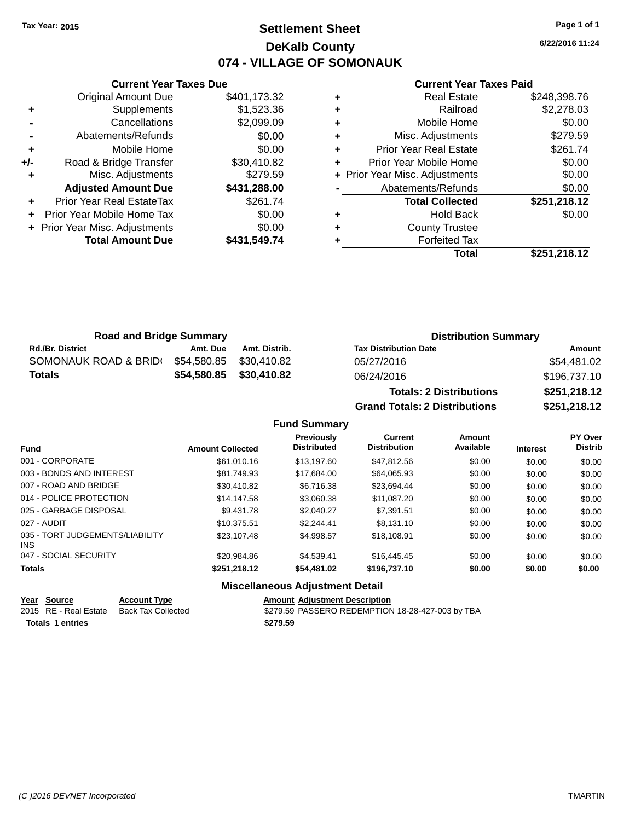# **Settlement Sheet Tax Year: 2015 Page 1 of 1 DeKalb County 074 - VILLAGE OF SOMONAUK**

**6/22/2016 11:24**

#### **Current Year Taxes Paid**

|                | <b>Total Amount Due</b>        | \$431,549.74 |
|----------------|--------------------------------|--------------|
|                | + Prior Year Misc. Adjustments | \$0.00       |
| ÷              | Prior Year Mobile Home Tax     | \$0.00       |
| ÷              | Prior Year Real EstateTax      | \$261.74     |
|                | <b>Adjusted Amount Due</b>     | \$431,288.00 |
|                | Misc. Adjustments              | \$279.59     |
| +/-            | Road & Bridge Transfer         | \$30,410.82  |
| ÷              | Mobile Home                    | \$0.00       |
| $\blacksquare$ | Abatements/Refunds             | \$0.00       |
|                | Cancellations                  | \$2,099.09   |
| ٠              | Supplements                    | \$1,523.36   |
|                | <b>Original Amount Due</b>     | \$401,173.32 |
|                |                                |              |

**Current Year Taxes Due**

|   | <b>Real Estate</b>             | \$248,398.76 |
|---|--------------------------------|--------------|
| ٠ | Railroad                       | \$2,278.03   |
| ٠ | Mobile Home                    | \$0.00       |
| ٠ | Misc. Adjustments              | \$279.59     |
| ٠ | <b>Prior Year Real Estate</b>  | \$261.74     |
| ٠ | Prior Year Mobile Home         | \$0.00       |
|   | + Prior Year Misc. Adjustments | \$0.00       |
|   | Abatements/Refunds             | \$0.00       |
|   | <b>Total Collected</b>         | \$251,218.12 |
| ٠ | <b>Hold Back</b>               | \$0.00       |
| ٠ | <b>County Trustee</b>          |              |
|   | <b>Forfeited Tax</b>           |              |
|   | Total                          | \$251,218.12 |

| <b>Road and Bridge Summary</b> |             |               | <b>Distribution Summary</b>    |              |
|--------------------------------|-------------|---------------|--------------------------------|--------------|
| <b>Rd./Br. District</b>        | Amt. Due    | Amt. Distrib. | <b>Tax Distribution Date</b>   | Amount       |
| SOMONAUK ROAD & BRID(          | \$54,580.85 | \$30.410.82   | 05/27/2016                     | \$54,481.02  |
| <b>Totals</b>                  | \$54,580.85 | \$30,410.82   | 06/24/2016                     | \$196,737.10 |
|                                |             |               | <b>Totals: 2 Distributions</b> | \$251,218.12 |

**Fund Summary**

**Grand Totals: 2 Distributions \$251,218.12**

| stributions |  |
|-------------|--|
|-------------|--|

| 2 Distributions |  |  |
|-----------------|--|--|
|                 |  |  |

| <b>Amount Collected</b> | Previously<br><b>Distributed</b> | Current<br><b>Distribution</b> | <b>Amount</b><br>Available | <b>Interest</b> | PY Over<br><b>Distrib</b> |
|-------------------------|----------------------------------|--------------------------------|----------------------------|-----------------|---------------------------|
| \$61,010.16             | \$13.197.60                      | \$47.812.56                    | \$0.00                     | \$0.00          | \$0.00                    |
| \$81.749.93             | \$17,684.00                      | \$64.065.93                    | \$0.00                     | \$0.00          | \$0.00                    |
| \$30.410.82             | \$6.716.38                       | \$23,694.44                    | \$0.00                     | \$0.00          | \$0.00                    |
| \$14.147.58             | \$3,060.38                       | \$11,087.20                    | \$0.00                     | \$0.00          | \$0.00                    |
| \$9.431.78              | \$2.040.27                       | \$7.391.51                     | \$0.00                     | \$0.00          | \$0.00                    |
| \$10.375.51             | \$2.244.41                       | \$8.131.10                     | \$0.00                     | \$0.00          | \$0.00                    |
| \$23,107.48             | \$4.998.57                       | \$18,108.91                    | \$0.00                     | \$0.00          | \$0.00                    |
| \$20.984.86             | \$4.539.41                       | \$16,445.45                    | \$0.00                     | \$0.00          | \$0.00                    |
| \$251,218.12            | \$54,481.02                      | \$196,737.10                   | \$0.00                     | \$0.00          | \$0.00                    |
|                         |                                  |                                |                            |                 |                           |

## **Miscellaneous Adjustment Detail**

|             |                     | <b>Amount Adiustment Description</b> |
|-------------|---------------------|--------------------------------------|
| Year Source | <b>Account Type</b> |                                      |
|             |                     |                                      |

2015 RE - Real Estate Back Tax Collected **\$279.59 PASSERO REDEMPTION 18-28-427-003 by TBA Totals 1 entries 1 and 1 and 1 and 1 and 1 and 1 and 1 and 1 and 1 and 1 and 1 and 1 and 1 and 1 and 1 and 1 and 1 and 1 and 1 and 1 and 1 and 1 and 1 and 1 and 1 and 1 and 1 and 1 and 1 and 1 and 1 and 1 and 1 and 1 an**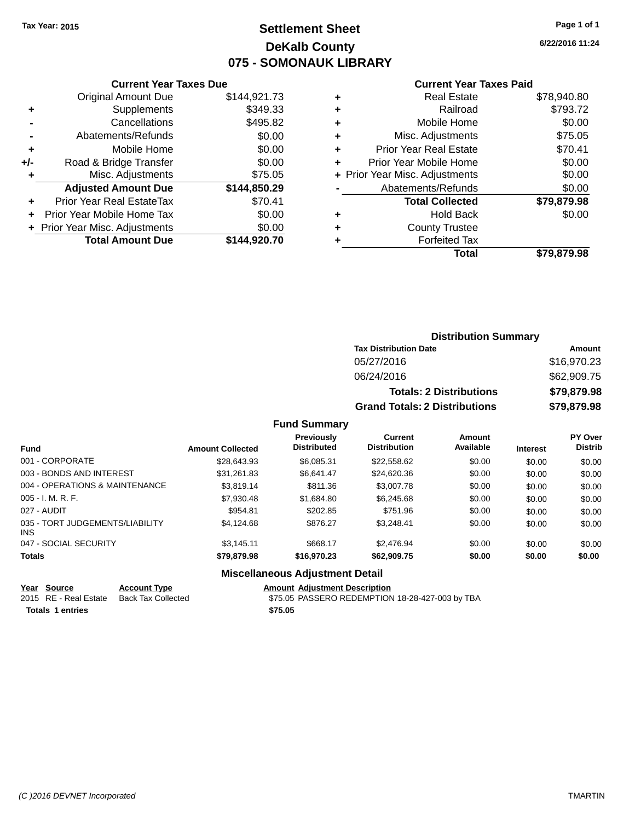# **Settlement Sheet Tax Year: 2015 Page 1 of 1 DeKalb County 075 - SOMONAUK LIBRARY**

**6/22/2016 11:24**

#### **Current Year Taxes Paid**

|     | <b>Original Amount Due</b>       | \$144,921.73 |
|-----|----------------------------------|--------------|
| ٠   | Supplements                      | \$349.33     |
|     | Cancellations                    | \$495.82     |
|     | Abatements/Refunds               | \$0.00       |
| ÷   | Mobile Home                      | \$0.00       |
| +/- | Road & Bridge Transfer           | \$0.00       |
| ٠   | Misc. Adjustments                | \$75.05      |
|     | <b>Adjusted Amount Due</b>       | \$144,850.29 |
| ÷   | <b>Prior Year Real EstateTax</b> | \$70.41      |
| ÷   | Prior Year Mobile Home Tax       | \$0.00       |
|     | + Prior Year Misc. Adjustments   | \$0.00       |
|     | <b>Total Amount Due</b>          | \$144,920.70 |
|     |                                  |              |

**Current Year Taxes Due**

|   | Real Estate                    | \$78,940.80 |
|---|--------------------------------|-------------|
| ٠ | Railroad                       | \$793.72    |
| ٠ | Mobile Home                    | \$0.00      |
| ٠ | Misc. Adjustments              | \$75.05     |
| ٠ | <b>Prior Year Real Estate</b>  | \$70.41     |
| ÷ | Prior Year Mobile Home         | \$0.00      |
|   | + Prior Year Misc. Adjustments | \$0.00      |
|   | Abatements/Refunds             | \$0.00      |
|   | <b>Total Collected</b>         | \$79,879.98 |
| ٠ | <b>Hold Back</b>               | \$0.00      |
| ٠ | <b>County Trustee</b>          |             |
|   | <b>Forfeited Tax</b>           |             |
|   | Total                          | \$79,879.98 |
|   |                                |             |

## **Distribution Summary Tax Distribution Date Amount** 05/27/2016 \$16,970.23 06/24/2016 \$62,909.75 **Totals: 2 Distributions \$79,879.98 Grand Totals: 2 Distributions \$79,879.98**

#### **Fund Summary**

| <b>Fund</b>                             | <b>Amount Collected</b> | Previously<br><b>Distributed</b> | Current<br><b>Distribution</b> | Amount<br>Available | <b>Interest</b> | <b>PY Over</b><br><b>Distrib</b> |
|-----------------------------------------|-------------------------|----------------------------------|--------------------------------|---------------------|-----------------|----------------------------------|
| 001 - CORPORATE                         | \$28,643.93             | \$6,085.31                       | \$22,558.62                    | \$0.00              | \$0.00          | \$0.00                           |
| 003 - BONDS AND INTEREST                | \$31,261.83             | \$6.641.47                       | \$24,620.36                    | \$0.00              | \$0.00          | \$0.00                           |
| 004 - OPERATIONS & MAINTENANCE          | \$3,819.14              | \$811.36                         | \$3,007.78                     | \$0.00              | \$0.00          | \$0.00                           |
| $005 - I. M. R. F.$                     | \$7,930.48              | \$1,684.80                       | \$6,245.68                     | \$0.00              | \$0.00          | \$0.00                           |
| 027 - AUDIT                             | \$954.81                | \$202.85                         | \$751.96                       | \$0.00              | \$0.00          | \$0.00                           |
| 035 - TORT JUDGEMENTS/LIABILITY<br>INS. | \$4.124.68              | \$876.27                         | \$3.248.41                     | \$0.00              | \$0.00          | \$0.00                           |
| 047 - SOCIAL SECURITY                   | \$3.145.11              | \$668.17                         | \$2,476.94                     | \$0.00              | \$0.00          | \$0.00                           |
| <b>Totals</b>                           | \$79,879.98             | \$16,970.23                      | \$62,909.75                    | \$0.00              | \$0.00          | \$0.00                           |

#### **Miscellaneous Adjustment Detail**

**Year Source Account Type Amount Adjustment Description**  $\overline{$75.05}$  PASSERO REDEMPTION 18-28-427-003 by TBA **Totals \$75.05 1 entries**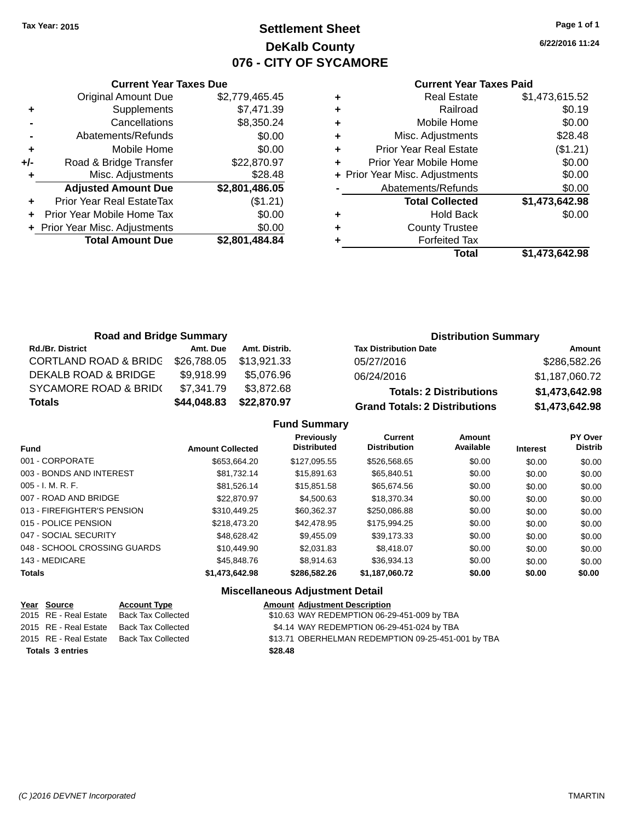# **Settlement Sheet Tax Year: 2015 Page 1 of 1 DeKalb County 076 - CITY OF SYCAMORE**

**6/22/2016 11:24**

|     | <b>Current Year Taxes Due</b>  |                |  |  |  |
|-----|--------------------------------|----------------|--|--|--|
|     | <b>Original Amount Due</b>     | \$2,779,465.45 |  |  |  |
| ٠   | Supplements                    | \$7,471.39     |  |  |  |
|     | Cancellations                  | \$8,350.24     |  |  |  |
|     | Abatements/Refunds             | \$0.00         |  |  |  |
| ٠   | Mobile Home                    | \$0.00         |  |  |  |
| +/- | Road & Bridge Transfer         | \$22,870.97    |  |  |  |
| ٠   | Misc. Adjustments              | \$28.48        |  |  |  |
|     | <b>Adjusted Amount Due</b>     | \$2,801,486.05 |  |  |  |
| ٠   | Prior Year Real EstateTax      | (\$1.21)       |  |  |  |
| ÷   | Prior Year Mobile Home Tax     | \$0.00         |  |  |  |
|     | + Prior Year Misc. Adjustments | \$0.00         |  |  |  |
|     | <b>Total Amount Due</b>        | \$2,801,484.84 |  |  |  |

## **Current Year Taxes Paid**

| <b>Real Estate</b>             | \$1,473,615.52 |
|--------------------------------|----------------|
| Railroad                       | \$0.19         |
| Mobile Home                    | \$0.00         |
| Misc. Adjustments              | \$28.48        |
| <b>Prior Year Real Estate</b>  | (\$1.21)       |
| Prior Year Mobile Home         | \$0.00         |
| + Prior Year Misc. Adjustments | \$0.00         |
| Abatements/Refunds             | \$0.00         |
| <b>Total Collected</b>         | \$1,473,642.98 |
| <b>Hold Back</b>               | \$0.00         |
| <b>County Trustee</b>          |                |
| <b>Forfeited Tax</b>           |                |
| Total                          | \$1,473,642.98 |
|                                |                |

| <b>Road and Bridge Summary</b>   |             |               | <b>Distribution Summary</b>          |                |  |
|----------------------------------|-------------|---------------|--------------------------------------|----------------|--|
| <b>Rd./Br. District</b>          | Amt. Due    | Amt. Distrib. | <b>Tax Distribution Date</b>         | Amount         |  |
| <b>CORTLAND ROAD &amp; BRIDG</b> | \$26,788.05 | \$13.921.33   | 05/27/2016                           | \$286,582.26   |  |
| DEKALB ROAD & BRIDGE             | \$9.918.99  | \$5.076.96    | 06/24/2016                           | \$1,187,060.72 |  |
| <b>SYCAMORE ROAD &amp; BRID(</b> | \$7,341.79  | \$3,872.68    | <b>Totals: 2 Distributions</b>       | \$1,473,642.98 |  |
| <b>Totals</b>                    | \$44,048.83 | \$22,870.97   | <b>Grand Totals: 2 Distributions</b> | \$1,473,642.98 |  |

## **Fund Summary**

| Fund                         | <b>Amount Collected</b> | Previously<br><b>Distributed</b> | Current<br><b>Distribution</b> | Amount<br>Available | <b>Interest</b> | <b>PY Over</b><br><b>Distrib</b> |
|------------------------------|-------------------------|----------------------------------|--------------------------------|---------------------|-----------------|----------------------------------|
| 001 - CORPORATE              | \$653,664.20            | \$127.095.55                     | \$526,568,65                   | \$0.00              | \$0.00          | \$0.00                           |
| 003 - BONDS AND INTEREST     | \$81.732.14             | \$15,891.63                      | \$65.840.51                    | \$0.00              | \$0.00          | \$0.00                           |
| $005 - I. M. R. F.$          | \$81,526.14             | \$15,851.58                      | \$65,674.56                    | \$0.00              | \$0.00          | \$0.00                           |
| 007 - ROAD AND BRIDGE        | \$22,870.97             | \$4,500.63                       | \$18,370.34                    | \$0.00              | \$0.00          | \$0.00                           |
| 013 - FIREFIGHTER'S PENSION  | \$310.449.25            | \$60.362.37                      | \$250,086.88                   | \$0.00              | \$0.00          | \$0.00                           |
| 015 - POLICE PENSION         | \$218,473.20            | \$42,478.95                      | \$175.994.25                   | \$0.00              | \$0.00          | \$0.00                           |
| 047 - SOCIAL SECURITY        | \$48.628.42             | \$9,455.09                       | \$39,173.33                    | \$0.00              | \$0.00          | \$0.00                           |
| 048 - SCHOOL CROSSING GUARDS | \$10,449.90             | \$2,031.83                       | \$8.418.07                     | \$0.00              | \$0.00          | \$0.00                           |
| 143 - MEDICARE               | \$45,848.76             | \$8.914.63                       | \$36.934.13                    | \$0.00              | \$0.00          | \$0.00                           |
| <b>Totals</b>                | \$1,473,642.98          | \$286,582,26                     | \$1,187,060.72                 | \$0.00              | \$0.00          | \$0.00                           |

## **Miscellaneous Adjustment Detail**

| Year Source             | <b>Account Type</b>                      | <b>Amount Adjustment Description</b>               |
|-------------------------|------------------------------------------|----------------------------------------------------|
| 2015 RE - Real Estate   | Back Tax Collected                       | \$10.63 WAY REDEMPTION 06-29-451-009 by TBA        |
|                         | 2015 RE - Real Estate Back Tax Collected | \$4.14 WAY REDEMPTION 06-29-451-024 by TBA         |
|                         | 2015 RE - Real Estate Back Tax Collected | \$13.71 OBERHELMAN REDEMPTION 09-25-451-001 by TBA |
| <b>Totals 3 entries</b> |                                          | \$28.48                                            |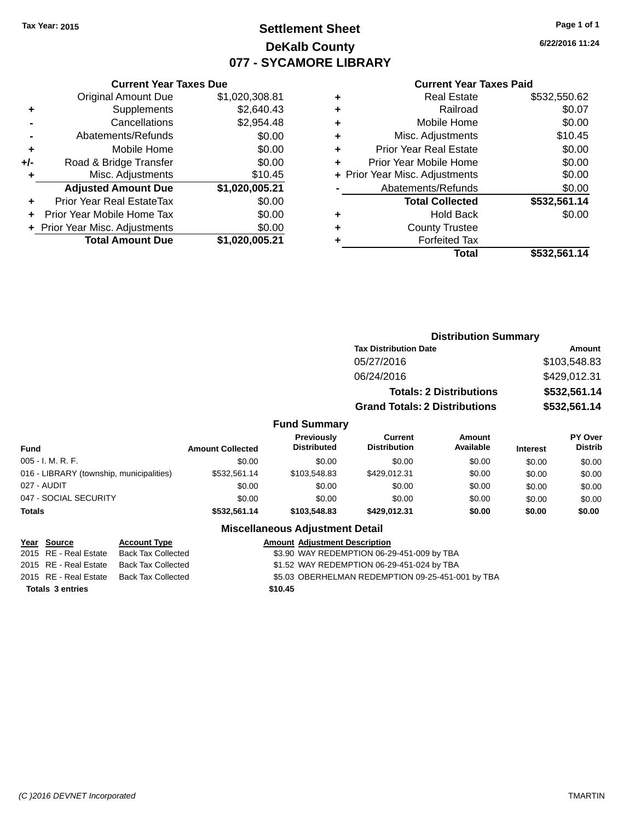## **Settlement Sheet Tax Year: 2015 Page 1 of 1 DeKalb County 077 - SYCAMORE LIBRARY**

**6/22/2016 11:24**

#### **Current Year Taxes Paid**

|       | <b>Current Year Taxes Due</b>  |                |
|-------|--------------------------------|----------------|
|       | <b>Original Amount Due</b>     | \$1,020,308.81 |
| ٠     | Supplements                    | \$2,640.43     |
|       | Cancellations                  | \$2,954.48     |
|       | Abatements/Refunds             | \$0.00         |
| ÷     | Mobile Home                    | \$0.00         |
| $+/-$ | Road & Bridge Transfer         | \$0.00         |
|       | Misc. Adjustments              | \$10.45        |
|       | <b>Adjusted Amount Due</b>     | \$1,020,005.21 |
| ٠     | Prior Year Real EstateTax      | \$0.00         |
|       | Prior Year Mobile Home Tax     | \$0.00         |
|       | + Prior Year Misc. Adjustments | \$0.00         |
|       | <b>Total Amount Due</b>        | \$1,020,005.21 |
|       |                                |                |

| ٠ | <b>Real Estate</b>             | \$532,550.62 |
|---|--------------------------------|--------------|
| ٠ | Railroad                       | \$0.07       |
| ٠ | Mobile Home                    | \$0.00       |
| ٠ | Misc. Adjustments              | \$10.45      |
| ٠ | <b>Prior Year Real Estate</b>  | \$0.00       |
| ٠ | Prior Year Mobile Home         | \$0.00       |
|   | + Prior Year Misc. Adjustments | \$0.00       |
|   | Abatements/Refunds             | \$0.00       |
|   | <b>Total Collected</b>         | \$532,561.14 |
| ٠ | <b>Hold Back</b>               | \$0.00       |
| ٠ | <b>County Trustee</b>          |              |
|   | <b>Forfeited Tax</b>           |              |
|   | Total                          | \$532,561.14 |
|   |                                |              |

|         | <b>Distribution Summary</b>          |              |
|---------|--------------------------------------|--------------|
|         | <b>Tax Distribution Date</b>         | Amount       |
|         | 05/27/2016                           | \$103,548.83 |
|         | 06/24/2016                           | \$429,012.31 |
|         | <b>Totals: 2 Distributions</b>       | \$532,561.14 |
|         | <b>Grand Totals: 2 Distributions</b> | \$532,561.14 |
| m ~ r . |                                      |              |

### **Fund Summary**

| Fund                                     | <b>Amount Collected</b> | <b>Previously</b><br><b>Distributed</b> | Current<br><b>Distribution</b> | Amount<br>Available | <b>Interest</b> | PY Over<br><b>Distrib</b> |
|------------------------------------------|-------------------------|-----------------------------------------|--------------------------------|---------------------|-----------------|---------------------------|
| $005 - I. M. R. F.$                      | \$0.00                  | \$0.00                                  | \$0.00                         | \$0.00              | \$0.00          | \$0.00                    |
| 016 - LIBRARY (township, municipalities) | \$532,561.14            | \$103.548.83                            | \$429.012.31                   | \$0.00              | \$0.00          | \$0.00                    |
| 027 - AUDIT                              | \$0.00                  | \$0.00                                  | \$0.00                         | \$0.00              | \$0.00          | \$0.00                    |
| 047 - SOCIAL SECURITY                    | \$0.00                  | \$0.00                                  | \$0.00                         | \$0.00              | \$0.00          | \$0.00                    |
| <b>Totals</b>                            | \$532,561.14            | \$103,548,83                            | \$429.012.31                   | \$0.00              | \$0.00          | \$0.00                    |

#### **Miscellaneous Adjustment Detail**

| <u>Year Source</u>      | <b>Account Type</b>       | <b>Amount Adjustment Description</b>              |
|-------------------------|---------------------------|---------------------------------------------------|
| 2015 RE - Real Estate   | Back Tax Collected        | \$3.90 WAY REDEMPTION 06-29-451-009 by TBA        |
| 2015 RE - Real Estate   | <b>Back Tax Collected</b> | \$1.52 WAY REDEMPTION 06-29-451-024 by TBA        |
| 2015 RE - Real Estate   | <b>Back Tax Collected</b> | \$5.03 OBERHELMAN REDEMPTION 09-25-451-001 by TBA |
| <b>Totals 3 entries</b> |                           | \$10.45                                           |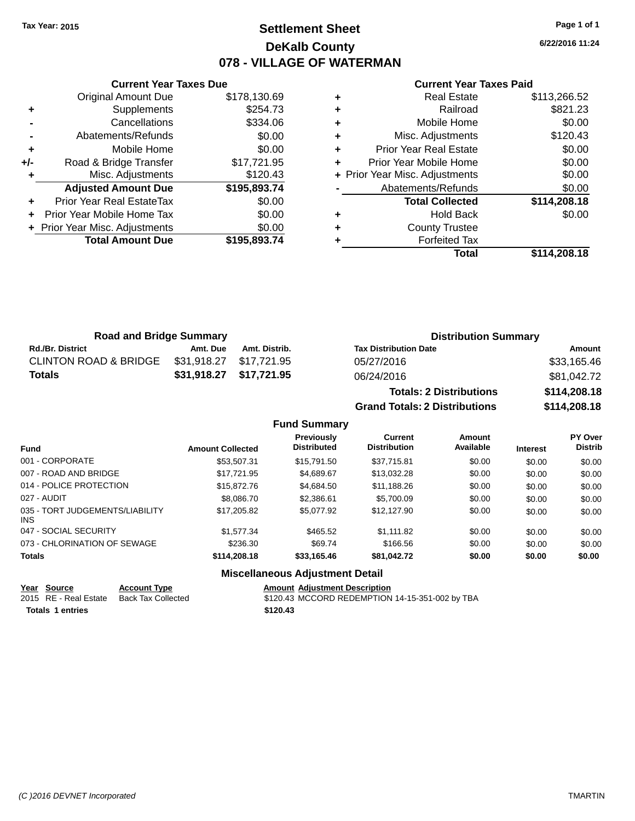## **Settlement Sheet Tax Year: 2015 Page 1 of 1 DeKalb County 078 - VILLAGE OF WATERMAN**

**6/22/2016 11:24**

| <b>Current Year Taxes Due</b> |                                  |              |  |
|-------------------------------|----------------------------------|--------------|--|
|                               | <b>Original Amount Due</b>       | \$178,130.69 |  |
| ٠                             | Supplements                      | \$254.73     |  |
|                               | Cancellations                    | \$334.06     |  |
|                               | Abatements/Refunds               | \$0.00       |  |
| ٠                             | Mobile Home                      | \$0.00       |  |
| +/-                           | Road & Bridge Transfer           | \$17,721.95  |  |
| ٠                             | Misc. Adjustments                | \$120.43     |  |
|                               | <b>Adjusted Amount Due</b>       | \$195,893.74 |  |
| ٠                             | <b>Prior Year Real EstateTax</b> | \$0.00       |  |
| ٠                             | Prior Year Mobile Home Tax       | \$0.00       |  |
|                               | + Prior Year Misc. Adjustments   | \$0.00       |  |
|                               | <b>Total Amount Due</b>          | \$195,893.74 |  |
|                               |                                  |              |  |

#### **Current Year Taxes Paid**

|   | <b>Real Estate</b>             | \$113,266.52 |
|---|--------------------------------|--------------|
| ÷ | Railroad                       | \$821.23     |
| ٠ | Mobile Home                    | \$0.00       |
| ٠ | Misc. Adjustments              | \$120.43     |
| ٠ | Prior Year Real Estate         | \$0.00       |
|   | Prior Year Mobile Home         | \$0.00       |
|   | + Prior Year Misc. Adjustments | \$0.00       |
|   | Abatements/Refunds             | \$0.00       |
|   | <b>Total Collected</b>         | \$114,208.18 |
| ٠ | Hold Back                      | \$0.00       |
| ٠ | <b>County Trustee</b>          |              |
|   | <b>Forfeited Tax</b>           |              |
|   | Total                          | \$114,208.18 |
|   |                                |              |

| <b>Road and Bridge Summary</b>   |          |                         | <b>Distribution Summary</b>    |              |
|----------------------------------|----------|-------------------------|--------------------------------|--------------|
| <b>Rd./Br. District</b>          | Amt. Due | Amt. Distrib.           | <b>Tax Distribution Date</b>   | Amount       |
| <b>CLINTON ROAD &amp; BRIDGE</b> |          | \$31,918.27 \$17,721.95 | 05/27/2016                     | \$33,165.46  |
| <b>Totals</b>                    |          | \$31,918.27 \$17,721.95 | 06/24/2016                     | \$81,042.72  |
|                                  |          |                         | <b>Totals: 2 Distributions</b> | \$114,208.18 |

**Fund Summary**

**Previously**

001 - CORPORATE \$53,507.31 \$15,791.50 \$37,715.81 \$0.00 \$0.00 \$0.00 007 - ROAD AND BRIDGE \$17,721.95 \$4,689.67 \$13,032.28 \$0.00 \$0.00 \$0.00 014 - POLICE PROTECTION \$15,872.76 \$4,684.50 \$11,188.26 \$0.00 \$0.00 \$0.00 \$0.00 027 - AUDIT \$8,086.70 \$2,386.61 \$5,700.09 \$0.00 \$0.00 \$0.00

**Fund Interest Amount Collected Distributed**

**Grand Totals: 2 Distributions \$114,208.18**

**Current Distribution**

\$17,205.82 \$5,077.92 \$12,127.90 \$0.00 \$0.00 \$0.00 \$0.00

**Amount Available**

**PY Over Distrib**

047 - SOCIAL SECURITY \$1,577.34 \$465.52 \$1,111.82 \$0.00 \$0.00 \$0.00 073 - CHLORINATION OF SEWAGE \$236.30 \$69.74 \$166.56 \$0.00 \$0.00 \$0.00 \$0.00

## **Totals \$114,208.18 \$33,165.46 \$81,042.72 \$0.00 \$0.00 \$0.00**

035 - TORT JUDGEMENTS/LIABILITY

INS

#### **Miscellaneous Adjustment Detail**

|                  | Year Source           | <b>Account Type</b> | <b>Amount Adiustment Description</b>            |
|------------------|-----------------------|---------------------|-------------------------------------------------|
|                  | 2015 RE - Real Estate | Back Tax Collected  | \$120.43 MCCORD REDEMPTION 14-15-351-002 by TBA |
| Totals 1 entries |                       |                     | \$120.43                                        |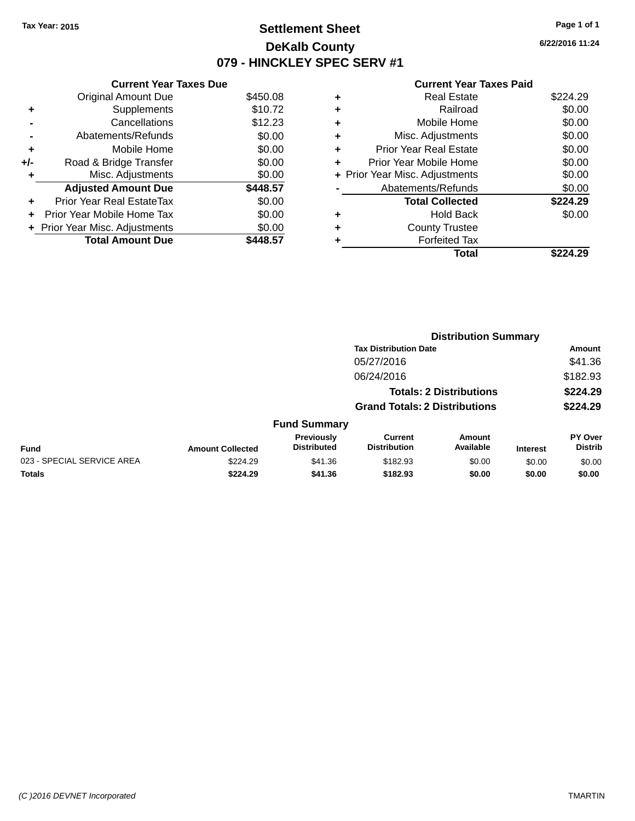## **Settlement Sheet Tax Year: 2015 Page 1 of 1 DeKalb County 079 - HINCKLEY SPEC SERV #1**

**6/22/2016 11:24**

#### **Current Year Taxes Paid**

|     | <b>Current Year Taxes Due</b>  |          |
|-----|--------------------------------|----------|
|     | <b>Original Amount Due</b>     | \$450.08 |
| ٠   | Supplements                    | \$10.72  |
|     | Cancellations                  | \$12.23  |
|     | Abatements/Refunds             | \$0.00   |
| ٠   | Mobile Home                    | \$0.00   |
| +/- | Road & Bridge Transfer         | \$0.00   |
| ٠   | Misc. Adjustments              | \$0.00   |
|     | <b>Adjusted Amount Due</b>     | \$448.57 |
| ÷   | Prior Year Real EstateTax      | \$0.00   |
| ÷   | Prior Year Mobile Home Tax     | \$0.00   |
|     | + Prior Year Misc. Adjustments | \$0.00   |
|     | <b>Total Amount Due</b>        | 448.57   |

|   | <b>Real Estate</b>             | \$224.29 |
|---|--------------------------------|----------|
| ٠ | Railroad                       | \$0.00   |
| ٠ | Mobile Home                    | \$0.00   |
| ٠ | Misc. Adjustments              | \$0.00   |
| ٠ | <b>Prior Year Real Estate</b>  | \$0.00   |
|   | Prior Year Mobile Home         | \$0.00   |
|   | + Prior Year Misc. Adjustments | \$0.00   |
|   | Abatements/Refunds             | \$0.00   |
|   | <b>Total Collected</b>         | \$224.29 |
| ٠ | Hold Back                      | \$0.00   |
|   | <b>County Trustee</b>          |          |
| ٠ | <b>Forfeited Tax</b>           |          |
|   | Total                          | \$224.29 |
|   |                                |          |

|                            |                         |                                         |                                       | <b>Distribution Summary</b>    |                 |                           |
|----------------------------|-------------------------|-----------------------------------------|---------------------------------------|--------------------------------|-----------------|---------------------------|
|                            |                         |                                         | <b>Tax Distribution Date</b>          |                                |                 | <b>Amount</b>             |
|                            |                         |                                         | 05/27/2016                            |                                |                 | \$41.36                   |
|                            |                         |                                         | 06/24/2016                            |                                |                 | \$182.93                  |
|                            |                         |                                         |                                       | <b>Totals: 2 Distributions</b> |                 | \$224.29                  |
|                            |                         |                                         | <b>Grand Totals: 2 Distributions</b>  |                                |                 | \$224.29                  |
|                            |                         | <b>Fund Summary</b>                     |                                       |                                |                 |                           |
| <b>Fund</b>                | <b>Amount Collected</b> | <b>Previously</b><br><b>Distributed</b> | <b>Current</b><br><b>Distribution</b> | Amount<br>Available            | <b>Interest</b> | PY Over<br><b>Distrib</b> |
| 023 - SPECIAL SERVICE AREA | \$224.29                | \$41.36                                 | \$182.93                              | \$0.00                         | \$0.00          | \$0.00                    |
| <b>Totals</b>              | \$224.29                | \$41.36                                 | \$182.93                              | \$0.00                         | \$0.00          | \$0.00                    |
|                            |                         |                                         |                                       |                                |                 |                           |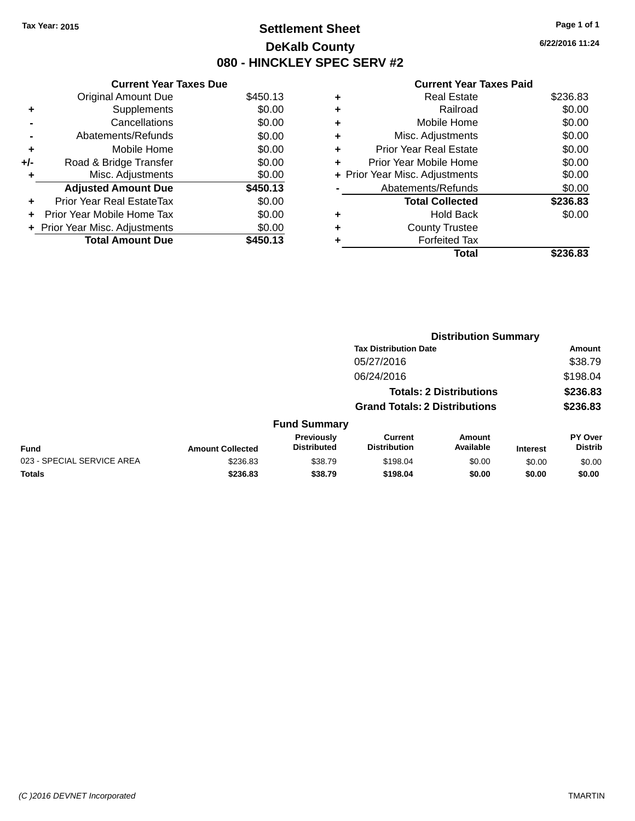## **Settlement Sheet Tax Year: 2015 Page 1 of 1 DeKalb County 080 - HINCKLEY SPEC SERV #2**

**6/22/2016 11:24**

#### **Current Year Taxes Paid**

|     | <b>Current Year Taxes Due</b>  |          |
|-----|--------------------------------|----------|
|     | <b>Original Amount Due</b>     | \$450.13 |
| ٠   | Supplements                    | \$0.00   |
|     | Cancellations                  | \$0.00   |
|     | Abatements/Refunds             | \$0.00   |
| ٠   | Mobile Home                    | \$0.00   |
| +/- | Road & Bridge Transfer         | \$0.00   |
| ٠   | Misc. Adjustments              | \$0.00   |
|     | <b>Adjusted Amount Due</b>     | \$450.13 |
| ٠   | Prior Year Real EstateTax      | \$0.00   |
| ÷   | Prior Year Mobile Home Tax     | \$0.00   |
|     | + Prior Year Misc. Adjustments | \$0.00   |
|     | <b>Total Amount Due</b>        | \$450.13 |

|   | Total                          | \$236.83 |
|---|--------------------------------|----------|
|   | <b>Forfeited Tax</b>           |          |
| ٠ | <b>County Trustee</b>          |          |
| ٠ | Hold Back                      | \$0.00   |
|   | <b>Total Collected</b>         | \$236.83 |
|   | Abatements/Refunds             | \$0.00   |
|   | + Prior Year Misc. Adjustments | \$0.00   |
| ٠ | Prior Year Mobile Home         | \$0.00   |
| ÷ | <b>Prior Year Real Estate</b>  | \$0.00   |
| ٠ | Misc. Adjustments              | \$0.00   |
| ٠ | Mobile Home                    | \$0.00   |
| ٠ | Railroad                       | \$0.00   |
| ٠ | <b>Real Estate</b>             | \$236.83 |
|   |                                |          |

|                            |                         |                                  |                                       | <b>Distribution Summary</b>    |                 |                                  |
|----------------------------|-------------------------|----------------------------------|---------------------------------------|--------------------------------|-----------------|----------------------------------|
|                            |                         |                                  | <b>Tax Distribution Date</b>          |                                |                 | <b>Amount</b>                    |
|                            |                         |                                  | 05/27/2016                            |                                |                 | \$38.79                          |
|                            |                         |                                  | 06/24/2016                            |                                |                 | \$198.04                         |
|                            |                         |                                  |                                       | <b>Totals: 2 Distributions</b> |                 | \$236.83                         |
|                            |                         |                                  | <b>Grand Totals: 2 Distributions</b>  |                                |                 | \$236.83                         |
|                            |                         | <b>Fund Summary</b>              |                                       |                                |                 |                                  |
| Fund                       | <b>Amount Collected</b> | Previously<br><b>Distributed</b> | <b>Current</b><br><b>Distribution</b> | <b>Amount</b><br>Available     | <b>Interest</b> | <b>PY Over</b><br><b>Distrib</b> |
| 023 - SPECIAL SERVICE AREA | \$236.83                | \$38.79                          | \$198.04                              | \$0.00                         | \$0.00          | \$0.00                           |
| Totals                     | \$236.83                | \$38.79                          | \$198.04                              | \$0.00                         | \$0.00          | \$0.00                           |
|                            |                         |                                  |                                       |                                |                 |                                  |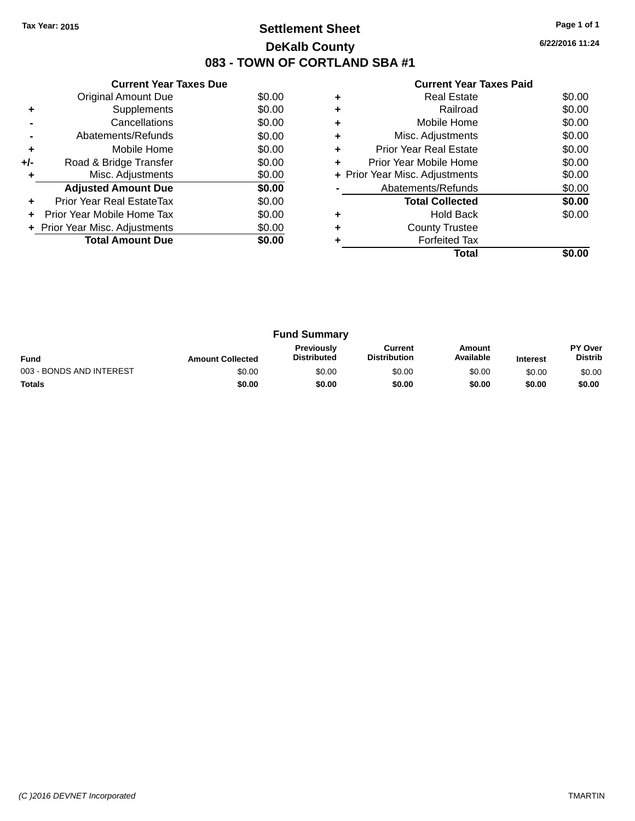## **Settlement Sheet Tax Year: 2015 Page 1 of 1 DeKalb County 083 - TOWN OF CORTLAND SBA #1**

**6/22/2016 11:24**

| <b>Current Year Taxes Paid</b> |  |  |  |  |
|--------------------------------|--|--|--|--|
|--------------------------------|--|--|--|--|

|     | <b>Current Year Taxes Due</b>  |        |
|-----|--------------------------------|--------|
|     | Original Amount Due            | \$0.00 |
| ٠   | Supplements                    | \$0.00 |
|     | Cancellations                  | \$0.00 |
|     | Abatements/Refunds             | \$0.00 |
| ٠   | Mobile Home                    | \$0.00 |
| +/- | Road & Bridge Transfer         | \$0.00 |
|     | Misc. Adjustments              | \$0.00 |
|     | <b>Adjusted Amount Due</b>     | \$0.00 |
|     | Prior Year Real EstateTax      | \$0.00 |
|     | Prior Year Mobile Home Tax     | \$0.00 |
|     | + Prior Year Misc. Adjustments | \$0.00 |
|     | <b>Total Amount Due</b>        | \$0.00 |
|     |                                |        |

| ٠ | Railroad                       | \$0.00 |
|---|--------------------------------|--------|
| ٠ | Mobile Home                    | \$0.00 |
| ٠ | Misc. Adjustments              | \$0.00 |
| ٠ | <b>Prior Year Real Estate</b>  | \$0.00 |
| ٠ | Prior Year Mobile Home         | \$0.00 |
|   | + Prior Year Misc. Adjustments | \$0.00 |
|   | Abatements/Refunds             | \$0.00 |
|   | <b>Total Collected</b>         | \$0.00 |
|   |                                |        |
|   | Hold Back                      | \$0.00 |
| ٠ | <b>County Trustee</b>          |        |
|   | <b>Forfeited Tax</b>           |        |

|                          |                         | <b>Fund Summary</b>                     |                                |                     |                 |                                  |
|--------------------------|-------------------------|-----------------------------------------|--------------------------------|---------------------|-----------------|----------------------------------|
| <b>Fund</b>              | <b>Amount Collected</b> | <b>Previously</b><br><b>Distributed</b> | Current<br><b>Distribution</b> | Amount<br>Available | <b>Interest</b> | <b>PY Over</b><br><b>Distrib</b> |
| 003 - BONDS AND INTEREST | \$0.00                  | \$0.00                                  | \$0.00                         | \$0.00              | \$0.00          | \$0.00                           |
| <b>Totals</b>            | \$0.00                  | \$0.00                                  | \$0.00                         | \$0.00              | \$0.00          | \$0.00                           |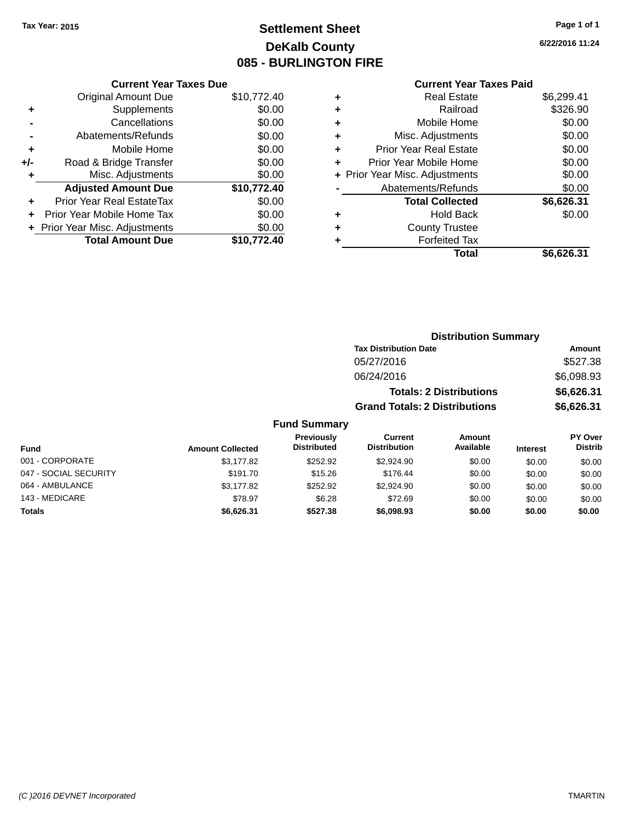## **Settlement Sheet Tax Year: 2015 Page 1 of 1 DeKalb County 085 - BURLINGTON FIRE**

143 - MEDICARE \$78.97 \$6.28 \$72.69 \$0.00 \$0.00 \$0.00 **Totals \$6,626.31 \$527.38 \$6,098.93 \$0.00 \$0.00 \$0.00**

**6/22/2016 11:24**

#### **Current Year Taxes Paid**

| <b>Current Year Taxes Due</b> |             |
|-------------------------------|-------------|
| <b>Original Amount Due</b>    | \$10,772.40 |
| Supplements                   | \$0.00      |
| Cancellations                 | \$0.00      |
| Abatements/Refunds            | \$0.00      |
| Mobile Home                   | \$0.00      |
| Road & Bridge Transfer        | \$0.00      |
| Misc. Adjustments             | \$0.00      |
| <b>Adjusted Amount Due</b>    | \$10,772.40 |
| Prior Year Real EstateTax     | \$0.00      |
| Prior Year Mobile Home Tax    | \$0.00      |
| Prior Year Misc. Adjustments  | \$0.00      |
| <b>Total Amount Due</b>       | \$10.772.40 |
|                               |             |

|   | <b>Real Estate</b>             | \$6,299.41 |
|---|--------------------------------|------------|
| ٠ | Railroad                       | \$326.90   |
| ٠ | Mobile Home                    | \$0.00     |
| ٠ | Misc. Adjustments              | \$0.00     |
| ٠ | <b>Prior Year Real Estate</b>  | \$0.00     |
| ٠ | Prior Year Mobile Home         | \$0.00     |
|   | + Prior Year Misc. Adjustments | \$0.00     |
|   | Abatements/Refunds             | \$0.00     |
|   | <b>Total Collected</b>         | \$6,626.31 |
| ٠ | Hold Back                      | \$0.00     |
| ٠ | <b>County Trustee</b>          |            |
| ٠ | <b>Forfeited Tax</b>           |            |
|   | Total                          | \$6,626.31 |
|   |                                |            |

|                       |                         |                                  |                                       | <b>Distribution Summary</b>    |                 |                                  |
|-----------------------|-------------------------|----------------------------------|---------------------------------------|--------------------------------|-----------------|----------------------------------|
|                       |                         |                                  | <b>Tax Distribution Date</b>          |                                |                 | Amount                           |
|                       |                         |                                  | 05/27/2016                            |                                |                 | \$527.38                         |
|                       |                         |                                  | 06/24/2016                            |                                |                 | \$6,098.93                       |
|                       |                         |                                  |                                       | <b>Totals: 2 Distributions</b> |                 | \$6,626.31                       |
|                       |                         |                                  | <b>Grand Totals: 2 Distributions</b>  |                                |                 | \$6,626.31                       |
|                       |                         | <b>Fund Summary</b>              |                                       |                                |                 |                                  |
| Fund                  | <b>Amount Collected</b> | Previously<br><b>Distributed</b> | <b>Current</b><br><b>Distribution</b> | Amount<br>Available            | <b>Interest</b> | <b>PY Over</b><br><b>Distrib</b> |
| 001 - CORPORATE       | \$3,177.82              | \$252.92                         | \$2,924.90                            | \$0.00                         | \$0.00          | \$0.00                           |
| 047 - SOCIAL SECURITY | \$191.70                | \$15.26                          | \$176.44                              | \$0.00                         | \$0.00          | \$0.00                           |
| 064 - AMBULANCE       | \$3.177.82              | \$252.92                         | \$2,924.90                            | \$0.00                         | \$0.00          | \$0.00                           |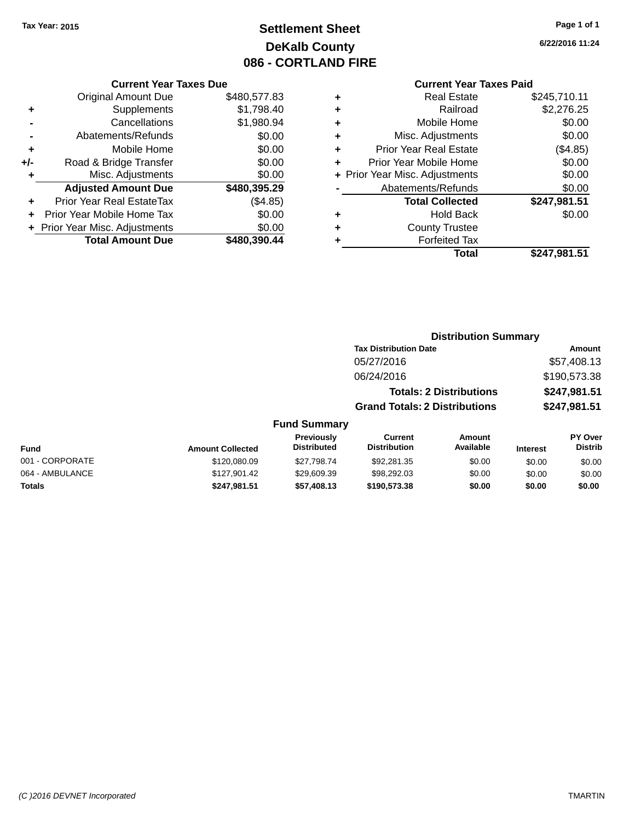## **Settlement Sheet Tax Year: 2015 Page 1 of 1 DeKalb County 086 - CORTLAND FIRE**

**6/22/2016 11:24**

#### **Current Year Taxes Paid**

|       | <b>Current Year Taxes Due</b>    |              |   |                  |
|-------|----------------------------------|--------------|---|------------------|
|       | <b>Original Amount Due</b>       | \$480,577.83 | ٠ |                  |
| ٠     | <b>Supplements</b>               | \$1,798.40   | ٠ |                  |
|       | Cancellations                    | \$1,980.94   | ٠ |                  |
|       | Abatements/Refunds               | \$0.00       | ٠ | Mis              |
|       | Mobile Home                      | \$0.00       |   | Prior Ye         |
| $+/-$ | Road & Bridge Transfer           | \$0.00       |   | Prior Yea        |
|       | Misc. Adjustments                | \$0.00       |   | + Prior Year Mis |
|       | <b>Adjusted Amount Due</b>       | \$480,395.29 |   | Abater           |
|       | <b>Prior Year Real EstateTax</b> | (\$4.85)     |   |                  |
|       | Prior Year Mobile Home Tax       | \$0.00       | ٠ |                  |
|       | + Prior Year Misc. Adjustments   | \$0.00       | ٠ |                  |
|       | <b>Total Amount Due</b>          | \$480,390.44 |   |                  |
|       |                                  |              |   |                  |

| ٠ | <b>Real Estate</b>             | \$245,710.11 |
|---|--------------------------------|--------------|
| ٠ | Railroad                       | \$2,276.25   |
| ٠ | Mobile Home                    | \$0.00       |
| ٠ | Misc. Adjustments              | \$0.00       |
| ٠ | <b>Prior Year Real Estate</b>  | (\$4.85)     |
|   | Prior Year Mobile Home         | \$0.00       |
|   | + Prior Year Misc. Adjustments | \$0.00       |
|   | Abatements/Refunds             | \$0.00       |
|   | <b>Total Collected</b>         | \$247,981.51 |
| ٠ | Hold Back                      | \$0.00       |
|   | <b>County Trustee</b>          |              |
|   | <b>Forfeited Tax</b>           |              |
|   | Total                          | \$247,981.51 |
|   |                                |              |

|                 |                         |                                  | <b>Distribution Summary</b>           |                                |                 |                                  |
|-----------------|-------------------------|----------------------------------|---------------------------------------|--------------------------------|-----------------|----------------------------------|
|                 |                         |                                  | <b>Tax Distribution Date</b>          |                                |                 | <b>Amount</b>                    |
|                 |                         |                                  | 05/27/2016                            |                                |                 | \$57,408.13                      |
|                 |                         |                                  | 06/24/2016                            |                                |                 | \$190,573.38                     |
|                 |                         |                                  |                                       | <b>Totals: 2 Distributions</b> |                 | \$247,981.51                     |
|                 |                         |                                  | <b>Grand Totals: 2 Distributions</b>  |                                |                 | \$247,981.51                     |
|                 |                         | <b>Fund Summary</b>              |                                       |                                |                 |                                  |
| <b>Fund</b>     | <b>Amount Collected</b> | Previously<br><b>Distributed</b> | <b>Current</b><br><b>Distribution</b> | Amount<br>Available            | <b>Interest</b> | <b>PY Over</b><br><b>Distrib</b> |
| 001 - CORPORATE | \$120,080.09            | \$27.798.74                      | \$92,281.35                           | \$0.00                         | \$0.00          | \$0.00                           |
| 064 - AMBULANCE | \$127.901.42            | \$29,609.39                      | \$98,292,03                           | \$0.00                         | \$0.00          | \$0.00                           |

**Totals \$247,981.51 \$57,408.13 \$190,573.38 \$0.00 \$0.00 \$0.00**

*(C )2016 DEVNET Incorporated* TMARTIN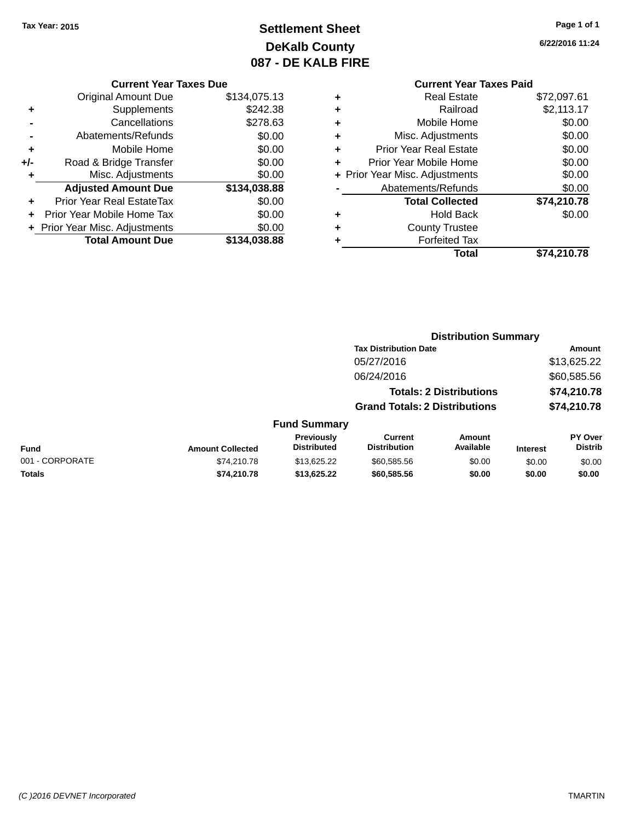## **Settlement Sheet Tax Year: 2015 Page 1 of 1 DeKalb County 087 - DE KALB FIRE**

**6/22/2016 11:24**

# **Current Year Taxes Paid**

| <b>Original Amount Due</b> | \$134,075.13                   |
|----------------------------|--------------------------------|
| Supplements                | \$242.38                       |
| Cancellations              | \$278.63                       |
| Abatements/Refunds         | \$0.00                         |
| Mobile Home                | \$0.00                         |
| Road & Bridge Transfer     | \$0.00                         |
| Misc. Adjustments          | \$0.00                         |
| <b>Adjusted Amount Due</b> | \$134,038.88                   |
| Prior Year Real EstateTax  | \$0.00                         |
| Prior Year Mobile Home Tax | \$0.00                         |
|                            | \$0.00                         |
| <b>Total Amount Due</b>    | \$134,038.88                   |
|                            | + Prior Year Misc. Adjustments |

**Current Year Taxes Due**

| ٠ | <b>Real Estate</b>             | \$72,097.61 |
|---|--------------------------------|-------------|
| ٠ | Railroad                       | \$2,113.17  |
| ٠ | Mobile Home                    | \$0.00      |
| ÷ | Misc. Adjustments              | \$0.00      |
| ٠ | <b>Prior Year Real Estate</b>  | \$0.00      |
| ٠ | Prior Year Mobile Home         | \$0.00      |
|   | + Prior Year Misc. Adjustments | \$0.00      |
|   | Abatements/Refunds             | \$0.00      |
|   | <b>Total Collected</b>         | \$74,210.78 |
| ٠ | <b>Hold Back</b>               | \$0.00      |
| ٠ | <b>County Trustee</b>          |             |
| ٠ | <b>Forfeited Tax</b>           |             |
|   |                                |             |
|   | Total                          | \$74,210.78 |

|                 |                         |                                  | <b>Distribution Summary</b>          |                                |                 |                           |
|-----------------|-------------------------|----------------------------------|--------------------------------------|--------------------------------|-----------------|---------------------------|
|                 |                         |                                  | <b>Tax Distribution Date</b>         |                                |                 | Amount                    |
|                 |                         |                                  | 05/27/2016                           |                                |                 | \$13,625.22               |
|                 |                         |                                  | 06/24/2016                           |                                |                 | \$60,585.56               |
|                 |                         |                                  |                                      | <b>Totals: 2 Distributions</b> |                 | \$74,210.78               |
|                 |                         |                                  | <b>Grand Totals: 2 Distributions</b> |                                |                 | \$74,210.78               |
|                 |                         | <b>Fund Summary</b>              |                                      |                                |                 |                           |
| Fund            | <b>Amount Collected</b> | Previously<br><b>Distributed</b> | Current<br><b>Distribution</b>       | <b>Amount</b><br>Available     | <b>Interest</b> | PY Over<br><b>Distrib</b> |
| 001 - CORPORATE | \$74.210.78             | \$13,625.22                      | \$60,585.56                          | \$0.00                         | \$0.00          | \$0.00                    |
| <b>Totals</b>   | \$74.210.78             | \$13,625.22                      | \$60,585.56                          | \$0.00                         | \$0.00          | \$0.00                    |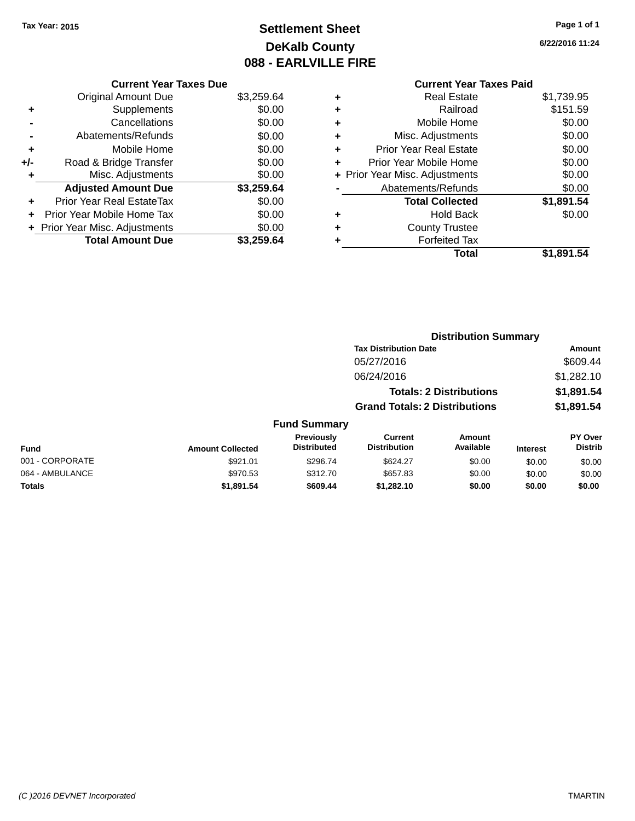## **Settlement Sheet Tax Year: 2015 Page 1 of 1 DeKalb County 088 - EARLVILLE FIRE**

**6/22/2016 11:24**

## **Current Year Taxes Paid**

|     | <b>Current Year Taxes Due</b>            |            |  |  |  |  |  |  |
|-----|------------------------------------------|------------|--|--|--|--|--|--|
|     | \$3,259.64<br><b>Original Amount Due</b> |            |  |  |  |  |  |  |
| ٠   | \$0.00<br>Supplements                    |            |  |  |  |  |  |  |
|     | Cancellations                            | \$0.00     |  |  |  |  |  |  |
|     | Abatements/Refunds                       | \$0.00     |  |  |  |  |  |  |
| ٠   | Mobile Home                              | \$0.00     |  |  |  |  |  |  |
| +/- | \$0.00<br>Road & Bridge Transfer         |            |  |  |  |  |  |  |
| ٠   | \$0.00<br>Misc. Adjustments              |            |  |  |  |  |  |  |
|     | <b>Adjusted Amount Due</b>               | \$3,259.64 |  |  |  |  |  |  |
| ÷   | Prior Year Real EstateTax                | \$0.00     |  |  |  |  |  |  |
|     | Prior Year Mobile Home Tax               | \$0.00     |  |  |  |  |  |  |
|     | \$0.00<br>+ Prior Year Misc. Adjustments |            |  |  |  |  |  |  |
|     | <b>Total Amount Due</b>                  | \$3.259.64 |  |  |  |  |  |  |

| ٠ | <b>Real Estate</b>             | \$1,739.95 |
|---|--------------------------------|------------|
| ٠ | Railroad                       | \$151.59   |
| ٠ | Mobile Home                    | \$0.00     |
| ٠ | Misc. Adjustments              | \$0.00     |
| ٠ | Prior Year Real Estate         | \$0.00     |
| ÷ | Prior Year Mobile Home         | \$0.00     |
|   | + Prior Year Misc. Adjustments | \$0.00     |
|   | Abatements/Refunds             | \$0.00     |
|   | <b>Total Collected</b>         | \$1,891.54 |
| ٠ | <b>Hold Back</b>               | \$0.00     |
| ٠ | <b>County Trustee</b>          |            |
| ٠ | <b>Forfeited Tax</b>           |            |
|   | Total                          | \$1,891.54 |
|   |                                |            |

|                 |                         | <b>Distribution Summary</b>      |                                       |                                |                 |                           |
|-----------------|-------------------------|----------------------------------|---------------------------------------|--------------------------------|-----------------|---------------------------|
|                 |                         |                                  | <b>Tax Distribution Date</b>          |                                | Amount          |                           |
|                 |                         |                                  | 05/27/2016                            |                                |                 | \$609.44                  |
|                 |                         |                                  | 06/24/2016                            |                                |                 | \$1,282.10                |
|                 |                         |                                  |                                       | <b>Totals: 2 Distributions</b> |                 | \$1,891.54                |
|                 |                         |                                  | <b>Grand Totals: 2 Distributions</b>  |                                |                 | \$1,891.54                |
|                 |                         | <b>Fund Summary</b>              |                                       |                                |                 |                           |
| <b>Fund</b>     | <b>Amount Collected</b> | Previously<br><b>Distributed</b> | <b>Current</b><br><b>Distribution</b> | Amount<br>Available            | <b>Interest</b> | PY Over<br><b>Distrib</b> |
| 001 - CORPORATE | \$921.01                | \$296.74                         | \$624.27                              | \$0.00                         | \$0.00          | \$0.00                    |
| 064 - AMBULANCE | \$970.53                | \$312.70                         | \$657.83                              | \$0.00                         | \$0.00          | \$0.00                    |
| <b>Totals</b>   | \$1,891.54              | \$609.44                         | \$1,282.10                            | \$0.00                         | \$0.00          | \$0.00                    |
|                 |                         |                                  |                                       |                                |                 |                           |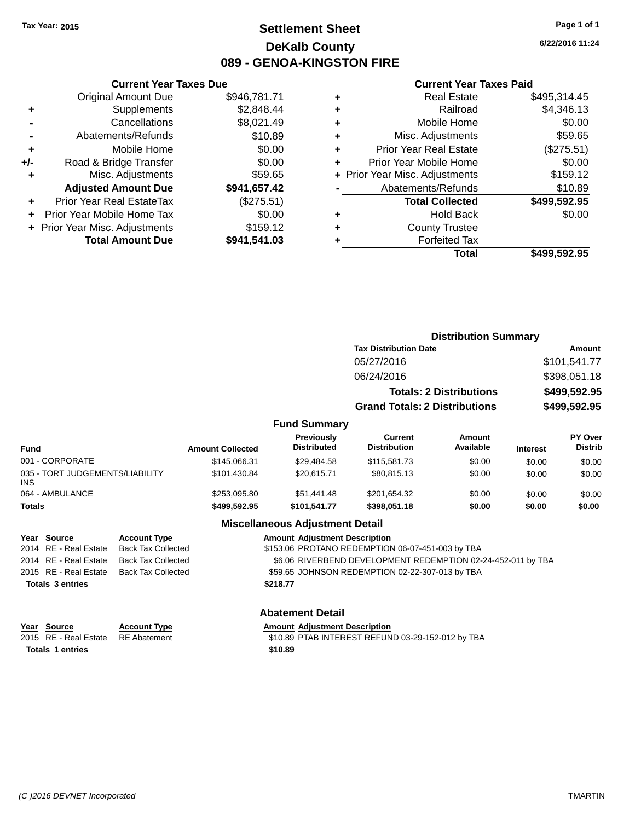## **Settlement Sheet Tax Year: 2015 Page 1 of 1 DeKalb County 089 - GENOA-KINGSTON FIRE**

**6/22/2016 11:24**

#### **Current Year Taxes Paid**

|     | <b>Current Year Taxes Due</b>  |              |  |  |  |  |
|-----|--------------------------------|--------------|--|--|--|--|
|     | <b>Original Amount Due</b>     | \$946,781.71 |  |  |  |  |
| ٠   | \$2,848.44<br>Supplements      |              |  |  |  |  |
|     | Cancellations                  | \$8,021.49   |  |  |  |  |
|     | \$10.89<br>Abatements/Refunds  |              |  |  |  |  |
| ٠   | Mobile Home                    | \$0.00       |  |  |  |  |
| +/- | Road & Bridge Transfer         | \$0.00       |  |  |  |  |
| ٠   | \$59.65<br>Misc. Adjustments   |              |  |  |  |  |
|     | <b>Adjusted Amount Due</b>     | \$941,657.42 |  |  |  |  |
| ٠   | Prior Year Real EstateTax      | (\$275.51)   |  |  |  |  |
|     | Prior Year Mobile Home Tax     | \$0.00       |  |  |  |  |
|     | + Prior Year Misc. Adjustments | \$159.12     |  |  |  |  |
|     | <b>Total Amount Due</b>        | \$941,541.03 |  |  |  |  |
|     |                                |              |  |  |  |  |

| ٠ | <b>Real Estate</b>             | \$495,314.45 |
|---|--------------------------------|--------------|
| ٠ | Railroad                       | \$4,346.13   |
| ٠ | Mobile Home                    | \$0.00       |
| ٠ | Misc. Adjustments              | \$59.65      |
| ٠ | <b>Prior Year Real Estate</b>  | (\$275.51)   |
| ÷ | Prior Year Mobile Home         | \$0.00       |
|   | + Prior Year Misc. Adjustments | \$159.12     |
|   | Abatements/Refunds             | \$10.89      |
|   | <b>Total Collected</b>         | \$499,592.95 |
| ٠ | <b>Hold Back</b>               | \$0.00       |
| ٠ | <b>County Trustee</b>          |              |
| ٠ | <b>Forfeited Tax</b>           |              |
|   | Total                          | \$499,592.95 |
|   |                                |              |

|                                         |                         |                                  |                                       | <b>Distribution Summary</b>    |                 |                           |  |
|-----------------------------------------|-------------------------|----------------------------------|---------------------------------------|--------------------------------|-----------------|---------------------------|--|
|                                         |                         |                                  | <b>Tax Distribution Date</b>          |                                |                 | Amount                    |  |
|                                         |                         |                                  | 05/27/2016                            |                                |                 | \$101,541.77              |  |
|                                         |                         |                                  | 06/24/2016                            |                                |                 | \$398,051.18              |  |
|                                         |                         |                                  |                                       | <b>Totals: 2 Distributions</b> |                 | \$499,592.95              |  |
|                                         |                         |                                  | <b>Grand Totals: 2 Distributions</b>  |                                |                 | \$499,592.95              |  |
|                                         |                         | <b>Fund Summary</b>              |                                       |                                |                 |                           |  |
| <b>Fund</b>                             | <b>Amount Collected</b> | Previously<br><b>Distributed</b> | <b>Current</b><br><b>Distribution</b> | Amount<br>Available            | <b>Interest</b> | PY Over<br><b>Distrib</b> |  |
| 001 - CORPORATE                         | \$145,066.31            | \$29,484.58                      | \$115,581.73                          | \$0.00                         | \$0.00          | \$0.00                    |  |
| 035 - TORT JUDGEMENTS/LIABILITY<br>INS. | \$101,430.84            | \$20,615.71                      | \$80,815.13                           | \$0.00                         | \$0.00          | \$0.00                    |  |
| 064 - AMBULANCE                         | \$253.095.80            | \$51,441.48                      | \$201.654.32                          | \$0.00                         | \$0.00          | \$0.00                    |  |

#### **Miscellaneous Adjustment Detail**

**Totals \$499,592.95 \$101,541.77 \$398,051.18 \$0.00 \$0.00 \$0.00**

| <u>Year Source</u>      | <b>Account Type</b> | <b>Amount Adjustment Description</b>                         |
|-------------------------|---------------------|--------------------------------------------------------------|
| 2014 RE - Real Estate   | Back Tax Collected  | \$153.06 PROTANO REDEMPTION 06-07-451-003 by TBA             |
| 2014 RE - Real Estate   | Back Tax Collected  | \$6.06 RIVERBEND DEVELOPMENT REDEMPTION 02-24-452-011 by TBA |
| 2015 RE - Real Estate   | Back Tax Collected  | \$59.65 JOHNSON REDEMPTION 02-22-307-013 by TBA              |
| <b>Totals 3 entries</b> |                     | \$218.77                                                     |
|                         |                     |                                                              |

#### **Abatement Detail**

| Year Source                        | <b>Account Type</b> | <b>Amount Adiustment Description</b>              |
|------------------------------------|---------------------|---------------------------------------------------|
| 2015 RE - Real Estate RE Abatement |                     | \$10.89 PTAB INTEREST REFUND 03-29-152-012 by TBA |
| <b>Totals 1 entries</b>            |                     | \$10.89                                           |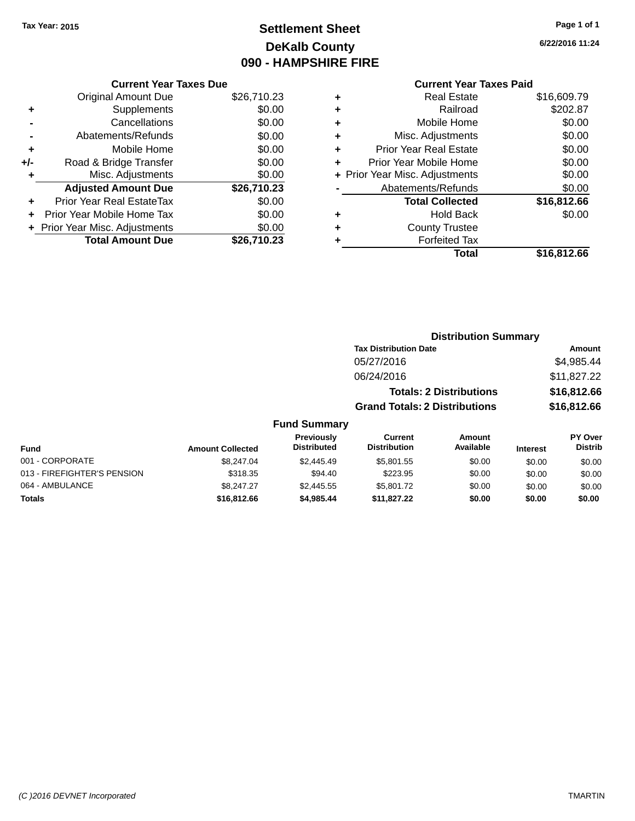## **Settlement Sheet Tax Year: 2015 Page 1 of 1 DeKalb County 090 - HAMPSHIRE FIRE**

**6/22/2016 11:24**

|     | <b>Current Year Taxes Due</b>  |             |
|-----|--------------------------------|-------------|
|     | <b>Original Amount Due</b>     | \$26,710.23 |
| ٠   | Supplements                    | \$0.00      |
|     | Cancellations                  | \$0.00      |
|     | Abatements/Refunds             | \$0.00      |
| ٠   | Mobile Home                    | \$0.00      |
| +/- | Road & Bridge Transfer         | \$0.00      |
|     | Misc. Adjustments              | \$0.00      |
|     | <b>Adjusted Amount Due</b>     | \$26,710.23 |
| ÷   | Prior Year Real EstateTax      | \$0.00      |
|     | Prior Year Mobile Home Tax     | \$0.00      |
|     | + Prior Year Misc. Adjustments | \$0.00      |
|     | <b>Total Amount Due</b>        | \$26.710.23 |

#### **Current Year Taxes Paid +** Real Estate \$16,609.79 **+** Railroad \$202.87 **+** Mobile Home \$0.00 **+** Misc. Adjustments \$0.00 **+** Prior Year Real Estate \$0.00 **+** Prior Year Mobile Home \$0.00

|           | Total                          | \$16,812.66 |
|-----------|--------------------------------|-------------|
|           | <b>Forfeited Tax</b>           |             |
|           | <b>County Trustee</b>          |             |
| $\ddot{}$ | <b>Hold Back</b>               | \$0.00      |
|           | <b>Total Collected</b>         | \$16,812.66 |
|           | Abatements/Refunds             | \$0.00      |
|           | + Prior Year Misc. Adjustments | \$0.00      |
|           |                                |             |

## **Distribution Summary Tax Distribution Date Amount** 05/27/2016 \$4,985.44 06/24/2016 \$11,827.22 **Totals: 2 Distributions \$16,812.66 Grand Totals: 2 Distributions \$16,812.66**

| Fund                        | <b>Amount Collected</b> | Previously<br><b>Distributed</b> | Current<br><b>Distribution</b> | Amount<br>Available | <b>Interest</b> | <b>PY Over</b><br><b>Distrib</b> |
|-----------------------------|-------------------------|----------------------------------|--------------------------------|---------------------|-----------------|----------------------------------|
| 001 - CORPORATE             | \$8,247.04              | \$2,445.49                       | \$5,801.55                     | \$0.00              | \$0.00          | \$0.00                           |
| 013 - FIREFIGHTER'S PENSION | \$318.35                | \$94.40                          | \$223.95                       | \$0.00              | \$0.00          | \$0.00                           |
| 064 - AMBULANCE             | \$8.247.27              | \$2,445.55                       | \$5,801.72                     | \$0.00              | \$0.00          | \$0.00                           |
| <b>Totals</b>               | \$16,812,66             | \$4,985,44                       | \$11,827.22                    | \$0.00              | \$0.00          | \$0.00                           |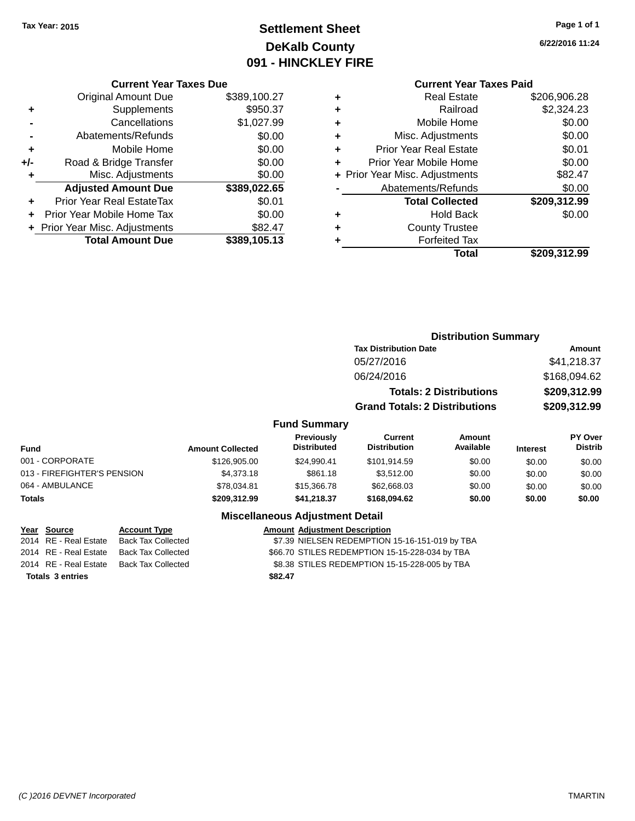## **Settlement Sheet Tax Year: 2015 Page 1 of 1 DeKalb County 091 - HINCKLEY FIRE**

**6/22/2016 11:24**

### **Current Year Taxes Paid**

|     | <b>Current Year Taxes Due</b>  |              |
|-----|--------------------------------|--------------|
|     | <b>Original Amount Due</b>     | \$389,100.27 |
| ٠   | Supplements                    | \$950.37     |
|     | Cancellations                  | \$1,027.99   |
|     | Abatements/Refunds             | \$0.00       |
| ٠   | Mobile Home                    | \$0.00       |
| +/- | Road & Bridge Transfer         | \$0.00       |
|     | Misc. Adjustments              | \$0.00       |
|     | <b>Adjusted Amount Due</b>     | \$389,022.65 |
| ٠   | Prior Year Real EstateTax      | \$0.01       |
|     | Prior Year Mobile Home Tax     | \$0.00       |
|     | + Prior Year Misc. Adjustments | \$82.47      |
|     | <b>Total Amount Due</b>        | \$389,105.13 |
|     |                                |              |

| ٠ | <b>Real Estate</b>             | \$206,906.28 |
|---|--------------------------------|--------------|
| ٠ | Railroad                       | \$2,324.23   |
| ٠ | Mobile Home                    | \$0.00       |
| ٠ | Misc. Adjustments              | \$0.00       |
| ٠ | <b>Prior Year Real Estate</b>  | \$0.01       |
| ÷ | Prior Year Mobile Home         | \$0.00       |
|   | + Prior Year Misc. Adjustments | \$82.47      |
|   | Abatements/Refunds             | \$0.00       |
|   | <b>Total Collected</b>         | \$209,312.99 |
| ٠ | <b>Hold Back</b>               | \$0.00       |
|   | <b>County Trustee</b>          |              |
| ٠ | <b>Forfeited Tax</b>           |              |
|   | Total                          | \$209,312.99 |
|   |                                |              |

## **Distribution Summary Tax Distribution Date Amount** 05/27/2016 \$41,218.37 06/24/2016 \$168,094.62 **Totals: 2 Distributions \$209,312.99 Grand Totals: 2 Distributions \$209,312.99 Fund Summary**

| Fund                        | <b>Amount Collected</b> | <b>Previously</b><br><b>Distributed</b> | Current<br><b>Distribution</b> | Amount<br>Available | <b>Interest</b> | <b>PY Over</b><br><b>Distrib</b> |
|-----------------------------|-------------------------|-----------------------------------------|--------------------------------|---------------------|-----------------|----------------------------------|
| 001 - CORPORATE             | \$126,905.00            | \$24.990.41                             | \$101.914.59                   | \$0.00              | \$0.00          | \$0.00                           |
| 013 - FIREFIGHTER'S PENSION | \$4,373.18              | \$861.18                                | \$3,512.00                     | \$0.00              | \$0.00          | \$0.00                           |
| 064 - AMBULANCE             | \$78,034.81             | \$15,366,78                             | \$62,668,03                    | \$0.00              | \$0.00          | \$0.00                           |
| Totals                      | \$209,312.99            | \$41,218.37                             | \$168,094.62                   | \$0.00              | \$0.00          | \$0.00                           |

#### **Miscellaneous Adjustment Detail**

| <u>Year Source</u>      | <b>Account Type</b>                      | <b>Amount Adjustment Description</b>           |
|-------------------------|------------------------------------------|------------------------------------------------|
| 2014 RE - Real Estate   | Back Tax Collected                       | \$7.39 NIELSEN REDEMPTION 15-16-151-019 by TBA |
|                         | 2014 RE - Real Estate Back Tax Collected | \$66.70 STILES REDEMPTION 15-15-228-034 by TBA |
|                         | 2014 RE - Real Estate Back Tax Collected | \$8.38 STILES REDEMPTION 15-15-228-005 by TBA  |
| <b>Totals 3 entries</b> |                                          | \$82.47                                        |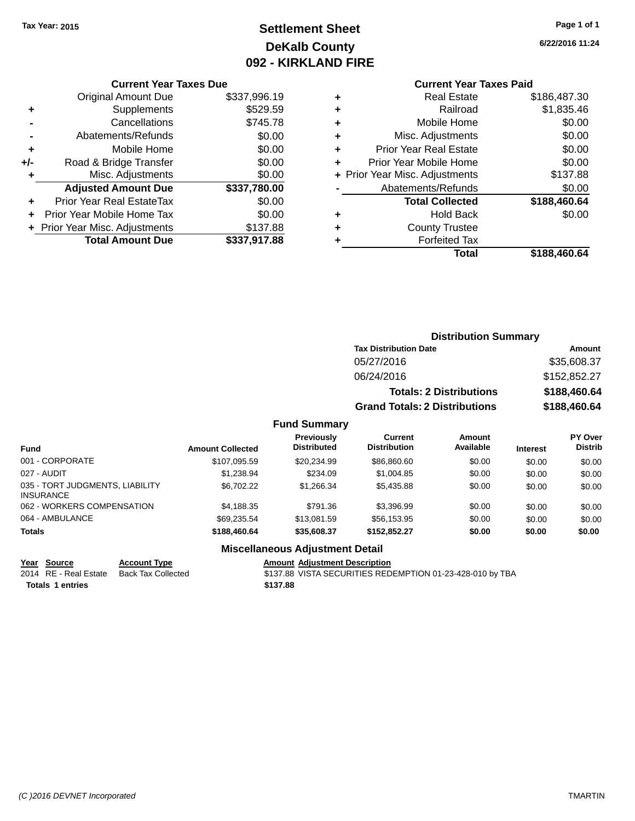## **Settlement Sheet Tax Year: 2015 Page 1 of 1 DeKalb County 092 - KIRKLAND FIRE**

**6/22/2016 11:24**

#### **Current Year Taxes Due**

|     | <b>Original Amount Due</b>     | \$337,996.19 |
|-----|--------------------------------|--------------|
| ٠   | Supplements                    | \$529.59     |
|     | Cancellations                  | \$745.78     |
|     | Abatements/Refunds             | \$0.00       |
| ٠   | Mobile Home                    | \$0.00       |
| +/- | Road & Bridge Transfer         | \$0.00       |
| ÷   | Misc. Adjustments              | \$0.00       |
|     | <b>Adjusted Amount Due</b>     | \$337,780.00 |
|     | Prior Year Real EstateTax      | \$0.00       |
|     | Prior Year Mobile Home Tax     | \$0.00       |
|     | + Prior Year Misc. Adjustments | \$137.88     |
|     | <b>Total Amount Due</b>        | \$337,917.88 |

#### **Current Year Taxes Paid**

|   | <b>Real Estate</b>             | \$186,487.30 |
|---|--------------------------------|--------------|
| ٠ | Railroad                       | \$1,835.46   |
| ٠ | Mobile Home                    | \$0.00       |
| ٠ | Misc. Adjustments              | \$0.00       |
| ٠ | <b>Prior Year Real Estate</b>  | \$0.00       |
| ٠ | Prior Year Mobile Home         | \$0.00       |
|   | + Prior Year Misc. Adjustments | \$137.88     |
|   | Abatements/Refunds             | \$0.00       |
|   | <b>Total Collected</b>         | \$188,460.64 |
| ٠ | <b>Hold Back</b>               | \$0.00       |
| ٠ | <b>County Trustee</b>          |              |
| ٠ | <b>Forfeited Tax</b>           |              |
|   | Total                          | \$188,460.64 |
|   |                                |              |

#### **Distribution Summary Tax Distribution Date Amount** 05/27/2016 \$35,608.37 06/24/2016 \$152,852.27 **Totals: 2 Distributions \$188,460.64 Grand Totals: 2 Distributions \$188,460.64**

#### **Fund Summary**

| <b>Fund</b>                                         | <b>Amount Collected</b> | Previously<br><b>Distributed</b> | Current<br><b>Distribution</b> | Amount<br>Available | <b>Interest</b> | PY Over<br><b>Distrib</b> |
|-----------------------------------------------------|-------------------------|----------------------------------|--------------------------------|---------------------|-----------------|---------------------------|
| 001 - CORPORATE                                     | \$107.095.59            | \$20.234.99                      | \$86,860,60                    | \$0.00              | \$0.00          | \$0.00                    |
| 027 - AUDIT                                         | \$1,238.94              | \$234.09                         | \$1,004.85                     | \$0.00              | \$0.00          | \$0.00                    |
| 035 - TORT JUDGMENTS, LIABILITY<br><b>INSURANCE</b> | \$6,702.22              | \$1.266.34                       | \$5,435.88                     | \$0.00              | \$0.00          | \$0.00                    |
| 062 - WORKERS COMPENSATION                          | \$4,188.35              | \$791.36                         | \$3.396.99                     | \$0.00              | \$0.00          | \$0.00                    |
| 064 - AMBULANCE                                     | \$69,235,54             | \$13,081.59                      | \$56.153.95                    | \$0.00              | \$0.00          | \$0.00                    |
| <b>Totals</b>                                       | \$188,460.64            | \$35,608,37                      | \$152,852.27                   | \$0.00              | \$0.00          | \$0.00                    |

### **Miscellaneous Adjustment Detail**

**Totals \$137.88 1 entries**

**Year Source Account Type Amount Adjustment Description** 2014 RE - Real Estate Back Tax Collected \$137.88 VISTA SECURITIES REDEMPTION 01-23-428-010 by TBA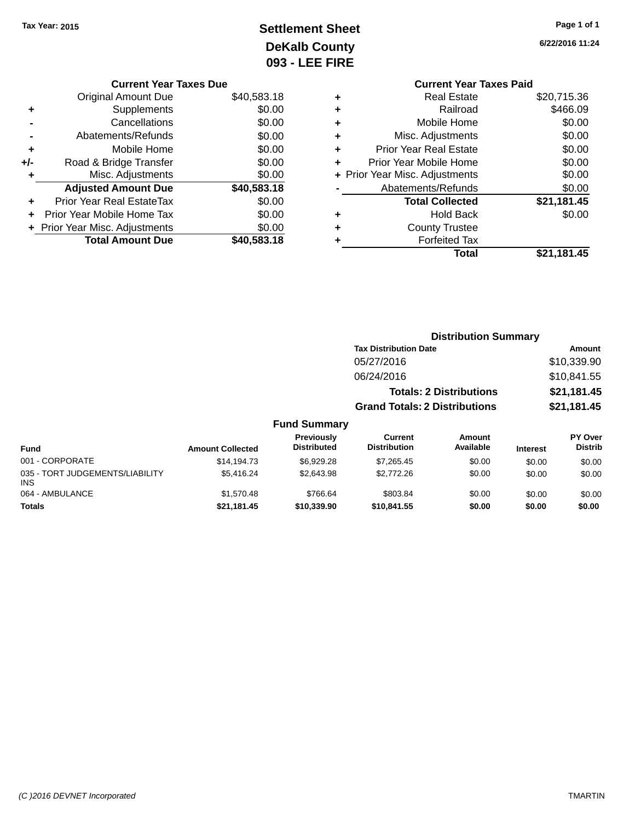## **Settlement Sheet Tax Year: 2015 Page 1 of 1 DeKalb County** 093 - L

**6/22/2016 11:24**

| LEE FIRE |                                |             |
|----------|--------------------------------|-------------|
|          | <b>Current Year Taxes Paid</b> |             |
|          | <b>Real Estate</b>             | \$20,715.36 |
| ٠        | Railroad                       | \$466.09    |
| ٠        | Mobile Home                    | \$0.00      |
| ٠        | Misc. Adjustments              | \$0.00      |
|          | <b>Prior Year Real Estate</b>  | \$0.00      |

| ٠ | Misc. Adjustments              | \$0.00      |
|---|--------------------------------|-------------|
| ÷ | <b>Prior Year Real Estate</b>  | \$0.00      |
| ÷ | Prior Year Mobile Home         | \$0.00      |
|   | + Prior Year Misc. Adjustments | \$0.00      |
|   | Abatements/Refunds             | \$0.00      |
|   |                                |             |
|   | <b>Total Collected</b>         | \$21,181.45 |
| ٠ | <b>Hold Back</b>               | \$0.00      |
| ÷ | <b>County Trustee</b>          |             |
| ٠ | <b>Forfeited Tax</b>           |             |

#### **Current Year Taxes Due** Original Amount Due \$40,583.18 **+** Supplements \$0.00 **-** Cancellations \$0.00 **-** Abatements/Refunds \$0.00 **+** Mobile Home \$0.00 **+/-** Road & Bridge Transfer \$0.00 **+** Misc. Adjustments \$0.00 **Adjusted Amount Due \$40,583.18 +** Prior Year Real EstateTax \$0.00 **+** Prior Year Mobile Home Tax \$0.00 **+ Prior Year Misc. Adjustments**  $$0.00$ **Total Amount Due \$40,583.18**

|                                               |                         |                                  | <b>Distribution Summary</b>          |                                |                 |                           |
|-----------------------------------------------|-------------------------|----------------------------------|--------------------------------------|--------------------------------|-----------------|---------------------------|
|                                               |                         |                                  | <b>Tax Distribution Date</b>         |                                |                 | Amount                    |
|                                               |                         |                                  | 05/27/2016                           |                                |                 | \$10,339.90               |
|                                               |                         |                                  | 06/24/2016                           |                                |                 | \$10,841.55               |
|                                               |                         |                                  |                                      | <b>Totals: 2 Distributions</b> |                 | \$21,181.45               |
|                                               |                         |                                  | <b>Grand Totals: 2 Distributions</b> |                                |                 | \$21,181.45               |
|                                               |                         | <b>Fund Summary</b>              |                                      |                                |                 |                           |
| <b>Fund</b>                                   | <b>Amount Collected</b> | Previously<br><b>Distributed</b> | Current<br><b>Distribution</b>       | Amount<br>Available            | <b>Interest</b> | PY Over<br><b>Distrib</b> |
| 001 - CORPORATE                               | \$14,194.73             | \$6,929.28                       | \$7,265.45                           | \$0.00                         | \$0.00          | \$0.00                    |
| 035 - TORT JUDGEMENTS/LIABILITY<br><b>INS</b> | \$5,416.24              | \$2,643.98                       | \$2,772.26                           | \$0.00                         | \$0.00          | \$0.00                    |
| 064 - AMBULANCE                               | \$1,570.48              | \$766.64                         | \$803.84                             | \$0.00                         | \$0.00          | \$0.00                    |
| <b>Totals</b>                                 | \$21,181.45             | \$10,339.90                      | \$10,841,55                          | \$0.00                         | \$0.00          | \$0.00                    |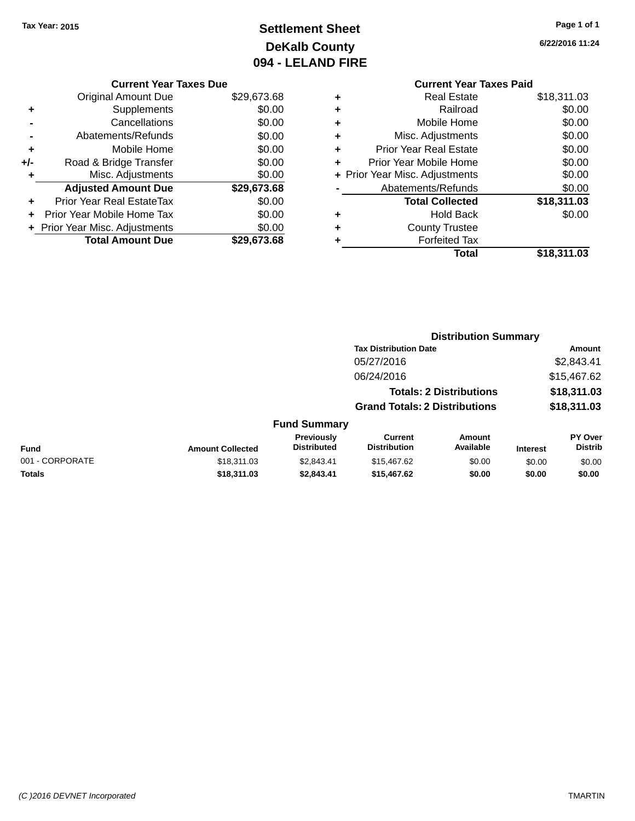## **Settlement Sheet Tax Year: 2015 Page 1 of 1 DeKalb County 094 - LELAND FIRE**

**6/22/2016 11:24**

## **Current Year Taxes Due**

|     | <b>Original Amount Due</b>     | \$29,673.68 |
|-----|--------------------------------|-------------|
| ٠   | Supplements                    | \$0.00      |
|     | Cancellations                  | \$0.00      |
|     | Abatements/Refunds             | \$0.00      |
| ٠   | Mobile Home                    | \$0.00      |
| +/- | Road & Bridge Transfer         | \$0.00      |
| ٠   | Misc. Adjustments              | \$0.00      |
|     | <b>Adjusted Amount Due</b>     | \$29,673.68 |
| ÷   | Prior Year Real EstateTax      | \$0.00      |
|     | Prior Year Mobile Home Tax     | \$0.00      |
|     | + Prior Year Misc. Adjustments | \$0.00      |
|     | <b>Total Amount Due</b>        | \$29,673,68 |

|   | <b>Current Year Taxes Paid</b> |             |
|---|--------------------------------|-------------|
| ٠ | <b>Real Estate</b>             | \$18,311.03 |
|   | Railroad                       | \$0.00      |
| ٠ | Mobile Home                    | \$0.00      |
| ٠ | Misc. Adjustments              | \$0.00      |
| ٠ | <b>Prior Year Real Estate</b>  | \$0.00      |
| ٠ | Prior Year Mobile Home         | \$0.00      |
|   | + Prior Year Misc. Adjustments | \$0.00      |
|   | Abatements/Refunds             | \$0.00      |
|   | <b>Total Collected</b>         | \$18,311.03 |
| ٠ | <b>Hold Back</b>               | \$0.00      |
|   | <b>County Trustee</b>          |             |
|   | <b>Forfeited Tax</b>           |             |
|   | Total                          | \$18,311.03 |
|   |                                |             |

|                 |                         |                                  | <b>Distribution Summary</b>           |                                |                 |                           |
|-----------------|-------------------------|----------------------------------|---------------------------------------|--------------------------------|-----------------|---------------------------|
|                 |                         |                                  | <b>Tax Distribution Date</b>          |                                | <b>Amount</b>   |                           |
|                 |                         |                                  | 05/27/2016                            |                                |                 | \$2,843.41                |
|                 |                         |                                  | 06/24/2016                            |                                |                 | \$15,467.62               |
|                 |                         |                                  |                                       | <b>Totals: 2 Distributions</b> |                 | \$18,311.03               |
|                 |                         |                                  | <b>Grand Totals: 2 Distributions</b>  |                                |                 | \$18,311.03               |
|                 |                         | <b>Fund Summary</b>              |                                       |                                |                 |                           |
| <b>Fund</b>     | <b>Amount Collected</b> | Previously<br><b>Distributed</b> | <b>Current</b><br><b>Distribution</b> | Amount<br>Available            | <b>Interest</b> | PY Over<br><b>Distrib</b> |
| 001 - CORPORATE | \$18,311.03             | \$2,843.41                       | \$15,467.62                           | \$0.00                         | \$0.00          | \$0.00                    |
| <b>Totals</b>   | \$18,311.03             | \$2,843.41                       | \$15,467.62                           | \$0.00                         | \$0.00          | \$0.00                    |
|                 |                         |                                  |                                       |                                |                 |                           |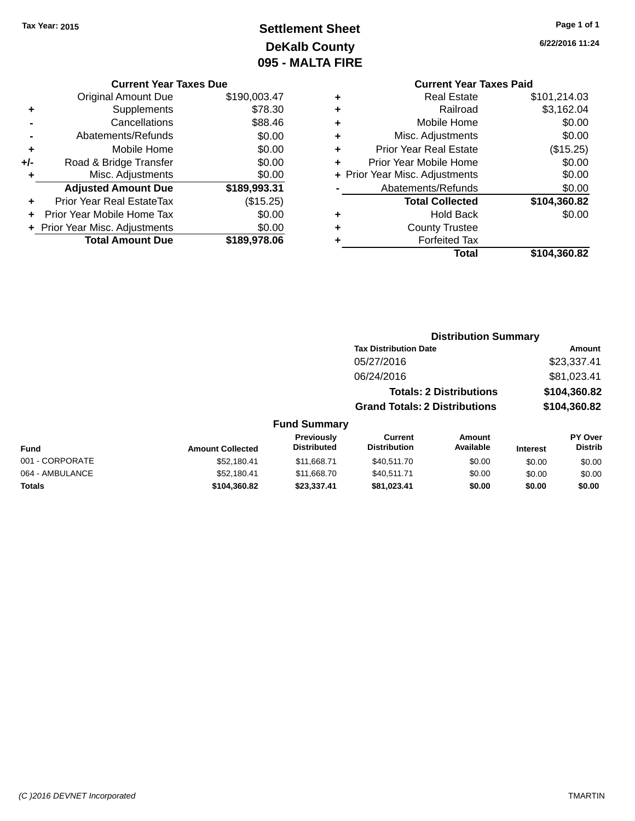## **Settlement Sheet Tax Year: 2015 Page 1 of 1 DeKalb County 095 - MALTA FIRE**

**6/22/2016 11:24**

#### **Current Year Taxes Due**

|     | <b>Original Amount Due</b>       | \$190,003.47 |
|-----|----------------------------------|--------------|
| ٠   | Supplements                      | \$78.30      |
|     | Cancellations                    | \$88.46      |
|     | Abatements/Refunds               | \$0.00       |
| ٠   | Mobile Home                      | \$0.00       |
| +/- | Road & Bridge Transfer           | \$0.00       |
| ٠   | Misc. Adjustments                | \$0.00       |
|     | <b>Adjusted Amount Due</b>       | \$189,993.31 |
| ÷   | <b>Prior Year Real EstateTax</b> | (\$15.25)    |
|     | Prior Year Mobile Home Tax       | \$0.00       |
|     | + Prior Year Misc. Adjustments   | \$0.00       |
|     | <b>Total Amount Due</b>          | \$189,978.06 |

#### **Current Year Taxes Paid +** Real Estate \$101,214.03

|   | <b>Total</b>                   | \$104,360.82       |
|---|--------------------------------|--------------------|
|   | <b>Forfeited Tax</b>           |                    |
| ÷ | <b>County Trustee</b>          |                    |
| ٠ | <b>Hold Back</b>               | \$0.00             |
|   | <b>Total Collected</b>         | \$104,360.82       |
|   | Abatements/Refunds             | \$0.00             |
|   | + Prior Year Misc. Adjustments | \$0.00             |
|   | Prior Year Mobile Home         | \$0.00             |
| ٠ | <b>Prior Year Real Estate</b>  | (\$15.25)          |
| ٠ | Misc. Adjustments              | \$0.00             |
| ٠ | Mobile Home                    | \$0.00             |
| ÷ | Railroad                       | \$3,162.04         |
| т | ngal Lolal <del>o</del>        | <b>9101.217.00</b> |

#### **Distribution Summary Tax Distribution Date Amount** 05/27/2016 \$23,337.41 06/24/2016 \$81,023.41 **Totals: 2 Distributions \$104,360.82 Grand Totals: 2 Distributions \$104,360.82 Fund Summary**

#### **Fund Interest Amount Collected Distributed PY Over Distrib Amount Available Current Distribution Previously** 001 - CORPORATE \$52,180.41 \$11,668.71 \$40,511.70 \$0.00 \$0.00 \$0.00 064 - AMBULANCE 6 652,180.41 \$11,668.70 \$40,511.71 \$0.00 \$0.00 \$0.00 \$0.00 **Totals \$104,360.82 \$23,337.41 \$81,023.41 \$0.00 \$0.00 \$0.00**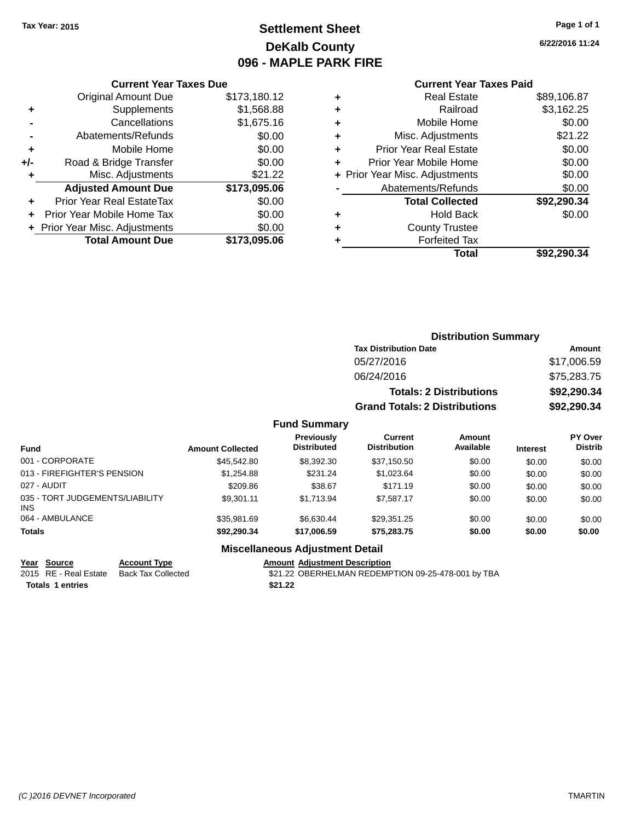## **Settlement Sheet Tax Year: 2015 Page 1 of 1 DeKalb County 096 - MAPLE PARK FIRE**

**6/22/2016 11:24**

#### **Current Year Taxes Paid**

|     | <b>Current Year Taxes Due</b>    |              |
|-----|----------------------------------|--------------|
|     | <b>Original Amount Due</b>       | \$173,180.12 |
| ٠   | Supplements                      | \$1,568.88   |
|     | Cancellations                    | \$1,675.16   |
|     | Abatements/Refunds               | \$0.00       |
| ٠   | Mobile Home                      | \$0.00       |
| +/- | Road & Bridge Transfer           | \$0.00       |
| ٠   | Misc. Adjustments                | \$21.22      |
|     | <b>Adjusted Amount Due</b>       | \$173,095.06 |
| ÷   | <b>Prior Year Real EstateTax</b> | \$0.00       |
| ÷   | Prior Year Mobile Home Tax       | \$0.00       |
|     | + Prior Year Misc. Adjustments   | \$0.00       |
|     | <b>Total Amount Due</b>          | \$173,095.06 |
|     |                                  |              |

|   | <b>Real Estate</b>             | \$89,106.87 |
|---|--------------------------------|-------------|
| ٠ | Railroad                       | \$3,162.25  |
| ٠ | Mobile Home                    | \$0.00      |
| ٠ | Misc. Adjustments              | \$21.22     |
| ٠ | <b>Prior Year Real Estate</b>  | \$0.00      |
| ÷ | Prior Year Mobile Home         | \$0.00      |
|   | + Prior Year Misc. Adjustments | \$0.00      |
|   | Abatements/Refunds             | \$0.00      |
|   | <b>Total Collected</b>         | \$92,290.34 |
| ٠ | <b>Hold Back</b>               | \$0.00      |
| ٠ | <b>County Trustee</b>          |             |
| ٠ | <b>Forfeited Tax</b>           |             |
|   | Total                          | \$92,290.34 |
|   |                                |             |

| <b>Distribution Summary</b>          |             |
|--------------------------------------|-------------|
| <b>Tax Distribution Date</b>         | Amount      |
| 05/27/2016                           | \$17,006.59 |
| 06/24/2016                           | \$75,283.75 |
| <b>Totals: 2 Distributions</b>       | \$92,290.34 |
| <b>Grand Totals: 2 Distributions</b> | \$92,290.34 |

#### **Fund Summary**

| <b>Fund</b>                                   | <b>Amount Collected</b> | <b>Previously</b><br><b>Distributed</b> | <b>Current</b><br><b>Distribution</b> | <b>Amount</b><br>Available | <b>Interest</b> | PY Over<br><b>Distrib</b> |
|-----------------------------------------------|-------------------------|-----------------------------------------|---------------------------------------|----------------------------|-----------------|---------------------------|
| 001 - CORPORATE                               | \$45,542.80             | \$8,392,30                              | \$37,150.50                           | \$0.00                     | \$0.00          | \$0.00                    |
| 013 - FIREFIGHTER'S PENSION                   | \$1.254.88              | \$231.24                                | \$1,023,64                            | \$0.00                     | \$0.00          | \$0.00                    |
| 027 - AUDIT                                   | \$209.86                | \$38.67                                 | \$171.19                              | \$0.00                     | \$0.00          | \$0.00                    |
| 035 - TORT JUDGEMENTS/LIABILITY<br><b>INS</b> | \$9.301.11              | \$1.713.94                              | \$7.587.17                            | \$0.00                     | \$0.00          | \$0.00                    |
| 064 - AMBULANCE                               | \$35.981.69             | \$6.630.44                              | \$29.351.25                           | \$0.00                     | \$0.00          | \$0.00                    |
| <b>Totals</b>                                 | \$92.290.34             | \$17,006.59                             | \$75.283.75                           | \$0.00                     | \$0.00          | \$0.00                    |

Year Source **Account Type**<br>
2015 RE - Real Estate Back Tax Collected

**Totals 1 entries** \$21.22

**Miscellaneous Adjustment Detail**

Amount Adjustment Description<br>\$21.22 OBERHELMAN REDEMPTION 09-25-478-001 by TBA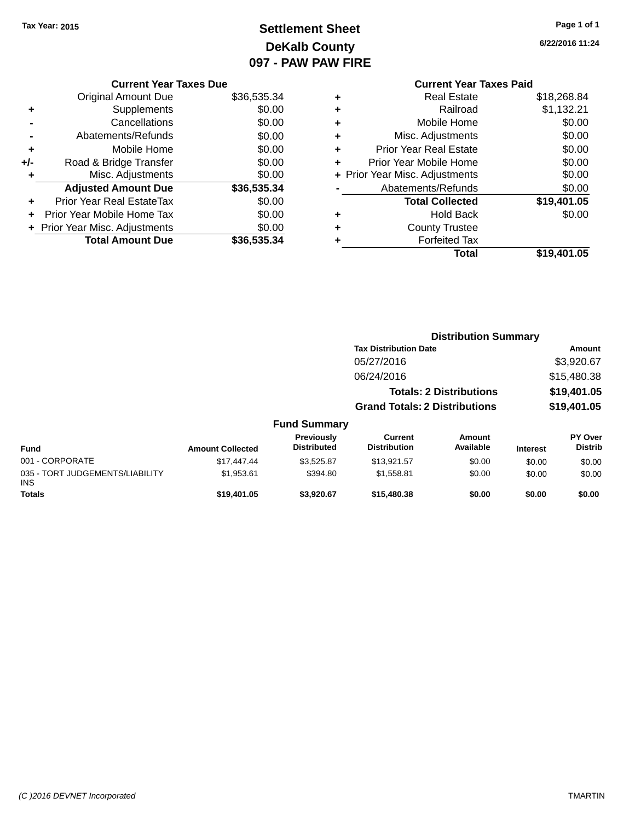## **Settlement Sheet Tax Year: 2015 Page 1 of 1 DeKalb County 097 - PAW PAW FIRE**

**6/22/2016 11:24**

|     | <b>Current Year Taxes Due</b>    |             |
|-----|----------------------------------|-------------|
|     | <b>Original Amount Due</b>       | \$36,535.34 |
| ٠   | Supplements                      | \$0.00      |
|     | Cancellations                    | \$0.00      |
|     | Abatements/Refunds               | \$0.00      |
| ÷   | Mobile Home                      | \$0.00      |
| +/- | Road & Bridge Transfer           | \$0.00      |
| ٠   | Misc. Adjustments                | \$0.00      |
|     | <b>Adjusted Amount Due</b>       | \$36,535.34 |
| ÷   | <b>Prior Year Real EstateTax</b> | \$0.00      |
| ÷   | Prior Year Mobile Home Tax       | \$0.00      |
|     | + Prior Year Misc. Adjustments   | \$0.00      |
|     | <b>Total Amount Due</b>          | \$36,535,34 |
|     |                                  |             |

### **Current Year Taxes Paid +** Real Estate \$18,268.84 **+** Railroad \$1,132.21 **+** Mobile Home \$0.00 **+** Misc. Adjustments \$0.00 **+** Prior Year Real Estate \$0.00 **+** Prior Year Mobile Home \$0.00 **+ Prior Year Misc. Adjustments**  $$0.00$ **-** Abatements/Refunds \$0.00 **Total Collected \$19,401.05 +** Hold Back \$0.00 **+** County Trustee **+** Forfeited Tax **Total \$19,401.05**

|                                               |                         |                                  |                                       | <b>Distribution Summary</b>    |                 |                                  |  |
|-----------------------------------------------|-------------------------|----------------------------------|---------------------------------------|--------------------------------|-----------------|----------------------------------|--|
|                                               |                         |                                  | <b>Tax Distribution Date</b>          |                                |                 | Amount                           |  |
|                                               |                         |                                  | 05/27/2016                            |                                |                 | \$3,920.67                       |  |
|                                               |                         |                                  | 06/24/2016                            |                                |                 | \$15,480.38                      |  |
|                                               |                         |                                  |                                       | <b>Totals: 2 Distributions</b> |                 | \$19,401.05                      |  |
|                                               |                         |                                  | <b>Grand Totals: 2 Distributions</b>  |                                |                 | \$19,401.05                      |  |
|                                               |                         | <b>Fund Summary</b>              |                                       |                                |                 |                                  |  |
| Fund                                          | <b>Amount Collected</b> | Previously<br><b>Distributed</b> | <b>Current</b><br><b>Distribution</b> | <b>Amount</b><br>Available     | <b>Interest</b> | <b>PY Over</b><br><b>Distrib</b> |  |
| 001 - CORPORATE                               | \$17,447.44             | \$3,525.87                       | \$13,921.57                           | \$0.00                         | \$0.00          | \$0.00                           |  |
| 035 - TORT JUDGEMENTS/LIABILITY<br><b>INS</b> | \$1,953.61              | \$394.80                         | \$1,558.81                            | \$0.00                         | \$0.00          | \$0.00                           |  |
| <b>Totals</b>                                 | \$19.401.05             | \$3.920.67                       | \$15,480,38                           | \$0.00                         | \$0.00          | \$0.00                           |  |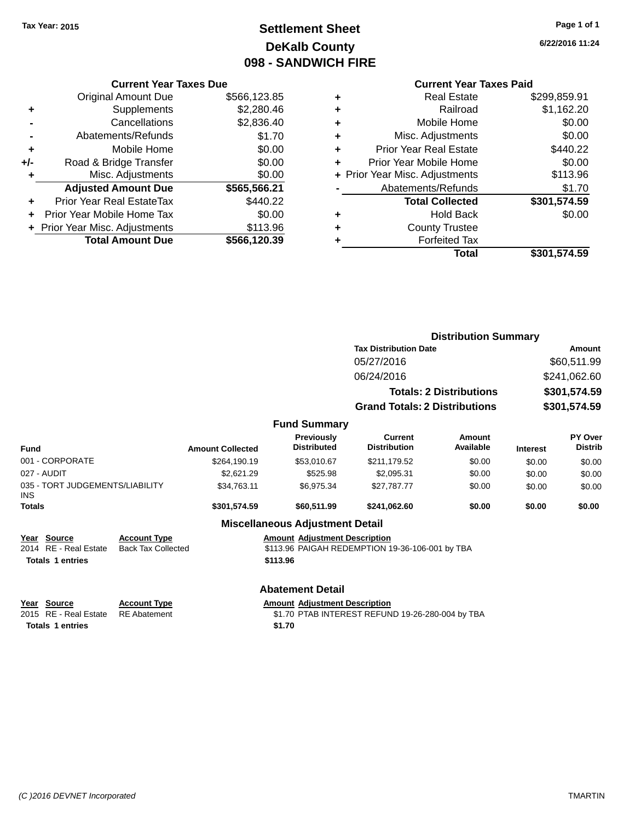## **Settlement Sheet Tax Year: 2015 Page 1 of 1 DeKalb County 098 - SANDWICH FIRE**

**6/22/2016 11:24**

#### **Current Year Taxes Paid**

|     | <b>Current Year Taxes Due</b> |              |  |
|-----|-------------------------------|--------------|--|
|     | <b>Original Amount Due</b>    | \$566,123.85 |  |
| ٠   | Supplements                   | \$2,280.46   |  |
|     | Cancellations                 | \$2,836.40   |  |
|     | Abatements/Refunds            | \$1.70       |  |
| ٠   | Mobile Home                   | \$0.00       |  |
| +/- | Road & Bridge Transfer        | \$0.00       |  |
| ٠   | Misc. Adjustments             | \$0.00       |  |
|     | <b>Adjusted Amount Due</b>    | \$565,566.21 |  |
| ÷   | Prior Year Real EstateTax     | \$440.22     |  |
|     | Prior Year Mobile Home Tax    | \$0.00       |  |
|     | Prior Year Misc. Adjustments  | \$113.96     |  |
|     | <b>Total Amount Due</b>       | \$566,120.39 |  |
|     |                               |              |  |

| <b>Forfeited Tax</b><br>Total  | \$301,574.59 |
|--------------------------------|--------------|
| <b>County Trustee</b>          |              |
| <b>Hold Back</b>               | \$0.00       |
| <b>Total Collected</b>         | \$301,574.59 |
| Abatements/Refunds             | \$1.70       |
| + Prior Year Misc. Adjustments | \$113.96     |
| Prior Year Mobile Home         | \$0.00       |
| <b>Prior Year Real Estate</b>  | \$440.22     |
| Misc. Adjustments              | \$0.00       |
| Mobile Home                    | \$0.00       |
| Railroad                       | \$1,162.20   |
| <b>Real Estate</b>             | \$299,859.91 |
|                                |              |

|                                         |                           |                         |                                         | <b>Distribution Summary</b>                     |                                |                 |                           |
|-----------------------------------------|---------------------------|-------------------------|-----------------------------------------|-------------------------------------------------|--------------------------------|-----------------|---------------------------|
|                                         |                           |                         |                                         | <b>Tax Distribution Date</b>                    |                                |                 | Amount                    |
|                                         |                           |                         |                                         | 05/27/2016                                      |                                |                 | \$60,511.99               |
|                                         |                           |                         |                                         | 06/24/2016                                      |                                |                 | \$241,062.60              |
|                                         |                           |                         |                                         |                                                 | <b>Totals: 2 Distributions</b> |                 | \$301,574.59              |
|                                         |                           |                         |                                         | <b>Grand Totals: 2 Distributions</b>            |                                |                 | \$301,574.59              |
|                                         |                           |                         | <b>Fund Summary</b>                     |                                                 |                                |                 |                           |
| Fund                                    |                           | <b>Amount Collected</b> | <b>Previously</b><br><b>Distributed</b> | <b>Current</b><br><b>Distribution</b>           | Amount<br>Available            | <b>Interest</b> | PY Over<br><b>Distrib</b> |
| 001 - CORPORATE                         |                           | \$264,190.19            | \$53,010.67                             | \$211,179.52                                    | \$0.00                         | \$0.00          | \$0.00                    |
| 027 - AUDIT                             |                           | \$2,621.29              | \$525.98                                | \$2,095.31                                      | \$0.00                         | \$0.00          | \$0.00                    |
| 035 - TORT JUDGEMENTS/LIABILITY<br>INS. |                           | \$34,763.11             | \$6,975.34                              | \$27,787.77                                     | \$0.00                         | \$0.00          | \$0.00                    |
| Totals                                  |                           | \$301,574.59            | \$60,511.99                             | \$241,062.60                                    | \$0.00                         | \$0.00          | \$0.00                    |
|                                         |                           |                         | <b>Miscellaneous Adjustment Detail</b>  |                                                 |                                |                 |                           |
| Year Source                             | <b>Account Type</b>       |                         | <b>Amount Adjustment Description</b>    |                                                 |                                |                 |                           |
| 2014 RE - Real Estate                   | <b>Back Tax Collected</b> |                         |                                         | \$113.96 PAIGAH REDEMPTION 19-36-106-001 by TBA |                                |                 |                           |
| <b>Totals 1 entries</b>                 |                           |                         | \$113.96                                |                                                 |                                |                 |                           |
|                                         |                           |                         |                                         |                                                 |                                |                 |                           |

## **Abatement Detail**

**<u>Year Source</u> Account Type<br>
2015 RE - Real Estate RE Abatement** 

 $035 -$ INS

**Totals 1 entries** \$1.70

2015 Amount Adjustment Description<br>\$1.70 PTAB INTEREST REFUND 19-26-280-004 by TBA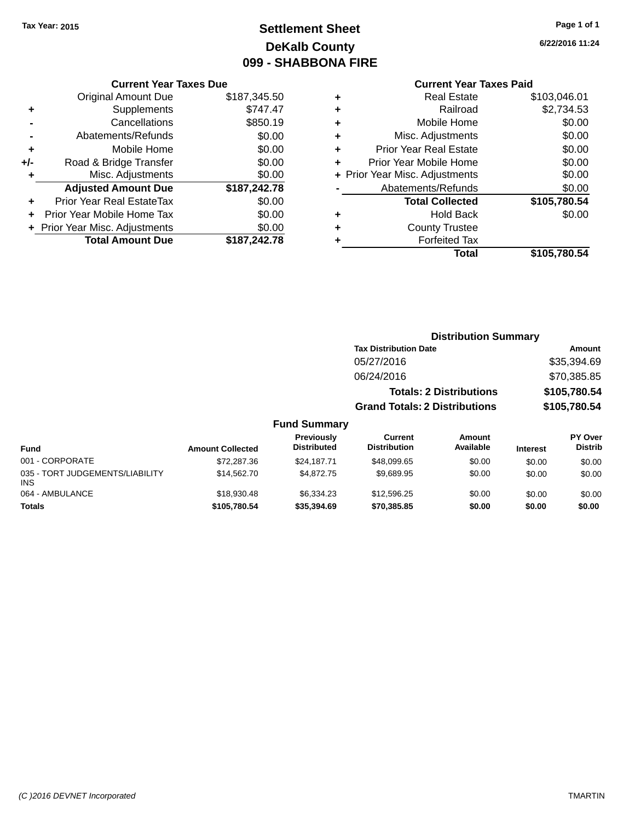## **Settlement Sheet Tax Year: 2015 Page 1 of 1 DeKalb County 099 - SHABBONA FIRE**

**6/22/2016 11:24**

|  | <b>Current Year Taxes Due</b> |  |  |  |
|--|-------------------------------|--|--|--|
|--|-------------------------------|--|--|--|

| <b>Original Amount Due</b> | \$187,345.50                   |
|----------------------------|--------------------------------|
| Supplements                | \$747.47                       |
| Cancellations              | \$850.19                       |
| Abatements/Refunds         | \$0.00                         |
| Mobile Home                | \$0.00                         |
| Road & Bridge Transfer     | \$0.00                         |
| Misc. Adjustments          | \$0.00                         |
| <b>Adjusted Amount Due</b> | \$187,242.78                   |
| Prior Year Real EstateTax  | \$0.00                         |
| Prior Year Mobile Home Tax | \$0.00                         |
|                            | \$0.00                         |
| <b>Total Amount Due</b>    | \$187,242.78                   |
|                            | + Prior Year Misc. Adjustments |

#### **Current Year Taxes Paid**

| ٠ | Real Estate                    | \$103,046.01 |
|---|--------------------------------|--------------|
| ÷ | Railroad                       | \$2,734.53   |
| ٠ | Mobile Home                    | \$0.00       |
| ٠ | Misc. Adjustments              | \$0.00       |
| ٠ | <b>Prior Year Real Estate</b>  | \$0.00       |
| ٠ | Prior Year Mobile Home         | \$0.00       |
|   | + Prior Year Misc. Adjustments | \$0.00       |
|   | Abatements/Refunds             | \$0.00       |
|   | <b>Total Collected</b>         | \$105,780.54 |
| ٠ | <b>Hold Back</b>               | \$0.00       |
| ٠ | <b>County Trustee</b>          |              |
| ٠ | <b>Forfeited Tax</b>           |              |
|   | Total                          | \$105,780.54 |
|   |                                |              |

### **Distribution Summary Tax Distribution Date Amount** 05/27/2016 \$35,394.69 06/24/2016 \$70,385.85 **Totals: 2 Distributions \$105,780.54 Grand Totals: 2 Distributions \$105,780.54**

| <b>Fund</b>                                   | <b>Amount Collected</b> | Previously<br><b>Distributed</b> | Current<br><b>Distribution</b> | Amount<br>Available | <b>Interest</b> | <b>PY Over</b><br><b>Distrib</b> |
|-----------------------------------------------|-------------------------|----------------------------------|--------------------------------|---------------------|-----------------|----------------------------------|
| 001 - CORPORATE                               | \$72,287.36             | \$24,187,71                      | \$48,099.65                    | \$0.00              | \$0.00          | \$0.00                           |
| 035 - TORT JUDGEMENTS/LIABILITY<br><b>INS</b> | \$14,562.70             | \$4,872.75                       | \$9.689.95                     | \$0.00              | \$0.00          | \$0.00                           |
| 064 - AMBULANCE                               | \$18,930,48             | \$6,334,23                       | \$12,596.25                    | \$0.00              | \$0.00          | \$0.00                           |
| Totals                                        | \$105,780.54            | \$35,394.69                      | \$70,385.85                    | \$0.00              | \$0.00          | \$0.00                           |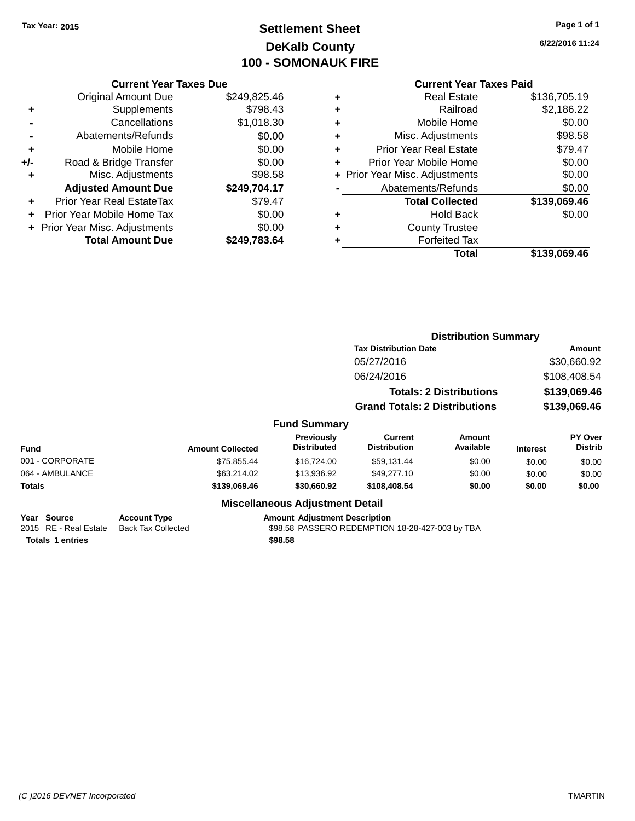## **Settlement Sheet Tax Year: 2015 Page 1 of 1 DeKalb County 100 - SOMONAUK FIRE**

**6/22/2016 11:24**

#### **Current Year Taxes Paid**

|     | <b>Current Year Taxes Due</b>    |              |
|-----|----------------------------------|--------------|
|     | <b>Original Amount Due</b>       | \$249,825.46 |
| ٠   | Supplements                      | \$798.43     |
|     | Cancellations                    | \$1,018.30   |
|     | Abatements/Refunds               | \$0.00       |
| ٠   | Mobile Home                      | \$0.00       |
| +/- | Road & Bridge Transfer           | \$0.00       |
|     | Misc. Adjustments                | \$98.58      |
|     | <b>Adjusted Amount Due</b>       | \$249,704.17 |
| ÷   | <b>Prior Year Real EstateTax</b> | \$79.47      |
|     | Prior Year Mobile Home Tax       | \$0.00       |
|     | + Prior Year Misc. Adjustments   | \$0.00       |
|     | <b>Total Amount Due</b>          | \$249.783.64 |

| ٠ | <b>Real Estate</b>             | \$136,705.19 |
|---|--------------------------------|--------------|
| ٠ | Railroad                       | \$2,186.22   |
| ٠ | Mobile Home                    | \$0.00       |
| ٠ | Misc. Adjustments              | \$98.58      |
| ٠ | <b>Prior Year Real Estate</b>  | \$79.47      |
| ÷ | Prior Year Mobile Home         | \$0.00       |
|   | + Prior Year Misc. Adjustments | \$0.00       |
|   | Abatements/Refunds             | \$0.00       |
|   | <b>Total Collected</b>         | \$139,069.46 |
| ٠ | Hold Back                      | \$0.00       |
| ٠ | <b>County Trustee</b>          |              |
| ٠ | <b>Forfeited Tax</b>           |              |
|   | Total                          | \$139,069.46 |
|   |                                |              |

|                                      |                                                  |              |                                         | Amount                               |                                                                                                                                   |                                                                                                                   |                                  |
|--------------------------------------|--------------------------------------------------|--------------|-----------------------------------------|--------------------------------------|-----------------------------------------------------------------------------------------------------------------------------------|-------------------------------------------------------------------------------------------------------------------|----------------------------------|
|                                      |                                                  |              |                                         |                                      |                                                                                                                                   |                                                                                                                   | \$30,660.92                      |
|                                      |                                                  |              |                                         |                                      |                                                                                                                                   |                                                                                                                   | \$108,408.54                     |
|                                      |                                                  |              |                                         |                                      |                                                                                                                                   |                                                                                                                   | \$139,069.46                     |
|                                      |                                                  |              |                                         | <b>Grand Totals: 2 Distributions</b> |                                                                                                                                   | \$139,069.46                                                                                                      |                                  |
|                                      |                                                  |              |                                         |                                      |                                                                                                                                   |                                                                                                                   |                                  |
|                                      |                                                  |              | <b>Previously</b><br><b>Distributed</b> | Current<br><b>Distribution</b>       | Amount<br>Available                                                                                                               | <b>Interest</b>                                                                                                   | <b>PY Over</b><br><b>Distrib</b> |
| 001 - CORPORATE                      |                                                  | \$75,855.44  | \$16,724.00                             | \$59,131.44                          | \$0.00                                                                                                                            | \$0.00                                                                                                            | \$0.00                           |
| 064 - AMBULANCE                      |                                                  | \$63,214.02  | \$13,936.92                             | \$49,277.10                          | \$0.00                                                                                                                            | \$0.00                                                                                                            | \$0.00                           |
|                                      |                                                  | \$139,069.46 | \$30,660.92                             | \$108,408.54                         | \$0.00                                                                                                                            | \$0.00                                                                                                            | \$0.00                           |
|                                      |                                                  |              |                                         |                                      |                                                                                                                                   |                                                                                                                   |                                  |
| Year Source<br>2015 RE - Real Estate | <b>Account Type</b><br><b>Back Tax Collected</b> |              |                                         |                                      |                                                                                                                                   |                                                                                                                   |                                  |
|                                      |                                                  |              | <b>Amount Collected</b>                 |                                      | 05/27/2016<br>06/24/2016<br><b>Fund Summary</b><br><b>Miscellaneous Adjustment Detail</b><br><b>Amount Adjustment Description</b> | <b>Tax Distribution Date</b><br><b>Totals: 2 Distributions</b><br>\$98.58 PASSERO REDEMPTION 18-28-427-003 by TBA | <b>Distribution Summary</b>      |

**Totals \$98.58 1 entries**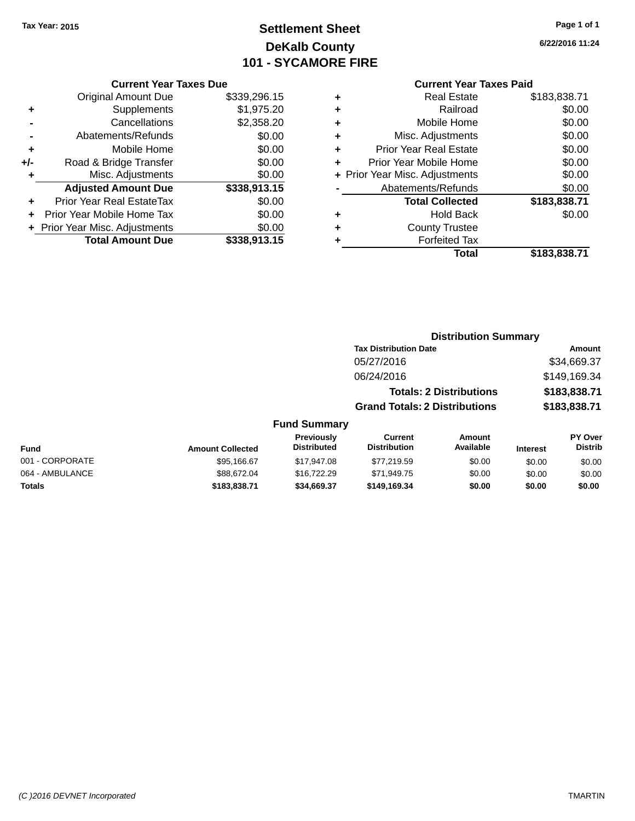## **Settlement Sheet Tax Year: 2015 Page 1 of 1 DeKalb County 101 - SYCAMORE FIRE**

**6/22/2016 11:24**

|     | <b>Original Amount Due</b>       | \$339,296.15 |
|-----|----------------------------------|--------------|
| ٠   | Supplements                      | \$1,975.20   |
|     | Cancellations                    | \$2,358.20   |
|     | Abatements/Refunds               | \$0.00       |
| ٠   | Mobile Home                      | \$0.00       |
| +/- | Road & Bridge Transfer           | \$0.00       |
| ٠   | Misc. Adjustments                | \$0.00       |
|     | <b>Adjusted Amount Due</b>       | \$338,913.15 |
| ÷   | <b>Prior Year Real EstateTax</b> | \$0.00       |
|     | Prior Year Mobile Home Tax       | \$0.00       |
|     | + Prior Year Misc. Adjustments   | \$0.00       |
|     | <b>Total Amount Due</b>          | \$338.913.15 |

#### **Current Year Taxes Paid**

| ٠ | <b>Real Estate</b>             | \$183,838.71 |
|---|--------------------------------|--------------|
| ٠ | Railroad                       | \$0.00       |
| ٠ | Mobile Home                    | \$0.00       |
| ٠ | Misc. Adjustments              | \$0.00       |
| ٠ | <b>Prior Year Real Estate</b>  | \$0.00       |
| ٠ | Prior Year Mobile Home         | \$0.00       |
|   | + Prior Year Misc. Adjustments | \$0.00       |
|   | Abatements/Refunds             | \$0.00       |
|   | <b>Total Collected</b>         | \$183,838.71 |
| ٠ | Hold Back                      | \$0.00       |
| ٠ | <b>County Trustee</b>          |              |
| ٠ | <b>Forfeited Tax</b>           |              |
|   | Total                          | \$183,838.71 |
|   |                                |              |

#### **Distribution Summary Tax Distribution Date Amount** 05/27/2016 \$34,669.37 06/24/2016 \$149,169.34 **Totals: 2 Distributions \$183,838.71 Grand Totals: 2 Distributions \$183,838.71 Fund Summary**

#### **Fund Interest Amount Collected Distributed PY Over Distrib Amount Available Current Distribution Previously** 001 - CORPORATE \$95,166.67 \$17,947.08 \$77,219.59 \$0.00 \$0.00 \$0.00 064 - AMBULANCE 6 68.00 \$88,672.04 \$16,722.29 \$71,949.75 \$0.00 \$0.00 \$0.00 \$0.00 **Totals \$183,838.71 \$34,669.37 \$149,169.34 \$0.00 \$0.00 \$0.00**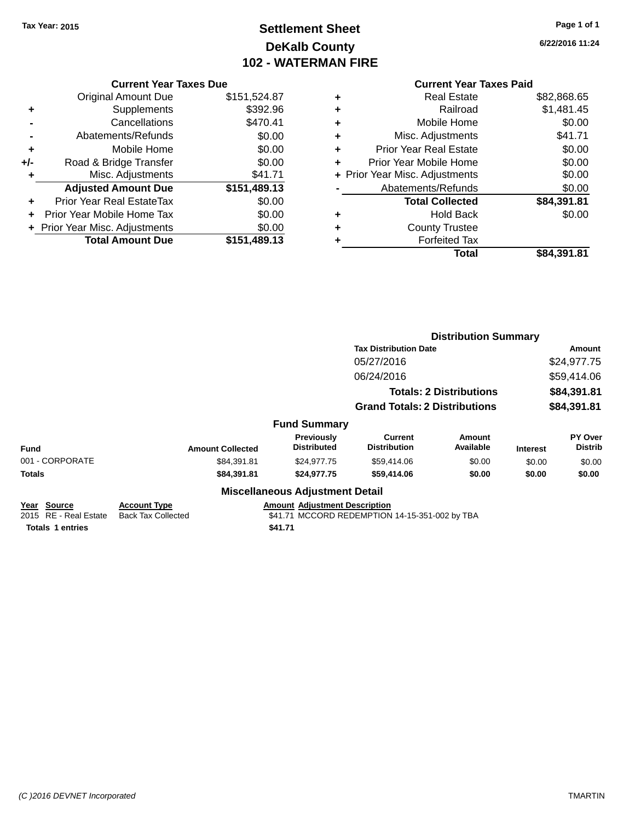## **Settlement Sheet Tax Year: 2015 Page 1 of 1 DeKalb County 102 - WATERMAN FIRE**

**6/22/2016 11:24**

## **Current Year Taxes Paid**

|       | <b>Current Year Taxes Due</b>  |              |
|-------|--------------------------------|--------------|
|       | <b>Original Amount Due</b>     | \$151,524.87 |
| ٠     | Supplements                    | \$392.96     |
|       | Cancellations                  | \$470.41     |
|       | Abatements/Refunds             | \$0.00       |
| ٠     | Mobile Home                    | \$0.00       |
| $+/-$ | Road & Bridge Transfer         | \$0.00       |
| ٠     | Misc. Adjustments              | \$41.71      |
|       | <b>Adjusted Amount Due</b>     | \$151,489.13 |
| ÷     | Prior Year Real EstateTax      | \$0.00       |
|       | Prior Year Mobile Home Tax     | \$0.00       |
|       | + Prior Year Misc. Adjustments | \$0.00       |
|       | <b>Total Amount Due</b>        | \$151,489.13 |
|       |                                |              |

|   | <b>Real Estate</b>             | \$82,868.65 |
|---|--------------------------------|-------------|
| ٠ | Railroad                       | \$1,481.45  |
| ٠ | Mobile Home                    | \$0.00      |
| ٠ | Misc. Adjustments              | \$41.71     |
| ٠ | <b>Prior Year Real Estate</b>  | \$0.00      |
| ÷ | Prior Year Mobile Home         | \$0.00      |
|   | + Prior Year Misc. Adjustments | \$0.00      |
|   | Abatements/Refunds             | \$0.00      |
|   | <b>Total Collected</b>         | \$84,391.81 |
| ٠ | <b>Hold Back</b>               | \$0.00      |
| ٠ | <b>County Trustee</b>          |             |
| ٠ | <b>Forfeited Tax</b>           |             |
|   | Total                          | \$84,391.81 |
|   |                                |             |

|                                                                 |                                                  |                                                 |                                                | <b>Distribution Summary</b>    |                 |                           |
|-----------------------------------------------------------------|--------------------------------------------------|-------------------------------------------------|------------------------------------------------|--------------------------------|-----------------|---------------------------|
|                                                                 |                                                  |                                                 | <b>Tax Distribution Date</b>                   |                                |                 | Amount                    |
|                                                                 |                                                  |                                                 | 05/27/2016                                     |                                |                 | \$24,977.75               |
|                                                                 |                                                  |                                                 | 06/24/2016                                     |                                |                 | \$59,414.06               |
|                                                                 |                                                  |                                                 |                                                | <b>Totals: 2 Distributions</b> |                 | \$84,391.81               |
|                                                                 |                                                  |                                                 | <b>Grand Totals: 2 Distributions</b>           |                                |                 | \$84,391.81               |
|                                                                 |                                                  | <b>Fund Summary</b>                             |                                                |                                |                 |                           |
| <b>Fund</b>                                                     | <b>Amount Collected</b>                          | <b>Previously</b><br><b>Distributed</b>         | Current<br><b>Distribution</b>                 | <b>Amount</b><br>Available     | <b>Interest</b> | PY Over<br><b>Distrib</b> |
| 001 - CORPORATE                                                 | \$84,391.81                                      | \$24,977.75                                     | \$59,414.06                                    | \$0.00                         | \$0.00          | \$0.00                    |
| Totals                                                          | \$84,391.81                                      | \$24,977.75                                     | \$59,414.06                                    | \$0.00                         | \$0.00          | \$0.00                    |
|                                                                 |                                                  | <b>Miscellaneous Adjustment Detail</b>          |                                                |                                |                 |                           |
| Year Source<br>2015 RE - Real Estate<br><b>Totals 1 entries</b> | <b>Account Type</b><br><b>Back Tax Collected</b> | <b>Amount Adjustment Description</b><br>\$41.71 | \$41.71 MCCORD REDEMPTION 14-15-351-002 by TBA |                                |                 |                           |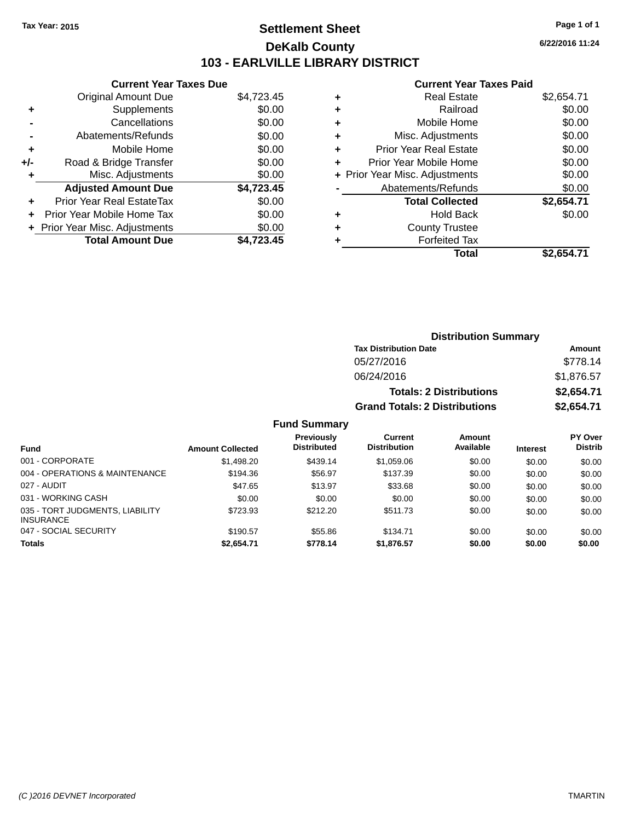## **Settlement Sheet Tax Year: 2015 Page 1 of 1 DeKalb County 103 - EARLVILLE LIBRARY DISTRICT**

**6/22/2016 11:24**

## **Current Year Taxes Paid**

| <b>Current Year Taxes Due</b>  |            |
|--------------------------------|------------|
| Original Amount Due            | \$4,723.45 |
| Supplements                    | \$0.00     |
| Cancellations                  | \$0.00     |
| Abatements/Refunds             | \$0.00     |
| Mobile Home                    | \$0.00     |
| Road & Bridge Transfer         | \$0.00     |
| Misc. Adjustments              | \$0.00     |
| <b>Adjusted Amount Due</b>     | \$4,723.45 |
| Prior Year Real EstateTax      | \$0.00     |
| Prior Year Mobile Home Tax     | \$0.00     |
| + Prior Year Misc. Adjustments | \$0.00     |
| <b>Total Amount Due</b>        | \$4.723.45 |
|                                |            |

|   | <b>Real Estate</b>             | \$2,654.71 |
|---|--------------------------------|------------|
| ٠ | Railroad                       | \$0.00     |
| ٠ | Mobile Home                    | \$0.00     |
| ٠ | Misc. Adjustments              | \$0.00     |
| ٠ | Prior Year Real Estate         | \$0.00     |
|   | Prior Year Mobile Home         | \$0.00     |
|   | + Prior Year Misc. Adjustments | \$0.00     |
|   | Abatements/Refunds             | \$0.00     |
|   | <b>Total Collected</b>         | \$2,654.71 |
| ٠ | Hold Back                      | \$0.00     |
| ٠ | <b>County Trustee</b>          |            |
| ٠ | <b>Forfeited Tax</b>           |            |
|   | Total                          | \$2,654.71 |
|   |                                |            |

| <b>Distribution Summary</b>          |            |  |  |  |
|--------------------------------------|------------|--|--|--|
| <b>Tax Distribution Date</b>         | Amount     |  |  |  |
| 05/27/2016                           | \$778.14   |  |  |  |
| 06/24/2016                           | \$1,876.57 |  |  |  |
| <b>Totals: 2 Distributions</b>       | \$2,654.71 |  |  |  |
| <b>Grand Totals: 2 Distributions</b> | \$2,654.71 |  |  |  |

|                                                     |                         | <b>Previously</b>  | Current             | Amount    |                 | <b>PY Over</b> |
|-----------------------------------------------------|-------------------------|--------------------|---------------------|-----------|-----------------|----------------|
| <b>Fund</b>                                         | <b>Amount Collected</b> | <b>Distributed</b> | <b>Distribution</b> | Available | <b>Interest</b> | <b>Distrib</b> |
| 001 - CORPORATE                                     | \$1,498.20              | \$439.14           | \$1,059.06          | \$0.00    | \$0.00          | \$0.00         |
| 004 - OPERATIONS & MAINTENANCE                      | \$194.36                | \$56.97            | \$137.39            | \$0.00    | \$0.00          | \$0.00         |
| 027 - AUDIT                                         | \$47.65                 | \$13.97            | \$33.68             | \$0.00    | \$0.00          | \$0.00         |
| 031 - WORKING CASH                                  | \$0.00                  | \$0.00             | \$0.00              | \$0.00    | \$0.00          | \$0.00         |
| 035 - TORT JUDGMENTS, LIABILITY<br><b>INSURANCE</b> | \$723.93                | \$212.20           | \$511.73            | \$0.00    | \$0.00          | \$0.00         |
| 047 - SOCIAL SECURITY                               | \$190.57                | \$55.86            | \$134.71            | \$0.00    | \$0.00          | \$0.00         |
| <b>Totals</b>                                       | \$2.654.71              | \$778.14           | \$1,876.57          | \$0.00    | \$0.00          | \$0.00         |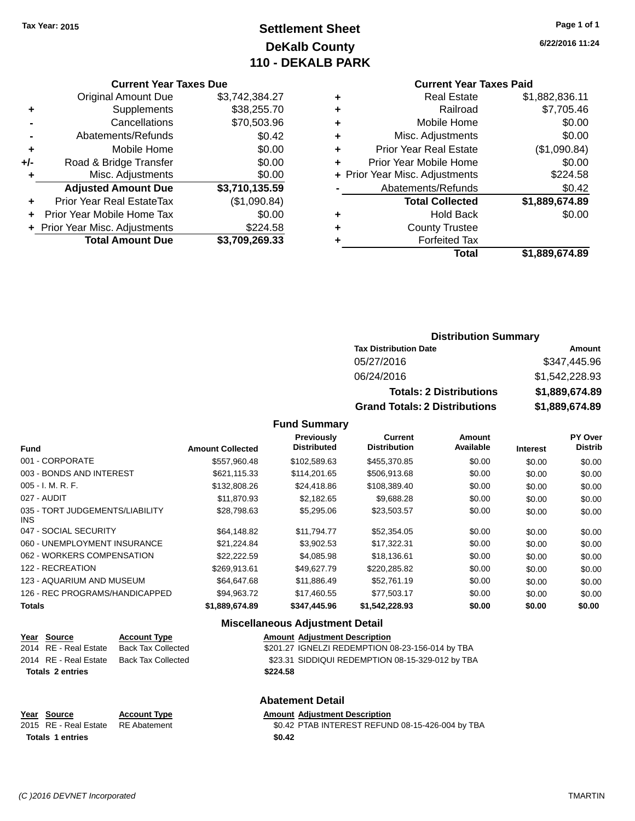## **Settlement Sheet Tax Year: 2015 Page 1 of 1 DeKalb County 110 - DEKALB PARK**

**6/22/2016 11:24**

#### **Current Year Taxes Paid**

|     | <b>Current Year Taxes Due</b>  |                |
|-----|--------------------------------|----------------|
|     | <b>Original Amount Due</b>     | \$3,742,384.27 |
| ٠   | Supplements                    | \$38,255.70    |
|     | Cancellations                  | \$70,503.96    |
|     | Abatements/Refunds             | \$0.42         |
| ٠   | Mobile Home                    | \$0.00         |
| +/- | Road & Bridge Transfer         | \$0.00         |
| ٠   | Misc. Adjustments              | \$0.00         |
|     | <b>Adjusted Amount Due</b>     | \$3,710,135.59 |
|     | Prior Year Real EstateTax      | (\$1,090.84)   |
|     | Prior Year Mobile Home Tax     | \$0.00         |
|     | + Prior Year Misc. Adjustments | \$224.58       |
|     | <b>Total Amount Due</b>        | \$3,709,269.33 |

#### **Distribution Summary**

| <b>Tax Distribution Date</b>         | Amount         |
|--------------------------------------|----------------|
| 05/27/2016                           | \$347,445.96   |
| 06/24/2016                           | \$1,542,228,93 |
| <b>Totals: 2 Distributions</b>       | \$1,889,674.89 |
| <b>Grand Totals: 2 Distributions</b> | \$1,889,674.89 |

#### **Fund Summary**

| <b>Fund</b>                             | <b>Amount Collected</b> | Previously<br><b>Distributed</b> | <b>Current</b><br><b>Distribution</b> | Amount<br>Available | <b>Interest</b> | PY Over<br><b>Distrib</b> |
|-----------------------------------------|-------------------------|----------------------------------|---------------------------------------|---------------------|-----------------|---------------------------|
| 001 - CORPORATE                         | \$557.960.48            | \$102,589.63                     | \$455,370.85                          | \$0.00              | \$0.00          | \$0.00                    |
| 003 - BONDS AND INTEREST                | \$621.115.33            | \$114.201.65                     | \$506,913.68                          | \$0.00              | \$0.00          | \$0.00                    |
| $005 - I. M. R. F.$                     | \$132,808.26            | \$24,418.86                      | \$108,389.40                          | \$0.00              | \$0.00          | \$0.00                    |
| 027 - AUDIT                             | \$11.870.93             | \$2,182.65                       | \$9,688.28                            | \$0.00              | \$0.00          | \$0.00                    |
| 035 - TORT JUDGEMENTS/LIABILITY<br>INS. | \$28,798.63             | \$5,295,06                       | \$23,503.57                           | \$0.00              | \$0.00          | \$0.00                    |
| 047 - SOCIAL SECURITY                   | \$64,148.82             | \$11.794.77                      | \$52,354.05                           | \$0.00              | \$0.00          | \$0.00                    |
| 060 - UNEMPLOYMENT INSURANCE            | \$21.224.84             | \$3,902.53                       | \$17,322.31                           | \$0.00              | \$0.00          | \$0.00                    |
| 062 - WORKERS COMPENSATION              | \$22,222.59             | \$4.085.98                       | \$18,136.61                           | \$0.00              | \$0.00          | \$0.00                    |
| 122 - RECREATION                        | \$269.913.61            | \$49.627.79                      | \$220,285.82                          | \$0.00              | \$0.00          | \$0.00                    |
| 123 - AQUARIUM AND MUSEUM               | \$64,647.68             | \$11,886.49                      | \$52,761.19                           | \$0.00              | \$0.00          | \$0.00                    |
| 126 - REC PROGRAMS/HANDICAPPED          | \$94.963.72             | \$17.460.55                      | \$77,503.17                           | \$0.00              | \$0.00          | \$0.00                    |
| <b>Totals</b>                           | \$1,889,674.89          | \$347,445.96                     | \$1,542,228.93                        | \$0.00              | \$0.00          | \$0.00                    |

#### **Miscellaneous Adjustment Detail**

| Year Source             | <b>Account Type</b> |          | <b>Amount Adiustment Description</b>             |
|-------------------------|---------------------|----------|--------------------------------------------------|
| 2014 RE - Real Estate   | Back Tax Collected  |          | \$201.27 IGNELZI REDEMPTION 08-23-156-014 by TBA |
| 2014 RE - Real Estate   | Back Tax Collected  |          | \$23.31 SIDDIQUI REDEMPTION 08-15-329-012 by TBA |
| <b>Totals 2 entries</b> |                     | \$224.58 |                                                  |
|                         |                     |          |                                                  |

| <b>Abatement Detail</b> |                     |                                                  |  |  |
|-------------------------|---------------------|--------------------------------------------------|--|--|
| Year Source             | <b>Account Type</b> | <b>Amount Adjustment Description</b>             |  |  |
| 2015 RE - Real Estate   | RE Abatement        | \$0.42 PTAB INTEREST REFUND 08-15-426-004 by TBA |  |  |
| <b>Totals 1 entries</b> |                     | \$0.42                                           |  |  |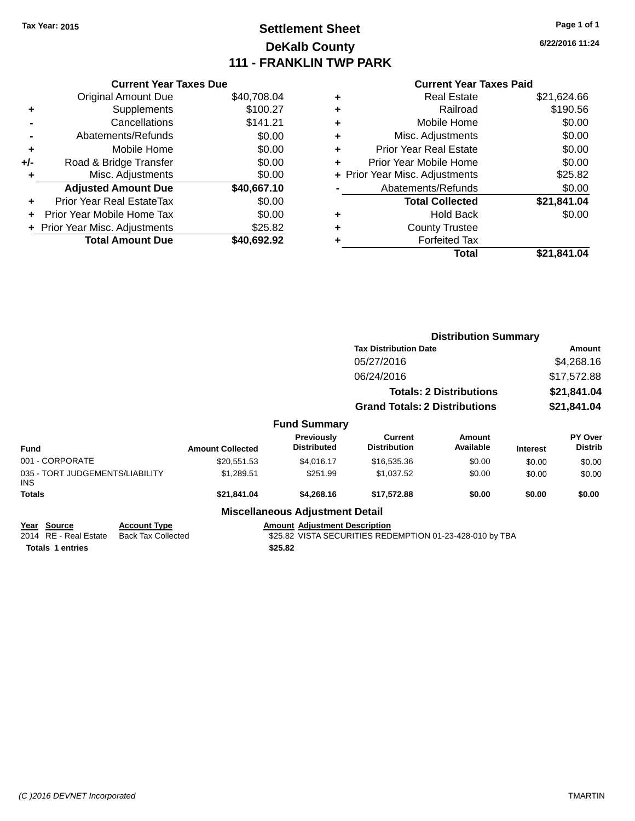## **Settlement Sheet Tax Year: 2015 Page 1 of 1 DeKalb County 111 - FRANKLIN TWP PARK**

**6/22/2016 11:24**

|       | <b>Current Year Taxes Due</b>  |             |
|-------|--------------------------------|-------------|
|       | <b>Original Amount Due</b>     | \$40,708.04 |
|       | Supplements                    | \$100.27    |
|       | Cancellations                  | \$141.21    |
|       | Abatements/Refunds             | \$0.00      |
| ٠     | Mobile Home                    | \$0.00      |
| $+/-$ | Road & Bridge Transfer         | \$0.00      |
| ٠     | Misc. Adjustments              | \$0.00      |
|       | <b>Adjusted Amount Due</b>     | \$40,667.10 |
|       | Prior Year Real EstateTax      | \$0.00      |
|       | Prior Year Mobile Home Tax     | \$0.00      |
|       | + Prior Year Misc. Adjustments | \$25.82     |
|       | <b>Total Amount Due</b>        | \$40,692.92 |
|       |                                |             |

#### **Current Year Taxes Paid**

|   | Total                          | \$21,841.04 |
|---|--------------------------------|-------------|
| ٠ | <b>Forfeited Tax</b>           |             |
| ٠ | <b>County Trustee</b>          |             |
| ٠ | <b>Hold Back</b>               | \$0.00      |
|   | <b>Total Collected</b>         | \$21,841.04 |
|   | Abatements/Refunds             | \$0.00      |
|   | + Prior Year Misc. Adjustments | \$25.82     |
| ٠ | Prior Year Mobile Home         | \$0.00      |
| ٠ | <b>Prior Year Real Estate</b>  | \$0.00      |
| ٠ | Misc. Adjustments              | \$0.00      |
| ٠ | Mobile Home                    | \$0.00      |
| ٠ | Railroad                       | \$190.56    |
|   | <b>Real Estate</b>             | \$21,624.66 |

|                                                |                                                  |                         |                                                                                                  | <b>Distribution Summary</b>          |                                |                 |                           |
|------------------------------------------------|--------------------------------------------------|-------------------------|--------------------------------------------------------------------------------------------------|--------------------------------------|--------------------------------|-----------------|---------------------------|
|                                                |                                                  |                         |                                                                                                  | <b>Tax Distribution Date</b>         |                                |                 | Amount                    |
|                                                |                                                  |                         |                                                                                                  | 05/27/2016                           |                                |                 | \$4,268.16                |
|                                                |                                                  |                         |                                                                                                  | 06/24/2016                           |                                |                 | \$17,572.88               |
|                                                |                                                  |                         |                                                                                                  |                                      | <b>Totals: 2 Distributions</b> |                 | \$21,841.04               |
|                                                |                                                  |                         |                                                                                                  | <b>Grand Totals: 2 Distributions</b> |                                |                 | \$21,841.04               |
|                                                |                                                  |                         | <b>Fund Summary</b>                                                                              |                                      |                                |                 |                           |
| <b>Fund</b>                                    |                                                  | <b>Amount Collected</b> | <b>Previously</b><br><b>Distributed</b>                                                          | Current<br><b>Distribution</b>       | Amount<br>Available            | <b>Interest</b> | PY Over<br><b>Distrib</b> |
| 001 - CORPORATE                                |                                                  | \$20,551.53             | \$4,016.17                                                                                       | \$16,535.36                          | \$0.00                         | \$0.00          | \$0.00                    |
| 035 - TORT JUDGEMENTS/LIABILITY<br><b>INS</b>  |                                                  | \$1,289.51              | \$251.99                                                                                         | \$1,037.52                           | \$0.00                         | \$0.00          | \$0.00                    |
| <b>Totals</b>                                  |                                                  | \$21,841.04             | \$4,268.16                                                                                       | \$17,572.88                          | \$0.00                         | \$0.00          | \$0.00                    |
|                                                |                                                  |                         | <b>Miscellaneous Adjustment Detail</b>                                                           |                                      |                                |                 |                           |
| <b>Source</b><br>Year<br>2014 RE - Real Estate | <b>Account Type</b><br><b>Back Tax Collected</b> |                         | <b>Amount Adjustment Description</b><br>\$25.82 VISTA SECURITIES REDEMPTION 01-23-428-010 by TBA |                                      |                                |                 |                           |

**Totals \$25.82 1 entries**

\$25.82 VISTA SECURITIES REDEMPTION 01-23-428-010 by TBA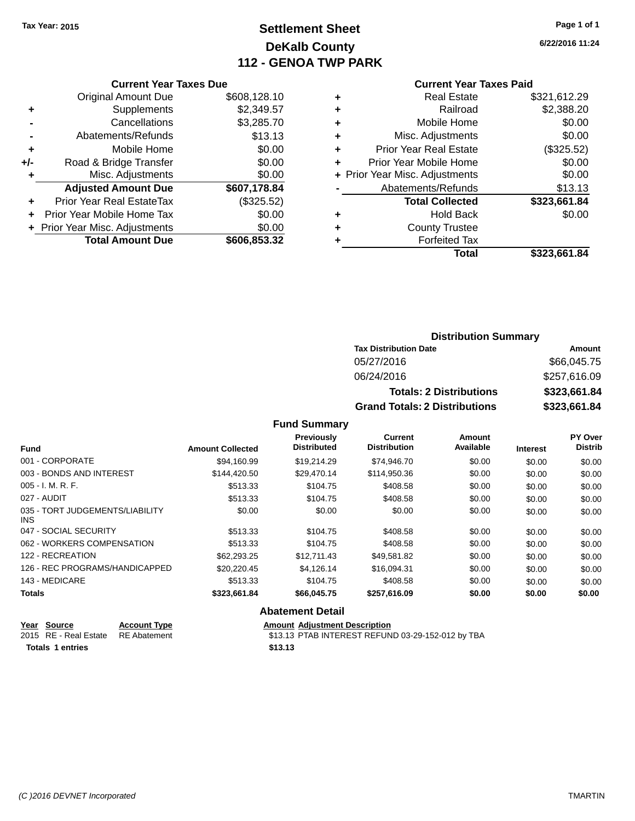## **Settlement Sheet Tax Year: 2015 Page 1 of 1 DeKalb County 112 - GENOA TWP PARK**

**6/22/2016 11:24**

#### **Current Year Taxes Paid**

|     | <b>Current Year Taxes Due</b>  |              |
|-----|--------------------------------|--------------|
|     | <b>Original Amount Due</b>     | \$608,128.10 |
| ٠   | Supplements                    | \$2,349.57   |
|     | Cancellations                  | \$3,285.70   |
|     | Abatements/Refunds             | \$13.13      |
| ٠   | Mobile Home                    | \$0.00       |
| +/- | Road & Bridge Transfer         | \$0.00       |
| ٠   | Misc. Adjustments              | \$0.00       |
|     | <b>Adjusted Amount Due</b>     | \$607,178.84 |
| ٠   | Prior Year Real EstateTax      | (\$325.52)   |
| ٠   | Prior Year Mobile Home Tax     | \$0.00       |
|     | + Prior Year Misc. Adjustments | \$0.00       |
|     | <b>Total Amount Due</b>        | \$606,853.32 |
|     |                                |              |
|     |                                |              |

| ٠ | <b>Real Estate</b>             | \$321,612.29 |
|---|--------------------------------|--------------|
| ٠ | Railroad                       | \$2,388.20   |
| ٠ | Mobile Home                    | \$0.00       |
| ٠ | Misc. Adjustments              | \$0.00       |
| ٠ | <b>Prior Year Real Estate</b>  | (\$325.52)   |
| ٠ | Prior Year Mobile Home         | \$0.00       |
|   | + Prior Year Misc. Adjustments | \$0.00       |
|   | Abatements/Refunds             | \$13.13      |
|   | <b>Total Collected</b>         | \$323,661.84 |
| ٠ | <b>Hold Back</b>               | \$0.00       |
| ٠ | <b>County Trustee</b>          |              |
| ٠ | <b>Forfeited Tax</b>           |              |
|   | Total                          | \$323,661.84 |
|   |                                |              |

#### **Distribution Summary Tax Distribution Date Amount** 05/27/2016 \$66,045.75 06/24/2016 \$257,616.09 **Totals: 2 Distributions \$323,661.84 Grand Totals: 2 Distributions \$323,661.84**

#### **Fund Summary**

| <b>Fund</b>                             | <b>Amount Collected</b> | Previously<br><b>Distributed</b> | <b>Current</b><br><b>Distribution</b> | Amount<br>Available | <b>Interest</b> | PY Over<br><b>Distrib</b> |
|-----------------------------------------|-------------------------|----------------------------------|---------------------------------------|---------------------|-----------------|---------------------------|
| 001 - CORPORATE                         | \$94.160.99             | \$19.214.29                      | \$74.946.70                           | \$0.00              | \$0.00          | \$0.00                    |
| 003 - BONDS AND INTEREST                | \$144.420.50            | \$29.470.14                      | \$114,950.36                          | \$0.00              | \$0.00          | \$0.00                    |
| $005 - I. M. R. F.$                     | \$513.33                | \$104.75                         | \$408.58                              | \$0.00              | \$0.00          | \$0.00                    |
| 027 - AUDIT                             | \$513.33                | \$104.75                         | \$408.58                              | \$0.00              | \$0.00          | \$0.00                    |
| 035 - TORT JUDGEMENTS/LIABILITY<br>INS. | \$0.00                  | \$0.00                           | \$0.00                                | \$0.00              | \$0.00          | \$0.00                    |
| 047 - SOCIAL SECURITY                   | \$513.33                | \$104.75                         | \$408.58                              | \$0.00              | \$0.00          | \$0.00                    |
| 062 - WORKERS COMPENSATION              | \$513.33                | \$104.75                         | \$408.58                              | \$0.00              | \$0.00          | \$0.00                    |
| 122 - RECREATION                        | \$62,293,25             | \$12,711.43                      | \$49.581.82                           | \$0.00              | \$0.00          | \$0.00                    |
| 126 - REC PROGRAMS/HANDICAPPED          | \$20,220,45             | \$4.126.14                       | \$16.094.31                           | \$0.00              | \$0.00          | \$0.00                    |
| 143 - MEDICARE                          | \$513.33                | \$104.75                         | \$408.58                              | \$0.00              | \$0.00          | \$0.00                    |
| <b>Totals</b>                           | \$323,661.84            | \$66,045.75                      | \$257,616.09                          | \$0.00              | \$0.00          | \$0.00                    |

#### **Abatement Detail**

| Year Source                        | <b>Account Type</b> | <b>Amount Adiustment Description</b>              |
|------------------------------------|---------------------|---------------------------------------------------|
| 2015 RE - Real Estate RE Abatement |                     | \$13.13 PTAB INTEREST REFUND 03-29-152-012 by TBA |
| <b>Totals 1 entries</b>            |                     | \$13.13                                           |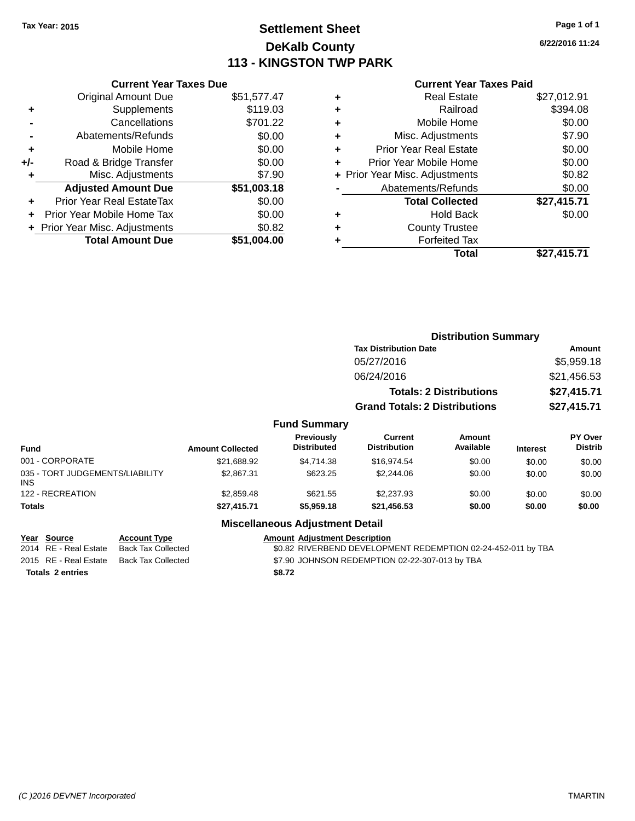## **Settlement Sheet Tax Year: 2015 Page 1 of 1 DeKalb County 113 - KINGSTON TWP PARK**

**6/22/2016 11:24**

| <b>Current Year Taxes Paid</b> |
|--------------------------------|
| <b>Real Estate</b>             |
| Doileand                       |

|     | <b>Total Amount Due</b>        | \$51,004.00 |
|-----|--------------------------------|-------------|
|     | + Prior Year Misc. Adjustments | \$0.82      |
| ÷   | Prior Year Mobile Home Tax     | \$0.00      |
| ٠   | Prior Year Real EstateTax      | \$0.00      |
|     | <b>Adjusted Amount Due</b>     | \$51,003.18 |
| ٠   | Misc. Adjustments              | \$7.90      |
| +/- | Road & Bridge Transfer         | \$0.00      |
| ٠   | Mobile Home                    | \$0.00      |
|     | Abatements/Refunds             | \$0.00      |
|     | Cancellations                  | \$701.22    |
| ٠   | Supplements                    | \$119.03    |
|     | <b>Original Amount Due</b>     | \$51,577.47 |

**Current Year Taxes Due**

|   | <b>Real Estate</b>             | \$27,012.91 |
|---|--------------------------------|-------------|
| ٠ | Railroad                       | \$394.08    |
| ٠ | Mobile Home                    | \$0.00      |
| ٠ | Misc. Adjustments              | \$7.90      |
| ٠ | <b>Prior Year Real Estate</b>  | \$0.00      |
| ÷ | Prior Year Mobile Home         | \$0.00      |
|   | + Prior Year Misc. Adjustments | \$0.82      |
|   | Abatements/Refunds             | \$0.00      |
|   | <b>Total Collected</b>         | \$27,415.71 |
| ٠ | <b>Hold Back</b>               | \$0.00      |
| ٠ | <b>County Trustee</b>          |             |
|   | <b>Forfeited Tax</b>           |             |
|   | Total                          | \$27,415.71 |
|   |                                |             |

|                                         |                         |                                  | <b>Distribution Summary</b>          |                                |                 |                           |
|-----------------------------------------|-------------------------|----------------------------------|--------------------------------------|--------------------------------|-----------------|---------------------------|
|                                         |                         |                                  | <b>Tax Distribution Date</b>         |                                | Amount          |                           |
|                                         |                         |                                  | 05/27/2016                           |                                |                 | \$5,959.18                |
|                                         |                         |                                  | 06/24/2016                           |                                |                 | \$21,456.53               |
|                                         |                         |                                  |                                      | <b>Totals: 2 Distributions</b> |                 | \$27,415.71               |
|                                         |                         |                                  | <b>Grand Totals: 2 Distributions</b> |                                | \$27,415.71     |                           |
|                                         |                         | <b>Fund Summary</b>              |                                      |                                |                 |                           |
| <b>Fund</b>                             | <b>Amount Collected</b> | Previously<br><b>Distributed</b> | Current<br><b>Distribution</b>       | Amount<br>Available            | <b>Interest</b> | PY Over<br><b>Distrib</b> |
| 001 - CORPORATE                         | \$21,688.92             | \$4,714.38                       | \$16,974.54                          | \$0.00                         | \$0.00          | \$0.00                    |
| 035 - TORT JUDGEMENTS/LIABILITY<br>INS. | \$2,867.31              | \$623.25                         | \$2,244.06                           | \$0.00                         | \$0.00          | \$0.00                    |
| 122 - RECREATION                        | \$2,859.48              | \$621.55                         | \$2,237.93                           | \$0.00                         | \$0.00          | \$0.00                    |
| <b>Totals</b>                           | \$27,415.71             | \$5,959.18                       | \$21,456.53                          | \$0.00                         | \$0.00          | \$0.00                    |

| Year Source           | <b>Account Type</b> | <b>Amount Adiustment Description</b>                         |
|-----------------------|---------------------|--------------------------------------------------------------|
| 2014 RE - Real Estate | Back Tax Collected  | \$0.82 RIVERBEND DEVELOPMENT REDEMPTION 02-24-452-011 by TBA |
| 2015 RE - Real Estate | Back Tax Collected  | \$7.90 JOHNSON REDEMPTION 02-22-307-013 by TBA               |
| Totals 2 entries      |                     | \$8.72                                                       |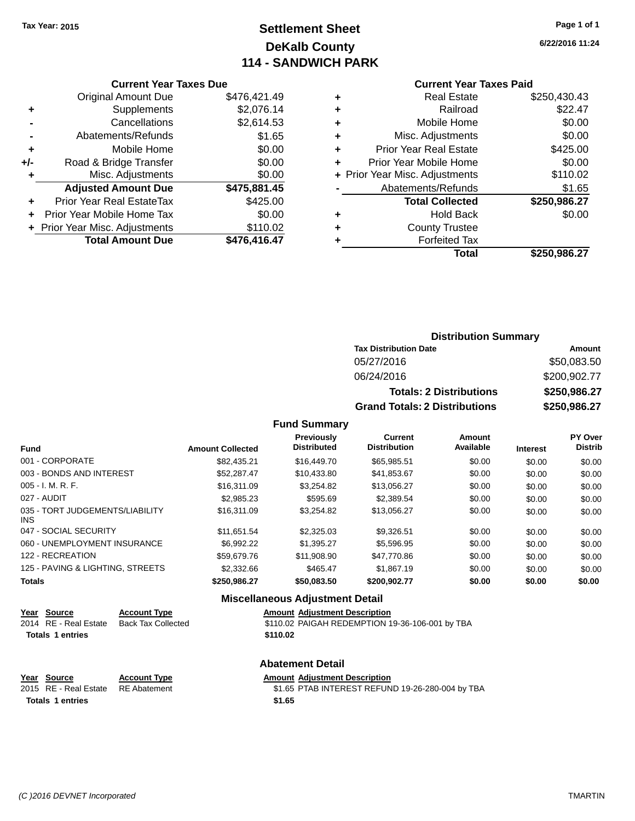## **Settlement Sheet Tax Year: 2015 Page 1 of 1 DeKalb County 114 - SANDWICH PARK**

**6/22/2016 11:24**

#### **Current Year Taxes Paid**

|     | <b>Current Year Taxes Due</b>              |              |  |  |  |  |
|-----|--------------------------------------------|--------------|--|--|--|--|
|     | \$476,421.49<br><b>Original Amount Due</b> |              |  |  |  |  |
| ٠   | Supplements                                | \$2,076.14   |  |  |  |  |
|     | \$2,614.53<br>Cancellations                |              |  |  |  |  |
|     | Abatements/Refunds                         | \$1.65       |  |  |  |  |
| ٠   | Mobile Home                                | \$0.00       |  |  |  |  |
| +/- | Road & Bridge Transfer                     | \$0.00       |  |  |  |  |
| ٠   | Misc. Adjustments                          | \$0.00       |  |  |  |  |
|     | <b>Adjusted Amount Due</b>                 | \$475,881.45 |  |  |  |  |
| ÷   | Prior Year Real EstateTax                  | \$425.00     |  |  |  |  |
|     | Prior Year Mobile Home Tax                 | \$0.00       |  |  |  |  |
|     | + Prior Year Misc. Adjustments             | \$110.02     |  |  |  |  |
|     | <b>Total Amount Due</b>                    | \$476.416.47 |  |  |  |  |

|   | <b>Real Estate</b>             | \$250,430.43 |
|---|--------------------------------|--------------|
| ٠ | Railroad                       | \$22.47      |
| ٠ | Mobile Home                    | \$0.00       |
| ٠ | Misc. Adjustments              | \$0.00       |
| ٠ | <b>Prior Year Real Estate</b>  | \$425.00     |
| ٠ | Prior Year Mobile Home         | \$0.00       |
|   | + Prior Year Misc. Adjustments | \$110.02     |
|   | Abatements/Refunds             | \$1.65       |
|   | <b>Total Collected</b>         | \$250,986.27 |
| ٠ | Hold Back                      | \$0.00       |
| ٠ | <b>County Trustee</b>          |              |
| ٠ | <b>Forfeited Tax</b>           |              |
|   | Total                          | \$250,986.27 |
|   |                                |              |

#### **Distribution Summary Tax Distribution Date Amount** 05/27/2016 \$50,083.50 06/24/2016 \$200,902.77 **Totals: 2 Distributions \$250,986.27 Grand Totals: 2 Distributions \$250,986.27**

#### **Fund Summary**

| <b>Fund</b>                             | <b>Amount Collected</b> | <b>Previously</b><br><b>Distributed</b> | <b>Current</b><br><b>Distribution</b> | Amount<br>Available | <b>Interest</b> | <b>PY Over</b><br><b>Distrib</b> |
|-----------------------------------------|-------------------------|-----------------------------------------|---------------------------------------|---------------------|-----------------|----------------------------------|
| 001 - CORPORATE                         | \$82.435.21             | \$16,449.70                             | \$65,985.51                           | \$0.00              | \$0.00          | \$0.00                           |
| 003 - BONDS AND INTEREST                | \$52,287.47             | \$10.433.80                             | \$41.853.67                           | \$0.00              | \$0.00          | \$0.00                           |
| $005 - I. M. R. F.$                     | \$16,311.09             | \$3.254.82                              | \$13.056.27                           | \$0.00              | \$0.00          | \$0.00                           |
| 027 - AUDIT                             | \$2,985.23              | \$595.69                                | \$2,389.54                            | \$0.00              | \$0.00          | \$0.00                           |
| 035 - TORT JUDGEMENTS/LIABILITY<br>INS. | \$16,311.09             | \$3.254.82                              | \$13.056.27                           | \$0.00              | \$0.00          | \$0.00                           |
| 047 - SOCIAL SECURITY                   | \$11.651.54             | \$2,325.03                              | \$9.326.51                            | \$0.00              | \$0.00          | \$0.00                           |
| 060 - UNEMPLOYMENT INSURANCE            | \$6.992.22              | \$1.395.27                              | \$5,596.95                            | \$0.00              | \$0.00          | \$0.00                           |
| 122 - RECREATION                        | \$59,679.76             | \$11.908.90                             | \$47,770.86                           | \$0.00              | \$0.00          | \$0.00                           |
| 125 - PAVING & LIGHTING, STREETS        | \$2,332.66              | \$465.47                                | \$1,867.19                            | \$0.00              | \$0.00          | \$0.00                           |
| <b>Totals</b>                           | \$250,986.27            | \$50,083.50                             | \$200,902.77                          | \$0.00              | \$0.00          | \$0.00                           |

| <b>Miscellaneous Adjustment Detail</b> |                           |                                                 |  |  |
|----------------------------------------|---------------------------|-------------------------------------------------|--|--|
| Year Source                            | <b>Account Type</b>       | <b>Amount Adjustment Description</b>            |  |  |
| 2014 RE - Real Estate                  | <b>Back Tax Collected</b> | \$110.02 PAIGAH REDEMPTION 19-36-106-001 by TBA |  |  |
| <b>Totals 1 entries</b>                |                           | \$110.02                                        |  |  |
| <b>Abatement Detail</b>                |                           |                                                 |  |  |

## **Year Source Account Type Amount Adjustment Description**<br>2015 RE - Real Estate RE Abatement \$1.65 PTAB INTEREST REFUN

\$1.65 PTAB INTEREST REFUND 19-26-280-004 by TBA **Totals \$1.65 1 entries**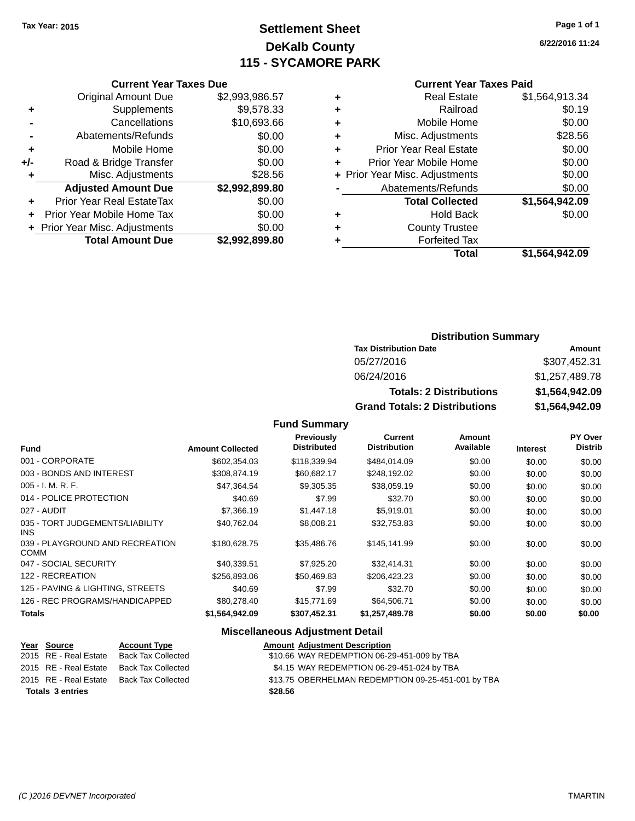## **Settlement Sheet Tax Year: 2015 Page 1 of 1 DeKalb County 115 - SYCAMORE PARK**

**6/22/2016 11:24**

#### **Current Year Taxes Paid**

|   | Total                          | \$1,564,942.09 |
|---|--------------------------------|----------------|
|   | <b>Forfeited Tax</b>           |                |
| ٠ | <b>County Trustee</b>          |                |
| ٠ | <b>Hold Back</b>               | \$0.00         |
|   | <b>Total Collected</b>         | \$1,564,942.09 |
|   | Abatements/Refunds             | \$0.00         |
|   | + Prior Year Misc. Adjustments | \$0.00         |
| ٠ | Prior Year Mobile Home         | \$0.00         |
| ٠ | <b>Prior Year Real Estate</b>  | \$0.00         |
| ٠ | Misc. Adjustments              | \$28.56        |
| ٠ | Mobile Home                    | \$0.00         |
| ٠ | Railroad                       | \$0.19         |
| ٠ | <b>Real Estate</b>             | \$1,564,913.34 |
|   |                                |                |

### **Current Year Taxes Due** Original Amount Due \$2,993,986.57 **+** Supplements \$9,578.33 **-** Cancellations \$10,693.66 **-** Abatements/Refunds \$0.00<br>**Mobile Home** \$0.00

| ٠   | Mobile Home                      | \$0.00         |
|-----|----------------------------------|----------------|
| +/- | Road & Bridge Transfer           | \$0.00         |
| ÷   | Misc. Adjustments                | \$28.56        |
|     | <b>Adjusted Amount Due</b>       | \$2,992,899.80 |
|     | <b>Prior Year Real EstateTax</b> | \$0.00         |
|     | + Prior Year Mobile Home Tax     | \$0.00         |
|     | + Prior Year Misc. Adjustments   | \$0.00         |
|     | <b>Total Amount Due</b>          | \$2,992,899.80 |

#### **Distribution Summary**

| <b>Tax Distribution Date</b>         | Amount         |
|--------------------------------------|----------------|
| 05/27/2016                           | \$307.452.31   |
| 06/24/2016                           | \$1,257,489.78 |
| <b>Totals: 2 Distributions</b>       | \$1,564,942.09 |
| <b>Grand Totals: 2 Distributions</b> | \$1,564,942.09 |

#### **Fund Summary**

| <b>Fund</b>                                    | <b>Amount Collected</b> | <b>Previously</b><br><b>Distributed</b> | Current<br><b>Distribution</b> | <b>Amount</b><br>Available | <b>Interest</b> | PY Over<br><b>Distrib</b> |
|------------------------------------------------|-------------------------|-----------------------------------------|--------------------------------|----------------------------|-----------------|---------------------------|
| 001 - CORPORATE                                | \$602,354.03            | \$118,339.94                            | \$484,014.09                   | \$0.00                     | \$0.00          | \$0.00                    |
| 003 - BONDS AND INTEREST                       | \$308.874.19            | \$60.682.17                             | \$248,192.02                   | \$0.00                     | \$0.00          | \$0.00                    |
| 005 - I. M. R. F.                              | \$47,364.54             | \$9,305.35                              | \$38,059.19                    | \$0.00                     | \$0.00          | \$0.00                    |
| 014 - POLICE PROTECTION                        | \$40.69                 | \$7.99                                  | \$32.70                        | \$0.00                     | \$0.00          | \$0.00                    |
| 027 - AUDIT                                    | \$7,366.19              | \$1,447.18                              | \$5.919.01                     | \$0.00                     | \$0.00          | \$0.00                    |
| 035 - TORT JUDGEMENTS/LIABILITY<br>INS.        | \$40,762.04             | \$8,008.21                              | \$32,753.83                    | \$0.00                     | \$0.00          | \$0.00                    |
| 039 - PLAYGROUND AND RECREATION<br><b>COMM</b> | \$180,628.75            | \$35,486,76                             | \$145,141.99                   | \$0.00                     | \$0.00          | \$0.00                    |
| 047 - SOCIAL SECURITY                          | \$40,339.51             | \$7,925.20                              | \$32,414.31                    | \$0.00                     | \$0.00          | \$0.00                    |
| 122 - RECREATION                               | \$256,893.06            | \$50.469.83                             | \$206,423.23                   | \$0.00                     | \$0.00          | \$0.00                    |
| 125 - PAVING & LIGHTING, STREETS               | \$40.69                 | \$7.99                                  | \$32.70                        | \$0.00                     | \$0.00          | \$0.00                    |
| 126 - REC PROGRAMS/HANDICAPPED                 | \$80,278,40             | \$15,771.69                             | \$64,506.71                    | \$0.00                     | \$0.00          | \$0.00                    |
| <b>Totals</b>                                  | \$1,564,942.09          | \$307,452.31                            | \$1,257,489.78                 | \$0.00                     | \$0.00          | \$0.00                    |

#### **Miscellaneous Adjustment Detail**

|                                                                                                                          | <b>Amount Adjustment Description</b>                                                         |
|--------------------------------------------------------------------------------------------------------------------------|----------------------------------------------------------------------------------------------|
|                                                                                                                          | \$10.66 WAY REDEMPTION 06-29-451-009 by TBA                                                  |
|                                                                                                                          | \$4.15 WAY REDEMPTION 06-29-451-024 by TBA                                                   |
|                                                                                                                          | \$13.75 OBERHELMAN REDEMPTION 09-25-451-001 by TBA                                           |
|                                                                                                                          | \$28.56                                                                                      |
| <u>Year Source</u><br>2015 RE - Real Estate<br>2015 RE - Real Estate<br>2015 RE - Real Estate<br><b>Totals 3 entries</b> | <b>Account Type</b><br><b>Back Tax Collected</b><br>Back Tax Collected<br>Back Tax Collected |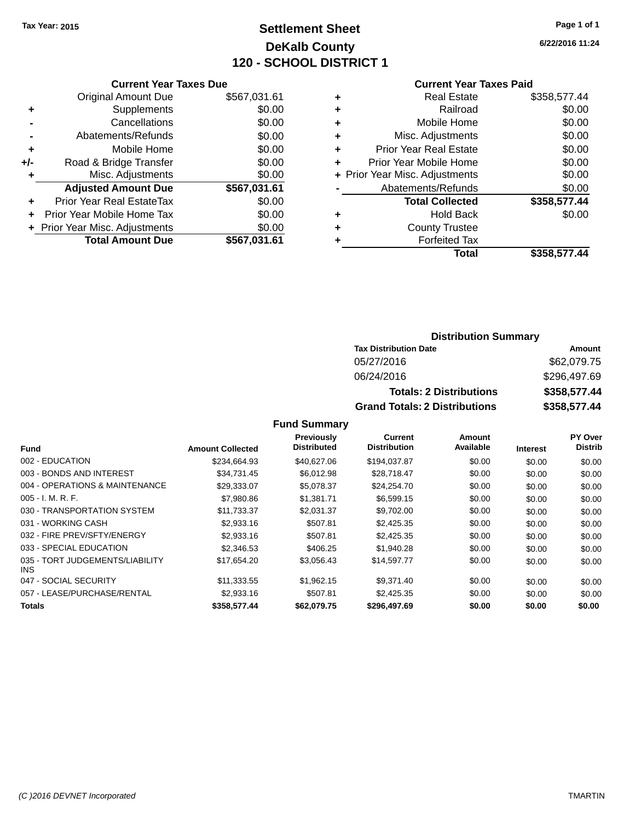## **Settlement Sheet Tax Year: 2015 Page 1 of 1 DeKalb County 120 - SCHOOL DISTRICT 1**

**6/22/2016 11:24**

#### **Current Year Taxes Paid**

|     | <b>Current Year Taxes Due</b>  |              |
|-----|--------------------------------|--------------|
|     | <b>Original Amount Due</b>     | \$567,031.61 |
| ٠   | Supplements                    | \$0.00       |
|     | Cancellations                  | \$0.00       |
|     | Abatements/Refunds             | \$0.00       |
| ٠   | Mobile Home                    | \$0.00       |
| +/- | Road & Bridge Transfer         | \$0.00       |
| ٠   | Misc. Adjustments              | \$0.00       |
|     | <b>Adjusted Amount Due</b>     | \$567,031.61 |
| ٠   | Prior Year Real EstateTax      | \$0.00       |
|     | Prior Year Mobile Home Tax     | \$0.00       |
|     | + Prior Year Misc. Adjustments | \$0.00       |
|     | <b>Total Amount Due</b>        | \$567,031.61 |
|     |                                |              |

|   | <b>Real Estate</b>             | \$358,577.44 |
|---|--------------------------------|--------------|
| ٠ | Railroad                       | \$0.00       |
| ٠ | Mobile Home                    | \$0.00       |
| ٠ | Misc. Adjustments              | \$0.00       |
| ٠ | <b>Prior Year Real Estate</b>  | \$0.00       |
| ÷ | Prior Year Mobile Home         | \$0.00       |
|   | + Prior Year Misc. Adjustments | \$0.00       |
|   | Abatements/Refunds             | \$0.00       |
|   | <b>Total Collected</b>         | \$358,577.44 |
| ٠ | <b>Hold Back</b>               | \$0.00       |
| ٠ | <b>County Trustee</b>          |              |
| ٠ | <b>Forfeited Tax</b>           |              |
|   | Total                          | \$358,577.44 |
|   |                                |              |

#### **Distribution Summary Tax Distribution Date Amount** 05/27/2016 \$62,079.75 06/24/2016 \$296,497.69

**Totals: 2 Distributions \$358,577.44 Grand Totals: 2 Distributions \$358,577.44**

|                                               |                         | Previously         | <b>Current</b>      | Amount    |                 | PY Over        |
|-----------------------------------------------|-------------------------|--------------------|---------------------|-----------|-----------------|----------------|
| <b>Fund</b>                                   | <b>Amount Collected</b> | <b>Distributed</b> | <b>Distribution</b> | Available | <b>Interest</b> | <b>Distrib</b> |
| 002 - EDUCATION                               | \$234.664.93            | \$40,627,06        | \$194,037.87        | \$0.00    | \$0.00          | \$0.00         |
| 003 - BONDS AND INTEREST                      | \$34,731.45             | \$6,012.98         | \$28,718.47         | \$0.00    | \$0.00          | \$0.00         |
| 004 - OPERATIONS & MAINTENANCE                | \$29,333.07             | \$5.078.37         | \$24,254.70         | \$0.00    | \$0.00          | \$0.00         |
| $005 - I. M. R. F.$                           | \$7,980.86              | \$1.381.71         | \$6,599.15          | \$0.00    | \$0.00          | \$0.00         |
| 030 - TRANSPORTATION SYSTEM                   | \$11.733.37             | \$2.031.37         | \$9,702.00          | \$0.00    | \$0.00          | \$0.00         |
| 031 - WORKING CASH                            | \$2,933.16              | \$507.81           | \$2,425.35          | \$0.00    | \$0.00          | \$0.00         |
| 032 - FIRE PREV/SFTY/ENERGY                   | \$2.933.16              | \$507.81           | \$2,425.35          | \$0.00    | \$0.00          | \$0.00         |
| 033 - SPECIAL EDUCATION                       | \$2,346.53              | \$406.25           | \$1.940.28          | \$0.00    | \$0.00          | \$0.00         |
| 035 - TORT JUDGEMENTS/LIABILITY<br><b>INS</b> | \$17,654.20             | \$3,056.43         | \$14,597.77         | \$0.00    | \$0.00          | \$0.00         |
| 047 - SOCIAL SECURITY                         | \$11,333.55             | \$1,962.15         | \$9.371.40          | \$0.00    | \$0.00          | \$0.00         |
| 057 - LEASE/PURCHASE/RENTAL                   | \$2,933.16              | \$507.81           | \$2,425.35          | \$0.00    | \$0.00          | \$0.00         |
| Totals                                        | \$358,577.44            | \$62.079.75        | \$296,497.69        | \$0.00    | \$0.00          | \$0.00         |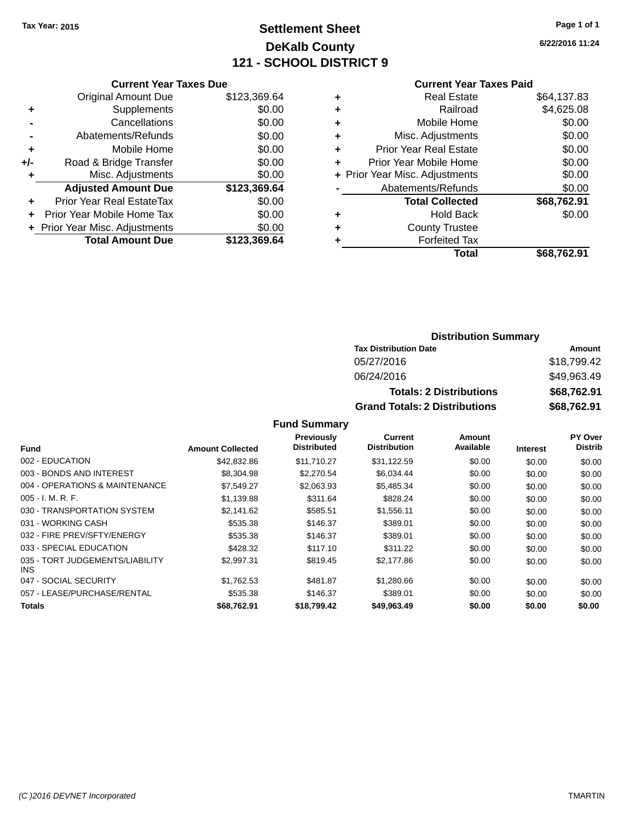## **Settlement Sheet Tax Year: 2015 Page 1 of 1 DeKalb County 121 - SCHOOL DISTRICT 9**

**6/22/2016 11:24**

#### **Current Year Taxes Paid**

|     | <b>Current Year Taxes Due</b>    |              |
|-----|----------------------------------|--------------|
|     | <b>Original Amount Due</b>       | \$123,369.64 |
| ٠   | Supplements                      | \$0.00       |
|     | Cancellations                    | \$0.00       |
|     | Abatements/Refunds               | \$0.00       |
| ٠   | Mobile Home                      | \$0.00       |
| +/- | Road & Bridge Transfer           | \$0.00       |
|     | Misc. Adjustments                | \$0.00       |
|     | <b>Adjusted Amount Due</b>       | \$123,369.64 |
| ٠   | <b>Prior Year Real EstateTax</b> | \$0.00       |
|     | Prior Year Mobile Home Tax       | \$0.00       |
|     | + Prior Year Misc. Adjustments   | \$0.00       |
|     | <b>Total Amount Due</b>          | \$123.369.64 |
|     |                                  |              |

| ٠ | <b>Real Estate</b>             | \$64,137.83 |
|---|--------------------------------|-------------|
| ٠ | Railroad                       | \$4,625.08  |
| ٠ | Mobile Home                    | \$0.00      |
| ٠ | Misc. Adjustments              | \$0.00      |
| ٠ | <b>Prior Year Real Estate</b>  | \$0.00      |
| ÷ | Prior Year Mobile Home         | \$0.00      |
|   | + Prior Year Misc. Adjustments | \$0.00      |
|   | Abatements/Refunds             | \$0.00      |
|   | <b>Total Collected</b>         | \$68,762.91 |
| ٠ | Hold Back                      | \$0.00      |
| ٠ | <b>County Trustee</b>          |             |
| ٠ | <b>Forfeited Tax</b>           |             |
|   | Total                          | \$68,762.91 |
|   |                                |             |

#### **Distribution Summary Tax Distribution Date Amount** 05/27/2016 \$18,799.42 06/24/2016 \$49,963.49 **Totals: 2 Distributions \$68,762.91 Grand Totals: 2 Distributions \$68,762.91**

|                                               |                         | Previously         | Current             | Amount    |                 | PY Over        |
|-----------------------------------------------|-------------------------|--------------------|---------------------|-----------|-----------------|----------------|
| Fund                                          | <b>Amount Collected</b> | <b>Distributed</b> | <b>Distribution</b> | Available | <b>Interest</b> | <b>Distrib</b> |
| 002 - EDUCATION                               | \$42,832.86             | \$11,710.27        | \$31,122.59         | \$0.00    | \$0.00          | \$0.00         |
| 003 - BONDS AND INTEREST                      | \$8,304.98              | \$2,270.54         | \$6.034.44          | \$0.00    | \$0.00          | \$0.00         |
| 004 - OPERATIONS & MAINTENANCE                | \$7,549.27              | \$2,063.93         | \$5,485.34          | \$0.00    | \$0.00          | \$0.00         |
| $005 - I. M. R. F.$                           | \$1,139.88              | \$311.64           | \$828.24            | \$0.00    | \$0.00          | \$0.00         |
| 030 - TRANSPORTATION SYSTEM                   | \$2,141.62              | \$585.51           | \$1,556.11          | \$0.00    | \$0.00          | \$0.00         |
| 031 - WORKING CASH                            | \$535.38                | \$146.37           | \$389.01            | \$0.00    | \$0.00          | \$0.00         |
| 032 - FIRE PREV/SFTY/ENERGY                   | \$535.38                | \$146.37           | \$389.01            | \$0.00    | \$0.00          | \$0.00         |
| 033 - SPECIAL EDUCATION                       | \$428.32                | \$117.10           | \$311.22            | \$0.00    | \$0.00          | \$0.00         |
| 035 - TORT JUDGEMENTS/LIABILITY<br><b>INS</b> | \$2.997.31              | \$819.45           | \$2,177.86          | \$0.00    | \$0.00          | \$0.00         |
| 047 - SOCIAL SECURITY                         | \$1.762.53              | \$481.87           | \$1,280.66          | \$0.00    | \$0.00          | \$0.00         |
| 057 - LEASE/PURCHASE/RENTAL                   | \$535.38                | \$146.37           | \$389.01            | \$0.00    | \$0.00          | \$0.00         |
| <b>Totals</b>                                 | \$68,762.91             | \$18.799.42        | \$49,963,49         | \$0.00    | \$0.00          | \$0.00         |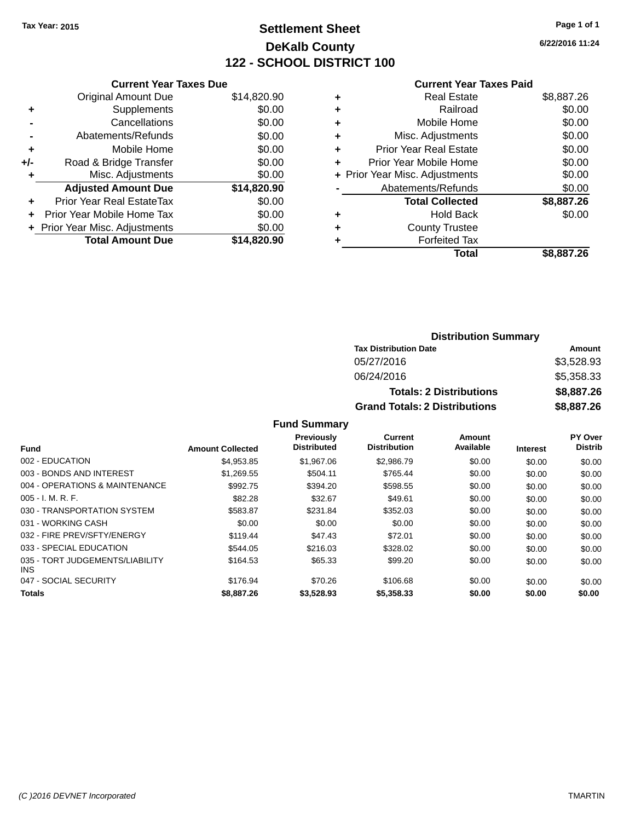## **Settlement Sheet Tax Year: 2015 Page 1 of 1 DeKalb County 122 - SCHOOL DISTRICT 100**

**6/22/2016 11:24**

#### **Current Year Taxes Paid**

|     | <b>Current Year Taxes Due</b>  |             |
|-----|--------------------------------|-------------|
|     | <b>Original Amount Due</b>     | \$14,820.90 |
| ٠   | Supplements                    | \$0.00      |
|     | Cancellations                  | \$0.00      |
|     | Abatements/Refunds             | \$0.00      |
| ٠   | Mobile Home                    | \$0.00      |
| +/- | Road & Bridge Transfer         | \$0.00      |
|     | Misc. Adjustments              | \$0.00      |
|     | <b>Adjusted Amount Due</b>     | \$14,820.90 |
| ÷   | Prior Year Real EstateTax      | \$0.00      |
|     | Prior Year Mobile Home Tax     | \$0.00      |
|     | + Prior Year Misc. Adjustments | \$0.00      |
|     | <b>Total Amount Due</b>        | \$14,820.90 |
|     |                                |             |

|   | <b>Real Estate</b>             | \$8,887.26 |
|---|--------------------------------|------------|
| ٠ | Railroad                       | \$0.00     |
| ٠ | Mobile Home                    | \$0.00     |
| ٠ | Misc. Adjustments              | \$0.00     |
| ٠ | <b>Prior Year Real Estate</b>  | \$0.00     |
| ٠ | Prior Year Mobile Home         | \$0.00     |
|   | + Prior Year Misc. Adjustments | \$0.00     |
|   | Abatements/Refunds             | \$0.00     |
|   | <b>Total Collected</b>         | \$8,887.26 |
| ٠ | Hold Back                      | \$0.00     |
| ٠ | <b>County Trustee</b>          |            |
|   | <b>Forfeited Tax</b>           |            |
|   | <b>Total</b>                   | \$8,887.26 |
|   |                                |            |

| <b>Distribution Summary</b>          |            |  |  |  |
|--------------------------------------|------------|--|--|--|
| <b>Tax Distribution Date</b>         | Amount     |  |  |  |
| 05/27/2016                           | \$3,528.93 |  |  |  |
| 06/24/2016                           | \$5,358.33 |  |  |  |
| <b>Totals: 2 Distributions</b>       | \$8,887.26 |  |  |  |
| <b>Grand Totals: 2 Distributions</b> | \$8,887.26 |  |  |  |

|                                               |                         | <b>Previously</b>  | Current             | Amount    |                 | <b>PY Over</b> |
|-----------------------------------------------|-------------------------|--------------------|---------------------|-----------|-----------------|----------------|
| <b>Fund</b>                                   | <b>Amount Collected</b> | <b>Distributed</b> | <b>Distribution</b> | Available | <b>Interest</b> | <b>Distrib</b> |
| 002 - EDUCATION                               | \$4.953.85              | \$1,967.06         | \$2,986.79          | \$0.00    | \$0.00          | \$0.00         |
| 003 - BONDS AND INTEREST                      | \$1.269.55              | \$504.11           | \$765.44            | \$0.00    | \$0.00          | \$0.00         |
| 004 - OPERATIONS & MAINTENANCE                | \$992.75                | \$394.20           | \$598.55            | \$0.00    | \$0.00          | \$0.00         |
| $005 - I. M. R. F.$                           | \$82.28                 | \$32.67            | \$49.61             | \$0.00    | \$0.00          | \$0.00         |
| 030 - TRANSPORTATION SYSTEM                   | \$583.87                | \$231.84           | \$352.03            | \$0.00    | \$0.00          | \$0.00         |
| 031 - WORKING CASH                            | \$0.00                  | \$0.00             | \$0.00              | \$0.00    | \$0.00          | \$0.00         |
| 032 - FIRE PREV/SFTY/ENERGY                   | \$119.44                | \$47.43            | \$72.01             | \$0.00    | \$0.00          | \$0.00         |
| 033 - SPECIAL EDUCATION                       | \$544.05                | \$216.03           | \$328.02            | \$0.00    | \$0.00          | \$0.00         |
| 035 - TORT JUDGEMENTS/LIABILITY<br><b>INS</b> | \$164.53                | \$65.33            | \$99.20             | \$0.00    | \$0.00          | \$0.00         |
| 047 - SOCIAL SECURITY                         | \$176.94                | \$70.26            | \$106.68            | \$0.00    | \$0.00          | \$0.00         |
| <b>Totals</b>                                 | \$8,887.26              | \$3.528.93         | \$5,358,33          | \$0.00    | \$0.00          | \$0.00         |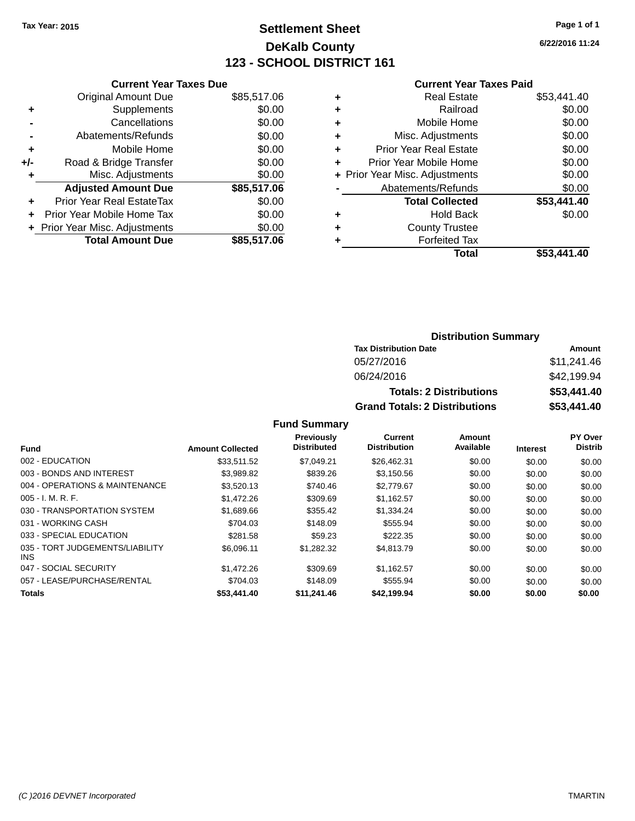## **Settlement Sheet Tax Year: 2015 Page 1 of 1 DeKalb County 123 - SCHOOL DISTRICT 161**

**6/22/2016 11:24**

#### **Current Year Taxes Paid**

|     | <b>Current Year Taxes Due</b>  |             |
|-----|--------------------------------|-------------|
|     | <b>Original Amount Due</b>     | \$85,517.06 |
| ٠   | Supplements                    | \$0.00      |
|     | Cancellations                  | \$0.00      |
|     | Abatements/Refunds             | \$0.00      |
| ٠   | Mobile Home                    | \$0.00      |
| +/- | Road & Bridge Transfer         | \$0.00      |
|     | Misc. Adjustments              | \$0.00      |
|     | <b>Adjusted Amount Due</b>     | \$85,517.06 |
| ÷   | Prior Year Real EstateTax      | \$0.00      |
|     | Prior Year Mobile Home Tax     | \$0.00      |
|     | + Prior Year Misc. Adjustments | \$0.00      |
|     | <b>Total Amount Due</b>        | \$85,517.06 |
|     |                                |             |

|   | <b>Real Estate</b>             | \$53,441.40 |
|---|--------------------------------|-------------|
| ٠ | Railroad                       | \$0.00      |
| ٠ | Mobile Home                    | \$0.00      |
| ٠ | Misc. Adjustments              | \$0.00      |
| ٠ | <b>Prior Year Real Estate</b>  | \$0.00      |
| ٠ | Prior Year Mobile Home         | \$0.00      |
|   | + Prior Year Misc. Adjustments | \$0.00      |
|   | Abatements/Refunds             | \$0.00      |
|   | <b>Total Collected</b>         | \$53,441.40 |
| ٠ | <b>Hold Back</b>               | \$0.00      |
| ٠ | <b>County Trustee</b>          |             |
| ٠ | <b>Forfeited Tax</b>           |             |
|   | <b>Total</b>                   | \$53,441.40 |
|   |                                |             |

#### **Distribution Summary Tax Distribution Date Amount** 05/27/2016 \$11,241.46 06/24/2016 \$42,199.94 **Totals: 2 Distributions \$53,441.40 Grand Totals: 2 Distributions \$53,441.40**

|                                         |                         | <b>Previously</b>  | <b>Current</b>      | Amount    |                 | PY Over        |
|-----------------------------------------|-------------------------|--------------------|---------------------|-----------|-----------------|----------------|
| <b>Fund</b>                             | <b>Amount Collected</b> | <b>Distributed</b> | <b>Distribution</b> | Available | <b>Interest</b> | <b>Distrib</b> |
| 002 - EDUCATION                         | \$33.511.52             | \$7.049.21         | \$26.462.31         | \$0.00    | \$0.00          | \$0.00         |
| 003 - BONDS AND INTEREST                | \$3.989.82              | \$839.26           | \$3,150.56          | \$0.00    | \$0.00          | \$0.00         |
| 004 - OPERATIONS & MAINTENANCE          | \$3,520.13              | \$740.46           | \$2,779.67          | \$0.00    | \$0.00          | \$0.00         |
| $005 - I. M. R. F.$                     | \$1,472.26              | \$309.69           | \$1,162.57          | \$0.00    | \$0.00          | \$0.00         |
| 030 - TRANSPORTATION SYSTEM             | \$1,689.66              | \$355.42           | \$1,334.24          | \$0.00    | \$0.00          | \$0.00         |
| 031 - WORKING CASH                      | \$704.03                | \$148.09           | \$555.94            | \$0.00    | \$0.00          | \$0.00         |
| 033 - SPECIAL EDUCATION                 | \$281.58                | \$59.23            | \$222.35            | \$0.00    | \$0.00          | \$0.00         |
| 035 - TORT JUDGEMENTS/LIABILITY<br>INS. | \$6,096.11              | \$1,282.32         | \$4,813.79          | \$0.00    | \$0.00          | \$0.00         |
| 047 - SOCIAL SECURITY                   | \$1,472.26              | \$309.69           | \$1.162.57          | \$0.00    | \$0.00          | \$0.00         |
| 057 - LEASE/PURCHASE/RENTAL             | \$704.03                | \$148.09           | \$555.94            | \$0.00    | \$0.00          | \$0.00         |
| <b>Totals</b>                           | \$53,441.40             | \$11,241.46        | \$42,199.94         | \$0.00    | \$0.00          | \$0.00         |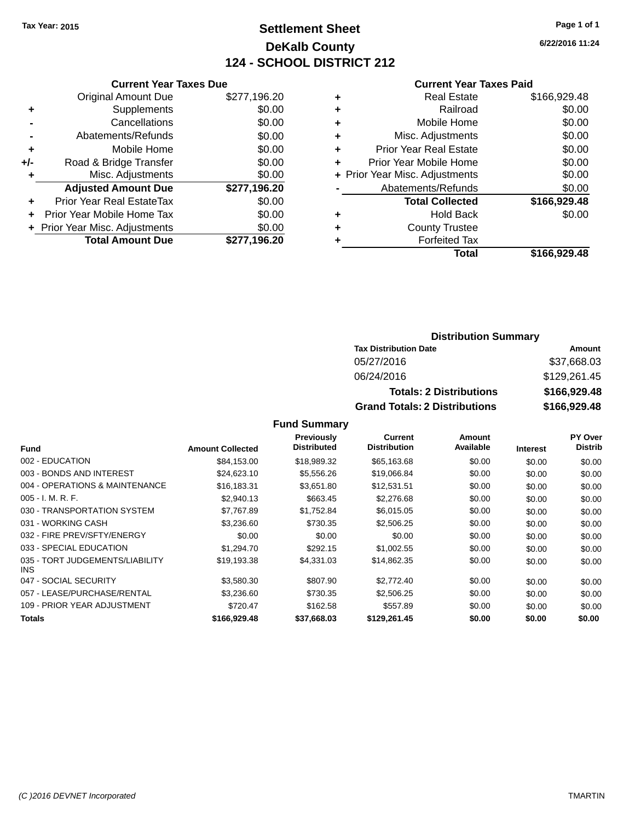## **Settlement Sheet Tax Year: 2015 Page 1 of 1 DeKalb County 124 - SCHOOL DISTRICT 212**

**6/22/2016 11:24**

|     | <b>Current Year Taxes Due</b>  |              |  |  |  |  |
|-----|--------------------------------|--------------|--|--|--|--|
|     | Original Amount Due            | \$277.196.20 |  |  |  |  |
| ٠   | Supplements                    | \$0.00       |  |  |  |  |
|     | Cancellations                  | \$0.00       |  |  |  |  |
|     | Abatements/Refunds             | \$0.00       |  |  |  |  |
| ٠   | Mobile Home                    | \$0.00       |  |  |  |  |
| +/- | Road & Bridge Transfer         | \$0.00       |  |  |  |  |
| ٠   | Misc. Adjustments              | \$0.00       |  |  |  |  |
|     | <b>Adjusted Amount Due</b>     | \$277,196.20 |  |  |  |  |
|     | Prior Year Real EstateTax      | \$0.00       |  |  |  |  |
|     | Prior Year Mobile Home Tax     | \$0.00       |  |  |  |  |
|     | + Prior Year Misc. Adjustments | \$0.00       |  |  |  |  |
|     | <b>Total Amount Due</b>        | \$277,196.20 |  |  |  |  |
|     |                                |              |  |  |  |  |

#### **Current Year Taxes Paid**

|   | <b>Real Estate</b>             | \$166,929.48 |
|---|--------------------------------|--------------|
| ٠ | Railroad                       | \$0.00       |
| ٠ | Mobile Home                    | \$0.00       |
| ٠ | Misc. Adjustments              | \$0.00       |
| ٠ | <b>Prior Year Real Estate</b>  | \$0.00       |
| ٠ | Prior Year Mobile Home         | \$0.00       |
|   | + Prior Year Misc. Adjustments | \$0.00       |
|   | Abatements/Refunds             | \$0.00       |
|   | <b>Total Collected</b>         | \$166,929.48 |
| ٠ | <b>Hold Back</b>               | \$0.00       |
| ٠ | <b>County Trustee</b>          |              |
| ٠ | <b>Forfeited Tax</b>           |              |
|   | Total                          | \$166,929.48 |
|   |                                |              |

#### **Distribution Summary Tax Distribution Date Amount** 05/27/2016 \$37,668.03 06/24/2016 \$129,261.45 **Totals: 2 Distributions \$166,929.48 Grand Totals: 2 Distributions \$166,929.48**

|                                         |                         | Previously         | Current             | Amount    |                 | PY Over        |
|-----------------------------------------|-------------------------|--------------------|---------------------|-----------|-----------------|----------------|
| <b>Fund</b>                             | <b>Amount Collected</b> | <b>Distributed</b> | <b>Distribution</b> | Available | <b>Interest</b> | <b>Distrib</b> |
| 002 - EDUCATION                         | \$84,153.00             | \$18,989.32        | \$65,163.68         | \$0.00    | \$0.00          | \$0.00         |
| 003 - BONDS AND INTEREST                | \$24,623.10             | \$5,556.26         | \$19,066.84         | \$0.00    | \$0.00          | \$0.00         |
| 004 - OPERATIONS & MAINTENANCE          | \$16,183.31             | \$3,651.80         | \$12,531.51         | \$0.00    | \$0.00          | \$0.00         |
| $005 - I. M. R. F.$                     | \$2,940.13              | \$663.45           | \$2,276.68          | \$0.00    | \$0.00          | \$0.00         |
| 030 - TRANSPORTATION SYSTEM             | \$7,767.89              | \$1,752.84         | \$6,015.05          | \$0.00    | \$0.00          | \$0.00         |
| 031 - WORKING CASH                      | \$3,236.60              | \$730.35           | \$2,506.25          | \$0.00    | \$0.00          | \$0.00         |
| 032 - FIRE PREV/SFTY/ENERGY             | \$0.00                  | \$0.00             | \$0.00              | \$0.00    | \$0.00          | \$0.00         |
| 033 - SPECIAL EDUCATION                 | \$1,294.70              | \$292.15           | \$1,002.55          | \$0.00    | \$0.00          | \$0.00         |
| 035 - TORT JUDGEMENTS/LIABILITY<br>INS. | \$19.193.38             | \$4,331.03         | \$14,862.35         | \$0.00    | \$0.00          | \$0.00         |
| 047 - SOCIAL SECURITY                   | \$3,580.30              | \$807.90           | \$2,772.40          | \$0.00    | \$0.00          | \$0.00         |
| 057 - LEASE/PURCHASE/RENTAL             | \$3,236.60              | \$730.35           | \$2,506.25          | \$0.00    | \$0.00          | \$0.00         |
| 109 - PRIOR YEAR ADJUSTMENT             | \$720.47                | \$162.58           | \$557.89            | \$0.00    | \$0.00          | \$0.00         |
| Totals                                  | \$166,929.48            | \$37,668.03        | \$129,261.45        | \$0.00    | \$0.00          | \$0.00         |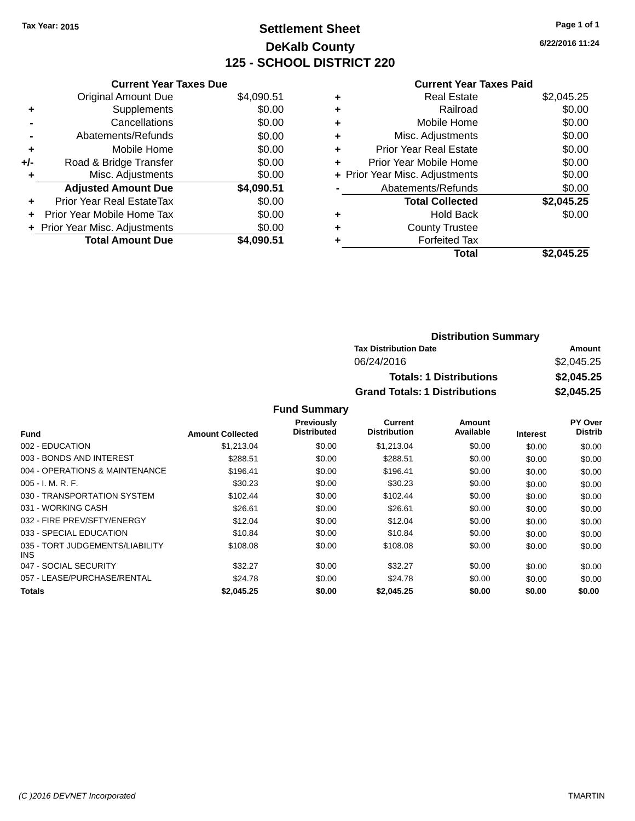## **Settlement Sheet Tax Year: 2015 Page 1 of 1 DeKalb County 125 - SCHOOL DISTRICT 220**

**6/22/2016 11:24**

#### **Current Year Taxes Paid**

|     | <b>Current Year Taxes Due</b>  |            |  |  |  |
|-----|--------------------------------|------------|--|--|--|
|     | <b>Original Amount Due</b>     | \$4,090.51 |  |  |  |
| ٠   | Supplements                    | \$0.00     |  |  |  |
|     | Cancellations                  | \$0.00     |  |  |  |
|     | Abatements/Refunds             | \$0.00     |  |  |  |
| ٠   | Mobile Home                    | \$0.00     |  |  |  |
| +/- | Road & Bridge Transfer         | \$0.00     |  |  |  |
| ٠   | Misc. Adjustments              | \$0.00     |  |  |  |
|     | <b>Adjusted Amount Due</b>     | \$4,090.51 |  |  |  |
| ÷   | Prior Year Real EstateTax      | \$0.00     |  |  |  |
| ÷   | Prior Year Mobile Home Tax     | \$0.00     |  |  |  |
|     | + Prior Year Misc. Adjustments | \$0.00     |  |  |  |
|     | <b>Total Amount Due</b>        | \$4.090.51 |  |  |  |

| ٠ | <b>Real Estate</b>             | \$2,045.25 |
|---|--------------------------------|------------|
| ٠ | Railroad                       | \$0.00     |
| ٠ | Mobile Home                    | \$0.00     |
| ٠ | Misc. Adjustments              | \$0.00     |
| ٠ | <b>Prior Year Real Estate</b>  | \$0.00     |
| ٠ | Prior Year Mobile Home         | \$0.00     |
|   | + Prior Year Misc. Adjustments | \$0.00     |
|   | Abatements/Refunds             | \$0.00     |
|   | <b>Total Collected</b>         | \$2,045.25 |
| ٠ | Hold Back                      | \$0.00     |
| ٠ | <b>County Trustee</b>          |            |
| ٠ | <b>Forfeited Tax</b>           |            |
|   | Total                          | \$2,045.25 |
|   |                                |            |

| <b>Distribution Summary</b>          |            |
|--------------------------------------|------------|
| <b>Tax Distribution Date</b>         | Amount     |
| 06/24/2016                           | \$2,045.25 |
| <b>Totals: 1 Distributions</b>       | \$2,045.25 |
| <b>Grand Totals: 1 Distributions</b> | \$2,045.25 |

|                                         |                         | Previously         | <b>Current</b>      | Amount    |                 | <b>PY Over</b> |
|-----------------------------------------|-------------------------|--------------------|---------------------|-----------|-----------------|----------------|
| <b>Fund</b>                             | <b>Amount Collected</b> | <b>Distributed</b> | <b>Distribution</b> | Available | <b>Interest</b> | <b>Distrib</b> |
| 002 - EDUCATION                         | \$1.213.04              | \$0.00             | \$1,213.04          | \$0.00    | \$0.00          | \$0.00         |
| 003 - BONDS AND INTEREST                | \$288.51                | \$0.00             | \$288.51            | \$0.00    | \$0.00          | \$0.00         |
| 004 - OPERATIONS & MAINTENANCE          | \$196.41                | \$0.00             | \$196.41            | \$0.00    | \$0.00          | \$0.00         |
| $005 - I. M. R. F.$                     | \$30.23                 | \$0.00             | \$30.23             | \$0.00    | \$0.00          | \$0.00         |
| 030 - TRANSPORTATION SYSTEM             | \$102.44                | \$0.00             | \$102.44            | \$0.00    | \$0.00          | \$0.00         |
| 031 - WORKING CASH                      | \$26.61                 | \$0.00             | \$26.61             | \$0.00    | \$0.00          | \$0.00         |
| 032 - FIRE PREV/SFTY/ENERGY             | \$12.04                 | \$0.00             | \$12.04             | \$0.00    | \$0.00          | \$0.00         |
| 033 - SPECIAL EDUCATION                 | \$10.84                 | \$0.00             | \$10.84             | \$0.00    | \$0.00          | \$0.00         |
| 035 - TORT JUDGEMENTS/LIABILITY<br>INS. | \$108.08                | \$0.00             | \$108.08            | \$0.00    | \$0.00          | \$0.00         |
| 047 - SOCIAL SECURITY                   | \$32.27                 | \$0.00             | \$32.27             | \$0.00    | \$0.00          | \$0.00         |
| 057 - LEASE/PURCHASE/RENTAL             | \$24.78                 | \$0.00             | \$24.78             | \$0.00    | \$0.00          | \$0.00         |
| Totals                                  | \$2,045.25              | \$0.00             | \$2.045.25          | \$0.00    | \$0.00          | \$0.00         |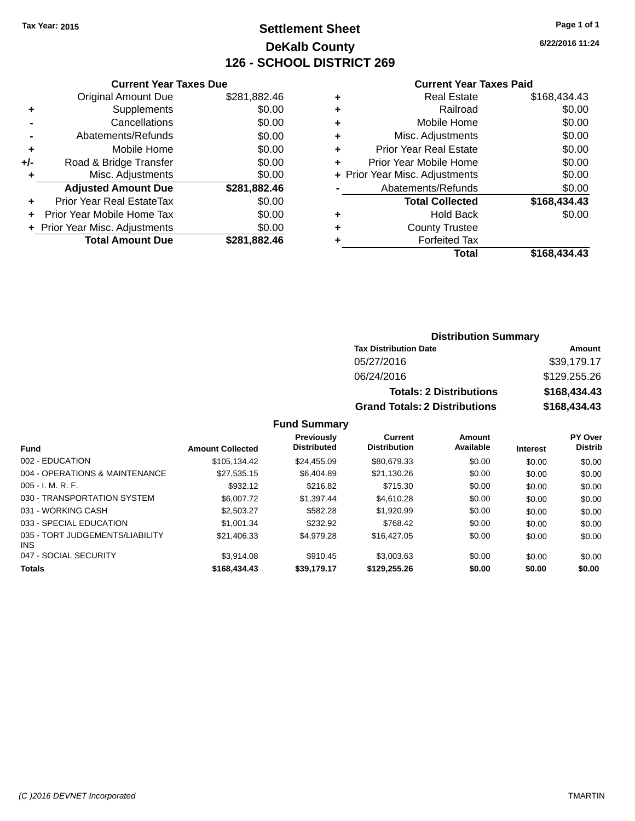# **Settlement Sheet Tax Year: 2015 Page 1 of 1 DeKalb County 126 - SCHOOL DISTRICT 269**

**6/22/2016 11:24**

|     | <b>Current Year Taxes Due</b>  |              |  |  |  |
|-----|--------------------------------|--------------|--|--|--|
|     | <b>Original Amount Due</b>     | \$281,882.46 |  |  |  |
|     | Supplements                    | \$0.00       |  |  |  |
|     | Cancellations                  | \$0.00       |  |  |  |
|     | Abatements/Refunds             | \$0.00       |  |  |  |
| ٠   | Mobile Home                    | \$0.00       |  |  |  |
| +/- | Road & Bridge Transfer         | \$0.00       |  |  |  |
| ٠   | Misc. Adjustments              | \$0.00       |  |  |  |
|     | <b>Adjusted Amount Due</b>     | \$281,882.46 |  |  |  |
|     | Prior Year Real EstateTax      | \$0.00       |  |  |  |
|     | Prior Year Mobile Home Tax     | \$0.00       |  |  |  |
|     | + Prior Year Misc. Adjustments | \$0.00       |  |  |  |
|     | <b>Total Amount Due</b>        | \$281,882.46 |  |  |  |
|     |                                |              |  |  |  |

#### **Current Year Taxes Paid**

|   | <b>Real Estate</b>             | \$168,434.43 |
|---|--------------------------------|--------------|
| ٠ | Railroad                       | \$0.00       |
| ٠ | Mobile Home                    | \$0.00       |
| ٠ | Misc. Adjustments              | \$0.00       |
| ٠ | <b>Prior Year Real Estate</b>  | \$0.00       |
| ٠ | Prior Year Mobile Home         | \$0.00       |
|   | + Prior Year Misc. Adjustments | \$0.00       |
|   | Abatements/Refunds             | \$0.00       |
|   | <b>Total Collected</b>         | \$168,434.43 |
| ٠ | <b>Hold Back</b>               | \$0.00       |
| ٠ | <b>County Trustee</b>          |              |
| ٠ | <b>Forfeited Tax</b>           |              |
|   | Total                          | \$168,434.43 |
|   |                                |              |

### **Distribution Summary Tax Distribution Date Amount** 05/27/2016 \$39,179.17 06/24/2016 \$129,255.26 **Totals: 2 Distributions \$168,434.43 Grand Totals: 2 Distributions \$168,434.43**

| <b>Fund</b>                             | <b>Amount Collected</b> | <b>Previously</b><br><b>Distributed</b> | Current<br><b>Distribution</b> | Amount<br>Available | <b>Interest</b> | PY Over<br><b>Distrib</b> |
|-----------------------------------------|-------------------------|-----------------------------------------|--------------------------------|---------------------|-----------------|---------------------------|
| 002 - EDUCATION                         | \$105,134.42            | \$24,455.09                             | \$80,679.33                    | \$0.00              | \$0.00          | \$0.00                    |
| 004 - OPERATIONS & MAINTENANCE          | \$27.535.15             | \$6,404.89                              | \$21.130.26                    | \$0.00              | \$0.00          | \$0.00                    |
| $005 - I. M. R. F.$                     | \$932.12                | \$216.82                                | \$715.30                       | \$0.00              | \$0.00          | \$0.00                    |
| 030 - TRANSPORTATION SYSTEM             | \$6,007.72              | \$1.397.44                              | \$4.610.28                     | \$0.00              | \$0.00          | \$0.00                    |
| 031 - WORKING CASH                      | \$2,503.27              | \$582.28                                | \$1.920.99                     | \$0.00              | \$0.00          | \$0.00                    |
| 033 - SPECIAL EDUCATION                 | \$1,001.34              | \$232.92                                | \$768.42                       | \$0.00              | \$0.00          | \$0.00                    |
| 035 - TORT JUDGEMENTS/LIABILITY<br>INS. | \$21.406.33             | \$4.979.28                              | \$16,427.05                    | \$0.00              | \$0.00          | \$0.00                    |
| 047 - SOCIAL SECURITY                   | \$3.914.08              | \$910.45                                | \$3,003.63                     | \$0.00              | \$0.00          | \$0.00                    |
| <b>Totals</b>                           | \$168,434,43            | \$39,179.17                             | \$129,255,26                   | \$0.00              | \$0.00          | \$0.00                    |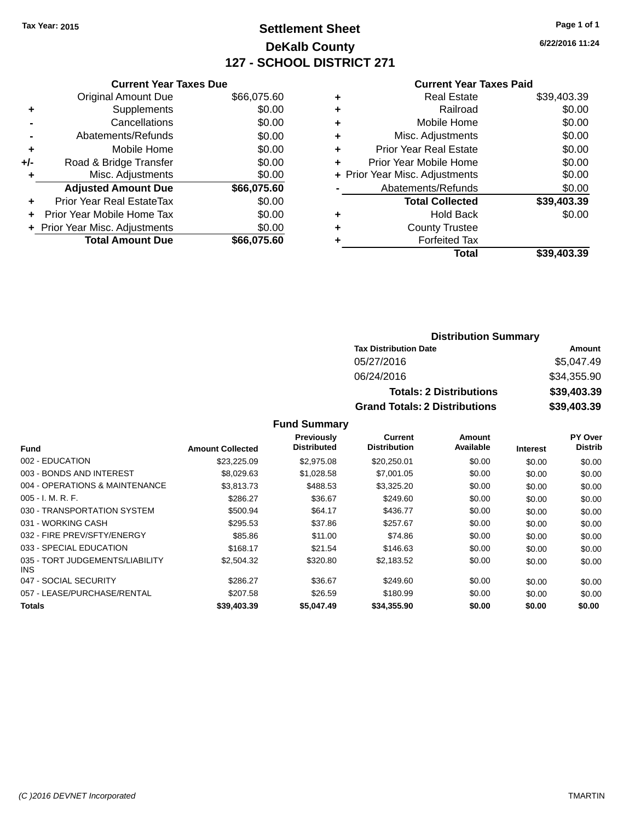# **Settlement Sheet Tax Year: 2015 Page 1 of 1 DeKalb County 127 - SCHOOL DISTRICT 271**

**6/22/2016 11:24**

#### **Current Year Taxes Paid**

| <b>Current Year Taxes Due</b> |                              |
|-------------------------------|------------------------------|
| <b>Original Amount Due</b>    | \$66,075.60                  |
| Supplements                   | \$0.00                       |
| Cancellations                 | \$0.00                       |
| Abatements/Refunds            | \$0.00                       |
| Mobile Home                   | \$0.00                       |
| Road & Bridge Transfer        | \$0.00                       |
| Misc. Adjustments             | \$0.00                       |
| <b>Adjusted Amount Due</b>    | \$66,075.60                  |
| Prior Year Real EstateTax     | \$0.00                       |
| Prior Year Mobile Home Tax    | \$0.00                       |
|                               | \$0.00                       |
| <b>Total Amount Due</b>       | \$66.075.60                  |
|                               | Prior Year Misc. Adjustments |

| ٠ | <b>Real Estate</b>             | \$39,403.39 |
|---|--------------------------------|-------------|
| ٠ | Railroad                       | \$0.00      |
| ٠ | Mobile Home                    | \$0.00      |
| ٠ | Misc. Adjustments              | \$0.00      |
| ٠ | <b>Prior Year Real Estate</b>  | \$0.00      |
|   | Prior Year Mobile Home         | \$0.00      |
|   | + Prior Year Misc. Adjustments | \$0.00      |
|   | Abatements/Refunds             | \$0.00      |
|   | <b>Total Collected</b>         | \$39,403.39 |
| ٠ | <b>Hold Back</b>               | \$0.00      |
|   | <b>County Trustee</b>          |             |
| ٠ | <b>Forfeited Tax</b>           |             |
|   | Total                          | \$39,403.39 |
|   |                                |             |

### **Distribution Summary Tax Distribution Date Amount** 05/27/2016 \$5,047.49 06/24/2016 \$34,355.90 **Totals: 2 Distributions \$39,403.39 Grand Totals: 2 Distributions \$39,403.39**

|                                               |                         | Previously         | Current             | Amount    |                 | PY Over        |
|-----------------------------------------------|-------------------------|--------------------|---------------------|-----------|-----------------|----------------|
| Fund                                          | <b>Amount Collected</b> | <b>Distributed</b> | <b>Distribution</b> | Available | <b>Interest</b> | <b>Distrib</b> |
| 002 - EDUCATION                               | \$23,225.09             | \$2,975.08         | \$20,250.01         | \$0.00    | \$0.00          | \$0.00         |
| 003 - BONDS AND INTEREST                      | \$8,029.63              | \$1,028.58         | \$7,001.05          | \$0.00    | \$0.00          | \$0.00         |
| 004 - OPERATIONS & MAINTENANCE                | \$3,813.73              | \$488.53           | \$3,325.20          | \$0.00    | \$0.00          | \$0.00         |
| $005 - I. M. R. F.$                           | \$286.27                | \$36.67            | \$249.60            | \$0.00    | \$0.00          | \$0.00         |
| 030 - TRANSPORTATION SYSTEM                   | \$500.94                | \$64.17            | \$436.77            | \$0.00    | \$0.00          | \$0.00         |
| 031 - WORKING CASH                            | \$295.53                | \$37.86            | \$257.67            | \$0.00    | \$0.00          | \$0.00         |
| 032 - FIRE PREV/SFTY/ENERGY                   | \$85.86                 | \$11.00            | \$74.86             | \$0.00    | \$0.00          | \$0.00         |
| 033 - SPECIAL EDUCATION                       | \$168.17                | \$21.54            | \$146.63            | \$0.00    | \$0.00          | \$0.00         |
| 035 - TORT JUDGEMENTS/LIABILITY<br><b>INS</b> | \$2,504.32              | \$320.80           | \$2,183.52          | \$0.00    | \$0.00          | \$0.00         |
| 047 - SOCIAL SECURITY                         | \$286.27                | \$36.67            | \$249.60            | \$0.00    | \$0.00          | \$0.00         |
| 057 - LEASE/PURCHASE/RENTAL                   | \$207.58                | \$26.59            | \$180.99            | \$0.00    | \$0.00          | \$0.00         |
| <b>Totals</b>                                 | \$39,403.39             | \$5.047.49         | \$34,355,90         | \$0.00    | \$0.00          | \$0.00         |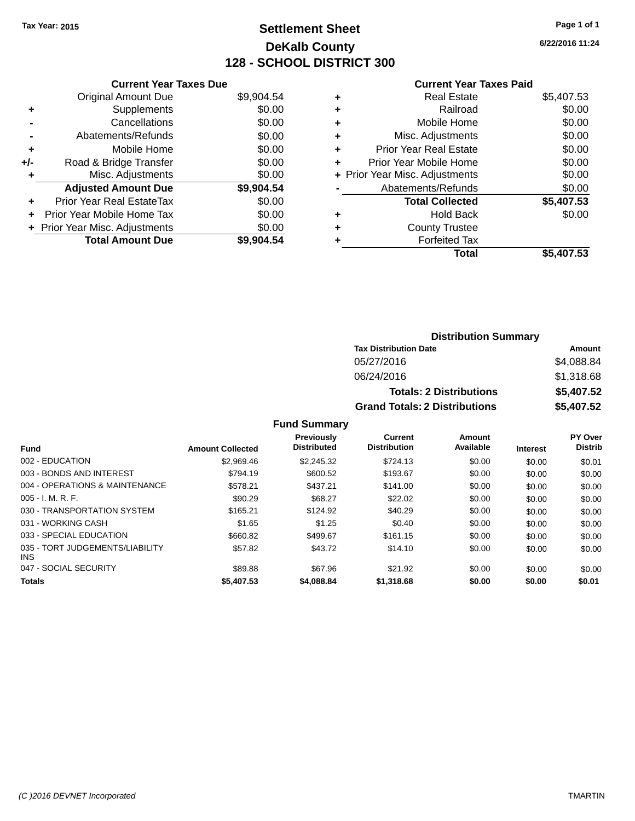# **Settlement Sheet Tax Year: 2015 Page 1 of 1 DeKalb County 128 - SCHOOL DISTRICT 300**

**6/22/2016 11:24**

#### **Current Year Taxes Paid**

|     | <b>Current Year Taxes Due</b>  |            |
|-----|--------------------------------|------------|
|     | <b>Original Amount Due</b>     | \$9,904.54 |
| ٠   | Supplements                    | \$0.00     |
|     | Cancellations                  | \$0.00     |
|     | Abatements/Refunds             | \$0.00     |
| ٠   | Mobile Home                    | \$0.00     |
| +/- | Road & Bridge Transfer         | \$0.00     |
| ٠   | Misc. Adjustments              | \$0.00     |
|     | <b>Adjusted Amount Due</b>     | \$9,904.54 |
| ÷   | Prior Year Real EstateTax      | \$0.00     |
| ÷   | Prior Year Mobile Home Tax     | \$0.00     |
|     | + Prior Year Misc. Adjustments | \$0.00     |
|     | <b>Total Amount Due</b>        | \$9,904.54 |

|   | <b>Real Estate</b>             | \$5,407.53 |
|---|--------------------------------|------------|
| ٠ | Railroad                       | \$0.00     |
| ٠ | Mobile Home                    | \$0.00     |
| ٠ | Misc. Adjustments              | \$0.00     |
| ٠ | <b>Prior Year Real Estate</b>  | \$0.00     |
|   | Prior Year Mobile Home         | \$0.00     |
|   | + Prior Year Misc. Adjustments | \$0.00     |
|   | Abatements/Refunds             | \$0.00     |
|   | <b>Total Collected</b>         | \$5,407.53 |
| ٠ | <b>Hold Back</b>               | \$0.00     |
|   | <b>County Trustee</b>          |            |
| ٠ | <b>Forfeited Tax</b>           |            |
|   | Total                          | \$5,407.53 |
|   |                                |            |

| <b>Distribution Summary</b>          |            |  |  |  |
|--------------------------------------|------------|--|--|--|
| <b>Tax Distribution Date</b>         | Amount     |  |  |  |
| 05/27/2016                           | \$4,088.84 |  |  |  |
| 06/24/2016                           | \$1,318.68 |  |  |  |
| <b>Totals: 2 Distributions</b>       | \$5,407.52 |  |  |  |
| <b>Grand Totals: 2 Distributions</b> | \$5,407.52 |  |  |  |

|                                               |                         | <b>Previously</b><br><b>Distributed</b> | Current<br><b>Distribution</b> | Amount<br>Available |                 | PY Over<br><b>Distrib</b> |
|-----------------------------------------------|-------------------------|-----------------------------------------|--------------------------------|---------------------|-----------------|---------------------------|
| <b>Fund</b>                                   | <b>Amount Collected</b> |                                         |                                |                     | <b>Interest</b> |                           |
| 002 - EDUCATION                               | \$2.969.46              | \$2.245.32                              | \$724.13                       | \$0.00              | \$0.00          | \$0.01                    |
| 003 - BONDS AND INTEREST                      | \$794.19                | \$600.52                                | \$193.67                       | \$0.00              | \$0.00          | \$0.00                    |
| 004 - OPERATIONS & MAINTENANCE                | \$578.21                | \$437.21                                | \$141.00                       | \$0.00              | \$0.00          | \$0.00                    |
| $005 - I. M. R. F.$                           | \$90.29                 | \$68.27                                 | \$22.02                        | \$0.00              | \$0.00          | \$0.00                    |
| 030 - TRANSPORTATION SYSTEM                   | \$165.21                | \$124.92                                | \$40.29                        | \$0.00              | \$0.00          | \$0.00                    |
| 031 - WORKING CASH                            | \$1.65                  | \$1.25                                  | \$0.40                         | \$0.00              | \$0.00          | \$0.00                    |
| 033 - SPECIAL EDUCATION                       | \$660.82                | \$499.67                                | \$161.15                       | \$0.00              | \$0.00          | \$0.00                    |
| 035 - TORT JUDGEMENTS/LIABILITY<br><b>INS</b> | \$57.82                 | \$43.72                                 | \$14.10                        | \$0.00              | \$0.00          | \$0.00                    |
| 047 - SOCIAL SECURITY                         | \$89.88                 | \$67.96                                 | \$21.92                        | \$0.00              | \$0.00          | \$0.00                    |
| <b>Totals</b>                                 | \$5,407.53              | \$4,088.84                              | \$1,318.68                     | \$0.00              | \$0.00          | \$0.01                    |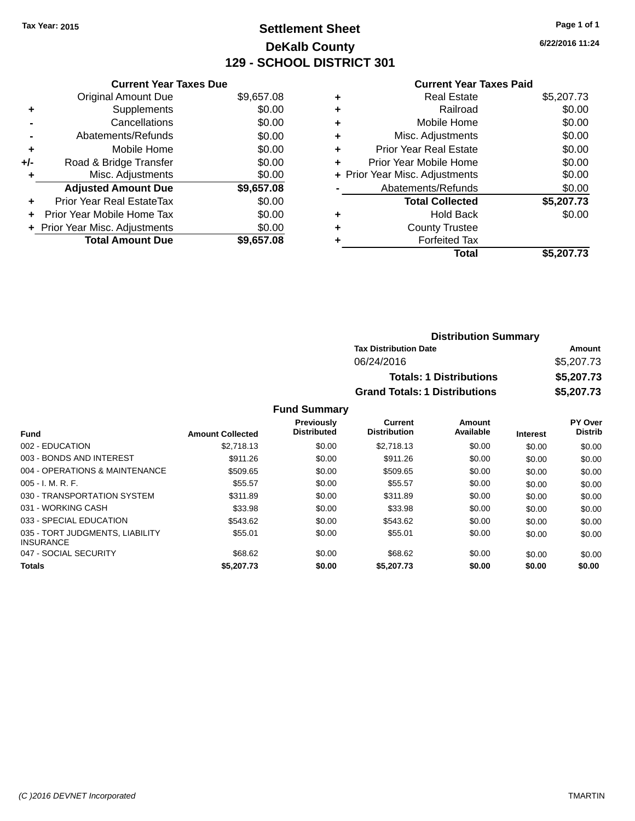# **Settlement Sheet Tax Year: 2015 Page 1 of 1 DeKalb County 129 - SCHOOL DISTRICT 301**

**6/22/2016 11:24**

#### **Current Year Taxes Paid**

|     | <b>Current Year Taxes Due</b>  |            |
|-----|--------------------------------|------------|
|     | <b>Original Amount Due</b>     | \$9,657.08 |
| ٠   | Supplements                    | \$0.00     |
|     | Cancellations                  | \$0.00     |
|     | Abatements/Refunds             | \$0.00     |
| ٠   | Mobile Home                    | \$0.00     |
| +/- | Road & Bridge Transfer         | \$0.00     |
|     | Misc. Adjustments              | \$0.00     |
|     | <b>Adjusted Amount Due</b>     | \$9,657.08 |
| ÷   | Prior Year Real EstateTax      | \$0.00     |
| ÷   | Prior Year Mobile Home Tax     | \$0.00     |
|     | + Prior Year Misc. Adjustments | \$0.00     |
|     | <b>Total Amount Due</b>        | \$9,657.08 |

|   | <b>Real Estate</b>             | \$5,207.73 |
|---|--------------------------------|------------|
| ٠ | Railroad                       | \$0.00     |
| ٠ | Mobile Home                    | \$0.00     |
| ٠ | Misc. Adjustments              | \$0.00     |
| ٠ | <b>Prior Year Real Estate</b>  | \$0.00     |
| ٠ | Prior Year Mobile Home         | \$0.00     |
|   | + Prior Year Misc. Adjustments | \$0.00     |
|   | Abatements/Refunds             | \$0.00     |
|   | <b>Total Collected</b>         | \$5,207.73 |
| ٠ | <b>Hold Back</b>               | \$0.00     |
| ٠ | <b>County Trustee</b>          |            |
| ٠ | <b>Forfeited Tax</b>           |            |
|   | Total                          | \$5,207.73 |
|   |                                |            |

| <b>Distribution Summary</b>          |            |  |  |
|--------------------------------------|------------|--|--|
| <b>Tax Distribution Date</b>         | Amount     |  |  |
| 06/24/2016                           | \$5,207.73 |  |  |
| <b>Totals: 1 Distributions</b>       | \$5,207.73 |  |  |
| <b>Grand Totals: 1 Distributions</b> | \$5,207.73 |  |  |

| <b>Fund</b>                                         | <b>Amount Collected</b> | <b>Previously</b><br><b>Distributed</b> | <b>Current</b><br><b>Distribution</b> | Amount<br>Available | <b>Interest</b> | <b>PY Over</b><br><b>Distrib</b> |
|-----------------------------------------------------|-------------------------|-----------------------------------------|---------------------------------------|---------------------|-----------------|----------------------------------|
|                                                     |                         |                                         |                                       |                     |                 |                                  |
| 002 - EDUCATION                                     | \$2.718.13              | \$0.00                                  | \$2.718.13                            | \$0.00              | \$0.00          | \$0.00                           |
| 003 - BONDS AND INTEREST                            | \$911.26                | \$0.00                                  | \$911.26                              | \$0.00              | \$0.00          | \$0.00                           |
| 004 - OPERATIONS & MAINTENANCE                      | \$509.65                | \$0.00                                  | \$509.65                              | \$0.00              | \$0.00          | \$0.00                           |
| $005 - I. M. R. F.$                                 | \$55.57                 | \$0.00                                  | \$55.57                               | \$0.00              | \$0.00          | \$0.00                           |
| 030 - TRANSPORTATION SYSTEM                         | \$311.89                | \$0.00                                  | \$311.89                              | \$0.00              | \$0.00          | \$0.00                           |
| 031 - WORKING CASH                                  | \$33.98                 | \$0.00                                  | \$33.98                               | \$0.00              | \$0.00          | \$0.00                           |
| 033 - SPECIAL EDUCATION                             | \$543.62                | \$0.00                                  | \$543.62                              | \$0.00              | \$0.00          | \$0.00                           |
| 035 - TORT JUDGMENTS, LIABILITY<br><b>INSURANCE</b> | \$55.01                 | \$0.00                                  | \$55.01                               | \$0.00              | \$0.00          | \$0.00                           |
| 047 - SOCIAL SECURITY                               | \$68.62                 | \$0.00                                  | \$68.62                               | \$0.00              | \$0.00          | \$0.00                           |
| <b>Totals</b>                                       | \$5,207.73              | \$0.00                                  | \$5,207.73                            | \$0.00              | \$0.00          | \$0.00                           |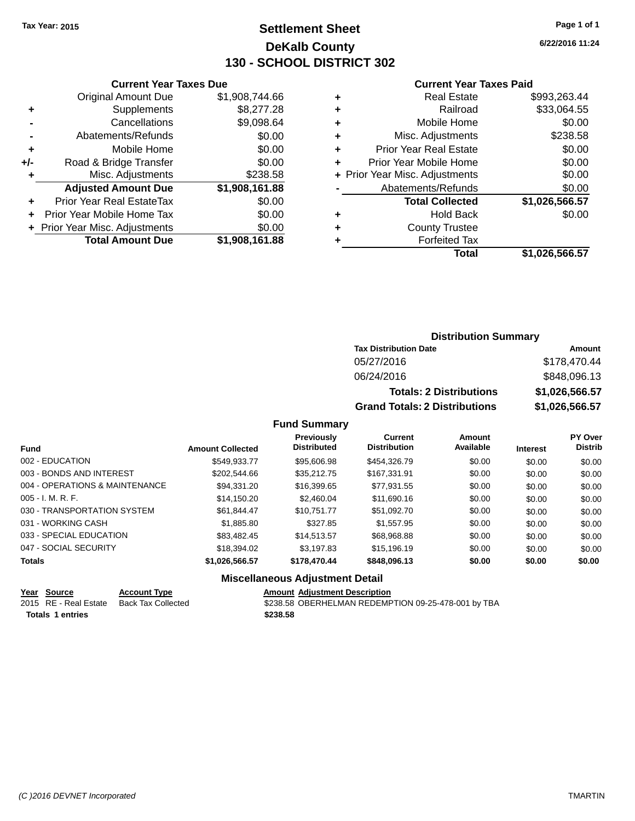# **Settlement Sheet Tax Year: 2015 Page 1 of 1 DeKalb County 130 - SCHOOL DISTRICT 302**

**6/22/2016 11:24**

#### **Current Year Taxes Paid**

|     | <b>Total Amount Due</b>        | \$1,908,161.88 |
|-----|--------------------------------|----------------|
|     | + Prior Year Misc. Adjustments | \$0.00         |
| ٠   | Prior Year Mobile Home Tax     | \$0.00         |
| ٠   | Prior Year Real EstateTax      | \$0.00         |
|     | <b>Adjusted Amount Due</b>     | \$1,908,161.88 |
| ٠   | Misc. Adjustments              | \$238.58       |
| +/- | Road & Bridge Transfer         | \$0.00         |
| ÷   | Mobile Home                    | \$0.00         |
|     | Abatements/Refunds             | \$0.00         |
|     | Cancellations                  | \$9,098.64     |
| ٠   | Supplements                    | \$8,277.28     |
|     | <b>Original Amount Due</b>     | \$1,908,744.66 |
|     |                                |                |

**Current Year Taxes Due**

| <b>Real Estate</b>             | \$993,263.44   |
|--------------------------------|----------------|
| Railroad                       | \$33,064.55    |
| Mobile Home                    | \$0.00         |
| Misc. Adjustments              | \$238.58       |
| <b>Prior Year Real Estate</b>  | \$0.00         |
| Prior Year Mobile Home         | \$0.00         |
| + Prior Year Misc. Adjustments | \$0.00         |
| Abatements/Refunds             | \$0.00         |
| <b>Total Collected</b>         | \$1,026,566.57 |
| <b>Hold Back</b>               | \$0.00         |
| <b>County Trustee</b>          |                |
| <b>Forfeited Tax</b>           |                |
| Total                          | \$1,026,566.57 |
|                                |                |

### **Distribution Summary Tax Distribution Date Amount** 05/27/2016 \$178,470.44 06/24/2016 \$848,096.13 **Totals: 2 Distributions \$1,026,566.57 Grand Totals: 2 Distributions \$1,026,566.57**

#### **Fund Summary**

|                                |                         | <b>Previously</b><br><b>Distributed</b> | Current<br><b>Distribution</b> | Amount<br>Available |                 | PY Over<br><b>Distrib</b> |
|--------------------------------|-------------------------|-----------------------------------------|--------------------------------|---------------------|-----------------|---------------------------|
| <b>Fund</b>                    | <b>Amount Collected</b> |                                         |                                |                     | <b>Interest</b> |                           |
| 002 - EDUCATION                | \$549,933.77            | \$95,606.98                             | \$454,326.79                   | \$0.00              | \$0.00          | \$0.00                    |
| 003 - BONDS AND INTEREST       | \$202,544.66            | \$35.212.75                             | \$167.331.91                   | \$0.00              | \$0.00          | \$0.00                    |
| 004 - OPERATIONS & MAINTENANCE | \$94,331.20             | \$16,399.65                             | \$77,931.55                    | \$0.00              | \$0.00          | \$0.00                    |
| $005 - I. M. R. F.$            | \$14,150.20             | \$2,460.04                              | \$11,690.16                    | \$0.00              | \$0.00          | \$0.00                    |
| 030 - TRANSPORTATION SYSTEM    | \$61.844.47             | \$10.751.77                             | \$51.092.70                    | \$0.00              | \$0.00          | \$0.00                    |
| 031 - WORKING CASH             | \$1,885.80              | \$327.85                                | \$1,557.95                     | \$0.00              | \$0.00          | \$0.00                    |
| 033 - SPECIAL EDUCATION        | \$83.482.45             | \$14.513.57                             | \$68,968,88                    | \$0.00              | \$0.00          | \$0.00                    |
| 047 - SOCIAL SECURITY          | \$18,394.02             | \$3.197.83                              | \$15,196.19                    | \$0.00              | \$0.00          | \$0.00                    |
| <b>Totals</b>                  | \$1,026,566.57          | \$178,470.44                            | \$848,096.13                   | \$0.00              | \$0.00          | \$0.00                    |

#### **Miscellaneous Adjustment Detail**

#### **Year** Source **Account Type Account Adjustment Description**

**Totals \$238.58 1 entries**

2015 RE - Real Estate Back Tax Collected **\$238.58** OBERHELMAN REDEMPTION 09-25-478-001 by TBA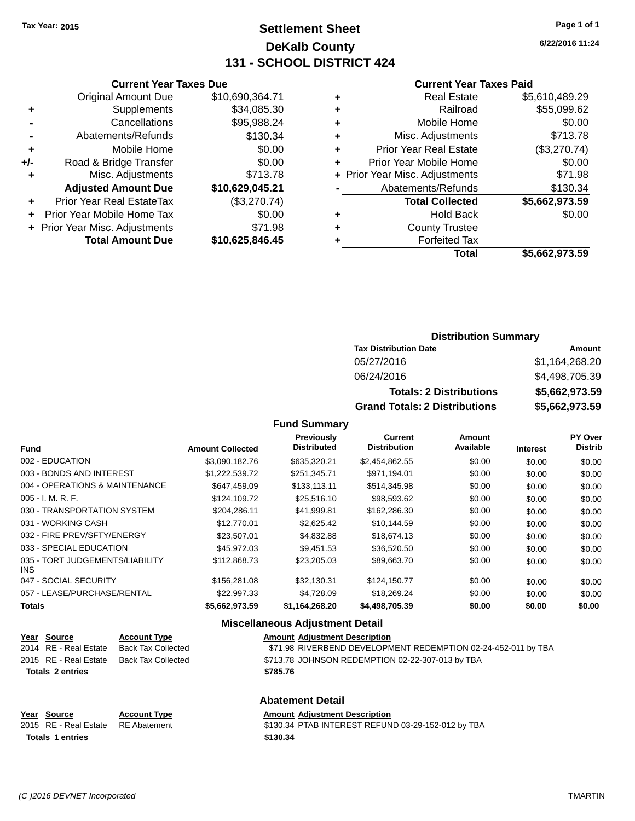# **Settlement Sheet Tax Year: 2015 Page 1 of 1 DeKalb County 131 - SCHOOL DISTRICT 424**

**6/22/2016 11:24**

#### **Current Year Taxes Paid**

|     | <b>Current Year Taxes Due</b>  |                 |  |  |  |
|-----|--------------------------------|-----------------|--|--|--|
|     | <b>Original Amount Due</b>     | \$10,690,364.71 |  |  |  |
| ٠   | Supplements                    | \$34,085.30     |  |  |  |
|     | Cancellations                  | \$95,988.24     |  |  |  |
|     | Abatements/Refunds             | \$130.34        |  |  |  |
| ٠   | Mobile Home                    | \$0.00          |  |  |  |
| +/- | Road & Bridge Transfer         | \$0.00          |  |  |  |
| ٠   | Misc. Adjustments              | \$713.78        |  |  |  |
|     | <b>Adjusted Amount Due</b>     | \$10,629,045.21 |  |  |  |
| ٠   | Prior Year Real EstateTax      | (\$3,270.74)    |  |  |  |
|     | Prior Year Mobile Home Tax     | \$0.00          |  |  |  |
|     | + Prior Year Misc. Adjustments | \$71.98         |  |  |  |
|     | <b>Total Amount Due</b>        | \$10,625,846.45 |  |  |  |
|     |                                |                 |  |  |  |

| ٠ | <b>Real Estate</b>             | \$5,610,489.29 |
|---|--------------------------------|----------------|
| ٠ | Railroad                       | \$55,099.62    |
| ٠ | Mobile Home                    | \$0.00         |
| ٠ | Misc. Adjustments              | \$713.78       |
| ٠ | <b>Prior Year Real Estate</b>  | (\$3,270.74)   |
| ٠ | Prior Year Mobile Home         | \$0.00         |
|   | + Prior Year Misc. Adjustments | \$71.98        |
|   | Abatements/Refunds             | \$130.34       |
|   | <b>Total Collected</b>         | \$5,662,973.59 |
| ٠ | <b>Hold Back</b>               | \$0.00         |
| ٠ | <b>County Trustee</b>          |                |
|   | <b>Forfeited Tax</b>           |                |
|   | Total                          | \$5,662,973.59 |
|   |                                |                |

# **Distribution Summary**

| <b>Tax Distribution Date</b>         | Amount         |
|--------------------------------------|----------------|
| 05/27/2016                           | \$1.164.268.20 |
| 06/24/2016                           | \$4,498,705.39 |
| <b>Totals: 2 Distributions</b>       | \$5,662,973.59 |
| <b>Grand Totals: 2 Distributions</b> | \$5,662,973.59 |

### **Fund Summary**

| <b>Fund</b>                             | <b>Amount Collected</b> | Previously<br><b>Distributed</b> | <b>Current</b><br><b>Distribution</b> | Amount<br>Available | <b>Interest</b> | PY Over<br><b>Distrib</b> |
|-----------------------------------------|-------------------------|----------------------------------|---------------------------------------|---------------------|-----------------|---------------------------|
| 002 - EDUCATION                         | \$3.090.182.76          | \$635.320.21                     | \$2,454,862.55                        | \$0.00              | \$0.00          | \$0.00                    |
| 003 - BONDS AND INTEREST                | \$1,222,539.72          | \$251,345.71                     | \$971,194.01                          | \$0.00              | \$0.00          | \$0.00                    |
| 004 - OPERATIONS & MAINTENANCE          | \$647.459.09            | \$133,113.11                     | \$514,345.98                          | \$0.00              | \$0.00          | \$0.00                    |
| $005 - I. M. R. F.$                     | \$124,109.72            | \$25,516.10                      | \$98,593.62                           | \$0.00              | \$0.00          | \$0.00                    |
| 030 - TRANSPORTATION SYSTEM             | \$204.286.11            | \$41.999.81                      | \$162,286.30                          | \$0.00              | \$0.00          | \$0.00                    |
| 031 - WORKING CASH                      | \$12,770.01             | \$2,625.42                       | \$10,144.59                           | \$0.00              | \$0.00          | \$0.00                    |
| 032 - FIRE PREV/SFTY/ENERGY             | \$23,507.01             | \$4.832.88                       | \$18,674.13                           | \$0.00              | \$0.00          | \$0.00                    |
| 033 - SPECIAL EDUCATION                 | \$45,972.03             | \$9,451.53                       | \$36,520.50                           | \$0.00              | \$0.00          | \$0.00                    |
| 035 - TORT JUDGEMENTS/LIABILITY<br>INS. | \$112,868.73            | \$23,205.03                      | \$89,663.70                           | \$0.00              | \$0.00          | \$0.00                    |
| 047 - SOCIAL SECURITY                   | \$156,281,08            | \$32,130.31                      | \$124,150.77                          | \$0.00              | \$0.00          | \$0.00                    |
| 057 - LEASE/PURCHASE/RENTAL             | \$22,997.33             | \$4,728.09                       | \$18,269.24                           | \$0.00              | \$0.00          | \$0.00                    |
| <b>Totals</b>                           | \$5,662,973.59          | \$1,164,268.20                   | \$4,498,705.39                        | \$0.00              | \$0.00          | \$0.00                    |

### **Miscellaneous Adjustment Detail**

| <u>Year Source</u>      | <b>Account Type</b> | <b>Amount Adiustment Description</b>                          |
|-------------------------|---------------------|---------------------------------------------------------------|
| 2014 RE - Real Estate   | Back Tax Collected  | \$71.98 RIVERBEND DEVELOPMENT REDEMPTION 02-24-452-011 by TBA |
| 2015 RE - Real Estate   | Back Tax Collected  | \$713.78 JOHNSON REDEMPTION 02-22-307-013 by TBA              |
| <b>Totals 2 entries</b> |                     | \$785.76                                                      |

### **Abatement Detail**

| Year Source                        | <b>Account Type</b> | <b>Amount Adiustment Description</b>               |
|------------------------------------|---------------------|----------------------------------------------------|
| 2015 RE - Real Estate RE Abatement |                     | \$130.34 PTAB INTEREST REFUND 03-29-152-012 by TBA |
| <b>Totals 1 entries</b>            |                     | \$130.34                                           |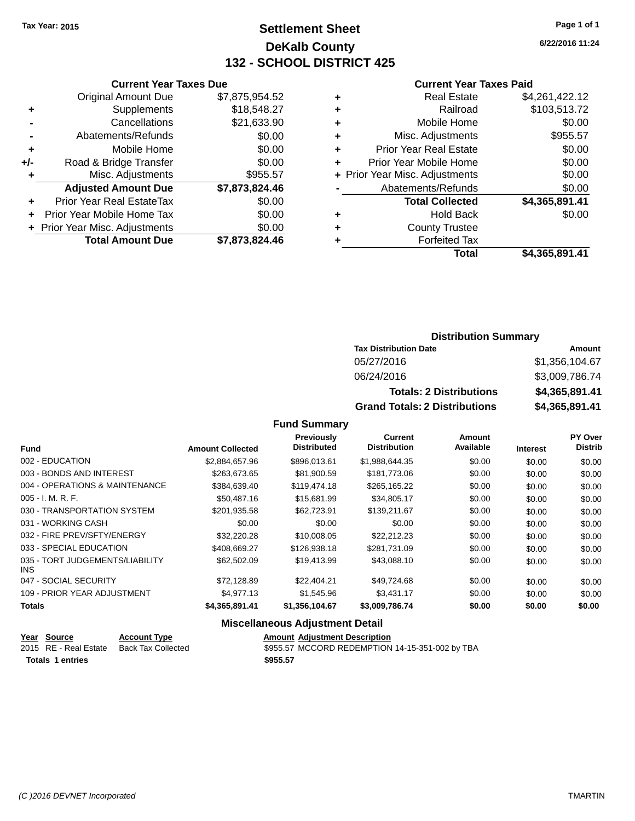# **Settlement Sheet Tax Year: 2015 Page 1 of 1 DeKalb County 132 - SCHOOL DISTRICT 425**

**6/22/2016 11:24**

#### **Current Year Taxes Paid**

|       | <b>Current Year Taxes Due</b>            |                |  |  |  |
|-------|------------------------------------------|----------------|--|--|--|
|       | <b>Original Amount Due</b>               | \$7,875,954.52 |  |  |  |
| ٠     | Supplements                              | \$18,548.27    |  |  |  |
|       | Cancellations                            | \$21,633.90    |  |  |  |
|       | Abatements/Refunds                       | \$0.00         |  |  |  |
| ٠     | Mobile Home                              | \$0.00         |  |  |  |
| $+/-$ | Road & Bridge Transfer                   | \$0.00         |  |  |  |
|       | Misc. Adjustments                        | \$955.57       |  |  |  |
|       | <b>Adjusted Amount Due</b>               | \$7,873,824.46 |  |  |  |
| ٠     | Prior Year Real EstateTax                | \$0.00         |  |  |  |
|       | Prior Year Mobile Home Tax               | \$0.00         |  |  |  |
|       | \$0.00<br>+ Prior Year Misc. Adjustments |                |  |  |  |
|       | <b>Total Amount Due</b>                  | \$7,873,824.46 |  |  |  |
|       |                                          |                |  |  |  |

| ٠ | <b>Real Estate</b>             | \$4,261,422.12 |
|---|--------------------------------|----------------|
| ٠ | Railroad                       | \$103,513.72   |
| ٠ | Mobile Home                    | \$0.00         |
| ٠ | Misc. Adjustments              | \$955.57       |
| ٠ | <b>Prior Year Real Estate</b>  | \$0.00         |
| ÷ | Prior Year Mobile Home         | \$0.00         |
|   | + Prior Year Misc. Adjustments | \$0.00         |
|   | Abatements/Refunds             | \$0.00         |
|   | <b>Total Collected</b>         | \$4,365,891.41 |
| ٠ | <b>Hold Back</b>               | \$0.00         |
| ٠ | <b>County Trustee</b>          |                |
| ٠ | <b>Forfeited Tax</b>           |                |
|   | Total                          | \$4,365,891.41 |

# **Distribution Summary Tax Distribution Date Amount**<br>05/27/2016 **PM Strip Reserves Amount**

| 05/27/2016                           | \$1,356,104,67 |
|--------------------------------------|----------------|
| 06/24/2016                           | \$3,009,786.74 |
| <b>Totals: 2 Distributions</b>       |                |
|                                      | \$4,365,891,41 |
| <b>Grand Totals: 2 Distributions</b> | \$4.365.891.41 |

#### **Fund Summary**

| <b>Fund</b>                             | <b>Amount Collected</b> | <b>Previously</b><br><b>Distributed</b> | <b>Current</b><br><b>Distribution</b> | Amount<br>Available | <b>Interest</b> | PY Over<br><b>Distrib</b> |
|-----------------------------------------|-------------------------|-----------------------------------------|---------------------------------------|---------------------|-----------------|---------------------------|
| 002 - EDUCATION                         | \$2,884,657.96          | \$896,013.61                            | \$1,988,644.35                        | \$0.00              | \$0.00          | \$0.00                    |
| 003 - BONDS AND INTEREST                | \$263,673.65            | \$81,900.59                             | \$181.773.06                          | \$0.00              | \$0.00          | \$0.00                    |
| 004 - OPERATIONS & MAINTENANCE          | \$384,639.40            | \$119,474.18                            | \$265,165.22                          | \$0.00              | \$0.00          | \$0.00                    |
| $005 - I. M. R. F.$                     | \$50,487.16             | \$15,681.99                             | \$34,805.17                           | \$0.00              | \$0.00          | \$0.00                    |
| 030 - TRANSPORTATION SYSTEM             | \$201,935.58            | \$62,723.91                             | \$139,211.67                          | \$0.00              | \$0.00          | \$0.00                    |
| 031 - WORKING CASH                      | \$0.00                  | \$0.00                                  | \$0.00                                | \$0.00              | \$0.00          | \$0.00                    |
| 032 - FIRE PREV/SFTY/ENERGY             | \$32,220.28             | \$10,008.05                             | \$22,212.23                           | \$0.00              | \$0.00          | \$0.00                    |
| 033 - SPECIAL EDUCATION                 | \$408.669.27            | \$126,938.18                            | \$281.731.09                          | \$0.00              | \$0.00          | \$0.00                    |
| 035 - TORT JUDGEMENTS/LIABILITY<br>INS. | \$62,502.09             | \$19.413.99                             | \$43,088,10                           | \$0.00              | \$0.00          | \$0.00                    |
| 047 - SOCIAL SECURITY                   | \$72,128.89             | \$22,404.21                             | \$49,724.68                           | \$0.00              | \$0.00          | \$0.00                    |
| 109 - PRIOR YEAR ADJUSTMENT             | \$4,977.13              | \$1,545.96                              | \$3,431.17                            | \$0.00              | \$0.00          | \$0.00                    |
| <b>Totals</b>                           | \$4,365,891.41          | \$1,356,104.67                          | \$3,009,786.74                        | \$0.00              | \$0.00          | \$0.00                    |

|                         | Year Source           | <b>Account Type</b> | <b>Amount Adiustment Description</b>            |
|-------------------------|-----------------------|---------------------|-------------------------------------------------|
|                         | 2015 RE - Real Estate | Back Tax Collected  | \$955.57 MCCORD REDEMPTION 14-15-351-002 by TBA |
| <b>Totals 1 entries</b> |                       |                     | \$955.57                                        |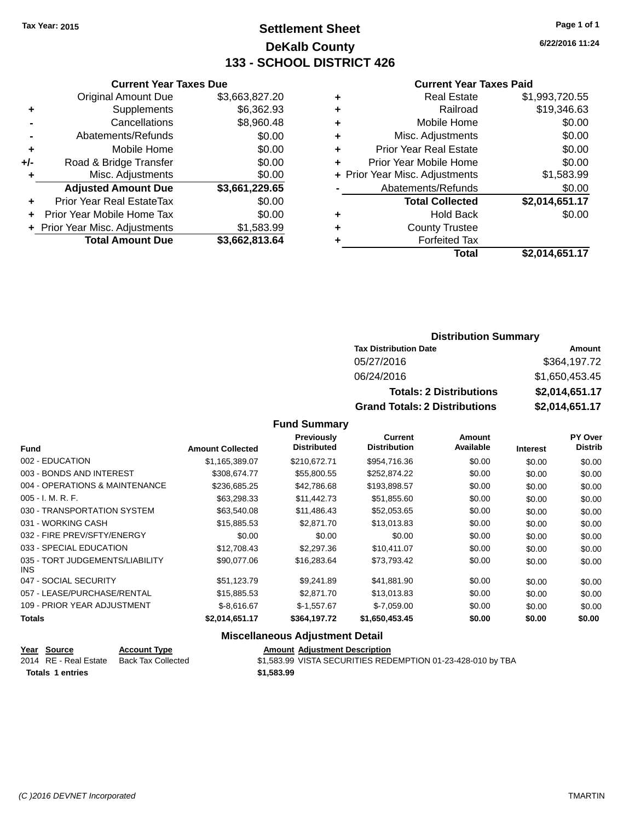# **Settlement Sheet Tax Year: 2015 Page 1 of 1 DeKalb County 133 - SCHOOL DISTRICT 426**

**6/22/2016 11:24**

#### **Current Year Taxes Paid**

|       | <b>Current Year Taxes Due</b>  |                |  |  |  |
|-------|--------------------------------|----------------|--|--|--|
|       | <b>Original Amount Due</b>     | \$3,663,827.20 |  |  |  |
| ٠     | Supplements                    | \$6,362.93     |  |  |  |
|       | Cancellations                  | \$8,960.48     |  |  |  |
|       | Abatements/Refunds             | \$0.00         |  |  |  |
| ٠     | Mobile Home                    | \$0.00         |  |  |  |
| $+/-$ | Road & Bridge Transfer         | \$0.00         |  |  |  |
|       | Misc. Adjustments              | \$0.00         |  |  |  |
|       | <b>Adjusted Amount Due</b>     | \$3,661,229.65 |  |  |  |
| ٠     | Prior Year Real EstateTax      | \$0.00         |  |  |  |
|       | Prior Year Mobile Home Tax     | \$0.00         |  |  |  |
|       | + Prior Year Misc. Adjustments | \$1,583.99     |  |  |  |
|       | <b>Total Amount Due</b>        | \$3,662,813.64 |  |  |  |
|       |                                |                |  |  |  |

|   | <b>Real Estate</b>             | \$1,993,720.55 |
|---|--------------------------------|----------------|
| ٠ | Railroad                       | \$19,346.63    |
| ٠ | Mobile Home                    | \$0.00         |
| ٠ | Misc. Adjustments              | \$0.00         |
| ٠ | <b>Prior Year Real Estate</b>  | \$0.00         |
| ٠ | Prior Year Mobile Home         | \$0.00         |
|   | + Prior Year Misc. Adjustments | \$1,583.99     |
|   | Abatements/Refunds             | \$0.00         |
|   | <b>Total Collected</b>         | \$2,014,651.17 |
| ٠ | Hold Back                      | \$0.00         |
| ٠ | <b>County Trustee</b>          |                |
| ٠ | <b>Forfeited Tax</b>           |                |
|   | Total                          | \$2,014,651.17 |
|   |                                |                |

### **Distribution Summary**

| <b>Tax Distribution Date</b>         | Amount         |  |  |
|--------------------------------------|----------------|--|--|
| 05/27/2016                           | \$364,197.72   |  |  |
| 06/24/2016                           | \$1,650,453.45 |  |  |
| <b>Totals: 2 Distributions</b>       | \$2,014,651.17 |  |  |
| <b>Grand Totals: 2 Distributions</b> | \$2,014,651.17 |  |  |

### **Fund Summary**

| <b>Fund</b>                                   | <b>Amount Collected</b> | <b>Previously</b><br><b>Distributed</b> | <b>Current</b><br><b>Distribution</b> | Amount<br>Available | <b>Interest</b> | PY Over<br><b>Distrib</b> |
|-----------------------------------------------|-------------------------|-----------------------------------------|---------------------------------------|---------------------|-----------------|---------------------------|
| 002 - EDUCATION                               | \$1,165,389.07          | \$210,672.71                            | \$954,716.36                          | \$0.00              | \$0.00          | \$0.00                    |
| 003 - BONDS AND INTEREST                      | \$308,674.77            | \$55,800.55                             | \$252.874.22                          | \$0.00              | \$0.00          | \$0.00                    |
| 004 - OPERATIONS & MAINTENANCE                | \$236,685.25            | \$42,786.68                             | \$193,898.57                          | \$0.00              | \$0.00          | \$0.00                    |
| 005 - I. M. R. F.                             | \$63,298.33             | \$11,442.73                             | \$51,855.60                           | \$0.00              | \$0.00          | \$0.00                    |
| 030 - TRANSPORTATION SYSTEM                   | \$63,540.08             | \$11,486.43                             | \$52,053.65                           | \$0.00              | \$0.00          | \$0.00                    |
| 031 - WORKING CASH                            | \$15,885.53             | \$2,871.70                              | \$13,013.83                           | \$0.00              | \$0.00          | \$0.00                    |
| 032 - FIRE PREV/SFTY/ENERGY                   | \$0.00                  | \$0.00                                  | \$0.00                                | \$0.00              | \$0.00          | \$0.00                    |
| 033 - SPECIAL EDUCATION                       | \$12,708.43             | \$2,297.36                              | \$10.411.07                           | \$0.00              | \$0.00          | \$0.00                    |
| 035 - TORT JUDGEMENTS/LIABILITY<br><b>INS</b> | \$90,077,06             | \$16,283,64                             | \$73,793.42                           | \$0.00              | \$0.00          | \$0.00                    |
| 047 - SOCIAL SECURITY                         | \$51,123.79             | \$9,241.89                              | \$41,881.90                           | \$0.00              | \$0.00          | \$0.00                    |
| 057 - LEASE/PURCHASE/RENTAL                   | \$15,885.53             | \$2,871.70                              | \$13,013.83                           | \$0.00              | \$0.00          | \$0.00                    |
| 109 - PRIOR YEAR ADJUSTMENT                   | $$-8.616.67$            | $$-1,557.67$                            | $$-7,059.00$                          | \$0.00              | \$0.00          | \$0.00                    |
| <b>Totals</b>                                 | \$2,014,651.17          | \$364,197.72                            | \$1,650,453.45                        | \$0.00              | \$0.00          | \$0.00                    |

|                  | Year Source           | <b>Account Type</b> | <b>Amount Adjustment Description</b>                        |
|------------------|-----------------------|---------------------|-------------------------------------------------------------|
|                  | 2014 RE - Real Estate | Back Tax Collected  | \$1,583.99 VISTA SECURITIES REDEMPTION 01-23-428-010 by TBA |
| Totals 1 entries |                       |                     | \$1,583.99                                                  |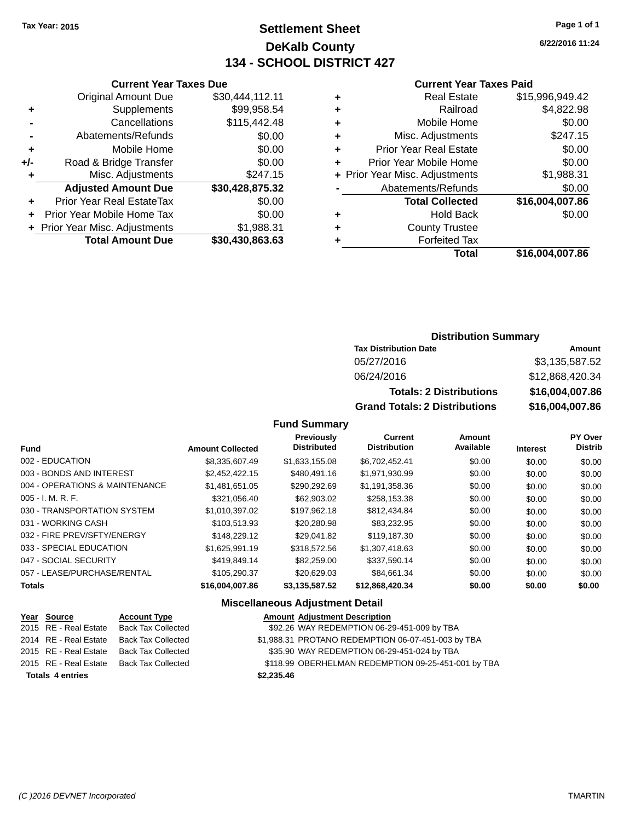# **Settlement Sheet Tax Year: 2015 Page 1 of 1 DeKalb County 134 - SCHOOL DISTRICT 427**

**6/22/2016 11:24**

#### **Current Year Taxes Paid**

|     | <b>Current Year Taxes Due</b>    |                 |  |  |  |
|-----|----------------------------------|-----------------|--|--|--|
|     | <b>Original Amount Due</b>       | \$30,444,112.11 |  |  |  |
| ٠   | Supplements                      | \$99,958.54     |  |  |  |
|     | Cancellations                    | \$115,442.48    |  |  |  |
|     | Abatements/Refunds               | \$0.00          |  |  |  |
| ٠   | Mobile Home                      | \$0.00          |  |  |  |
| +/- | Road & Bridge Transfer           | \$0.00          |  |  |  |
| ٠   | Misc. Adjustments                | \$247.15        |  |  |  |
|     | <b>Adjusted Amount Due</b>       | \$30,428,875.32 |  |  |  |
| ٠   | <b>Prior Year Real EstateTax</b> | \$0.00          |  |  |  |
| ÷   | Prior Year Mobile Home Tax       | \$0.00          |  |  |  |
|     | + Prior Year Misc. Adjustments   | \$1,988.31      |  |  |  |
|     | <b>Total Amount Due</b>          | \$30,430,863.63 |  |  |  |
|     |                                  |                 |  |  |  |

| ٠ | <b>Real Estate</b>             | \$15,996,949.42 |
|---|--------------------------------|-----------------|
| ٠ | Railroad                       | \$4,822.98      |
| ٠ | Mobile Home                    | \$0.00          |
| ٠ | Misc. Adjustments              | \$247.15        |
| ٠ | <b>Prior Year Real Estate</b>  | \$0.00          |
| ٠ | Prior Year Mobile Home         | \$0.00          |
|   | + Prior Year Misc. Adjustments | \$1,988.31      |
|   | Abatements/Refunds             | \$0.00          |
|   | <b>Total Collected</b>         | \$16,004,007.86 |
| ٠ | Hold Back                      | \$0.00          |
| ٠ | <b>County Trustee</b>          |                 |
| ٠ | <b>Forfeited Tax</b>           |                 |
|   | Total                          | \$16,004,007.86 |
|   |                                |                 |

### **Distribution Summary**

| <b>Tax Distribution Date</b>         | Amount          |
|--------------------------------------|-----------------|
| 05/27/2016                           | \$3,135,587.52  |
| 06/24/2016                           | \$12,868,420.34 |
| <b>Totals: 2 Distributions</b>       | \$16,004,007.86 |
| <b>Grand Totals: 2 Distributions</b> | \$16,004,007.86 |

### **Fund Summary**

|                                |                         | <b>Previously</b>  | <b>Current</b>      | Amount    |                 | <b>PY Over</b> |
|--------------------------------|-------------------------|--------------------|---------------------|-----------|-----------------|----------------|
| <b>Fund</b>                    | <b>Amount Collected</b> | <b>Distributed</b> | <b>Distribution</b> | Available | <b>Interest</b> | <b>Distrib</b> |
| 002 - EDUCATION                | \$8,335,607.49          | \$1,633,155.08     | \$6,702,452.41      | \$0.00    | \$0.00          | \$0.00         |
| 003 - BONDS AND INTEREST       | \$2,452,422.15          | \$480,491.16       | \$1,971,930.99      | \$0.00    | \$0.00          | \$0.00         |
| 004 - OPERATIONS & MAINTENANCE | \$1.481.651.05          | \$290.292.69       | \$1,191,358.36      | \$0.00    | \$0.00          | \$0.00         |
| $005 - I. M. R. F.$            | \$321,056.40            | \$62,903.02        | \$258,153.38        | \$0.00    | \$0.00          | \$0.00         |
| 030 - TRANSPORTATION SYSTEM    | \$1.010.397.02          | \$197.962.18       | \$812.434.84        | \$0.00    | \$0.00          | \$0.00         |
| 031 - WORKING CASH             | \$103.513.93            | \$20,280.98        | \$83,232.95         | \$0.00    | \$0.00          | \$0.00         |
| 032 - FIRE PREV/SFTY/ENERGY    | \$148,229.12            | \$29.041.82        | \$119,187.30        | \$0.00    | \$0.00          | \$0.00         |
| 033 - SPECIAL EDUCATION        | \$1,625,991.19          | \$318,572.56       | \$1,307,418.63      | \$0.00    | \$0.00          | \$0.00         |
| 047 - SOCIAL SECURITY          | \$419,849.14            | \$82,259.00        | \$337,590.14        | \$0.00    | \$0.00          | \$0.00         |
| 057 - LEASE/PURCHASE/RENTAL    | \$105.290.37            | \$20.629.03        | \$84.661.34         | \$0.00    | \$0.00          | \$0.00         |
| <b>Totals</b>                  | \$16,004,007.86         | \$3,135,587.52     | \$12,868,420.34     | \$0.00    | \$0.00          | \$0.00         |

| Year Source             | <b>Account Type</b>       | <b>Amount Adjustment Description</b>                |
|-------------------------|---------------------------|-----------------------------------------------------|
| 2015 RE - Real Estate   | <b>Back Tax Collected</b> | \$92.26 WAY REDEMPTION 06-29-451-009 by TBA         |
| 2014 RE - Real Estate   | <b>Back Tax Collected</b> | \$1,988.31 PROTANO REDEMPTION 06-07-451-003 by TBA  |
| 2015 RE - Real Estate   | <b>Back Tax Collected</b> | \$35.90 WAY REDEMPTION 06-29-451-024 by TBA         |
| 2015 RE - Real Estate   | Back Tax Collected        | \$118.99 OBERHELMAN REDEMPTION 09-25-451-001 by TBA |
| <b>Totals 4 entries</b> |                           | \$2,235.46                                          |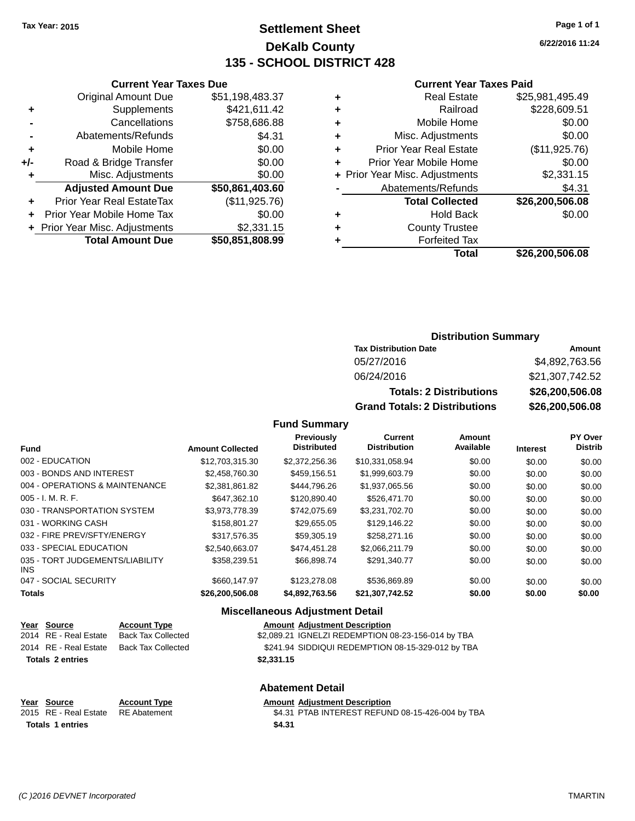# **Settlement Sheet Tax Year: 2015 Page 1 of 1 DeKalb County 135 - SCHOOL DISTRICT 428**

**6/22/2016 11:24**

#### **Current Year Taxes Paid**

| <b>Real Estate</b>            | \$25,981,495.49                |
|-------------------------------|--------------------------------|
| Railroad                      | \$228,609.51                   |
| Mobile Home                   | \$0.00                         |
| Misc. Adjustments             | \$0.00                         |
| <b>Prior Year Real Estate</b> | (\$11,925.76)                  |
| Prior Year Mobile Home        | \$0.00                         |
|                               | \$2,331.15                     |
| Abatements/Refunds            | \$4.31                         |
| <b>Total Collected</b>        | \$26,200,506.08                |
| <b>Hold Back</b>              | \$0.00                         |
| <b>County Trustee</b>         |                                |
| <b>Forfeited Tax</b>          |                                |
| Total                         | \$26,200,506.08                |
|                               | + Prior Year Misc. Adjustments |

|     | <b>Current Year Taxes Due</b>    |                 |  |  |  |  |  |
|-----|----------------------------------|-----------------|--|--|--|--|--|
|     | <b>Original Amount Due</b>       | \$51,198,483.37 |  |  |  |  |  |
| ٠   | Supplements                      | \$421,611.42    |  |  |  |  |  |
|     | Cancellations                    | \$758,686.88    |  |  |  |  |  |
|     | Abatements/Refunds               | \$4.31          |  |  |  |  |  |
| ٠   | Mobile Home                      | \$0.00          |  |  |  |  |  |
| +/- | Road & Bridge Transfer           | \$0.00          |  |  |  |  |  |
| ٠   | Misc. Adjustments                | \$0.00          |  |  |  |  |  |
|     | <b>Adjusted Amount Due</b>       | \$50,861,403.60 |  |  |  |  |  |
| ٠   | <b>Prior Year Real EstateTax</b> | (\$11,925.76)   |  |  |  |  |  |
|     | Prior Year Mobile Home Tax       | \$0.00          |  |  |  |  |  |
|     | + Prior Year Misc. Adjustments   | \$2,331.15      |  |  |  |  |  |
|     | <b>Total Amount Due</b>          | \$50,851,808.99 |  |  |  |  |  |

### **Distribution Summary**

| <b>Tax Distribution Date</b>         | Amount          |
|--------------------------------------|-----------------|
| 05/27/2016                           | \$4,892,763.56  |
| 06/24/2016                           | \$21,307,742.52 |
| <b>Totals: 2 Distributions</b>       | \$26,200,506.08 |
| <b>Grand Totals: 2 Distributions</b> | \$26,200,506.08 |

#### **Fund Summary**

| <b>Fund</b>                             | <b>Amount Collected</b> | <b>Previously</b><br><b>Distributed</b> | Current<br><b>Distribution</b> | Amount<br>Available | <b>Interest</b> | <b>PY Over</b><br><b>Distrib</b> |
|-----------------------------------------|-------------------------|-----------------------------------------|--------------------------------|---------------------|-----------------|----------------------------------|
| 002 - EDUCATION                         | \$12,703,315.30         | \$2,372,256.36                          | \$10,331,058.94                | \$0.00              | \$0.00          | \$0.00                           |
| 003 - BONDS AND INTEREST                | \$2,458,760.30          | \$459,156.51                            | \$1,999,603.79                 | \$0.00              | \$0.00          | \$0.00                           |
| 004 - OPERATIONS & MAINTENANCE          | \$2.381.861.82          | \$444.796.26                            | \$1,937,065.56                 | \$0.00              | \$0.00          | \$0.00                           |
| $005 - I. M. R. F.$                     | \$647.362.10            | \$120,890.40                            | \$526,471.70                   | \$0.00              | \$0.00          | \$0.00                           |
| 030 - TRANSPORTATION SYSTEM             | \$3.973.778.39          | \$742.075.69                            | \$3,231,702.70                 | \$0.00              | \$0.00          | \$0.00                           |
| 031 - WORKING CASH                      | \$158,801.27            | \$29.655.05                             | \$129,146.22                   | \$0.00              | \$0.00          | \$0.00                           |
| 032 - FIRE PREV/SFTY/ENERGY             | \$317.576.35            | \$59,305.19                             | \$258,271.16                   | \$0.00              | \$0.00          | \$0.00                           |
| 033 - SPECIAL EDUCATION                 | \$2,540,663,07          | \$474.451.28                            | \$2,066,211.79                 | \$0.00              | \$0.00          | \$0.00                           |
| 035 - TORT JUDGEMENTS/LIABILITY<br>INS. | \$358,239.51            | \$66.898.74                             | \$291.340.77                   | \$0.00              | \$0.00          | \$0.00                           |
| 047 - SOCIAL SECURITY                   | \$660,147.97            | \$123,278,08                            | \$536.869.89                   | \$0.00              | \$0.00          | \$0.00                           |
| <b>Totals</b>                           | \$26,200,506.08         | \$4,892,763.56                          | \$21,307,742.52                | \$0.00              | \$0.00          | \$0.00                           |

#### **Miscellaneous Adjustment Detail**

|                         | Year Source           | <b>Account Type</b>       | <b>Amount Adjustment Description</b>                |
|-------------------------|-----------------------|---------------------------|-----------------------------------------------------|
|                         | 2014 RE - Real Estate | <b>Back Tax Collected</b> | \$2,089.21 IGNELZI REDEMPTION 08-23-156-014 by TBA  |
|                         | 2014 RE - Real Estate | <b>Back Tax Collected</b> | \$241.94 SIDDIQUI REDEMPTION 08-15-329-012 by TBA   |
| <b>Totals 2 entries</b> |                       |                           | \$2,331.15                                          |
|                         |                       |                           | <b>Abatement Detail</b>                             |
| Year                    | Source                | <b>Account Type</b>       | <b>Amount Adjustment Description</b>                |
|                         | $204E$ DE Dool Estate | $DE$ Abotamant            | $R$ 4.34 DTAD INTEDECT DEELIND 00.45 426 004 by TRA |

2015 RE - Real Estate RE Abatement **\$4.31 PTAB INTEREST REFUND 08-15-426-004 by TBA Totals \$4.31 1 entries**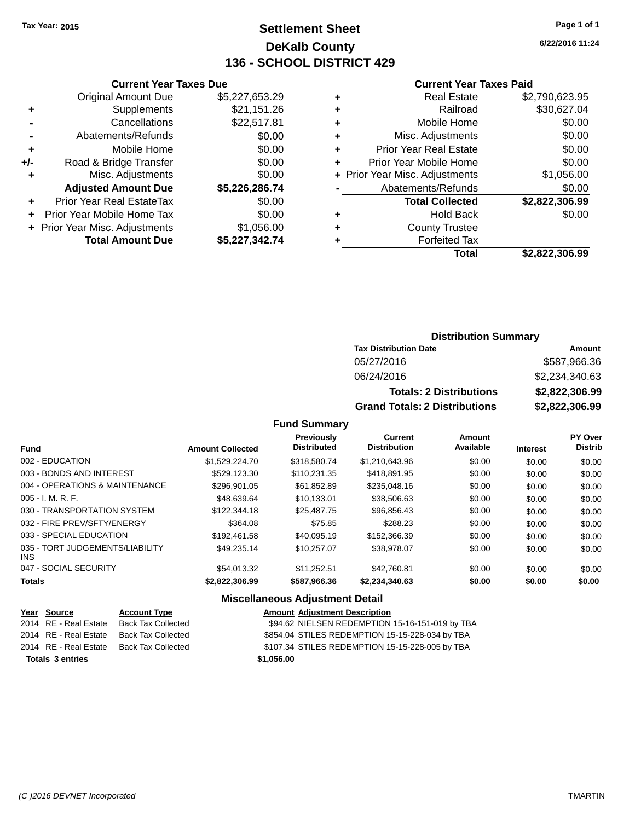# **Settlement Sheet Tax Year: 2015 Page 1 of 1 DeKalb County 136 - SCHOOL DISTRICT 429**

**6/22/2016 11:24**

#### **Current Year Taxes Paid**

|       | <b>Current Year Taxes Due</b>  |                |
|-------|--------------------------------|----------------|
|       | <b>Original Amount Due</b>     | \$5,227,653.29 |
| ٠     | Supplements                    | \$21,151.26    |
|       | Cancellations                  | \$22,517.81    |
|       | Abatements/Refunds             | \$0.00         |
| ٠     | Mobile Home                    | \$0.00         |
| $+/-$ | Road & Bridge Transfer         | \$0.00         |
| ٠     | Misc. Adjustments              | \$0.00         |
|       | <b>Adjusted Amount Due</b>     | \$5,226,286.74 |
| ٠     | Prior Year Real EstateTax      | \$0.00         |
|       | Prior Year Mobile Home Tax     | \$0.00         |
|       | + Prior Year Misc. Adjustments | \$1,056.00     |
|       | <b>Total Amount Due</b>        | \$5,227,342.74 |
|       |                                |                |

|   | <b>Real Estate</b>             | \$2,790,623.95 |
|---|--------------------------------|----------------|
| ٠ | Railroad                       | \$30,627.04    |
| ٠ | Mobile Home                    | \$0.00         |
| ٠ | Misc. Adjustments              | \$0.00         |
| ٠ | <b>Prior Year Real Estate</b>  | \$0.00         |
| ٠ | Prior Year Mobile Home         | \$0.00         |
|   | + Prior Year Misc. Adjustments | \$1,056.00     |
|   | Abatements/Refunds             | \$0.00         |
|   | <b>Total Collected</b>         | \$2,822,306.99 |
| ٠ | <b>Hold Back</b>               | \$0.00         |
| ٠ | <b>County Trustee</b>          |                |
| ٠ | <b>Forfeited Tax</b>           |                |
|   | Total                          | \$2,822,306.99 |
|   |                                |                |

## **Distribution Summary**

| <b>Tax Distribution Date</b>         | Amount         |
|--------------------------------------|----------------|
| 05/27/2016                           | \$587,966.36   |
| 06/24/2016                           | \$2,234,340.63 |
| <b>Totals: 2 Distributions</b>       | \$2,822,306.99 |
| <b>Grand Totals: 2 Distributions</b> | \$2,822,306.99 |

### **Fund Summary**

| Fund                                    | <b>Amount Collected</b> | <b>Previously</b><br><b>Distributed</b> | Current<br><b>Distribution</b> | Amount<br>Available | <b>Interest</b> | PY Over<br><b>Distrib</b> |
|-----------------------------------------|-------------------------|-----------------------------------------|--------------------------------|---------------------|-----------------|---------------------------|
| 002 - EDUCATION                         | \$1,529,224.70          | \$318,580.74                            | \$1,210,643.96                 | \$0.00              | \$0.00          | \$0.00                    |
| 003 - BONDS AND INTEREST                | \$529,123.30            | \$110.231.35                            | \$418.891.95                   | \$0.00              | \$0.00          | \$0.00                    |
| 004 - OPERATIONS & MAINTENANCE          | \$296.901.05            | \$61.852.89                             | \$235,048.16                   | \$0.00              | \$0.00          | \$0.00                    |
| $005 - I. M. R. F.$                     | \$48.639.64             | \$10.133.01                             | \$38,506.63                    | \$0.00              | \$0.00          | \$0.00                    |
| 030 - TRANSPORTATION SYSTEM             | \$122,344.18            | \$25,487.75                             | \$96,856.43                    | \$0.00              | \$0.00          | \$0.00                    |
| 032 - FIRE PREV/SFTY/ENERGY             | \$364.08                | \$75.85                                 | \$288.23                       | \$0.00              | \$0.00          | \$0.00                    |
| 033 - SPECIAL EDUCATION                 | \$192.461.58            | \$40.095.19                             | \$152,366,39                   | \$0.00              | \$0.00          | \$0.00                    |
| 035 - TORT JUDGEMENTS/LIABILITY<br>INS. | \$49.235.14             | \$10.257.07                             | \$38,978.07                    | \$0.00              | \$0.00          | \$0.00                    |
| 047 - SOCIAL SECURITY                   | \$54,013.32             | \$11.252.51                             | \$42,760.81                    | \$0.00              | \$0.00          | \$0.00                    |
| <b>Totals</b>                           | \$2,822,306.99          | \$587,966.36                            | \$2,234,340.63                 | \$0.00              | \$0.00          | \$0.00                    |

| Year Source             | <b>Account Type</b>                      |            | <b>Amount Adjustment Description</b>            |
|-------------------------|------------------------------------------|------------|-------------------------------------------------|
| 2014 RE - Real Estate   | Back Tax Collected                       |            | \$94.62 NIELSEN REDEMPTION 15-16-151-019 by TBA |
|                         | 2014 RE - Real Estate Back Tax Collected |            | \$854.04 STILES REDEMPTION 15-15-228-034 by TBA |
|                         | 2014 RE - Real Estate Back Tax Collected |            | \$107.34 STILES REDEMPTION 15-15-228-005 by TBA |
| <b>Totals 3 entries</b> |                                          | \$1,056,00 |                                                 |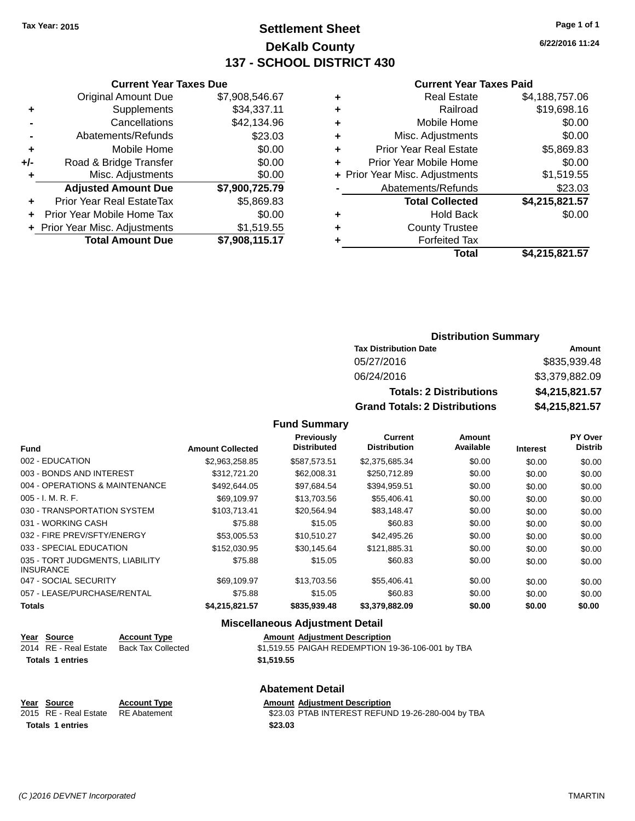# **Settlement Sheet Tax Year: 2015 Page 1 of 1 DeKalb County 137 - SCHOOL DISTRICT 430**

**6/22/2016 11:24**

#### **Current Year Taxes Paid**

|     | <b>Current Year Taxes Due</b>  |                |  |  |  |
|-----|--------------------------------|----------------|--|--|--|
|     | <b>Original Amount Due</b>     | \$7,908,546.67 |  |  |  |
| ٠   | Supplements                    | \$34,337.11    |  |  |  |
|     | Cancellations                  | \$42,134.96    |  |  |  |
|     | Abatements/Refunds             | \$23.03        |  |  |  |
| ٠   | Mobile Home                    | \$0.00         |  |  |  |
| +/- | Road & Bridge Transfer         | \$0.00         |  |  |  |
| ٠   | Misc. Adjustments              | \$0.00         |  |  |  |
|     | <b>Adjusted Amount Due</b>     | \$7,900,725.79 |  |  |  |
| ٠   | Prior Year Real EstateTax      | \$5,869.83     |  |  |  |
|     | Prior Year Mobile Home Tax     | \$0.00         |  |  |  |
|     | + Prior Year Misc. Adjustments | \$1,519.55     |  |  |  |
|     | <b>Total Amount Due</b>        | \$7,908,115.17 |  |  |  |
|     |                                |                |  |  |  |

|   | <b>Real Estate</b>             | \$4,188,757.06 |
|---|--------------------------------|----------------|
| ٠ | Railroad                       | \$19,698.16    |
| ٠ | Mobile Home                    | \$0.00         |
| ٠ | Misc. Adjustments              | \$0.00         |
| ٠ | <b>Prior Year Real Estate</b>  | \$5,869.83     |
| ٠ | Prior Year Mobile Home         | \$0.00         |
|   | + Prior Year Misc. Adjustments | \$1,519.55     |
|   | Abatements/Refunds             | \$23.03        |
|   | <b>Total Collected</b>         | \$4,215,821.57 |
| ٠ | <b>Hold Back</b>               | \$0.00         |
| ٠ | <b>County Trustee</b>          |                |
| ٠ | <b>Forfeited Tax</b>           |                |
|   | Total                          | \$4,215,821.57 |
|   |                                |                |

# **Distribution Summary**

| <b>Tax Distribution Date</b>         | Amount         |
|--------------------------------------|----------------|
| 05/27/2016                           | \$835,939.48   |
| 06/24/2016                           | \$3,379,882.09 |
| <b>Totals: 2 Distributions</b>       | \$4,215,821.57 |
| <b>Grand Totals: 2 Distributions</b> | \$4,215,821.57 |

### **Fund Summary**

| <b>Fund</b>                                         | <b>Amount Collected</b> | Previously<br><b>Distributed</b> | <b>Current</b><br><b>Distribution</b> | Amount<br>Available | <b>Interest</b> | PY Over<br><b>Distrib</b> |
|-----------------------------------------------------|-------------------------|----------------------------------|---------------------------------------|---------------------|-----------------|---------------------------|
| 002 - EDUCATION                                     | \$2,963,258.85          | \$587,573.51                     | \$2,375,685.34                        | \$0.00              | \$0.00          | \$0.00                    |
| 003 - BONDS AND INTEREST                            | \$312,721.20            | \$62,008.31                      | \$250,712.89                          | \$0.00              | \$0.00          | \$0.00                    |
| 004 - OPERATIONS & MAINTENANCE                      | \$492,644.05            | \$97.684.54                      | \$394,959.51                          | \$0.00              | \$0.00          | \$0.00                    |
| $005 - I. M. R. F.$                                 | \$69,109.97             | \$13,703.56                      | \$55,406.41                           | \$0.00              | \$0.00          | \$0.00                    |
| 030 - TRANSPORTATION SYSTEM                         | \$103.713.41            | \$20.564.94                      | \$83.148.47                           | \$0.00              | \$0.00          | \$0.00                    |
| 031 - WORKING CASH                                  | \$75.88                 | \$15.05                          | \$60.83                               | \$0.00              | \$0.00          | \$0.00                    |
| 032 - FIRE PREV/SFTY/ENERGY                         | \$53,005.53             | \$10,510.27                      | \$42,495.26                           | \$0.00              | \$0.00          | \$0.00                    |
| 033 - SPECIAL EDUCATION                             | \$152,030.95            | \$30,145.64                      | \$121,885.31                          | \$0.00              | \$0.00          | \$0.00                    |
| 035 - TORT JUDGMENTS, LIABILITY<br><b>INSURANCE</b> | \$75.88                 | \$15.05                          | \$60.83                               | \$0.00              | \$0.00          | \$0.00                    |
| 047 - SOCIAL SECURITY                               | \$69.109.97             | \$13,703.56                      | \$55,406.41                           | \$0.00              | \$0.00          | \$0.00                    |
| 057 - LEASE/PURCHASE/RENTAL                         | \$75.88                 | \$15.05                          | \$60.83                               | \$0.00              | \$0.00          | \$0.00                    |
| <b>Totals</b>                                       | \$4,215,821.57          | \$835,939.48                     | \$3,379,882.09                        | \$0.00              | \$0.00          | \$0.00                    |

### **Miscellaneous Adjustment Detail**

| Year Source           | <b>Account Type</b> | <b>Amount Adjustment Description</b>              |
|-----------------------|---------------------|---------------------------------------------------|
| 2014 RE - Real Estate | Back Tax Collected  | \$1,519.55 PAIGAH REDEMPTION 19-36-106-001 by TBA |
| Totals 1 entries      |                     | \$1,519.55                                        |
|                       |                     |                                                   |

#### **Abatement Detail**

| Year Source                        | <b>Account Type</b> | <b>Amount Adiustment Description</b>              |  |
|------------------------------------|---------------------|---------------------------------------------------|--|
| 2015 RE - Real Estate RE Abatement |                     | \$23.03 PTAB INTEREST REFUND 19-26-280-004 by TBA |  |
| <b>Totals 1 entries</b>            |                     | \$23.03                                           |  |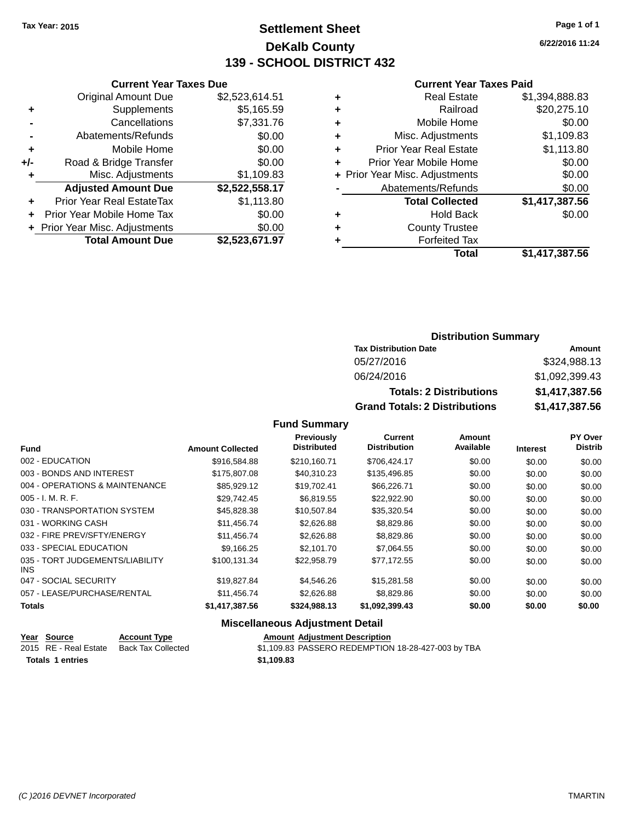# **Settlement Sheet Tax Year: 2015 Page 1 of 1 DeKalb County 139 - SCHOOL DISTRICT 432**

**6/22/2016 11:24**

#### **Current Year Taxes Paid**

|     | <b>Current Year Taxes Due</b> |                |
|-----|-------------------------------|----------------|
|     | <b>Original Amount Due</b>    | \$2,523,614.51 |
| ٠   | Supplements                   | \$5,165.59     |
|     | Cancellations                 | \$7,331.76     |
|     | Abatements/Refunds            | \$0.00         |
| ٠   | Mobile Home                   | \$0.00         |
| +/- | Road & Bridge Transfer        | \$0.00         |
|     | Misc. Adjustments             | \$1,109.83     |
|     | <b>Adjusted Amount Due</b>    | \$2,522,558.17 |
| ÷   | Prior Year Real EstateTax     | \$1,113.80     |
|     | Prior Year Mobile Home Tax    | \$0.00         |
|     | Prior Year Misc. Adjustments  | \$0.00         |
|     | <b>Total Amount Due</b>       | \$2.523.671.97 |
|     |                               |                |

| ٠ | <b>Real Estate</b>             | \$1,394,888.83 |
|---|--------------------------------|----------------|
| ٠ | Railroad                       | \$20,275.10    |
| ٠ | Mobile Home                    | \$0.00         |
| ٠ | Misc. Adjustments              | \$1,109.83     |
| ٠ | <b>Prior Year Real Estate</b>  | \$1,113.80     |
| ٠ | Prior Year Mobile Home         | \$0.00         |
|   | + Prior Year Misc. Adjustments | \$0.00         |
|   | Abatements/Refunds             | \$0.00         |
|   | <b>Total Collected</b>         | \$1,417,387.56 |
| ٠ | <b>Hold Back</b>               | \$0.00         |
| ٠ | <b>County Trustee</b>          |                |
| ٠ | <b>Forfeited Tax</b>           |                |
|   | Total                          | \$1,417,387.56 |
|   |                                |                |

### **Distribution Summary Tax Distribution Date Amount** 05/27/2016 \$324,988.13 06/24/2016 \$1,092,399.43 **Totals: 2 Distributions \$1,417,387.56 Grand Totals: 2 Distributions \$1,417,387.56**

#### **Fund Summary**

| <b>Fund</b>                             | <b>Amount Collected</b> | Previously<br><b>Distributed</b> | Current<br><b>Distribution</b> | <b>Amount</b><br>Available | <b>Interest</b> | <b>PY Over</b><br><b>Distrib</b> |
|-----------------------------------------|-------------------------|----------------------------------|--------------------------------|----------------------------|-----------------|----------------------------------|
| 002 - EDUCATION                         | \$916,584.88            | \$210.160.71                     | \$706,424.17                   | \$0.00                     | \$0.00          | \$0.00                           |
| 003 - BONDS AND INTEREST                | \$175,807.08            | \$40,310.23                      | \$135,496.85                   | \$0.00                     | \$0.00          | \$0.00                           |
| 004 - OPERATIONS & MAINTENANCE          | \$85.929.12             | \$19.702.41                      | \$66,226,71                    | \$0.00                     | \$0.00          | \$0.00                           |
| $005 - I. M. R. F.$                     | \$29.742.45             | \$6.819.55                       | \$22,922.90                    | \$0.00                     | \$0.00          | \$0.00                           |
| 030 - TRANSPORTATION SYSTEM             | \$45,828.38             | \$10,507.84                      | \$35,320.54                    | \$0.00                     | \$0.00          | \$0.00                           |
| 031 - WORKING CASH                      | \$11,456.74             | \$2,626.88                       | \$8,829.86                     | \$0.00                     | \$0.00          | \$0.00                           |
| 032 - FIRE PREV/SFTY/ENERGY             | \$11,456.74             | \$2,626.88                       | \$8,829.86                     | \$0.00                     | \$0.00          | \$0.00                           |
| 033 - SPECIAL EDUCATION                 | \$9,166.25              | \$2,101.70                       | \$7,064.55                     | \$0.00                     | \$0.00          | \$0.00                           |
| 035 - TORT JUDGEMENTS/LIABILITY<br>INS. | \$100.131.34            | \$22.958.79                      | \$77.172.55                    | \$0.00                     | \$0.00          | \$0.00                           |
| 047 - SOCIAL SECURITY                   | \$19,827.84             | \$4,546.26                       | \$15,281.58                    | \$0.00                     | \$0.00          | \$0.00                           |
| 057 - LEASE/PURCHASE/RENTAL             | \$11,456.74             | \$2,626.88                       | \$8,829.86                     | \$0.00                     | \$0.00          | \$0.00                           |
| <b>Totals</b>                           | \$1,417,387.56          | \$324,988.13                     | \$1,092,399.43                 | \$0.00                     | \$0.00          | \$0.00                           |

| Year Source             | <b>Account Type</b> | <b>Amount Adiustment Description</b>               |
|-------------------------|---------------------|----------------------------------------------------|
| 2015 RE - Real Estate   | Back Tax Collected  | \$1,109.83 PASSERO REDEMPTION 18-28-427-003 by TBA |
| <b>Totals 1 entries</b> |                     | \$1.109.83                                         |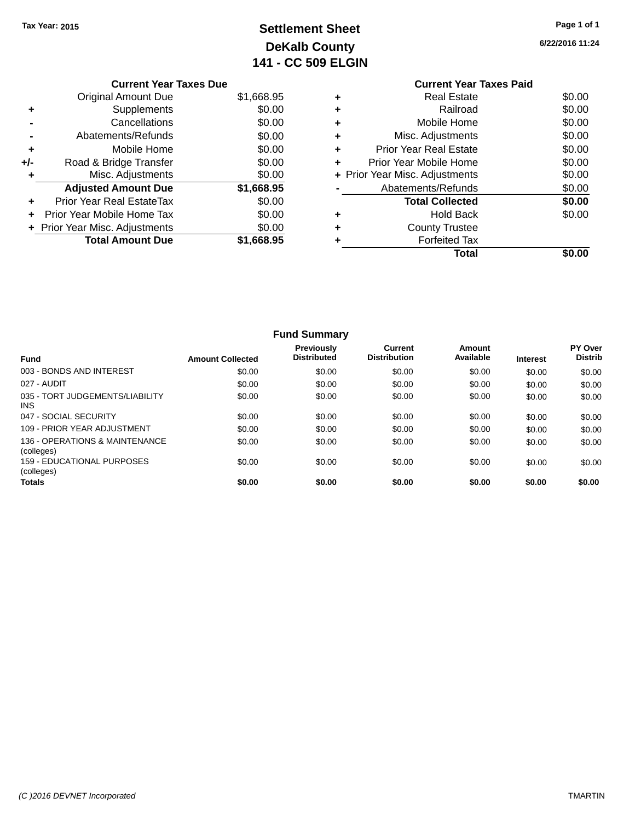# **Settlement Sheet Tax Year: 2015 Page 1 of 1 DeKalb County 141 - CC 509 ELGIN**

**6/22/2016 11:24**

|     | <b>Current Year Taxes Due</b>  |            |  |  |  |  |
|-----|--------------------------------|------------|--|--|--|--|
|     | Original Amount Due            | \$1,668.95 |  |  |  |  |
|     | Supplements                    | \$0.00     |  |  |  |  |
|     | Cancellations                  | \$0.00     |  |  |  |  |
|     | Abatements/Refunds             | \$0.00     |  |  |  |  |
| ٠   | Mobile Home                    | \$0.00     |  |  |  |  |
| +/- | Road & Bridge Transfer         | \$0.00     |  |  |  |  |
|     | Misc. Adjustments              | \$0.00     |  |  |  |  |
|     | <b>Adjusted Amount Due</b>     | \$1,668.95 |  |  |  |  |
| ٠   | Prior Year Real EstateTax      | \$0.00     |  |  |  |  |
|     | Prior Year Mobile Home Tax     | \$0.00     |  |  |  |  |
|     | + Prior Year Misc. Adjustments | \$0.00     |  |  |  |  |
|     | <b>Total Amount Due</b>        | \$1.668.95 |  |  |  |  |
|     |                                |            |  |  |  |  |

### **Current Year Taxes Paid +** Real Estate \$0.00 **+** Railroad \$0.00 **+** Mobile Home \$0.00 **+** Misc. Adjustments \$0.00 **+** Prior Year Real Estate \$0.00 **+** Prior Year Mobile Home \$0.00<br> **+** Prior Year Misc. Adjustments \$0.00 **+ Prior Year Misc. Adjustments -** Abatements/Refunds \$0.00 **Total Collected \$0.00 +** Hold Back \$0.00 **+** County Trustee **+** Forfeited Tax **Total \$0.00**

| <b>Fund Summary</b>                             |                         |                                         |                                       |                     |                 |                                  |
|-------------------------------------------------|-------------------------|-----------------------------------------|---------------------------------------|---------------------|-----------------|----------------------------------|
| <b>Fund</b>                                     | <b>Amount Collected</b> | <b>Previously</b><br><b>Distributed</b> | <b>Current</b><br><b>Distribution</b> | Amount<br>Available | <b>Interest</b> | <b>PY Over</b><br><b>Distrib</b> |
| 003 - BONDS AND INTEREST                        | \$0.00                  | \$0.00                                  | \$0.00                                | \$0.00              | \$0.00          | \$0.00                           |
| 027 - AUDIT                                     | \$0.00                  | \$0.00                                  | \$0.00                                | \$0.00              | \$0.00          | \$0.00                           |
| 035 - TORT JUDGEMENTS/LIABILITY<br><b>INS</b>   | \$0.00                  | \$0.00                                  | \$0.00                                | \$0.00              | \$0.00          | \$0.00                           |
| 047 - SOCIAL SECURITY                           | \$0.00                  | \$0.00                                  | \$0.00                                | \$0.00              | \$0.00          | \$0.00                           |
| 109 - PRIOR YEAR ADJUSTMENT                     | \$0.00                  | \$0.00                                  | \$0.00                                | \$0.00              | \$0.00          | \$0.00                           |
| 136 - OPERATIONS & MAINTENANCE<br>(colleges)    | \$0.00                  | \$0.00                                  | \$0.00                                | \$0.00              | \$0.00          | \$0.00                           |
| <b>159 - EDUCATIONAL PURPOSES</b><br>(colleges) | \$0.00                  | \$0.00                                  | \$0.00                                | \$0.00              | \$0.00          | \$0.00                           |
| <b>Totals</b>                                   | \$0.00                  | \$0.00                                  | \$0.00                                | \$0.00              | \$0.00          | \$0.00                           |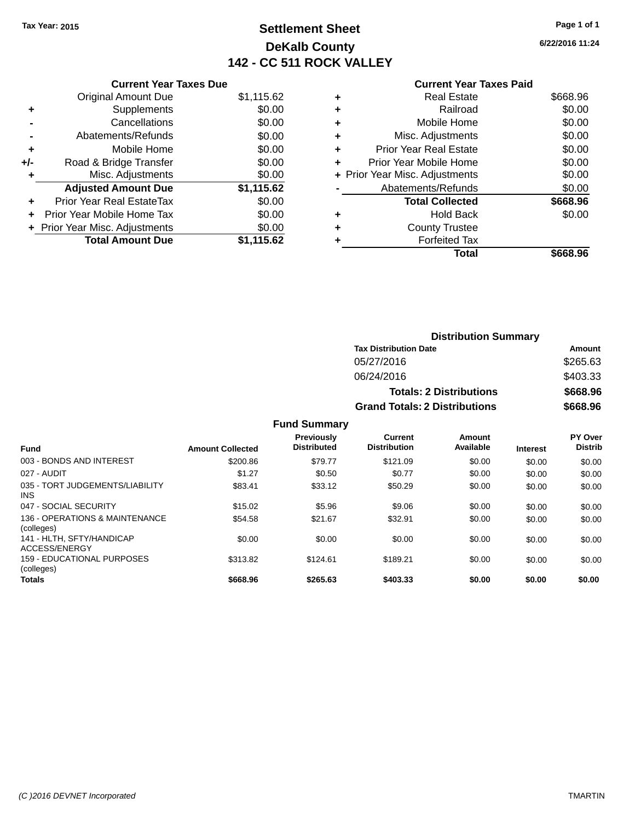# **Settlement Sheet Tax Year: 2015 Page 1 of 1 DeKalb County 142 - CC 511 ROCK VALLEY**

**6/22/2016 11:24**

|     | <b>Current Year Taxes Due</b>  |            |  |  |  |
|-----|--------------------------------|------------|--|--|--|
|     | <b>Original Amount Due</b>     | \$1,115.62 |  |  |  |
| ٠   | Supplements                    | \$0.00     |  |  |  |
|     | Cancellations                  | \$0.00     |  |  |  |
|     | Abatements/Refunds             | \$0.00     |  |  |  |
| ٠   | Mobile Home                    | \$0.00     |  |  |  |
| +/- | Road & Bridge Transfer         | \$0.00     |  |  |  |
| ٠   | Misc. Adjustments              | \$0.00     |  |  |  |
|     | <b>Adjusted Amount Due</b>     | \$1,115.62 |  |  |  |
| ÷   | Prior Year Real EstateTax      | \$0.00     |  |  |  |
| ÷   | Prior Year Mobile Home Tax     | \$0.00     |  |  |  |
|     | + Prior Year Misc. Adjustments | \$0.00     |  |  |  |
|     | <b>Total Amount Due</b>        | \$1.115.62 |  |  |  |

### **Current Year Taxes Paid**

| <b>Real Estate</b>             | \$668.96 |
|--------------------------------|----------|
| Railroad                       | \$0.00   |
| Mobile Home                    | \$0.00   |
| Misc. Adjustments              | \$0.00   |
| <b>Prior Year Real Estate</b>  | \$0.00   |
| Prior Year Mobile Home         | \$0.00   |
| + Prior Year Misc. Adjustments | \$0.00   |
| Abatements/Refunds             | \$0.00   |
| <b>Total Collected</b>         | \$668.96 |
| <b>Hold Back</b>               | \$0.00   |
| <b>County Trustee</b>          |          |
| <b>Forfeited Tax</b>           |          |
| Total                          | \$668.96 |
|                                |          |

| <b>Distribution Summary</b>          |          |  |  |  |
|--------------------------------------|----------|--|--|--|
| <b>Tax Distribution Date</b>         | Amount   |  |  |  |
| 05/27/2016                           | \$265.63 |  |  |  |
| 06/24/2016                           | \$403.33 |  |  |  |
| <b>Totals: 2 Distributions</b>       | \$668.96 |  |  |  |
| <b>Grand Totals: 2 Distributions</b> | \$668.96 |  |  |  |

| <b>Fund</b>                                     | <b>Amount Collected</b> | <b>Previously</b><br><b>Distributed</b> | Current<br><b>Distribution</b> | Amount<br>Available | <b>Interest</b> | PY Over<br><b>Distrib</b> |
|-------------------------------------------------|-------------------------|-----------------------------------------|--------------------------------|---------------------|-----------------|---------------------------|
| 003 - BONDS AND INTEREST                        | \$200.86                | \$79.77                                 | \$121.09                       | \$0.00              | \$0.00          | \$0.00                    |
| 027 - AUDIT                                     | \$1.27                  | \$0.50                                  | \$0.77                         | \$0.00              | \$0.00          | \$0.00                    |
| 035 - TORT JUDGEMENTS/LIABILITY<br><b>INS</b>   | \$83.41                 | \$33.12                                 | \$50.29                        | \$0.00              | \$0.00          | \$0.00                    |
| 047 - SOCIAL SECURITY                           | \$15.02                 | \$5.96                                  | \$9.06                         | \$0.00              | \$0.00          | \$0.00                    |
| 136 - OPERATIONS & MAINTENANCE<br>(colleges)    | \$54.58                 | \$21.67                                 | \$32.91                        | \$0.00              | \$0.00          | \$0.00                    |
| 141 - HLTH, SFTY/HANDICAP<br>ACCESS/ENERGY      | \$0.00                  | \$0.00                                  | \$0.00                         | \$0.00              | \$0.00          | \$0.00                    |
| <b>159 - EDUCATIONAL PURPOSES</b><br>(colleges) | \$313.82                | \$124.61                                | \$189.21                       | \$0.00              | \$0.00          | \$0.00                    |
| <b>Totals</b>                                   | \$668.96                | \$265.63                                | \$403.33                       | \$0.00              | \$0.00          | \$0.00                    |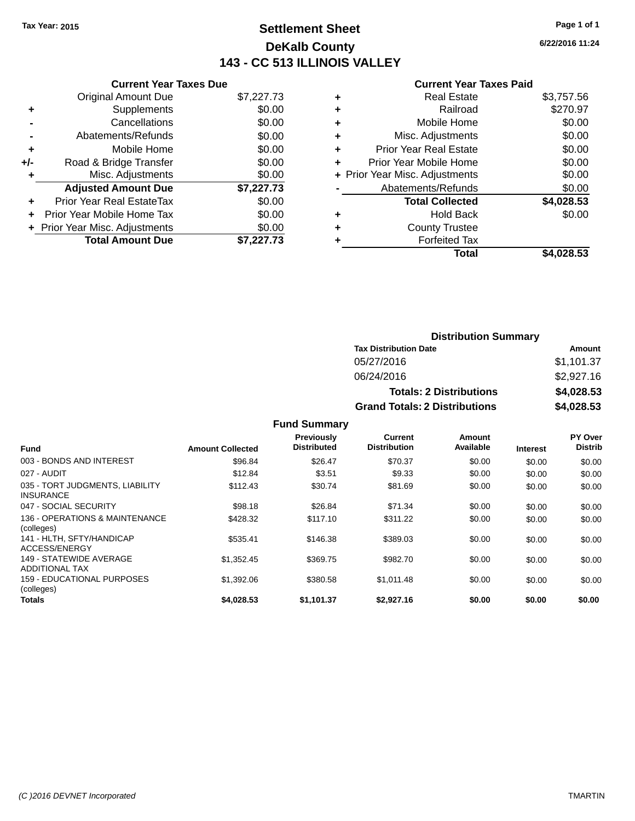# **Settlement Sheet Tax Year: 2015 Page 1 of 1 DeKalb County 143 - CC 513 ILLINOIS VALLEY**

**6/22/2016 11:24**

### **Current Year Taxes Paid**

| <b>Current Year Taxes Due</b>            |            |  |  |  |  |  |
|------------------------------------------|------------|--|--|--|--|--|
| <b>Original Amount Due</b><br>\$7,227.73 |            |  |  |  |  |  |
| Supplements                              | \$0.00     |  |  |  |  |  |
| Cancellations                            | \$0.00     |  |  |  |  |  |
| Abatements/Refunds                       | \$0.00     |  |  |  |  |  |
| Mobile Home                              | \$0.00     |  |  |  |  |  |
| Road & Bridge Transfer                   | \$0.00     |  |  |  |  |  |
| Misc. Adjustments                        | \$0.00     |  |  |  |  |  |
| <b>Adjusted Amount Due</b>               | \$7,227.73 |  |  |  |  |  |
| Prior Year Real EstateTax                | \$0.00     |  |  |  |  |  |
| Prior Year Mobile Home Tax               | \$0.00     |  |  |  |  |  |
| + Prior Year Misc. Adjustments           | \$0.00     |  |  |  |  |  |
| <b>Total Amount Due</b>                  | \$7.227.73 |  |  |  |  |  |
|                                          |            |  |  |  |  |  |

|   | <b>Real Estate</b>             | \$3,757.56 |
|---|--------------------------------|------------|
| ٠ | Railroad                       | \$270.97   |
| ٠ | Mobile Home                    | \$0.00     |
| ٠ | Misc. Adjustments              | \$0.00     |
| ٠ | <b>Prior Year Real Estate</b>  | \$0.00     |
|   | Prior Year Mobile Home         | \$0.00     |
|   | + Prior Year Misc. Adjustments | \$0.00     |
|   | Abatements/Refunds             | \$0.00     |
|   | <b>Total Collected</b>         | \$4,028.53 |
| ٠ | <b>Hold Back</b>               | \$0.00     |
|   | <b>County Trustee</b>          |            |
| ٠ | <b>Forfeited Tax</b>           |            |
|   | Total                          | \$4.028.53 |
|   |                                |            |

| <b>Distribution Summary</b>          |            |  |  |  |
|--------------------------------------|------------|--|--|--|
| <b>Tax Distribution Date</b>         | Amount     |  |  |  |
| 05/27/2016                           | \$1,101.37 |  |  |  |
| 06/24/2016                           | \$2,927.16 |  |  |  |
| <b>Totals: 2 Distributions</b>       | \$4,028.53 |  |  |  |
| <b>Grand Totals: 2 Distributions</b> | \$4,028.53 |  |  |  |

| Fund                                                | <b>Amount Collected</b> | Previously<br><b>Distributed</b> | <b>Current</b><br><b>Distribution</b> | Amount<br>Available | <b>Interest</b> | PY Over<br><b>Distrib</b> |
|-----------------------------------------------------|-------------------------|----------------------------------|---------------------------------------|---------------------|-----------------|---------------------------|
| 003 - BONDS AND INTEREST                            | \$96.84                 | \$26.47                          | \$70.37                               | \$0.00              | \$0.00          | \$0.00                    |
| 027 - AUDIT                                         | \$12.84                 | \$3.51                           | \$9.33                                | \$0.00              | \$0.00          | \$0.00                    |
| 035 - TORT JUDGMENTS, LIABILITY<br><b>INSURANCE</b> | \$112.43                | \$30.74                          | \$81.69                               | \$0.00              | \$0.00          | \$0.00                    |
| 047 - SOCIAL SECURITY                               | \$98.18                 | \$26.84                          | \$71.34                               | \$0.00              | \$0.00          | \$0.00                    |
| 136 - OPERATIONS & MAINTENANCE<br>(colleges)        | \$428.32                | \$117.10                         | \$311.22                              | \$0.00              | \$0.00          | \$0.00                    |
| 141 - HLTH, SFTY/HANDICAP<br>ACCESS/ENERGY          | \$535.41                | \$146.38                         | \$389.03                              | \$0.00              | \$0.00          | \$0.00                    |
| 149 - STATEWIDE AVERAGE<br>ADDITIONAL TAX           | \$1,352.45              | \$369.75                         | \$982.70                              | \$0.00              | \$0.00          | \$0.00                    |
| 159 - EDUCATIONAL PURPOSES<br>(colleges)            | \$1,392.06              | \$380.58                         | \$1,011.48                            | \$0.00              | \$0.00          | \$0.00                    |
| Totals                                              | \$4.028.53              | \$1.101.37                       | \$2.927.16                            | \$0.00              | \$0.00          | \$0.00                    |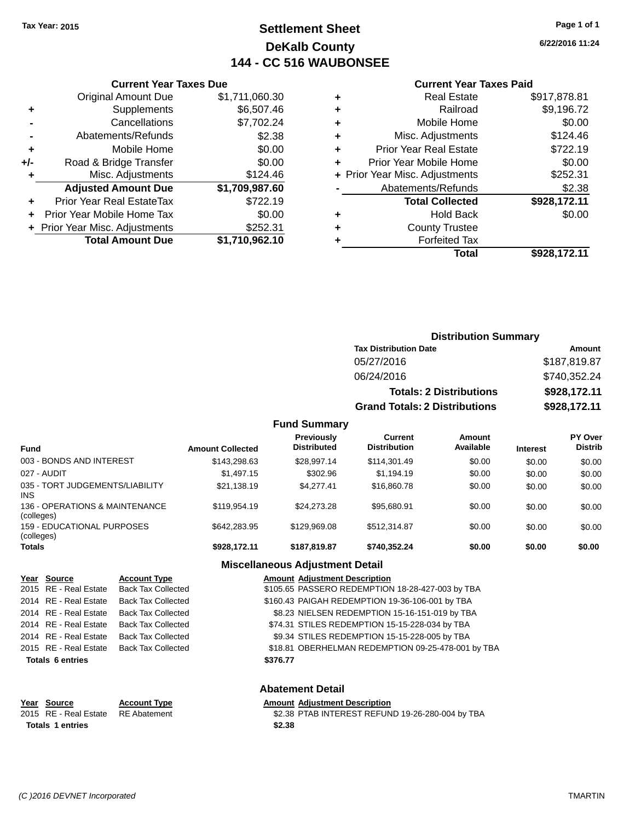# **Settlement Sheet Tax Year: 2015 Page 1 of 1 DeKalb County 144 - CC 516 WAUBONSEE**

**6/22/2016 11:24**

#### **Current Year Taxes Paid**

|       | <b>Original Amount Due</b>     | \$1,711,060.30 |
|-------|--------------------------------|----------------|
| ٠     | Supplements                    | \$6,507.46     |
|       | Cancellations                  | \$7,702.24     |
|       | Abatements/Refunds             | \$2.38         |
| ÷     | Mobile Home                    | \$0.00         |
| $+/-$ | Road & Bridge Transfer         | \$0.00         |
|       | Misc. Adjustments              | \$124.46       |
|       | <b>Adjusted Amount Due</b>     | \$1,709,987.60 |
| ٠     | Prior Year Real EstateTax      | \$722.19       |
|       | Prior Year Mobile Home Tax     | \$0.00         |
|       | + Prior Year Misc. Adjustments | \$252.31       |
|       | <b>Total Amount Due</b>        | \$1,710,962.10 |
|       |                                |                |

**Current Year Taxes Due**

|   | <b>Real Estate</b>             | \$917,878.81 |
|---|--------------------------------|--------------|
| ٠ | Railroad                       | \$9,196.72   |
| ٠ | Mobile Home                    | \$0.00       |
| ٠ | Misc. Adjustments              | \$124.46     |
| ٠ | <b>Prior Year Real Estate</b>  | \$722.19     |
|   | Prior Year Mobile Home         | \$0.00       |
|   | + Prior Year Misc. Adjustments | \$252.31     |
|   | Abatements/Refunds             | \$2.38       |
|   | <b>Total Collected</b>         | \$928,172.11 |
| ٠ | <b>Hold Back</b>               | \$0.00       |
| ٠ | <b>County Trustee</b>          |              |
|   | <b>Forfeited Tax</b>           |              |
|   | Total                          | \$928,172.11 |
|   |                                |              |

### **Distribution Summary Tax Distribution Date Amount** 05/27/2016 \$187,819.87 06/24/2016 \$740,352.24 **Totals: 2 Distributions \$928,172.11 Grand Totals: 2 Distributions \$928,172.11**

#### **Fund Summary**

| <b>Fund</b>                                     | <b>Amount Collected</b> | <b>Previously</b><br><b>Distributed</b> | Current<br><b>Distribution</b> | Amount<br>Available | <b>Interest</b> | PY Over<br><b>Distrib</b> |
|-------------------------------------------------|-------------------------|-----------------------------------------|--------------------------------|---------------------|-----------------|---------------------------|
| 003 - BONDS AND INTEREST                        | \$143.298.63            | \$28.997.14                             | \$114,301.49                   | \$0.00              | \$0.00          | \$0.00                    |
| 027 - AUDIT                                     | \$1,497.15              | \$302.96                                | \$1.194.19                     | \$0.00              | \$0.00          | \$0.00                    |
| 035 - TORT JUDGEMENTS/LIABILITY<br><b>INS</b>   | \$21,138.19             | \$4.277.41                              | \$16,860.78                    | \$0.00              | \$0.00          | \$0.00                    |
| 136 - OPERATIONS & MAINTENANCE<br>(colleges)    | \$119,954.19            | \$24.273.28                             | \$95.680.91                    | \$0.00              | \$0.00          | \$0.00                    |
| <b>159 - EDUCATIONAL PURPOSES</b><br>(colleges) | \$642,283,95            | \$129,969.08                            | \$512,314.87                   | \$0.00              | \$0.00          | \$0.00                    |
| <b>Totals</b>                                   | \$928.172.11            | \$187.819.87                            | \$740.352.24                   | \$0.00              | \$0.00          | \$0.00                    |

#### **Miscellaneous Adjustment Detail**

**Abatement Detail**

| Year Source             | <b>Account Type</b>       | <b>Amount Adjustment Description</b>               |
|-------------------------|---------------------------|----------------------------------------------------|
| 2015 RE - Real Estate   | <b>Back Tax Collected</b> | \$105.65 PASSERO REDEMPTION 18-28-427-003 by TBA   |
| 2014 RE - Real Estate   | <b>Back Tax Collected</b> | \$160.43 PAIGAH REDEMPTION 19-36-106-001 by TBA    |
| 2014 RE - Real Estate   | <b>Back Tax Collected</b> | \$8.23 NIELSEN REDEMPTION 15-16-151-019 by TBA     |
| 2014 RE - Real Estate   | <b>Back Tax Collected</b> | \$74.31 STILES REDEMPTION 15-15-228-034 by TBA     |
| 2014 RE - Real Estate   | <b>Back Tax Collected</b> | \$9.34 STILES REDEMPTION 15-15-228-005 by TBA      |
| 2015 RE - Real Estate   | <b>Back Tax Collected</b> | \$18.81 OBERHELMAN REDEMPTION 09-25-478-001 by TBA |
| <b>Totals 6 entries</b> |                           | \$376.77                                           |
|                         |                           |                                                    |

#### **Year Source Account Type Amount Adjustment Description** 2015 RE - Real Estate RE Abatement \$2.38 PTAB INTEREST REFUND 19-26-280-004 by TBA **Totals \$2.38 1 entries**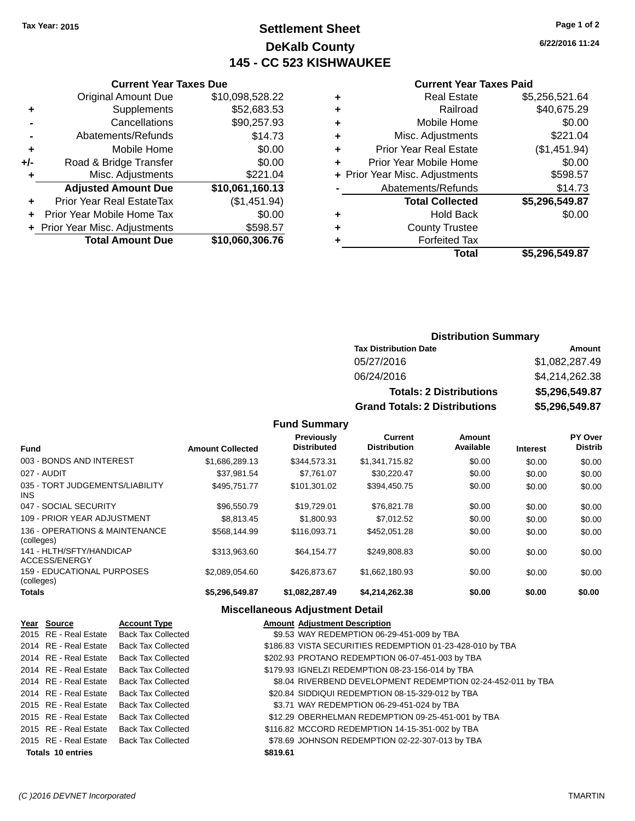# **Settlement Sheet Tax Year: 2015 Page 1 of 2 DeKalb County 145 - CC 523 KISHWAUKEE**

**6/22/2016 11:24**

#### **Current Year Taxes Paid**

|   | <b>Total Collected</b>         | \$5,296,549.87 |
|---|--------------------------------|----------------|
|   | Abatements/Refunds             | \$14.73        |
|   | + Prior Year Misc. Adjustments | \$598.57       |
| ٠ | Prior Year Mobile Home         | \$0.00         |
| ٠ | <b>Prior Year Real Estate</b>  | (\$1,451.94)   |
| ٠ | Misc. Adjustments              | \$221.04       |
| ٠ | Mobile Home                    | \$0.00         |
| ٠ | Railroad                       | \$40,675.29    |
| ٠ | <b>Real Estate</b>             | \$5,256,521.64 |
|   |                                |                |

|     | <b>Current Year Taxes Due</b>  |                 |  |  |  |  |
|-----|--------------------------------|-----------------|--|--|--|--|
|     | <b>Original Amount Due</b>     | \$10,098,528.22 |  |  |  |  |
| ٠   | Supplements                    | \$52,683.53     |  |  |  |  |
|     | Cancellations                  | \$90,257.93     |  |  |  |  |
|     | Abatements/Refunds             | \$14.73         |  |  |  |  |
| ٠   | Mobile Home                    | \$0.00          |  |  |  |  |
| +/- | Road & Bridge Transfer         | \$0.00          |  |  |  |  |
|     | Misc. Adjustments              | \$221.04        |  |  |  |  |
|     | <b>Adjusted Amount Due</b>     | \$10,061,160.13 |  |  |  |  |
| ٠   | Prior Year Real EstateTax      | (\$1,451.94)    |  |  |  |  |
|     | Prior Year Mobile Home Tax     | \$0.00          |  |  |  |  |
|     | + Prior Year Misc. Adjustments | \$598.57        |  |  |  |  |
|     | <b>Total Amount Due</b>        | \$10,060,306.76 |  |  |  |  |

### **Distribution Summary**

| <b>Tax Distribution Date</b>         | Amount         |
|--------------------------------------|----------------|
| 05/27/2016                           | \$1,082,287.49 |
| 06/24/2016                           | \$4,214,262.38 |
| <b>Totals: 2 Distributions</b>       | \$5,296,549.87 |
| <b>Grand Totals: 2 Distributions</b> | \$5,296,549.87 |

### **Fund Summary**

| <b>Fund</b>                                  | <b>Amount Collected</b> | <b>Previously</b><br><b>Distributed</b> | <b>Current</b><br><b>Distribution</b> | Amount<br>Available | <b>Interest</b> | <b>PY Over</b><br><b>Distrib</b> |
|----------------------------------------------|-------------------------|-----------------------------------------|---------------------------------------|---------------------|-----------------|----------------------------------|
| 003 - BONDS AND INTEREST                     | \$1.686.289.13          | \$344,573.31                            | \$1,341,715.82                        | \$0.00              | \$0.00          | \$0.00                           |
| 027 - AUDIT                                  | \$37,981.54             | \$7,761.07                              | \$30,220.47                           | \$0.00              | \$0.00          | \$0.00                           |
| 035 - TORT JUDGEMENTS/LIABILITY<br>INS.      | \$495.751.77            | \$101.301.02                            | \$394.450.75                          | \$0.00              | \$0.00          | \$0.00                           |
| 047 - SOCIAL SECURITY                        | \$96,550.79             | \$19.729.01                             | \$76.821.78                           | \$0.00              | \$0.00          | \$0.00                           |
| 109 - PRIOR YEAR ADJUSTMENT                  | \$8.813.45              | \$1,800.93                              | \$7,012.52                            | \$0.00              | \$0.00          | \$0.00                           |
| 136 - OPERATIONS & MAINTENANCE<br>(colleges) | \$568,144.99            | \$116,093.71                            | \$452.051.28                          | \$0.00              | \$0.00          | \$0.00                           |
| 141 - HLTH/SFTY/HANDICAP<br>ACCESS/ENERGY    | \$313,963.60            | \$64.154.77                             | \$249,808.83                          | \$0.00              | \$0.00          | \$0.00                           |
| 159 - EDUCATIONAL PURPOSES<br>(colleges)     | \$2.089.054.60          | \$426.873.67                            | \$1.662.180.93                        | \$0.00              | \$0.00          | \$0.00                           |
| <b>Totals</b>                                | \$5.296.549.87          | \$1,082,287.49                          | \$4.214.262.38                        | \$0.00              | \$0.00          | \$0.00                           |

| Year Source              | <b>Account Type</b>                      |          | <b>Amount Adjustment Description</b>                         |
|--------------------------|------------------------------------------|----------|--------------------------------------------------------------|
| 2015 RE - Real Estate    | <b>Back Tax Collected</b>                |          | \$9.53 WAY REDEMPTION 06-29-451-009 by TBA                   |
| 2014 RE - Real Estate    | <b>Back Tax Collected</b>                |          | \$186.83 VISTA SECURITIES REDEMPTION 01-23-428-010 by TBA    |
| 2014 RE - Real Estate    | <b>Back Tax Collected</b>                |          | \$202.93 PROTANO REDEMPTION 06-07-451-003 by TBA             |
| 2014 RE - Real Estate    | Back Tax Collected                       |          | \$179.93 IGNELZI REDEMPTION 08-23-156-014 by TBA             |
| 2014 RE - Real Estate    | <b>Back Tax Collected</b>                |          | \$8.04 RIVERBEND DEVELOPMENT REDEMPTION 02-24-452-011 by TBA |
| 2014 RE - Real Estate    | <b>Back Tax Collected</b>                |          | \$20.84 SIDDIQUI REDEMPTION 08-15-329-012 by TBA             |
| 2015 RE - Real Estate    | <b>Back Tax Collected</b>                |          | \$3.71 WAY REDEMPTION 06-29-451-024 by TBA                   |
| 2015 RE - Real Estate    | <b>Back Tax Collected</b>                |          | \$12.29 OBERHELMAN REDEMPTION 09-25-451-001 by TBA           |
| 2015 RE - Real Estate    | <b>Back Tax Collected</b>                |          | \$116.82 MCCORD REDEMPTION 14-15-351-002 by TBA              |
|                          | 2015 RE - Real Estate Back Tax Collected |          | \$78.69 JOHNSON REDEMPTION 02-22-307-013 by TBA              |
| <b>Totals 10 entries</b> |                                          | \$819.61 |                                                              |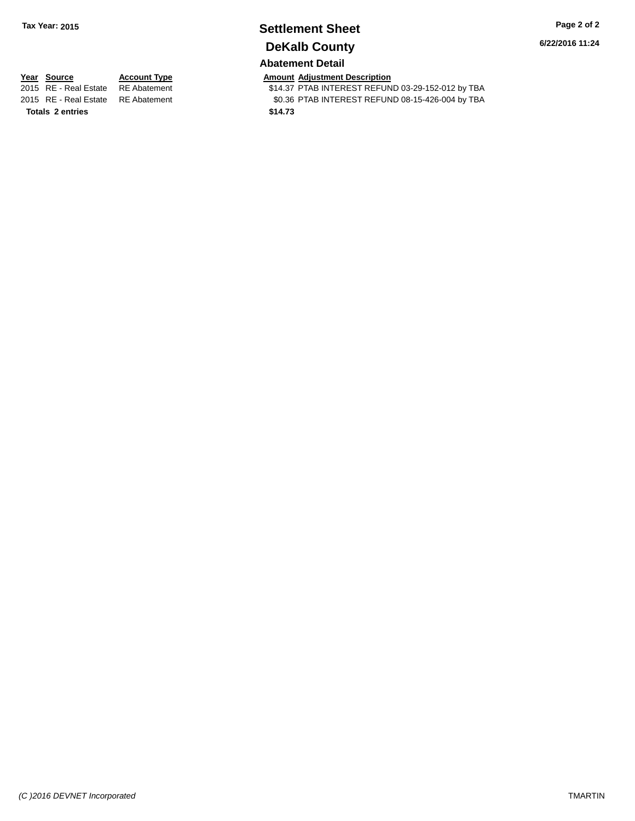# **Settlement Sheet Tax Year: 2015 Page 2 of 2 DeKalb County**

**6/22/2016 11:24**

# **Abatement Detail**

**Year Source Account Type Amount Adjustment Description**<br>2015 RE - Real Estate RE Abatement **Amount 1988** 14.37 PTAB INTEREST REFUN **Totals \$14.73 2 entries**

\$14.37 PTAB INTEREST REFUND 03-29-152-012 by TBA 2015 RE - Real Estate RE Abatement \$0.36 PTAB INTEREST REFUND 08-15-426-004 by TBA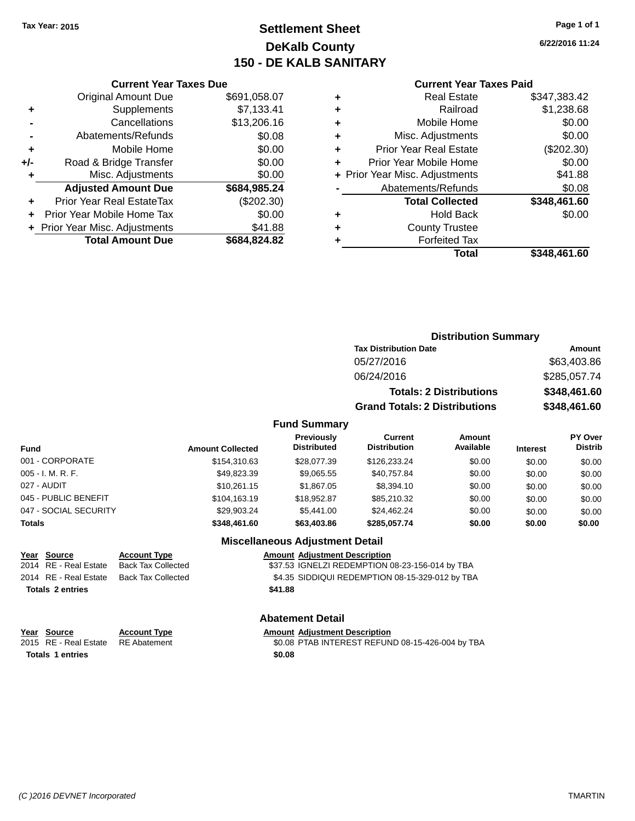# **Settlement Sheet Tax Year: 2015 Page 1 of 1 DeKalb County 150 - DE KALB SANITARY**

**6/22/2016 11:24**

#### **Current Year Taxes Paid**

|     | <b>Current Year Taxes Due</b>  |              |  |  |  |  |
|-----|--------------------------------|--------------|--|--|--|--|
|     | <b>Original Amount Due</b>     | \$691,058.07 |  |  |  |  |
|     | Supplements                    | \$7,133.41   |  |  |  |  |
|     | Cancellations                  | \$13,206.16  |  |  |  |  |
|     | Abatements/Refunds             | \$0.08       |  |  |  |  |
|     | Mobile Home                    | \$0.00       |  |  |  |  |
| +/- | Road & Bridge Transfer         | \$0.00       |  |  |  |  |
| ٠   | Misc. Adjustments              | \$0.00       |  |  |  |  |
|     | <b>Adjusted Amount Due</b>     | \$684,985.24 |  |  |  |  |
|     | Prior Year Real EstateTax      | (\$202.30)   |  |  |  |  |
|     | Prior Year Mobile Home Tax     | \$0.00       |  |  |  |  |
|     | + Prior Year Misc. Adjustments | \$41.88      |  |  |  |  |
|     | <b>Total Amount Due</b>        | \$684,824.82 |  |  |  |  |
|     |                                |              |  |  |  |  |

|   | <b>Real Estate</b>             | \$347,383.42 |
|---|--------------------------------|--------------|
| ٠ | Railroad                       | \$1,238.68   |
| ٠ | Mobile Home                    | \$0.00       |
| ٠ | Misc. Adjustments              | \$0.00       |
| ٠ | <b>Prior Year Real Estate</b>  | (\$202.30)   |
|   | Prior Year Mobile Home         | \$0.00       |
|   | + Prior Year Misc. Adjustments | \$41.88      |
|   | Abatements/Refunds             | \$0.08       |
|   | <b>Total Collected</b>         | \$348,461.60 |
|   | Hold Back                      | \$0.00       |
| ٠ | <b>County Trustee</b>          |              |
|   | <b>Forfeited Tax</b>           |              |
|   | Total                          | \$348,461.60 |
|   |                                |              |

# **Distribution Summary Tax Distribution Date Amount** 05/27/2016 \$63,403.86 06/24/2016 \$285,057.74 **Totals: 2 Distributions \$348,461.60 Grand Totals: 2 Distributions \$348,461.60**

### **Fund Summary**

| Fund                  | <b>Amount Collected</b> | Previously<br><b>Distributed</b> | <b>Current</b><br><b>Distribution</b> | Amount<br>Available | <b>Interest</b> | PY Over<br><b>Distrib</b> |
|-----------------------|-------------------------|----------------------------------|---------------------------------------|---------------------|-----------------|---------------------------|
| 001 - CORPORATE       | \$154.310.63            | \$28,077.39                      | \$126,233,24                          | \$0.00              | \$0.00          | \$0.00                    |
| 005 - I. M. R. F.     | \$49.823.39             | \$9,065.55                       | \$40.757.84                           | \$0.00              | \$0.00          | \$0.00                    |
| 027 - AUDIT           | \$10.261.15             | \$1.867.05                       | \$8.394.10                            | \$0.00              | \$0.00          | \$0.00                    |
| 045 - PUBLIC BENEFIT  | \$104.163.19            | \$18,952.87                      | \$85,210,32                           | \$0.00              | \$0.00          | \$0.00                    |
| 047 - SOCIAL SECURITY | \$29.903.24             | \$5.441.00                       | \$24,462.24                           | \$0.00              | \$0.00          | \$0.00                    |
| Totals                | \$348,461.60            | \$63,403.86                      | \$285,057.74                          | \$0.00              | \$0.00          | \$0.00                    |

#### **Miscellaneous Adjustment Detail**

| Year Source             | <b>Account Type</b>                            |         | <b>Amount Adjustment Description</b>            |
|-------------------------|------------------------------------------------|---------|-------------------------------------------------|
| 2014 RE - Real Estate   | Back Tax Collected                             |         | \$37.53 IGNELZI REDEMPTION 08-23-156-014 by TBA |
|                         | 2014   RE - Real Estate     Back Tax Collected |         | \$4.35 SIDDIQUI REDEMPTION 08-15-329-012 by TBA |
| <b>Totals 2 entries</b> |                                                | \$41.88 |                                                 |
|                         |                                                |         |                                                 |

**Totals \$0.08 1 entries**

#### **Abatement Detail**

#### **Year Source Account Type Amount Adjustment Description**

2015 RE - Real Estate RE Abatement \$0.08 PTAB INTEREST REFUND 08-15-426-004 by TBA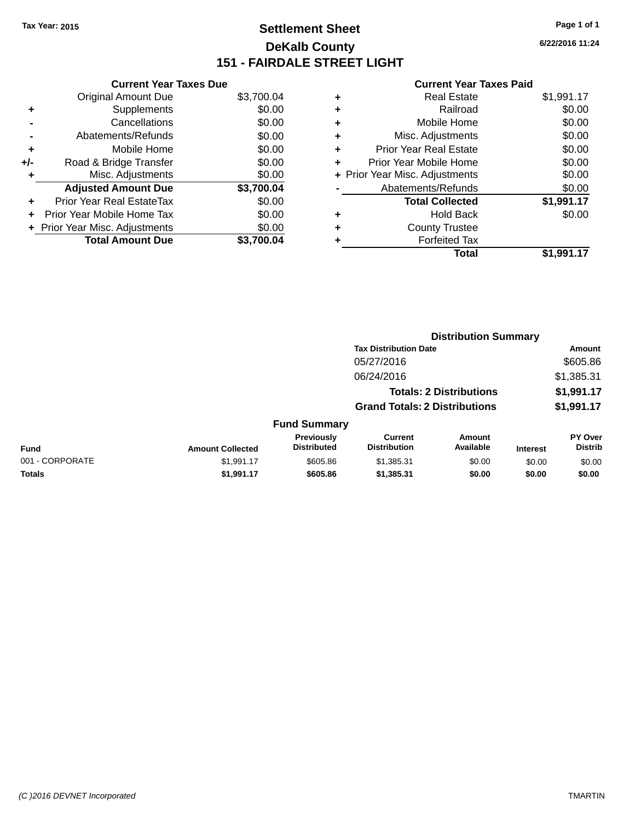# **Settlement Sheet Tax Year: 2015 Page 1 of 1 DeKalb County 151 - FAIRDALE STREET LIGHT**

**6/22/2016 11:24**

|     | <b>Current Year Taxes Due</b>  |            |
|-----|--------------------------------|------------|
|     | <b>Original Amount Due</b>     | \$3,700.04 |
| ٠   | Supplements                    | \$0.00     |
|     | Cancellations                  | \$0.00     |
|     | Abatements/Refunds             | \$0.00     |
| ٠   | Mobile Home                    | \$0.00     |
| +/- | Road & Bridge Transfer         | \$0.00     |
| ٠   | Misc. Adjustments              | \$0.00     |
|     | <b>Adjusted Amount Due</b>     | \$3,700.04 |
| ÷   | Prior Year Real EstateTax      | \$0.00     |
| ÷   | Prior Year Mobile Home Tax     | \$0.00     |
|     | + Prior Year Misc. Adjustments | \$0.00     |
|     | <b>Total Amount Due</b>        | \$3.700.04 |

|   | <b>Real Estate</b>             | \$1,991.17 |
|---|--------------------------------|------------|
| ٠ | Railroad                       | \$0.00     |
| ٠ | Mobile Home                    | \$0.00     |
| ٠ | Misc. Adjustments              | \$0.00     |
| ٠ | <b>Prior Year Real Estate</b>  | \$0.00     |
| ٠ | Prior Year Mobile Home         | \$0.00     |
|   | + Prior Year Misc. Adjustments | \$0.00     |
|   | Abatements/Refunds             | \$0.00     |
|   | <b>Total Collected</b>         | \$1,991.17 |
| ٠ | <b>Hold Back</b>               | \$0.00     |
| ٠ | <b>County Trustee</b>          |            |
| ٠ | <b>Forfeited Tax</b>           |            |
|   | Total                          | \$1,991.17 |
|   |                                |            |

|                 |                         |                                  |                                       | <b>Distribution Summary</b>    |                 |                           |
|-----------------|-------------------------|----------------------------------|---------------------------------------|--------------------------------|-----------------|---------------------------|
|                 |                         |                                  | <b>Tax Distribution Date</b>          |                                |                 | Amount                    |
|                 |                         |                                  | 05/27/2016                            |                                |                 | \$605.86                  |
|                 |                         |                                  | 06/24/2016                            |                                |                 | \$1,385.31                |
|                 |                         |                                  |                                       | <b>Totals: 2 Distributions</b> |                 | \$1,991.17                |
|                 |                         |                                  | <b>Grand Totals: 2 Distributions</b>  |                                |                 | \$1,991.17                |
|                 |                         | <b>Fund Summary</b>              |                                       |                                |                 |                           |
| <b>Fund</b>     | <b>Amount Collected</b> | Previously<br><b>Distributed</b> | <b>Current</b><br><b>Distribution</b> | Amount<br>Available            | <b>Interest</b> | PY Over<br><b>Distrib</b> |
| 001 - CORPORATE | \$1,991.17              | \$605.86                         | \$1,385.31                            | \$0.00                         | \$0.00          | \$0.00                    |
| <b>Totals</b>   | \$1,991.17              | \$605.86                         | \$1,385.31                            | \$0.00                         | \$0.00          | \$0.00                    |
|                 |                         |                                  |                                       |                                |                 |                           |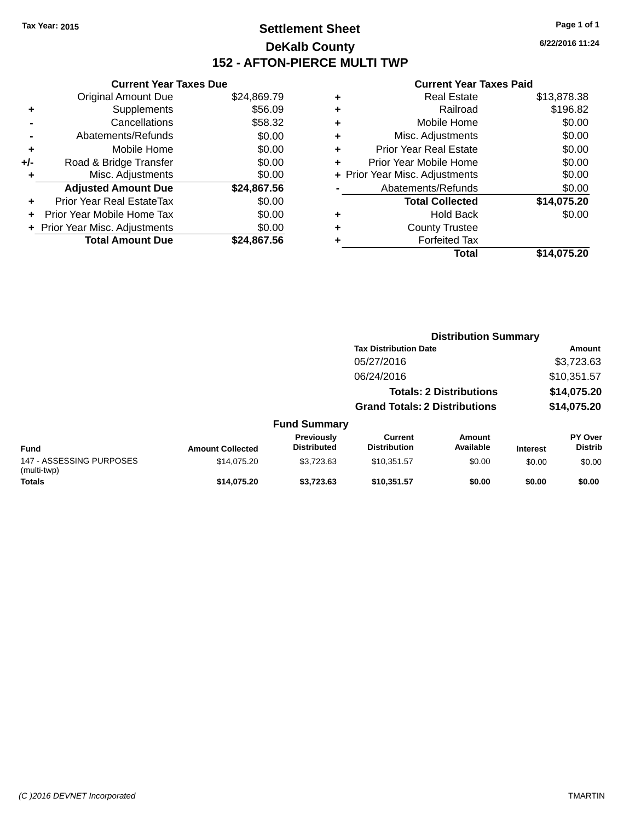# **Settlement Sheet Tax Year: 2015 Page 1 of 1 DeKalb County 152 - AFTON-PIERCE MULTI TWP**

**6/22/2016 11:24**

|     | <b>Current Year Taxes Due</b>  |             |
|-----|--------------------------------|-------------|
|     | <b>Original Amount Due</b>     | \$24,869.79 |
| ٠   | Supplements                    | \$56.09     |
|     | Cancellations                  | \$58.32     |
|     | Abatements/Refunds             | \$0.00      |
| ٠   | Mobile Home                    | \$0.00      |
| +/- | Road & Bridge Transfer         | \$0.00      |
| ٠   | Misc. Adjustments              | \$0.00      |
|     | <b>Adjusted Amount Due</b>     | \$24,867.56 |
| ٠   | Prior Year Real EstateTax      | \$0.00      |
|     | Prior Year Mobile Home Tax     | \$0.00      |
|     | + Prior Year Misc. Adjustments | \$0.00      |
|     | <b>Total Amount Due</b>        | \$24,867.56 |
|     |                                |             |

|   | <b>Real Estate</b>             | \$13,878.38 |
|---|--------------------------------|-------------|
| ٠ | Railroad                       | \$196.82    |
| ٠ | Mobile Home                    | \$0.00      |
| ٠ | Misc. Adjustments              | \$0.00      |
| ٠ | <b>Prior Year Real Estate</b>  | \$0.00      |
| ٠ | Prior Year Mobile Home         | \$0.00      |
|   | + Prior Year Misc. Adjustments | \$0.00      |
|   | Abatements/Refunds             | \$0.00      |
|   | <b>Total Collected</b>         | \$14,075.20 |
| ٠ | <b>Hold Back</b>               | \$0.00      |
| ٠ | <b>County Trustee</b>          |             |
|   | <b>Forfeited Tax</b>           |             |
|   | Total                          | \$14,075.20 |
|   |                                |             |

|                                         |                         |                                         |                                       | <b>Distribution Summary</b>    |                 |                                  |
|-----------------------------------------|-------------------------|-----------------------------------------|---------------------------------------|--------------------------------|-----------------|----------------------------------|
|                                         |                         |                                         | <b>Tax Distribution Date</b>          |                                |                 | Amount                           |
|                                         |                         |                                         | 05/27/2016                            |                                |                 | \$3,723.63                       |
|                                         |                         |                                         | 06/24/2016                            |                                |                 | \$10,351.57                      |
|                                         |                         |                                         |                                       | <b>Totals: 2 Distributions</b> |                 | \$14,075.20                      |
|                                         |                         |                                         | <b>Grand Totals: 2 Distributions</b>  |                                |                 | \$14,075.20                      |
|                                         |                         | <b>Fund Summary</b>                     |                                       |                                |                 |                                  |
| <b>Fund</b>                             | <b>Amount Collected</b> | <b>Previously</b><br><b>Distributed</b> | <b>Current</b><br><b>Distribution</b> | <b>Amount</b><br>Available     | <b>Interest</b> | <b>PY Over</b><br><b>Distrib</b> |
| 147 - ASSESSING PURPOSES<br>(multi-twp) | \$14.075.20             | \$3,723.63                              | \$10.351.57                           | \$0.00                         | \$0.00          | \$0.00                           |
| <b>Totals</b>                           | \$14,075.20             | \$3,723.63                              | \$10,351.57                           | \$0.00                         | \$0.00          | \$0.00                           |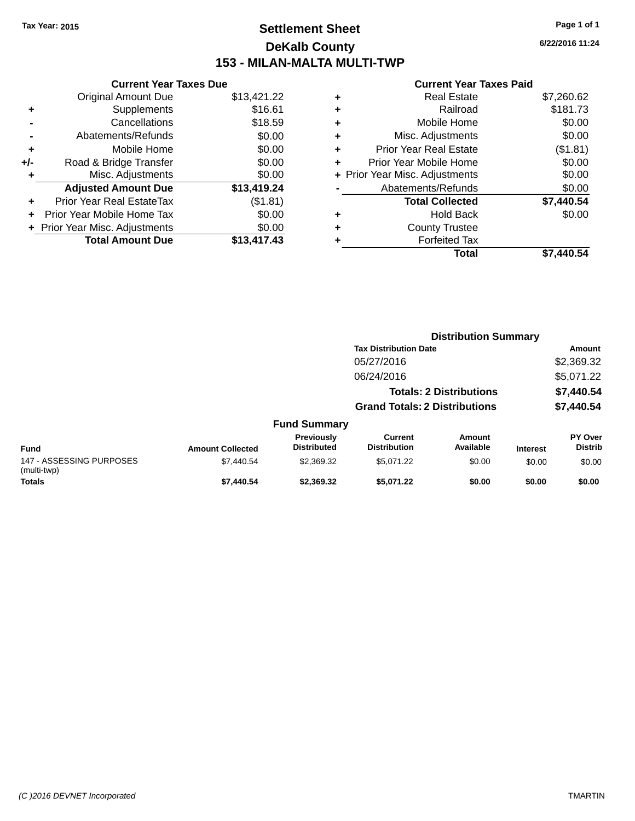# **Settlement Sheet Tax Year: 2015 Page 1 of 1 DeKalb County 153 - MILAN-MALTA MULTI-TWP**

**6/22/2016 11:24**

|     | <b>Current Year Taxes Due</b>  |             |
|-----|--------------------------------|-------------|
|     | Original Amount Due            | \$13,421.22 |
| ٠   | Supplements                    | \$16.61     |
|     | Cancellations                  | \$18.59     |
|     | Abatements/Refunds             | \$0.00      |
| ÷   | Mobile Home                    | \$0.00      |
| +/- | Road & Bridge Transfer         | \$0.00      |
|     | Misc. Adjustments              | \$0.00      |
|     | <b>Adjusted Amount Due</b>     | \$13,419.24 |
| ÷   | Prior Year Real EstateTax      | (\$1.81)    |
| ÷   | Prior Year Mobile Home Tax     | \$0.00      |
|     | + Prior Year Misc. Adjustments | \$0.00      |
|     | <b>Total Amount Due</b>        | \$13,417,43 |

| ٠ | <b>Real Estate</b>             | \$7,260.62 |
|---|--------------------------------|------------|
| ٠ | Railroad                       | \$181.73   |
| ٠ | Mobile Home                    | \$0.00     |
| ٠ | Misc. Adjustments              | \$0.00     |
| ٠ | <b>Prior Year Real Estate</b>  | (\$1.81)   |
| ٠ | Prior Year Mobile Home         | \$0.00     |
|   | + Prior Year Misc. Adjustments | \$0.00     |
|   | Abatements/Refunds             | \$0.00     |
|   | <b>Total Collected</b>         | \$7,440.54 |
| ٠ | <b>Hold Back</b>               | \$0.00     |
| ٠ | <b>County Trustee</b>          |            |
| ٠ | <b>Forfeited Tax</b>           |            |
|   | <b>Total</b>                   | \$7,440.54 |
|   |                                |            |

|                                         |                         |                                  |                                       |                                | <b>Distribution Summary</b> |                                  |
|-----------------------------------------|-------------------------|----------------------------------|---------------------------------------|--------------------------------|-----------------------------|----------------------------------|
|                                         |                         |                                  | <b>Tax Distribution Date</b>          |                                |                             | Amount                           |
|                                         |                         |                                  | 05/27/2016                            |                                |                             | \$2,369.32                       |
|                                         |                         |                                  | 06/24/2016                            |                                |                             | \$5,071.22                       |
|                                         |                         |                                  |                                       | <b>Totals: 2 Distributions</b> |                             | \$7,440.54                       |
|                                         |                         |                                  | <b>Grand Totals: 2 Distributions</b>  |                                |                             | \$7,440.54                       |
|                                         |                         | <b>Fund Summary</b>              |                                       |                                |                             |                                  |
| <b>Fund</b>                             | <b>Amount Collected</b> | Previously<br><b>Distributed</b> | <b>Current</b><br><b>Distribution</b> | Amount<br>Available            | <b>Interest</b>             | <b>PY Over</b><br><b>Distrib</b> |
| 147 - ASSESSING PURPOSES<br>(multi-twp) | \$7,440.54              | \$2,369.32                       | \$5,071.22                            | \$0.00                         | \$0.00                      | \$0.00                           |
| <b>Totals</b>                           | \$7,440.54              | \$2,369.32                       | \$5,071.22                            | \$0.00                         | \$0.00                      | \$0.00                           |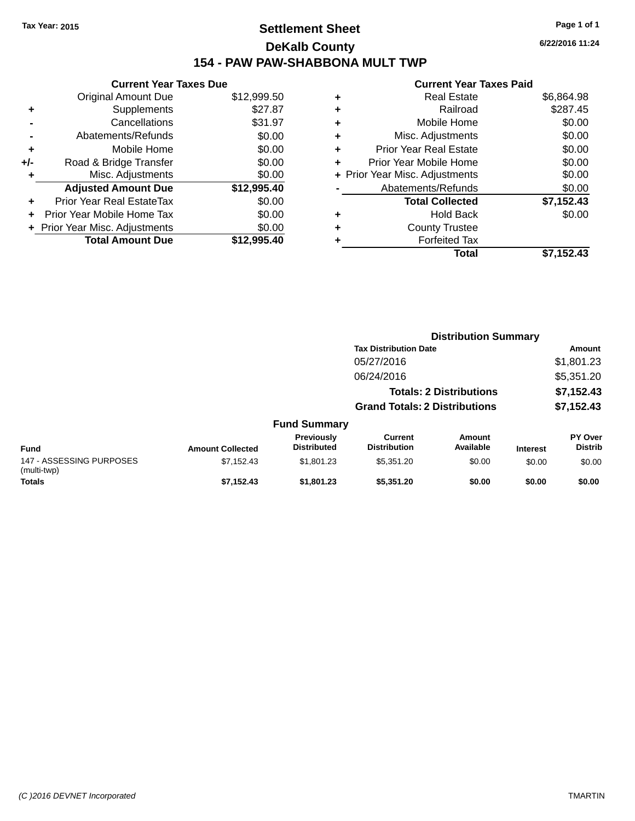# **Settlement Sheet Tax Year: 2015 Page 1 of 1 DeKalb County 154 - PAW PAW-SHABBONA MULT TWP**

**Current Year Taxes Due** Original Amount Due \$12,999.50 **+** Supplements \$27.87 **-** Cancellations \$31.97 **-** Abatements/Refunds \$0.00 **+** Mobile Home \$0.00 **+/-** Road & Bridge Transfer \$0.00 **+** Misc. Adjustments \$0.00 **Adjusted Amount Due \$12,995.40 +** Prior Year Real EstateTax \$0.00 **+** Prior Year Mobile Home Tax \$0.00 **+** Prior Year Misc. Adjustments  $$0.00$ **Total Amount Due \$12,995.40**

### **Current Year Taxes Paid +** Real Estate \$6,864.98 **+** Railroad \$287.45 **+** Mobile Home \$0.00 **+** Misc. Adjustments \$0.00 **+** Prior Year Real Estate \$0.00 **+** Prior Year Mobile Home \$0.00 **+** Prior Year Misc. Adjustments  $$0.00$ Abatements/Refunds \$0.00 **Total Collected \$7,152.43 +** Hold Back \$0.00 **+** County Trustee **+** Forfeited Tax **Total \$7,152.43**

|                                         |                         |                                  |                                       | <b>Distribution Summary</b>    |                 |                                  |
|-----------------------------------------|-------------------------|----------------------------------|---------------------------------------|--------------------------------|-----------------|----------------------------------|
|                                         |                         |                                  | <b>Tax Distribution Date</b>          |                                |                 | Amount                           |
|                                         |                         |                                  | 05/27/2016                            |                                |                 | \$1,801.23                       |
|                                         |                         |                                  | 06/24/2016                            |                                |                 | \$5,351.20                       |
|                                         |                         |                                  |                                       | <b>Totals: 2 Distributions</b> |                 | \$7,152.43                       |
|                                         |                         |                                  | <b>Grand Totals: 2 Distributions</b>  |                                |                 | \$7,152.43                       |
|                                         |                         | <b>Fund Summary</b>              |                                       |                                |                 |                                  |
| <b>Fund</b>                             | <b>Amount Collected</b> | Previously<br><b>Distributed</b> | <b>Current</b><br><b>Distribution</b> | Amount<br>Available            | <b>Interest</b> | <b>PY Over</b><br><b>Distrib</b> |
| 147 - ASSESSING PURPOSES<br>(multi-twp) | \$7,152.43              | \$1,801.23                       | \$5,351.20                            | \$0.00                         | \$0.00          | \$0.00                           |
| Totals                                  | \$7.152.43              | \$1,801.23                       | \$5,351,20                            | \$0.00                         | \$0.00          | \$0.00                           |

**6/22/2016 11:24**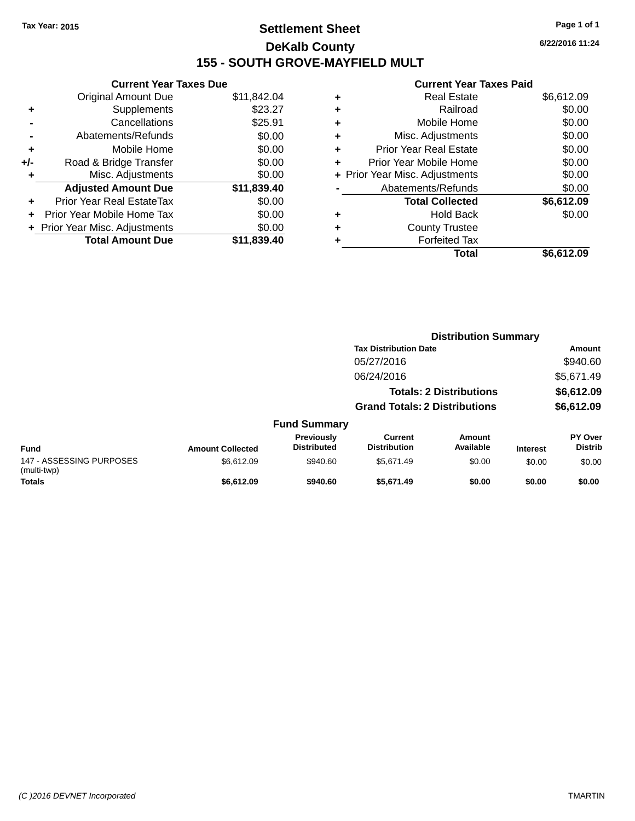# **Settlement Sheet Tax Year: 2015 Page 1 of 1 DeKalb County 155 - SOUTH GROVE-MAYFIELD MULT**

**6/22/2016 11:24**

|     | <b>Current Year Taxes Due</b>  |             |
|-----|--------------------------------|-------------|
|     | <b>Original Amount Due</b>     | \$11,842.04 |
| ٠   | Supplements                    | \$23.27     |
|     | Cancellations                  | \$25.91     |
|     | Abatements/Refunds             | \$0.00      |
| ÷   | Mobile Home                    | \$0.00      |
| +/- | Road & Bridge Transfer         | \$0.00      |
|     | Misc. Adjustments              | \$0.00      |
|     | <b>Adjusted Amount Due</b>     | \$11,839.40 |
| ٠   | Prior Year Real EstateTax      | \$0.00      |
|     | Prior Year Mobile Home Tax     | \$0.00      |
|     | + Prior Year Misc. Adjustments | \$0.00      |
|     | <b>Total Amount Due</b>        | \$11,839.40 |
|     |                                |             |

| ٠ | <b>Real Estate</b>             | \$6,612.09 |
|---|--------------------------------|------------|
| ٠ | Railroad                       | \$0.00     |
| ٠ | Mobile Home                    | \$0.00     |
| ٠ | Misc. Adjustments              | \$0.00     |
| ٠ | <b>Prior Year Real Estate</b>  | \$0.00     |
| ÷ | Prior Year Mobile Home         | \$0.00     |
|   | + Prior Year Misc. Adjustments | \$0.00     |
|   | Abatements/Refunds             | \$0.00     |
|   | <b>Total Collected</b>         | \$6,612.09 |
| ٠ | <b>Hold Back</b>               | \$0.00     |
| ٠ | <b>County Trustee</b>          |            |
|   | <b>Forfeited Tax</b>           |            |
|   | Total                          | \$6,612.09 |
|   |                                |            |

|                                         |                         |                                  |                                       | <b>Distribution Summary</b>    |                 |                           |
|-----------------------------------------|-------------------------|----------------------------------|---------------------------------------|--------------------------------|-----------------|---------------------------|
|                                         |                         |                                  | <b>Tax Distribution Date</b>          |                                |                 | <b>Amount</b>             |
|                                         |                         |                                  | 05/27/2016                            |                                |                 | \$940.60                  |
|                                         |                         |                                  | 06/24/2016                            |                                |                 | \$5,671.49                |
|                                         |                         |                                  |                                       | <b>Totals: 2 Distributions</b> |                 | \$6,612.09                |
|                                         |                         |                                  | <b>Grand Totals: 2 Distributions</b>  |                                |                 | \$6,612.09                |
|                                         |                         | <b>Fund Summary</b>              |                                       |                                |                 |                           |
| <b>Fund</b>                             | <b>Amount Collected</b> | Previously<br><b>Distributed</b> | <b>Current</b><br><b>Distribution</b> | Amount<br>Available            | <b>Interest</b> | PY Over<br><b>Distrib</b> |
| 147 - ASSESSING PURPOSES<br>(multi-twp) | \$6,612.09              | \$940.60                         | \$5,671.49                            | \$0.00                         | \$0.00          | \$0.00                    |
| <b>Totals</b>                           | \$6,612.09              | \$940.60                         | \$5,671.49                            | \$0.00                         | \$0.00          | \$0.00                    |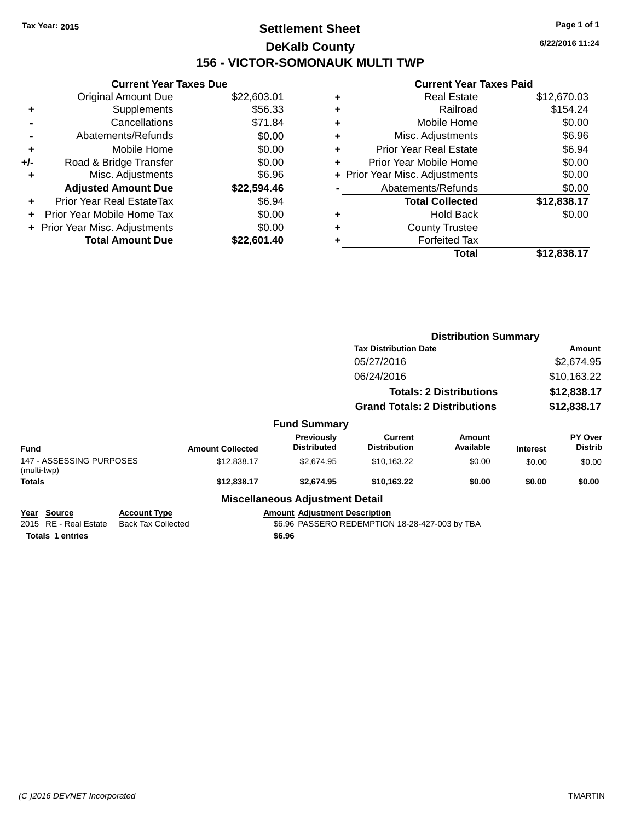# **Settlement Sheet Tax Year: 2015 Page 1 of 1 DeKalb County 156 - VICTOR-SOMONAUK MULTI TWP**

|     | <b>Current Year Taxes Due</b>    |             |
|-----|----------------------------------|-------------|
|     | <b>Original Amount Due</b>       | \$22,603.01 |
| ٠   | Supplements                      | \$56.33     |
|     | Cancellations                    | \$71.84     |
|     | Abatements/Refunds               | \$0.00      |
| ٠   | Mobile Home                      | \$0.00      |
| +/- | Road & Bridge Transfer           | \$0.00      |
| ٠   | Misc. Adjustments                | \$6.96      |
|     | <b>Adjusted Amount Due</b>       | \$22,594.46 |
| ÷   | <b>Prior Year Real EstateTax</b> | \$6.94      |
| ٠   | Prior Year Mobile Home Tax       | \$0.00      |
|     | + Prior Year Misc. Adjustments   | \$0.00      |
|     | <b>Total Amount Due</b>          | \$22,601.40 |

### **Current Year Taxes Paid +** Real Estate \$12,670.03 **+** Railroad **+** Mobile Home \$0.00

|   | Total                          | \$12,838.17 |
|---|--------------------------------|-------------|
|   | <b>Forfeited Tax</b>           |             |
| ÷ | <b>County Trustee</b>          |             |
|   | <b>Hold Back</b>               | \$0.00      |
|   | <b>Total Collected</b>         | \$12,838.17 |
|   | Abatements/Refunds             | \$0.00      |
|   | + Prior Year Misc. Adjustments | \$0.00      |
| ÷ | Prior Year Mobile Home         | \$0.00      |
| ÷ | <b>Prior Year Real Estate</b>  | \$6.94      |
|   | Misc. Adjustments              | \$6.96      |

|                                         |                           |                         |                                        | <b>Distribution Summary</b>                    |                                |                 |                           |
|-----------------------------------------|---------------------------|-------------------------|----------------------------------------|------------------------------------------------|--------------------------------|-----------------|---------------------------|
|                                         |                           |                         |                                        | <b>Tax Distribution Date</b>                   | Amount                         |                 |                           |
|                                         |                           |                         |                                        | 05/27/2016                                     |                                |                 | \$2,674.95                |
|                                         |                           |                         |                                        | 06/24/2016                                     |                                |                 | \$10,163.22               |
|                                         |                           |                         |                                        |                                                | <b>Totals: 2 Distributions</b> |                 | \$12,838.17               |
|                                         |                           |                         |                                        | <b>Grand Totals: 2 Distributions</b>           |                                |                 | \$12,838.17               |
|                                         |                           |                         | <b>Fund Summary</b>                    |                                                |                                |                 |                           |
| <b>Fund</b>                             |                           | <b>Amount Collected</b> | Previously<br><b>Distributed</b>       | <b>Current</b><br><b>Distribution</b>          | Amount<br>Available            | <b>Interest</b> | PY Over<br><b>Distrib</b> |
| 147 - ASSESSING PURPOSES<br>(multi-twp) |                           | \$12,838.17             | \$2,674.95                             | \$10,163.22                                    | \$0.00                         | \$0.00          | \$0.00                    |
| <b>Totals</b>                           |                           | \$12,838.17             | \$2,674.95                             | \$10,163.22                                    | \$0.00                         | \$0.00          | \$0.00                    |
|                                         |                           |                         | <b>Miscellaneous Adjustment Detail</b> |                                                |                                |                 |                           |
| Year Source                             | <b>Account Type</b>       |                         | <b>Amount Adjustment Description</b>   |                                                |                                |                 |                           |
| 2015 RE - Real Estate                   | <b>Back Tax Collected</b> |                         |                                        | \$6.96 PASSERO REDEMPTION 18-28-427-003 by TBA |                                |                 |                           |
| <b>Totals 1 entries</b>                 |                           |                         | \$6.96                                 |                                                |                                |                 |                           |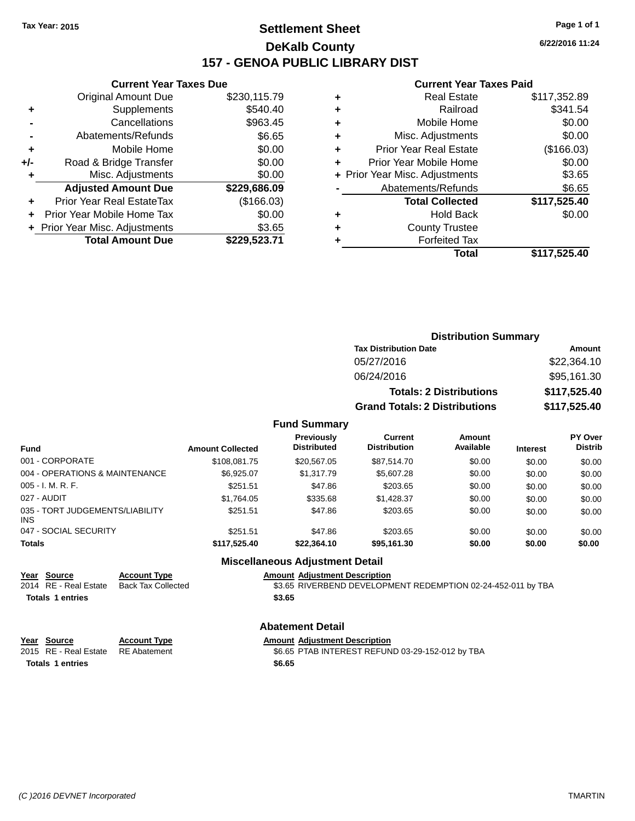# **Settlement Sheet Tax Year: 2015 Page 1 of 1 DeKalb County 157 - GENOA PUBLIC LIBRARY DIST**

**Current Year Taxes Due**

| <b>Original Amount Due</b> | \$230,115.79                   |
|----------------------------|--------------------------------|
| Supplements                | \$540.40                       |
| Cancellations              | \$963.45                       |
| Abatements/Refunds         | \$6.65                         |
| Mobile Home                | \$0.00                         |
| Road & Bridge Transfer     | \$0.00                         |
| Misc. Adjustments          | \$0.00                         |
| <b>Adjusted Amount Due</b> | \$229,686.09                   |
| Prior Year Real EstateTax  | (\$166.03)                     |
| Prior Year Mobile Home Tax | \$0.00                         |
|                            | \$3.65                         |
| <b>Total Amount Due</b>    | \$229,523.71                   |
|                            | + Prior Year Misc. Adjustments |

#### **Current Year Taxes Paid**

| ٠ | <b>Real Estate</b>             | \$117,352.89 |
|---|--------------------------------|--------------|
| ٠ | Railroad                       | \$341.54     |
| ٠ | Mobile Home                    | \$0.00       |
| ٠ | Misc. Adjustments              | \$0.00       |
| ٠ | <b>Prior Year Real Estate</b>  | (\$166.03)   |
| ٠ | Prior Year Mobile Home         | \$0.00       |
|   | + Prior Year Misc. Adjustments | \$3.65       |
|   | Abatements/Refunds             | \$6.65       |
|   | <b>Total Collected</b>         | \$117,525.40 |
| ٠ | <b>Hold Back</b>               | \$0.00       |
| ٠ | <b>County Trustee</b>          |              |
| ٠ | <b>Forfeited Tax</b>           |              |
|   | Total                          | \$117,525.40 |
|   |                                |              |

| <b>Distribution Summary</b>          |              |  |  |  |  |  |
|--------------------------------------|--------------|--|--|--|--|--|
| <b>Tax Distribution Date</b>         | Amount       |  |  |  |  |  |
| 05/27/2016                           | \$22,364.10  |  |  |  |  |  |
| 06/24/2016                           | \$95,161.30  |  |  |  |  |  |
| <b>Totals: 2 Distributions</b>       | \$117,525.40 |  |  |  |  |  |
| <b>Grand Totals: 2 Distributions</b> | \$117,525.40 |  |  |  |  |  |

#### **Fund Summary**

| <b>Fund</b>                             | <b>Amount Collected</b> | <b>Previously</b><br><b>Distributed</b> | <b>Current</b><br><b>Distribution</b> | Amount<br>Available | <b>Interest</b> | PY Over<br><b>Distrib</b> |
|-----------------------------------------|-------------------------|-----------------------------------------|---------------------------------------|---------------------|-----------------|---------------------------|
| 001 - CORPORATE                         | \$108,081.75            | \$20,567,05                             | \$87.514.70                           | \$0.00              | \$0.00          | \$0.00                    |
| 004 - OPERATIONS & MAINTENANCE          | \$6.925.07              | \$1,317.79                              | \$5,607.28                            | \$0.00              | \$0.00          | \$0.00                    |
| $005 - I. M. R. F.$                     | \$251.51                | \$47.86                                 | \$203.65                              | \$0.00              | \$0.00          | \$0.00                    |
| 027 - AUDIT                             | \$1,764.05              | \$335.68                                | \$1,428.37                            | \$0.00              | \$0.00          | \$0.00                    |
| 035 - TORT JUDGEMENTS/LIABILITY<br>INS. | \$251.51                | \$47.86                                 | \$203.65                              | \$0.00              | \$0.00          | \$0.00                    |
| 047 - SOCIAL SECURITY                   | \$251.51                | \$47.86                                 | \$203.65                              | \$0.00              | \$0.00          | \$0.00                    |
| <b>Totals</b>                           | \$117,525.40            | \$22,364.10                             | \$95,161.30                           | \$0.00              | \$0.00          | \$0.00                    |

### **Miscellaneous Adjustment Detail**

**<u>Year Source</u> Account Type<br>
2014 RE - Real Estate Back Tax Collected** 

**Totals \$3.65 1 entries**

Amount Adjustment Description<br>\$3.65 RIVERBEND DEVELOPMENT REDEMPTION 02-24-452-011 by TBA

#### **Abatement Detail**

| Year Source                        | <b>Account Type</b> | <b>Amount Adjustment Description</b>             |
|------------------------------------|---------------------|--------------------------------------------------|
| 2015 RE - Real Estate RE Abatement |                     | \$6.65 PTAB INTEREST REFUND 03-29-152-012 by TBA |
| Totals 1 entries                   |                     | \$6.65                                           |

**6/22/2016 11:24**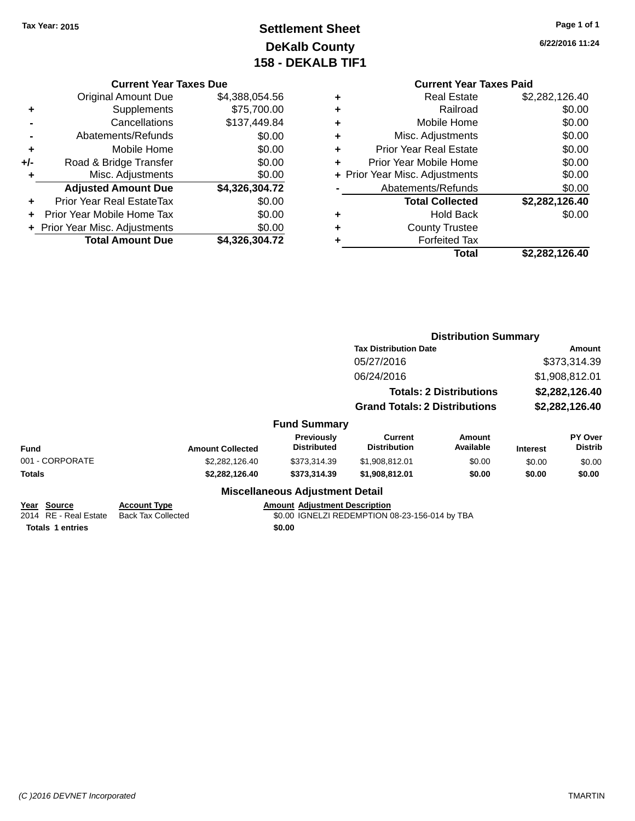# **Settlement Sheet Tax Year: 2015 Page 1 of 1 DeKalb County 158 - DEKALB TIF1**

**6/22/2016 11:24**

|       | <b>Current Year Taxes Due</b>  |                |  |  |  |  |
|-------|--------------------------------|----------------|--|--|--|--|
|       | <b>Original Amount Due</b>     | \$4,388,054.56 |  |  |  |  |
| ٠     | Supplements                    | \$75,700.00    |  |  |  |  |
|       | Cancellations                  | \$137,449.84   |  |  |  |  |
|       | Abatements/Refunds             | \$0.00         |  |  |  |  |
| ٠     | Mobile Home                    | \$0.00         |  |  |  |  |
| $+/-$ | Road & Bridge Transfer         | \$0.00         |  |  |  |  |
| ٠     | Misc. Adjustments              | \$0.00         |  |  |  |  |
|       | <b>Adjusted Amount Due</b>     | \$4,326,304.72 |  |  |  |  |
| ÷     | Prior Year Real EstateTax      | \$0.00         |  |  |  |  |
|       | Prior Year Mobile Home Tax     | \$0.00         |  |  |  |  |
|       | + Prior Year Misc. Adjustments | \$0.00         |  |  |  |  |
|       | <b>Total Amount Due</b>        | \$4.326.304.72 |  |  |  |  |

| <b>Real Estate</b>             | \$2,282,126.40 |
|--------------------------------|----------------|
| Railroad                       | \$0.00         |
| Mobile Home                    | \$0.00         |
| Misc. Adjustments              | \$0.00         |
| <b>Prior Year Real Estate</b>  | \$0.00         |
| Prior Year Mobile Home         | \$0.00         |
| + Prior Year Misc. Adjustments | \$0.00         |
| Abatements/Refunds             | \$0.00         |
| <b>Total Collected</b>         | \$2,282,126.40 |
| <b>Hold Back</b>               | \$0.00         |
| <b>County Trustee</b>          |                |
| <b>Forfeited Tax</b>           |                |
| Total                          | \$2,282,126.40 |
|                                |                |

|                                                                 |                                                  | <b>Distribution Summary</b>                    |                                                            |                                                                                     |                 |                           |  |  |
|-----------------------------------------------------------------|--------------------------------------------------|------------------------------------------------|------------------------------------------------------------|-------------------------------------------------------------------------------------|-----------------|---------------------------|--|--|
|                                                                 |                                                  |                                                | <b>Tax Distribution Date</b>                               | <b>Amount</b><br>\$373,314.39<br>\$1,908,812.01<br>\$2,282,126.40<br>\$2,282,126.40 |                 |                           |  |  |
|                                                                 |                                                  |                                                | 05/27/2016<br>06/24/2016<br><b>Totals: 2 Distributions</b> |                                                                                     |                 |                           |  |  |
|                                                                 |                                                  |                                                |                                                            |                                                                                     |                 |                           |  |  |
|                                                                 |                                                  |                                                |                                                            |                                                                                     |                 |                           |  |  |
|                                                                 |                                                  | <b>Grand Totals: 2 Distributions</b>           |                                                            |                                                                                     |                 |                           |  |  |
|                                                                 |                                                  | <b>Fund Summary</b>                            |                                                            |                                                                                     |                 |                           |  |  |
| <b>Fund</b>                                                     | <b>Amount Collected</b>                          | Previously<br><b>Distributed</b>               | <b>Current</b><br><b>Distribution</b>                      | Amount<br>Available                                                                 | <b>Interest</b> | PY Over<br><b>Distrib</b> |  |  |
| 001 - CORPORATE                                                 | \$2,282,126.40                                   | \$373,314.39                                   | \$1,908,812.01                                             | \$0.00                                                                              | \$0.00          | \$0.00                    |  |  |
| Totals                                                          | \$2,282,126.40                                   | \$373,314.39                                   | \$1,908,812.01                                             | \$0.00                                                                              | \$0.00          | \$0.00                    |  |  |
|                                                                 |                                                  | <b>Miscellaneous Adjustment Detail</b>         |                                                            |                                                                                     |                 |                           |  |  |
| Year Source<br>2014 RE - Real Estate<br><b>Totals 1 entries</b> | <b>Account Type</b><br><b>Back Tax Collected</b> | <b>Amount Adjustment Description</b><br>\$0.00 | \$0.00 IGNELZI REDEMPTION 08-23-156-014 by TBA             |                                                                                     |                 |                           |  |  |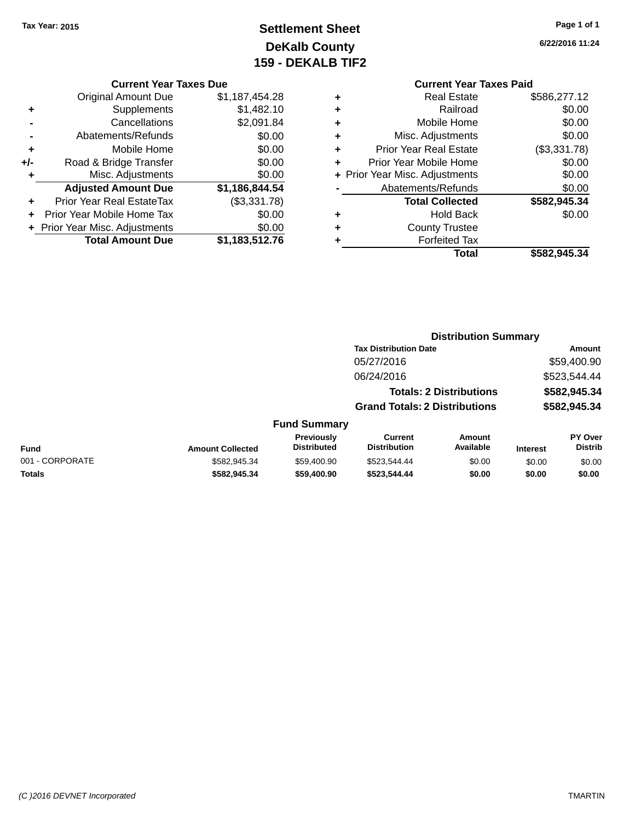# **Settlement Sheet Tax Year: 2015 Page 1 of 1 DeKalb County 159 - DEKALB TIF2**

**6/22/2016 11:24**

#### **Current Year Taxes Due**

|       | <b>Original Amount Due</b>       | \$1,187,454.28 |
|-------|----------------------------------|----------------|
| ٠     | Supplements                      | \$1,482.10     |
|       | Cancellations                    | \$2,091.84     |
|       | Abatements/Refunds               | \$0.00         |
| ٠     | Mobile Home                      | \$0.00         |
| $+/-$ | Road & Bridge Transfer           | \$0.00         |
| ٠     | Misc. Adjustments                | \$0.00         |
|       | <b>Adjusted Amount Due</b>       | \$1,186,844.54 |
| ÷     | <b>Prior Year Real EstateTax</b> | (\$3,331.78)   |
|       | Prior Year Mobile Home Tax       | \$0.00         |
|       | + Prior Year Misc. Adjustments   | \$0.00         |
|       | <b>Total Amount Due</b>          | \$1,183,512.76 |

# **Current Year Taxes Paid**

|   | <b>Real Estate</b>             | \$586,277.12 |
|---|--------------------------------|--------------|
| ٠ | Railroad                       | \$0.00       |
| ٠ | Mobile Home                    | \$0.00       |
| ٠ | Misc. Adjustments              | \$0.00       |
| ٠ | <b>Prior Year Real Estate</b>  | (\$3,331.78) |
| ٠ | Prior Year Mobile Home         | \$0.00       |
|   | + Prior Year Misc. Adjustments | \$0.00       |
|   | Abatements/Refunds             | \$0.00       |
|   | <b>Total Collected</b>         | \$582,945.34 |
| ٠ | <b>Hold Back</b>               | \$0.00       |
| ٠ | <b>County Trustee</b>          |              |
|   | <b>Forfeited Tax</b>           |              |
|   | Total                          | \$582,945.34 |
|   |                                |              |

#### **Distribution Summary Tax Distribution Date Amount** 05/27/2016 \$59,400.90 06/24/2016 \$523,544.44 **Totals: 2 Distributions \$582,945.34 Grand Totals: 2 Distributions \$582,945.34 Fund Summary PY O Distrib Amount Available Current Distribution Previously Amount Collected Distributed**

| <b>Fund</b>     | <b>Amount Collected</b> | <b>Previously</b><br><b>Distributed</b> | Current<br><b>Distribution</b> | Amount<br>Available | <b>Interest</b> | <b>PY Over</b><br><b>Distrib</b> |
|-----------------|-------------------------|-----------------------------------------|--------------------------------|---------------------|-----------------|----------------------------------|
| 001 - CORPORATE | \$582.945.34            | \$59,400.90                             | \$523.544.44                   | \$0.00              | \$0.00          | \$0.00                           |
| <b>Totals</b>   | \$582.945.34            | \$59,400.90                             | \$523,544,44                   | \$0.00              | \$0.00          | \$0.00                           |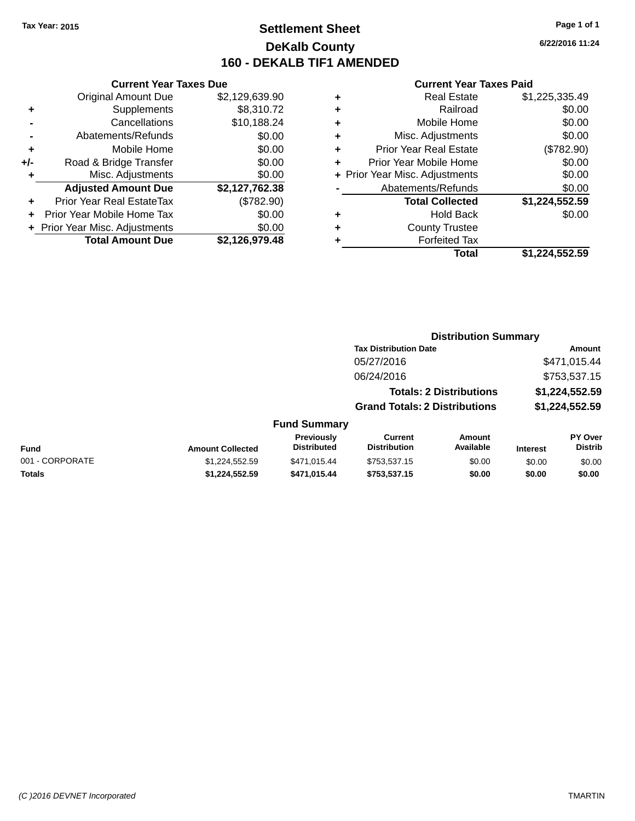# **Settlement Sheet Tax Year: 2015 Page 1 of 1 DeKalb County 160 - DEKALB TIF1 AMENDED**

**6/22/2016 11:24**

|     | <b>Current Year Taxes Due</b>                |                |  |  |
|-----|----------------------------------------------|----------------|--|--|
|     | \$2,129,639.90<br><b>Original Amount Due</b> |                |  |  |
| ٠   | \$8,310.72<br>Supplements                    |                |  |  |
|     | Cancellations                                | \$10,188.24    |  |  |
|     | Abatements/Refunds                           | \$0.00         |  |  |
| ٠   | \$0.00<br>Mobile Home                        |                |  |  |
| +/- | Road & Bridge Transfer                       | \$0.00         |  |  |
|     | Misc. Adjustments                            | \$0.00         |  |  |
|     | <b>Adjusted Amount Due</b>                   | \$2,127,762.38 |  |  |
| ÷   | Prior Year Real EstateTax                    | (\$782.90)     |  |  |
| ÷   | Prior Year Mobile Home Tax                   | \$0.00         |  |  |
|     | + Prior Year Misc. Adjustments               | \$0.00         |  |  |
|     | <b>Total Amount Due</b>                      | \$2,126,979.48 |  |  |

| ٠ | <b>Real Estate</b>             | \$1,225,335.49 |
|---|--------------------------------|----------------|
| ٠ | Railroad                       | \$0.00         |
| ٠ | Mobile Home                    | \$0.00         |
| ٠ | Misc. Adjustments              | \$0.00         |
| ٠ | <b>Prior Year Real Estate</b>  | (\$782.90)     |
| ٠ | Prior Year Mobile Home         | \$0.00         |
|   | + Prior Year Misc. Adjustments | \$0.00         |
|   | Abatements/Refunds             | \$0.00         |
|   | <b>Total Collected</b>         | \$1,224,552.59 |
| ٠ | Hold Back                      | \$0.00         |
| ٠ | <b>County Trustee</b>          |                |
|   | <b>Forfeited Tax</b>           |                |
|   | Total                          | \$1,224,552.59 |
|   |                                |                |

|                 |                         |                                         |                                       | <b>Distribution Summary</b>    |                 |                                  |
|-----------------|-------------------------|-----------------------------------------|---------------------------------------|--------------------------------|-----------------|----------------------------------|
|                 |                         |                                         | <b>Tax Distribution Date</b>          |                                | <b>Amount</b>   |                                  |
|                 |                         |                                         | 05/27/2016                            |                                |                 | \$471,015.44                     |
|                 |                         |                                         | 06/24/2016                            |                                |                 | \$753,537.15                     |
|                 |                         |                                         |                                       | <b>Totals: 2 Distributions</b> |                 | \$1,224,552.59                   |
|                 |                         |                                         | <b>Grand Totals: 2 Distributions</b>  |                                |                 | \$1,224,552.59                   |
|                 |                         | <b>Fund Summary</b>                     |                                       |                                |                 |                                  |
| <b>Fund</b>     | <b>Amount Collected</b> | <b>Previously</b><br><b>Distributed</b> | <b>Current</b><br><b>Distribution</b> | <b>Amount</b><br>Available     | <b>Interest</b> | <b>PY Over</b><br><b>Distrib</b> |
| 001 - CORPORATE | \$1,224,552.59          | \$471,015.44                            | \$753,537.15                          | \$0.00                         | \$0.00          | \$0.00                           |
| <b>Totals</b>   | \$1,224,552.59          | \$471,015.44                            | \$753,537.15                          | \$0.00                         | \$0.00          | \$0.00                           |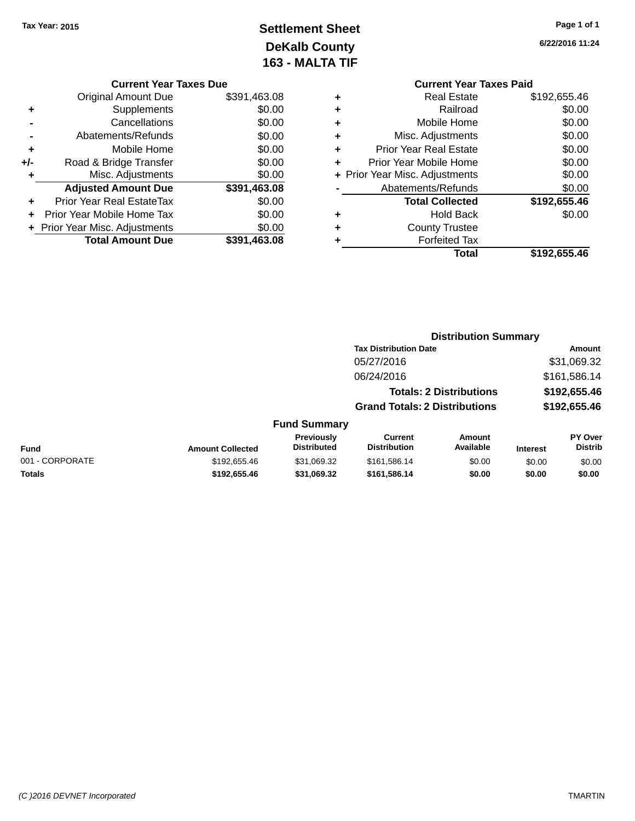# **Settlement Sheet Tax Year: 2015 Page 1 of 1 DeKalb County 163 - MALTA TIF**

**6/22/2016 11:24**

| <b>Current</b>             |   |               | r Taxes Due |
|----------------------------|---|---------------|-------------|
| Real E                     | ٠ | \$391,463.08  | €           |
| Rail                       | ٠ | \$0.00        | ś           |
| Mobile H                   | ٠ | \$0.00        | 3           |
| Misc. Adjustm              | ٠ | \$0.00        | Ŝ.          |
| Prior Year Real E          | ٠ | \$0.00        | Э           |
| Prior Year Mobile H        | ٠ | \$0.00        | r           |
| + Prior Year Misc. Adjustm |   | \$0.00        | 3           |
| Abatements/Ref             |   | \$391,463.08  | ě           |
| <b>Total Colle</b>         |   | \$0.00        | ĸ           |
| Hold I                     |   | \$0.00        | ĸ           |
| County Tru                 |   | \$0.00        | 3           |
| $\Gamma$ ofoitor           |   | ል አለ<br>10000 |             |

#### **Current Year**

|       | <b>Original Amount Due</b>       | \$391,463.08 |
|-------|----------------------------------|--------------|
| ٠     | Supplements                      | \$0.00       |
|       | Cancellations                    | \$0.00       |
|       | Abatements/Refunds               | \$0.00       |
| ٠     | Mobile Home                      | \$0.00       |
| $+/-$ | Road & Bridge Transfer           | \$0.00       |
| ٠     | Misc. Adjustments                | \$0.00       |
|       | <b>Adjusted Amount Due</b>       | \$391,463.08 |
|       | <b>Prior Year Real EstateTax</b> | \$0.00       |
|       | Prior Year Mobile Home Tax       | \$0.00       |
|       | + Prior Year Misc. Adjustments   | \$0.00       |
|       | <b>Total Amount Due</b>          | \$391,463.08 |

#### **Year Taxes Paid +** Real Estate \$192,655.46 **+** Railroad \$0.00 **+**  $\frac{1}{2}$  Mome \$0.00 **hents** \$0.00 **+** Prior Year Real Estate \$0.00 **+** Prior Year Mobile Home \$0.00 **+** Prior Year Misc. Adjustments  $$0.00$ **-** Abatements/Refunds \$0.00 **Total Collected \$192,655.46 Back** \$0.00  $ustee$ **+** Forfeited Tax

**Total \$192,655.46**

| <b>Distribution Summary</b>  |             |  |  |  |
|------------------------------|-------------|--|--|--|
| <b>Tax Distribution Date</b> | Amount      |  |  |  |
| 05/27/2016                   | \$31,069.32 |  |  |  |

| 06/24/2016                           | \$161,586.14 |
|--------------------------------------|--------------|
| <b>Totals: 2 Distributions</b>       | \$192,655.46 |
| <b>Grand Totals: 2 Distributions</b> | \$192,655.46 |

| <b>Fund</b>     | <b>Amount Collected</b> | <b>Previously</b><br><b>Distributed</b> | Current<br><b>Distribution</b> | Amount<br>Available | <b>Interest</b> | <b>PY Over</b><br>Distrib |
|-----------------|-------------------------|-----------------------------------------|--------------------------------|---------------------|-----------------|---------------------------|
| 001 - CORPORATE | \$192,655.46            | \$31.069.32                             | \$161.586.14                   | \$0.00              | \$0.00          | \$0.00                    |
| <b>Totals</b>   | \$192,655.46            | \$31.069.32                             | \$161.586.14                   | \$0.00              | \$0.00          | \$0.00                    |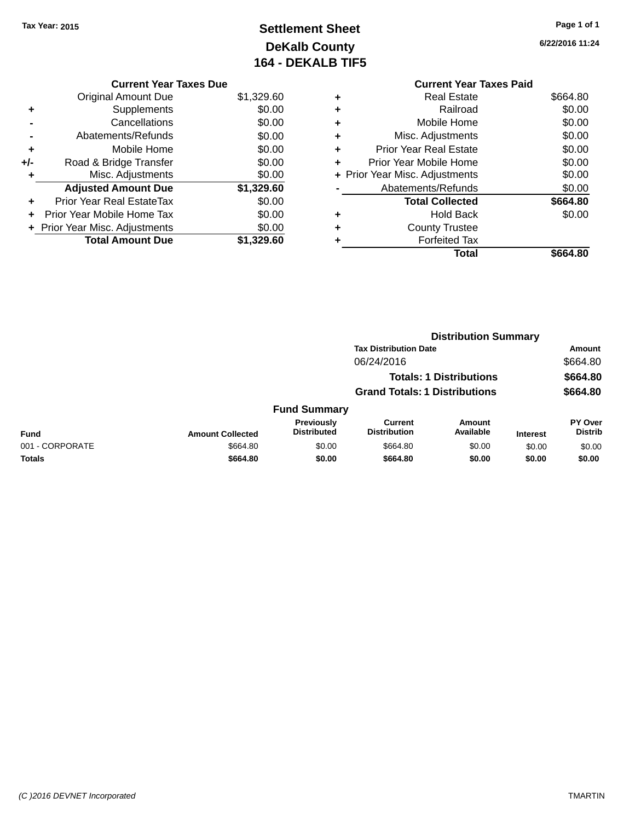# **Settlement Sheet Tax Year: 2015 Page 1 of 1 DeKalb County 164 - DEKALB TIF5**

**6/22/2016 11:24**

|     | <b>Current Year Taxes Due</b>  |            |
|-----|--------------------------------|------------|
|     | <b>Original Amount Due</b>     | \$1,329.60 |
| ٠   | Supplements                    | \$0.00     |
|     | Cancellations                  | \$0.00     |
|     | Abatements/Refunds             | \$0.00     |
| ٠   | Mobile Home                    | \$0.00     |
| +/- | Road & Bridge Transfer         | \$0.00     |
|     | Misc. Adjustments              | \$0.00     |
|     | <b>Adjusted Amount Due</b>     | \$1,329.60 |
| ٠   | Prior Year Real EstateTax      | \$0.00     |
|     | Prior Year Mobile Home Tax     | \$0.00     |
|     | + Prior Year Misc. Adjustments | \$0.00     |
|     | <b>Total Amount Due</b>        | \$1.329.60 |
|     |                                |            |

|   | <b>Current Year Taxes Paid</b> |          |
|---|--------------------------------|----------|
| ٠ | Real Estate                    | \$664.80 |
| ٠ | Railroad                       | \$0.00   |
| ٠ | Mobile Home                    | \$0.00   |
| ٠ | Misc. Adjustments              | \$0.00   |
| ٠ | <b>Prior Year Real Estate</b>  | \$0.00   |
| ٠ | Prior Year Mobile Home         | \$0.00   |
|   | + Prior Year Misc. Adjustments | \$0.00   |
|   | Abatements/Refunds             | \$0.00   |
|   | <b>Total Collected</b>         | \$664.80 |
| ٠ | <b>Hold Back</b>               | \$0.00   |
| ٠ | <b>County Trustee</b>          |          |
|   | <b>Forfeited Tax</b>           |          |
|   | Total                          | \$664.80 |
|   |                                |          |

|                 |                         |                                         | <b>Distribution Summary</b>           |                                |                 |                                  |  |
|-----------------|-------------------------|-----------------------------------------|---------------------------------------|--------------------------------|-----------------|----------------------------------|--|
|                 |                         |                                         | <b>Tax Distribution Date</b>          |                                |                 | Amount                           |  |
|                 |                         |                                         | 06/24/2016                            |                                |                 | \$664.80                         |  |
|                 |                         |                                         |                                       | <b>Totals: 1 Distributions</b> |                 | \$664.80                         |  |
|                 |                         |                                         | <b>Grand Totals: 1 Distributions</b>  |                                |                 | \$664.80                         |  |
|                 |                         | <b>Fund Summary</b>                     |                                       |                                |                 |                                  |  |
| <b>Fund</b>     | <b>Amount Collected</b> | <b>Previously</b><br><b>Distributed</b> | <b>Current</b><br><b>Distribution</b> | <b>Amount</b><br>Available     | <b>Interest</b> | <b>PY Over</b><br><b>Distrib</b> |  |
| 001 - CORPORATE | \$664.80                | \$0.00                                  | \$664.80                              | \$0.00                         | \$0.00          | \$0.00                           |  |
| <b>Totals</b>   | \$664.80                | \$0.00                                  | \$664.80                              | \$0.00                         | \$0.00          | \$0.00                           |  |
|                 |                         |                                         |                                       |                                |                 |                                  |  |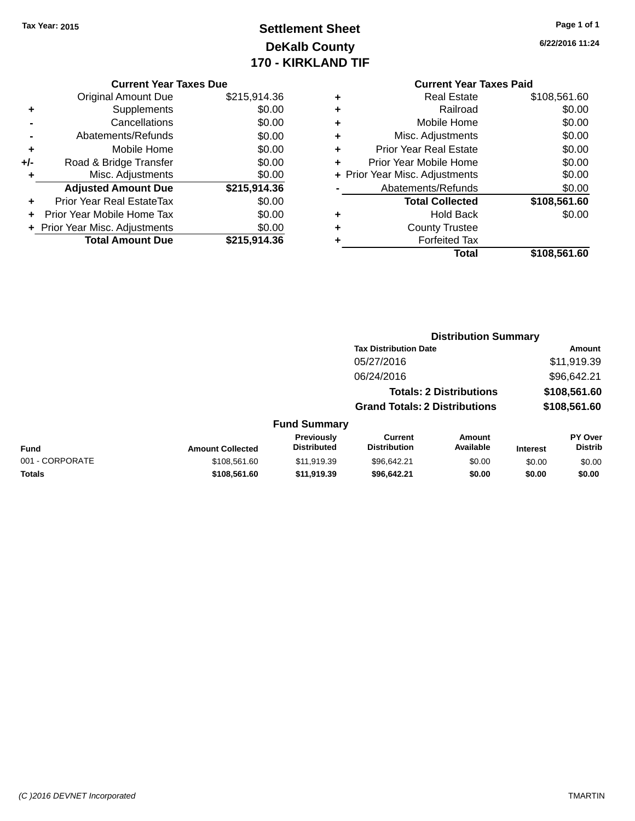# **Settlement Sheet Tax Year: 2015 Page 1 of 1 DeKalb County 170 - KIRKLAND TIF**

**6/22/2016 11:24**

#### **Current Year Taxes Due**

|     | <b>Original Amount Due</b>       | \$215,914.36 |
|-----|----------------------------------|--------------|
| ٠   | Supplements                      | \$0.00       |
|     | Cancellations                    | \$0.00       |
|     | Abatements/Refunds               | \$0.00       |
| ٠   | Mobile Home                      | \$0.00       |
| +/- | Road & Bridge Transfer           | \$0.00       |
| ٠   | Misc. Adjustments                | \$0.00       |
|     | <b>Adjusted Amount Due</b>       | \$215,914.36 |
|     | <b>Prior Year Real EstateTax</b> | \$0.00       |
|     | Prior Year Mobile Home Tax       | \$0.00       |
|     | + Prior Year Misc. Adjustments   | \$0.00       |
|     | <b>Total Amount Due</b>          | \$215.914.36 |

# **Current Year Taxes Paid**

| ٠ | <b>Real Estate</b>             | \$108,561.60 |
|---|--------------------------------|--------------|
| ٠ | Railroad                       | \$0.00       |
| ٠ | Mobile Home                    | \$0.00       |
| ٠ | Misc. Adjustments              | \$0.00       |
| ٠ | <b>Prior Year Real Estate</b>  | \$0.00       |
| ٠ | Prior Year Mobile Home         | \$0.00       |
|   | + Prior Year Misc. Adjustments | \$0.00       |
|   | Abatements/Refunds             | \$0.00       |
|   | <b>Total Collected</b>         | \$108,561.60 |
| ٠ | <b>Hold Back</b>               | \$0.00       |
| ٠ | <b>County Trustee</b>          |              |
| ٠ | <b>Forfeited Tax</b>           |              |
|   | Total                          | \$108,561.60 |
|   |                                |              |

#### **Distribution Summary Tax Distribution Date Amount** 05/27/2016 \$11,919.39 06/24/2016 \$96,642.21 **Totals: 2 Distributions \$108,561.60 Grand Totals: 2 Distributions \$108,561.60 Fund Summary Fund Interest Amount Collected Distributed PY Over Distrib Amount Available Current Distribution Previously** 001 - CORPORATE 60 \$108,561.60 \$11,919.39 \$96,642.21 \$0.00 \$0.00 \$0.00 \$0.00 **Totals \$108,561.60 \$11,919.39 \$96,642.21 \$0.00 \$0.00 \$0.00**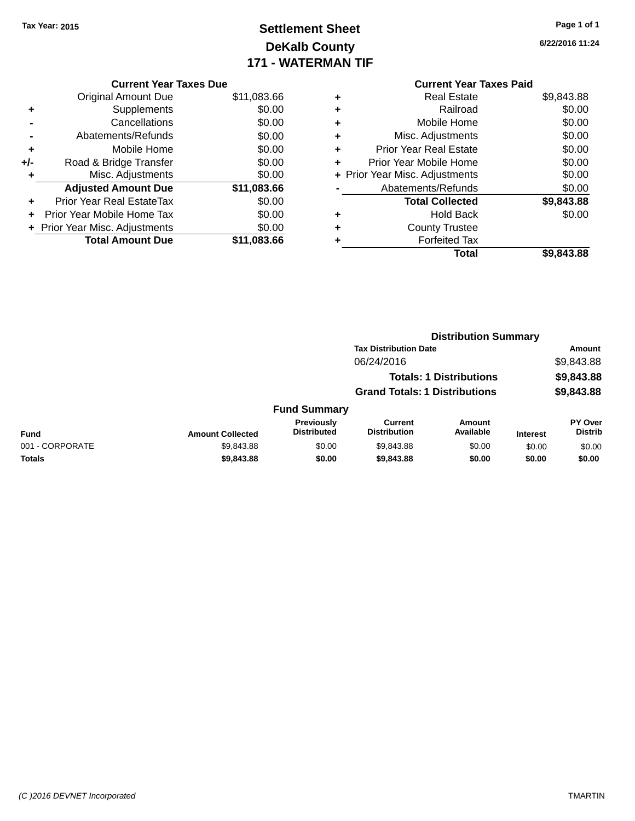# **Settlement Sheet Tax Year: 2015 Page 1 of 1 DeKalb County 171 - WATERMAN TIF**

**6/22/2016 11:24**

|     | <b>Current Year Taxes Due</b>  |             |  |  |  |
|-----|--------------------------------|-------------|--|--|--|
|     | <b>Original Amount Due</b>     | \$11,083.66 |  |  |  |
| ٠   | Supplements                    | \$0.00      |  |  |  |
|     | Cancellations                  | \$0.00      |  |  |  |
|     | Abatements/Refunds             | \$0.00      |  |  |  |
| ٠   | Mobile Home                    | \$0.00      |  |  |  |
| +/- | Road & Bridge Transfer         | \$0.00      |  |  |  |
|     | Misc. Adjustments              | \$0.00      |  |  |  |
|     | <b>Adjusted Amount Due</b>     | \$11,083.66 |  |  |  |
| ٠   | Prior Year Real EstateTax      | \$0.00      |  |  |  |
|     | Prior Year Mobile Home Tax     | \$0.00      |  |  |  |
|     | + Prior Year Misc. Adjustments | \$0.00      |  |  |  |
|     | <b>Total Amount Due</b>        | \$11,083.66 |  |  |  |

#### **Current Year Taxes Paid +** Real Estate \$9,843.88 **+** Railroad \$0.00 **+** Mobile Home \$0.00 **+** Misc. Adjustments \$0.00 **+** Prior Year Real Estate \$0.00

| Prior Year Mobile Home         | \$0.00     |
|--------------------------------|------------|
| + Prior Year Misc. Adjustments | \$0.00     |
| Abatements/Refunds             | \$0.00     |
| <b>Total Collected</b>         | \$9,843.88 |
| <b>Hold Back</b>               | \$0.00     |
| <b>County Trustee</b>          |            |
| <b>Forfeited Tax</b>           |            |
| Total                          | \$9,843.88 |

|                 | <b>Distribution Summary</b> |                                         |                                      |                                |                 |                                  |
|-----------------|-----------------------------|-----------------------------------------|--------------------------------------|--------------------------------|-----------------|----------------------------------|
|                 |                             |                                         | <b>Tax Distribution Date</b>         |                                |                 | Amount                           |
|                 |                             |                                         | 06/24/2016                           |                                |                 | \$9,843.88                       |
|                 |                             |                                         |                                      | <b>Totals: 1 Distributions</b> |                 | \$9,843.88                       |
|                 |                             |                                         | <b>Grand Totals: 1 Distributions</b> |                                |                 | \$9,843.88                       |
|                 |                             | <b>Fund Summary</b>                     |                                      |                                |                 |                                  |
| <b>Fund</b>     | <b>Amount Collected</b>     | <b>Previously</b><br><b>Distributed</b> | Current<br><b>Distribution</b>       | <b>Amount</b><br>Available     | <b>Interest</b> | <b>PY Over</b><br><b>Distrib</b> |
| 001 - CORPORATE | \$9,843.88                  | \$0.00                                  | \$9,843.88                           | \$0.00                         | \$0.00          | \$0.00                           |
| <b>Totals</b>   | \$9,843.88                  | \$0.00                                  | \$9,843.88                           | \$0.00                         | \$0.00          | \$0.00                           |
|                 |                             |                                         |                                      |                                |                 |                                  |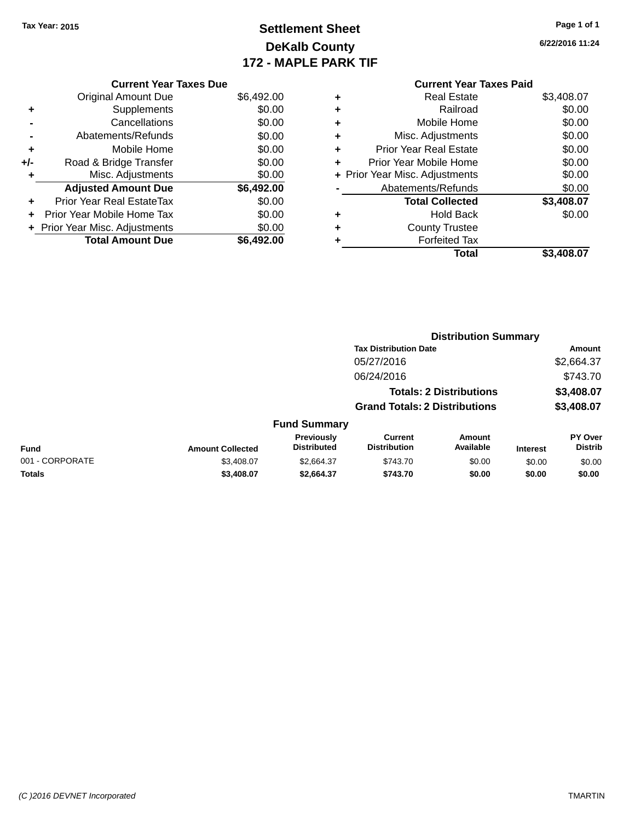# **Settlement Sheet Tax Year: 2015 Page 1 of 1 DeKalb County 172 - MAPLE PARK TIF**

**6/22/2016 11:24**

| <b>Current Year Taxes Due</b>  |            |  |  |  |  |
|--------------------------------|------------|--|--|--|--|
| <b>Original Amount Due</b>     | \$6,492.00 |  |  |  |  |
| Supplements                    | \$0.00     |  |  |  |  |
| Cancellations                  | \$0.00     |  |  |  |  |
| Abatements/Refunds             | \$0.00     |  |  |  |  |
| Mobile Home                    | \$0.00     |  |  |  |  |
| Road & Bridge Transfer         | \$0.00     |  |  |  |  |
| Misc. Adjustments              | \$0.00     |  |  |  |  |
| <b>Adjusted Amount Due</b>     | \$6,492.00 |  |  |  |  |
| Prior Year Real EstateTax      | \$0.00     |  |  |  |  |
| Prior Year Mobile Home Tax     | \$0.00     |  |  |  |  |
| + Prior Year Misc. Adjustments | \$0.00     |  |  |  |  |
|                                |            |  |  |  |  |
|                                |            |  |  |  |  |

| ٠ | <b>Real Estate</b>             | \$3,408.07 |
|---|--------------------------------|------------|
| ٠ | Railroad                       | \$0.00     |
| ٠ | Mobile Home                    | \$0.00     |
| ٠ | Misc. Adjustments              | \$0.00     |
| ٠ | <b>Prior Year Real Estate</b>  | \$0.00     |
| ٠ | Prior Year Mobile Home         | \$0.00     |
|   | + Prior Year Misc. Adjustments | \$0.00     |
|   | Abatements/Refunds             | \$0.00     |
|   | <b>Total Collected</b>         | \$3,408.07 |
| ٠ | <b>Hold Back</b>               | \$0.00     |
| ٠ | <b>County Trustee</b>          |            |
|   | <b>Forfeited Tax</b>           |            |
|   | Total                          | \$3,408.07 |
|   |                                |            |

|                 |                         |                                  |                                       | <b>Distribution Summary</b>    |                 |                                  |
|-----------------|-------------------------|----------------------------------|---------------------------------------|--------------------------------|-----------------|----------------------------------|
|                 |                         |                                  | <b>Tax Distribution Date</b>          |                                |                 | <b>Amount</b>                    |
|                 |                         |                                  | 05/27/2016                            |                                |                 | \$2,664.37                       |
|                 |                         |                                  | 06/24/2016                            |                                |                 | \$743.70                         |
|                 |                         |                                  |                                       | <b>Totals: 2 Distributions</b> |                 | \$3,408.07                       |
|                 |                         |                                  | <b>Grand Totals: 2 Distributions</b>  |                                |                 | \$3,408.07                       |
|                 |                         | <b>Fund Summary</b>              |                                       |                                |                 |                                  |
| Fund            | <b>Amount Collected</b> | Previously<br><b>Distributed</b> | <b>Current</b><br><b>Distribution</b> | Amount<br>Available            | <b>Interest</b> | <b>PY Over</b><br><b>Distrib</b> |
| 001 - CORPORATE | \$3.408.07              | \$2,664.37                       | \$743.70                              | \$0.00                         | \$0.00          | \$0.00                           |
| <b>Totals</b>   | \$3,408.07              | \$2,664.37                       | \$743.70                              | \$0.00                         | \$0.00          | \$0.00                           |
|                 |                         |                                  |                                       |                                |                 |                                  |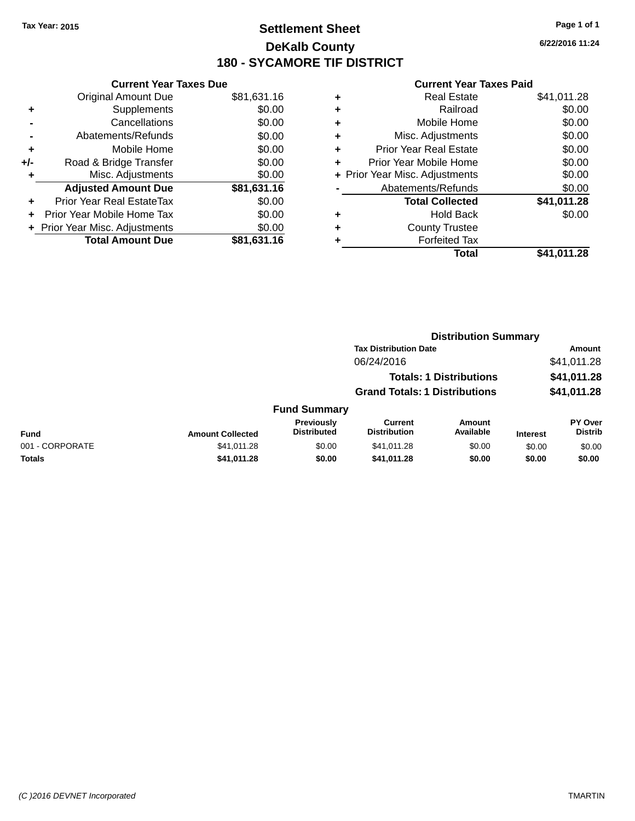# **Settlement Sheet Tax Year: 2015 Page 1 of 1 DeKalb County 180 - SYCAMORE TIF DISTRICT**

**6/22/2016 11:24**

|     | <b>Current Year Taxes Due</b>  |             |
|-----|--------------------------------|-------------|
|     | <b>Original Amount Due</b>     | \$81,631.16 |
| ٠   | Supplements                    | \$0.00      |
|     | Cancellations                  | \$0.00      |
|     | Abatements/Refunds             | \$0.00      |
| ٠   | Mobile Home                    | \$0.00      |
| +/- | Road & Bridge Transfer         | \$0.00      |
|     | Misc. Adjustments              | \$0.00      |
|     | <b>Adjusted Amount Due</b>     | \$81,631.16 |
| ÷   | Prior Year Real EstateTax      | \$0.00      |
|     | Prior Year Mobile Home Tax     | \$0.00      |
|     | + Prior Year Misc. Adjustments | \$0.00      |
|     | <b>Total Amount Due</b>        | \$81.631.16 |

| ٠ | <b>Real Estate</b>             | \$41,011.28 |
|---|--------------------------------|-------------|
| ٠ | Railroad                       | \$0.00      |
| ٠ | Mobile Home                    | \$0.00      |
| ٠ | Misc. Adjustments              | \$0.00      |
| ٠ | <b>Prior Year Real Estate</b>  | \$0.00      |
| ٠ | Prior Year Mobile Home         | \$0.00      |
|   | + Prior Year Misc. Adjustments | \$0.00      |
|   | Abatements/Refunds             | \$0.00      |
|   | <b>Total Collected</b>         | \$41,011.28 |
| ٠ | <b>Hold Back</b>               | \$0.00      |
| ٠ | <b>County Trustee</b>          |             |
| ٠ | <b>Forfeited Tax</b>           |             |
|   | Total                          | \$41,011.28 |
|   |                                |             |

|                 | <b>Distribution Summary</b> |                                         |                                       |                                |                 |                           |
|-----------------|-----------------------------|-----------------------------------------|---------------------------------------|--------------------------------|-----------------|---------------------------|
|                 |                             |                                         | <b>Tax Distribution Date</b>          |                                |                 | Amount                    |
|                 |                             |                                         | 06/24/2016                            |                                |                 | \$41,011.28               |
|                 |                             |                                         |                                       | <b>Totals: 1 Distributions</b> |                 | \$41,011.28               |
|                 |                             |                                         | <b>Grand Totals: 1 Distributions</b>  |                                |                 | \$41,011.28               |
|                 |                             | <b>Fund Summary</b>                     |                                       |                                |                 |                           |
| <b>Fund</b>     | <b>Amount Collected</b>     | <b>Previously</b><br><b>Distributed</b> | <b>Current</b><br><b>Distribution</b> | <b>Amount</b><br>Available     | <b>Interest</b> | PY Over<br><b>Distrib</b> |
| 001 - CORPORATE | \$41.011.28                 | \$0.00                                  | \$41.011.28                           | \$0.00                         | \$0.00          | \$0.00                    |
| Totals          | \$41,011.28                 | \$0.00                                  | \$41,011.28                           | \$0.00                         | \$0.00          | \$0.00                    |
|                 |                             |                                         |                                       |                                |                 |                           |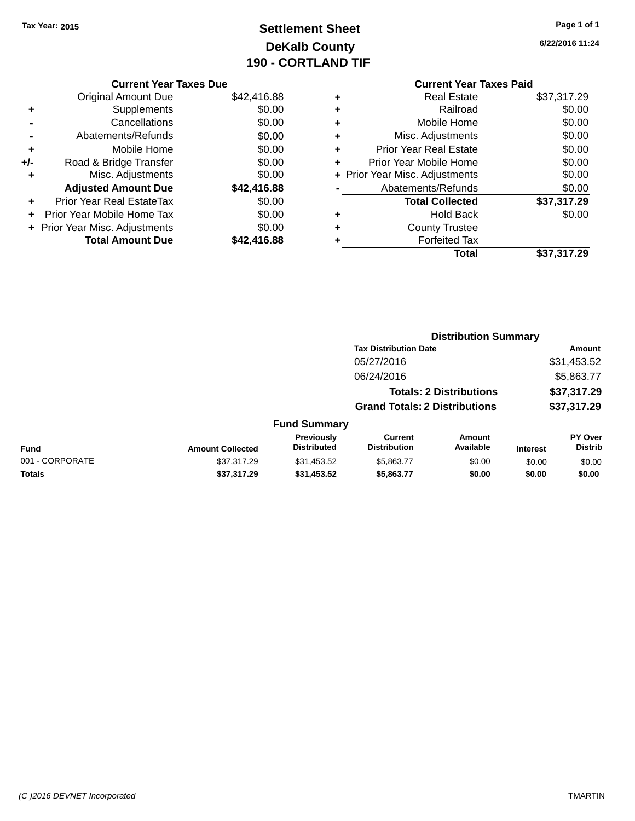# **Settlement Sheet Tax Year: 2015 Page 1 of 1 DeKalb County 190 - CORTLAND TIF**

**6/22/2016 11:24**

|     | <b>Current Year Taxes Due</b>  |             |  |  |  |
|-----|--------------------------------|-------------|--|--|--|
|     | <b>Original Amount Due</b>     | \$42,416.88 |  |  |  |
| ٠   | Supplements                    | \$0.00      |  |  |  |
|     | Cancellations                  | \$0.00      |  |  |  |
|     | Abatements/Refunds             | \$0.00      |  |  |  |
| ٠   | Mobile Home                    | \$0.00      |  |  |  |
| +/- | Road & Bridge Transfer         | \$0.00      |  |  |  |
| ٠   | Misc. Adjustments              | \$0.00      |  |  |  |
|     | <b>Adjusted Amount Due</b>     | \$42,416.88 |  |  |  |
| ٠   | Prior Year Real EstateTax      | \$0.00      |  |  |  |
|     | Prior Year Mobile Home Tax     | \$0.00      |  |  |  |
|     | + Prior Year Misc. Adjustments | \$0.00      |  |  |  |
|     | <b>Total Amount Due</b>        | \$42,416.88 |  |  |  |
|     |                                |             |  |  |  |

#### **Current Year Taxes Paid +** Real Estate \$37,317.29 **+** Railroad \$0.00 **+** Mobile Home \$0.00 **+** Misc. Adjustments \$0.00 **+** Prior Year Real Estate \$0.00 **+** Prior Year Mobile Home \$0.00 **+ Prior Year Misc. Adjustments**  $$0.00$ **-** Abatements/Refunds \$0.00 **Total Collected \$37,317.29 +** Hold Back \$0.00 **+** County Trustee

**Total \$37,317.29**

**+** Forfeited Tax

|                 |                         |                                  |                                       | <b>Distribution Summary</b>    |                 |                                  |
|-----------------|-------------------------|----------------------------------|---------------------------------------|--------------------------------|-----------------|----------------------------------|
|                 |                         |                                  | <b>Tax Distribution Date</b>          |                                |                 | Amount                           |
|                 |                         |                                  | 05/27/2016                            |                                |                 | \$31,453.52                      |
|                 |                         |                                  | 06/24/2016                            |                                |                 | \$5,863.77                       |
|                 |                         |                                  |                                       | <b>Totals: 2 Distributions</b> |                 | \$37,317.29                      |
|                 |                         |                                  | <b>Grand Totals: 2 Distributions</b>  |                                |                 | \$37,317.29                      |
|                 |                         | <b>Fund Summary</b>              |                                       |                                |                 |                                  |
| <b>Fund</b>     | <b>Amount Collected</b> | Previously<br><b>Distributed</b> | <b>Current</b><br><b>Distribution</b> | Amount<br>Available            | <b>Interest</b> | <b>PY Over</b><br><b>Distrib</b> |
| 001 - CORPORATE | \$37,317.29             | \$31,453.52                      | \$5,863.77                            | \$0.00                         | \$0.00          | \$0.00                           |
| <b>Totals</b>   | \$37,317.29             | \$31,453.52                      | \$5,863.77                            | \$0.00                         | \$0.00          | \$0.00                           |
|                 |                         |                                  |                                       |                                |                 |                                  |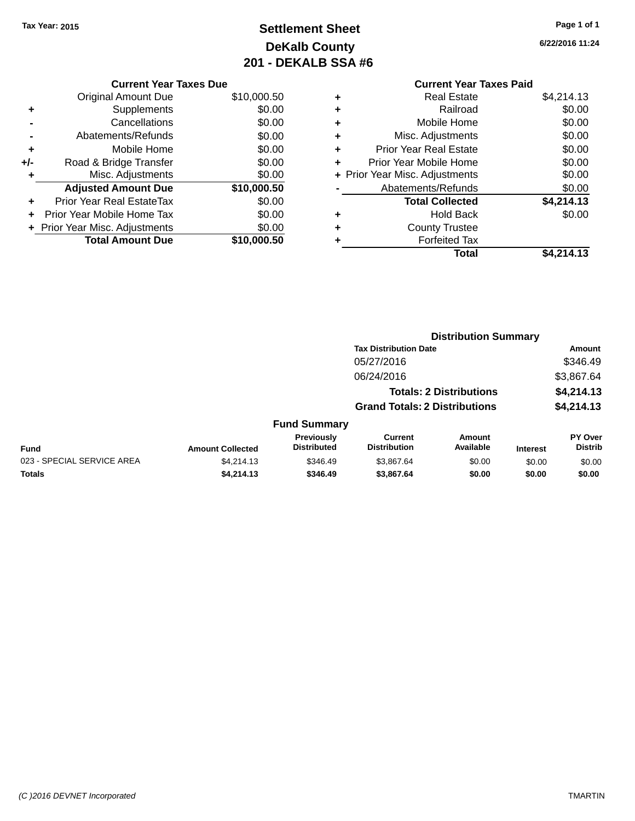# **Settlement Sheet Tax Year: 2015 Page 1 of 1 DeKalb County 201 - DEKALB SSA #6**

**6/22/2016 11:24**

|     | <b>Current Year Taxes Due</b>  |             |  |  |  |
|-----|--------------------------------|-------------|--|--|--|
|     | <b>Original Amount Due</b>     | \$10,000.50 |  |  |  |
| ٠   | Supplements                    | \$0.00      |  |  |  |
|     | Cancellations                  | \$0.00      |  |  |  |
|     | Abatements/Refunds             | \$0.00      |  |  |  |
| ٠   | Mobile Home                    | \$0.00      |  |  |  |
| +/- | Road & Bridge Transfer         | \$0.00      |  |  |  |
| ٠   | Misc. Adjustments              | \$0.00      |  |  |  |
|     | <b>Adjusted Amount Due</b>     | \$10,000.50 |  |  |  |
| ٠   | Prior Year Real EstateTax      | \$0.00      |  |  |  |
|     | Prior Year Mobile Home Tax     | \$0.00      |  |  |  |
|     | + Prior Year Misc. Adjustments | \$0.00      |  |  |  |
|     | <b>Total Amount Due</b>        | \$10,000,50 |  |  |  |
|     |                                |             |  |  |  |

#### **Current Year Taxes Paid +** Real Estate \$4,214.13

|   | Total                          | \$4,214.13 |
|---|--------------------------------|------------|
|   | <b>Forfeited Tax</b>           |            |
| ٠ | <b>County Trustee</b>          |            |
|   | <b>Hold Back</b>               | \$0.00     |
|   | <b>Total Collected</b>         | \$4,214.13 |
|   | Abatements/Refunds             | \$0.00     |
|   | + Prior Year Misc. Adjustments | \$0.00     |
|   | Prior Year Mobile Home         | \$0.00     |
|   | <b>Prior Year Real Estate</b>  | \$0.00     |
|   | Misc. Adjustments              | \$0.00     |
|   | Mobile Home                    | \$0.00     |
|   | Railroad                       | \$0.00     |
| Ŧ | NGAI CSIAIG                    | 51.41 2.4  |

|                            |                         |                                  |                                       | <b>Distribution Summary</b>    |                 |                           |
|----------------------------|-------------------------|----------------------------------|---------------------------------------|--------------------------------|-----------------|---------------------------|
|                            |                         |                                  | <b>Tax Distribution Date</b>          |                                |                 | <b>Amount</b>             |
|                            |                         |                                  | 05/27/2016                            |                                |                 | \$346.49                  |
|                            |                         |                                  | 06/24/2016                            |                                |                 | \$3,867.64                |
|                            |                         |                                  |                                       | <b>Totals: 2 Distributions</b> |                 | \$4,214.13                |
|                            |                         |                                  | <b>Grand Totals: 2 Distributions</b>  |                                |                 | \$4,214.13                |
|                            |                         | <b>Fund Summary</b>              |                                       |                                |                 |                           |
| <b>Fund</b>                | <b>Amount Collected</b> | Previously<br><b>Distributed</b> | <b>Current</b><br><b>Distribution</b> | <b>Amount</b><br>Available     | <b>Interest</b> | PY Over<br><b>Distrib</b> |
| 023 - SPECIAL SERVICE AREA | \$4,214.13              | \$346.49                         | \$3.867.64                            | \$0.00                         | \$0.00          | \$0.00                    |
| Totals                     | \$4,214.13              | \$346.49                         | \$3,867.64                            | \$0.00                         | \$0.00          | \$0.00                    |
|                            |                         |                                  |                                       |                                |                 |                           |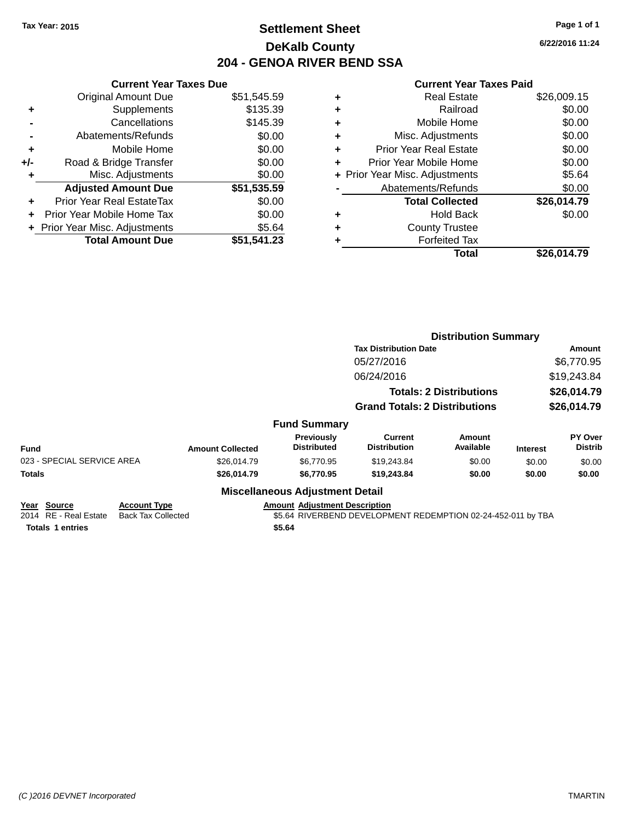# **Settlement Sheet Tax Year: 2015 Page 1 of 1 DeKalb County 204 - GENOA RIVER BEND SSA**

**6/22/2016 11:24**

|     | <b>Current Year Taxes Due</b>  |             |  |  |  |
|-----|--------------------------------|-------------|--|--|--|
|     | <b>Original Amount Due</b>     | \$51,545.59 |  |  |  |
| ٠   | Supplements                    | \$135.39    |  |  |  |
|     | Cancellations                  | \$145.39    |  |  |  |
|     | Abatements/Refunds             | \$0.00      |  |  |  |
| ٠   | Mobile Home                    | \$0.00      |  |  |  |
| +/- | Road & Bridge Transfer         | \$0.00      |  |  |  |
| ٠   | Misc. Adjustments              | \$0.00      |  |  |  |
|     | <b>Adjusted Amount Due</b>     | \$51,535.59 |  |  |  |
| ÷   | Prior Year Real EstateTax      | \$0.00      |  |  |  |
| ÷   | Prior Year Mobile Home Tax     | \$0.00      |  |  |  |
|     | + Prior Year Misc. Adjustments | \$5.64      |  |  |  |
|     | <b>Total Amount Due</b>        | \$51.541.23 |  |  |  |

|   | <b>Real Estate</b>             | \$26,009.15 |
|---|--------------------------------|-------------|
| ٠ | Railroad                       | \$0.00      |
| ٠ | Mobile Home                    | \$0.00      |
| ٠ | Misc. Adjustments              | \$0.00      |
| ٠ | <b>Prior Year Real Estate</b>  | \$0.00      |
| ٠ | Prior Year Mobile Home         | \$0.00      |
|   | + Prior Year Misc. Adjustments | \$5.64      |
|   | Abatements/Refunds             | \$0.00      |
|   | <b>Total Collected</b>         | \$26,014.79 |
| ٠ | <b>Hold Back</b>               | \$0.00      |
| ٠ | <b>County Trustee</b>          |             |
| ٠ | <b>Forfeited Tax</b>           |             |
|   | <b>Total</b>                   | \$26,014.79 |
|   |                                |             |

|                                                                 |                                                  |                         |                                                | <b>Distribution Summary</b>                                  |                     |                 |                           |  |
|-----------------------------------------------------------------|--------------------------------------------------|-------------------------|------------------------------------------------|--------------------------------------------------------------|---------------------|-----------------|---------------------------|--|
|                                                                 |                                                  |                         |                                                | <b>Tax Distribution Date</b>                                 |                     | Amount          |                           |  |
|                                                                 |                                                  |                         |                                                | 05/27/2016                                                   |                     |                 | \$6,770.95                |  |
|                                                                 | 06/24/2016                                       |                         |                                                | \$19,243.84                                                  |                     |                 |                           |  |
|                                                                 |                                                  |                         |                                                | <b>Totals: 2 Distributions</b>                               | \$26,014.79         |                 |                           |  |
|                                                                 |                                                  |                         |                                                | <b>Grand Totals: 2 Distributions</b>                         | \$26,014.79         |                 |                           |  |
|                                                                 |                                                  |                         | <b>Fund Summary</b>                            |                                                              |                     |                 |                           |  |
| <b>Fund</b>                                                     |                                                  | <b>Amount Collected</b> | Previously<br><b>Distributed</b>               | Current<br><b>Distribution</b>                               | Amount<br>Available | <b>Interest</b> | PY Over<br><b>Distrib</b> |  |
| 023 - SPECIAL SERVICE AREA                                      |                                                  | \$26,014.79             | \$6,770.95                                     | \$19,243.84                                                  | \$0.00              | \$0.00          | \$0.00                    |  |
| <b>Totals</b>                                                   |                                                  | \$26,014.79             | \$6,770.95                                     | \$19,243.84                                                  | \$0.00              | \$0.00          | \$0.00                    |  |
|                                                                 |                                                  |                         | <b>Miscellaneous Adjustment Detail</b>         |                                                              |                     |                 |                           |  |
| Year Source<br>2014 RE - Real Estate<br><b>Totals 1 entries</b> | <b>Account Type</b><br><b>Back Tax Collected</b> |                         | <b>Amount Adjustment Description</b><br>\$5.64 | \$5.64 RIVERBEND DEVELOPMENT REDEMPTION 02-24-452-011 by TBA |                     |                 |                           |  |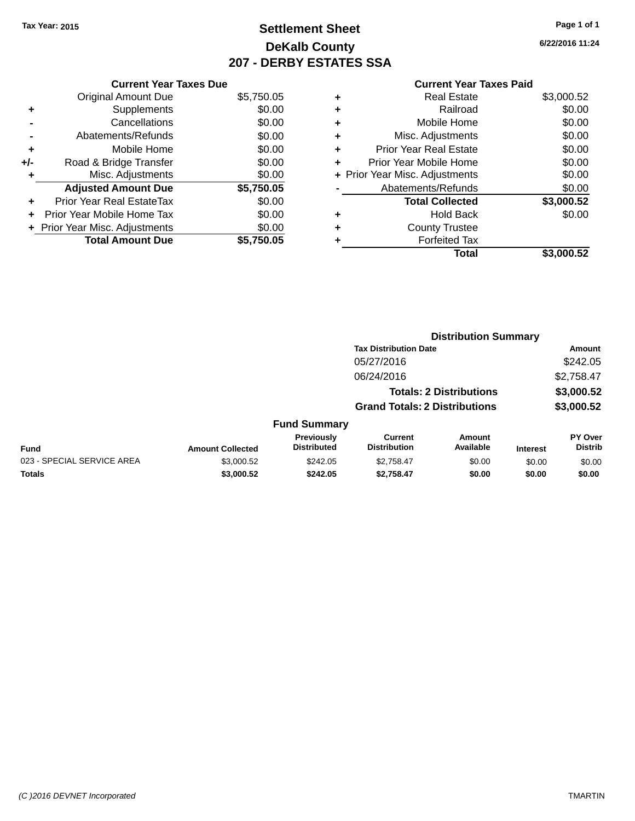# **Settlement Sheet Tax Year: 2015 Page 1 of 1 DeKalb County 207 - DERBY ESTATES SSA**

**6/22/2016 11:24**

|     | <b>Current Year Taxes Due</b>  |            |  |  |  |
|-----|--------------------------------|------------|--|--|--|
|     | <b>Original Amount Due</b>     | \$5,750.05 |  |  |  |
| ٠   | Supplements                    | \$0.00     |  |  |  |
|     | Cancellations                  | \$0.00     |  |  |  |
|     | Abatements/Refunds             | \$0.00     |  |  |  |
| ÷   | Mobile Home                    | \$0.00     |  |  |  |
| +/- | Road & Bridge Transfer         | \$0.00     |  |  |  |
| ٠   | Misc. Adjustments              | \$0.00     |  |  |  |
|     | <b>Adjusted Amount Due</b>     | \$5,750.05 |  |  |  |
| ÷   | Prior Year Real EstateTax      | \$0.00     |  |  |  |
| ÷   | Prior Year Mobile Home Tax     | \$0.00     |  |  |  |
|     | + Prior Year Misc. Adjustments | \$0.00     |  |  |  |
|     | <b>Total Amount Due</b>        | \$5.750.05 |  |  |  |
|     |                                |            |  |  |  |

|   | <b>Real Estate</b>             | \$3,000.52 |
|---|--------------------------------|------------|
| ÷ | Railroad                       | \$0.00     |
| ٠ | Mobile Home                    | \$0.00     |
| ٠ | Misc. Adjustments              | \$0.00     |
| ٠ | <b>Prior Year Real Estate</b>  | \$0.00     |
| ٠ | Prior Year Mobile Home         | \$0.00     |
|   | + Prior Year Misc. Adjustments | \$0.00     |
|   | Abatements/Refunds             | \$0.00     |
|   | <b>Total Collected</b>         | \$3,000.52 |
| ٠ | <b>Hold Back</b>               | \$0.00     |
| ٠ | <b>County Trustee</b>          |            |
| ٠ | <b>Forfeited Tax</b>           |            |
|   | Total                          | \$3,000.52 |
|   |                                |            |

|                            |                         |                                  |                                       | <b>Distribution Summary</b>    |                 |                                  |
|----------------------------|-------------------------|----------------------------------|---------------------------------------|--------------------------------|-----------------|----------------------------------|
|                            |                         |                                  | <b>Tax Distribution Date</b>          |                                |                 | Amount                           |
|                            |                         |                                  | 05/27/2016                            |                                |                 | \$242.05                         |
|                            |                         |                                  | 06/24/2016                            |                                |                 | \$2,758.47                       |
|                            |                         |                                  |                                       | <b>Totals: 2 Distributions</b> |                 | \$3,000.52                       |
|                            |                         |                                  | <b>Grand Totals: 2 Distributions</b>  |                                |                 | \$3,000.52                       |
|                            |                         | <b>Fund Summary</b>              |                                       |                                |                 |                                  |
| <b>Fund</b>                | <b>Amount Collected</b> | Previously<br><b>Distributed</b> | <b>Current</b><br><b>Distribution</b> | Amount<br>Available            | <b>Interest</b> | <b>PY Over</b><br><b>Distrib</b> |
| 023 - SPECIAL SERVICE AREA | \$3,000.52              | \$242.05                         | \$2,758.47                            | \$0.00                         | \$0.00          | \$0.00                           |
| <b>Totals</b>              | \$3,000.52              | \$242.05                         | \$2,758.47                            | \$0.00                         | \$0.00          | \$0.00                           |
|                            |                         |                                  |                                       |                                |                 |                                  |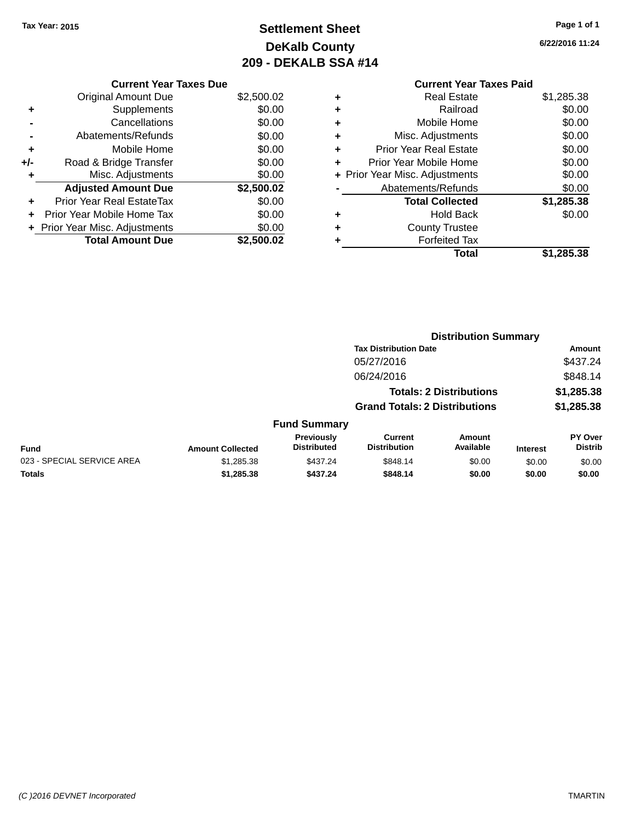# **Settlement Sheet Tax Year: 2015 Page 1 of 1 DeKalb County 209 - DEKALB SSA #14**

**6/22/2016 11:24**

#### **Current Year Taxes Paid +** Real Estate \$1,285.38 **+** Railroad \$0.00 **+** Mobile Home \$0.00 **+** Misc. Adjustments \$0.00 **+** Prior Year Real Estate \$0.00 **+** Prior Year Mobile Home \$0.00 **+ Prior Year Misc. Adjustments**  $$0.00$ **-** Abatements/Refunds \$0.00 **Total Collected \$1,285.38 +** Hold Back \$0.00 **+** County Trustee **+** Forfeited Tax **Total \$1,285.38**

|                            |                         |                                  |                                       | <b>Distribution Summary</b>    |                 |                                  |
|----------------------------|-------------------------|----------------------------------|---------------------------------------|--------------------------------|-----------------|----------------------------------|
|                            |                         |                                  | <b>Tax Distribution Date</b>          |                                |                 | Amount                           |
|                            |                         |                                  | 05/27/2016                            |                                |                 | \$437.24                         |
|                            |                         |                                  | 06/24/2016                            |                                |                 | \$848.14                         |
|                            |                         |                                  |                                       | <b>Totals: 2 Distributions</b> |                 | \$1,285.38                       |
|                            |                         |                                  | <b>Grand Totals: 2 Distributions</b>  |                                |                 | \$1,285.38                       |
|                            |                         | <b>Fund Summary</b>              |                                       |                                |                 |                                  |
| <b>Fund</b>                | <b>Amount Collected</b> | Previously<br><b>Distributed</b> | <b>Current</b><br><b>Distribution</b> | Amount<br>Available            | <b>Interest</b> | <b>PY Over</b><br><b>Distrib</b> |
| 023 - SPECIAL SERVICE AREA | \$1,285.38              | \$437.24                         | \$848.14                              | \$0.00                         | \$0.00          | \$0.00                           |
| <b>Totals</b>              | \$1,285,38              | \$437.24                         | \$848.14                              | \$0.00                         | \$0.00          | \$0.00                           |

#### **Current Year Taxes Due**

|       | <b>Original Amount Due</b>     | \$2,500.02 |
|-------|--------------------------------|------------|
| ٠     | Supplements                    | \$0.00     |
|       | Cancellations                  | \$0.00     |
|       | Abatements/Refunds             | \$0.00     |
| ٠     | Mobile Home                    | \$0.00     |
| $+/-$ | Road & Bridge Transfer         | \$0.00     |
|       | Misc. Adjustments              | \$0.00     |
|       | <b>Adjusted Amount Due</b>     | \$2,500.02 |
|       |                                |            |
| ٠     | Prior Year Real EstateTax      | \$0.00     |
| ÷     | Prior Year Mobile Home Tax     | \$0.00     |
|       | + Prior Year Misc. Adjustments | \$0.00     |
|       | <b>Total Amount Due</b>        | \$2,500.02 |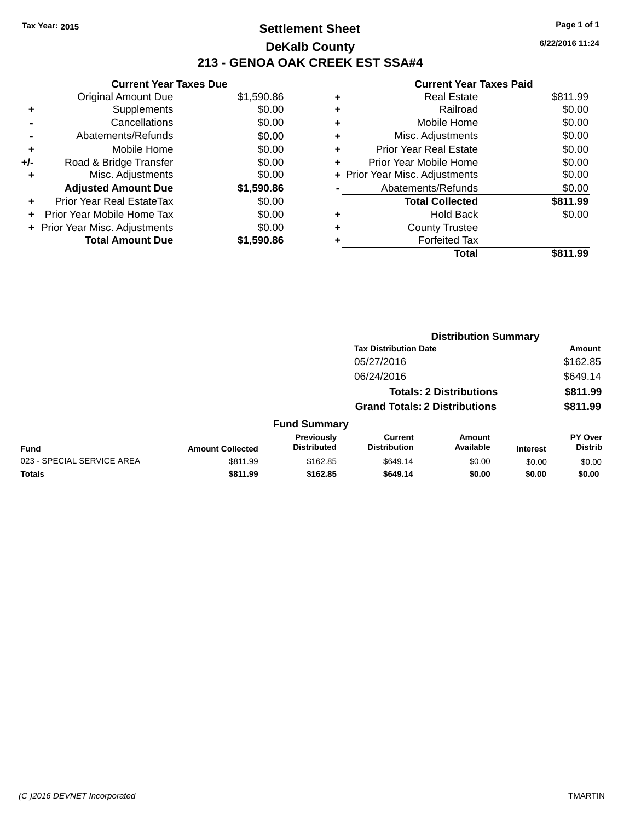# **Settlement Sheet Tax Year: 2015 Page 1 of 1 DeKalb County 213 - GENOA OAK CREEK EST SSA#4**

**6/22/2016 11:24**

| <b>Current Year Taxes Due</b>  |            |
|--------------------------------|------------|
| <b>Original Amount Due</b>     | \$1,590.86 |
| Supplements                    | \$0.00     |
| Cancellations                  | \$0.00     |
| Abatements/Refunds             | \$0.00     |
| Mobile Home                    | \$0.00     |
| Road & Bridge Transfer         | \$0.00     |
| Misc. Adjustments              | \$0.00     |
| <b>Adjusted Amount Due</b>     | \$1,590.86 |
| Prior Year Real EstateTax      | \$0.00     |
| Prior Year Mobile Home Tax     | \$0.00     |
| + Prior Year Misc. Adjustments | \$0.00     |
|                                |            |
|                                |            |

| ٠ | <b>Real Estate</b>             | \$811.99 |
|---|--------------------------------|----------|
| ٠ | Railroad                       | \$0.00   |
| ٠ | Mobile Home                    | \$0.00   |
| ٠ | Misc. Adjustments              | \$0.00   |
| ٠ | <b>Prior Year Real Estate</b>  | \$0.00   |
|   | Prior Year Mobile Home         | \$0.00   |
|   | + Prior Year Misc. Adjustments | \$0.00   |
|   | Abatements/Refunds             | \$0.00   |
|   | <b>Total Collected</b>         | \$811.99 |
| ٠ | Hold Back                      | \$0.00   |
| ٠ | <b>County Trustee</b>          |          |
| ٠ | <b>Forfeited Tax</b>           |          |
|   | Total                          | \$811.99 |
|   |                                |          |

|                            |                         |                                  |                                       | <b>Distribution Summary</b>    |                 |                           |
|----------------------------|-------------------------|----------------------------------|---------------------------------------|--------------------------------|-----------------|---------------------------|
|                            |                         |                                  | <b>Tax Distribution Date</b>          |                                |                 | <b>Amount</b>             |
|                            |                         |                                  | 05/27/2016                            |                                |                 | \$162.85                  |
|                            |                         |                                  | 06/24/2016                            |                                |                 | \$649.14                  |
|                            |                         |                                  |                                       | <b>Totals: 2 Distributions</b> |                 | \$811.99                  |
|                            |                         |                                  | <b>Grand Totals: 2 Distributions</b>  |                                |                 | \$811.99                  |
|                            |                         | <b>Fund Summary</b>              |                                       |                                |                 |                           |
| <b>Fund</b>                | <b>Amount Collected</b> | Previously<br><b>Distributed</b> | <b>Current</b><br><b>Distribution</b> | Amount<br>Available            | <b>Interest</b> | PY Over<br><b>Distrib</b> |
| 023 - SPECIAL SERVICE AREA | \$811.99                | \$162.85                         | \$649.14                              | \$0.00                         | \$0.00          | \$0.00                    |
| <b>Totals</b>              | \$811.99                | \$162.85                         | \$649.14                              | \$0.00                         | \$0.00          | \$0.00                    |
|                            |                         |                                  |                                       |                                |                 |                           |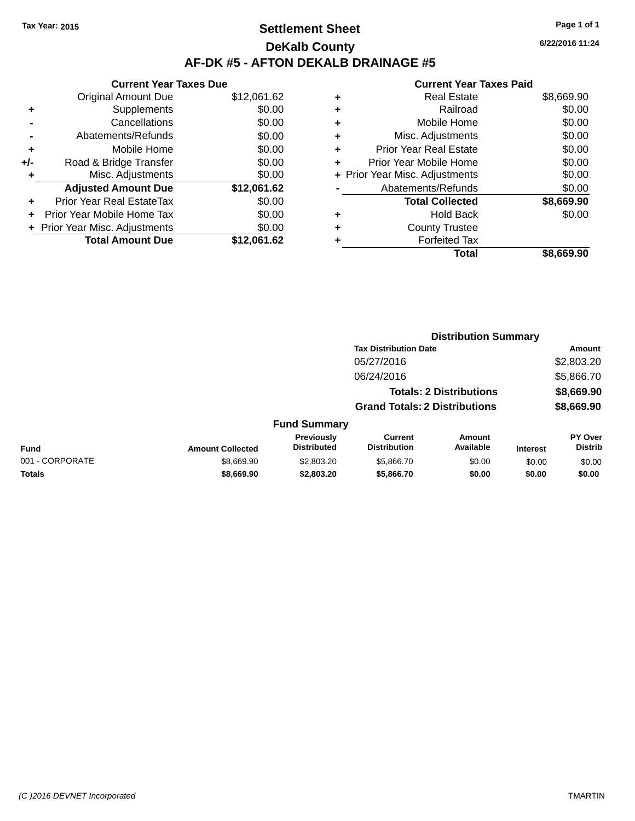# **Settlement Sheet Tax Year: 2015 Page 1 of 1 DeKalb County AF-DK #5 - AFTON DEKALB DRAINAGE #5**

| <b>Current Year Taxes Due</b>  |             |
|--------------------------------|-------------|
| <b>Original Amount Due</b>     | \$12,061.62 |
| Supplements                    | \$0.00      |
| Cancellations                  | \$0.00      |
| Abatements/Refunds             | \$0.00      |
| Mobile Home                    | \$0.00      |
| Road & Bridge Transfer         | \$0.00      |
| Misc. Adjustments              | \$0.00      |
| <b>Adjusted Amount Due</b>     | \$12,061.62 |
| Prior Year Real EstateTax      | \$0.00      |
| Prior Year Mobile Home Tax     | \$0.00      |
| + Prior Year Misc. Adjustments | \$0.00      |
| <b>Total Amount Due</b>        | \$12,061.62 |
|                                |             |

#### **Current Year Taxes Paid**

|   | Real Estate                    | \$8,669.90 |
|---|--------------------------------|------------|
| ٠ | Railroad                       | \$0.00     |
| ٠ | Mobile Home                    | \$0.00     |
| ٠ | Misc. Adjustments              | \$0.00     |
| ٠ | <b>Prior Year Real Estate</b>  | \$0.00     |
| ÷ | Prior Year Mobile Home         | \$0.00     |
|   | + Prior Year Misc. Adjustments | \$0.00     |
|   | Abatements/Refunds             | \$0.00     |
|   | <b>Total Collected</b>         | \$8,669.90 |
| ٠ | Hold Back                      | \$0.00     |
| ٠ | <b>County Trustee</b>          |            |
|   | <b>Forfeited Tax</b>           |            |
|   | Total                          | \$8,669.90 |
|   |                                |            |

|                 |                         |                                  |                                       | <b>Distribution Summary</b>    |                 |                                  |
|-----------------|-------------------------|----------------------------------|---------------------------------------|--------------------------------|-----------------|----------------------------------|
|                 |                         |                                  | <b>Tax Distribution Date</b>          |                                |                 | Amount                           |
|                 |                         |                                  | 05/27/2016                            |                                |                 | \$2,803.20                       |
|                 |                         |                                  | 06/24/2016                            |                                |                 | \$5,866.70                       |
|                 |                         |                                  |                                       | <b>Totals: 2 Distributions</b> |                 | \$8,669.90                       |
|                 |                         |                                  | <b>Grand Totals: 2 Distributions</b>  |                                |                 | \$8,669.90                       |
|                 |                         | <b>Fund Summary</b>              |                                       |                                |                 |                                  |
| <b>Fund</b>     | <b>Amount Collected</b> | Previously<br><b>Distributed</b> | <b>Current</b><br><b>Distribution</b> | Amount<br>Available            | <b>Interest</b> | <b>PY Over</b><br><b>Distrib</b> |
| 001 - CORPORATE | \$8,669.90              | \$2,803.20                       | \$5,866.70                            | \$0.00                         | \$0.00          | \$0.00                           |

**Totals \$8,669.90 \$2,803.20 \$5,866.70 \$0.00 \$0.00 \$0.00**

**6/22/2016 11:24**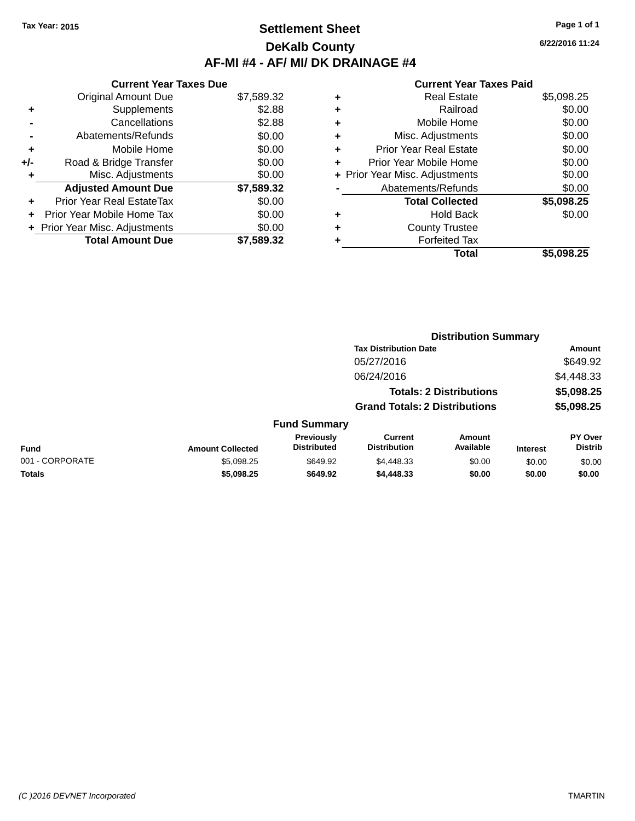## **Settlement Sheet Tax Year: 2015 Page 1 of 1 DeKalb County AF-MI #4 - AF/ MI/ DK DRAINAGE #4**

**6/22/2016 11:24**

|     | <b>Current Year Taxes Due</b>  |            |
|-----|--------------------------------|------------|
|     | <b>Original Amount Due</b>     | \$7,589.32 |
| ٠   | Supplements                    | \$2.88     |
|     | Cancellations                  | \$2.88     |
|     | Abatements/Refunds             | \$0.00     |
| ٠   | Mobile Home                    | \$0.00     |
| +/- | Road & Bridge Transfer         | \$0.00     |
| ٠   | Misc. Adjustments              | \$0.00     |
|     | <b>Adjusted Amount Due</b>     | \$7,589.32 |
| ÷   | Prior Year Real EstateTax      | \$0.00     |
| ÷   | Prior Year Mobile Home Tax     | \$0.00     |
|     | + Prior Year Misc. Adjustments | \$0.00     |
|     | <b>Total Amount Due</b>        | \$7.589.32 |

| ٠ | <b>Real Estate</b>             | \$5,098.25 |
|---|--------------------------------|------------|
| ٠ | Railroad                       | \$0.00     |
| ٠ | Mobile Home                    | \$0.00     |
| ٠ | Misc. Adjustments              | \$0.00     |
| ٠ | <b>Prior Year Real Estate</b>  | \$0.00     |
| ٠ | Prior Year Mobile Home         | \$0.00     |
|   | + Prior Year Misc. Adjustments | \$0.00     |
|   | Abatements/Refunds             | \$0.00     |
|   | <b>Total Collected</b>         | \$5,098.25 |
| ٠ | Hold Back                      | \$0.00     |
| ٠ | <b>County Trustee</b>          |            |
| ٠ | <b>Forfeited Tax</b>           |            |
|   | <b>Total</b>                   | \$5,098.25 |
|   |                                |            |

|                 |                         |                                         |                                       | <b>Distribution Summary</b>    |                 |                           |  |
|-----------------|-------------------------|-----------------------------------------|---------------------------------------|--------------------------------|-----------------|---------------------------|--|
|                 |                         |                                         | <b>Tax Distribution Date</b>          |                                |                 | <b>Amount</b>             |  |
|                 |                         |                                         | 05/27/2016                            |                                |                 | \$649.92                  |  |
|                 |                         |                                         | 06/24/2016                            |                                |                 | \$4,448.33                |  |
|                 |                         |                                         |                                       | <b>Totals: 2 Distributions</b> |                 | \$5,098.25                |  |
|                 |                         |                                         | <b>Grand Totals: 2 Distributions</b>  |                                |                 | \$5,098.25                |  |
|                 |                         | <b>Fund Summary</b>                     |                                       |                                |                 |                           |  |
| <b>Fund</b>     | <b>Amount Collected</b> | <b>Previously</b><br><b>Distributed</b> | <b>Current</b><br><b>Distribution</b> | Amount<br>Available            | <b>Interest</b> | PY Over<br><b>Distrib</b> |  |
| 001 - CORPORATE | \$5,098.25              | \$649.92                                | \$4,448.33                            | \$0.00                         | \$0.00          | \$0.00                    |  |
| <b>Totals</b>   | \$5,098.25              | \$649.92                                | \$4,448.33                            | \$0.00                         | \$0.00          | \$0.00                    |  |
|                 |                         |                                         |                                       |                                |                 |                           |  |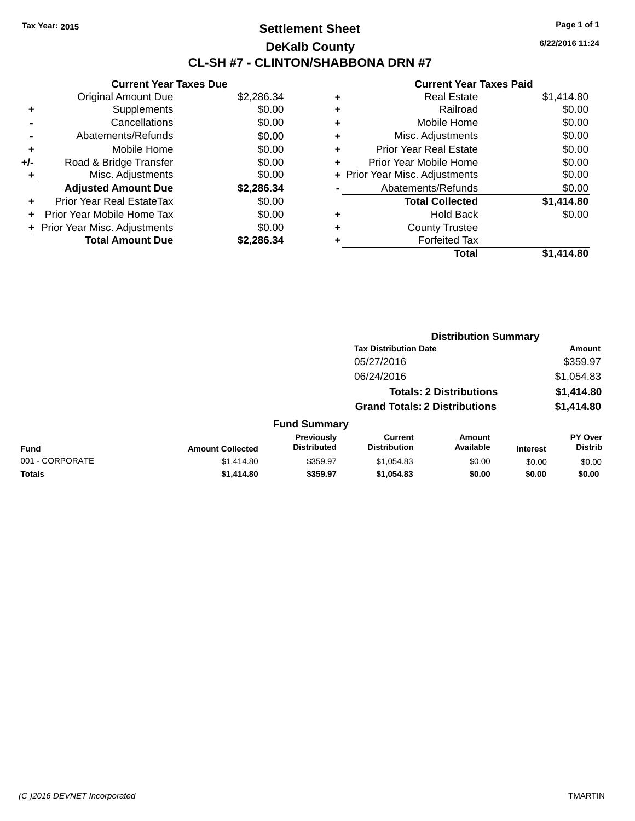# **Settlement Sheet Tax Year: 2015 Page 1 of 1 DeKalb County CL-SH #7 - CLINTON/SHABBONA DRN #7**

**6/22/2016 11:24**

|     | <b>Current Year Taxes Due</b>  |            |
|-----|--------------------------------|------------|
|     | <b>Original Amount Due</b>     | \$2,286.34 |
| ٠   | Supplements                    | \$0.00     |
|     | Cancellations                  | \$0.00     |
|     | Abatements/Refunds             | \$0.00     |
| ٠   | Mobile Home                    | \$0.00     |
| +/- | Road & Bridge Transfer         | \$0.00     |
| ٠   | Misc. Adjustments              | \$0.00     |
|     | <b>Adjusted Amount Due</b>     | \$2,286.34 |
| ÷   | Prior Year Real EstateTax      | \$0.00     |
| ÷   | Prior Year Mobile Home Tax     | \$0.00     |
|     | + Prior Year Misc. Adjustments | \$0.00     |
|     | <b>Total Amount Due</b>        | \$2.286.34 |

|   | <b>Real Estate</b>             | \$1,414.80 |
|---|--------------------------------|------------|
| ٠ | Railroad                       | \$0.00     |
| ٠ | Mobile Home                    | \$0.00     |
| ٠ | Misc. Adjustments              | \$0.00     |
| ٠ | Prior Year Real Estate         | \$0.00     |
| ٠ | Prior Year Mobile Home         | \$0.00     |
|   | + Prior Year Misc. Adjustments | \$0.00     |
|   | Abatements/Refunds             | \$0.00     |
|   | <b>Total Collected</b>         | \$1,414.80 |
| ٠ | Hold Back                      | \$0.00     |
| ٠ | <b>County Trustee</b>          |            |
| ٠ | <b>Forfeited Tax</b>           |            |
|   | Total                          | \$1,414.80 |
|   |                                |            |

|                 |                         |                                  | <b>Distribution Summary</b>           |                                |                 |                           |
|-----------------|-------------------------|----------------------------------|---------------------------------------|--------------------------------|-----------------|---------------------------|
|                 |                         |                                  | <b>Tax Distribution Date</b>          |                                |                 | Amount                    |
|                 |                         |                                  | 05/27/2016                            |                                |                 | \$359.97                  |
|                 |                         |                                  | 06/24/2016                            |                                |                 | \$1,054.83                |
|                 |                         |                                  |                                       | <b>Totals: 2 Distributions</b> |                 | \$1,414.80                |
|                 |                         |                                  | <b>Grand Totals: 2 Distributions</b>  |                                |                 | \$1,414.80                |
|                 |                         | <b>Fund Summary</b>              |                                       |                                |                 |                           |
| <b>Fund</b>     | <b>Amount Collected</b> | Previously<br><b>Distributed</b> | <b>Current</b><br><b>Distribution</b> | Amount<br>Available            | <b>Interest</b> | PY Over<br><b>Distrib</b> |
| 001 - CORPORATE | \$1,414.80              | \$359.97                         | \$1,054.83                            | \$0.00                         | \$0.00          | \$0.00                    |
| <b>Totals</b>   | \$1,414.80              | \$359.97                         | \$1,054.83                            | \$0.00                         | \$0.00          | \$0.00                    |
|                 |                         |                                  |                                       |                                |                 |                           |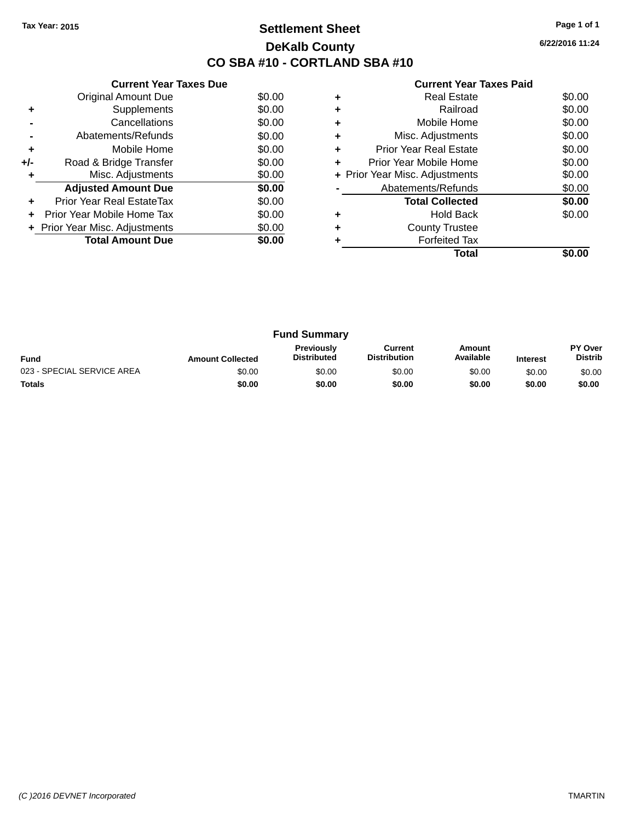# **Settlement Sheet Tax Year: 2015 Page 1 of 1 DeKalb County CO SBA #10 - CORTLAND SBA #10**

**6/22/2016 11:24**

|     | <b>Current Year Taxes Due</b>  |        |
|-----|--------------------------------|--------|
|     | <b>Original Amount Due</b>     | \$0.00 |
| ٠   | Supplements                    | \$0.00 |
|     | Cancellations                  | \$0.00 |
|     | Abatements/Refunds             | \$0.00 |
| ÷   | Mobile Home                    | \$0.00 |
| +/- | Road & Bridge Transfer         | \$0.00 |
| ٠   | Misc. Adjustments              | \$0.00 |
|     | <b>Adjusted Amount Due</b>     | \$0.00 |
| ٠   | Prior Year Real EstateTax      | \$0.00 |
|     | Prior Year Mobile Home Tax     | \$0.00 |
|     | + Prior Year Misc. Adjustments | \$0.00 |
|     | <b>Total Amount Due</b>        | \$0.00 |
|     |                                |        |

|   | <b>Real Estate</b>             | \$0.00 |
|---|--------------------------------|--------|
|   | Railroad                       | \$0.00 |
| ٠ | Mobile Home                    | \$0.00 |
| ٠ | Misc. Adjustments              | \$0.00 |
| ٠ | Prior Year Real Estate         | \$0.00 |
|   | Prior Year Mobile Home         | \$0.00 |
|   | + Prior Year Misc. Adjustments | \$0.00 |
|   | Abatements/Refunds             | \$0.00 |
|   | <b>Total Collected</b>         | \$0.00 |
|   | Hold Back                      | \$0.00 |
|   | <b>County Trustee</b>          |        |
|   | <b>Forfeited Tax</b>           |        |
|   | Total                          |        |

| <b>Fund Summary</b>        |                         |                                         |                                |                     |                 |                           |
|----------------------------|-------------------------|-----------------------------------------|--------------------------------|---------------------|-----------------|---------------------------|
| <b>Fund</b>                | <b>Amount Collected</b> | <b>Previously</b><br><b>Distributed</b> | Current<br><b>Distribution</b> | Amount<br>Available | <b>Interest</b> | PY Over<br><b>Distrib</b> |
| 023 - SPECIAL SERVICE AREA | \$0.00                  | \$0.00                                  | \$0.00                         | \$0.00              | \$0.00          | \$0.00                    |
| <b>Totals</b>              | \$0.00                  | \$0.00                                  | \$0.00                         | \$0.00              | \$0.00          | \$0.00                    |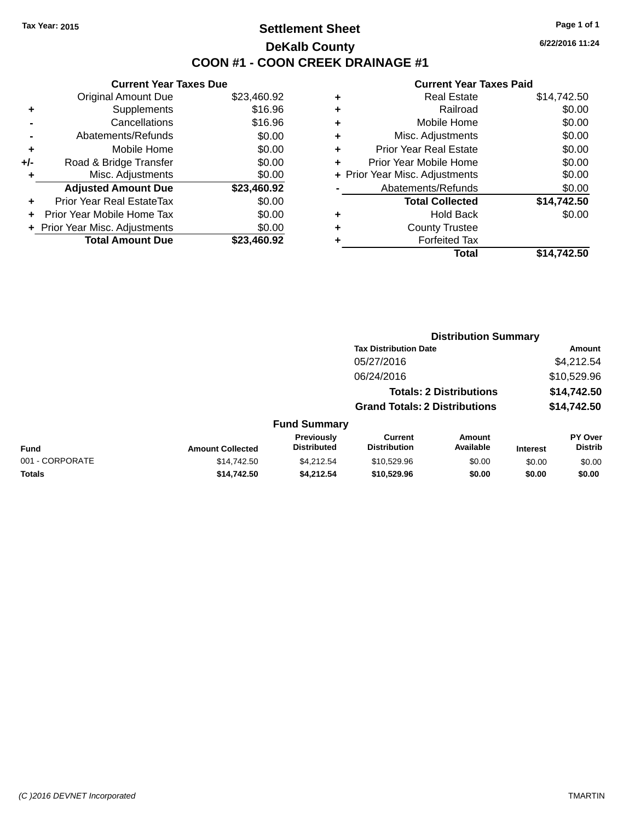# **Settlement Sheet Tax Year: 2015 Page 1 of 1 DeKalb County COON #1 - COON CREEK DRAINAGE #1**

**6/22/2016 11:24**

| <b>Current Year Taxes Due</b> |                                |
|-------------------------------|--------------------------------|
| <b>Original Amount Due</b>    | \$23,460.92                    |
| Supplements                   | \$16.96                        |
| Cancellations                 | \$16.96                        |
| Abatements/Refunds            | \$0.00                         |
| Mobile Home                   | \$0.00                         |
| Road & Bridge Transfer        | \$0.00                         |
| Misc. Adjustments             | \$0.00                         |
| <b>Adjusted Amount Due</b>    | \$23,460.92                    |
| Prior Year Real EstateTax     | \$0.00                         |
| Prior Year Mobile Home Tax    | \$0.00                         |
|                               | \$0.00                         |
| <b>Total Amount Due</b>       | \$23,460.92                    |
|                               | + Prior Year Misc. Adjustments |

| ٠ | <b>Real Estate</b>             | \$14,742.50 |
|---|--------------------------------|-------------|
| ٠ | Railroad                       | \$0.00      |
| ٠ | Mobile Home                    | \$0.00      |
| ٠ | Misc. Adjustments              | \$0.00      |
| ٠ | <b>Prior Year Real Estate</b>  | \$0.00      |
|   | Prior Year Mobile Home         | \$0.00      |
|   | + Prior Year Misc. Adjustments | \$0.00      |
|   | Abatements/Refunds             | \$0.00      |
|   | <b>Total Collected</b>         | \$14,742.50 |
| ٠ | <b>Hold Back</b>               | \$0.00      |
| ٠ | <b>County Trustee</b>          |             |
| ٠ | <b>Forfeited Tax</b>           |             |
|   | Total                          | \$14,742.50 |
|   |                                |             |

|                 |                         |                                         | <b>Distribution Summary</b>           |                                |                 |                                  |
|-----------------|-------------------------|-----------------------------------------|---------------------------------------|--------------------------------|-----------------|----------------------------------|
|                 |                         |                                         | <b>Tax Distribution Date</b>          |                                |                 | <b>Amount</b>                    |
|                 |                         |                                         | 05/27/2016                            |                                |                 | \$4,212.54                       |
|                 |                         |                                         | 06/24/2016                            |                                |                 | \$10,529.96                      |
|                 |                         |                                         |                                       | <b>Totals: 2 Distributions</b> |                 | \$14,742.50                      |
|                 |                         |                                         | <b>Grand Totals: 2 Distributions</b>  |                                |                 | \$14,742.50                      |
|                 |                         | <b>Fund Summary</b>                     |                                       |                                |                 |                                  |
| <b>Fund</b>     | <b>Amount Collected</b> | <b>Previously</b><br><b>Distributed</b> | <b>Current</b><br><b>Distribution</b> | Amount<br>Available            | <b>Interest</b> | <b>PY Over</b><br><b>Distrib</b> |
| 001 - CORPORATE | \$14,742.50             | \$4.212.54                              | \$10,529.96                           | \$0.00                         | \$0.00          | \$0.00                           |
| <b>Totals</b>   | \$14,742.50             | \$4,212.54                              | \$10,529.96                           | \$0.00                         | \$0.00          | \$0.00                           |
|                 |                         |                                         |                                       |                                |                 |                                  |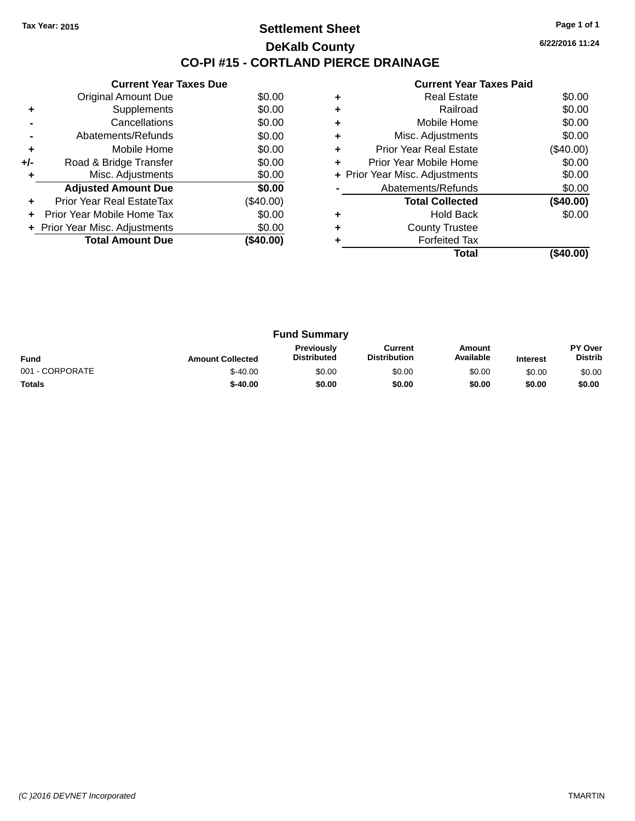### **Settlement Sheet Tax Year: 2015 Page 1 of 1 DeKalb County CO-PI #15 - CORTLAND PIERCE DRAINAGE**

**6/22/2016 11:24**

# **Current Year Taxes Paid +** Real Estate \$0.00 **+** Railroad \$0.00

|     | <b>Original Amount Due</b>     | \$0.00    |
|-----|--------------------------------|-----------|
| ٠   | Supplements                    | \$0.00    |
|     | Cancellations                  | \$0.00    |
|     | Abatements/Refunds             | \$0.00    |
| ٠   | Mobile Home                    | \$0.00    |
| +/- | Road & Bridge Transfer         | \$0.00    |
| ٠   | Misc. Adjustments              | \$0.00    |
|     | <b>Adjusted Amount Due</b>     | \$0.00    |
| ٠   | Prior Year Real EstateTax      | (\$40.00) |
|     | Prior Year Mobile Home Tax     | \$0.00    |
|     | + Prior Year Misc. Adjustments | \$0.00    |
|     | <b>Total Amount Due</b>        | (\$40.00) |
|     |                                |           |

**Current Year Taxes Due**

|   | Total                          | (\$40.00)   |
|---|--------------------------------|-------------|
|   | <b>Forfeited Tax</b>           |             |
| ÷ | <b>County Trustee</b>          |             |
| ٠ | <b>Hold Back</b>               | \$0.00      |
|   | <b>Total Collected</b>         | (\$40.00)   |
|   | Abatements/Refunds             | \$0.00      |
|   | + Prior Year Misc. Adjustments | \$0.00      |
| ٠ | Prior Year Mobile Home         | \$0.00      |
| ٠ | <b>Prior Year Real Estate</b>  | $(\$40.00)$ |
| ٠ | Misc. Adjustments              | \$0.00      |
| ÷ | Mobile Home                    | \$0.00      |
|   | Rallivau                       | JU.UU       |

| <b>Fund Summary</b> |                         |                                         |                                |                     |                 |                           |
|---------------------|-------------------------|-----------------------------------------|--------------------------------|---------------------|-----------------|---------------------------|
| <b>Fund</b>         | <b>Amount Collected</b> | <b>Previously</b><br><b>Distributed</b> | Current<br><b>Distribution</b> | Amount<br>Available | <b>Interest</b> | PY Over<br><b>Distrib</b> |
| 001 - CORPORATE     | $$-40.00$               | \$0.00                                  | \$0.00                         | \$0.00              | \$0.00          | \$0.00                    |
| <b>Totals</b>       | $$-40.00$               | \$0.00                                  | \$0.00                         | \$0.00              | \$0.00          | \$0.00                    |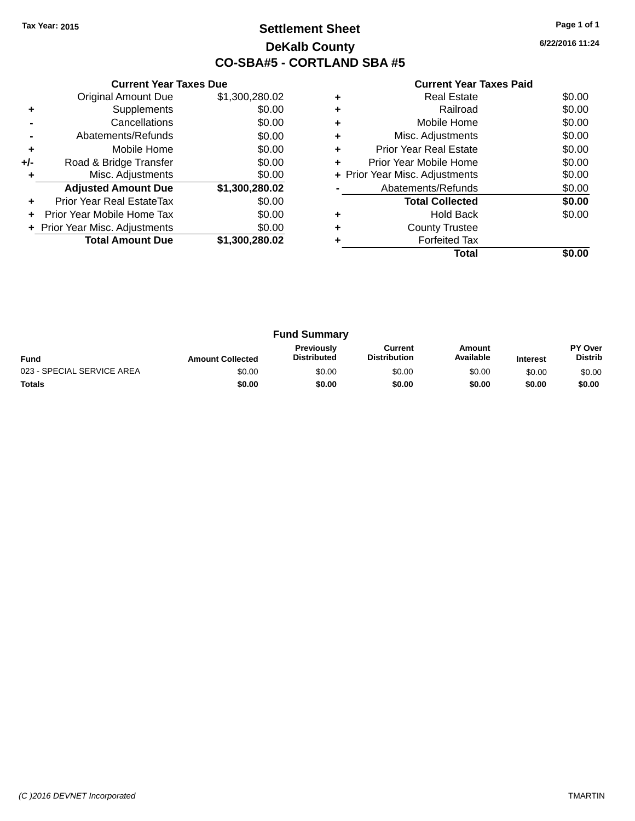# **Settlement Sheet Tax Year: 2015 Page 1 of 1 DeKalb County CO-SBA#5 - CORTLAND SBA #5**

**6/22/2016 11:24**

|     | <b>Current Year Taxes Due</b>  |                |  |  |  |
|-----|--------------------------------|----------------|--|--|--|
|     | Original Amount Due            | \$1,300,280.02 |  |  |  |
| ٠   | Supplements                    | \$0.00         |  |  |  |
|     | Cancellations                  | \$0.00         |  |  |  |
|     | Abatements/Refunds             | \$0.00         |  |  |  |
| ٠   | Mobile Home                    | \$0.00         |  |  |  |
| +/- | Road & Bridge Transfer         | \$0.00         |  |  |  |
| ٠   | Misc. Adjustments              | \$0.00         |  |  |  |
|     | <b>Adjusted Amount Due</b>     | \$1,300,280.02 |  |  |  |
|     | Prior Year Real EstateTax      | \$0.00         |  |  |  |
|     | Prior Year Mobile Home Tax     | \$0.00         |  |  |  |
|     | + Prior Year Misc. Adjustments | \$0.00         |  |  |  |
|     | <b>Total Amount Due</b>        | \$1,300,280.02 |  |  |  |
|     |                                |                |  |  |  |

|   | <b>Real Estate</b>             | \$0.00 |
|---|--------------------------------|--------|
| ٠ | Railroad                       | \$0.00 |
| ٠ | Mobile Home                    | \$0.00 |
| ٠ | Misc. Adjustments              | \$0.00 |
|   | <b>Prior Year Real Estate</b>  | \$0.00 |
|   | Prior Year Mobile Home         | \$0.00 |
|   | + Prior Year Misc. Adjustments | \$0.00 |
|   | Abatements/Refunds             | \$0.00 |
|   | <b>Total Collected</b>         | \$0.00 |
| ٠ | <b>Hold Back</b>               | \$0.00 |
| ٠ | <b>County Trustee</b>          |        |
|   | <b>Forfeited Tax</b>           |        |
|   | Total                          |        |

|                            |                         | <b>Fund Summary</b>                     |                                |                     |                 |                           |
|----------------------------|-------------------------|-----------------------------------------|--------------------------------|---------------------|-----------------|---------------------------|
| <b>Fund</b>                | <b>Amount Collected</b> | <b>Previously</b><br><b>Distributed</b> | Current<br><b>Distribution</b> | Amount<br>Available | <b>Interest</b> | PY Over<br><b>Distrib</b> |
| 023 - SPECIAL SERVICE AREA | \$0.00                  | \$0.00                                  | \$0.00                         | \$0.00              | \$0.00          | \$0.00                    |
| <b>Totals</b>              | \$0.00                  | \$0.00                                  | \$0.00                         | \$0.00              | \$0.00          | \$0.00                    |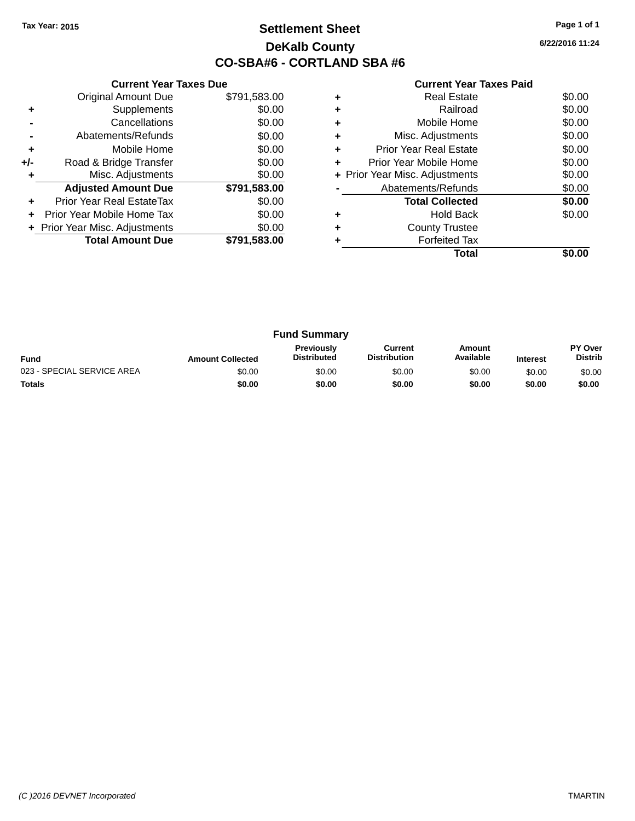# **Settlement Sheet Tax Year: 2015 Page 1 of 1 DeKalb County CO-SBA#6 - CORTLAND SBA #6**

**6/22/2016 11:24**

|     | <b>Current Year Taxes Due</b>  |              |
|-----|--------------------------------|--------------|
|     | <b>Original Amount Due</b>     | \$791,583.00 |
| ٠   | Supplements                    | \$0.00       |
|     | Cancellations                  | \$0.00       |
|     | Abatements/Refunds             | \$0.00       |
| ٠   | Mobile Home                    | \$0.00       |
| +/- | Road & Bridge Transfer         | \$0.00       |
|     | Misc. Adjustments              | \$0.00       |
|     | <b>Adjusted Amount Due</b>     | \$791,583.00 |
| ٠   | Prior Year Real EstateTax      | \$0.00       |
|     | Prior Year Mobile Home Tax     | \$0.00       |
|     | + Prior Year Misc. Adjustments | \$0.00       |
|     | <b>Total Amount Due</b>        | \$791,583.00 |
|     |                                |              |

|   | <b>Real Estate</b>             | \$0.00 |
|---|--------------------------------|--------|
|   | Railroad                       | \$0.00 |
| ٠ | Mobile Home                    | \$0.00 |
|   | Misc. Adjustments              | \$0.00 |
| ٠ | Prior Year Real Estate         | \$0.00 |
| ÷ | Prior Year Mobile Home         | \$0.00 |
|   | + Prior Year Misc. Adjustments | \$0.00 |
|   | Abatements/Refunds             | \$0.00 |
|   | <b>Total Collected</b>         | \$0.00 |
|   | <b>Hold Back</b>               | \$0.00 |
| ٠ | <b>County Trustee</b>          |        |
|   | <b>Forfeited Tax</b>           |        |
|   | Total                          |        |

| <b>Fund Summary</b>        |                         |                                         |                                |                     |                 |                                  |
|----------------------------|-------------------------|-----------------------------------------|--------------------------------|---------------------|-----------------|----------------------------------|
| <b>Fund</b>                | <b>Amount Collected</b> | <b>Previously</b><br><b>Distributed</b> | Current<br><b>Distribution</b> | Amount<br>Available | <b>Interest</b> | <b>PY Over</b><br><b>Distrib</b> |
| 023 - SPECIAL SERVICE AREA | \$0.00                  | \$0.00                                  | \$0.00                         | \$0.00              | \$0.00          | \$0.00                           |
| <b>Totals</b>              | \$0.00                  | \$0.00                                  | \$0.00                         | \$0.00              | \$0.00          | \$0.00                           |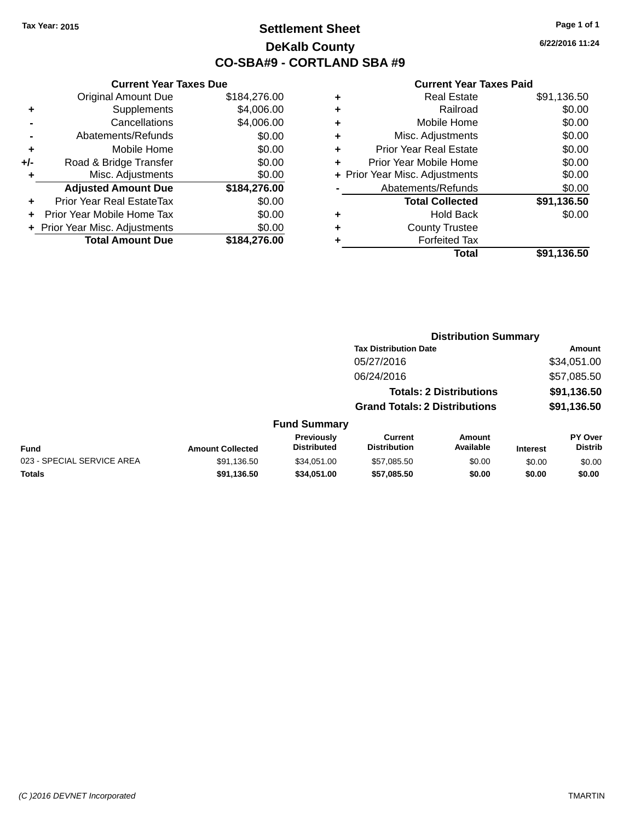# **Settlement Sheet Tax Year: 2015 Page 1 of 1 DeKalb County CO-SBA#9 - CORTLAND SBA #9**

**6/22/2016 11:24**

|     | <b>Current Year Taxes Due</b>  |              |  |  |  |  |  |
|-----|--------------------------------|--------------|--|--|--|--|--|
|     | <b>Original Amount Due</b>     | \$184,276.00 |  |  |  |  |  |
| ٠   | Supplements                    | \$4,006.00   |  |  |  |  |  |
|     | Cancellations                  | \$4,006.00   |  |  |  |  |  |
|     | \$0.00<br>Abatements/Refunds   |              |  |  |  |  |  |
| ٠   | Mobile Home                    | \$0.00       |  |  |  |  |  |
| +/- | Road & Bridge Transfer         | \$0.00       |  |  |  |  |  |
|     | Misc. Adjustments              | \$0.00       |  |  |  |  |  |
|     | <b>Adjusted Amount Due</b>     | \$184,276.00 |  |  |  |  |  |
| ٠   | Prior Year Real EstateTax      | \$0.00       |  |  |  |  |  |
|     | Prior Year Mobile Home Tax     | \$0.00       |  |  |  |  |  |
|     | + Prior Year Misc. Adjustments | \$0.00       |  |  |  |  |  |
|     | <b>Total Amount Due</b>        | \$184,276.00 |  |  |  |  |  |
|     |                                |              |  |  |  |  |  |

|   | <b>Real Estate</b>             | \$91,136.50 |
|---|--------------------------------|-------------|
| ٠ | Railroad                       | \$0.00      |
| ٠ | Mobile Home                    | \$0.00      |
| ٠ | Misc. Adjustments              | \$0.00      |
| ٠ | <b>Prior Year Real Estate</b>  | \$0.00      |
| ÷ | Prior Year Mobile Home         | \$0.00      |
|   | + Prior Year Misc. Adjustments | \$0.00      |
|   | Abatements/Refunds             | \$0.00      |
|   | <b>Total Collected</b>         | \$91,136.50 |
| ٠ | Hold Back                      | \$0.00      |
| ٠ | <b>County Trustee</b>          |             |
| ٠ | <b>Forfeited Tax</b>           |             |
|   | Total                          | \$91,136.50 |
|   |                                |             |

|                            |                         |                                  | <b>Distribution Summary</b>           |                                |                 |                                  |  |
|----------------------------|-------------------------|----------------------------------|---------------------------------------|--------------------------------|-----------------|----------------------------------|--|
|                            |                         |                                  | <b>Tax Distribution Date</b>          |                                |                 | Amount                           |  |
|                            |                         |                                  | 05/27/2016                            |                                |                 | \$34,051.00                      |  |
|                            |                         |                                  | 06/24/2016                            |                                |                 | \$57,085.50                      |  |
|                            |                         |                                  |                                       | <b>Totals: 2 Distributions</b> |                 | \$91,136.50                      |  |
|                            |                         |                                  | <b>Grand Totals: 2 Distributions</b>  |                                |                 | \$91,136.50                      |  |
|                            |                         | <b>Fund Summary</b>              |                                       |                                |                 |                                  |  |
| <b>Fund</b>                | <b>Amount Collected</b> | Previously<br><b>Distributed</b> | <b>Current</b><br><b>Distribution</b> | Amount<br>Available            | <b>Interest</b> | <b>PY Over</b><br><b>Distrib</b> |  |
| 023 - SPECIAL SERVICE AREA | \$91,136.50             | \$34,051.00                      | \$57,085.50                           | \$0.00                         | \$0.00          | \$0.00                           |  |
| <b>Totals</b>              | \$91,136.50             | \$34.051.00                      | \$57,085.50                           | \$0.00                         | \$0.00          | \$0.00                           |  |
|                            |                         |                                  |                                       |                                |                 |                                  |  |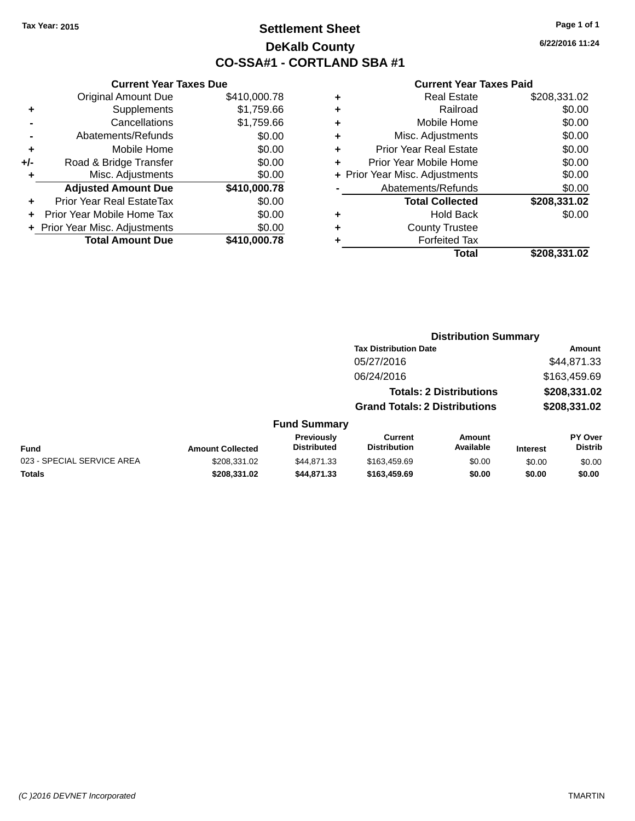# **Settlement Sheet Tax Year: 2015 Page 1 of 1 DeKalb County CO-SSA#1 - CORTLAND SBA #1**

**6/22/2016 11:24**

#### **Current Year Taxes Paid**

|      |   | Total                          | \$208,331.02 |
|------|---|--------------------------------|--------------|
| 0.78 | ٠ | <b>Forfeited Tax</b>           |              |
| 0.00 | ٠ | <b>County Trustee</b>          |              |
| 0.00 | ٠ | <b>Hold Back</b>               | \$0.00       |
| 0.00 |   | <b>Total Collected</b>         | \$208,331.02 |
| 0.78 |   | Abatements/Refunds             | \$0.00       |
| 0.00 |   | + Prior Year Misc. Adjustments | \$0.00       |
| 0.00 | ٠ | Prior Year Mobile Home         | \$0.00       |
| 0.00 | ٠ | <b>Prior Year Real Estate</b>  | \$0.00       |
| 0.00 | ÷ | Misc. Adjustments              | \$0.00       |
| 9.66 | ٠ | Mobile Home                    | \$0.00       |
| 9.66 | ٠ | Railroad                       | \$0.00       |
| 0.78 | ٠ | <b>Real Estate</b>             | \$208,331.02 |
|      |   |                                |              |

|     | <b>Current Year Taxes Due</b>    |              |  |  |  |  |  |
|-----|----------------------------------|--------------|--|--|--|--|--|
|     | <b>Original Amount Due</b>       | \$410,000.78 |  |  |  |  |  |
| ٠   | Supplements                      | \$1,759.66   |  |  |  |  |  |
|     | Cancellations                    | \$1,759.66   |  |  |  |  |  |
|     | Abatements/Refunds               | \$0.00       |  |  |  |  |  |
| ٠   | Mobile Home                      | \$0.00       |  |  |  |  |  |
| +/- | Road & Bridge Transfer           | \$0.00       |  |  |  |  |  |
| ٠   | Misc. Adjustments                | \$0.00       |  |  |  |  |  |
|     | <b>Adjusted Amount Due</b>       | \$410,000.78 |  |  |  |  |  |
| ٠   | <b>Prior Year Real EstateTax</b> | \$0.00       |  |  |  |  |  |
|     | Prior Year Mobile Home Tax       | \$0.00       |  |  |  |  |  |
|     | Prior Year Misc. Adjustments     | \$0.00       |  |  |  |  |  |
|     | <b>Total Amount Due</b>          | \$410,000.78 |  |  |  |  |  |
|     |                                  |              |  |  |  |  |  |

|                         |                                  | <b>Distribution Summary</b>           |                                |                 |                                  |  |
|-------------------------|----------------------------------|---------------------------------------|--------------------------------|-----------------|----------------------------------|--|
|                         |                                  | <b>Tax Distribution Date</b>          |                                |                 | Amount                           |  |
|                         |                                  | 05/27/2016                            |                                |                 | \$44,871.33                      |  |
|                         |                                  | 06/24/2016                            |                                |                 | \$163,459.69                     |  |
|                         |                                  |                                       | <b>Totals: 2 Distributions</b> |                 | \$208,331.02                     |  |
|                         |                                  | <b>Grand Totals: 2 Distributions</b>  |                                |                 | \$208,331.02                     |  |
|                         | <b>Fund Summary</b>              |                                       |                                |                 |                                  |  |
| <b>Amount Collected</b> | Previously<br><b>Distributed</b> | <b>Current</b><br><b>Distribution</b> | Amount<br>Available            | <b>Interest</b> | <b>PY Over</b><br><b>Distrib</b> |  |
| 0.00000000000           | $ - - - -$                       | $$                                    | $\sim$ $\sim$                  | ----            | ----                             |  |

#### **Fund Interest** 023 - SPECIAL SERVICE AREA  $$208,331.02$   $$44,871.33$   $$163,459.69$  \$0.00 \$0.00 \$0.00 **Totals \$208,331.02 \$44,871.33 \$163,459.69 \$0.00 \$0.00 \$0.00**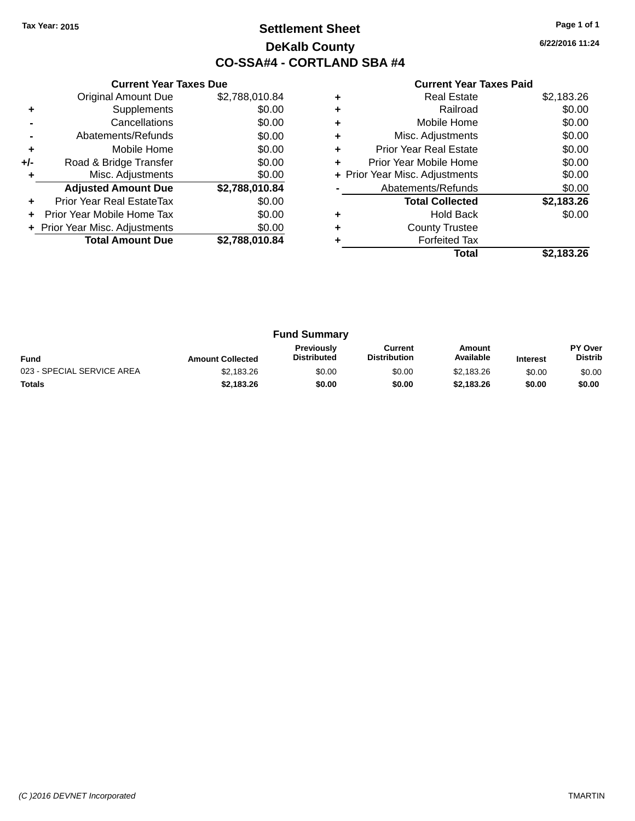# **Settlement Sheet Tax Year: 2015 Page 1 of 1 DeKalb County CO-SSA#4 - CORTLAND SBA #4**

**6/22/2016 11:24**

|     | <b>Current Year Taxes Due</b>  |                |  |  |  |  |  |
|-----|--------------------------------|----------------|--|--|--|--|--|
|     | <b>Original Amount Due</b>     | \$2,788,010.84 |  |  |  |  |  |
| ٠   | Supplements                    | \$0.00         |  |  |  |  |  |
|     | Cancellations                  | \$0.00         |  |  |  |  |  |
|     | Abatements/Refunds             | \$0.00         |  |  |  |  |  |
| ٠   | Mobile Home                    | \$0.00         |  |  |  |  |  |
| +/- | Road & Bridge Transfer         | \$0.00         |  |  |  |  |  |
| ٠   | Misc. Adjustments              | \$0.00         |  |  |  |  |  |
|     | <b>Adjusted Amount Due</b>     | \$2,788,010.84 |  |  |  |  |  |
| ٠   | Prior Year Real EstateTax      | \$0.00         |  |  |  |  |  |
| ÷   | Prior Year Mobile Home Tax     | \$0.00         |  |  |  |  |  |
|     | + Prior Year Misc. Adjustments | \$0.00         |  |  |  |  |  |
|     | <b>Total Amount Due</b>        | \$2,788,010.84 |  |  |  |  |  |
|     |                                |                |  |  |  |  |  |

|   | <b>Real Estate</b>             | \$2,183.26 |
|---|--------------------------------|------------|
| ٠ | Railroad                       | \$0.00     |
| ٠ | Mobile Home                    | \$0.00     |
| ٠ | Misc. Adjustments              | \$0.00     |
| ٠ | Prior Year Real Estate         | \$0.00     |
|   | Prior Year Mobile Home         | \$0.00     |
|   | + Prior Year Misc. Adjustments | \$0.00     |
|   | Abatements/Refunds             | \$0.00     |
|   | <b>Total Collected</b>         | \$2,183.26 |
|   | Hold Back                      | \$0.00     |
|   | <b>County Trustee</b>          |            |
|   | <b>Forfeited Tax</b>           |            |
|   | Total                          | \$2.183.26 |

| <b>Fund Summary</b>        |                         |                                         |                                |                     |                 |                           |
|----------------------------|-------------------------|-----------------------------------------|--------------------------------|---------------------|-----------------|---------------------------|
| <b>Fund</b>                | <b>Amount Collected</b> | <b>Previously</b><br><b>Distributed</b> | Current<br><b>Distribution</b> | Amount<br>Available | <b>Interest</b> | PY Over<br><b>Distrib</b> |
| 023 - SPECIAL SERVICE AREA | \$2,183.26              | \$0.00                                  | \$0.00                         | \$2.183.26          | \$0.00          | \$0.00                    |
| <b>Totals</b>              | \$2,183.26              | \$0.00                                  | \$0.00                         | \$2.183.26          | \$0.00          | \$0.00                    |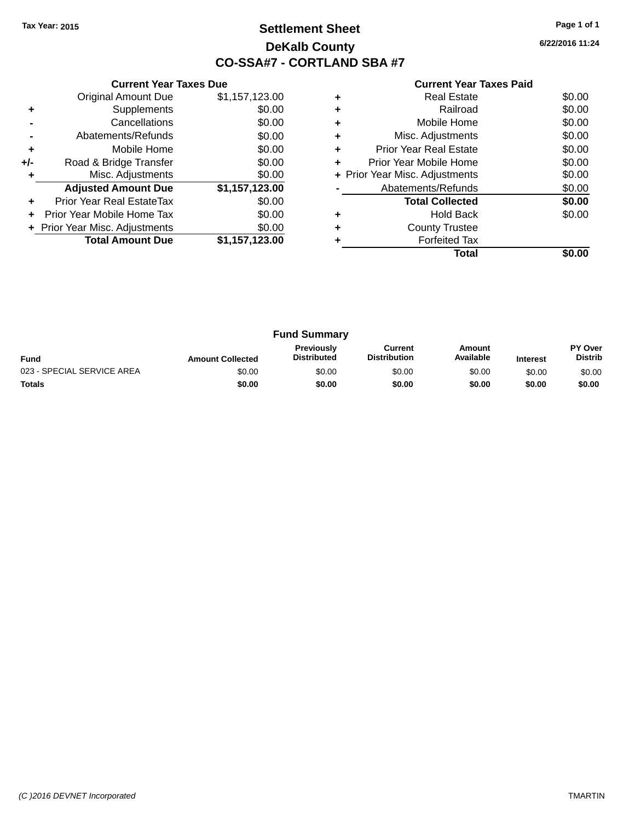# **Settlement Sheet Tax Year: 2015 Page 1 of 1 DeKalb County CO-SSA#7 - CORTLAND SBA #7**

**6/22/2016 11:24**

|     | <b>Current Year Taxes Due</b>  |                |
|-----|--------------------------------|----------------|
|     | <b>Original Amount Due</b>     | \$1,157,123.00 |
| ٠   | Supplements                    | \$0.00         |
|     | Cancellations                  | \$0.00         |
|     | Abatements/Refunds             | \$0.00         |
| ÷   | Mobile Home                    | \$0.00         |
| +/- | Road & Bridge Transfer         | \$0.00         |
| ٠   | Misc. Adjustments              | \$0.00         |
|     | <b>Adjusted Amount Due</b>     | \$1,157,123.00 |
| ٠   | Prior Year Real EstateTax      | \$0.00         |
| ÷   | Prior Year Mobile Home Tax     | \$0.00         |
|     | + Prior Year Misc. Adjustments | \$0.00         |
|     | <b>Total Amount Due</b>        | \$1,157,123.00 |
|     |                                |                |

|   | <b>Real Estate</b>             | \$0.00 |
|---|--------------------------------|--------|
| ٠ | Railroad                       | \$0.00 |
| ٠ | Mobile Home                    | \$0.00 |
| ٠ | Misc. Adjustments              | \$0.00 |
| ٠ | <b>Prior Year Real Estate</b>  | \$0.00 |
| ٠ | Prior Year Mobile Home         | \$0.00 |
|   | + Prior Year Misc. Adjustments | \$0.00 |
|   | Abatements/Refunds             | \$0.00 |
|   | <b>Total Collected</b>         | \$0.00 |
|   | <b>Hold Back</b>               | \$0.00 |
| ٠ | <b>County Trustee</b>          |        |
|   | <b>Forfeited Tax</b>           |        |
|   | Total                          |        |

| <b>Fund Summary</b>        |                         |                                         |                                |                     |                 |                                  |
|----------------------------|-------------------------|-----------------------------------------|--------------------------------|---------------------|-----------------|----------------------------------|
| <b>Fund</b>                | <b>Amount Collected</b> | <b>Previously</b><br><b>Distributed</b> | Current<br><b>Distribution</b> | Amount<br>Available | <b>Interest</b> | <b>PY Over</b><br><b>Distrib</b> |
| 023 - SPECIAL SERVICE AREA | \$0.00                  | \$0.00                                  | \$0.00                         | \$0.00              | \$0.00          | \$0.00                           |
| <b>Totals</b>              | \$0.00                  | \$0.00                                  | \$0.00                         | \$0.00              | \$0.00          | \$0.00                           |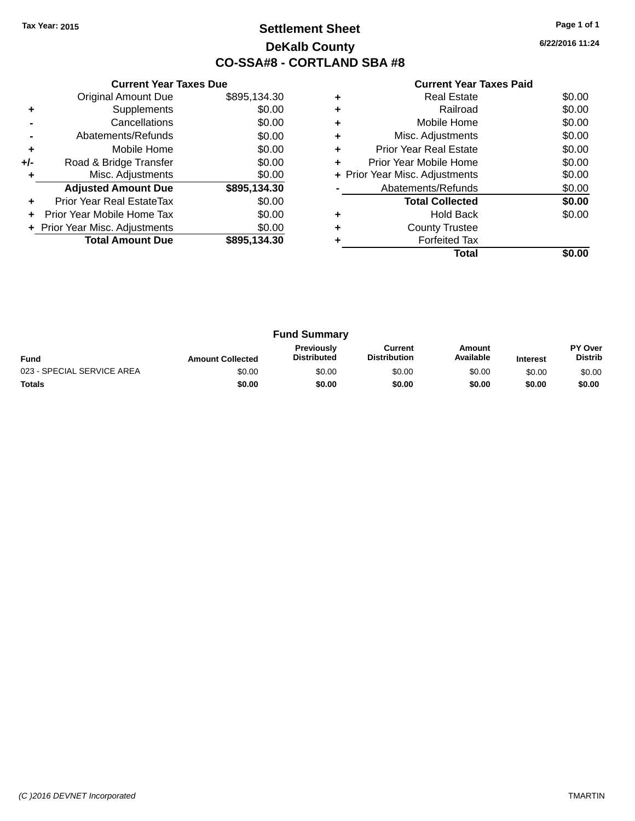# **Settlement Sheet Tax Year: 2015 Page 1 of 1 DeKalb County CO-SSA#8 - CORTLAND SBA #8**

**6/22/2016 11:24**

|     | <b>Current Year Taxes Due</b>  |              |
|-----|--------------------------------|--------------|
|     | <b>Original Amount Due</b>     | \$895,134.30 |
| ٠   | Supplements                    | \$0.00       |
|     | Cancellations                  | \$0.00       |
|     | Abatements/Refunds             | \$0.00       |
| ٠   | Mobile Home                    | \$0.00       |
| +/- | Road & Bridge Transfer         | \$0.00       |
| ٠   | Misc. Adjustments              | \$0.00       |
|     | <b>Adjusted Amount Due</b>     | \$895,134.30 |
| ٠   | Prior Year Real EstateTax      | \$0.00       |
| ÷   | Prior Year Mobile Home Tax     | \$0.00       |
|     | + Prior Year Misc. Adjustments | \$0.00       |
|     | <b>Total Amount Due</b>        | \$895,134.30 |
|     |                                |              |

|   | <b>Real Estate</b>             | \$0.00 |
|---|--------------------------------|--------|
|   | Railroad                       | \$0.00 |
| ٠ | Mobile Home                    | \$0.00 |
| ٠ | Misc. Adjustments              | \$0.00 |
| ٠ | <b>Prior Year Real Estate</b>  | \$0.00 |
| ٠ | Prior Year Mobile Home         | \$0.00 |
|   | + Prior Year Misc. Adjustments | \$0.00 |
|   | Abatements/Refunds             | \$0.00 |
|   | <b>Total Collected</b>         | \$0.00 |
| ٠ | Hold Back                      | \$0.00 |
|   | <b>County Trustee</b>          |        |
|   | <b>Forfeited Tax</b>           |        |
|   | Total                          |        |

| <b>Fund Summary</b>        |                         |                                         |                                |                     |                 |                                  |
|----------------------------|-------------------------|-----------------------------------------|--------------------------------|---------------------|-----------------|----------------------------------|
| <b>Fund</b>                | <b>Amount Collected</b> | <b>Previously</b><br><b>Distributed</b> | Current<br><b>Distribution</b> | Amount<br>Available | <b>Interest</b> | <b>PY Over</b><br><b>Distrib</b> |
| 023 - SPECIAL SERVICE AREA | \$0.00                  | \$0.00                                  | \$0.00                         | \$0.00              | \$0.00          | \$0.00                           |
| <b>Totals</b>              | \$0.00                  | \$0.00                                  | \$0.00                         | \$0.00              | \$0.00          | \$0.00                           |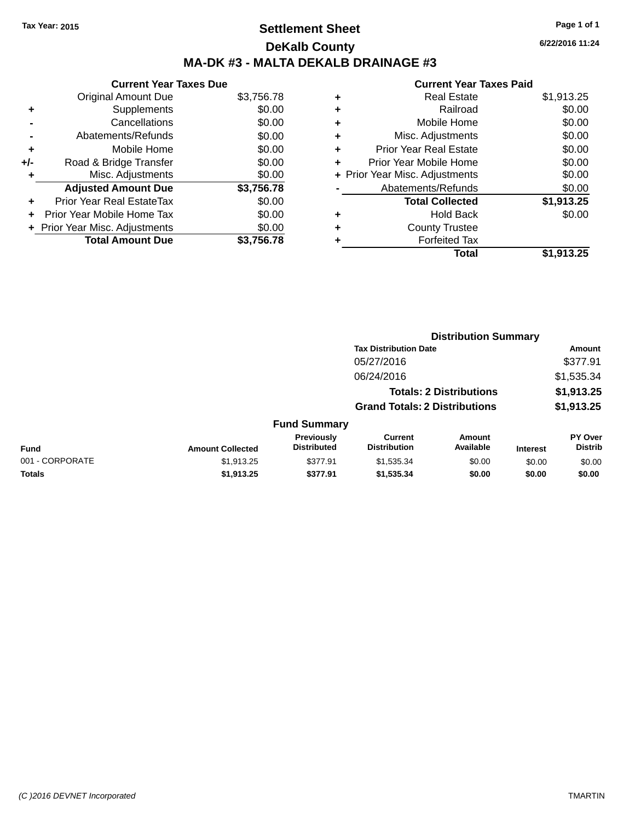# **Settlement Sheet Tax Year: 2015 Page 1 of 1 DeKalb County MA-DK #3 - MALTA DEKALB DRAINAGE #3**

**Current Year Taxes Due** Original Amount Due \$3,756.78 **+** Supplements \$0.00 **-** Cancellations \$0.00 **-** Abatements/Refunds \$0.00 **+** Mobile Home \$0.00 **+/-** Road & Bridge Transfer \$0.00 **+** Misc. Adjustments **Adjusted Amount Due \$3,756.78 +** Prior Year Real EstateTax \$0.00 **+** Prior Year Mobile Home Tax \$0.00 **+ Prior Year Misc. Adjustments**  $$0.00$ **Total Amount Due \$3,756.78**

| ٠ | <b>Real Estate</b>             | \$1,913.25 |
|---|--------------------------------|------------|
| ٠ | Railroad                       | \$0.00     |
| ٠ | Mobile Home                    | \$0.00     |
| ٠ | Misc. Adjustments              | \$0.00     |
| ٠ | <b>Prior Year Real Estate</b>  | \$0.00     |
| ٠ | Prior Year Mobile Home         | \$0.00     |
|   | + Prior Year Misc. Adjustments | \$0.00     |
|   | Abatements/Refunds             | \$0.00     |
|   | <b>Total Collected</b>         | \$1,913.25 |
| ٠ | <b>Hold Back</b>               | \$0.00     |
| ٠ | <b>County Trustee</b>          |            |
| ٠ | <b>Forfeited Tax</b>           |            |
|   | Total                          | \$1,913.25 |
|   |                                |            |

| \$0.00   | + Prior Year Misc. Adjustments | \$0.00              |
|----------|--------------------------------|---------------------|
| 3,756.78 | Abatements/Refunds             | \$0.00              |
| 0.00     | Tatal Asilastad                | $A$ $A$ $A$ $A$ $A$ |

|                 |                         |                                  | <b>Distribution Summary</b>           |                                |                 |                           |
|-----------------|-------------------------|----------------------------------|---------------------------------------|--------------------------------|-----------------|---------------------------|
|                 |                         |                                  | <b>Tax Distribution Date</b>          |                                |                 | Amount                    |
|                 |                         |                                  | 05/27/2016                            |                                |                 | \$377.91                  |
|                 |                         |                                  | 06/24/2016                            |                                |                 | \$1,535.34                |
|                 |                         |                                  |                                       | <b>Totals: 2 Distributions</b> |                 | \$1,913.25                |
|                 |                         |                                  | <b>Grand Totals: 2 Distributions</b>  |                                |                 | \$1,913.25                |
|                 |                         | <b>Fund Summary</b>              |                                       |                                |                 |                           |
| <b>Fund</b>     | <b>Amount Collected</b> | Previously<br><b>Distributed</b> | <b>Current</b><br><b>Distribution</b> | Amount<br>Available            | <b>Interest</b> | PY Over<br><b>Distrib</b> |
| 001 - CORPORATE | \$1,913.25              | \$377.91                         | \$1,535.34                            | \$0.00                         | \$0.00          | \$0.00                    |
| <b>Totals</b>   | \$1,913.25              | \$377.91                         | \$1,535.34                            | \$0.00                         | \$0.00          | \$0.00                    |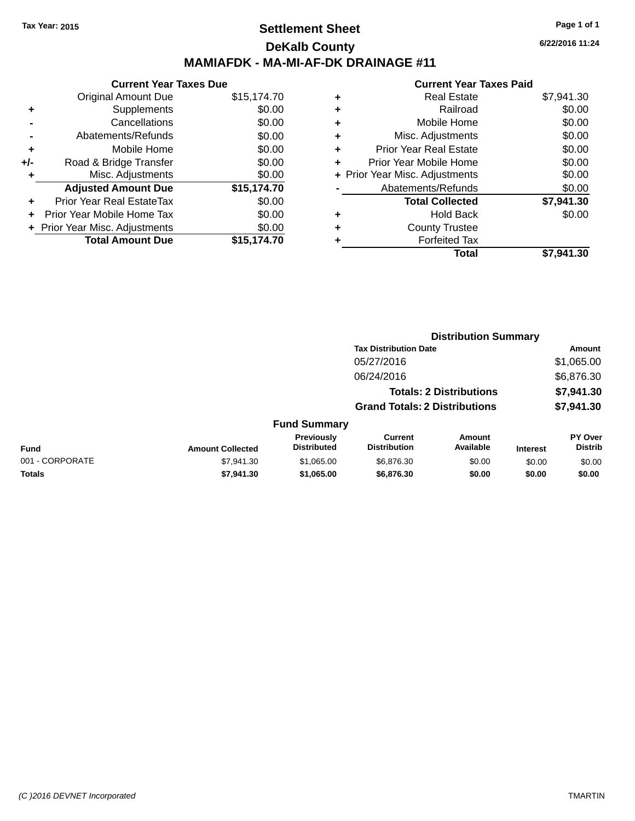### **Settlement Sheet Tax Year: 2015 Page 1 of 1 DeKalb County MAMIAFDK - MA-MI-AF-DK DRAINAGE #11**

**Current Year Taxes Due** Original Amount Due \$15,174.70 **+** Supplements \$0.00 **-** Cancellations \$0.00 **-** Abatements/Refunds \$0.00 **+** Mobile Home \$0.00 **+/-** Road & Bridge Transfer \$0.00<br> **+** Misc. Adjustments \$0.00 **+** Misc. Adjustments **Adjusted Amount Due \$15,174.70 +** Prior Year Real EstateTax \$0.00 **+** Prior Year Mobile Home Tax **+** Prior Year Misc. Adjustments<br> **19.000 Total Amount Due Total Amount Due** 

| ٠ | Real Estate                    | \$7,941.30 |
|---|--------------------------------|------------|
| ٠ | Railroad                       | \$0.00     |
| ٠ | Mobile Home                    | \$0.00     |
| ٠ | Misc. Adjustments              | \$0.00     |
| ٠ | <b>Prior Year Real Estate</b>  | \$0.00     |
| ٠ | Prior Year Mobile Home         | \$0.00     |
|   | + Prior Year Misc. Adjustments | \$0.00     |
|   | Abatements/Refunds             | \$0.00     |
|   | <b>Total Collected</b>         | \$7,941.30 |
| ٠ | Hold Back                      | \$0.00     |
|   | <b>County Trustee</b>          |            |
| ٠ | <b>Forfeited Tax</b>           |            |
|   | Total                          | \$7.941.30 |
|   |                                |            |

| JU.UU     | TUIAI UUIIEULEU       | J.J41.JU |
|-----------|-----------------------|----------|
| \$0.00    | <b>Hold Back</b>      | \$0.00   |
| \$0.00    | <b>County Trustee</b> |          |
| 15,174.70 | <b>Forfeited Tax</b>  |          |

|                 |                         |                                  | <b>Distribution Summary</b>           |                                |                 |                                  |
|-----------------|-------------------------|----------------------------------|---------------------------------------|--------------------------------|-----------------|----------------------------------|
|                 |                         |                                  | <b>Tax Distribution Date</b>          |                                |                 | Amount                           |
|                 |                         |                                  | 05/27/2016                            |                                |                 | \$1,065.00                       |
|                 |                         |                                  | 06/24/2016                            |                                |                 | \$6,876.30                       |
|                 |                         |                                  |                                       | <b>Totals: 2 Distributions</b> |                 | \$7,941.30                       |
|                 |                         |                                  | <b>Grand Totals: 2 Distributions</b>  |                                |                 | \$7,941.30                       |
|                 |                         | <b>Fund Summary</b>              |                                       |                                |                 |                                  |
| <b>Fund</b>     | <b>Amount Collected</b> | Previously<br><b>Distributed</b> | <b>Current</b><br><b>Distribution</b> | Amount<br>Available            | <b>Interest</b> | <b>PY Over</b><br><b>Distrib</b> |
| 001 - CORPORATE | \$7,941.30              | \$1,065.00                       | \$6,876.30                            | \$0.00                         | \$0.00          | \$0.00                           |
| <b>Totals</b>   | \$7,941,30              | \$1,065.00                       | \$6,876.30                            | \$0.00                         | \$0.00          | \$0.00                           |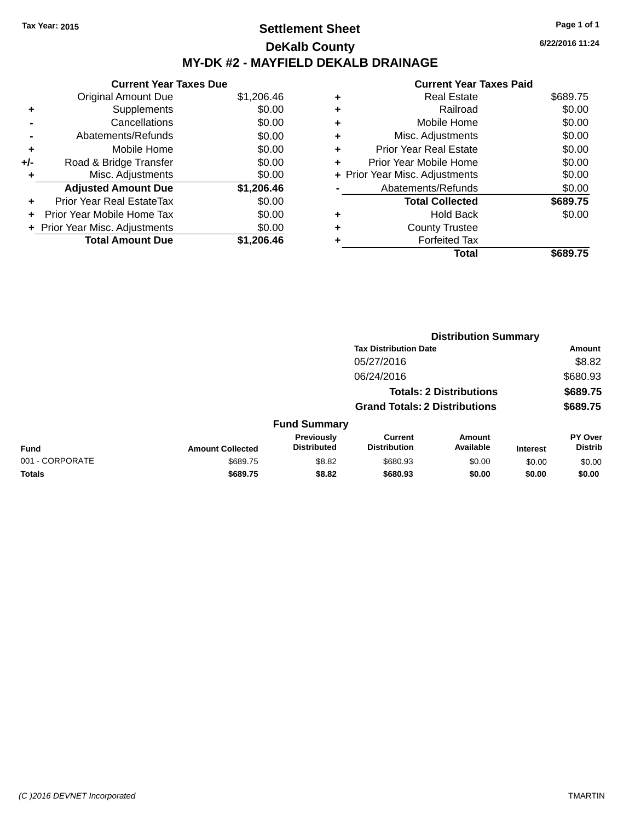# **Settlement Sheet Tax Year: 2015 Page 1 of 1 DeKalb County MY-DK #2 - MAYFIELD DEKALB DRAINAGE**

**6/22/2016 11:24**

| <b>Current Year Taxes Due</b> |            |
|-------------------------------|------------|
| <b>Original Amount Due</b>    | \$1,206.46 |
| Supplements                   | \$0.00     |
| Cancellations                 | \$0.00     |
| Abatements/Refunds            | \$0.00     |
| Mobile Home                   | \$0.00     |
| Road & Bridge Transfer        | \$0.00     |
| Misc. Adjustments             | \$0.00     |
| <b>Adjusted Amount Due</b>    | \$1,206.46 |
| Prior Year Real EstateTax     | \$0.00     |
| Prior Year Mobile Home Tax    | \$0.00     |
| Prior Year Misc. Adjustments  | \$0.00     |
| <b>Total Amount Due</b>       | \$1.206.46 |
|                               |            |

|   | <b>Real Estate</b>             | \$689.75 |
|---|--------------------------------|----------|
| ٠ | Railroad                       | \$0.00   |
| ٠ | Mobile Home                    | \$0.00   |
| ٠ | Misc. Adjustments              | \$0.00   |
| ٠ | <b>Prior Year Real Estate</b>  | \$0.00   |
| ٠ | Prior Year Mobile Home         | \$0.00   |
|   | + Prior Year Misc. Adjustments | \$0.00   |
|   | Abatements/Refunds             | \$0.00   |
|   | <b>Total Collected</b>         | \$689.75 |
|   | Hold Back                      | \$0.00   |
|   | <b>County Trustee</b>          |          |
| ٠ | <b>Forfeited Tax</b>           |          |
|   | Total                          | \$689.75 |
|   |                                |          |

|                 |                         |                                  |                                       | <b>Distribution Summary</b>    |                 |                           |
|-----------------|-------------------------|----------------------------------|---------------------------------------|--------------------------------|-----------------|---------------------------|
|                 |                         |                                  | <b>Tax Distribution Date</b>          |                                |                 | Amount                    |
|                 |                         |                                  | 05/27/2016                            |                                |                 | \$8.82                    |
|                 |                         |                                  | 06/24/2016                            |                                |                 | \$680.93                  |
|                 |                         |                                  |                                       | <b>Totals: 2 Distributions</b> |                 | \$689.75                  |
|                 |                         |                                  | <b>Grand Totals: 2 Distributions</b>  |                                |                 | \$689.75                  |
|                 |                         | <b>Fund Summary</b>              |                                       |                                |                 |                           |
| <b>Fund</b>     | <b>Amount Collected</b> | Previously<br><b>Distributed</b> | <b>Current</b><br><b>Distribution</b> | Amount<br>Available            | <b>Interest</b> | PY Over<br><b>Distrib</b> |
| 001 - CORPORATE | \$689.75                | \$8.82                           | \$680.93                              | \$0.00                         | \$0.00          | \$0.00                    |
| <b>Totals</b>   | \$689.75                | \$8.82                           | \$680.93                              | \$0.00                         | \$0.00          | \$0.00                    |
|                 |                         |                                  |                                       |                                |                 |                           |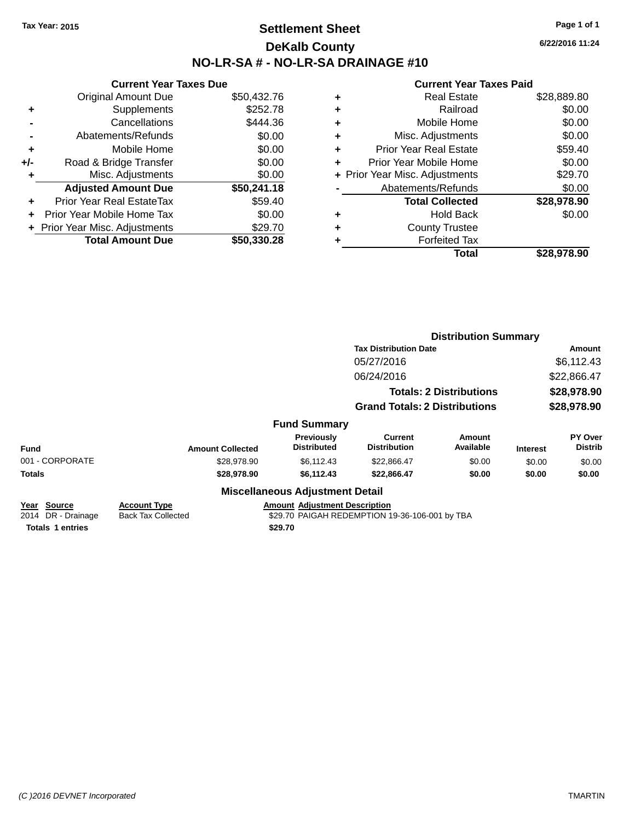### **Settlement Sheet Tax Year: 2015 Page 1 of 1 DeKalb County NO-LR-SA # - NO-LR-SA DRAINAGE #10**

**6/22/2016 11:24**

|     | <b>Current Year Taxes Due</b>    |             |
|-----|----------------------------------|-------------|
|     | <b>Original Amount Due</b>       | \$50,432.76 |
| ٠   | Supplements                      | \$252.78    |
|     | Cancellations                    | \$444.36    |
|     | Abatements/Refunds               | \$0.00      |
| ٠   | Mobile Home                      | \$0.00      |
| +/- | Road & Bridge Transfer           | \$0.00      |
| ٠   | Misc. Adjustments                | \$0.00      |
|     | <b>Adjusted Amount Due</b>       | \$50,241.18 |
| ÷   | <b>Prior Year Real EstateTax</b> | \$59.40     |
| ÷   | Prior Year Mobile Home Tax       | \$0.00      |
|     | + Prior Year Misc. Adjustments   | \$29.70     |
|     | <b>Total Amount Due</b>          | \$50,330,28 |

| ٠ | Real Estate                    | \$28,889.80 |
|---|--------------------------------|-------------|
| ٠ | Railroad                       | \$0.00      |
| ٠ | Mobile Home                    | \$0.00      |
| ٠ | Misc. Adjustments              | \$0.00      |
| ٠ | <b>Prior Year Real Estate</b>  | \$59.40     |
| ÷ | Prior Year Mobile Home         | \$0.00      |
|   | + Prior Year Misc. Adjustments | \$29.70     |
|   | Abatements/Refunds             | \$0.00      |
|   | <b>Total Collected</b>         | \$28,978.90 |
| ٠ | Hold Back                      | \$0.00      |
|   | <b>County Trustee</b>          |             |
|   | <b>Forfeited Tax</b>           |             |
|   | Total                          | \$28,978.90 |
|   |                                |             |

|                                                  |                                  |                                       |                                                                                                       |                                                                                                                                                          | Amount                           |
|--------------------------------------------------|----------------------------------|---------------------------------------|-------------------------------------------------------------------------------------------------------|----------------------------------------------------------------------------------------------------------------------------------------------------------|----------------------------------|
|                                                  |                                  | 05/27/2016                            |                                                                                                       |                                                                                                                                                          | \$6,112.43                       |
|                                                  |                                  | 06/24/2016                            |                                                                                                       |                                                                                                                                                          | \$22,866.47                      |
|                                                  |                                  |                                       |                                                                                                       |                                                                                                                                                          | \$28,978.90                      |
|                                                  |                                  |                                       |                                                                                                       |                                                                                                                                                          | \$28,978.90                      |
|                                                  |                                  |                                       |                                                                                                       |                                                                                                                                                          |                                  |
| <b>Amount Collected</b>                          | Previously<br><b>Distributed</b> | <b>Current</b><br><b>Distribution</b> | <b>Amount</b><br>Available                                                                            | <b>Interest</b>                                                                                                                                          | <b>PY Over</b><br><b>Distrib</b> |
| \$28,978.90                                      | \$6,112.43                       | \$22,866.47                           | \$0.00                                                                                                | \$0.00                                                                                                                                                   | \$0.00                           |
| \$28,978.90                                      | \$6,112.43                       | \$22,866.47                           | \$0.00                                                                                                | \$0.00                                                                                                                                                   | \$0.00                           |
|                                                  |                                  |                                       |                                                                                                       |                                                                                                                                                          |                                  |
| <b>Account Type</b><br><b>Back Tax Collected</b> |                                  |                                       |                                                                                                       |                                                                                                                                                          |                                  |
|                                                  |                                  | \$29.70                               | <b>Fund Summary</b><br><b>Miscellaneous Adjustment Detail</b><br><b>Amount Adjustment Description</b> | <b>Tax Distribution Date</b><br><b>Totals: 2 Distributions</b><br><b>Grand Totals: 2 Distributions</b><br>\$29.70 PAIGAH REDEMPTION 19-36-106-001 by TBA | <b>Distribution Summary</b>      |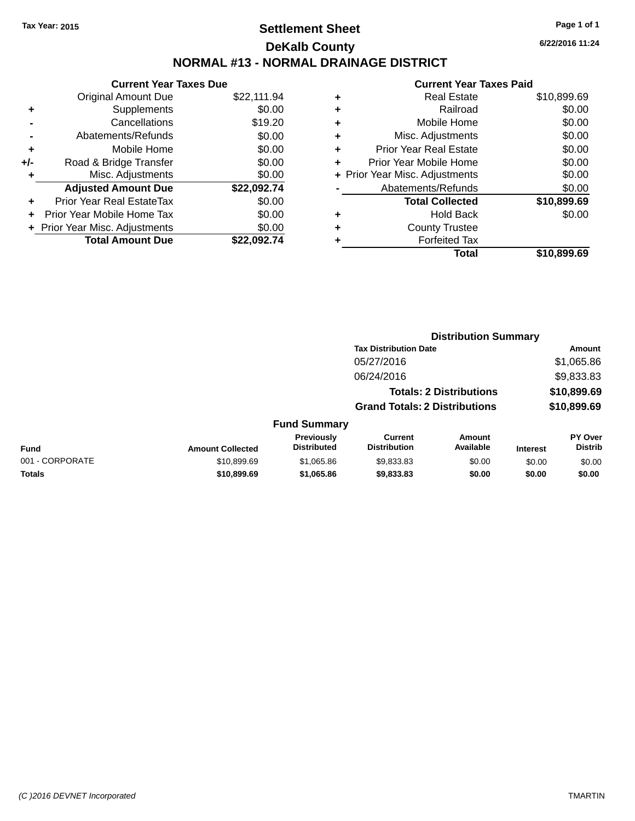# **Settlement Sheet Tax Year: 2015 Page 1 of 1 DeKalb County NORMAL #13 - NORMAL DRAINAGE DISTRICT**

**Current Year Taxes Due** Original Amount Due \$22,111.94 **+** Supplements \$0.00 **-** Cancellations \$19.20 **-** Abatements/Refunds \$0.00 **+** Mobile Home \$0.00 **+/-** Road & Bridge Transfer \$0.00 **+** Misc. Adjustments \$0.00 **Adjusted Amount Due \$22,092.74 +** Prior Year Real EstateTax \$0.00 **+** Prior Year Mobile Home Tax \$0.00 **+** Prior Year Misc. Adjustments  $$0.00$ **Total Amount Due \$22,092.74**

#### **Current Year Taxes Paid +** Real Estate \$10,899.69 **+** Railroad \$0.00 **+** Mobile Home \$0.00 **+** Misc. Adjustments \$0.00 **+** Prior Year Real Estate \$0.00 **+** Prior Year Mobile Home \$0.00 **+** Prior Year Misc. Adjustments  $$0.00$ Abatements/Refunds \$0.00 **Total Collected \$10,899.69 +** Hold Back \$0.00 **+** County Trustee **+** Forfeited Tax **Total \$10,899.69**

**Distribution Summary**

|                 |                         |                                  | <b>Tax Distribution Date</b>          |                                |                 | Amount                           |
|-----------------|-------------------------|----------------------------------|---------------------------------------|--------------------------------|-----------------|----------------------------------|
|                 |                         |                                  | 05/27/2016                            |                                |                 | \$1,065.86                       |
|                 |                         |                                  | 06/24/2016                            |                                |                 | \$9,833.83                       |
|                 |                         |                                  |                                       | <b>Totals: 2 Distributions</b> |                 | \$10,899.69                      |
|                 |                         |                                  | <b>Grand Totals: 2 Distributions</b>  |                                |                 | \$10,899.69                      |
|                 |                         | <b>Fund Summary</b>              |                                       |                                |                 |                                  |
| <b>Fund</b>     | <b>Amount Collected</b> | Previously<br><b>Distributed</b> | <b>Current</b><br><b>Distribution</b> | <b>Amount</b><br>Available     | <b>Interest</b> | <b>PY Over</b><br><b>Distrib</b> |
| 001 - CORPORATE | \$10,899.69             | \$1,065.86                       | \$9,833.83                            | \$0.00                         | \$0.00          | \$0.00                           |
| <b>Totals</b>   | \$10,899.69             | \$1,065.86                       | \$9,833.83                            | \$0.00                         | \$0.00          | \$0.00                           |

*(C )2016 DEVNET Incorporated* TMARTIN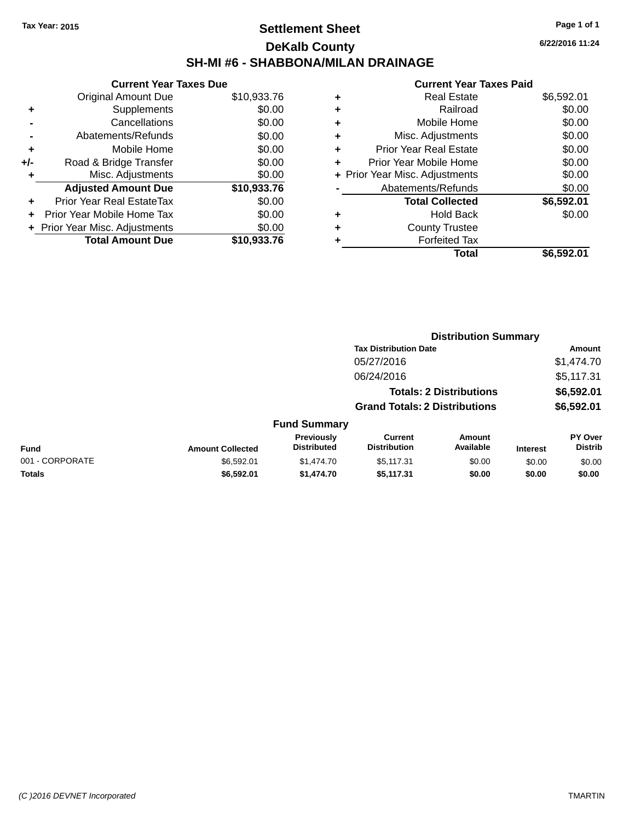# **Settlement Sheet Tax Year: 2015 Page 1 of 1 DeKalb County SH-MI #6 - SHABBONA/MILAN DRAINAGE**

**Current Year Taxes Due** Original Amount Due \$10,933.76 **+** Supplements \$0.00 **-** Cancellations \$0.00 **-** Abatements/Refunds \$0.00 **+** Mobile Home \$0.00 **+/-** Road & Bridge Transfer \$0.00 **+** Misc. Adjustments \$0.00 **Adjusted Amount Due \$10,933.76 +** Prior Year Real EstateTax \$0.00 **+** Prior Year Mobile Home Tax \$0.00 **+ Prior Year Misc. Adjustments**  $$0.00$ **Total Amount Due \$10,933.76**

| ٠ | <b>Real Estate</b>             | \$6,592.01 |
|---|--------------------------------|------------|
| ٠ | Railroad                       | \$0.00     |
| ٠ | Mobile Home                    | \$0.00     |
| ٠ | Misc. Adjustments              | \$0.00     |
| ٠ | <b>Prior Year Real Estate</b>  | \$0.00     |
| ٠ | Prior Year Mobile Home         | \$0.00     |
|   | + Prior Year Misc. Adjustments | \$0.00     |
|   | Abatements/Refunds             | \$0.00     |
|   | <b>Total Collected</b>         | \$6,592.01 |
| ٠ | <b>Hold Back</b>               | \$0.00     |
| ٠ | <b>County Trustee</b>          |            |
| ٠ | <b>Forfeited Tax</b>           |            |
|   | Total                          | \$6,592.01 |
|   |                                |            |

|                 |                         |                                  | <b>Distribution Summary</b>           |                                |                 |                                  |
|-----------------|-------------------------|----------------------------------|---------------------------------------|--------------------------------|-----------------|----------------------------------|
|                 |                         |                                  | <b>Tax Distribution Date</b>          |                                |                 | Amount                           |
|                 |                         |                                  | 05/27/2016                            |                                |                 | \$1,474.70                       |
|                 |                         |                                  | 06/24/2016                            |                                |                 | \$5,117.31                       |
|                 |                         |                                  |                                       | <b>Totals: 2 Distributions</b> |                 | \$6,592.01                       |
|                 |                         |                                  | <b>Grand Totals: 2 Distributions</b>  |                                |                 | \$6,592.01                       |
|                 |                         | <b>Fund Summary</b>              |                                       |                                |                 |                                  |
| <b>Fund</b>     | <b>Amount Collected</b> | Previously<br><b>Distributed</b> | <b>Current</b><br><b>Distribution</b> | <b>Amount</b><br>Available     | <b>Interest</b> | <b>PY Over</b><br><b>Distrib</b> |
| 001 - CORPORATE | \$6.592.01              | \$1,474.70                       | \$5,117.31                            | \$0.00                         | \$0.00          | \$0.00                           |
| Totals          | \$6,592.01              | \$1,474.70                       | \$5,117.31                            | \$0.00                         | \$0.00          | \$0.00                           |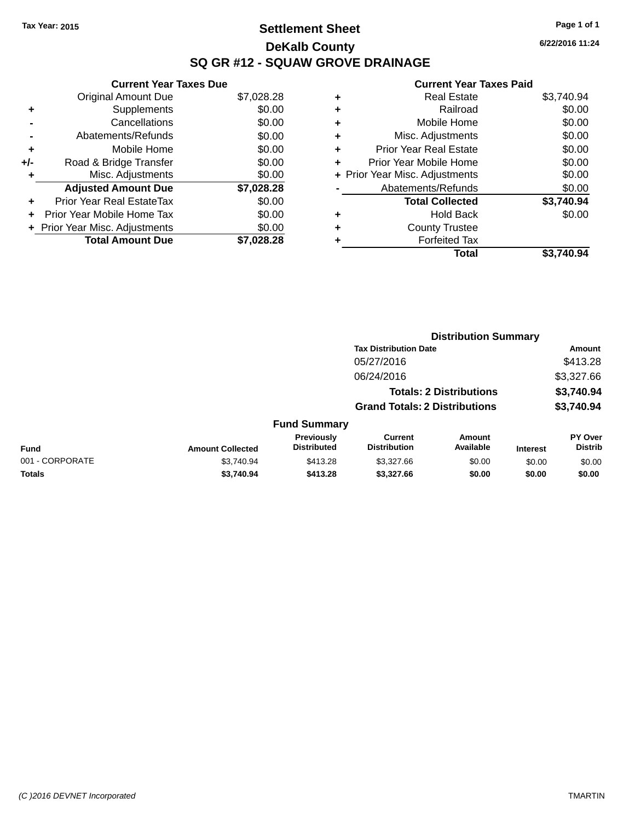# **Settlement Sheet Tax Year: 2015 Page 1 of 1 DeKalb County SQ GR #12 - SQUAW GROVE DRAINAGE**

**6/22/2016 11:24**

|     | <b>Current Year Taxes Due</b>  |            |
|-----|--------------------------------|------------|
|     | <b>Original Amount Due</b>     | \$7,028.28 |
| ٠   | Supplements                    | \$0.00     |
|     | Cancellations                  | \$0.00     |
|     | Abatements/Refunds             | \$0.00     |
| ٠   | Mobile Home                    | \$0.00     |
| +/- | Road & Bridge Transfer         | \$0.00     |
|     | Misc. Adjustments              | \$0.00     |
|     | <b>Adjusted Amount Due</b>     | \$7,028.28 |
| ÷   | Prior Year Real EstateTax      | \$0.00     |
| ÷   | Prior Year Mobile Home Tax     | \$0.00     |
|     | + Prior Year Misc. Adjustments | \$0.00     |
|     | <b>Total Amount Due</b>        | \$7,028.28 |

| ٠ | <b>Real Estate</b>             | \$3,740.94 |
|---|--------------------------------|------------|
| ٠ | Railroad                       | \$0.00     |
| ٠ | Mobile Home                    | \$0.00     |
| ٠ | Misc. Adjustments              | \$0.00     |
| ٠ | <b>Prior Year Real Estate</b>  | \$0.00     |
| ٠ | Prior Year Mobile Home         | \$0.00     |
|   | + Prior Year Misc. Adjustments | \$0.00     |
|   | Abatements/Refunds             | \$0.00     |
|   | <b>Total Collected</b>         | \$3,740.94 |
| ٠ | Hold Back                      | \$0.00     |
| ٠ | <b>County Trustee</b>          |            |
| ٠ | <b>Forfeited Tax</b>           |            |
|   | Total                          | \$3.740.94 |
|   |                                |            |

|                 |                         |                                  | <b>Distribution Summary</b>           |                                |                 |                           |  |
|-----------------|-------------------------|----------------------------------|---------------------------------------|--------------------------------|-----------------|---------------------------|--|
|                 |                         |                                  | <b>Tax Distribution Date</b>          |                                |                 | Amount                    |  |
|                 |                         |                                  | 05/27/2016                            |                                |                 | \$413.28                  |  |
|                 |                         |                                  | 06/24/2016                            |                                |                 | \$3,327.66                |  |
|                 |                         |                                  |                                       | <b>Totals: 2 Distributions</b> |                 | \$3,740.94                |  |
|                 |                         |                                  | <b>Grand Totals: 2 Distributions</b>  |                                |                 | \$3,740.94                |  |
|                 |                         | <b>Fund Summary</b>              |                                       |                                |                 |                           |  |
| <b>Fund</b>     | <b>Amount Collected</b> | Previously<br><b>Distributed</b> | <b>Current</b><br><b>Distribution</b> | Amount<br>Available            | <b>Interest</b> | PY Over<br><b>Distrib</b> |  |
| 001 - CORPORATE | \$3,740.94              | \$413.28                         | \$3,327.66                            | \$0.00                         | \$0.00          | \$0.00                    |  |
| <b>Totals</b>   | \$3,740.94              | \$413.28                         | \$3,327.66                            | \$0.00                         | \$0.00          | \$0.00                    |  |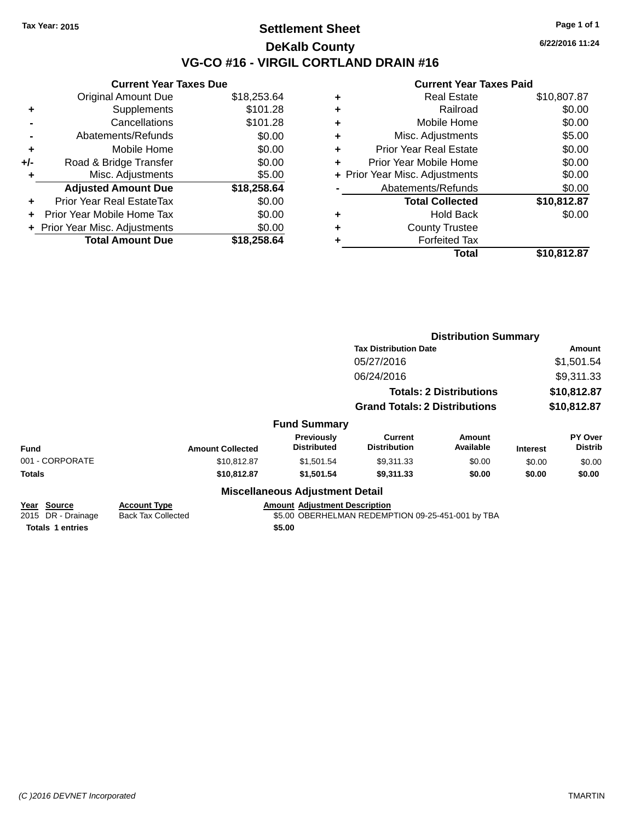### **Settlement Sheet Tax Year: 2015 Page 1 of 1 DeKalb County VG-CO #16 - VIRGIL CORTLAND DRAIN #16**

**6/22/2016 11:24**

|     | <b>Current Year Taxes Due</b> |             |
|-----|-------------------------------|-------------|
|     | <b>Original Amount Due</b>    | \$18,253.64 |
| ٠   | Supplements                   | \$101.28    |
|     | Cancellations                 | \$101.28    |
|     | Abatements/Refunds            | \$0.00      |
| ٠   | Mobile Home                   | \$0.00      |
| +/- | Road & Bridge Transfer        | \$0.00      |
|     | Misc. Adjustments             | \$5.00      |
|     | <b>Adjusted Amount Due</b>    | \$18,258.64 |
| ÷   | Prior Year Real EstateTax     | \$0.00      |
|     | Prior Year Mobile Home Tax    | \$0.00      |
|     | Prior Year Misc. Adjustments  | \$0.00      |
|     | <b>Total Amount Due</b>       | \$18,258,64 |
|     |                               |             |

|   | <b>Real Estate</b>             | \$10,807.87 |
|---|--------------------------------|-------------|
| ٠ | Railroad                       | \$0.00      |
| ÷ | Mobile Home                    | \$0.00      |
| ٠ | Misc. Adjustments              | \$5.00      |
| ٠ | <b>Prior Year Real Estate</b>  | \$0.00      |
| ٠ | Prior Year Mobile Home         | \$0.00      |
|   | + Prior Year Misc. Adjustments | \$0.00      |
|   | Abatements/Refunds             | \$0.00      |
|   | <b>Total Collected</b>         | \$10,812.87 |
| ٠ | Hold Back                      | \$0.00      |
| ٠ | <b>County Trustee</b>          |             |
|   | <b>Forfeited Tax</b>           |             |
|   | Total                          | \$10,812.87 |
|   |                                |             |

|                                                              |                                                  |                                                | <b>Distribution Summary</b>                       |                                |                 |                           |
|--------------------------------------------------------------|--------------------------------------------------|------------------------------------------------|---------------------------------------------------|--------------------------------|-----------------|---------------------------|
|                                                              | <b>Tax Distribution Date</b>                     |                                                |                                                   | Amount                         |                 |                           |
|                                                              |                                                  |                                                | 05/27/2016                                        |                                |                 | \$1,501.54                |
|                                                              |                                                  |                                                | 06/24/2016                                        |                                |                 | \$9,311.33                |
|                                                              |                                                  |                                                |                                                   | <b>Totals: 2 Distributions</b> | \$10,812.87     |                           |
|                                                              |                                                  |                                                | <b>Grand Totals: 2 Distributions</b>              |                                |                 | \$10,812.87               |
|                                                              |                                                  | <b>Fund Summary</b>                            |                                                   |                                |                 |                           |
| <b>Fund</b>                                                  | <b>Amount Collected</b>                          | Previously<br><b>Distributed</b>               | Current<br><b>Distribution</b>                    | Amount<br>Available            | <b>Interest</b> | PY Over<br><b>Distrib</b> |
| 001 - CORPORATE                                              | \$10,812.87                                      | \$1,501.54                                     | \$9,311.33                                        | \$0.00                         | \$0.00          | \$0.00                    |
| Totals                                                       | \$10,812.87                                      | \$1,501.54                                     | \$9,311.33                                        | \$0.00                         | \$0.00          | \$0.00                    |
|                                                              |                                                  | <b>Miscellaneous Adjustment Detail</b>         |                                                   |                                |                 |                           |
| Year Source<br>2015 DR - Drainage<br><b>Totals 1 entries</b> | <b>Account Type</b><br><b>Back Tax Collected</b> | <b>Amount Adjustment Description</b><br>\$5.00 | \$5.00 OBERHELMAN REDEMPTION 09-25-451-001 by TBA |                                |                 |                           |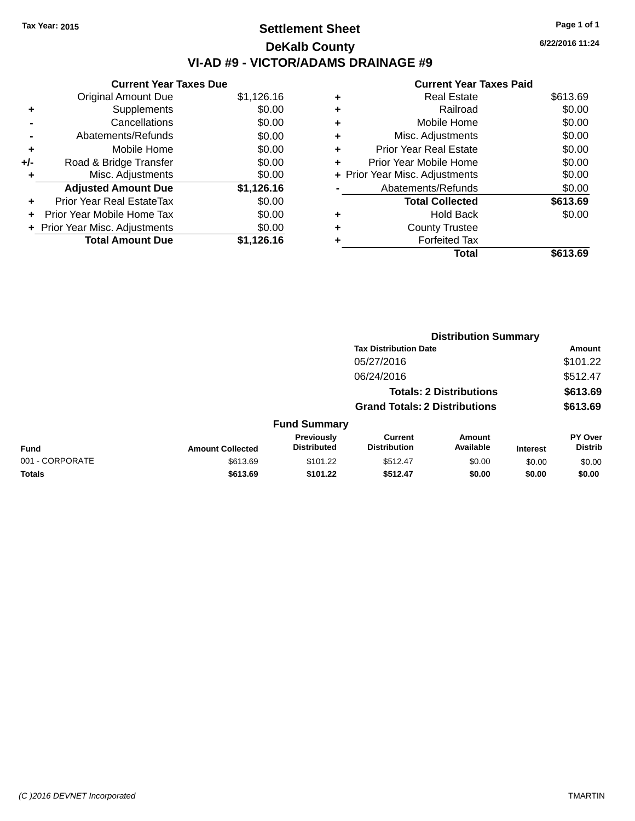# **Settlement Sheet Tax Year: 2015 Page 1 of 1 DeKalb County VI-AD #9 - VICTOR/ADAMS DRAINAGE #9**

**Current Year Taxes Due** Original Amount Due \$1,126.16 **+** Supplements \$0.00 **-** Cancellations \$0.00 **-** Abatements/Refunds \$0.00 **+** Mobile Home \$0.00 **+/-** Road & Bridge Transfer \$0.00 **+** Misc. Adjustments \$0.00 **Adjusted Amount Due \$1,126.16 +** Prior Year Real EstateTax \$0.00 **+** Prior Year Mobile Home Tax \$0.00 **+ Prior Year Misc. Adjustments**  $$0.00$ **Total Amount Due \$1,126.16**

#### **+** Real Estate \$613.69 **+** Railroad \$0.00 **+** Mobile Home \$0.00 **+** Misc. Adjustments \$0.00 **+** Prior Year Real Estate \$0.00 **+** Prior Year Mobile Home \$0.00 **+** Prior Year Misc. Adjustments  $$0.00$

|                | Total                  | \$613.69 |
|----------------|------------------------|----------|
| ٠              | <b>Forfeited Tax</b>   |          |
| ٠              | <b>County Trustee</b>  |          |
| ٠              | Hold Back              | \$0.00   |
|                | <b>Total Collected</b> | \$613.69 |
| $\blacksquare$ | Abatements/Refunds     | \$0.00   |

**Distribution Summary**

|                 |                         |                                         | <b>Tax Distribution Date</b>          |                                |                 | Amount                           |
|-----------------|-------------------------|-----------------------------------------|---------------------------------------|--------------------------------|-----------------|----------------------------------|
|                 |                         |                                         | 05/27/2016                            |                                |                 | \$101.22                         |
|                 |                         |                                         | 06/24/2016                            |                                |                 | \$512.47                         |
|                 |                         |                                         |                                       | <b>Totals: 2 Distributions</b> |                 | \$613.69                         |
|                 |                         |                                         | <b>Grand Totals: 2 Distributions</b>  |                                |                 | \$613.69                         |
|                 |                         | <b>Fund Summary</b>                     |                                       |                                |                 |                                  |
| <b>Fund</b>     | <b>Amount Collected</b> | <b>Previously</b><br><b>Distributed</b> | <b>Current</b><br><b>Distribution</b> | Amount<br>Available            | <b>Interest</b> | <b>PY Over</b><br><b>Distrib</b> |
| 001 - CORPORATE | \$613.69                | \$101.22                                | \$512.47                              | \$0.00                         | \$0.00          | \$0.00                           |
| Totals          | \$613.69                | \$101.22                                | \$512.47                              | \$0.00                         | \$0.00          | \$0.00                           |
|                 |                         |                                         |                                       |                                |                 |                                  |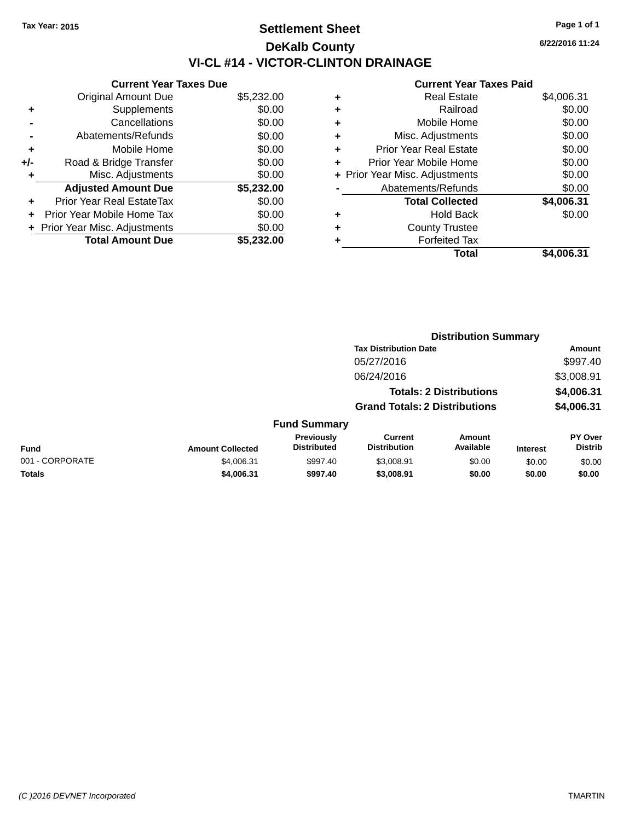# **Settlement Sheet Tax Year: 2015 Page 1 of 1 DeKalb County VI-CL #14 - VICTOR-CLINTON DRAINAGE**

**6/22/2016 11:24**

|     | <b>Current Year Taxes Due</b>  |            |
|-----|--------------------------------|------------|
|     | <b>Original Amount Due</b>     | \$5,232.00 |
| ٠   | Supplements                    | \$0.00     |
|     | Cancellations                  | \$0.00     |
|     | Abatements/Refunds             | \$0.00     |
| ٠   | Mobile Home                    | \$0.00     |
| +/- | Road & Bridge Transfer         | \$0.00     |
|     | Misc. Adjustments              | \$0.00     |
|     | <b>Adjusted Amount Due</b>     | \$5,232.00 |
| ÷   | Prior Year Real EstateTax      | \$0.00     |
| ÷   | Prior Year Mobile Home Tax     | \$0.00     |
|     | + Prior Year Misc. Adjustments | \$0.00     |
|     | <b>Total Amount Due</b>        | \$5.232.00 |

| ٠ | <b>Real Estate</b>             | \$4,006.31 |
|---|--------------------------------|------------|
| ٠ | Railroad                       | \$0.00     |
| ٠ | Mobile Home                    | \$0.00     |
| ٠ | Misc. Adjustments              | \$0.00     |
| ٠ | <b>Prior Year Real Estate</b>  | \$0.00     |
|   | Prior Year Mobile Home         | \$0.00     |
|   | + Prior Year Misc. Adjustments | \$0.00     |
|   | Abatements/Refunds             | \$0.00     |
|   | <b>Total Collected</b>         | \$4,006.31 |
| ٠ | Hold Back                      | \$0.00     |
| ٠ | <b>County Trustee</b>          |            |
| ٠ | <b>Forfeited Tax</b>           |            |
|   | Total                          | \$4,006.31 |
|   |                                |            |

|                 |                         |                                         |                                       | <b>Distribution Summary</b>    |                 |                           |
|-----------------|-------------------------|-----------------------------------------|---------------------------------------|--------------------------------|-----------------|---------------------------|
|                 |                         |                                         | <b>Tax Distribution Date</b>          |                                |                 | <b>Amount</b>             |
|                 |                         |                                         | 05/27/2016                            |                                |                 | \$997.40                  |
|                 |                         |                                         | 06/24/2016                            |                                |                 | \$3,008.91                |
|                 |                         |                                         |                                       | <b>Totals: 2 Distributions</b> |                 | \$4,006.31                |
|                 |                         |                                         | <b>Grand Totals: 2 Distributions</b>  |                                |                 | \$4,006.31                |
|                 |                         | <b>Fund Summary</b>                     |                                       |                                |                 |                           |
| <b>Fund</b>     | <b>Amount Collected</b> | <b>Previously</b><br><b>Distributed</b> | <b>Current</b><br><b>Distribution</b> | Amount<br>Available            | <b>Interest</b> | PY Over<br><b>Distrib</b> |
| 001 - CORPORATE | \$4,006.31              | \$997.40                                | \$3,008.91                            | \$0.00                         | \$0.00          | \$0.00                    |
| <b>Totals</b>   | \$4,006.31              | \$997.40                                | \$3,008.91                            | \$0.00                         | \$0.00          | \$0.00                    |
|                 |                         |                                         |                                       |                                |                 |                           |